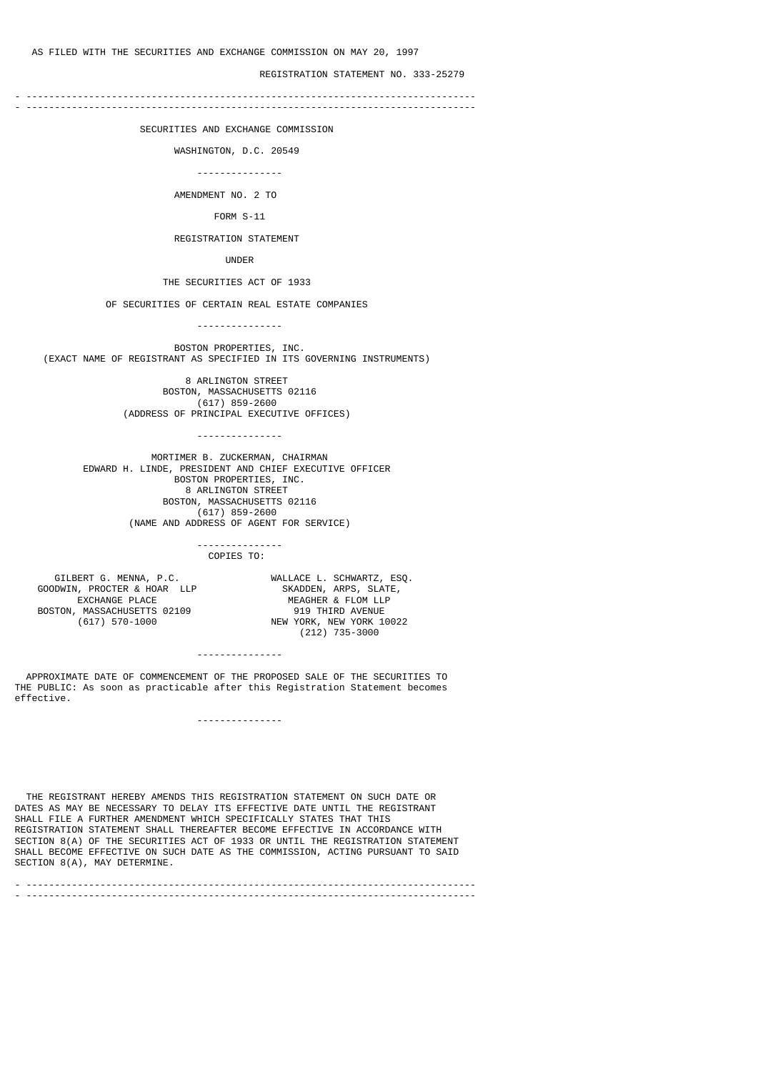REGISTRATION STATEMENT NO. 333-25279

- ------------------------------------------------------------------------------- - -------------------------------------------------------------------------------

SECURITIES AND EXCHANGE COMMISSION

WASHINGTON, D.C. 20549

---------------

AMENDMENT NO. 2 TO

FORM S-11

REGISTRATION STATEMENT

UNDER

THE SECURITIES ACT OF 1933

OF SECURITIES OF CERTAIN REAL ESTATE COMPANIES

---------------

 BOSTON PROPERTIES, INC. (EXACT NAME OF REGISTRANT AS SPECIFIED IN ITS GOVERNING INSTRUMENTS)

> 8 ARLINGTON STREET BOSTON, MASSACHUSETTS 02116 (617) 859-2600 (ADDRESS OF PRINCIPAL EXECUTIVE OFFICES)

> > ---------------

 MORTIMER B. ZUCKERMAN, CHAIRMAN EDWARD H. LINDE, PRESIDENT AND CHIEF EXECUTIVE OFFICER BOSTON PROPERTIES, INC. 8 ARLINGTON STREET BOSTON, MASSACHUSETTS 02116 (617) 859-2600 (NAME AND ADDRESS OF AGENT FOR SERVICE)

#### --------------- COPIES TO:

GOODWIN, PROCTER & HOAR LLP<br>EXCHANGE PLACE BOSTON, MASSACHUSETTS 02109<br>(617) 570-1000

 GILBERT G. MENNA, P.C. WALLACE L. SCHWARTZ, ESQ. MEAGHER & FLOM LLP<br>919 THIRD AVENUE NEW YORK, NEW YORK 10022 (212) 735-3000

---------------

 APPROXIMATE DATE OF COMMENCEMENT OF THE PROPOSED SALE OF THE SECURITIES TO THE PUBLIC: As soon as practicable after this Registration Statement becomes effective.

---------------

 THE REGISTRANT HEREBY AMENDS THIS REGISTRATION STATEMENT ON SUCH DATE OR DATES AS MAY BE NECESSARY TO DELAY ITS EFFECTIVE DATE UNTIL THE REGISTRANT SHALL FILE A FURTHER AMENDMENT WHICH SPECIFICALLY STATES THAT THIS REGISTRATION STATEMENT SHALL THEREAFTER BECOME EFFECTIVE IN ACCORDANCE WITH SECTION 8(A) OF THE SECURITIES ACT OF 1933 OR UNTIL THE REGISTRATION STATEMENT SHALL BECOME EFFECTIVE ON SUCH DATE AS THE COMMISSION, ACTING PURSUANT TO SAID SECTION 8(A), MAY DETERMINE.

- ------------------------------------------------------------------------------- - -------------------------------------------------------------------------------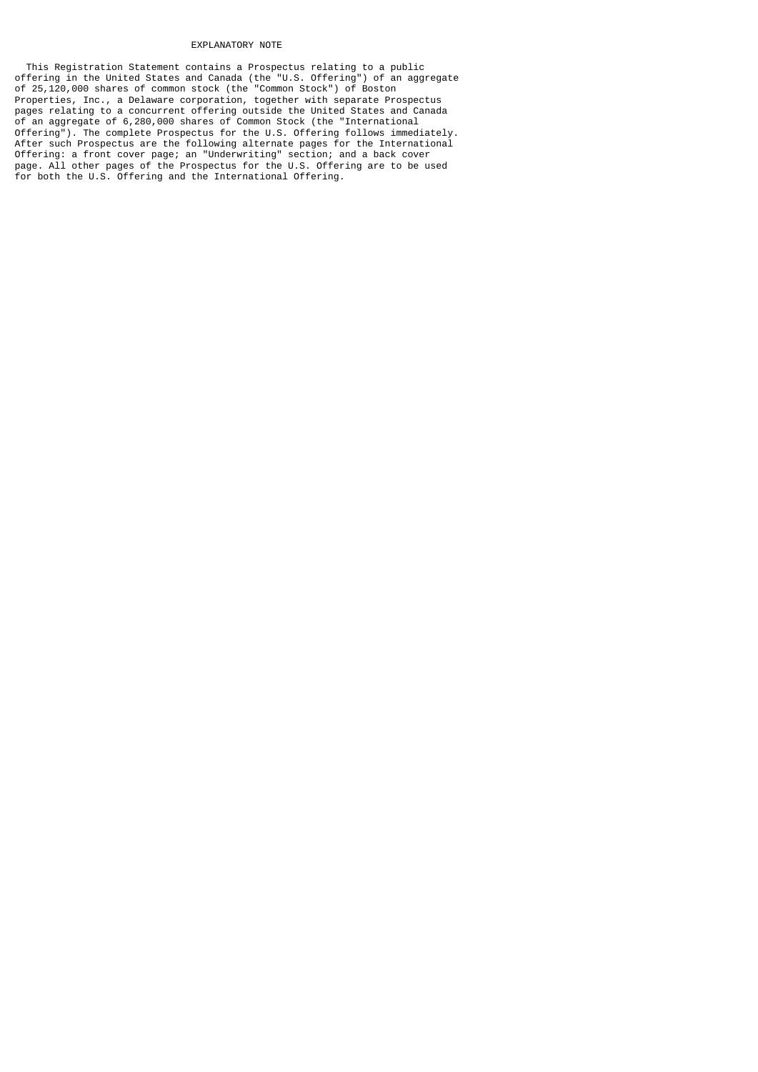#### EXPLANATORY NOTE

 This Registration Statement contains a Prospectus relating to a public offering in the United States and Canada (the "U.S. Offering") of an aggregate of 25,120,000 shares of common stock (the "Common Stock") of Boston Properties, Inc., a Delaware corporation, together with separate Prospectus pages relating to a concurrent offering outside the United States and Canada of an aggregate of 6,280,000 shares of Common Stock (the "International Offering"). The complete Prospectus for the U.S. Offering follows immediately. After such Prospectus are the following alternate pages for the International Offering: a front cover page; an "Underwriting" section; and a back cover page. All other pages of the Prospectus for the U.S. Offering are to be used for both the U.S. Offering and the International Offering.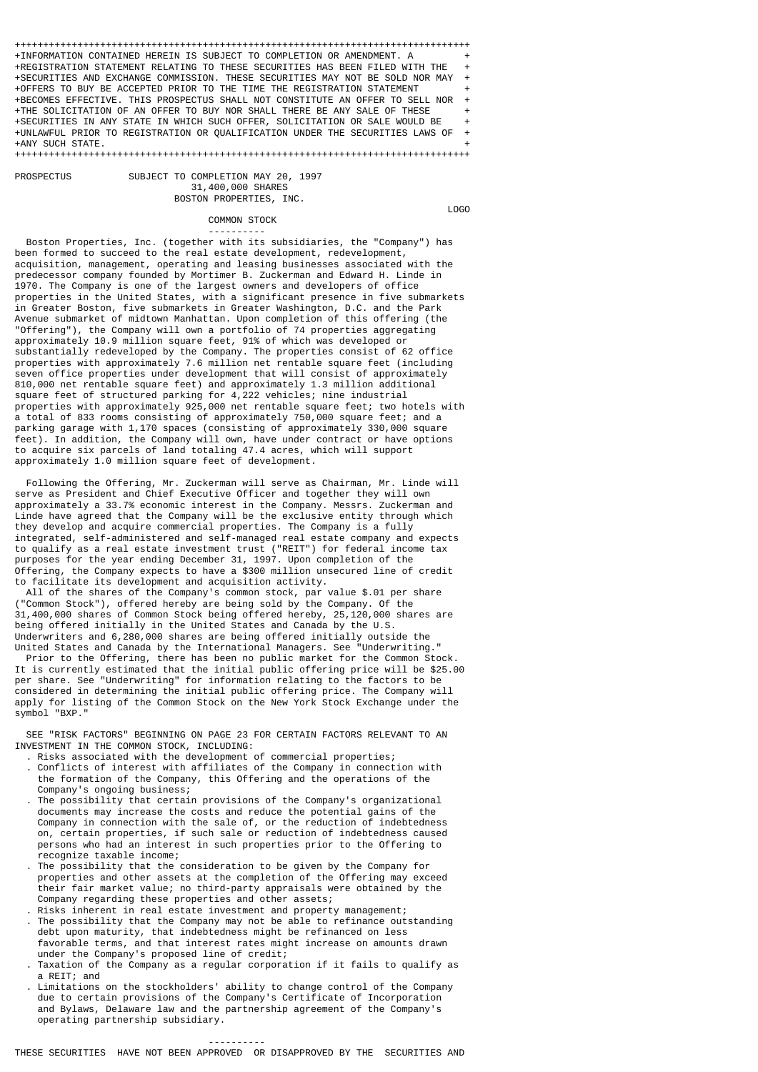++++++++++++++++++++++++++++++++++++++++++++++++++++++++++++++++++++++++++++++++ +INFORMATION CONTAINED HEREIN IS SUBJECT TO COMPLETION OR AMENDMENT. A + +REGISTRATION STATEMENT RELATING TO THESE SECURITIES HAS BEEN FILED WITH THE + +SECURITIES AND EXCHANGE COMMISSION. THESE SECURITIES MAY NOT BE SOLD NOR MAY + +OFFERS TO BUY BE ACCEPTED PRIOR TO THE TIME THE REGISTRATION STATEMENT + +BECOMES EFFECTIVE. THIS PROSPECTUS SHALL NOT CONSTITUTE AN OFFER TO SELL NOR + +THE SOLICITATION OF AN OFFER TO BUY NOR SHALL THERE BE ANY SALE OF THESE + +SECURITIES IN ANY STATE IN WHICH SUCH OFFER, SOLICITATION OR SALE WOULD BE + +UNLAWFUL PRIOR TO REGISTRATION OR QUALIFICATION UNDER THE SECURITIES LAWS OF + +ANY SUCH STATE. +

++++++++++++++++++++++++++++++++++++++++++++++++++++++++++++++++++++++++++++++++

SUBJECT TO COMPLETION MAY 20, 1997 31,400,000 SHARES BOSTON PROPERTIES, INC.

**PROSPECTUS** 

# COMMON STOCK

LOGO

 ---------- Boston Properties, Inc. (together with its subsidiaries, the "Company") has been formed to succeed to the real estate development, redevelopment, acquisition, management, operating and leasing businesses associated with the

predecessor company founded by Mortimer B. Zuckerman and Edward H. Linde in 1970. The Company is one of the largest owners and developers of office properties in the United States, with a significant presence in five submarkets in Greater Boston, five submarkets in Greater Washington, D.C. and the Park Avenue submarket of midtown Manhattan. Upon completion of this offering (the "Offering"), the Company will own a portfolio of 74 properties aggregating approximately 10.9 million square feet, 91% of which was developed or substantially redeveloped by the Company. The properties consist of 62 office properties with approximately 7.6 million net rentable square feet (including seven office properties under development that will consist of approximately 810,000 net rentable square feet) and approximately 1.3 million additional square feet of structured parking for 4,222 vehicles; nine industrial properties with approximately 925,000 net rentable square feet; two hotels with a total of 833 rooms consisting of approximately 750,000 square feet; and a parking garage with 1,170 spaces (consisting of approximately 330,000 square feet). In addition, the Company will own, have under contract or have options to acquire six parcels of land totaling 47.4 acres, which will support approximately 1.0 million square feet of development.

 Following the Offering, Mr. Zuckerman will serve as Chairman, Mr. Linde will serve as President and Chief Executive Officer and together they will own approximately a 33.7% economic interest in the Company. Messrs. Zuckerman and Linde have agreed that the Company will be the exclusive entity through which they develop and acquire commercial properties. The Company is a fully integrated, self-administered and self-managed real estate company and expects to qualify as a real estate investment trust ("REIT") for federal income tax purposes for the year ending December 31, 1997. Upon completion of the Offering, the Company expects to have a \$300 million unsecured line of credit to facilitate its development and acquisition activity.

 All of the shares of the Company's common stock, par value \$.01 per share ("Common Stock"), offered hereby are being sold by the Company. Of the 31,400,000 shares of Common Stock being offered hereby, 25,120,000 shares are being offered initially in the United States and Canada by the U.S. Underwriters and 6,280,000 shares are being offered initially outside the United States and Canada by the International Managers. See "Underwriting."

 Prior to the Offering, there has been no public market for the Common Stock. It is currently estimated that the initial public offering price will be \$25.00 per share. See "Underwriting" for information relating to the factors to be considered in determining the initial public offering price. The Company will apply for listing of the Common Stock on the New York Stock Exchange under the symbol "BXP."

 SEE "RISK FACTORS" BEGINNING ON PAGE 23 FOR CERTAIN FACTORS RELEVANT TO AN INVESTMENT IN THE COMMON STOCK, INCLUDING:

- . Risks associated with the development of commercial properties;
- . Conflicts of interest with affiliates of the Company in connection with the formation of the Company, this Offering and the operations of the Company's ongoing business;
- . The possibility that certain provisions of the Company's organizational documents may increase the costs and reduce the potential gains of the Company in connection with the sale of, or the reduction of indebtedness on, certain properties, if such sale or reduction of indebtedness caused persons who had an interest in such properties prior to the Offering to recognize taxable income;
	- . The possibility that the consideration to be given by the Company for properties and other assets at the completion of the Offering may exceed their fair market value; no third-party appraisals were obtained by the Company regarding these properties and other assets;
	- Risks inherent in real estate investment and property management; . The possibility that the Company may not be able to refinance outstanding debt upon maturity, that indebtedness might be refinanced on less favorable terms, and that interest rates might increase on amounts drawn under the Company's proposed line of credit;
	- . Taxation of the Company as a regular corporation if it fails to qualify as a REIT; and
	- . Limitations on the stockholders' ability to change control of the Company due to certain provisions of the Company's Certificate of Incorporation and Bylaws, Delaware law and the partnership agreement of the Company's operating partnership subsidiary.

----------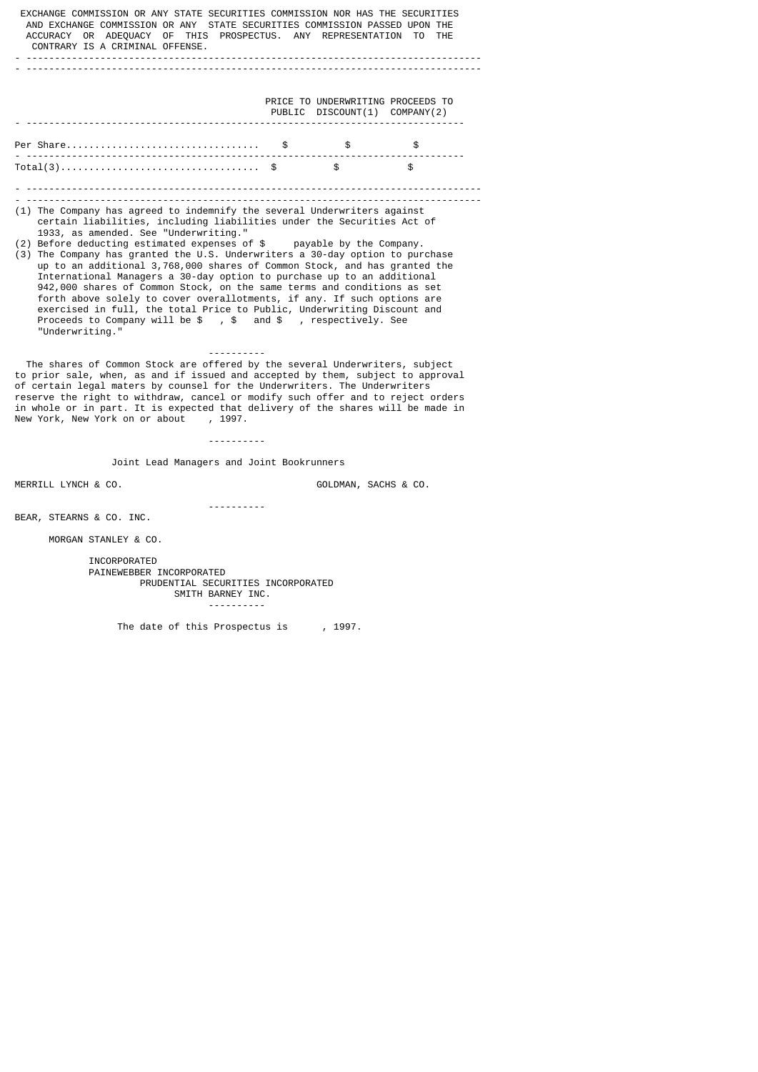| EXCHANGE COMMISSION OR ANY STATE SECURITIES COMMISSION NOR HAS THE SECURITIES<br>AND EXCHANGE COMMISSION OR ANY STATE SECURITIES COMMISSION PASSED UPON THE<br>ACCURACY OR ADEQUACY OF THIS PROSPECTUS. ANY REPRESENTATION TO THE<br>CONTRARY IS A CRIMINAL OFFENSE.<br>------------------------------                                                                                                                                                     |                                                                                                                                                                                                                                                                                                                                                                                                                                                                                                                                                                                                                                                                                                                                                                           |                               |                                   |  |  |  |  |  |
|------------------------------------------------------------------------------------------------------------------------------------------------------------------------------------------------------------------------------------------------------------------------------------------------------------------------------------------------------------------------------------------------------------------------------------------------------------|---------------------------------------------------------------------------------------------------------------------------------------------------------------------------------------------------------------------------------------------------------------------------------------------------------------------------------------------------------------------------------------------------------------------------------------------------------------------------------------------------------------------------------------------------------------------------------------------------------------------------------------------------------------------------------------------------------------------------------------------------------------------------|-------------------------------|-----------------------------------|--|--|--|--|--|
|                                                                                                                                                                                                                                                                                                                                                                                                                                                            |                                                                                                                                                                                                                                                                                                                                                                                                                                                                                                                                                                                                                                                                                                                                                                           |                               |                                   |  |  |  |  |  |
|                                                                                                                                                                                                                                                                                                                                                                                                                                                            |                                                                                                                                                                                                                                                                                                                                                                                                                                                                                                                                                                                                                                                                                                                                                                           | PUBLIC DISCOUNT(1) COMPANY(2) | PRICE TO UNDERWRITING PROCEEDS TO |  |  |  |  |  |
|                                                                                                                                                                                                                                                                                                                                                                                                                                                            |                                                                                                                                                                                                                                                                                                                                                                                                                                                                                                                                                                                                                                                                                                                                                                           |                               | <b>S</b>                          |  |  |  |  |  |
| $Total(3)$ \$                                                                                                                                                                                                                                                                                                                                                                                                                                              |                                                                                                                                                                                                                                                                                                                                                                                                                                                                                                                                                                                                                                                                                                                                                                           | $\sim$ $\sim$                 |                                   |  |  |  |  |  |
|                                                                                                                                                                                                                                                                                                                                                                                                                                                            |                                                                                                                                                                                                                                                                                                                                                                                                                                                                                                                                                                                                                                                                                                                                                                           |                               |                                   |  |  |  |  |  |
| 1933, as amended. See "Underwriting."<br>"Underwriting."                                                                                                                                                                                                                                                                                                                                                                                                   | (1) The Company has agreed to indemnify the several Underwriters against<br>certain liabilities, including liabilities under the Securities Act of<br>(2) Before deducting estimated expenses of \$ payable by the Company.<br>(3) The Company has granted the U.S. Underwriters a 30-day option to purchase<br>up to an additional 3,768,000 shares of Common Stock, and has granted the<br>International Managers a 30-day option to purchase up to an additional<br>942,000 shares of Common Stock, on the same terms and conditions as set<br>forth above solely to cover overallotments, if any. If such options are<br>exercised in full, the total Price to Public, Underwriting Discount and<br>Proceeds to Company will be $$$ , $$$ and $$$ , respectively. See |                               |                                   |  |  |  |  |  |
| The shares of Common Stock are offered by the several Underwriters, subject<br>to prior sale, when, as and if issued and accepted by them, subject to approval<br>of certain legal maters by counsel for the Underwriters. The Underwriters<br>reserve the right to withdraw, cancel or modify such offer and to reject orders<br>in whole or in part. It is expected that delivery of the shares will be made in<br>New York, New York on or about, 1997. |                                                                                                                                                                                                                                                                                                                                                                                                                                                                                                                                                                                                                                                                                                                                                                           |                               |                                   |  |  |  |  |  |
| Joint Lead Managers and Joint Bookrunners                                                                                                                                                                                                                                                                                                                                                                                                                  |                                                                                                                                                                                                                                                                                                                                                                                                                                                                                                                                                                                                                                                                                                                                                                           |                               |                                   |  |  |  |  |  |
| MERRILL LYNCH & CO.                                                                                                                                                                                                                                                                                                                                                                                                                                        |                                                                                                                                                                                                                                                                                                                                                                                                                                                                                                                                                                                                                                                                                                                                                                           | GOLDMAN, SACHS & CO.          |                                   |  |  |  |  |  |
| BEAR, STEARNS & CO. INC.                                                                                                                                                                                                                                                                                                                                                                                                                                   |                                                                                                                                                                                                                                                                                                                                                                                                                                                                                                                                                                                                                                                                                                                                                                           |                               |                                   |  |  |  |  |  |
| MORGAN STANLEY & CO.                                                                                                                                                                                                                                                                                                                                                                                                                                       |                                                                                                                                                                                                                                                                                                                                                                                                                                                                                                                                                                                                                                                                                                                                                                           |                               |                                   |  |  |  |  |  |
| INCORPORATED<br>PAINEWEBBER INCORPORATED<br>PRUDENTIAL SECURITIES INCORPORATED<br>SMITH BARNEY INC.                                                                                                                                                                                                                                                                                                                                                        |                                                                                                                                                                                                                                                                                                                                                                                                                                                                                                                                                                                                                                                                                                                                                                           |                               |                                   |  |  |  |  |  |

----------

The date of this Prospectus is , 1997.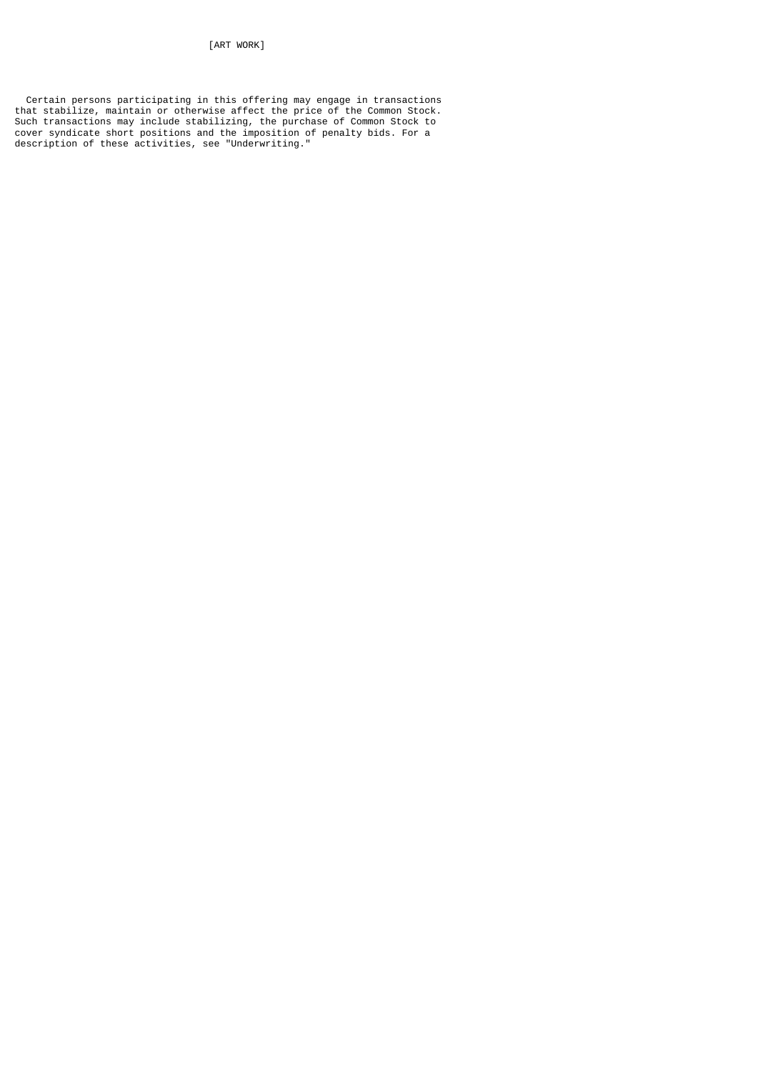[ART WORK]

 Certain persons participating in this offering may engage in transactions that stabilize, maintain or otherwise affect the price of the Common Stock. Such transactions may include stabilizing, the purchase of Common Stock to cover syndicate short positions and the imposition of penalty bids. For a description of these activities, see "Underwriting."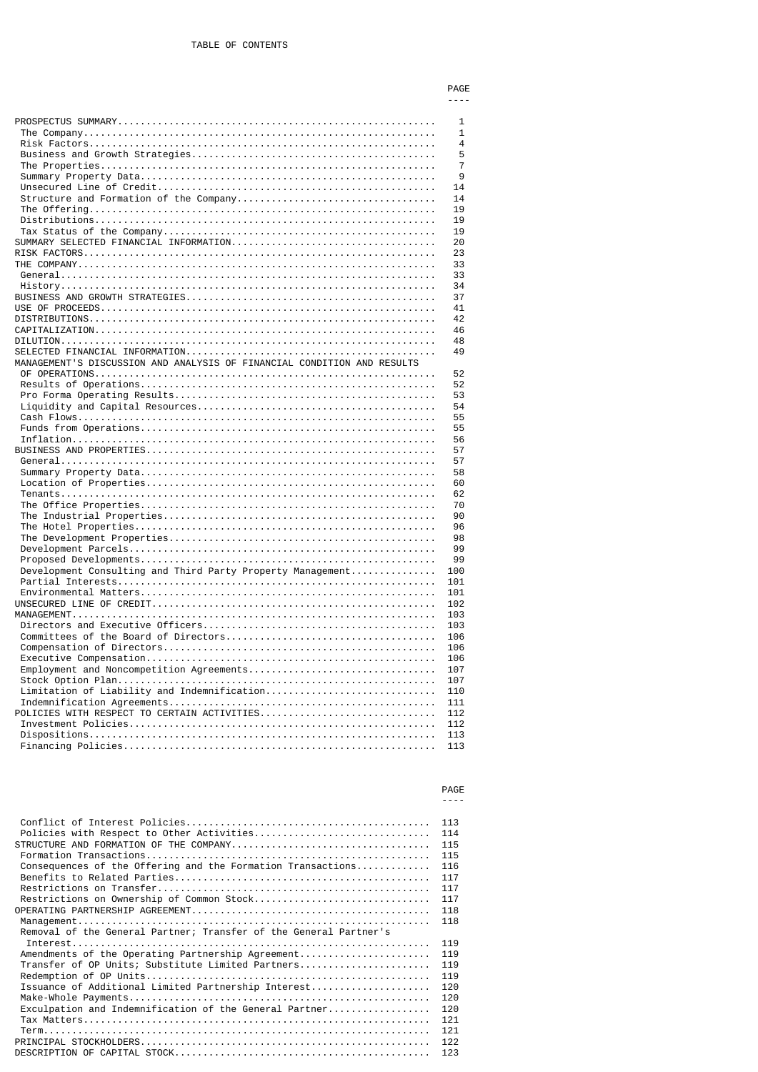----

|                                                                         | 1              |
|-------------------------------------------------------------------------|----------------|
|                                                                         | $\mathbf{1}$   |
|                                                                         | 4              |
|                                                                         | 5              |
|                                                                         | $\overline{7}$ |
|                                                                         | 9              |
|                                                                         | 14             |
|                                                                         | 14             |
|                                                                         | 19             |
|                                                                         | 19             |
|                                                                         | 19             |
|                                                                         | 20             |
|                                                                         | 23             |
|                                                                         | 33             |
|                                                                         | 33             |
|                                                                         | 34             |
|                                                                         | 37             |
|                                                                         | 41             |
|                                                                         | 42             |
|                                                                         | 46             |
|                                                                         | 48             |
|                                                                         | 49             |
| MANAGEMENT'S DISCUSSION AND ANALYSIS OF FINANCIAL CONDITION AND RESULTS |                |
|                                                                         |                |
|                                                                         | 52             |
|                                                                         | 52             |
|                                                                         | 53             |
|                                                                         | 54             |
|                                                                         | 55             |
|                                                                         | 55             |
|                                                                         | 56             |
|                                                                         | 57             |
|                                                                         | 57             |
|                                                                         | 58             |
|                                                                         | 60             |
|                                                                         | 62             |
|                                                                         | 70             |
|                                                                         | 90<br>96       |
|                                                                         |                |
|                                                                         |                |
|                                                                         | 98             |
|                                                                         | 99             |
|                                                                         | 99             |
| Development Consulting and Third Party Property Management              | 100            |
|                                                                         | 101            |
|                                                                         | 101            |
|                                                                         | 102            |
|                                                                         | 103            |
|                                                                         | 103            |
|                                                                         | 106            |
|                                                                         | 106            |
|                                                                         | 106            |
| Employment and Noncompetition Agreements                                | 107            |
|                                                                         | 107            |
| Limitation of Liability and Indemnification                             | 110            |
|                                                                         | 111            |
| POLICIES WITH RESPECT TO CERTAIN ACTIVITIES                             | 112            |
|                                                                         | 112            |
|                                                                         | 113<br>113     |

#### **PAGE** ----

|                                                                                                                                                                                                                                                                                              | 113                                                                       |
|----------------------------------------------------------------------------------------------------------------------------------------------------------------------------------------------------------------------------------------------------------------------------------------------|---------------------------------------------------------------------------|
| Policies with Respect to Other Activities                                                                                                                                                                                                                                                    | 114                                                                       |
|                                                                                                                                                                                                                                                                                              | 115                                                                       |
|                                                                                                                                                                                                                                                                                              | 115                                                                       |
| Consequences of the Offering and the Formation Transactions                                                                                                                                                                                                                                  | 116                                                                       |
|                                                                                                                                                                                                                                                                                              | 117                                                                       |
|                                                                                                                                                                                                                                                                                              | 117                                                                       |
| Restrictions on Ownership of Common Stock                                                                                                                                                                                                                                                    | 117                                                                       |
|                                                                                                                                                                                                                                                                                              | 118                                                                       |
|                                                                                                                                                                                                                                                                                              | 118                                                                       |
| Removal of the General Partner; Transfer of the General Partner's<br>Amendments of the Operating Partnership Agreement<br>Transfer of OP Units; Substitute Limited Partners<br>Issuance of Additional Limited Partnership Interest<br>Exculpation and Indemnification of the General Partner | 119<br>119<br>119<br>119<br>120<br>120<br>120<br>121<br>121<br>122<br>123 |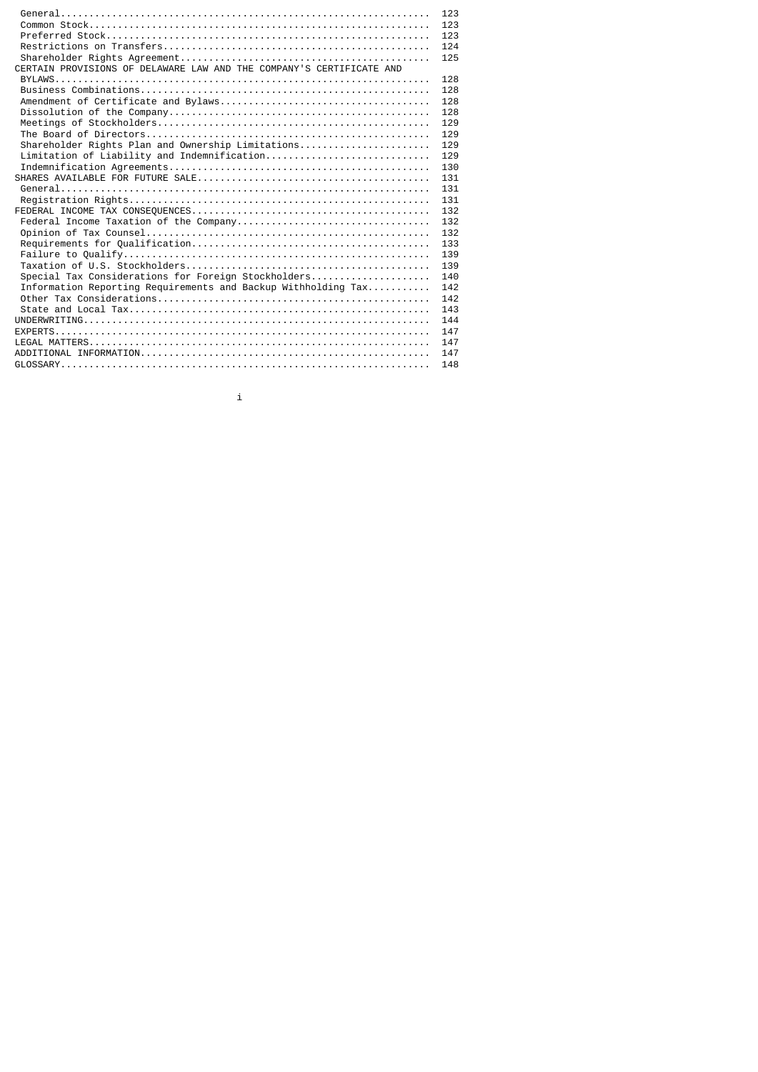| CERTAIN PROVISIONS OF DELAWARE LAW AND THE COMPANY'S CERTIFICATE AND | 123<br>123<br>123<br>124<br>125 |
|----------------------------------------------------------------------|---------------------------------|
|                                                                      | 128                             |
|                                                                      | 128                             |
|                                                                      | 128                             |
|                                                                      |                                 |
|                                                                      | 128                             |
|                                                                      | 129                             |
|                                                                      | 129                             |
| Shareholder Rights Plan and Ownership Limitations                    | 129                             |
| Limitation of Liability and Indemnification                          | 129                             |
|                                                                      | 130                             |
|                                                                      | 131                             |
|                                                                      | 131                             |
|                                                                      | 131                             |
|                                                                      | 132                             |
|                                                                      | 132                             |
|                                                                      | 132                             |
|                                                                      | 133                             |
|                                                                      | 139                             |
|                                                                      | 139                             |
| Special Tax Considerations for Foreign Stockholders                  | 140                             |
| Information Reporting Requirements and Backup Withholding Tax        | 142                             |
|                                                                      | 142                             |
|                                                                      | 143                             |
|                                                                      | 144                             |
|                                                                      | 147                             |
|                                                                      | 147                             |
|                                                                      | 147                             |
|                                                                      | 148                             |

i i standardi i standardi i standardi i standardi i standardi i standardi i standardi i standardi i standardi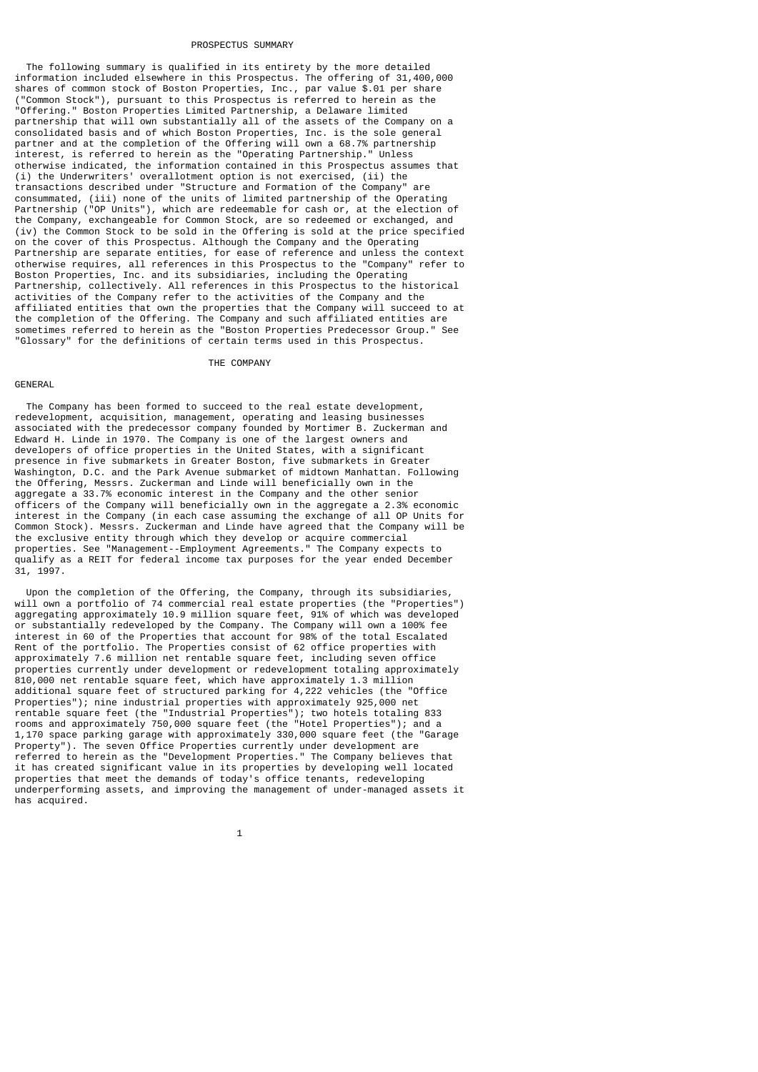#### PROSPECTUS SUMMARY

 The following summary is qualified in its entirety by the more detailed information included elsewhere in this Prospectus. The offering of 31,400,000 shares of common stock of Boston Properties, Inc., par value \$.01 per share ("Common Stock"), pursuant to this Prospectus is referred to herein as the "Offering." Boston Properties Limited Partnership, a Delaware limited partnership that will own substantially all of the assets of the Company on a consolidated basis and of which Boston Properties, Inc. is the sole general partner and at the completion of the Offering will own a 68.7% partnership interest, is referred to herein as the "Operating Partnership." Unless otherwise indicated, the information contained in this Prospectus assumes that (i) the Underwriters' overallotment option is not exercised, (ii) the transactions described under "Structure and Formation of the Company" are consummated, (iii) none of the units of limited partnership of the Operating Partnership ("OP Units"), which are redeemable for cash or, at the election of the Company, exchangeable for Common Stock, are so redeemed or exchanged, and (iv) the Common Stock to be sold in the Offering is sold at the price specified on the cover of this Prospectus. Although the Company and the Operating Partnership are separate entities, for ease of reference and unless the context otherwise requires, all references in this Prospectus to the "Company" refer to Boston Properties, Inc. and its subsidiaries, including the Operating Partnership, collectively. All references in this Prospectus to the historical activities of the Company refer to the activities of the Company and the affiliated entities that own the properties that the Company will succeed to at the completion of the Offering. The Company and such affiliated entities are sometimes referred to herein as the "Boston Properties Predecessor Group." See "Glossary" for the definitions of certain terms used in this Prospectus.

## THE COMPANY

## GENERAL

 The Company has been formed to succeed to the real estate development, redevelopment, acquisition, management, operating and leasing businesses associated with the predecessor company founded by Mortimer B. Zuckerman and Edward H. Linde in 1970. The Company is one of the largest owners and developers of office properties in the United States, with a significant presence in five submarkets in Greater Boston, five submarkets in Greater Washington, D.C. and the Park Avenue submarket of midtown Manhattan. Following the Offering, Messrs. Zuckerman and Linde will beneficially own in the aggregate a 33.7% economic interest in the Company and the other senior officers of the Company will beneficially own in the aggregate a 2.3% economic interest in the Company (in each case assuming the exchange of all OP Units for Common Stock). Messrs. Zuckerman and Linde have agreed that the Company will be the exclusive entity through which they develop or acquire commercial properties. See "Management--Employment Agreements." The Company expects to qualify as a REIT for federal income tax purposes for the year ended December 31, 1997.

 Upon the completion of the Offering, the Company, through its subsidiaries, will own a portfolio of 74 commercial real estate properties (the "Properties") aggregating approximately 10.9 million square feet, 91% of which was developed or substantially redeveloped by the Company. The Company will own a 100% fee interest in 60 of the Properties that account for 98% of the total Escalated Rent of the portfolio. The Properties consist of 62 office properties with approximately 7.6 million net rentable square feet, including seven office properties currently under development or redevelopment totaling approximately 810,000 net rentable square feet, which have approximately 1.3 million additional square feet of structured parking for 4,222 vehicles (the "Office Properties"); nine industrial properties with approximately 925,000 net rentable square feet (the "Industrial Properties"); two hotels totaling 833 rooms and approximately 750,000 square feet (the "Hotel Properties"); and a 1,170 space parking garage with approximately 330,000 square feet (the "Garage Property"). The seven Office Properties currently under development are referred to herein as the "Development Properties." The Company believes that it has created significant value in its properties by developing well located properties that meet the demands of today's office tenants, redeveloping underperforming assets, and improving the management of under-managed assets it has acquired.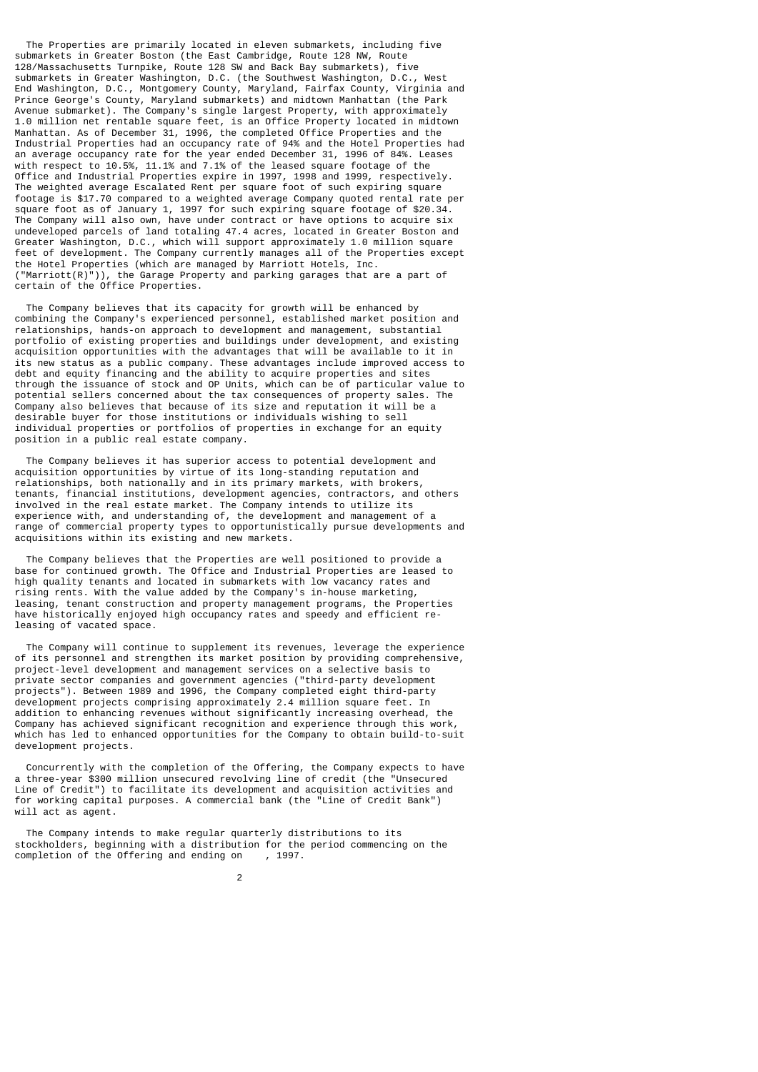The Properties are primarily located in eleven submarkets, including five submarkets in Greater Boston (the East Cambridge, Route 128 NW, Route 128/Massachusetts Turnpike, Route 128 SW and Back Bay submarkets), five submarkets in Greater Washington, D.C. (the Southwest Washington, D.C., West End Washington, D.C., Montgomery County, Maryland, Fairfax County, Virginia and Prince George's County, Maryland submarkets) and midtown Manhattan (the Park Avenue submarket). The Company's single largest Property, with approximately 1.0 million net rentable square feet, is an Office Property located in midtown Manhattan. As of December 31, 1996, the completed Office Properties and the Industrial Properties had an occupancy rate of 94% and the Hotel Properties had an average occupancy rate for the year ended December 31, 1996 of 84%. Leases with respect to 10.5%, 11.1% and 7.1% of the leased square footage of the Office and Industrial Properties expire in 1997, 1998 and 1999, respectively. The weighted average Escalated Rent per square foot of such expiring square footage is \$17.70 compared to a weighted average Company quoted rental rate per square foot as of January 1, 1997 for such expiring square footage of \$20.34. The Company will also own, have under contract or have options to acquire six undeveloped parcels of land totaling 47.4 acres, located in Greater Boston and Greater Washington, D.C., which will support approximately 1.0 million square feet of development. The Company currently manages all of the Properties except the Hotel Properties (which are managed by Marriott Hotels, Inc. ("Marriott(R)")), the Garage Property and parking garages that are a part of certain of the Office Properties.

 The Company believes that its capacity for growth will be enhanced by combining the Company's experienced personnel, established market position and relationships, hands-on approach to development and management, substantial portfolio of existing properties and buildings under development, and existing acquisition opportunities with the advantages that will be available to it in its new status as a public company. These advantages include improved access to debt and equity financing and the ability to acquire properties and sites through the issuance of stock and OP Units, which can be of particular value to potential sellers concerned about the tax consequences of property sales. The Company also believes that because of its size and reputation it will be a desirable buyer for those institutions or individuals wishing to sell individual properties or portfolios of properties in exchange for an equity position in a public real estate company.

 The Company believes it has superior access to potential development and acquisition opportunities by virtue of its long-standing reputation and relationships, both nationally and in its primary markets, with brokers, tenants, financial institutions, development agencies, contractors, and others involved in the real estate market. The Company intends to utilize its experience with, and understanding of, the development and management of a range of commercial property types to opportunistically pursue developments and acquisitions within its existing and new markets.

 The Company believes that the Properties are well positioned to provide a base for continued growth. The Office and Industrial Properties are leased to high quality tenants and located in submarkets with low vacancy rates and rising rents. With the value added by the Company's in-house marketing, leasing, tenant construction and property management programs, the Properties have historically enjoyed high occupancy rates and speedy and efficient releasing of vacated space.

 The Company will continue to supplement its revenues, leverage the experience of its personnel and strengthen its market position by providing comprehensive, project-level development and management services on a selective basis to private sector companies and government agencies ("third-party development projects"). Between 1989 and 1996, the Company completed eight third-party development projects comprising approximately 2.4 million square feet. In addition to enhancing revenues without significantly increasing overhead, the Company has achieved significant recognition and experience through this work, which has led to enhanced opportunities for the Company to obtain build-to-suit development projects.

 Concurrently with the completion of the Offering, the Company expects to have a three-year \$300 million unsecured revolving line of credit (the "Unsecured Line of Credit") to facilitate its development and acquisition activities and for working capital purposes. A commercial bank (the "Line of Credit Bank") will act as agent.

 The Company intends to make regular quarterly distributions to its stockholders, beginning with a distribution for the period commencing on the completion of the Offering and ending on , 1997.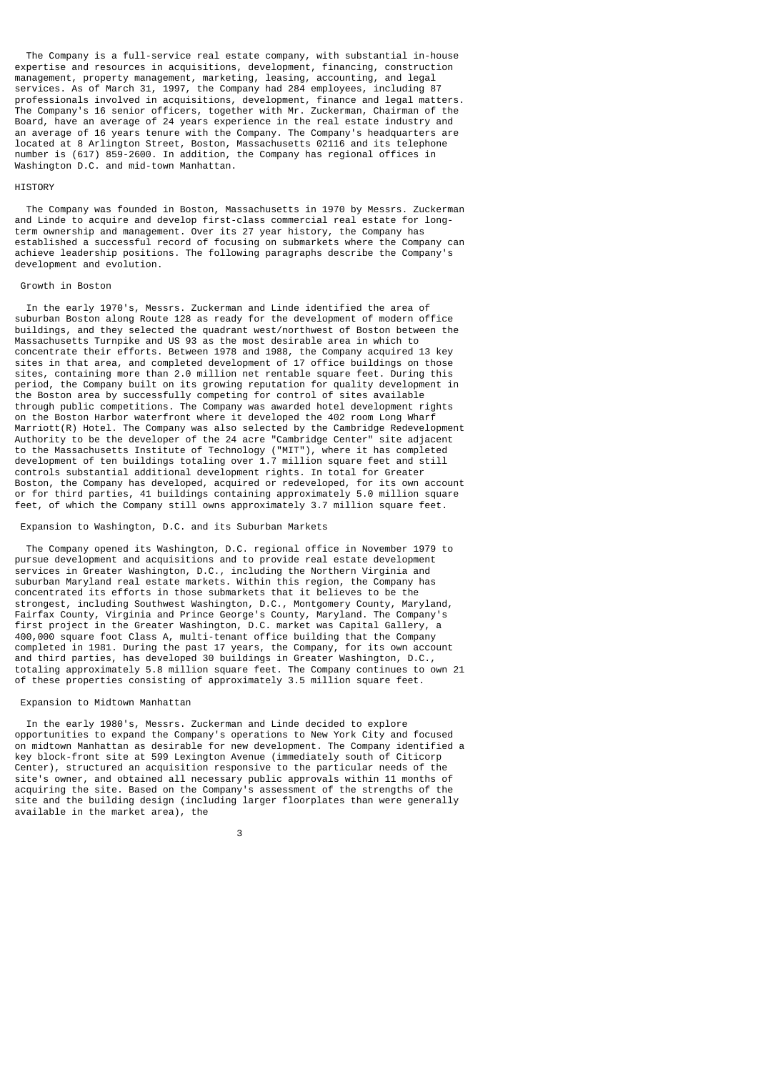The Company is a full-service real estate company, with substantial in-house expertise and resources in acquisitions, development, financing, construction management, property management, marketing, leasing, accounting, and legal services. As of March 31, 1997, the Company had 284 employees, including 87 professionals involved in acquisitions, development, finance and legal matters. The Company's 16 senior officers, together with Mr. Zuckerman, Chairman of the Board, have an average of 24 years experience in the real estate industry and an average of 16 years tenure with the Company. The Company's headquarters are located at 8 Arlington Street, Boston, Massachusetts 02116 and its telephone number is (617) 859-2600. In addition, the Company has regional offices in Washington D.C. and mid-town Manhattan.

# **HTSTORY**

 The Company was founded in Boston, Massachusetts in 1970 by Messrs. Zuckerman and Linde to acquire and develop first-class commercial real estate for longterm ownership and management. Over its 27 year history, the Company has established a successful record of focusing on submarkets where the Company can achieve leadership positions. The following paragraphs describe the Company's development and evolution.

#### Growth in Boston

 In the early 1970's, Messrs. Zuckerman and Linde identified the area of suburban Boston along Route 128 as ready for the development of modern office buildings, and they selected the quadrant west/northwest of Boston between the Massachusetts Turnpike and US 93 as the most desirable area in which to concentrate their efforts. Between 1978 and 1988, the Company acquired 13 key sites in that area, and completed development of 17 office buildings on those sites, containing more than 2.0 million net rentable square feet. During this period, the Company built on its growing reputation for quality development in the Boston area by successfully competing for control of sites available through public competitions. The Company was awarded hotel development rights on the Boston Harbor waterfront where it developed the 402 room Long Wharf Marriott(R) Hotel. The Company was also selected by the Cambridge Redevelopment Authority to be the developer of the 24 acre "Cambridge Center" site adjacent to the Massachusetts Institute of Technology ("MIT"), where it has completed development of ten buildings totaling over 1.7 million square feet and still controls substantial additional development rights. In total for Greater Boston, the Company has developed, acquired or redeveloped, for its own account or for third parties, 41 buildings containing approximately 5.0 million square feet, of which the Company still owns approximately 3.7 million square feet.

#### Expansion to Washington, D.C. and its Suburban Markets

 The Company opened its Washington, D.C. regional office in November 1979 to pursue development and acquisitions and to provide real estate development services in Greater Washington, D.C., including the Northern Virginia and suburban Maryland real estate markets. Within this region, the Company has concentrated its efforts in those submarkets that it believes to be the strongest, including Southwest Washington, D.C., Montgomery County, Maryland, Fairfax County, Virginia and Prince George's County, Maryland. The Company's first project in the Greater Washington, D.C. market was Capital Gallery, a 400,000 square foot Class A, multi-tenant office building that the Company completed in 1981. During the past 17 years, the Company, for its own account and third parties, has developed 30 buildings in Greater Washington, D.C., totaling approximately 5.8 million square feet. The Company continues to own 21 of these properties consisting of approximately 3.5 million square feet.

#### Expansion to Midtown Manhattan

 In the early 1980's, Messrs. Zuckerman and Linde decided to explore opportunities to expand the Company's operations to New York City and focused on midtown Manhattan as desirable for new development. The Company identified a key block-front site at 599 Lexington Avenue (immediately south of Citicorp Center), structured an acquisition responsive to the particular needs of the site's owner, and obtained all necessary public approvals within 11 months of acquiring the site. Based on the Company's assessment of the strengths of the site and the building design (including larger floorplates than were generally available in the market area), the

 $\sim$  3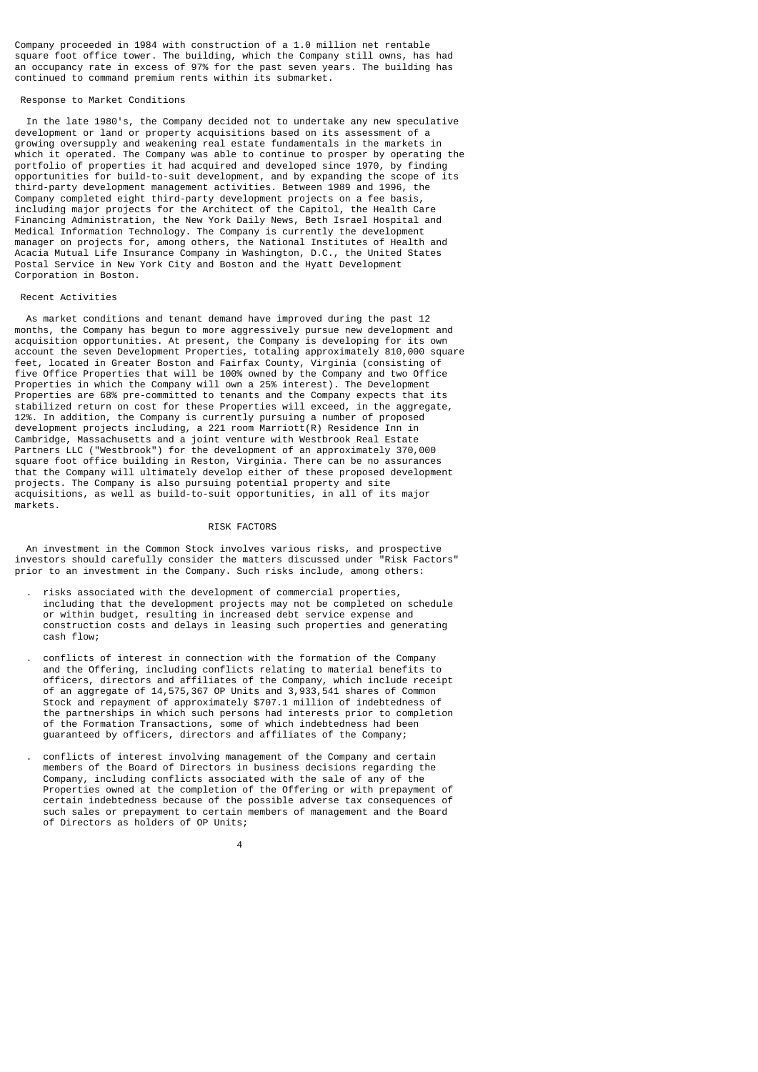Company proceeded in 1984 with construction of a 1.0 million net rentable square foot office tower. The building, which the Company still owns, has had an occupancy rate in excess of 97% for the past seven years. The building has continued to command premium rents within its submarket.

#### Response to Market Conditions

 In the late 1980's, the Company decided not to undertake any new speculative development or land or property acquisitions based on its assessment of a growing oversupply and weakening real estate fundamentals in the markets in which it operated. The Company was able to continue to prosper by operating the portfolio of properties it had acquired and developed since 1970, by finding opportunities for build-to-suit development, and by expanding the scope of its third-party development management activities. Between 1989 and 1996, the Company completed eight third-party development projects on a fee basis, including major projects for the Architect of the Capitol, the Health Care Financing Administration, the New York Daily News, Beth Israel Hospital and Medical Information Technology. The Company is currently the development manager on projects for, among others, the National Institutes of Health and Acacia Mutual Life Insurance Company in Washington, D.C., the United States Postal Service in New York City and Boston and the Hyatt Development Corporation in Boston.

#### Recent Activities

 As market conditions and tenant demand have improved during the past 12 months, the Company has begun to more aggressively pursue new development and acquisition opportunities. At present, the Company is developing for its own account the seven Development Properties, totaling approximately 810,000 square feet, located in Greater Boston and Fairfax County, Virginia (consisting of five Office Properties that will be 100% owned by the Company and two Office Properties in which the Company will own a 25% interest). The Development Properties are 68% pre-committed to tenants and the Company expects that its stabilized return on cost for these Properties will exceed, in the aggregate, 12%. In addition, the Company is currently pursuing a number of proposed development projects including, a 221 room Marriott(R) Residence Inn in Cambridge, Massachusetts and a joint venture with Westbrook Real Estate Partners LLC ("Westbrook") for the development of an approximately 370,000 square foot office building in Reston, Virginia. There can be no assurances that the Company will ultimately develop either of these proposed development projects. The Company is also pursuing potential property and site acquisitions, as well as build-to-suit opportunities, in all of its major markets.

## RISK FACTORS

 An investment in the Common Stock involves various risks, and prospective investors should carefully consider the matters discussed under "Risk Factors" prior to an investment in the Company. Such risks include, among others:

- . risks associated with the development of commercial properties, including that the development projects may not be completed on schedule or within budget, resulting in increased debt service expense and construction costs and delays in leasing such properties and generating cash flow;
- . conflicts of interest in connection with the formation of the Company and the Offering, including conflicts relating to material benefits to officers, directors and affiliates of the Company, which include receipt of an aggregate of 14,575,367 OP Units and 3,933,541 shares of Common Stock and repayment of approximately \$707.1 million of indebtedness of the partnerships in which such persons had interests prior to completion of the Formation Transactions, some of which indebtedness had been guaranteed by officers, directors and affiliates of the Company;
	- . conflicts of interest involving management of the Company and certain members of the Board of Directors in business decisions regarding the Company, including conflicts associated with the sale of any of the Properties owned at the completion of the Offering or with prepayment of certain indebtedness because of the possible adverse tax consequences of such sales or prepayment to certain members of management and the Board of Directors as holders of OP Units;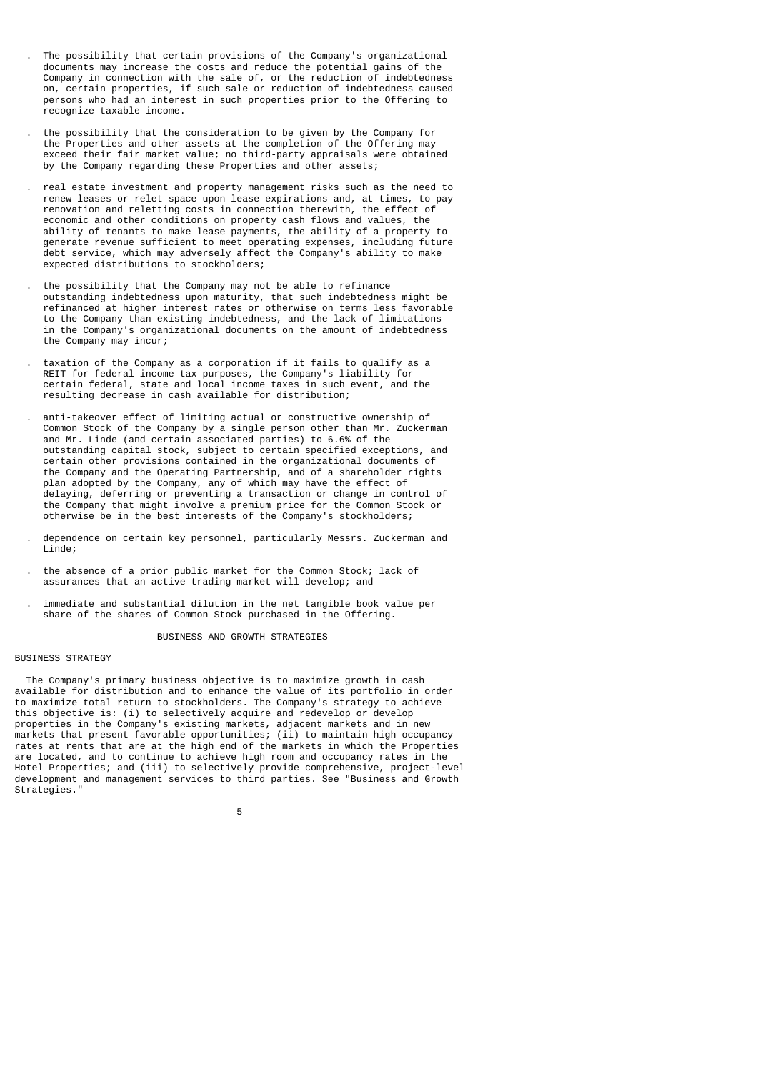- . The possibility that certain provisions of the Company's organizational documents may increase the costs and reduce the potential gains of the Company in connection with the sale of, or the reduction of indebtedness on, certain properties, if such sale or reduction of indebtedness caused persons who had an interest in such properties prior to the Offering to recognize taxable income.
- . the possibility that the consideration to be given by the Company for the Properties and other assets at the completion of the Offering may exceed their fair market value; no third-party appraisals were obtained by the Company regarding these Properties and other assets;
- . real estate investment and property management risks such as the need to renew leases or relet space upon lease expirations and, at times, to pay renovation and reletting costs in connection therewith, the effect of economic and other conditions on property cash flows and values, the ability of tenants to make lease payments, the ability of a property to generate revenue sufficient to meet operating expenses, including future debt service, which may adversely affect the Company's ability to make expected distributions to stockholders;
- . the possibility that the Company may not be able to refinance outstanding indebtedness upon maturity, that such indebtedness might be refinanced at higher interest rates or otherwise on terms less favorable to the Company than existing indebtedness, and the lack of limitations in the Company's organizational documents on the amount of indebtedness the Company may incur;
	- . taxation of the Company as a corporation if it fails to qualify as a REIT for federal income tax purposes, the Company's liability for certain federal, state and local income taxes in such event, and the resulting decrease in cash available for distribution;
- . anti-takeover effect of limiting actual or constructive ownership of Common Stock of the Company by a single person other than Mr. Zuckerman and Mr. Linde (and certain associated parties) to 6.6% of the outstanding capital stock, subject to certain specified exceptions, and certain other provisions contained in the organizational documents of the Company and the Operating Partnership, and of a shareholder rights plan adopted by the Company, any of which may have the effect of delaying, deferring or preventing a transaction or change in control of the Company that might involve a premium price for the Common Stock or otherwise be in the best interests of the Company's stockholders;
	- . dependence on certain key personnel, particularly Messrs. Zuckerman and Linde;
	- . the absence of a prior public market for the Common Stock; lack of assurances that an active trading market will develop; and
- . immediate and substantial dilution in the net tangible book value per share of the shares of Common Stock purchased in the Offering.

## BUSINESS AND GROWTH STRATEGIES

## BUSINESS STRATEGY

 The Company's primary business objective is to maximize growth in cash available for distribution and to enhance the value of its portfolio in order to maximize total return to stockholders. The Company's strategy to achieve this objective is: (i) to selectively acquire and redevelop or develop properties in the Company's existing markets, adjacent markets and in new markets that present favorable opportunities; (ii) to maintain high occupancy rates at rents that are at the high end of the markets in which the Properties are located, and to continue to achieve high room and occupancy rates in the Hotel Properties; and (iii) to selectively provide comprehensive, project-level development and management services to third parties. See "Business and Growth Strategies."

 $5<sub>5</sub>$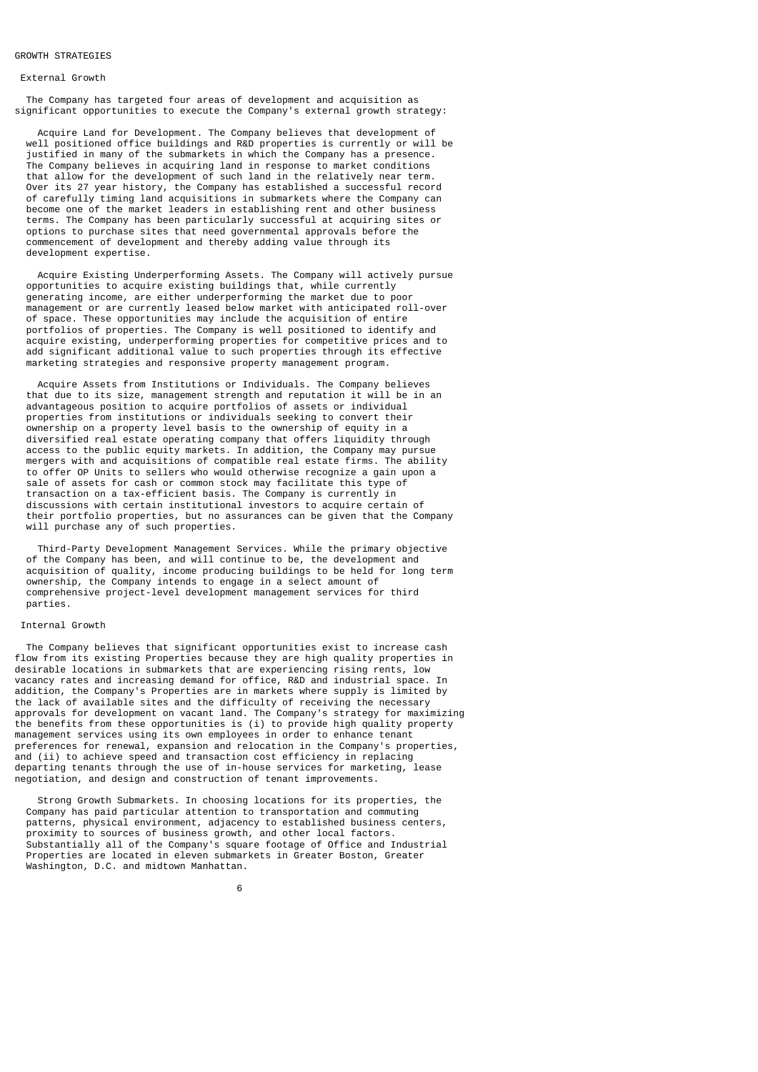# GROWTH STRATEGIES

#### External Growth

 The Company has targeted four areas of development and acquisition as significant opportunities to execute the Company's external growth strategy:

 Acquire Land for Development. The Company believes that development of well positioned office buildings and R&D properties is currently or will be justified in many of the submarkets in which the Company has a presence. The Company believes in acquiring land in response to market conditions that allow for the development of such land in the relatively near term. Over its 27 year history, the Company has established a successful record of carefully timing land acquisitions in submarkets where the Company can become one of the market leaders in establishing rent and other business terms. The Company has been particularly successful at acquiring sites or options to purchase sites that need governmental approvals before the commencement of development and thereby adding value through its development expertise.

 Acquire Existing Underperforming Assets. The Company will actively pursue opportunities to acquire existing buildings that, while currently generating income, are either underperforming the market due to poor management or are currently leased below market with anticipated roll-over of space. These opportunities may include the acquisition of entire portfolios of properties. The Company is well positioned to identify and acquire existing, underperforming properties for competitive prices and to add significant additional value to such properties through its effective marketing strategies and responsive property management program.

 Acquire Assets from Institutions or Individuals. The Company believes that due to its size, management strength and reputation it will be in an advantageous position to acquire portfolios of assets or individual properties from institutions or individuals seeking to convert their ownership on a property level basis to the ownership of equity in a diversified real estate operating company that offers liquidity through access to the public equity markets. In addition, the Company may pursue mergers with and acquisitions of compatible real estate firms. The ability to offer OP Units to sellers who would otherwise recognize a gain upon a sale of assets for cash or common stock may facilitate this type of transaction on a tax-efficient basis. The Company is currently in discussions with certain institutional investors to acquire certain of their portfolio properties, but no assurances can be given that the Company will purchase any of such properties.

 Third-Party Development Management Services. While the primary objective of the Company has been, and will continue to be, the development and acquisition of quality, income producing buildings to be held for long term ownership, the Company intends to engage in a select amount of comprehensive project-level development management services for third parties.

# Internal Growth

 The Company believes that significant opportunities exist to increase cash flow from its existing Properties because they are high quality properties in desirable locations in submarkets that are experiencing rising rents, low vacancy rates and increasing demand for office, R&D and industrial space. In addition, the Company's Properties are in markets where supply is limited by the lack of available sites and the difficulty of receiving the necessary approvals for development on vacant land. The Company's strategy for maximizing the benefits from these opportunities is (i) to provide high quality property management services using its own employees in order to enhance tenant preferences for renewal, expansion and relocation in the Company's properties, and (ii) to achieve speed and transaction cost efficiency in replacing departing tenants through the use of in-house services for marketing, lease negotiation, and design and construction of tenant improvements.

 Strong Growth Submarkets. In choosing locations for its properties, the Company has paid particular attention to transportation and commuting patterns, physical environment, adjacency to established business centers, proximity to sources of business growth, and other local factors. Substantially all of the Company's square footage of Office and Industrial Properties are located in eleven submarkets in Greater Boston, Greater Washington, D.C. and midtown Manhattan.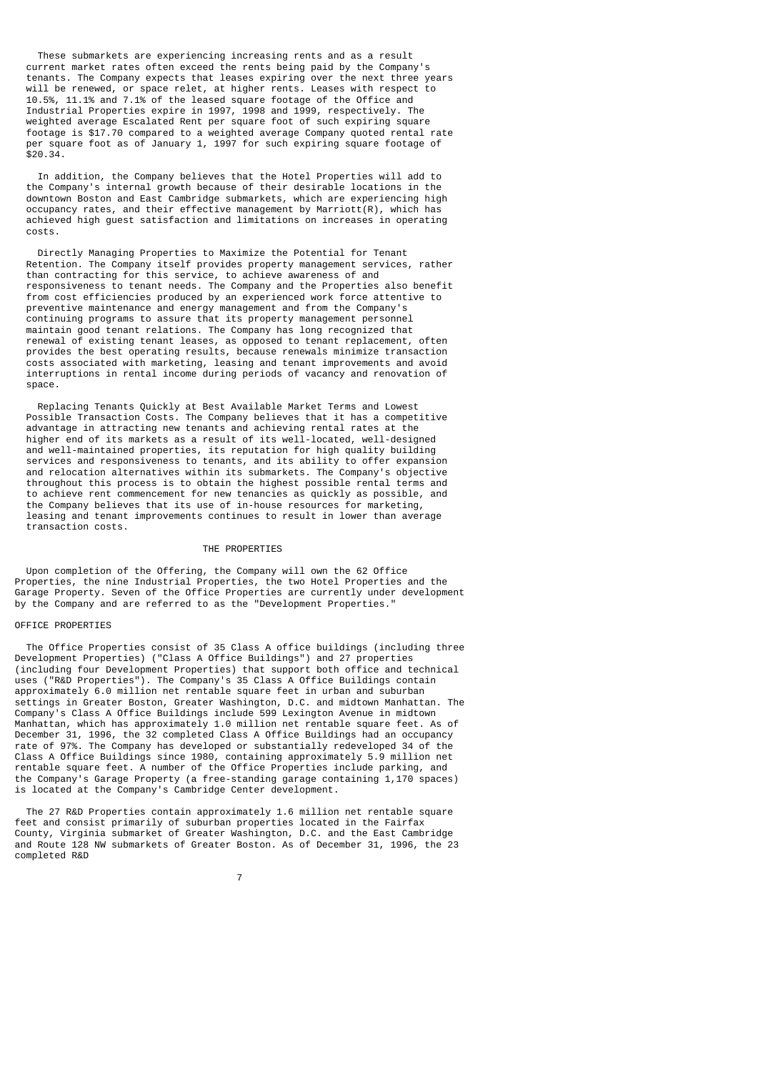These submarkets are experiencing increasing rents and as a result current market rates often exceed the rents being paid by the Company's tenants. The Company expects that leases expiring over the next three years will be renewed, or space relet, at higher rents. Leases with respect to 10.5%, 11.1% and 7.1% of the leased square footage of the Office and Industrial Properties expire in 1997, 1998 and 1999, respectively. The weighted average Escalated Rent per square foot of such expiring square footage is \$17.70 compared to a weighted average Company quoted rental rate per square foot as of January 1, 1997 for such expiring square footage of  $$20.34$ 

 In addition, the Company believes that the Hotel Properties will add to the Company's internal growth because of their desirable locations in the downtown Boston and East Cambridge submarkets, which are experiencing high occupancy rates, and their effective management by Marriott(R), which has achieved high guest satisfaction and limitations on increases in operating costs.

 Directly Managing Properties to Maximize the Potential for Tenant Retention. The Company itself provides property management services, rather than contracting for this service, to achieve awareness of and responsiveness to tenant needs. The Company and the Properties also benefit from cost efficiencies produced by an experienced work force attentive to preventive maintenance and energy management and from the Company's continuing programs to assure that its property management personnel maintain good tenant relations. The Company has long recognized that renewal of existing tenant leases, as opposed to tenant replacement, often provides the best operating results, because renewals minimize transaction costs associated with marketing, leasing and tenant improvements and avoid interruptions in rental income during periods of vacancy and renovation of space.

 Replacing Tenants Quickly at Best Available Market Terms and Lowest Possible Transaction Costs. The Company believes that it has a competitive advantage in attracting new tenants and achieving rental rates at the higher end of its markets as a result of its well-located, well-designed and well-maintained properties, its reputation for high quality building services and responsiveness to tenants, and its ability to offer expansion and relocation alternatives within its submarkets. The Company's objective throughout this process is to obtain the highest possible rental terms and to achieve rent commencement for new tenancies as quickly as possible, and the Company believes that its use of in-house resources for marketing, leasing and tenant improvements continues to result in lower than average transaction costs.

## THE PROPERTIES

 Upon completion of the Offering, the Company will own the 62 Office Properties, the nine Industrial Properties, the two Hotel Properties and the Garage Property. Seven of the Office Properties are currently under development by the Company and are referred to as the "Development Properties."

# OFFICE PROPERTIES

 The Office Properties consist of 35 Class A office buildings (including three Development Properties) ("Class A Office Buildings") and 27 properties (including four Development Properties) that support both office and technical uses ("R&D Properties"). The Company's 35 Class A Office Buildings contain approximately 6.0 million net rentable square feet in urban and suburban settings in Greater Boston, Greater Washington, D.C. and midtown Manhattan. The Company's Class A Office Buildings include 599 Lexington Avenue in midtown Manhattan, which has approximately 1.0 million net rentable square feet. As of December 31, 1996, the 32 completed Class A Office Buildings had an occupancy rate of 97%. The Company has developed or substantially redeveloped 34 of the Class A Office Buildings since 1980, containing approximately 5.9 million net rentable square feet. A number of the Office Properties include parking, and the Company's Garage Property (a free-standing garage containing 1,170 spaces) is located at the Company's Cambridge Center development.

 The 27 R&D Properties contain approximately 1.6 million net rentable square feet and consist primarily of suburban properties located in the Fairfax County, Virginia submarket of Greater Washington, D.C. and the East Cambridge and Route 128 NW submarkets of Greater Boston. As of December 31, 1996, the 23 completed R&D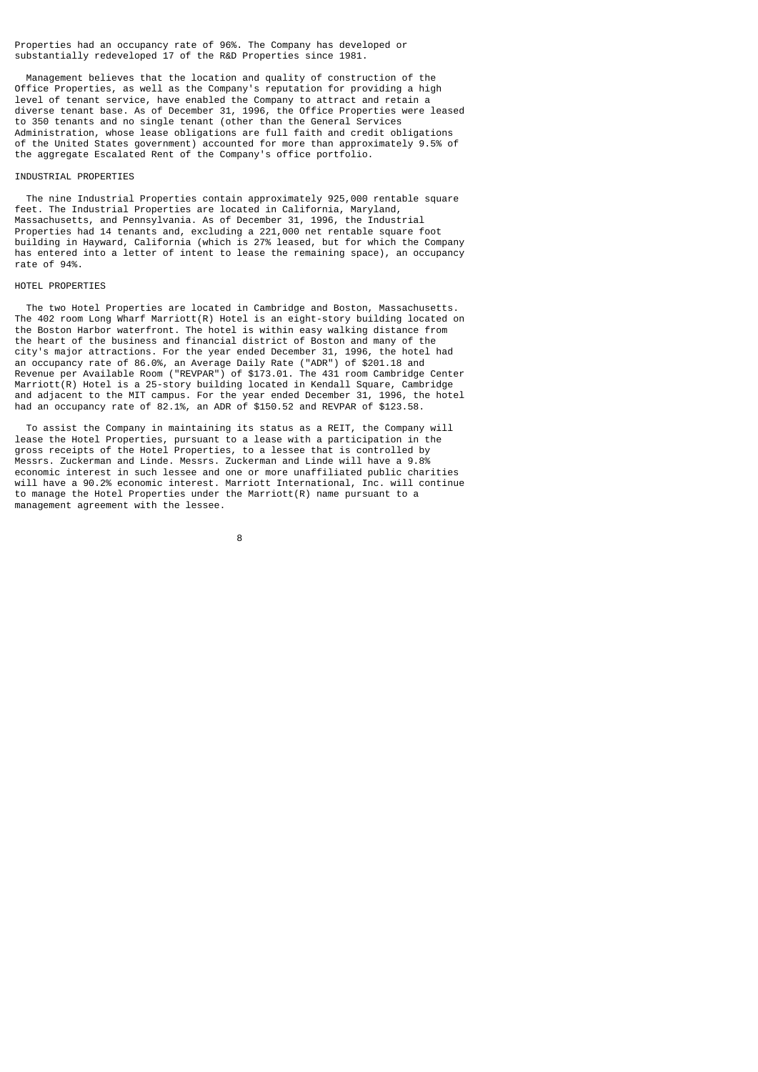Properties had an occupancy rate of 96%. The Company has developed or substantially redeveloped 17 of the R&D Properties since 1981.

 Management believes that the location and quality of construction of the Office Properties, as well as the Company's reputation for providing a high level of tenant service, have enabled the Company to attract and retain a diverse tenant base. As of December 31, 1996, the Office Properties were leased to 350 tenants and no single tenant (other than the General Services Administration, whose lease obligations are full faith and credit obligations of the United States government) accounted for more than approximately 9.5% of the aggregate Escalated Rent of the Company's office portfolio.

# INDUSTRIAL PROPERTIES

 The nine Industrial Properties contain approximately 925,000 rentable square feet. The Industrial Properties are located in California, Maryland, Massachusetts, and Pennsylvania. As of December 31, 1996, the Industrial Properties had 14 tenants and, excluding a 221,000 net rentable square foot building in Hayward, California (which is 27% leased, but for which the Company has entered into a letter of intent to lease the remaining space), an occupancy rate of 94%.

## HOTEL PROPERTIES

 The two Hotel Properties are located in Cambridge and Boston, Massachusetts. The 402 room Long Wharf Marriott(R) Hotel is an eight-story building located on the Boston Harbor waterfront. The hotel is within easy walking distance from the heart of the business and financial district of Boston and many of the city's major attractions. For the year ended December 31, 1996, the hotel had an occupancy rate of 86.0%, an Average Daily Rate ("ADR") of \$201.18 and Revenue per Available Room ("REVPAR") of \$173.01. The 431 room Cambridge Center Marriott(R) Hotel is a 25-story building located in Kendall Square, Cambridge and adjacent to the MIT campus. For the year ended December 31, 1996, the hotel had an occupancy rate of 82.1%, an ADR of \$150.52 and REVPAR of \$123.58.

 To assist the Company in maintaining its status as a REIT, the Company will lease the Hotel Properties, pursuant to a lease with a participation in the gross receipts of the Hotel Properties, to a lessee that is controlled by Messrs. Zuckerman and Linde. Messrs. Zuckerman and Linde will have a 9.8% economic interest in such lessee and one or more unaffiliated public charities will have a 90.2% economic interest. Marriott International, Inc. will continue to manage the Hotel Properties under the Marriott(R) name pursuant to a management agreement with the lessee.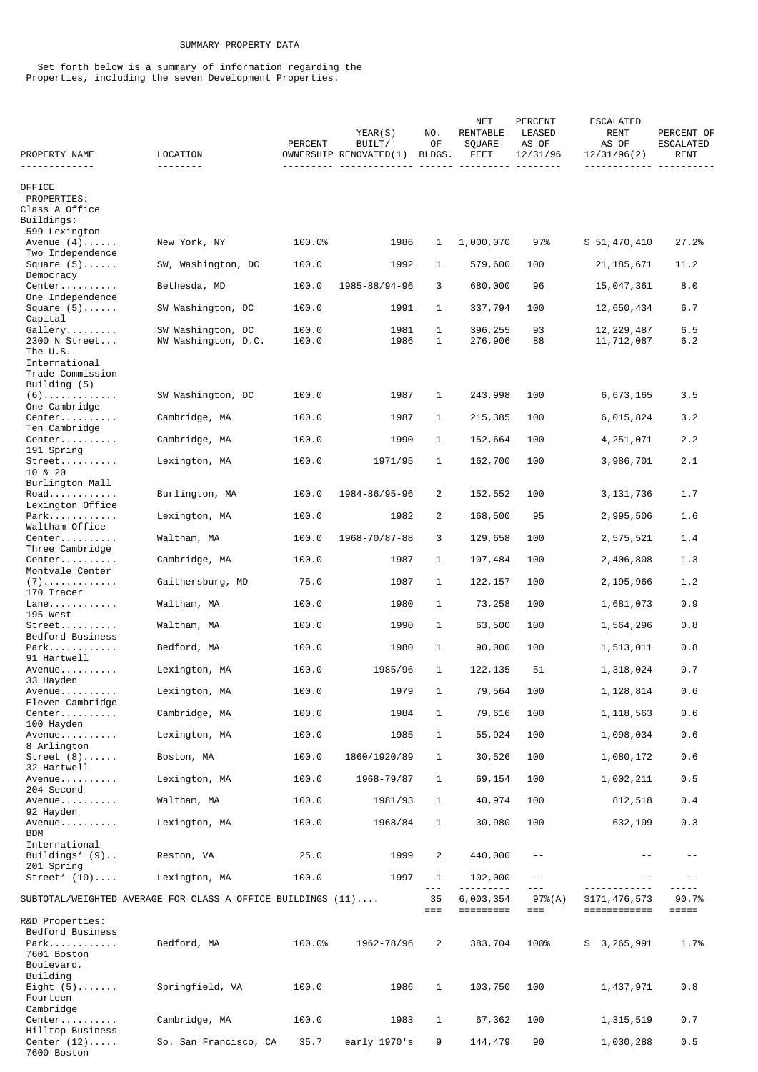# SUMMARY PROPERTY DATA

 Set forth below is a summary of information regarding the Properties, including the seven Development Properties.

| PROPERTY NAME                         | LOCATION                                                             | PERCENT | YEAR(S)<br>BUILT/<br>OWNERSHIP RENOVATED(1) | NO.<br>0F<br>BLDGS. | <b>NET</b><br>RENTABLE<br>SQUARE<br>FEET | PERCENT<br>LEASED<br>AS OF<br>12/31/96 | <b>ESCALATED</b><br>RENT<br>AS OF<br>12/31/96(2) | PERCENT OF<br>ESCALATED<br><b>RENT</b> |
|---------------------------------------|----------------------------------------------------------------------|---------|---------------------------------------------|---------------------|------------------------------------------|----------------------------------------|--------------------------------------------------|----------------------------------------|
| .                                     |                                                                      |         |                                             |                     |                                          |                                        |                                                  |                                        |
| <b>OFFICE</b>                         |                                                                      |         |                                             |                     |                                          |                                        |                                                  |                                        |
| PROPERTIES:<br>Class A Office         |                                                                      |         |                                             |                     |                                          |                                        |                                                  |                                        |
| Buildings:                            |                                                                      |         |                                             |                     |                                          |                                        |                                                  |                                        |
| 599 Lexington                         |                                                                      |         |                                             |                     |                                          |                                        |                                                  |                                        |
| Avenue $(4)$<br>Two Independence      | New York, NY                                                         | 100.0%  | 1986                                        | 1                   | 1,000,070                                | 97%                                    | \$51,470,410                                     | 27.2%                                  |
| Square $(5)$                          | SW, Washington, DC                                                   | 100.0   | 1992                                        | 1                   | 579,600                                  | 100                                    | 21, 185, 671                                     | 11.2                                   |
| Democracy<br>Center                   | Bethesda, MD                                                         | 100.0   | 1985-88/94-96                               | 3                   | 680,000                                  | 96                                     | 15,047,361                                       | 8.0                                    |
| One Independence                      |                                                                      |         |                                             |                     |                                          |                                        |                                                  |                                        |
| Square $(5)$<br>Capital               | SW Washington, DC                                                    | 100.0   | 1991                                        | 1                   | 337,794                                  | 100                                    | 12,650,434                                       | 6.7                                    |
| Gallery                               | SW Washington, DC                                                    | 100.0   | 1981                                        | 1                   | 396,255                                  | 93                                     | 12, 229, 487                                     | 6.5                                    |
| 2300 N Street                         | NW Washington, D.C.                                                  | 100.0   | 1986                                        | 1                   | 276,906                                  | 88                                     | 11,712,087                                       | 6.2                                    |
| The U.S.<br>International             |                                                                      |         |                                             |                     |                                          |                                        |                                                  |                                        |
| Trade Commission                      |                                                                      |         |                                             |                     |                                          |                                        |                                                  |                                        |
| Building (5)<br>$(6)$                 | SW Washington, DC                                                    | 100.0   | 1987                                        | 1                   | 243,998                                  | 100                                    | 6,673,165                                        | 3.5                                    |
| One Cambridge                         |                                                                      |         |                                             |                     |                                          |                                        |                                                  |                                        |
| Center                                | Cambridge, MA                                                        | 100.0   | 1987                                        | 1                   | 215,385                                  | 100                                    | 6,015,824                                        | 3.2                                    |
| Ten Cambridge<br>Center               | Cambridge, MA                                                        | 100.0   | 1990                                        | 1                   | 152,664                                  | 100                                    | 4,251,071                                        | 2.2                                    |
| 191 Spring                            |                                                                      |         |                                             |                     |                                          |                                        |                                                  |                                        |
| Street<br>10 & 20                     | Lexington, MA                                                        | 100.0   | 1971/95                                     | 1                   | 162,700                                  | 100                                    | 3,986,701                                        | 2.1                                    |
| Burlington Mall                       |                                                                      |         |                                             |                     |                                          |                                        |                                                  |                                        |
| Road                                  | Burlington, MA                                                       | 100.0   | 1984-86/95-96                               | 2                   | 152,552                                  | 100                                    | 3, 131, 736                                      | 1.7                                    |
| Lexington Office<br>Park              | Lexington, MA                                                        | 100.0   | 1982                                        | 2                   | 168,500                                  | 95                                     | 2,995,506                                        | 1.6                                    |
| Waltham Office                        |                                                                      |         |                                             |                     |                                          |                                        |                                                  |                                        |
| Center<br>Three Cambridge             | Waltham, MA                                                          | 100.0   | 1968-70/87-88                               | 3                   | 129,658                                  | 100                                    | 2,575,521                                        | 1.4                                    |
| Center                                | Cambridge, MA                                                        | 100.0   | 1987                                        | 1                   | 107,484                                  | 100                                    | 2,406,808                                        | 1.3                                    |
| Montvale Center<br>$(7)$              | Gaithersburg, MD                                                     | 75.0    | 1987                                        | 1                   | 122, 157                                 | 100                                    | 2,195,966                                        | 1.2                                    |
| 170 Tracer                            |                                                                      |         |                                             |                     |                                          |                                        |                                                  |                                        |
| Lane<br>195 West                      | Waltham, MA                                                          | 100.0   | 1980                                        | 1                   | 73,258                                   | 100                                    | 1,681,073                                        | 0.9                                    |
| Street                                | Waltham, MA                                                          | 100.0   | 1990                                        | 1                   | 63,500                                   | 100                                    | 1,564,296                                        | 0.8                                    |
| Bedford Business<br>Park              | Bedford, MA                                                          | 100.0   | 1980                                        | 1                   | 90,000                                   | 100                                    | 1,513,011                                        | 0.8                                    |
| 91 Hartwell                           |                                                                      |         |                                             |                     |                                          |                                        |                                                  |                                        |
| Avenue<br>33 Hayden                   | Lexington, MA                                                        | 100.0   | 1985/96                                     | 1                   | 122, 135                                 | 51                                     | 1,318,024                                        | 0.7                                    |
| Avenue                                | Lexington, MA                                                        | 100.0   | 1979                                        | 1                   | 79,564                                   | 100                                    | 1,128,814                                        | 0.6                                    |
| Eleven Cambridge<br>Center            | Cambridge, MA                                                        | 100.0   | 1984                                        | 1                   | 79,616                                   | 100                                    | 1, 118, 563                                      | 0.6                                    |
| 100 Hayden                            |                                                                      |         |                                             |                     |                                          |                                        |                                                  |                                        |
| Avenue<br>8 Arlington                 | Lexington, MA                                                        | 100.0   | 1985                                        | 1                   | 55,924                                   | 100                                    | 1,098,034                                        | 0.6                                    |
| Street (8)                            | Boston, MA                                                           | 100.0   | 1860/1920/89                                | 1                   | 30,526                                   | 100                                    | 1,080,172                                        | 0.6                                    |
| 32 Hartwell<br>Avenue                 | Lexington, MA                                                        | 100.0   | 1968-79/87                                  | 1                   | 69,154                                   | 100                                    | 1,002,211                                        | 0.5                                    |
| 204 Second                            |                                                                      |         |                                             |                     |                                          |                                        |                                                  |                                        |
| Avenue<br>92 Hayden                   | Waltham, MA                                                          | 100.0   | 1981/93                                     | 1                   | 40,974                                   | 100                                    | 812,518                                          | 0.4                                    |
| Avenue                                | Lexington, MA                                                        | 100.0   | 1968/84                                     | 1                   | 30,980                                   | 100                                    | 632,109                                          | 0.3                                    |
| <b>BDM</b>                            |                                                                      |         |                                             |                     |                                          |                                        |                                                  |                                        |
| International<br>Buildings* $(9)$     | Reston, VA                                                           | 25.0    | 1999                                        | 2                   | 440,000                                  | $\sim$ $-$                             |                                                  | $ -$                                   |
| 201 Spring                            |                                                                      |         |                                             |                     |                                          |                                        |                                                  |                                        |
| $Street^* (10) \ldots$                | Lexington, MA                                                        | 100.0   | 1997                                        | 1<br>$- - -$        | 102,000                                  | $\sim$ $-$<br>$- - -$                  | $- -$<br>.                                       | $- -$                                  |
|                                       | SUBTOTAL/WEIGHTED AVERAGE FOR CLASS A OFFICE BUILDINGS $(11) \ldots$ |         |                                             | 35                  | 6,003,354                                | 97%(A)                                 | \$171,476,573                                    | 90.7%                                  |
| R&D Properties:                       |                                                                      |         |                                             | $==$                |                                          | $==$                                   | $=$ ============                                 | $=====$                                |
| Bedford Business                      |                                                                      |         |                                             |                     |                                          |                                        |                                                  |                                        |
| Park<br>7601 Boston                   | Bedford, MA                                                          | 100.0%  | 1962-78/96                                  | 2                   | 383,704                                  | 100%                                   | \$3,265,991                                      | 1.7%                                   |
| Boulevard,                            |                                                                      |         |                                             |                     |                                          |                                        |                                                  |                                        |
| Building                              |                                                                      |         |                                             |                     |                                          |                                        |                                                  |                                        |
| Eight $(5)$<br>Fourteen               | Springfield, VA                                                      | 100.0   | 1986                                        | 1                   | 103,750                                  | 100                                    | 1,437,971                                        | 0.8                                    |
| Cambridge                             |                                                                      |         |                                             |                     |                                          |                                        |                                                  |                                        |
| Center<br>Hilltop Business            | Cambridge, MA                                                        | 100.0   | 1983                                        | $\mathbf{1}$        | 67,362                                   | 100                                    | 1, 315, 519                                      | 0.7                                    |
| Center $(12) \ldots$ .<br>7600 Boston | So. San Francisco, CA                                                | 35.7    | early 1970's                                | 9                   | 144,479                                  | 90                                     | 1,030,288                                        | $0.5$                                  |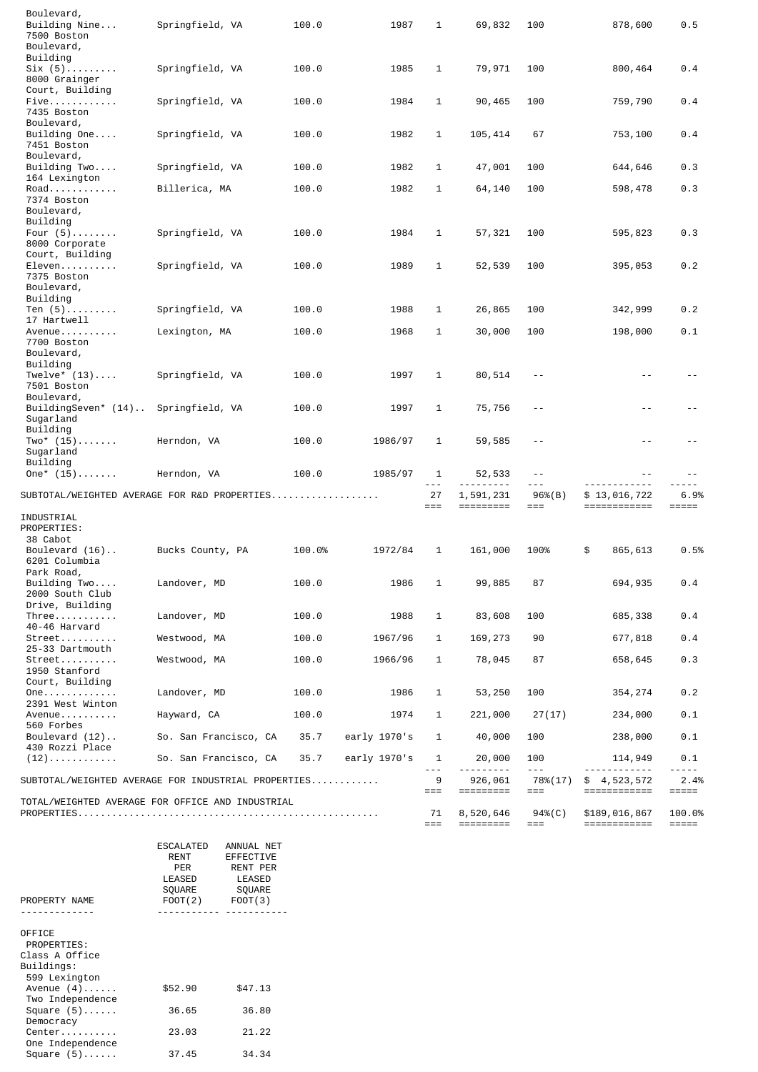| Boulevard,<br>Building Nine<br>7500 Boston                        | Springfield, VA                                     | 100.0  | 1987         | 1            | 69,832                 | 100                   | 878,600                          | 0.5                |
|-------------------------------------------------------------------|-----------------------------------------------------|--------|--------------|--------------|------------------------|-----------------------|----------------------------------|--------------------|
| Boulevard,<br>Building                                            |                                                     |        |              |              |                        |                       |                                  |                    |
| $\text{Six } (5) \dots \dots$<br>8000 Grainger<br>Court, Building | Springfield, VA                                     | 100.0  | 1985         | 1            | 79,971                 | 100                   | 800,464                          | 0.4                |
| Five<br>7435 Boston                                               | Springfield, VA                                     | 100.0  | 1984         | 1            | 90,465                 | 100                   | 759,790                          | 0.4                |
| Boulevard,<br>Building $One$<br>7451 Boston                       | Springfield, VA                                     | 100.0  | 1982         | 1            | 105,414                | 67                    | 753,100                          | 0.4                |
| Boulevard,<br>Building $Two$                                      | Springfield, VA                                     | 100.0  | 1982         | 1            | 47,001                 | 100                   | 644,646                          | 0.3                |
| 164 Lexington<br>Road                                             | Billerica, MA                                       | 100.0  | 1982         | 1            | 64,140                 | 100                   | 598,478                          | 0.3                |
| 7374 Boston<br>Boulevard,                                         |                                                     |        |              |              |                        |                       |                                  |                    |
| Building<br>Four $(5)$<br>8000 Corporate                          | Springfield, VA                                     | 100.0  | 1984         | 1            | 57,321                 | 100                   | 595,823                          | 0.3                |
| Court, Building<br>$Eleven$<br>7375 Boston                        | Springfield, VA                                     | 100.0  | 1989         | $\mathbf{1}$ | 52,539                 | 100                   | 395,053                          | 0.2                |
| Boulevard,<br>Building                                            |                                                     |        |              |              |                        |                       |                                  |                    |
| Ten $(5)$<br>17 Hartwell                                          | Springfield, VA                                     | 100.0  | 1988         | 1            | 26,865                 | 100                   | 342,999                          | 0.2                |
| Avenue<br>7700 Boston<br>Boulevard,<br>Building                   | Lexington, MA                                       | 100.0  | 1968         | 1            | 30,000                 | 100                   | 198,000                          | 0.1                |
| Twelve $*(13) \ldots$<br>7501 Boston                              | Springfield, VA                                     | 100.0  | 1997         | 1            | 80,514                 | $\sim$ $-$            | $\sim$ $-$                       | $\sim$ $-$         |
| Boulevard,<br>BuildingSeven* (14)<br>Sugarland                    | Springfield, VA                                     | 100.0  | 1997         | 1            | 75,756                 | $\sim$ $-$            | $- -$                            | $- -$              |
| Building<br>$Two^*$ (15)<br>Sugarland                             | Herndon, VA                                         | 100.0  | 1986/97      | 1            | 59,585                 | $\sim$ $-$            | - -                              |                    |
| Building<br>$One^*$ (15)                                          | Herndon, VA                                         | 100.0  | 1985/97      | 1<br>$- - -$ | 52,533                 | $\sim$ $-$<br>$- - -$ | $\sim$ $-$<br>----------         | $\sim$ $-$<br>$ -$ |
|                                                                   | SUBTOTAL/WEIGHTED AVERAGE FOR R&D PROPERTIES        |        |              | 27<br>$==$   | 1,591,231<br>========= | 96%(B)<br>$==$        | \$13,016,722<br>$=$ ============ | 6.9%<br>=====      |
| INDUSTRIAL<br>PROPERTIES:<br>38 Cabot                             |                                                     |        |              |              |                        |                       |                                  |                    |
| Boulevard $(16)$<br>6201 Columbia<br>Park Road,                   | Bucks County, PA                                    | 100.0% | 1972/84      | 1            | 161,000                | 100%                  | \$<br>865,613                    | 0.5%               |
| Building Two<br>2000 South Club                                   | Landover, MD                                        | 100.0  | 1986         |              | 99,885                 | 87                    | 694,935                          | 0.4                |
| Drive, Building<br>Three<br>40-46 Harvard                         | Landover, MD                                        | 100.0  | 1988         | 1            | 83,608                 | 100                   | 685,338                          | 0.4                |
| Street                                                            | Westwood, MA                                        | 100.0  | 1967/96      | 1            | 169,273                | 90                    | 677,818                          | 0.4                |
| 25-33 Dartmouth<br>Street<br>1950 Stanford                        | Westwood, MA                                        | 100.0  | 1966/96      | 1            | 78,045                 | 87                    | 658,645                          | 0.3                |
| Court, Building<br>0ne.<br>2391 West Winton                       | Landover, MD                                        | 100.0  | 1986         | 1            | 53,250                 | 100                   | 354,274                          | 0.2                |
| Avenue<br>560 Forbes                                              | Hayward, CA                                         | 100.0  | 1974         | 1            | 221,000                | 27(17)                | 234,000                          | 0.1                |
| Boulevard $(12)$<br>430 Rozzi Place                               | So. San Francisco, CA                               | 35.7   | early 1970's | 1            | 40,000                 | 100                   | 238,000                          | 0.1                |
| $(12)$                                                            | So. San Francisco, CA                               | 35.7   | early 1970's | 1<br>$- - -$ | 20,000<br><u>.</u>     | 100<br>$\sim$ $ \sim$ | 114,949<br>------------          | 0.1<br>-----       |
|                                                                   | SUBTOTAL/WEIGHTED AVERAGE FOR INDUSTRIAL PROPERTIES |        |              | 9<br>$==$    | 926,061                | 78%(17)<br>===        | \$4,523,572<br>$=$ ============  | 2.4%<br>=====      |
|                                                                   | TOTAL/WEIGHTED AVERAGE FOR OFFICE AND INDUSTRIAL    |        |              | 71<br>$==$   | 8,520,646              | $94\%$ (C)<br>===     | \$189,016,867<br>============    | 100.0%<br>$=====$  |
|                                                                   |                                                     |        |              |              |                        |                       |                                  |                    |

| PROPERTY NAME                                                                          | ESCALATED<br>RENT<br>PER<br>LEASED<br>SOUARE<br>$FOOT(2)$ $FOOT(3)$ | ANNUAL NET<br>EFFECTIVE<br>RENT PER<br>LEASED<br>SOUARE |
|----------------------------------------------------------------------------------------|---------------------------------------------------------------------|---------------------------------------------------------|
| OFFICE<br>PROPERTIES:<br>Class A Office<br>Buildings:<br>599 Lexington<br>Avenue $(4)$ | \$52.90                                                             | \$47.13                                                 |
| Square $(5)$                                                                           | 36.65                                                               | 36.80                                                   |
| Center                                                                                 | 23.03                                                               | 21.22                                                   |
| Square $(5)$                                                                           | 37.45                                                               | 34.34                                                   |
| Two Independence<br>Democracy<br>One Independence                                      |                                                                     |                                                         |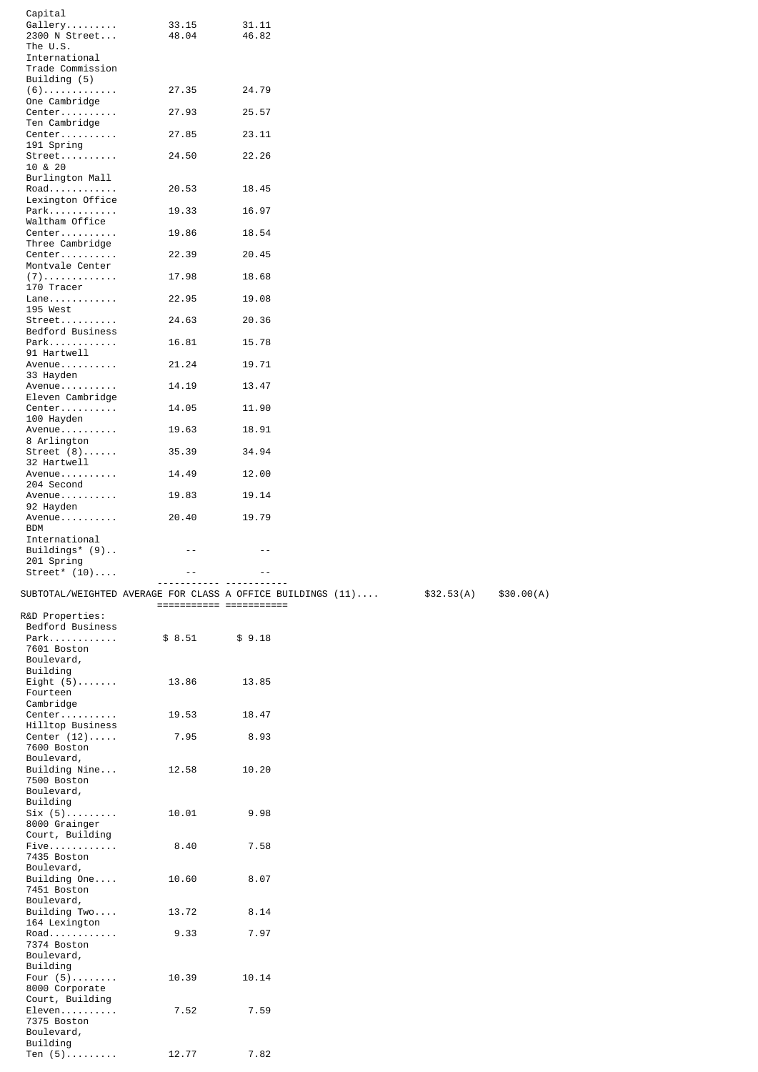| Capital                       |                                                             |        |  |            |            |
|-------------------------------|-------------------------------------------------------------|--------|--|------------|------------|
| Gallery                       | 33.15                                                       | 31.11  |  |            |            |
| 2300 N Street<br>The U.S.     | 48.04                                                       | 46.82  |  |            |            |
| International                 |                                                             |        |  |            |            |
| Trade Commission              |                                                             |        |  |            |            |
| Building (5)                  |                                                             |        |  |            |            |
| $(6)$                         | 27.35                                                       | 24.79  |  |            |            |
| One Cambridge                 |                                                             |        |  |            |            |
| $Center \ldots \ldots \ldots$ | 27.93                                                       | 25.57  |  |            |            |
| Ten Cambridge<br>Center       |                                                             | 23.11  |  |            |            |
| 191 Spring                    | 27.85                                                       |        |  |            |            |
| Street                        | 24.50                                                       | 22.26  |  |            |            |
| 10 & 20                       |                                                             |        |  |            |            |
| Burlington Mall               |                                                             |        |  |            |            |
| Road                          | 20.53                                                       | 18.45  |  |            |            |
| Lexington Office              |                                                             |        |  |            |            |
| Park<br>Waltham Office        | 19.33                                                       | 16.97  |  |            |            |
| Center                        | 19.86                                                       | 18.54  |  |            |            |
| Three Cambridge               |                                                             |        |  |            |            |
| Center                        | 22.39                                                       | 20.45  |  |            |            |
| Montvale Center               |                                                             |        |  |            |            |
| $(7)$                         | 17.98                                                       | 18.68  |  |            |            |
| 170 Tracer                    |                                                             |        |  |            |            |
| Lane<br>195 West              | 22.95                                                       | 19.08  |  |            |            |
| $Street$                      | 24.63                                                       | 20.36  |  |            |            |
| Bedford Business              |                                                             |        |  |            |            |
| Park                          | 16.81                                                       | 15.78  |  |            |            |
| 91 Hartwell                   |                                                             |        |  |            |            |
| Avenue                        | 21.24                                                       | 19.71  |  |            |            |
| 33 Hayden                     |                                                             |        |  |            |            |
| Avenue                        | 14.19                                                       | 13.47  |  |            |            |
| Eleven Cambridge<br>Center    | 14.05                                                       | 11.90  |  |            |            |
| 100 Hayden                    |                                                             |        |  |            |            |
| Avenue                        | 19.63                                                       | 18.91  |  |            |            |
| 8 Arlington                   |                                                             |        |  |            |            |
| Street $(8)$                  | 35.39                                                       | 34.94  |  |            |            |
| 32 Hartwell                   |                                                             |        |  |            |            |
| Avenue                        | 14.49                                                       | 12.00  |  |            |            |
| 204 Second<br>Avenue          | 19.83                                                       | 19.14  |  |            |            |
| 92 Hayden                     |                                                             |        |  |            |            |
| Avenue                        | 20.40                                                       | 19.79  |  |            |            |
|                               |                                                             |        |  |            |            |
| <b>BDM</b>                    |                                                             |        |  |            |            |
| International                 |                                                             |        |  |            |            |
| Buildings* $(9)$              | - -                                                         | - -    |  |            |            |
| 201 Spring                    |                                                             |        |  |            |            |
| Street* $(10) \ldots$ .       |                                                             |        |  |            |            |
|                               |                                                             |        |  |            |            |
|                               | SUBTOTAL/WEIGHTED AVERAGE FOR CLASS A OFFICE BUILDINGS (11) |        |  | \$32.53(A) | \$30.00(A) |
| R&D Properties:               |                                                             |        |  |            |            |
| Bedford Business              |                                                             |        |  |            |            |
| Park                          | \$8.51                                                      | \$9.18 |  |            |            |
| 7601 Boston                   |                                                             |        |  |            |            |
| Boulevard,                    |                                                             |        |  |            |            |
| Building                      |                                                             |        |  |            |            |
| Eight $(5)$                   | 13.86                                                       | 13.85  |  |            |            |
| Fourteen                      |                                                             |        |  |            |            |
| Cambridge<br>Center           | 19.53                                                       | 18.47  |  |            |            |
| Hilltop Business              |                                                             |        |  |            |            |
| Center $(12)$                 | 7.95                                                        | 8.93   |  |            |            |
| 7600 Boston                   |                                                             |        |  |            |            |
| Boulevard,                    |                                                             |        |  |            |            |
| Building Nine                 | 12.58                                                       | 10.20  |  |            |            |
| 7500 Boston                   |                                                             |        |  |            |            |
| Boulevard,<br>Building        |                                                             |        |  |            |            |
| $\text{Six } (5) \dots \dots$ | 10.01                                                       | 9.98   |  |            |            |
| 8000 Grainger                 |                                                             |        |  |            |            |
| Court, Building               |                                                             |        |  |            |            |
| $Five$                        | 8.40                                                        | 7.58   |  |            |            |
| 7435 Boston                   |                                                             |        |  |            |            |
| Boulevard,<br>Building $One$  | 10.60                                                       | 8.07   |  |            |            |
| 7451 Boston                   |                                                             |        |  |            |            |
| Boulevard,                    |                                                             |        |  |            |            |
| Building Two                  | 13.72                                                       | 8.14   |  |            |            |
| 164 Lexington                 |                                                             |        |  |            |            |
| Road                          | 9.33                                                        | 7.97   |  |            |            |
| 7374 Boston                   |                                                             |        |  |            |            |
| Boulevard,<br>Building        |                                                             |        |  |            |            |
| Four $(5)$                    | 10.39                                                       | 10.14  |  |            |            |
| 8000 Corporate                |                                                             |        |  |            |            |
| Court, Building               |                                                             |        |  |            |            |
| Eleven                        | 7.52                                                        | 7.59   |  |            |            |
| 7375 Boston                   |                                                             |        |  |            |            |
| Boulevard,<br>Building        |                                                             |        |  |            |            |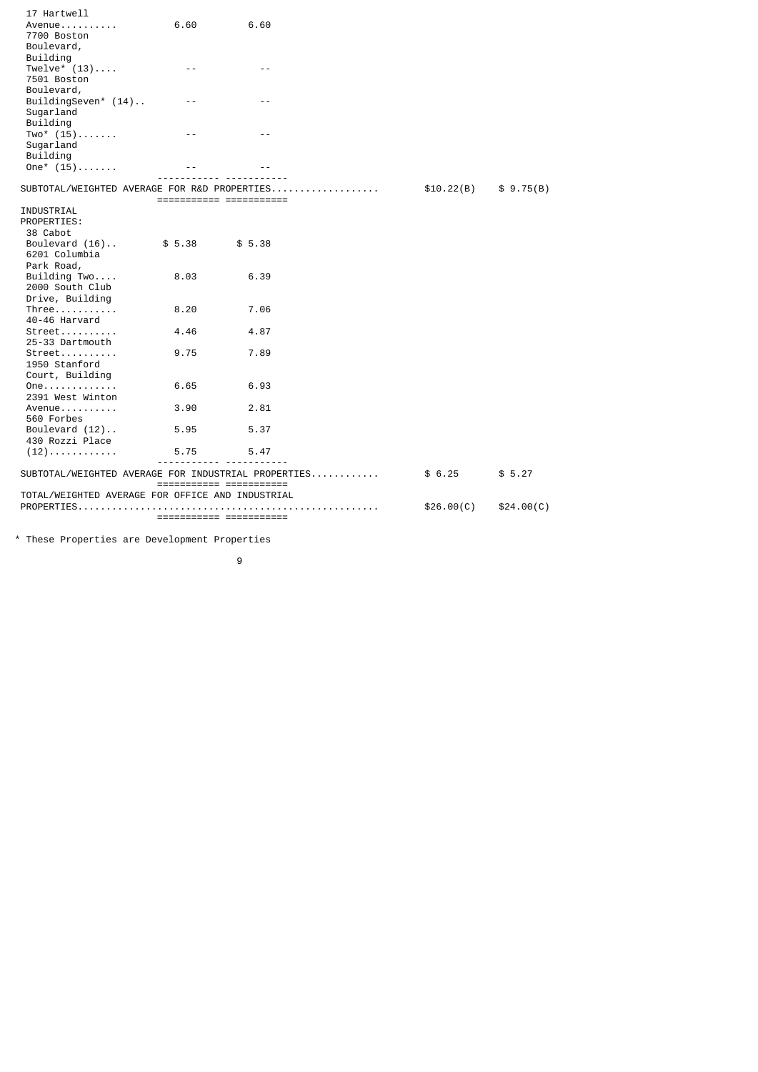| 17 Hartwell                                      |                         |                                                     |            |            |
|--------------------------------------------------|-------------------------|-----------------------------------------------------|------------|------------|
| Avenue                                           | 6.60                    | 6.60                                                |            |            |
| 7700 Boston                                      |                         |                                                     |            |            |
| Boulevard,                                       |                         |                                                     |            |            |
| Building                                         |                         |                                                     |            |            |
| Twelve* $(13) \ldots$ .                          | $- -$                   | $- -$                                               |            |            |
| 7501 Boston                                      |                         |                                                     |            |            |
| Boulevard,                                       |                         |                                                     |            |            |
| BuildingSeven* (14)                              | $ -$                    |                                                     |            |            |
| Sugarland                                        |                         |                                                     |            |            |
| Building                                         |                         |                                                     |            |            |
| $Two^*$ (15)                                     | - -                     |                                                     |            |            |
| Sugarland                                        |                         |                                                     |            |            |
| Building                                         |                         |                                                     |            |            |
| $One^*$ (15)                                     |                         |                                                     |            |            |
|                                                  |                         |                                                     |            |            |
|                                                  |                         | SUBTOTAL/WEIGHTED AVERAGE FOR R&D PROPERTIES        | \$10.22(B) | \$9.75(B)  |
|                                                  | ======================= |                                                     |            |            |
| INDUSTRIAL                                       |                         |                                                     |            |            |
| PROPERTIES:                                      |                         |                                                     |            |            |
| 38 Cabot                                         |                         |                                                     |            |            |
| Boulevard $(16)$                                 | \$5.38                  | \$5.38                                              |            |            |
| 6201 Columbia                                    |                         |                                                     |            |            |
| Park Road,                                       |                         |                                                     |            |            |
| Building Two                                     | 8.03                    | 6.39                                                |            |            |
| 2000 South Club                                  |                         |                                                     |            |            |
| Drive, Building                                  |                         |                                                     |            |            |
| $Three \ldots \ldots$                            | 8.20                    | 7.06                                                |            |            |
| 40-46 Harvard                                    |                         |                                                     |            |            |
| $Street$                                         | 4.46                    | 4.87                                                |            |            |
| 25-33 Dartmouth                                  |                         |                                                     |            |            |
| $Street$                                         | 9.75                    | 7.89                                                |            |            |
| 1950 Stanford                                    |                         |                                                     |            |            |
| Court, Building                                  |                         |                                                     |            |            |
| One                                              | 6.65                    | 6.93                                                |            |            |
| 2391 West Winton                                 |                         |                                                     |            |            |
| Avenue                                           | 3.90                    | 2.81                                                |            |            |
| 560 Forbes                                       |                         |                                                     |            |            |
| Boulevard $(12)$                                 | 5.95                    | 5.37                                                |            |            |
| 430 Rozzi Place                                  |                         |                                                     |            |            |
| $(12)$                                           | 5.75                    | 5.47                                                |            |            |
|                                                  |                         |                                                     |            |            |
|                                                  |                         | SUBTOTAL/WEIGHTED AVERAGE FOR INDUSTRIAL PROPERTIES | \$6.25     | \$5.27     |
|                                                  |                         |                                                     |            |            |
| TOTAL/WEIGHTED AVERAGE FOR OFFICE AND INDUSTRIAL |                         |                                                     |            |            |
|                                                  |                         |                                                     | \$26.00(C) | \$24.00(C) |
|                                                  |                         | =======================                             |            |            |
|                                                  |                         |                                                     |            |            |

\* These Properties are Development Properties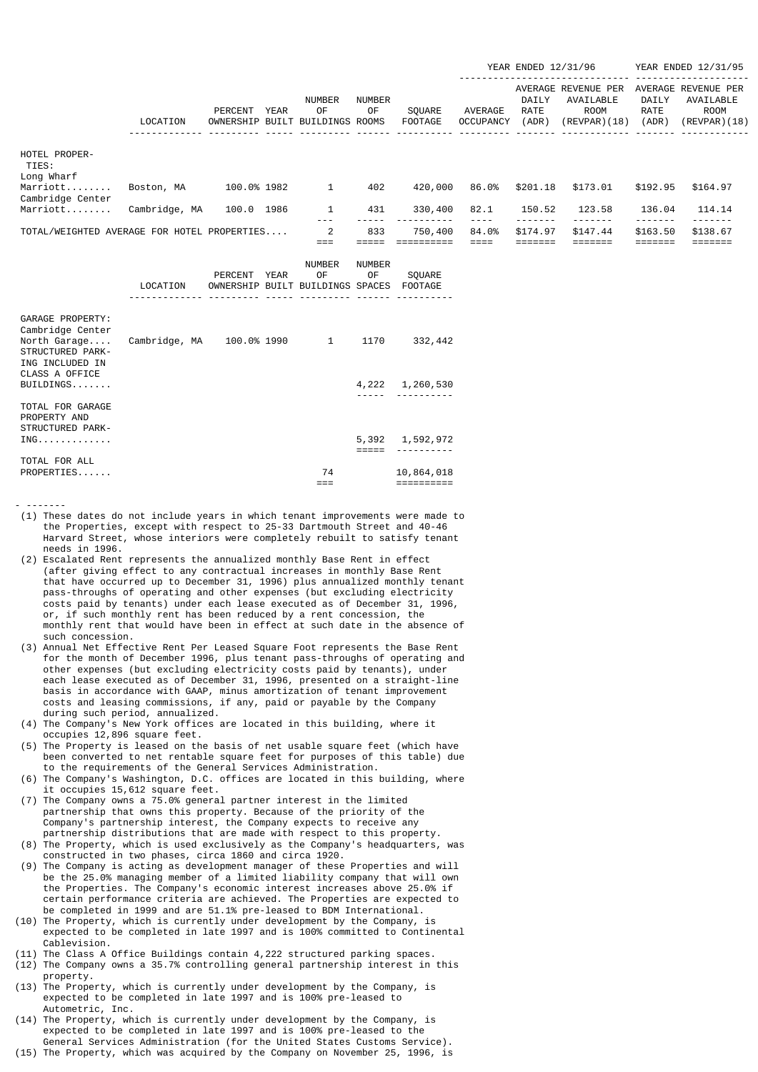|                                             |               |                      |               |                                        |                     |                          |                             | YEAR ENDED 12/31/96           |                                                          |                               | YEAR ENDED 12/31/95                                             |
|---------------------------------------------|---------------|----------------------|---------------|----------------------------------------|---------------------|--------------------------|-----------------------------|-------------------------------|----------------------------------------------------------|-------------------------------|-----------------------------------------------------------------|
|                                             | LOCATION      | PERCENT<br>OWNERSHIP | YEAR<br>BUILT | <b>NUMBER</b><br>0F<br>BUILDINGS ROOMS | <b>NUMBER</b><br>0F | SOUARE<br><b>FOOTAGE</b> | AVERAGE<br><b>OCCUPANCY</b> | DAILY<br><b>RATE</b><br>(ADR) | AVERAGE REVENUE PER<br>AVAILABLE<br>ROOM<br>(REVPAR)(18) | DAILY<br><b>RATE</b><br>(ADR) | AVERAGE REVENUE PER<br>AVAILABLE<br><b>ROOM</b><br>(REVPAR)(18) |
| HOTEL PROPER-<br>TIES:<br>Long Wharf        |               |                      |               |                                        |                     |                          |                             |                               |                                                          |                               |                                                                 |
| Marriott<br>Cambridge Center                | Boston, MA    | 100.0% 1982          |               | 1                                      | 402                 | 420,000                  | 86.0%                       | \$201.18                      | \$173.01                                                 | \$192.95                      | \$164.97                                                        |
| Marriott                                    | Cambridge, MA | 100.0                | 1986          | 1                                      | 431                 | 330,400                  | 82.1                        | 150.52                        | 123.58                                                   | 136.04                        | 114.14                                                          |
| TOTAL/WEIGHTED AVERAGE FOR HOTEL PROPERTIES |               |                      |               | 2                                      | 833                 | 750,400                  | 84.0%                       | \$174.97                      | \$147.44                                                 | \$163.50                      | \$138.67                                                        |

|                                                                                             | LOCATION      | PERCENT YEAR | NUMBER<br>0F<br>OWNERSHIP BUILT BUILDINGS SPACES | <b>NUMBER</b><br>0F | SOUARE<br>F00TAGE        |
|---------------------------------------------------------------------------------------------|---------------|--------------|--------------------------------------------------|---------------------|--------------------------|
| GARAGE PROPERTY:<br>Cambridge Center<br>North Garage<br>STRUCTURED PARK-<br>ING INCLUDED IN | Cambridge, MA | 100.0% 1990  | $\mathbf{1}$                                     | 1170                | 332,442                  |
| CLASS A OFFICE<br>BULDDINGS                                                                 |               |              |                                                  |                     | 4,222 1,260,530          |
| TOTAL FOR GARAGE<br>PROPERTY AND<br>STRUCTURED PARK-                                        |               |              |                                                  |                     |                          |
| ING.                                                                                        |               |              |                                                  | =====               | 5,392 1,592,972          |
| TOTAL FOR ALL<br>PROPERTIES                                                                 |               |              | 74                                               |                     | 10,864,018<br>:========= |

- -------
- (1) These dates do not include years in which tenant improvements were made to the Properties, except with respect to 25-33 Dartmouth Street and 40-46 Harvard Street, whose interiors were completely rebuilt to satisfy tenant needs in 1996.
- (2) Escalated Rent represents the annualized monthly Base Rent in effect (after giving effect to any contractual increases in monthly Base Rent that have occurred up to December 31, 1996) plus annualized monthly tenant pass-throughs of operating and other expenses (but excluding electricity costs paid by tenants) under each lease executed as of December 31, 1996, or, if such monthly rent has been reduced by a rent concession, the monthly rent that would have been in effect at such date in the absence of such concession.
- (3) Annual Net Effective Rent Per Leased Square Foot represents the Base Rent for the month of December 1996, plus tenant pass-throughs of operating and other expenses (but excluding electricity costs paid by tenants), under each lease executed as of December 31, 1996, presented on a straight-line basis in accordance with GAAP, minus amortization of tenant improvement costs and leasing commissions, if any, paid or payable by the Company during such period, annualized.
- (4) The Company's New York offices are located in this building, where it occupies 12,896 square feet.
- (5) The Property is leased on the basis of net usable square feet (which have been converted to net rentable square feet for purposes of this table) due to the requirements of the General Services Administration.
- (6) The Company's Washington, D.C. offices are located in this building, where it occupies 15,612 square feet.
- (7) The Company owns a 75.0% general partner interest in the limited partnership that owns this property. Because of the priority of the Company's partnership interest, the Company expects to receive any partnership distributions that are made with respect to this property.
- (8) The Property, which is used exclusively as the Company's headquarters, was constructed in two phases, circa 1860 and circa 1920.
- (9) The Company is acting as development manager of these Properties and will be the 25.0% managing member of a limited liability company that will own the Properties. The Company's economic interest increases above 25.0% if certain performance criteria are achieved. The Properties are expected to be completed in 1999 and are 51.1% pre-leased to BDM International.
- (10) The Property, which is currently under development by the Company, is expected to be completed in late 1997 and is 100% committed to Continental Cablevision.
- (11) The Class A Office Buildings contain 4,222 structured parking spaces.
- (12) The Company owns a 35.7% controlling general partnership interest in this property.
- (13) The Property, which is currently under development by the Company, is expected to be completed in late 1997 and is 100% pre-leased to Autometric, Inc.
- (14) The Property, which is currently under development by the Company, is expected to be completed in late 1997 and is 100% pre-leased to the General Services Administration (for the United States Customs Service).
- (15) The Property, which was acquired by the Company on November 25, 1996, is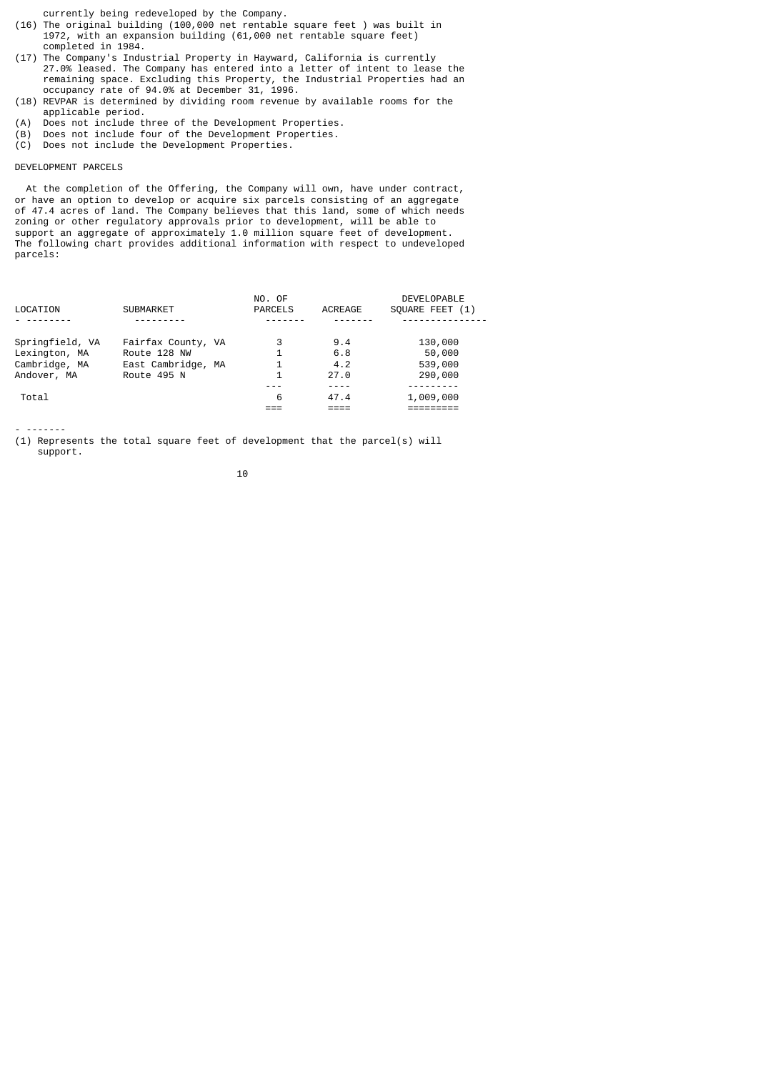currently being redeveloped by the Company.

- (16) The original building (100,000 net rentable square feet ) was built in 1972, with an expansion building (61,000 net rentable square feet) completed in 1984.
- (17) The Company's Industrial Property in Hayward, California is currently 27.0% leased. The Company has entered into a letter of intent to lease the remaining space. Excluding this Property, the Industrial Properties had an occupancy rate of 94.0% at December 31, 1996.
- (18) REVPAR is determined by dividing room revenue by available rooms for the applicable period.
- (A) Does not include three of the Development Properties.
- (B) Does not include four of the Development Properties.
- (C) Does not include the Development Properties.

## DEVELOPMENT PARCELS

 At the completion of the Offering, the Company will own, have under contract, or have an option to develop or acquire six parcels consisting of an aggregate of 47.4 acres of land. The Company believes that this land, some of which needs zoning or other regulatory approvals prior to development, will be able to support an aggregate of approximately 1.0 million square feet of development. The following chart provides additional information with respect to undeveloped parcels:

|                 |                    | NO. OF         |         | <b>DEVELOPABLE</b> |
|-----------------|--------------------|----------------|---------|--------------------|
| LOCATION        | <b>SUBMARKET</b>   | <b>PARCELS</b> | ACREAGE | SOUARE FEET (1)    |
|                 |                    |                |         |                    |
| Springfield, VA | Fairfax County, VA | 3              | 9.4     | 130,000            |
| Lexington, MA   | Route 128 NW       |                | 6.8     | 50,000             |
| Cambridge, MA   | East Cambridge, MA |                | 4.2     | 539,000            |
| Andover, MA     | Route 495 N        | 1              | 27.0    | 290,000            |
|                 |                    |                |         |                    |
| Total           |                    | 6              | 47.4    | 1,009,000          |
|                 |                    |                |         |                    |

- -------

(1) Represents the total square feet of development that the parcel(s) will support.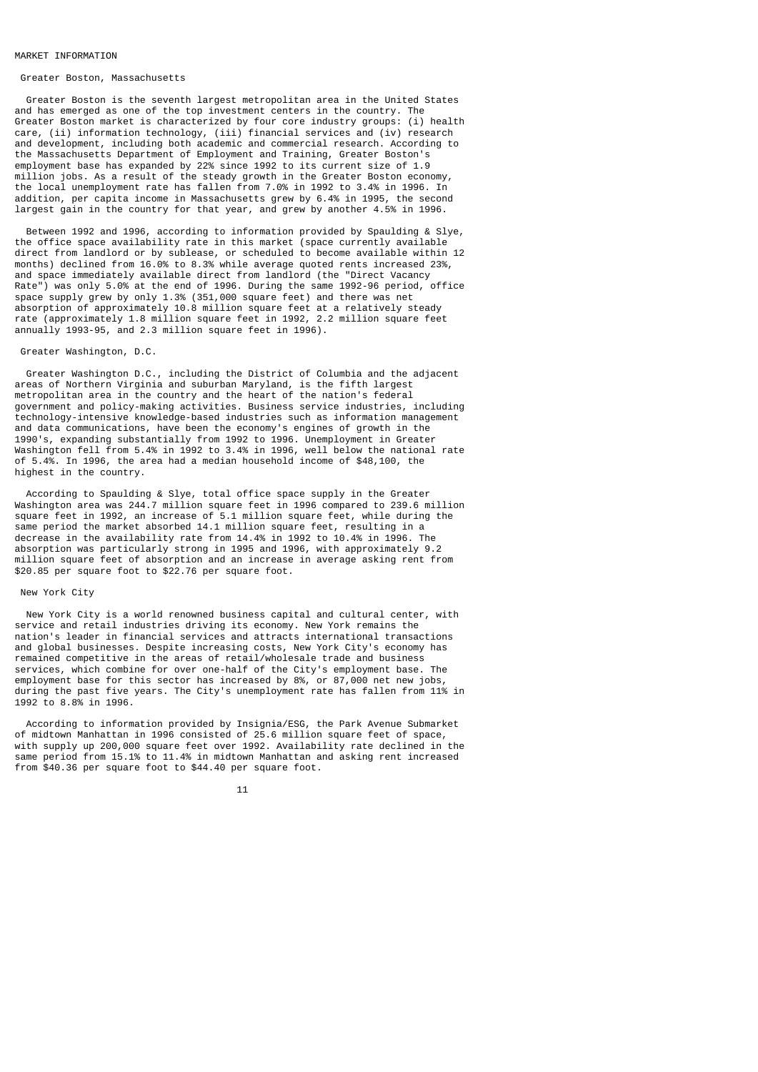#### MARKET INFORMATION

## Greater Boston, Massachusetts

 Greater Boston is the seventh largest metropolitan area in the United States and has emerged as one of the top investment centers in the country. The Greater Boston market is characterized by four core industry groups: (i) health care, (ii) information technology, (iii) financial services and (iv) research and development, including both academic and commercial research. According to the Massachusetts Department of Employment and Training, Greater Boston's employment base has expanded by 22% since 1992 to its current size of 1.9 million jobs. As a result of the steady growth in the Greater Boston economy, the local unemployment rate has fallen from 7.0% in 1992 to 3.4% in 1996. In addition, per capita income in Massachusetts grew by 6.4% in 1995, the second largest gain in the country for that year, and grew by another 4.5% in 1996.

 Between 1992 and 1996, according to information provided by Spaulding & Slye, the office space availability rate in this market (space currently available direct from landlord or by sublease, or scheduled to become available within 12 months) declined from 16.0% to 8.3% while average quoted rents increased 23%, and space immediately available direct from landlord (the "Direct Vacancy Rate") was only 5.0% at the end of 1996. During the same 1992-96 period, office space supply grew by only 1.3% (351,000 square feet) and there was net absorption of approximately 10.8 million square feet at a relatively steady rate (approximately 1.8 million square feet in 1992, 2.2 million square feet annually 1993-95, and 2.3 million square feet in 1996).

#### Greater Washington, D.C.

 Greater Washington D.C., including the District of Columbia and the adjacent areas of Northern Virginia and suburban Maryland, is the fifth largest metropolitan area in the country and the heart of the nation's federal government and policy-making activities. Business service industries, including technology-intensive knowledge-based industries such as information management and data communications, have been the economy's engines of growth in the 1990's, expanding substantially from 1992 to 1996. Unemployment in Greater Washington fell from 5.4% in 1992 to 3.4% in 1996, well below the national rate of 5.4%. In 1996, the area had a median household income of \$48,100, the highest in the country.

 According to Spaulding & Slye, total office space supply in the Greater Washington area was 244.7 million square feet in 1996 compared to 239.6 million square feet in 1992, an increase of 5.1 million square feet, while during the same period the market absorbed 14.1 million square feet, resulting in a decrease in the availability rate from 14.4% in 1992 to 10.4% in 1996. The absorption was particularly strong in 1995 and 1996, with approximately 9.2 million square feet of absorption and an increase in average asking rent from \$20.85 per square foot to \$22.76 per square foot.

## New York City

 New York City is a world renowned business capital and cultural center, with service and retail industries driving its economy. New York remains the nation's leader in financial services and attracts international transactions and global businesses. Despite increasing costs, New York City's economy has remained competitive in the areas of retail/wholesale trade and business services, which combine for over one-half of the City's employment base. The employment base for this sector has increased by 8%, or 87,000 net new jobs, during the past five years. The City's unemployment rate has fallen from 11% in 1992 to 8.8% in 1996.

 According to information provided by Insignia/ESG, the Park Avenue Submarket of midtown Manhattan in 1996 consisted of 25.6 million square feet of space, with supply up 200,000 square feet over 1992. Availability rate declined in the same period from 15.1% to 11.4% in midtown Manhattan and asking rent increased from \$40.36 per square foot to \$44.40 per square foot.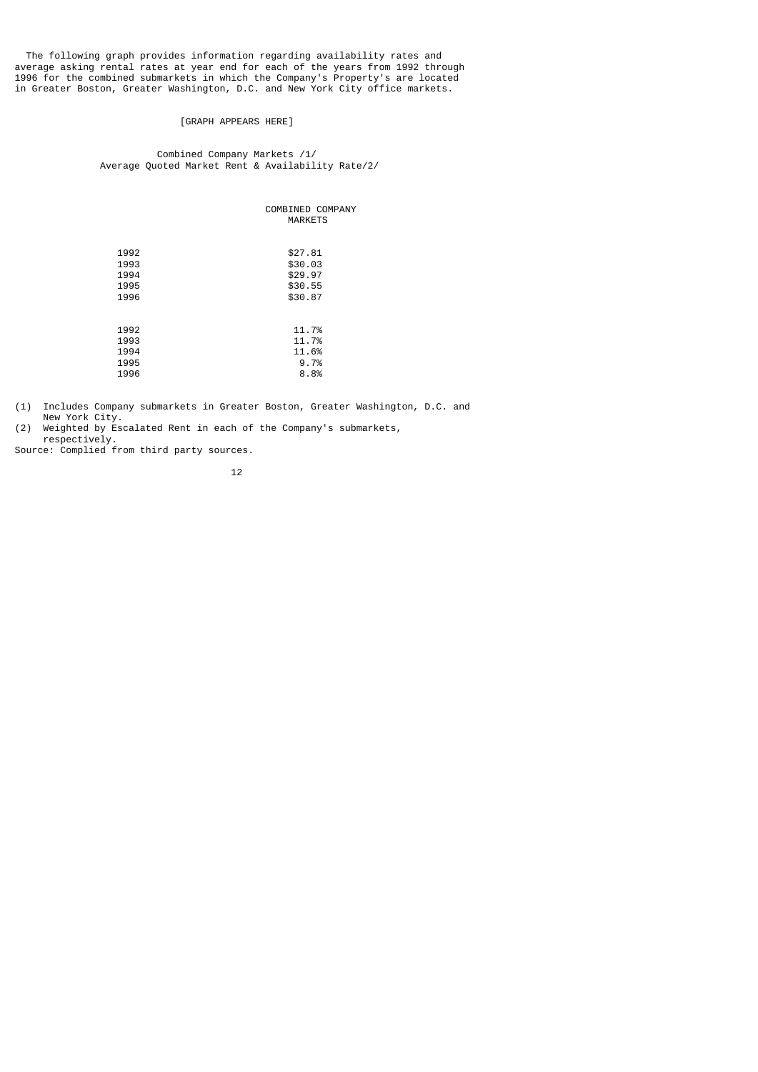The following graph provides information regarding availability rates and average asking rental rates at year end for each of the years from 1992 through 1996 for the combined submarkets in which the Company's Property's are located in Greater Boston, Greater Washington, D.C. and New York City office markets.

# [GRAPH APPEARS HERE]

# Combined Company Markets /1/ Average Quoted Market Rent & Availability Rate/2/

|      | COMBINED COMPANY<br><b>MARKETS</b> |
|------|------------------------------------|
| 1992 | \$27.81                            |
| 1993 | \$30.03                            |
| 1994 | \$29.97                            |
| 1995 | \$30.55                            |
| 1996 | \$30.87                            |
|      |                                    |
| 1992 | 11.7%                              |
| 1993 | 11.7%                              |
| 1994 | 11.6%                              |
| 1995 | 9.7%                               |
| 1996 | 8.8%                               |

(1) Includes Company submarkets in Greater Boston, Greater Washington, D.C. and New York City.<br>(2) Weighted by Es

Weighted by Escalated Rent in each of the Company's submarkets, respectively.

Source: Complied from third party sources.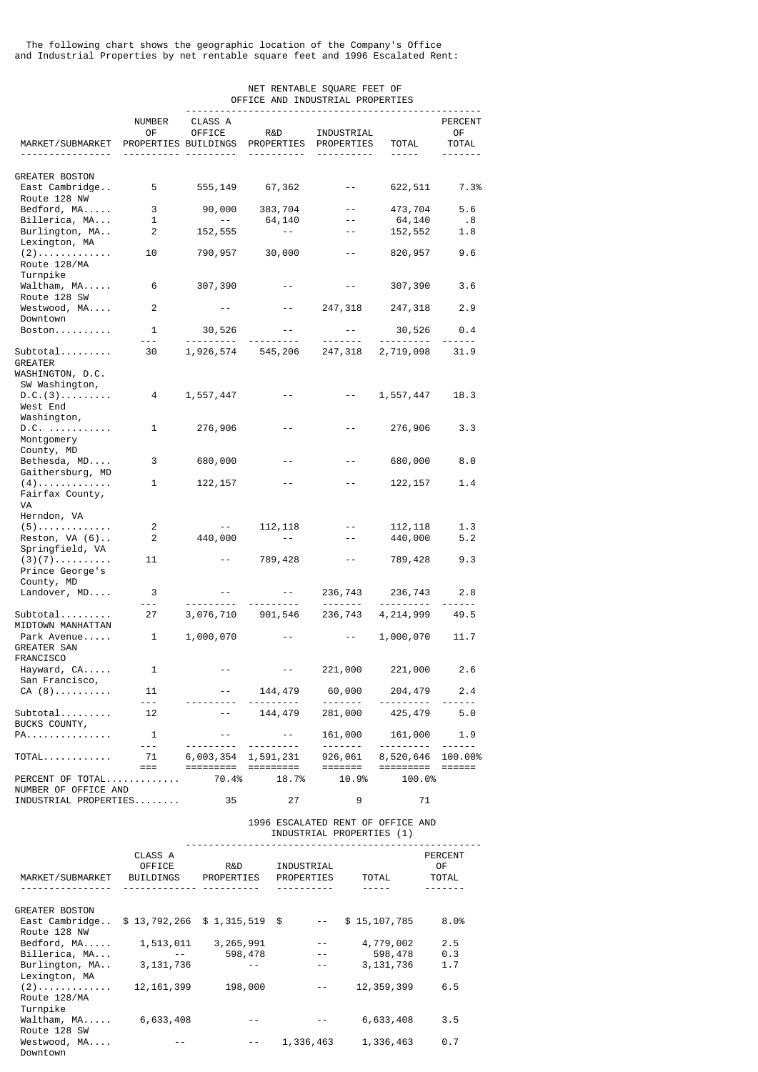The following chart shows the geographic location of the Company's Office and Industrial Properties by net rentable square feet and 1996 Escalated Rent:

## NET RENTABLE SQUARE FEET OF OFFICE AND INDUSTRIAL PROPERTIES ---------------------------------------------------- NUMBER CLASS A PERCENT OF OFFICE R&D INDUSTRIAL OF MARKET/SUBMARKET PROPERTIES BUILDINGS PROPERTIES PROPERTIES TOTAL TOTAL ---------------- ---------- --------- ---------- ---------- ----- ------- GREATER BOSTON East Cambridge.. 5 555,149 67,362 -- 622,511 7.3% Route 128 NW Bedford, MA..... 3 90,000 383,704 -- 473,704 5.6 Billerica, MA... 1 -- 64,140 -- 64,140 .8 Burlington, MA.. 2 152,555 -- Lexington, MA (2)............. 10 790,957 30,000 -- 820,957 9.6 Route 128/MA Turnpike Waltham, MA..... 6 307,390 -- - - 307,390 3.6 Route 128 SW Westwood, MA.... 2 -- - 247,318 247,318 2.9 Downtown Boston.......... 1 30,526 -- -- 30,526 0.4 --- --------- --------- ------- --------- ------ Subtotal......... 30 1,926,574 545,206 247,318 2,719,098 31.9 GREATER WASHINGTON, D.C. SW Washington,  $D.C. (3) \ldots \ldots$  4 1,557,447 -- - 1,557,447 18.3 West End Washington, D.C. ........... 1 276,906 -- -- 276,906 3.3 Montgomery County, MD Bethesda, MD.... 3 680,000 -- - - 680,000 8.0 Gaithersburg, MD (4)............. 1 122,157 -- -- 122,157 1.4 Fairfax County, VA Herndon, VA (5)............. 2 -- 112,118 -- 112,118 1.3  $Reston, VA (6)$ .. Springfield, VA (3)(7).......... 11 -- 789,428 -- 789,428 9.3 Prince George's County, MD Landover, MD.... 3 -- -- 236,743 236,743 2.8 --- --------- --------- ------- --------- ------ Subtotal......... 27 3,076,710 901,546 236,743 4,214,999 49.5 MIDTOWN MANHATTAN Park Avenue..... 1 1,000,070 -- - 1,000,070 11.7 GREATER SAN FRANCISCO Hayward, CA..... 1 -- - - - 221,000 221,000 2.6 San Francisco, CA (8)............ 11 -- 144,479 60,000 204,479 2.4 --- --------- --------- ------- --------- ------ Subtotal.......... 12 -- 144,479 281,000 425,479 5.0 BUCKS COUNTY, PA............... 1 -- -- 161,000 161,000 1.9 --- --------- --------- ------- --------- ------  $\begin{array}{ccccccccc}\n\text{Total...} & \text{final} & \text{total} & \text{total} & \text{total} & \text{total} & \text{total} & \text{total} & \text{total} & \text{total} & \text{total} & \text{total} \\
& \text{total} & \text{total} & \text{total} & \text{total} & \text{total} & \text{total} & \text{total} & \text{total} & \text{total} & \text{total} & \text{total} & \text{total} & \text{total} & \text{total} & \text{total} & \text{total} & \text{total} & \text{total} & \text{total} & \text{total} & \text{total} & \text{total} & \text{total$  === ========= ========= ======= ========= ====== PERCENT OF TOTAL.............

NUMBER OF OFFICE AND INDUSTRIAL PROPERTIES........ 35 27 9 71

# 1996 ESCALATED RENT OF OFFICE AND INDUSTRIAL PROPERTIES (1)

 ---------------------------------------------------- CLASS A PERCENT OFFICE R&D INDUSTRIAL OF MARKET/SUBMARKET BUILDINGS PROPERTIES PROPERTIES TOTAL TOTAL ---------------- ------------- ---------- ---------- ----- ------- GREATER BOSTON East Cambridge.. \$ 13,792,266 \$ 1,315,519 \$ -- \$ 15,107,785 8.0% Route 128 NW Bedford, MA..... 1,513,011 3,265,991 -- 4,779,002 2.5<br>Billerica, MA... -- 598,478 -- 598,478 0.3 Billerica, MA... -- 598,478 -- 598,478 0.3 Burlington, MA... Lexington, MA (2)............. 12,161,399 198,000 -- 12,359,399 6.5 Route 128/MA Turnpike Waltham, MA..... 6,633,408 -- - - 6,633,408 3.5 Route 128 SW Westwood, MA.... -- -- -- -- 1,336,463 1,336,463 0.7 Downtown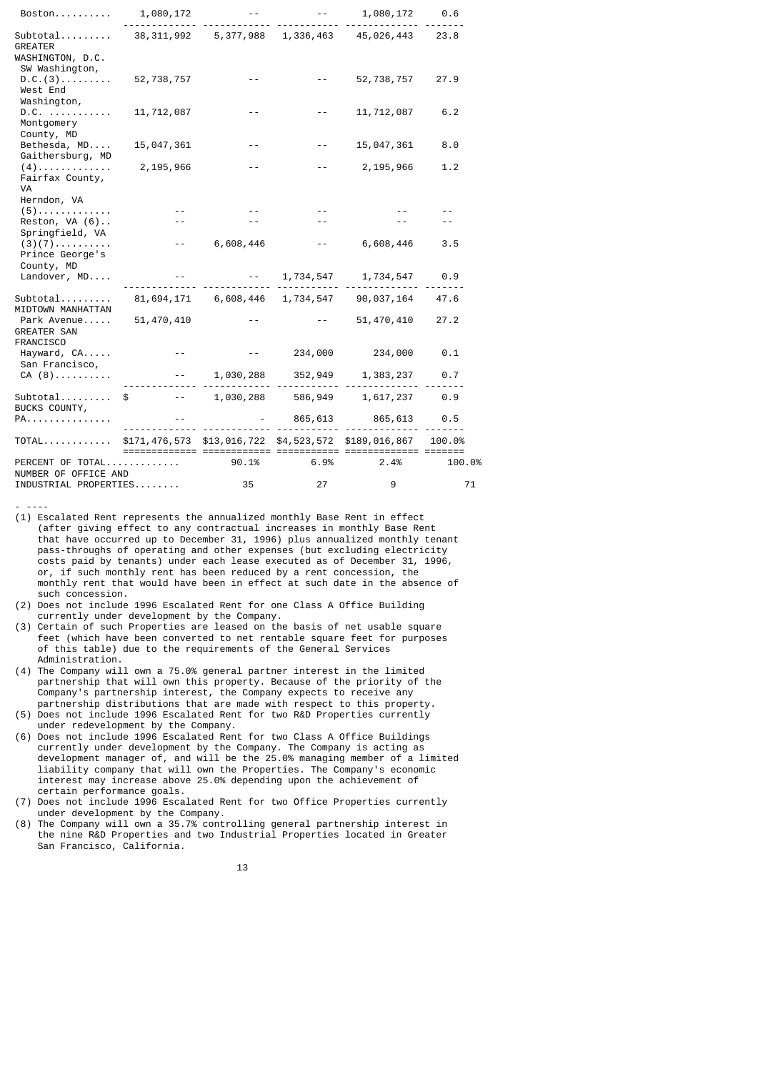| Boston                                                      | 1,080,172    |                                      |                    | 1,080,172                                            | 0.6    |
|-------------------------------------------------------------|--------------|--------------------------------------|--------------------|------------------------------------------------------|--------|
| $Subtotal$<br>GREATER<br>WASHINGTON, D.C.<br>SW Washington, |              |                                      |                    | 38, 311, 992 5, 377, 988 1, 336, 463 45, 026, 443    | 23.8   |
| D.C. (3)<br>West End<br>Washington,                         | 52,738,757   |                                      |                    | 52,738,757                                           | 27.9   |
| $D.C.$<br>Montgomery<br>County, MD                          | 11,712,087   |                                      | $- -$              | 11,712,087                                           | 6.2    |
| Bethesda, MD<br>Gaithersburg, MD                            | 15,047,361   |                                      |                    | 15,047,361                                           | 8.0    |
| $(4)$<br>Fairfax County,<br>VA                              | 2,195,966    |                                      | $- -$              | 2,195,966                                            | 1.2    |
| Herndon, VA<br>$(5)$                                        |              |                                      |                    |                                                      |        |
| Reston, $VA(6)$<br>Springfield, VA                          |              |                                      |                    |                                                      |        |
| $(3)(7)$<br>Prince George's<br>County, MD                   | $ -$         | 6,608,446                            | $- -$              | 6,608,446                                            | 3.5    |
| Landover, MD                                                |              |                                      | $-2$ , 1, 734, 547 | 1,734,547                                            | 0.9    |
| $Subtotal$<br>MIDTOWN MANHATTAN                             |              | 81, 694, 171 6, 608, 446 1, 734, 547 |                    | 90,037,164                                           | 47.6   |
| Park Avenue<br><b>GREATER SAN</b><br><b>FRANCISCO</b>       | 51, 470, 410 |                                      |                    | 51, 470, 410                                         | 27.2   |
| Hayward, CA<br>San Francisco,                               | $ -$         | $- -$                                | 234,000            | 234,000                                              | 0.1    |
| $CA(8)$                                                     |              | 1,030,288                            | 352,949            | 1,383,237                                            | 0.7    |
| Subtotal<br>BUCKS COUNTY,                                   | \$           | 1,030,288                            | 586,949            | 1,617,237                                            | 0.9    |
| PA.                                                         |              |                                      | 865,613            | 865,613                                              | 0.5    |
| TOTAL                                                       |              |                                      |                    | \$171,476,573 \$13,016,722 \$4,523,572 \$189,016,867 | 100.0% |
| PERCENT OF TOTAL<br>NUMBER OF OFFICE AND                    |              | 90.1%                                | 6.9%               | 2.4%                                                 | 100.0% |
| INDUSTRIAL PROPERTIES                                       |              | 35                                   | 27                 | 9                                                    | 71     |

<sup>- ----</sup>

- (1) Escalated Rent represents the annualized monthly Base Rent in effect (after giving effect to any contractual increases in monthly Base Rent that have occurred up to December 31, 1996) plus annualized monthly tenant pass-throughs of operating and other expenses (but excluding electricity costs paid by tenants) under each lease executed as of December 31, 1996, order  $f(x)$  is the second of the second by a rent concession, the monthly rent that would have been in effect at such date in the absence of such concession.
- (2) Does not include 1996 Escalated Rent for one Class A Office Building currently under development by the Company.
- (3) Certain of such Properties are leased on the basis of net usable square feet (which have been converted to net rentable square feet for purposes of this table) due to the requirements of the General Services Administration.
- (4) The Company will own a 75.0% general partner interest in the limited partnership that will own this property. Because of the priority of the Company's partnership interest, the Company expects to receive any partnership distributions that are made with respect to this property.
- (5) Does not include 1996 Escalated Rent for two R&D Properties currently under redevelopment by the Company.
- (6) Does not include 1996 Escalated Rent for two Class A Office Buildings currently under development by the Company. The Company is acting as development manager of, and will be the 25.0% managing member of a limited liability company that will own the Properties. The Company's economic interest may increase above 25.0% depending upon the achievement of certain performance goals.
- (7) Does not include 1996 Escalated Rent for two Office Properties currently under development by the Company.
- (8) The Company will own a 35.7% controlling general partnership interest in the nine R&D Properties and two Industrial Properties located in Greater San Francisco, California.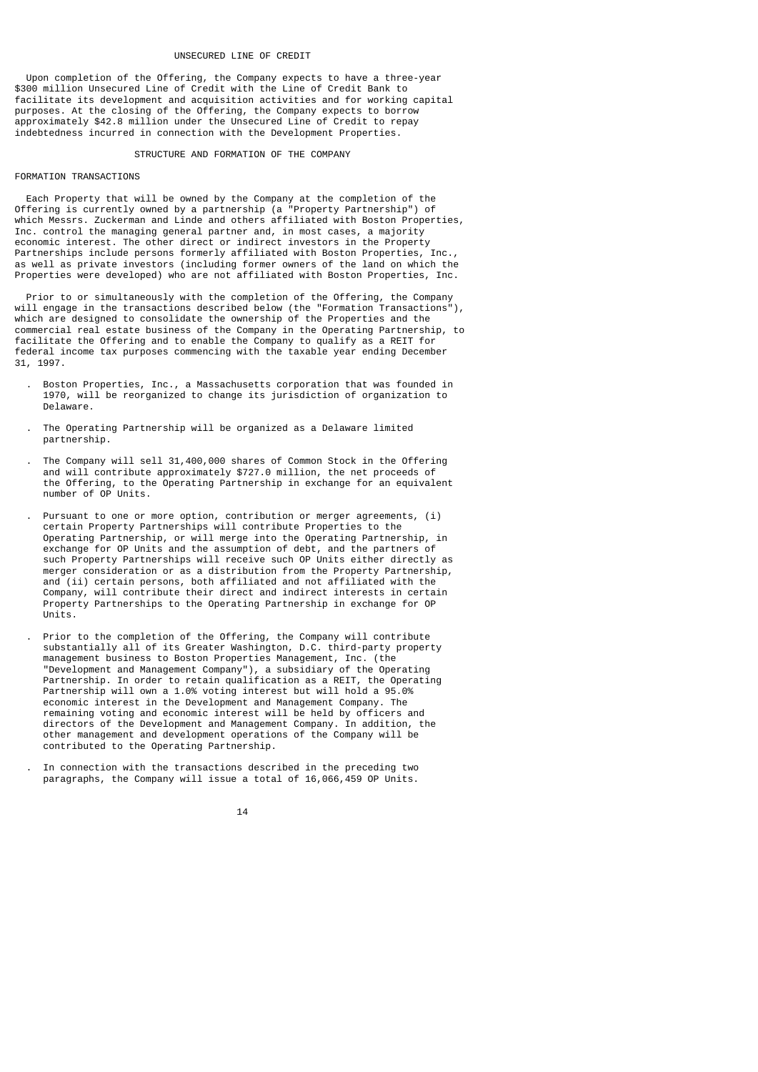#### UNSECURED LINE OF CREDIT

 Upon completion of the Offering, the Company expects to have a three-year \$300 million Unsecured Line of Credit with the Line of Credit Bank to facilitate its development and acquisition activities and for working capital purposes. At the closing of the Offering, the Company expects to borrow approximately \$42.8 million under the Unsecured Line of Credit to repay indebtedness incurred in connection with the Development Properties.

#### STRUCTURE AND FORMATION OF THE COMPANY

# FORMATION TRANSACTIONS

 Each Property that will be owned by the Company at the completion of the Offering is currently owned by a partnership (a "Property Partnership") of which Messrs. Zuckerman and Linde and others affiliated with Boston Properties, Inc. control the managing general partner and, in most cases, a majority economic interest. The other direct or indirect investors in the Property Partnerships include persons formerly affiliated with Boston Properties, Inc., as well as private investors (including former owners of the land on which the Properties were developed) who are not affiliated with Boston Properties, Inc.

 Prior to or simultaneously with the completion of the Offering, the Company will engage in the transactions described below (the "Formation Transactions"), which are designed to consolidate the ownership of the Properties and the commercial real estate business of the Company in the Operating Partnership, to facilitate the Offering and to enable the Company to qualify as a REIT for federal income tax purposes commencing with the taxable year ending December 31, 1997.

- . Boston Properties, Inc., a Massachusetts corporation that was founded in 1970, will be reorganized to change its jurisdiction of organization to Delaware.
- . The Operating Partnership will be organized as a Delaware limited partnership.
- . The Company will sell 31,400,000 shares of Common Stock in the Offering and will contribute approximately \$727.0 million, the net proceeds of the Offering, to the Operating Partnership in exchange for an equivalent number of OP Units.
	- Pursuant to one or more option, contribution or merger agreements, (i) certain Property Partnerships will contribute Properties to the Operating Partnership, or will merge into the Operating Partnership, in exchange for OP Units and the assumption of debt, and the partners of such Property Partnerships will receive such OP Units either directly as merger consideration or as a distribution from the Property Partnership, and (ii) certain persons, both affiliated and not affiliated with the Company, will contribute their direct and indirect interests in certain Property Partnerships to the Operating Partnership in exchange for OP Units.
- . Prior to the completion of the Offering, the Company will contribute substantially all of its Greater Washington, D.C. third-party property management business to Boston Properties Management, Inc. (the "Development and Management Company"), a subsidiary of the Operating Partnership. In order to retain qualification as a REIT, the Operating Partnership will own a 1.0% voting interest but will hold a 95.0% economic interest in the Development and Management Company. The remaining voting and economic interest will be held by officers and directors of the Development and Management Company. In addition, the other management and development operations of the Company will be contributed to the Operating Partnership.
	- . In connection with the transactions described in the preceding two paragraphs, the Company will issue a total of 16,066,459 OP Units.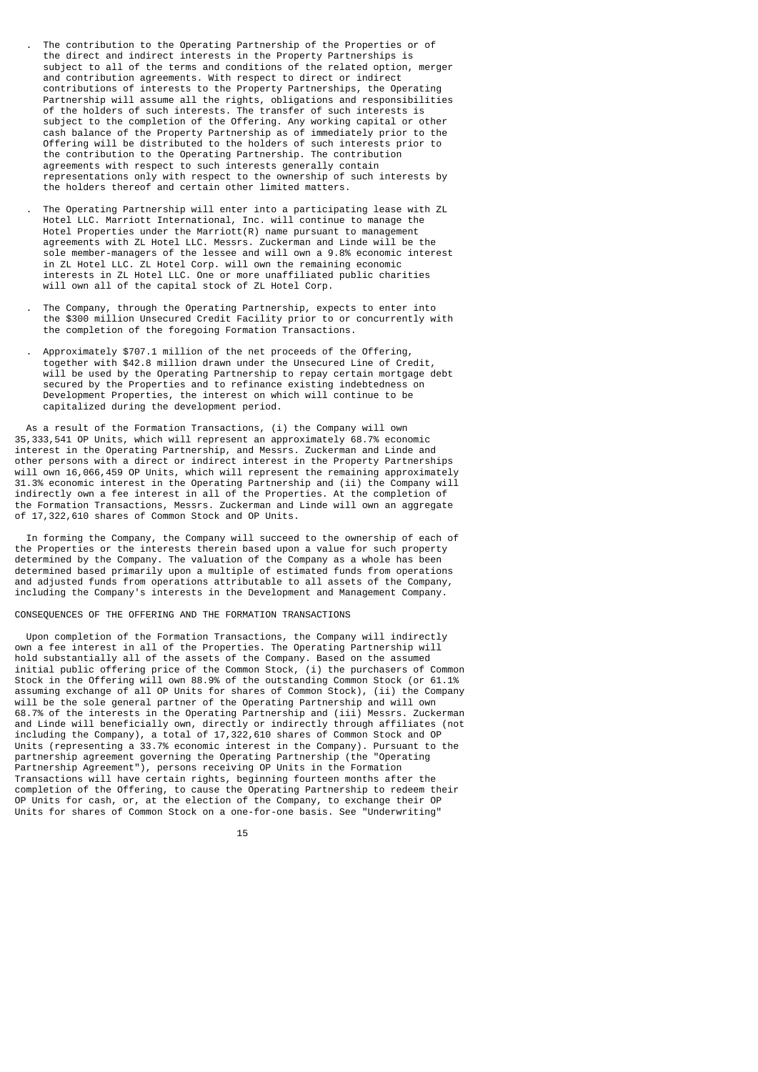. The contribution to the Operating Partnership of the Properties or of the direct and indirect interests in the Property Partnerships is subject to all of the terms and conditions of the related option, merger and contribution agreements. With respect to direct or indirect contributions of interests to the Property Partnerships, the Operating Partnership will assume all the rights, obligations and responsibilities of the holders of such interests. The transfer of such interests is subject to the completion of the Offering. Any working capital or other cash balance of the Property Partnership as of immediately prior to the Offering will be distributed to the holders of such interests prior to the contribution to the Operating Partnership. The contribution agreements with respect to such interests generally contain representations only with respect to the ownership of such interests by the holders thereof and certain other limited matters.

- . The Operating Partnership will enter into a participating lease with ZL Hotel LLC. Marriott International, Inc. will continue to manage the Hotel Properties under the Marriott(R) name pursuant to management agreements with ZL Hotel LLC. Messrs. Zuckerman and Linde will be the sole member-managers of the lessee and will own a 9.8% economic interest in ZL Hotel LLC. ZL Hotel Corp. will own the remaining economic interests in ZL Hotel LLC. One or more unaffiliated public charities will own all of the capital stock of ZL Hotel Corp.
- . The Company, through the Operating Partnership, expects to enter into the \$300 million Unsecured Credit Facility prior to or concurrently with the completion of the foregoing Formation Transactions.
- . Approximately \$707.1 million of the net proceeds of the Offering, together with \$42.8 million drawn under the Unsecured Line of Credit, will be used by the Operating Partnership to repay certain mortgage debt secured by the Properties and to refinance existing indebtedness on Development Properties, the interest on which will continue to be capitalized during the development period.

As a result of the Formation Transactions, (i) the Company will own 35,333,541 OP Units, which will represent an approximately 68.7% economic interest in the Operating Partnership, and Messrs. Zuckerman and Linde and other persons with a direct or indirect interest in the Property Partnerships will own 16,066,459 OP Units, which will represent the remaining approximately 31.3% economic interest in the Operating Partnership and (ii) the Company will indirectly own a fee interest in all of the Properties. At the completion of the Formation Transactions, Messrs. Zuckerman and Linde will own an aggregate of 17,322,610 shares of Common Stock and OP Units.

 In forming the Company, the Company will succeed to the ownership of each of the Properties or the interests therein based upon a value for such property determined by the Company. The valuation of the Company as a whole has been determined based primarily upon a multiple of estimated funds from operations and adjusted funds from operations attributable to all assets of the Company, including the Company's interests in the Development and Management Company.

## CONSEQUENCES OF THE OFFERING AND THE FORMATION TRANSACTIONS

 Upon completion of the Formation Transactions, the Company will indirectly own a fee interest in all of the Properties. The Operating Partnership will hold substantially all of the assets of the Company. Based on the assumed initial public offering price of the Common Stock, (i) the purchasers of Common Stock in the Offering will own 88.9% of the outstanding Common Stock (or 61.1% assuming exchange of all OP Units for shares of Common Stock), (ii) the Company will be the sole general partner of the Operating Partnership and will own 68.7% of the interests in the Operating Partnership and (iii) Messrs. Zuckerman and Linde will beneficially own, directly or indirectly through affiliates (not including the Company), a total of 17,322,610 shares of Common Stock and OP Units (representing a 33.7% economic interest in the Company). Pursuant to the partnership agreement governing the Operating Partnership (the "Operating Partnership Agreement"), persons receiving OP Units in the Formation Transactions will have certain rights, beginning fourteen months after the completion of the Offering, to cause the Operating Partnership to redeem their OP Units for cash, or, at the election of the Company, to exchange their OP Units for shares of Common Stock on a one-for-one basis. See "Underwriting"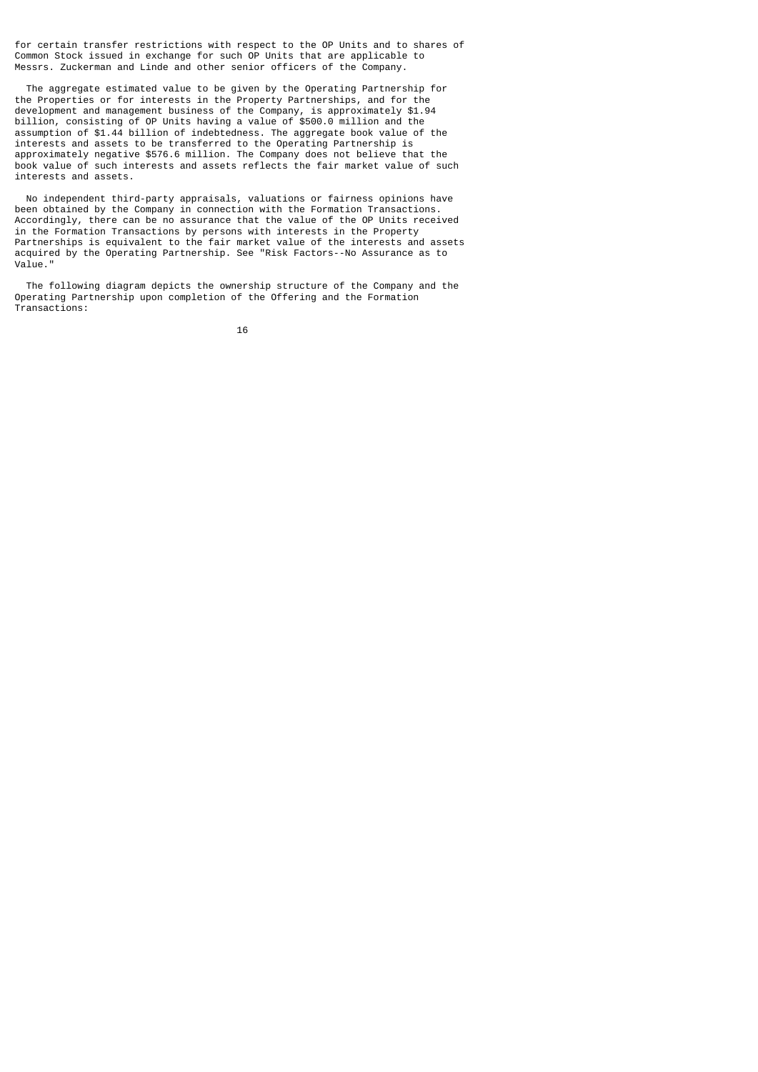for certain transfer restrictions with respect to the OP Units and to shares of Common Stock issued in exchange for such OP Units that are applicable to Messrs. Zuckerman and Linde and other senior officers of the Company.

 The aggregate estimated value to be given by the Operating Partnership for the Properties or for interests in the Property Partnerships, and for the development and management business of the Company, is approximately \$1.94 billion, consisting of OP Units having a value of \$500.0 million and the assumption of \$1.44 billion of indebtedness. The aggregate book value of the interests and assets to be transferred to the Operating Partnership is approximately negative \$576.6 million. The Company does not believe that the book value of such interests and assets reflects the fair market value of such interests and assets.

 No independent third-party appraisals, valuations or fairness opinions have been obtained by the Company in connection with the Formation Transactions. Accordingly, there can be no assurance that the value of the OP Units received in the Formation Transactions by persons with interests in the Property Partnerships is equivalent to the fair market value of the interests and assets acquired by the Operating Partnership. See "Risk Factors--No Assurance as to Value."

 The following diagram depicts the ownership structure of the Company and the Operating Partnership upon completion of the Offering and the Formation Transactions: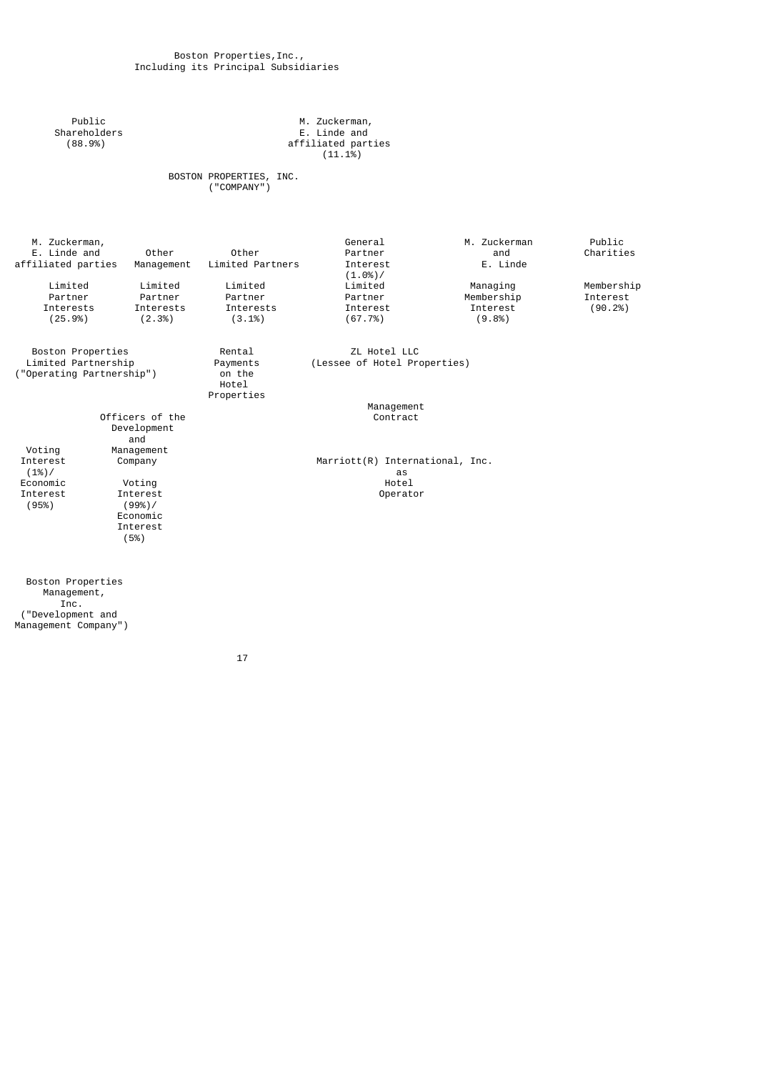Public M. Zuckerman, Shareholders E. Linde and (88.9%) affiliated parties  $(11.1\%)$ 

 BOSTON PROPERTIES, INC. ("COMPANY")

| M. Zuckerman,<br>E. Linde and<br>affiliated parties | Other<br>Management                   | Other<br>Limited Partners     | General<br>Partner<br>Interest<br>(1.0%)/ | M. Zuckerman<br>and<br>E. Linde | Public<br>Charities |
|-----------------------------------------------------|---------------------------------------|-------------------------------|-------------------------------------------|---------------------------------|---------------------|
| Limited                                             | Limited                               | Limited                       | Limited                                   | Managing                        | Membership          |
| Partner                                             | Partner                               | Partner                       | Partner                                   | Membership                      | Interest            |
| Interests                                           | Interests                             | Interests                     | Interest                                  | Interest                        | (90.2%)             |
| (25.9%)                                             | (2.3%)                                | $(3.1\%)$                     | (67.7%)                                   | (9.8%                           |                     |
| Boston Properties                                   |                                       | Rental                        | ZL Hotel LLC                              |                                 |                     |
| Limited Partnership                                 |                                       | Payments                      | (Lessee of Hotel Properties)              |                                 |                     |
| ("Operating Partnership")                           |                                       | on the<br>Hotel<br>Properties |                                           |                                 |                     |
|                                                     |                                       |                               | Management                                |                                 |                     |
|                                                     | Officers of the<br>Development<br>and |                               | Contract                                  |                                 |                     |
| Voting                                              | Management                            |                               |                                           |                                 |                     |
| Interest<br>(1%)/                                   | Company                               |                               | Marriott(R) International, Inc.<br>as     |                                 |                     |
| Economic                                            | Voting                                |                               | Hotel                                     |                                 |                     |
| Interest                                            | Interest                              |                               | Operator                                  |                                 |                     |
| (95%)                                               | (99%)/                                |                               |                                           |                                 |                     |
|                                                     | Economic                              |                               |                                           |                                 |                     |
|                                                     | Interest                              |                               |                                           |                                 |                     |
|                                                     | (5%)                                  |                               |                                           |                                 |                     |
|                                                     |                                       |                               |                                           |                                 |                     |
| Boston Properties                                   |                                       |                               |                                           |                                 |                     |

 Management, Inc. ("Development and Management Company")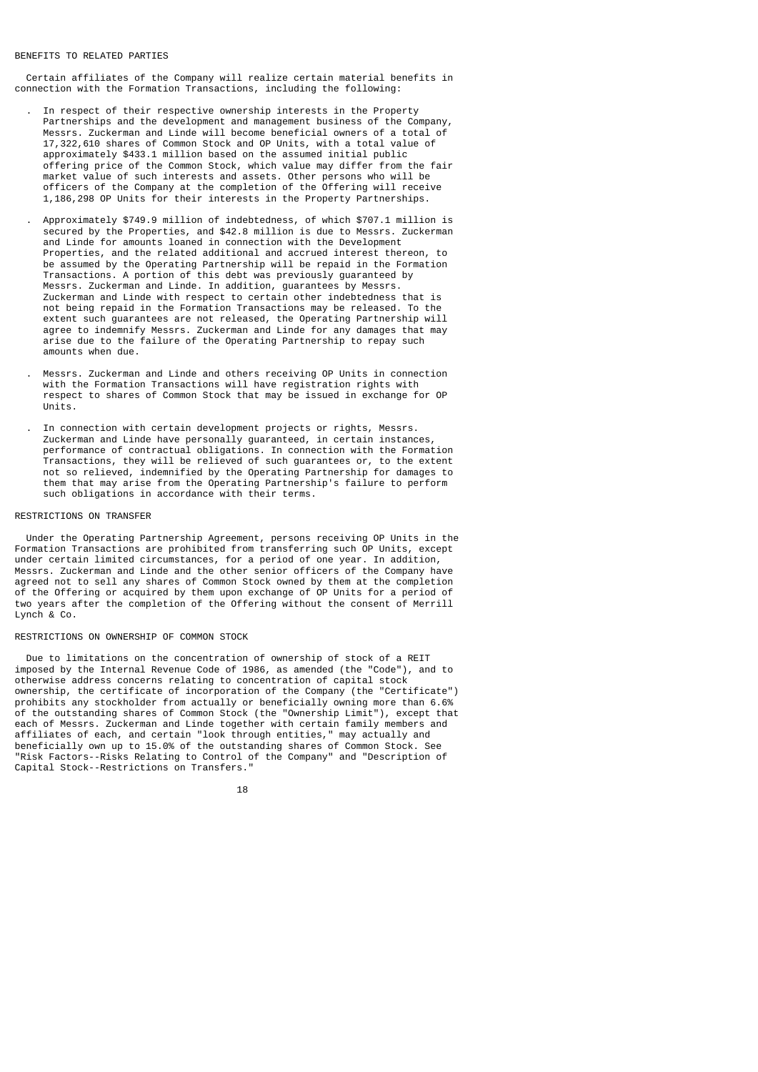#### BENEFITS TO RELATED PARTIES

 Certain affiliates of the Company will realize certain material benefits in connection with the Formation Transactions, including the following:

- . In respect of their respective ownership interests in the Property Partnerships and the development and management business of the Company, Messrs. Zuckerman and Linde will become beneficial owners of a total of 17,322,610 shares of Common Stock and OP Units, with a total value of approximately \$433.1 million based on the assumed initial public offering price of the Common Stock, which value may differ from the fair market value of such interests and assets. Other persons who will be officers of the Company at the completion of the Offering will receive 1,186,298 OP Units for their interests in the Property Partnerships.
	- . Approximately \$749.9 million of indebtedness, of which \$707.1 million is secured by the Properties, and \$42.8 million is due to Messrs. Zuckerman and Linde for amounts loaned in connection with the Development Properties, and the related additional and accrued interest thereon, to be assumed by the Operating Partnership will be repaid in the Formation Transactions. A portion of this debt was previously guaranteed by Messrs. Zuckerman and Linde. In addition, guarantees by Messrs. Zuckerman and Linde with respect to certain other indebtedness that is not being repaid in the Formation Transactions may be released. To the extent such guarantees are not released, the Operating Partnership will agree to indemnify Messrs. Zuckerman and Linde for any damages that may arise due to the failure of the Operating Partnership to repay such amounts when due.
	- . Messrs. Zuckerman and Linde and others receiving OP Units in connection with the Formation Transactions will have registration rights with respect to shares of Common Stock that may be issued in exchange for OP Units.
- . In connection with certain development projects or rights, Messrs. Zuckerman and Linde have personally guaranteed, in certain instances, performance of contractual obligations. In connection with the Formation Transactions, they will be relieved of such guarantees or, to the extent not so relieved, indemnified by the Operating Partnership for damages to them that may arise from the Operating Partnership's failure to perform such obligations in accordance with their terms.

#### RESTRICTIONS ON TRANSFER

 Under the Operating Partnership Agreement, persons receiving OP Units in the Formation Transactions are prohibited from transferring such OP Units, except under certain limited circumstances, for a period of one year. In addition, Messrs. Zuckerman and Linde and the other senior officers of the Company have agreed not to sell any shares of Common Stock owned by them at the completion of the Offering or acquired by them upon exchange of OP Units for a period of two years after the completion of the Offering without the consent of Merrill Lynch & Co.

# RESTRICTIONS ON OWNERSHIP OF COMMON STOCK

 Due to limitations on the concentration of ownership of stock of a REIT imposed by the Internal Revenue Code of 1986, as amended (the "Code"), and to otherwise address concerns relating to concentration of capital stock ownership, the certificate of incorporation of the Company (the "Certificate") prohibits any stockholder from actually or beneficially owning more than 6.6% of the outstanding shares of Common Stock (the "Ownership Limit"), except that each of Messrs. Zuckerman and Linde together with certain family members and affiliates of each, and certain "look through entities," may actually and beneficially own up to 15.0% of the outstanding shares of Common Stock. See "Risk Factors--Risks Relating to Control of the Company" and "Description of Capital Stock--Restrictions on Transfers."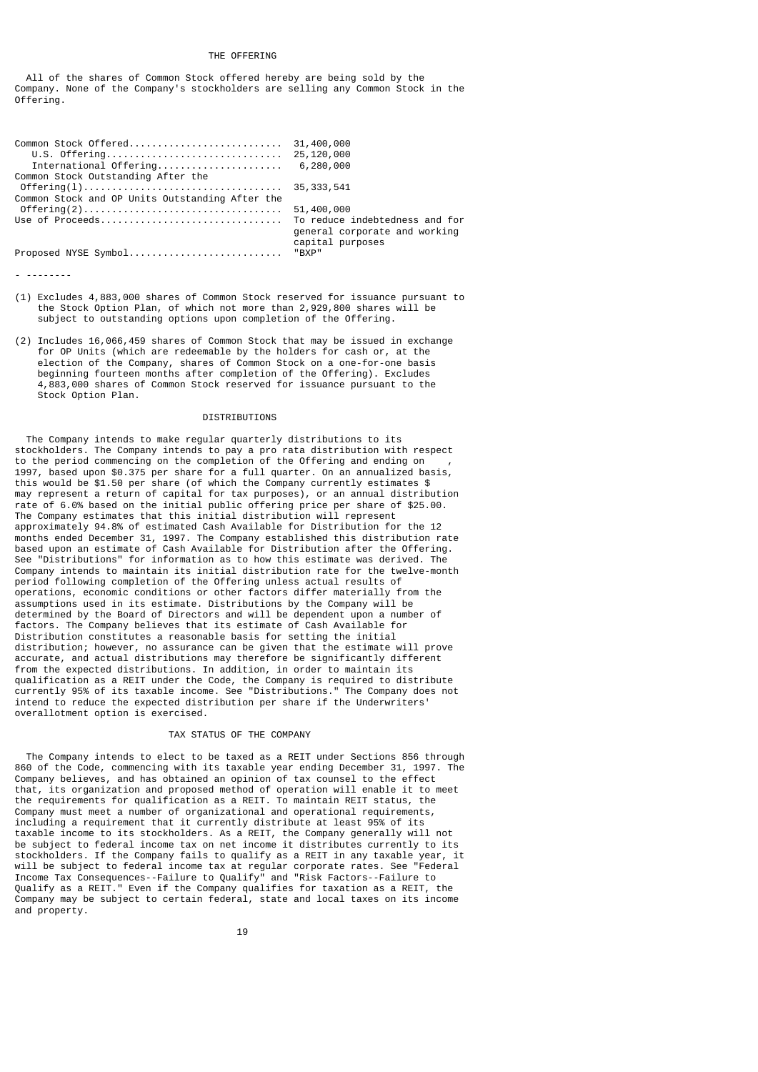#### THE OFFERING

 All of the shares of Common Stock offered hereby are being sold by the Company. None of the Company's stockholders are selling any Common Stock in the Offering.

| International Offering 6,280,000                |                                                   |
|-------------------------------------------------|---------------------------------------------------|
| Common Stock Outstanding After the              |                                                   |
|                                                 |                                                   |
| Common Stock and OP Units Outstanding After the |                                                   |
|                                                 |                                                   |
|                                                 | general corporate and working<br>capital purposes |
| Proposed NYSE Symbol "BXP"                      |                                                   |

- --------

- (1) Excludes 4,883,000 shares of Common Stock reserved for issuance pursuant to the Stock Option Plan, of which not more than 2,929,800 shares will be subject to outstanding options upon completion of the Offering.
- (2) Includes 16,066,459 shares of Common Stock that may be issued in exchange for OP Units (which are redeemable by the holders for cash or, at the election of the Company, shares of Common Stock on a one-for-one basis beginning fourteen months after completion of the Offering). Excludes 4,883,000 shares of Common Stock reserved for issuance pursuant to the Stock Option Plan.

#### DISTRIBUTIONS

 The Company intends to make regular quarterly distributions to its stockholders. The Company intends to pay a pro rata distribution with respect to the period commencing on the completion of the Offering and ending on 1997, based upon \$0.375 per share for a full quarter. On an annualized basis, this would be \$1.50 per share (of which the Company currently estimates \$ may represent a return of capital for tax purposes), or an annual distribution rate of 6.0% based on the initial public offering price per share of \$25.00. The Company estimates that this initial distribution will represent approximately 94.8% of estimated Cash Available for Distribution for the 12 months ended December 31, 1997. The Company established this distribution rate based upon an estimate of Cash Available for Distribution after the Offering. See "Distributions" for information as to how this estimate was derived. The Company intends to maintain its initial distribution rate for the twelve-month period following completion of the Offering unless actual results of operations, economic conditions or other factors differ materially from the assumptions used in its estimate. Distributions by the Company will be determined by the Board of Directors and will be dependent upon a number of factors. The Company believes that its estimate of Cash Available for Distribution constitutes a reasonable basis for setting the initial distribution; however, no assurance can be given that the estimate will prove accurate, and actual distributions may therefore be significantly different from the expected distributions. In addition, in order to maintain its qualification as a REIT under the Code, the Company is required to distribute currently 95% of its taxable income. See "Distributions." The Company does not intend to reduce the expected distribution per share if the Underwriters' overallotment option is exercised.

# TAX STATUS OF THE COMPANY

 The Company intends to elect to be taxed as a REIT under Sections 856 through 860 of the Code, commencing with its taxable year ending December 31, 1997. The Company believes, and has obtained an opinion of tax counsel to the effect that, its organization and proposed method of operation will enable it to meet the requirements for qualification as a REIT. To maintain REIT status, the Company must meet a number of organizational and operational requirements, including a requirement that it currently distribute at least 95% of its taxable income to its stockholders. As a REIT, the Company generally will not be subject to federal income tax on net income it distributes currently to its stockholders. If the Company fails to qualify as a REIT in any taxable year, it will be subject to federal income tax at regular corporate rates. See "Federal Income Tax Consequences--Failure to Qualify" and "Risk Factors--Failure to Qualify as a REIT." Even if the Company qualifies for taxation as a REIT, the Company may be subject to certain federal, state and local taxes on its income and property.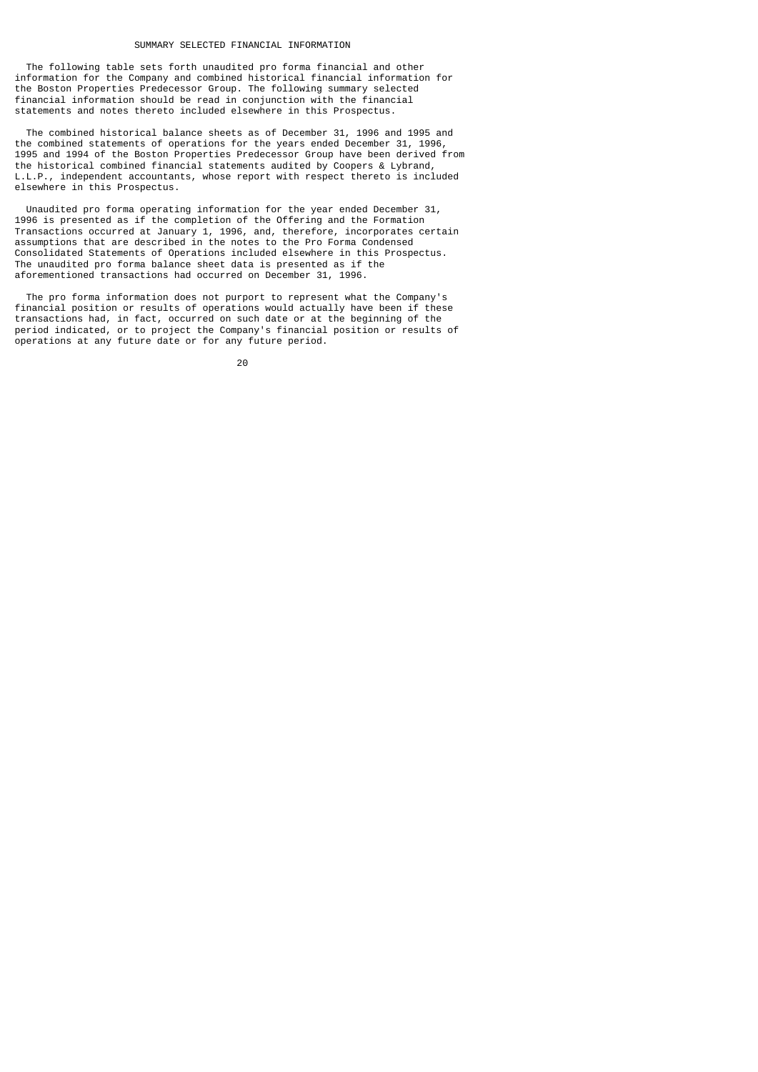#### SUMMARY SELECTED FINANCIAL INFORMATION

 The following table sets forth unaudited pro forma financial and other information for the Company and combined historical financial information for the Boston Properties Predecessor Group. The following summary selected financial information should be read in conjunction with the financial statements and notes thereto included elsewhere in this Prospectus.

 The combined historical balance sheets as of December 31, 1996 and 1995 and the combined statements of operations for the years ended December 31, 1996, 1995 and 1994 of the Boston Properties Predecessor Group have been derived from the historical combined financial statements audited by Coopers & Lybrand, L.L.P., independent accountants, whose report with respect thereto is included elsewhere in this Prospectus.

 Unaudited pro forma operating information for the year ended December 31, 1996 is presented as if the completion of the Offering and the Formation Transactions occurred at January 1, 1996, and, therefore, incorporates certain assumptions that are described in the notes to the Pro Forma Condensed Consolidated Statements of Operations included elsewhere in this Prospectus. The unaudited pro forma balance sheet data is presented as if the aforementioned transactions had occurred on December 31, 1996.

 The pro forma information does not purport to represent what the Company's financial position or results of operations would actually have been if these transactions had, in fact, occurred on such date or at the beginning of the period indicated, or to project the Company's financial position or results of operations at any future date or for any future period.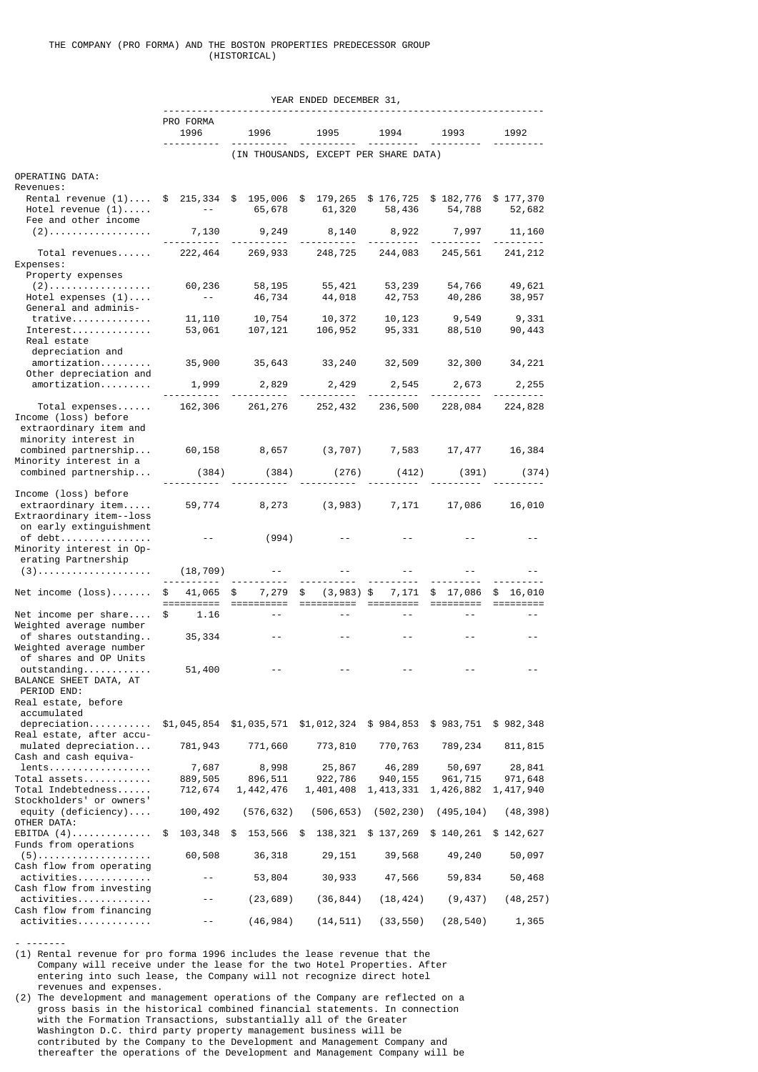|                                                                                                                            |                        |                                       | YEAR ENDED DECEMBER 31, |                        |                               |                    |
|----------------------------------------------------------------------------------------------------------------------------|------------------------|---------------------------------------|-------------------------|------------------------|-------------------------------|--------------------|
|                                                                                                                            |                        |                                       |                         |                        |                               |                    |
|                                                                                                                            | PRO FORMA<br>1996      | 1996                                  | 1995                    | 1994                   | 1993                          | 1992               |
|                                                                                                                            |                        | (IN THOUSANDS, EXCEPT PER SHARE DATA) |                         |                        |                               |                    |
| OPERATING DATA:                                                                                                            |                        |                                       |                         |                        |                               |                    |
| Revenues:<br>Rental revenue (1) \$ 215,334 \$ 195,006 \$ 179,265 \$ 176,725<br>Hotel revenue $(1)$<br>Fee and other income | $\sim 100$ m s $^{-1}$ | 65,678                                | 61,320                  | 58,436                 | \$182,776 \$177,370<br>54,788 | 52,682             |
| $(2)$                                                                                                                      | 7,130<br>.             | 9,249                                 | 8,140                   | 8,922                  | 7,997                         | 11,160             |
| Total revenues<br>Expenses:                                                                                                | 222,464                | 269,933 248,725                       |                         | 244,083                | 245,561                       | 241, 212           |
| Property expenses<br>$(2)$                                                                                                 | 60,236                 | 58,195                                | 55,421                  | 53,239                 | 54,766                        | 49,621             |
| Hotel expenses $(1)$<br>General and adminis-                                                                               | $- - -$                | 46,734                                | 44,018                  | 42,753                 | 40,286                        | 38,957             |
| $trative \ldots \ldots$<br>Interest.<br>Real estate<br>depreciation and                                                    | 11, 110<br>53,061      | 10,754<br>107,121                     | 10,372<br>106,952       | 10,123<br>95,331       | 9,549<br>88,510               | 9,331<br>90,443    |
| amortization<br>Other depreciation and                                                                                     | 35,900                 | 35,643                                | 33,240 32,509           |                        | 32,300                        | 34,221             |
| amortization                                                                                                               | 1,999                  | 2,829                                 | 2,429                   | 2,545                  | 2,673                         | 2,255              |
| $Total$ expenses<br>Income (loss) before<br>extraordinary item and<br>minority interest in                                 | 162,306                | 261,276                               | 252,432                 | 236,500                | 228,084                       | 224,828            |
| combined partnership<br>Minority interest in a                                                                             |                        |                                       |                         |                        | 17,477                        | 16,384             |
| combined partnership                                                                                                       | (384)                  | (384)                                 | (276)                   | (412)                  | (391)                         | (374)              |
| Income (loss) before<br>extraordinary item<br>Extraordinary item--loss<br>on early extinguishment                          | 59,774                 | 8,273                                 | (3,983)                 | 7,171                  | 17,086                        | 16,010             |
| of debt<br>Minority interest in Op-                                                                                        |                        | (994)                                 |                         |                        |                               |                    |
| erating Partnership<br>$(3)$                                                                                               | (18, 709)              |                                       |                         |                        |                               |                    |
| Net income $(\text{loss}) \dots \dots$                                                                                     | \$<br>41,065           | \$<br>7,279                           | \$<br>$(3,983)$ \$      | 7,171                  | \$17,086                      | \$<br>16,010       |
| Net income per share<br>Weighted average number<br>of shares outstanding                                                   | \$<br>1.16             |                                       |                         |                        |                               |                    |
| Weighted average number<br>of shares and OP Units                                                                          | 35,334                 |                                       |                         |                        |                               |                    |
| outstanding<br>BALANCE SHEET DATA, AT<br>PERIOD END:<br>Real estate, before                                                | 51,400                 |                                       |                         |                        |                               |                    |
| accumulated<br>Real estate, after accu-                                                                                    | \$1,045,854            | \$1,035,571                           | \$1,012,324             | \$984,853              | \$983,751                     | \$982,348          |
| mulated depreciation<br>Cash and cash equiva-                                                                              | 781,943                | 771,660                               | 773,810                 | 770,763                | 789,234                       | 811, 815           |
| lents<br>Total assets                                                                                                      | 7,687<br>889,505       | 8,998<br>896,511                      | 25,867<br>922,786       | 46,289<br>940, 155     | 50,697<br>961,715             | 28,841<br>971,648  |
| Total Indebtedness<br>Stockholders' or owners'                                                                             | 712,674                | 1,442,476                             | 1,401,408               | 1,413,331              | 1,426,882                     | 1,417,940          |
| equity (deficiency)<br>OTHER DATA:                                                                                         | 100,492                | (576, 632)                            | (506, 653)              | (502, 230)             | (495, 104)                    | (48, 398)          |
| EBITDA $(4)$<br>Funds from operations                                                                                      | \$<br>103,348          | \$<br>153,566                         | \$<br>138,321 \$137,269 |                        | \$140,261                     | \$142,627          |
| $(5)$<br>Cash flow from operating                                                                                          | 60,508                 | 36,318                                | 29,151                  | 39,568                 | 49,240                        | 50,097             |
| activities<br>Cash flow from investing                                                                                     |                        | 53,804                                | 30,933                  | 47,566                 | 59,834                        | 50,468             |
| activities<br>Cash flow from financing<br>activities                                                                       |                        | (23, 689)<br>(46, 984)                | (36, 844)<br>(14, 511)  | (18, 424)<br>(33, 550) | (9, 437)<br>(28, 540)         | (48, 257)<br>1,365 |
|                                                                                                                            |                        |                                       |                         |                        |                               |                    |

(1) Rental revenue for pro forma 1996 includes the lease revenue that the Company will receive under the lease for the two Hotel Properties. After entering into such lease, the Company will not recognize direct hotel revenues and expenses.

- -------

(2) The development and management operations of the Company are reflected on a gross basis in the historical combined financial statements. In connection with the Formation Transactions, substantially all of the Greater Washington D.C. third party property management business will be contributed by the Company to the Development and Management Company and thereafter the operations of the Development and Management Company will be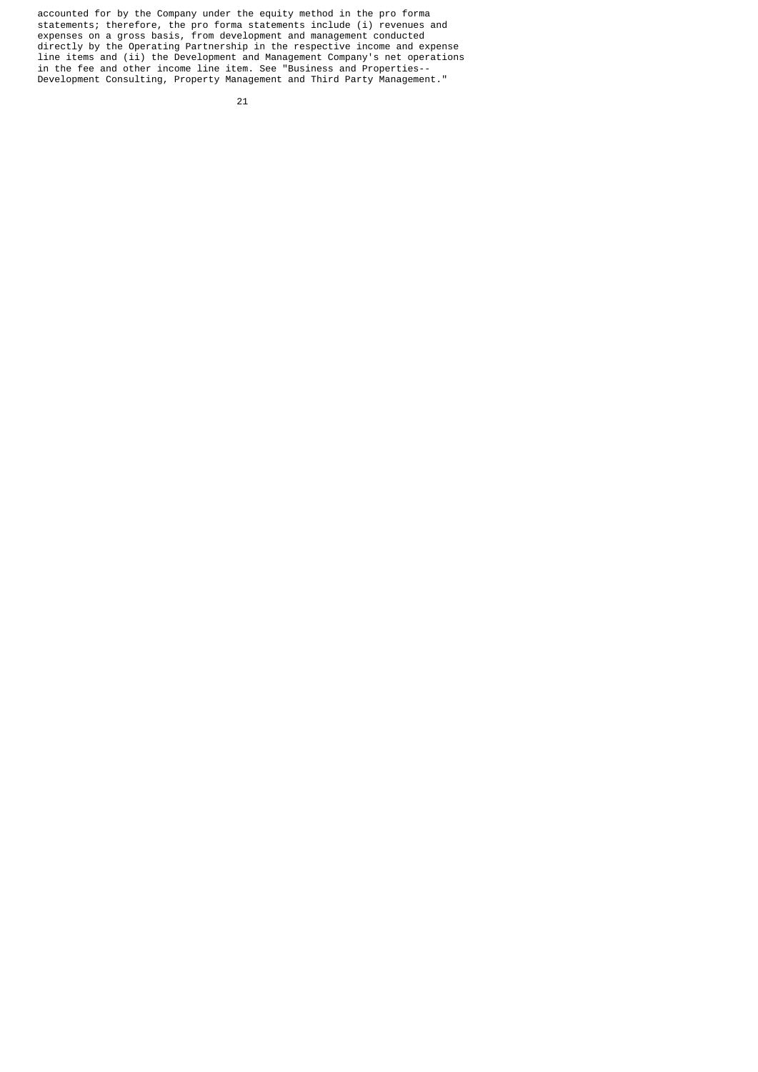accounted for by the Company under the equity method in the pro forma statements; therefore, the pro forma statements include (i) revenues and expenses on a gross basis, from development and management conducted directly by the Operating Partnership in the respective income and expense line items and (ii) the Development and Management Company's net operations in the fee and other income line item. See "Business and Properties-- Development Consulting, Property Management and Third Party Management."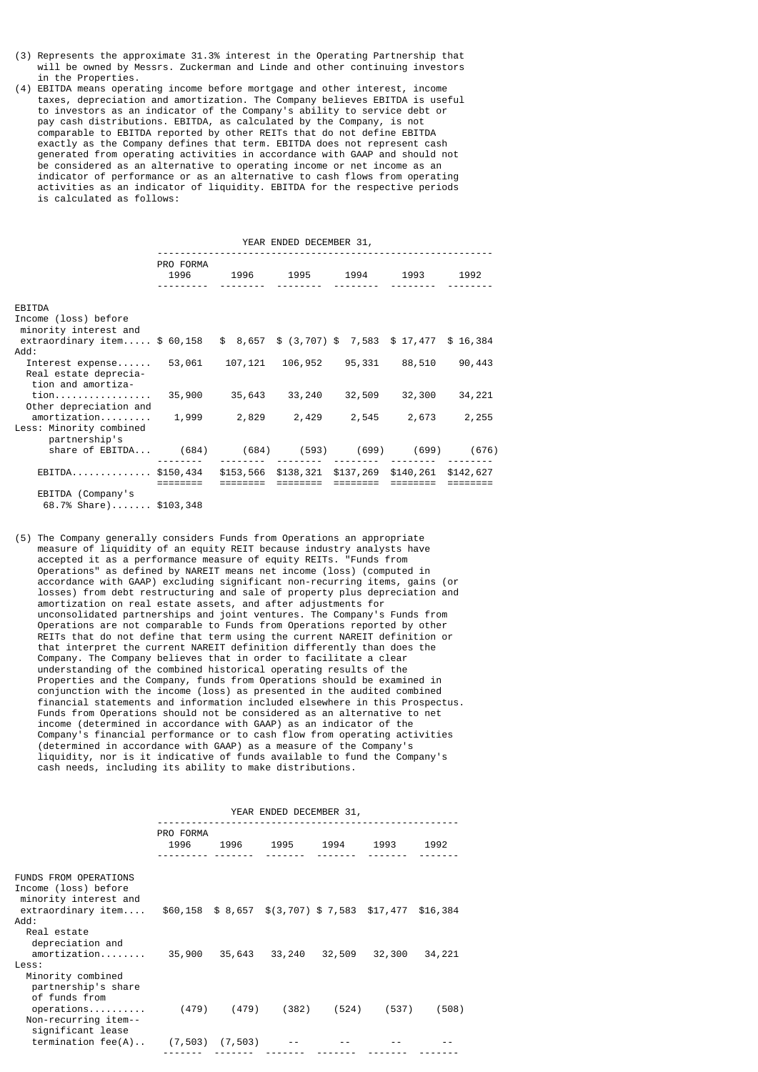- (3) Represents the approximate 31.3% interest in the Operating Partnership that will be owned by Messrs. Zuckerman and Linde and other continuing investors in the Properties.
- (4) EBITDA means operating income before mortgage and other interest, income taxes, depreciation and amortization. The Company believes EBITDA is useful to investors as an indicator of the Company's ability to service debt or pay cash distributions. EBITDA, as calculated by the Company, is not comparable to EBITDA reported by other REITs that do not define EBITDA exactly as the Company defines that term. EBITDA does not represent cash generated from operating activities in accordance with GAAP and should not be considered as an alternative to operating income or net income as an indicator of performance or as an alternative to cash flows from operating activities as an indicator of liquidity. EBITDA for the respective periods is calculated as follows:

|                                                                               | YEAR ENDED DECEMBER 31, |                               |          |                               |          |        |  |  |  |
|-------------------------------------------------------------------------------|-------------------------|-------------------------------|----------|-------------------------------|----------|--------|--|--|--|
|                                                                               | PRO FORMA<br>1996       | 1996 1995 1994 1993           |          |                               |          | 1992   |  |  |  |
| EBITDA<br>Income (loss) before<br>minority interest and                       |                         |                               |          |                               |          |        |  |  |  |
| extraordinary item \$ 60,158 \$ 8,657 \$ (3,707) \$ 7,583 \$ 17,477 \$ 16,384 |                         |                               |          |                               |          |        |  |  |  |
| Add:<br>Interest expense<br>Real estate deprecia-<br>tion and amortiza-       | 53,061                  |                               |          | 107,121 106,952 95,331 88,510 |          | 90,443 |  |  |  |
| tion<br>Other depreciation and                                                |                         | 35,900 35,643                 | 33,240   | 32,509                        | 32,300   | 34,221 |  |  |  |
| amortization<br>Less: Minority combined<br>partnership's                      |                         | 1,999 2,829 2,429 2,545 2,673 |          |                               |          | 2,255  |  |  |  |
| share of EBITDA (684) (684) (593) (699) (699) (676)                           |                         |                               |          |                               |          |        |  |  |  |
| EBITDA\$150,434 \$153,566 \$138,321 \$137,269 \$140,261 \$142,627             |                         | ========                      | ======== | ========                      | ======== |        |  |  |  |
| EBITDA (Company's<br>68.7% Share) \$103,348                                   |                         |                               |          |                               |          |        |  |  |  |

(5) The Company generally considers Funds from Operations an appropriate measure of liquidity of an equity REIT because industry analysts have accepted it as a performance measure of equity REITs. "Funds from Operations" as defined by NAREIT means net income (loss) (computed in accordance with GAAP) excluding significant non-recurring items, gains (or losses) from debt restructuring and sale of property plus depreciation and amortization on real estate assets, and after adjustments for unconsolidated partnerships and joint ventures. The Company's Funds from Operations are not comparable to Funds from Operations reported by other REITs that do not define that term using the current NAREIT definition or that interpret the current NAREIT definition differently than does the Company. The Company believes that in order to facilitate a clear understanding of the combined historical operating results of the Properties and the Company, funds from Operations should be examined in conjunction with the income (loss) as presented in the audited combined financial statements and information included elsewhere in this Prospectus. Funds from Operations should not be considered as an alternative to net income (determined in accordance with GAAP) as an indicator of the Company's financial performance or to cash flow from operating activities (determined in accordance with GAAP) as a measure of the Company's liquidity, nor is it indicative of funds available to fund the Company's cash needs, including its ability to make distributions.

|                                                                               | YEAR ENDED DECEMBER 31, |             |                                                         |       |               |        |  |  |
|-------------------------------------------------------------------------------|-------------------------|-------------|---------------------------------------------------------|-------|---------------|--------|--|--|
|                                                                               | PRO FORMA<br>1996       |             | 1996 1995 1994 1993                                     |       |               | 1992   |  |  |
| <b>FUNDS FROM OPERATIONS</b><br>Income (loss) before<br>minority interest and |                         |             |                                                         |       |               |        |  |  |
| extraordinary item<br>: Add<br>Real estate                                    |                         |             | $$60,158$ \$ 8,657 \$(3,707) \$ 7,583 \$17,477 \$16,384 |       |               |        |  |  |
| depreciation and<br>amortization<br>Less:                                     | 35,900                  | 35,643      | 33,240                                                  |       | 32,509 32,300 | 34,221 |  |  |
| Minority combined<br>partnership's share<br>of funds from<br>operations       |                         | (479) (479) | (382)                                                   | (524) | (537)         | (508)  |  |  |
| Non-recurring item--<br>significant lease<br>$termination fee(A)$             | $(7, 503)$ $(7, 503)$   |             |                                                         |       |               |        |  |  |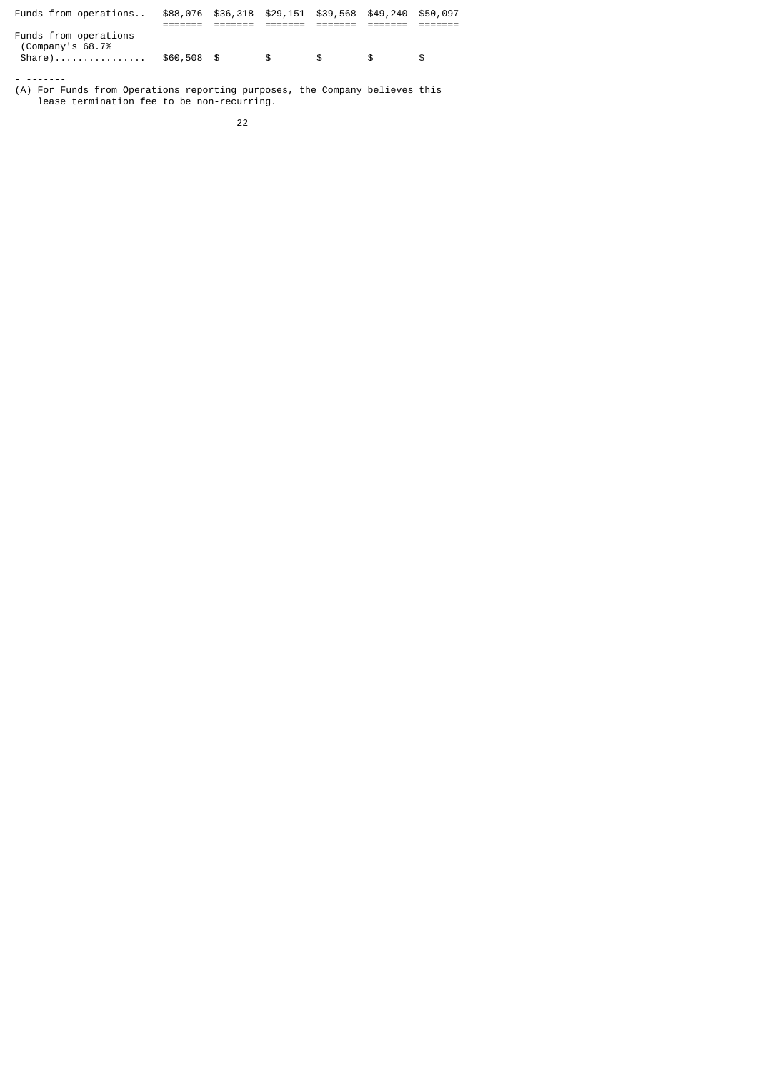| Funds from operations                                  |             | \$88,076 \$36,318 \$29,151 \$39,568 \$49,240 \$50,097 |      |               |    |     |
|--------------------------------------------------------|-------------|-------------------------------------------------------|------|---------------|----|-----|
| Funds from operations<br>(Company's 68.7%)<br>$Share)$ | \$60,508 \$ |                                                       | - SS | $\mathcal{F}$ | £. | \$. |

- ------- (A) For Funds from Operations reporting purposes, the Company believes this lease termination fee to be non-recurring.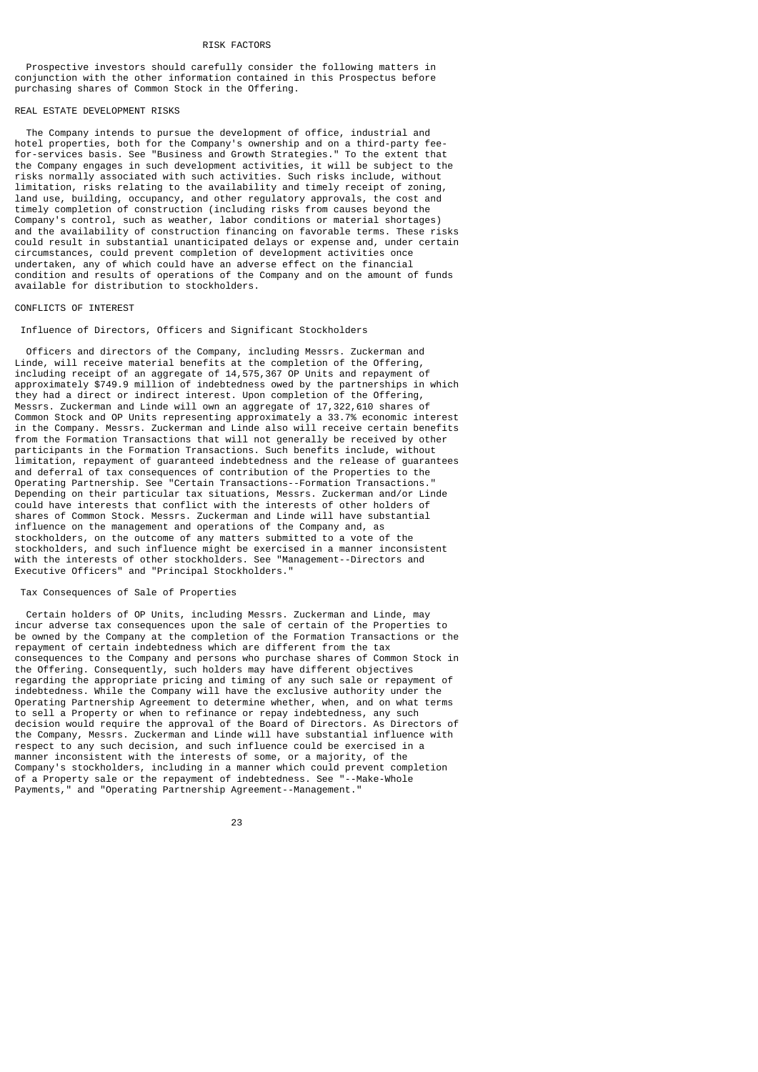#### RISK FACTORS

 Prospective investors should carefully consider the following matters in conjunction with the other information contained in this Prospectus before purchasing shares of Common Stock in the Offering.

## REAL ESTATE DEVELOPMENT RISKS

 The Company intends to pursue the development of office, industrial and hotel properties, both for the Company's ownership and on a third-party feefor-services basis. See "Business and Growth Strategies." To the extent that the Company engages in such development activities, it will be subject to the risks normally associated with such activities. Such risks include, without limitation, risks relating to the availability and timely receipt of zoning, land use, building, occupancy, and other regulatory approvals, the cost and timely completion of construction (including risks from causes beyond the Company's control, such as weather, labor conditions or material shortages) and the availability of construction financing on favorable terms. These risks could result in substantial unanticipated delays or expense and, under certain circumstances, could prevent completion of development activities once undertaken, any of which could have an adverse effect on the financial condition and results of operations of the Company and on the amount of funds available for distribution to stockholders.

## CONFLICTS OF INTEREST

## Influence of Directors, Officers and Significant Stockholders

 Officers and directors of the Company, including Messrs. Zuckerman and Linde, will receive material benefits at the completion of the Offering, including receipt of an aggregate of 14,575,367 OP Units and repayment of approximately \$749.9 million of indebtedness owed by the partnerships in which they had a direct or indirect interest. Upon completion of the Offering, Messrs. Zuckerman and Linde will own an aggregate of 17,322,610 shares of Common Stock and OP Units representing approximately a 33.7% economic interest in the Company. Messrs. Zuckerman and Linde also will receive certain benefits from the Formation Transactions that will not generally be received by other participants in the Formation Transactions. Such benefits include, without limitation, repayment of guaranteed indebtedness and the release of guarantees and deferral of tax consequences of contribution of the Properties to the Operating Partnership. See "Certain Transactions--Formation Transactions." Depending on their particular tax situations, Messrs. Zuckerman and/or Linde could have interests that conflict with the interests of other holders of shares of Common Stock. Messrs. Zuckerman and Linde will have substantial influence on the management and operations of the Company and, as stockholders, on the outcome of any matters submitted to a vote of the stockholders, and such influence might be exercised in a manner inconsistent with the interests of other stockholders. See "Management--Directors and Executive Officers" and "Principal Stockholders."

## Tax Consequences of Sale of Properties

 Certain holders of OP Units, including Messrs. Zuckerman and Linde, may incur adverse tax consequences upon the sale of certain of the Properties to be owned by the Company at the completion of the Formation Transactions or the repayment of certain indebtedness which are different from the tax consequences to the Company and persons who purchase shares of Common Stock in the Offering. Consequently, such holders may have different objectives regarding the appropriate pricing and timing of any such sale or repayment of indebtedness. While the Company will have the exclusive authority under the Operating Partnership Agreement to determine whether, when, and on what terms to sell a Property or when to refinance or repay indebtedness, any such decision would require the approval of the Board of Directors. As Directors of the Company, Messrs. Zuckerman and Linde will have substantial influence with respect to any such decision, and such influence could be exercised in a manner inconsistent with the interests of some, or a majority, of the Company's stockholders, including in a manner which could prevent completion of a Property sale or the repayment of indebtedness. See "--Make-Whole Payments," and "Operating Partnership Agreement--Management."

<u>23 and 23</u>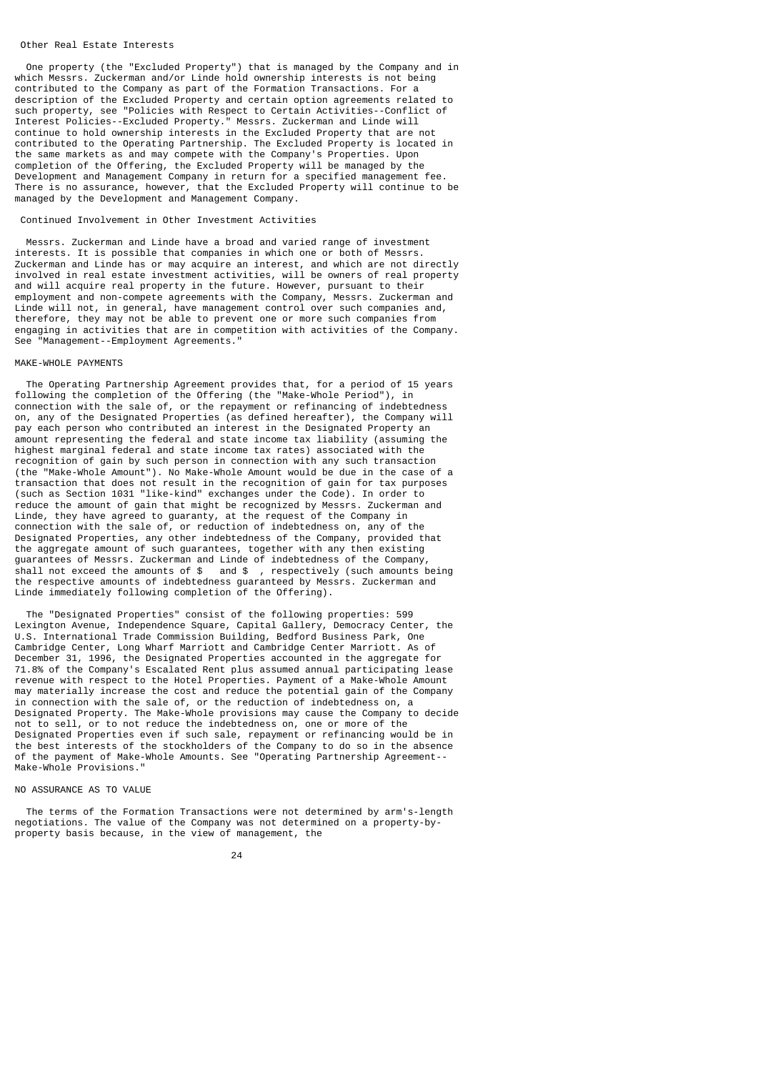### Other Real Estate Interests

 One property (the "Excluded Property") that is managed by the Company and in which Messrs. Zuckerman and/or Linde hold ownership interests is not being contributed to the Company as part of the Formation Transactions. For a description of the Excluded Property and certain option agreements related to such property, see "Policies with Respect to Certain Activities--Conflict of Interest Policies--Excluded Property." Messrs. Zuckerman and Linde will continue to hold ownership interests in the Excluded Property that are not contributed to the Operating Partnership. The Excluded Property is located in the same markets as and may compete with the Company's Properties. Upon completion of the Offering, the Excluded Property will be managed by the Development and Management Company in return for a specified management fee. There is no assurance, however, that the Excluded Property will continue to be managed by the Development and Management Company.

### Continued Involvement in Other Investment Activities

 Messrs. Zuckerman and Linde have a broad and varied range of investment interests. It is possible that companies in which one or both of Messrs. Zuckerman and Linde has or may acquire an interest, and which are not directly involved in real estate investment activities, will be owners of real property and will acquire real property in the future. However, pursuant to their employment and non-compete agreements with the Company, Messrs. Zuckerman and Linde will not, in general, have management control over such companies and, therefore, they may not be able to prevent one or more such companies from engaging in activities that are in competition with activities of the Company. See "Management--Employment Agreements."

## MAKE-WHOLE PAYMENTS

 The Operating Partnership Agreement provides that, for a period of 15 years following the completion of the Offering (the "Make-Whole Period"), in connection with the sale of, or the repayment or refinancing of indebtedness on, any of the Designated Properties (as defined hereafter), the Company will pay each person who contributed an interest in the Designated Property an amount representing the federal and state income tax liability (assuming the highest marginal federal and state income tax rates) associated with the recognition of gain by such person in connection with any such transaction (the "Make-Whole Amount"). No Make-Whole Amount would be due in the case of a transaction that does not result in the recognition of gain for tax purposes (such as Section 1031 "like-kind" exchanges under the Code). In order to reduce the amount of gain that might be recognized by Messrs. Zuckerman and Linde, they have agreed to guaranty, at the request of the Company in connection with the sale of, or reduction of indebtedness on, any of the Designated Properties, any other indebtedness of the Company, provided that the aggregate amount of such guarantees, together with any then existing guarantees of Messrs. Zuckerman and Linde of indebtedness of the Company<br>shall not exceed the amounts of \$ and \$ . respectively (such amounts b and \$ , respectively (such amounts being the respective amounts of indebtedness guaranteed by Messrs. Zuckerman and Linde immediately following completion of the Offering).

 The "Designated Properties" consist of the following properties: 599 Lexington Avenue, Independence Square, Capital Gallery, Democracy Center, the U.S. International Trade Commission Building, Bedford Business Park, One Cambridge Center, Long Wharf Marriott and Cambridge Center Marriott. As of December 31, 1996, the Designated Properties accounted in the aggregate for 71.8% of the Company's Escalated Rent plus assumed annual participating lease revenue with respect to the Hotel Properties. Payment of a Make-Whole Amount may materially increase the cost and reduce the potential gain of the Company in connection with the sale of, or the reduction of indebtedness on, a Designated Property. The Make-Whole provisions may cause the Company to decide not to sell, or to not reduce the indebtedness on, one or more of the Designated Properties even if such sale, repayment or refinancing would be in the best interests of the stockholders of the Company to do so in the absence of the payment of Make-Whole Amounts. See "Operating Partnership Agreement-- Make-Whole Provisions."

## NO ASSURANCE AS TO VALUE

 The terms of the Formation Transactions were not determined by arm's-length negotiations. The value of the Company was not determined on a property-byproperty basis because, in the view of management, the

<u>24</u>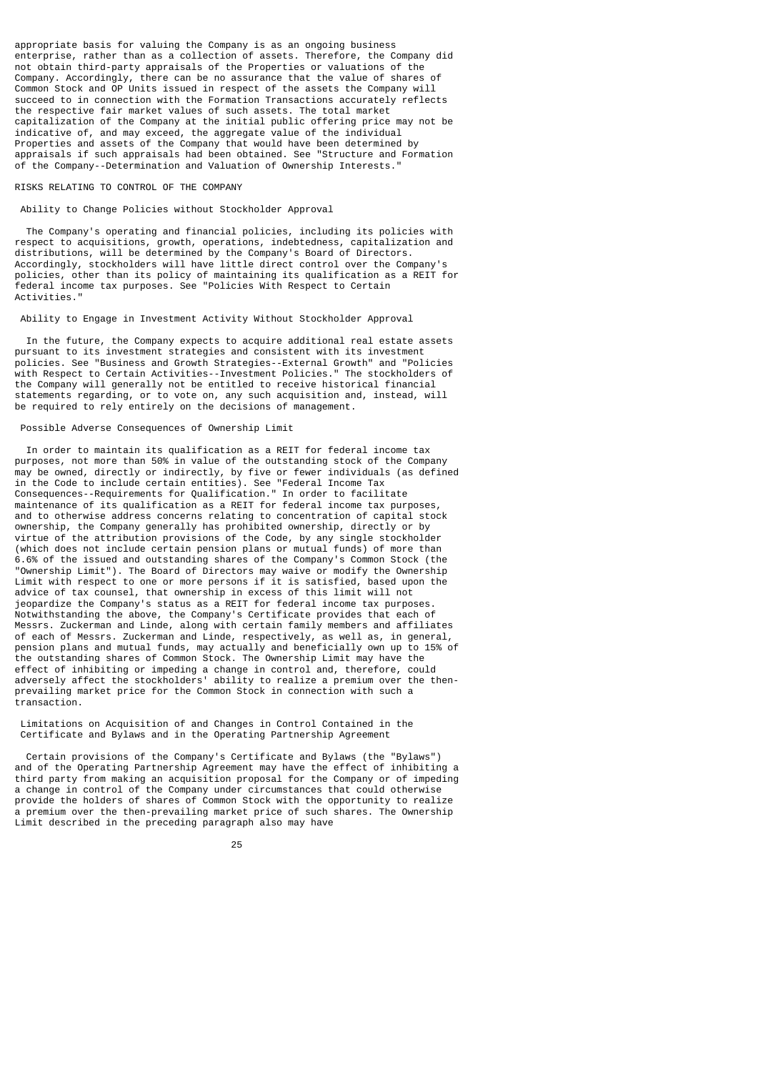appropriate basis for valuing the Company is as an ongoing business enterprise, rather than as a collection of assets. Therefore, the Company did not obtain third-party appraisals of the Properties or valuations of the Company. Accordingly, there can be no assurance that the value of shares of Common Stock and OP Units issued in respect of the assets the Company will succeed to in connection with the Formation Transactions accurately reflects the respective fair market values of such assets. The total market capitalization of the Company at the initial public offering price may not be indicative of, and may exceed, the aggregate value of the individual Properties and assets of the Company that would have been determined by appraisals if such appraisals had been obtained. See "Structure and Formation of the Company--Determination and Valuation of Ownership Interests."

# RISKS RELATING TO CONTROL OF THE COMPANY

Ability to Change Policies without Stockholder Approval

 The Company's operating and financial policies, including its policies with respect to acquisitions, growth, operations, indebtedness, capitalization and distributions, will be determined by the Company's Board of Directors. Accordingly, stockholders will have little direct control over the Company's policies, other than its policy of maintaining its qualification as a REIT for federal income tax purposes. See "Policies With Respect to Certain Activities."

## Ability to Engage in Investment Activity Without Stockholder Approval

 In the future, the Company expects to acquire additional real estate assets pursuant to its investment strategies and consistent with its investment policies. See "Business and Growth Strategies--External Growth" and "Policies with Respect to Certain Activities--Investment Policies." The stockholders of the Company will generally not be entitled to receive historical financial statements regarding, or to vote on, any such acquisition and, instead, will be required to rely entirely on the decisions of management.

## Possible Adverse Consequences of Ownership Limit

 In order to maintain its qualification as a REIT for federal income tax purposes, not more than 50% in value of the outstanding stock of the Company may be owned, directly or indirectly, by five or fewer individuals (as defined in the Code to include certain entities). See "Federal Income Tax Consequences--Requirements for Qualification." In order to facilitate maintenance of its qualification as a REIT for federal income tax purposes, and to otherwise address concerns relating to concentration of capital stock ownership, the Company generally has prohibited ownership, directly or by virtue of the attribution provisions of the Code, by any single stockholder (which does not include certain pension plans or mutual funds) of more than 6.6% of the issued and outstanding shares of the Company's Common Stock (the "Ownership Limit"). The Board of Directors may waive or modify the Ownership Limit with respect to one or more persons if it is satisfied, based upon the advice of tax counsel, that ownership in excess of this limit will not jeopardize the Company's status as a REIT for federal income tax purposes. Notwithstanding the above, the Company's Certificate provides that each of Messrs. Zuckerman and Linde, along with certain family members and affiliates of each of Messrs. Zuckerman and Linde, respectively, as well as, in general, pension plans and mutual funds, may actually and beneficially own up to 15% of the outstanding shares of Common Stock. The Ownership Limit may have the effect of inhibiting or impeding a change in control and, therefore, could adversely affect the stockholders' ability to realize a premium over the thenprevailing market price for the Common Stock in connection with such a transaction.

 Limitations on Acquisition of and Changes in Control Contained in the Certificate and Bylaws and in the Operating Partnership Agreement

 Certain provisions of the Company's Certificate and Bylaws (the "Bylaws") and of the Operating Partnership Agreement may have the effect of inhibiting a third party from making an acquisition proposal for the Company or of impeding a change in control of the Company under circumstances that could otherwise provide the holders of shares of Common Stock with the opportunity to realize a premium over the then-prevailing market price of such shares. The Ownership Limit described in the preceding paragraph also may have

<u>25 and 25 and 26 and 26 and 26 and 26 and 26 and 26 and 26 and 26 and 26 and 26 and 26 and 26 and 26 and 26 and 26 and 26 and 26 and 26 and 26 and 26 and 26 and 26 and 26 and 27 and 27 and 27 and 27 and 27 and 27 and 27 a</u>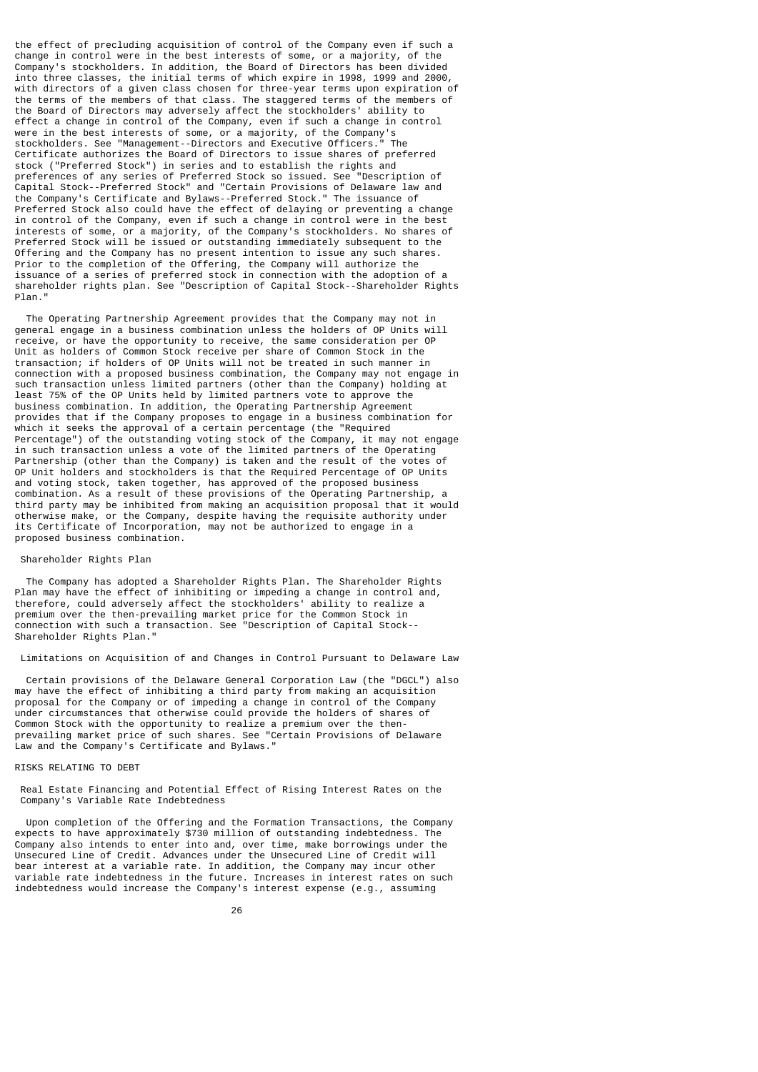the effect of precluding acquisition of control of the Company even if such a change in control were in the best interests of some, or a majority, of the Company's stockholders. In addition, the Board of Directors has been divided into three classes, the initial terms of which expire in 1998, 1999 and 2000, with directors of a given class chosen for three-year terms upon expiration of the terms of the members of that class. The staggered terms of the members of the Board of Directors may adversely affect the stockholders' ability to effect a change in control of the Company, even if such a change in control were in the best interests of some, or a majority, of the Company' stockholders. See "Management--Directors and Executive Officers." The Certificate authorizes the Board of Directors to issue shares of preferred stock ("Preferred Stock") in series and to establish the rights and preferences of any series of Preferred Stock so issued. See "Description of Capital Stock--Preferred Stock" and "Certain Provisions of Delaware law and the Company's Certificate and Bylaws--Preferred Stock." The issuance of Preferred Stock also could have the effect of delaying or preventing a change in control of the Company, even if such a change in control were in the best interests of some, or a majority, of the Company's stockholders. No shares of Preferred Stock will be issued or outstanding immediately subsequent to the Offering and the Company has no present intention to issue any such shares. Prior to the completion of the Offering, the Company will authorize the issuance of a series of preferred stock in connection with the adoption of a shareholder rights plan. See "Description of Capital Stock--Shareholder Rights Plan."

 The Operating Partnership Agreement provides that the Company may not in general engage in a business combination unless the holders of OP Units will receive, or have the opportunity to receive, the same consideration per OP Unit as holders of Common Stock receive per share of Common Stock in the transaction; if holders of OP Units will not be treated in such manner in connection with a proposed business combination, the Company may not engage in such transaction unless limited partners (other than the Company) holding at least 75% of the OP Units held by limited partners vote to approve the business combination. In addition, the Operating Partnership Agreement provides that if the Company proposes to engage in a business combination for which it seeks the approval of a certain percentage (the "Required Percentage") of the outstanding voting stock of the Company, it may not engage in such transaction unless a vote of the limited partners of the Operating Partnership (other than the Company) is taken and the result of the votes of OP Unit holders and stockholders is that the Required Percentage of OP Units and voting stock, taken together, has approved of the proposed business combination. As a result of these provisions of the Operating Partnership, a third party may be inhibited from making an acquisition proposal that it would otherwise make, or the Company, despite having the requisite authority under its Certificate of Incorporation, may not be authorized to engage in a proposed business combination.

### Shareholder Rights Plan

 The Company has adopted a Shareholder Rights Plan. The Shareholder Rights Plan may have the effect of inhibiting or impeding a change in control and, therefore, could adversely affect the stockholders' ability to realize a premium over the then-prevailing market price for the Common Stock in connection with such a transaction. See "Description of Capital Stock-- Shareholder Rights Plan."

Limitations on Acquisition of and Changes in Control Pursuant to Delaware Law

 Certain provisions of the Delaware General Corporation Law (the "DGCL") also may have the effect of inhibiting a third party from making an acquisition proposal for the Company or of impeding a change in control of the Company under circumstances that otherwise could provide the holders of shares of Common Stock with the opportunity to realize a premium over the thenprevailing market price of such shares. See "Certain Provisions of Delaware Law and the Company's Certificate and Bylaws."

## RISKS RELATING TO DEBT

 Real Estate Financing and Potential Effect of Rising Interest Rates on the Company's Variable Rate Indebtedness

 Upon completion of the Offering and the Formation Transactions, the Company expects to have approximately \$730 million of outstanding indebtedness. The Company also intends to enter into and, over time, make borrowings under the Unsecured Line of Credit. Advances under the Unsecured Line of Credit will bear interest at a variable rate. In addition, the Company may incur other variable rate indebtedness in the future. Increases in interest rates on such indebtedness would increase the Company's interest expense (e.g., assuming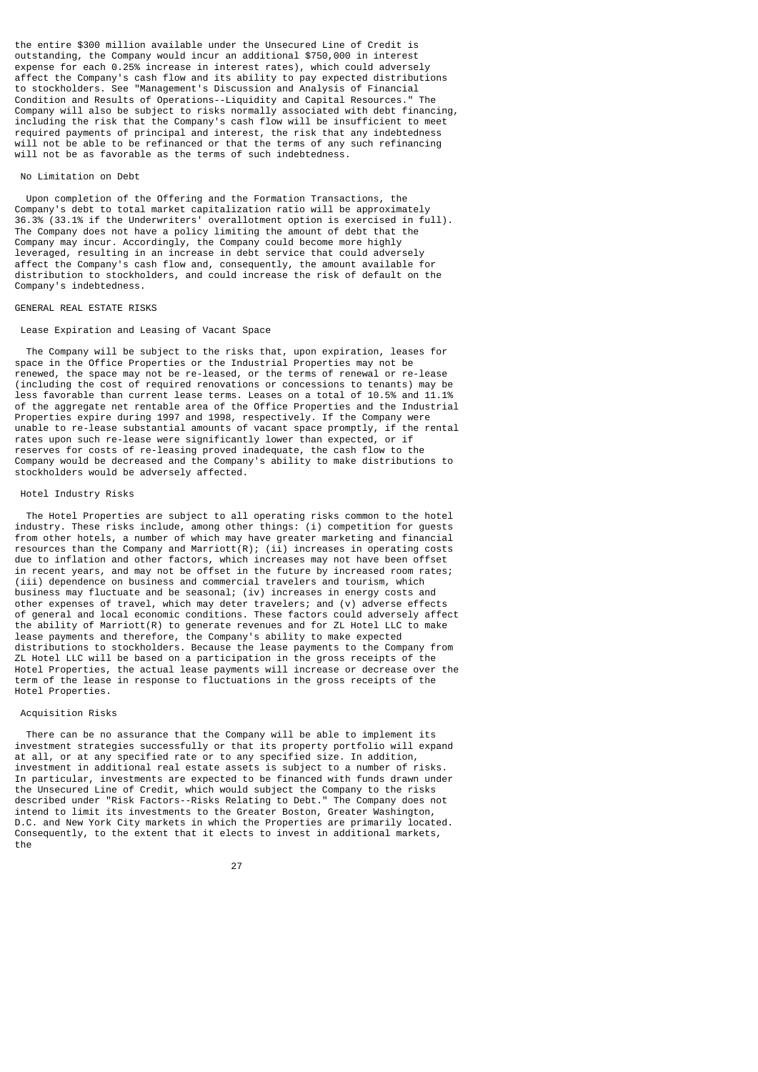the entire \$300 million available under the Unsecured Line of Credit is outstanding, the Company would incur an additional \$750,000 in interest expense for each 0.25% increase in interest rates), which could adversely affect the Company's cash flow and its ability to pay expected distributions to stockholders. See "Management's Discussion and Analysis of Financial Condition and Results of Operations--Liquidity and Capital Resources." Company will also be subject to risks normally associated with debt financing, including the risk that the Company's cash flow will be insufficient to meet required payments of principal and interest, the risk that any indebtedness will not be able to be refinanced or that the terms of any such refinancing will not be as favorable as the terms of such indebtedness.

## No Limitation on Debt

 Upon completion of the Offering and the Formation Transactions, the Company's debt to total market capitalization ratio will be approximately 36.3% (33.1% if the Underwriters' overallotment option is exercised in full). The Company does not have a policy limiting the amount of debt that the Company may incur. Accordingly, the Company could become more highly leveraged, resulting in an increase in debt service that could adversely affect the Company's cash flow and, consequently, the amount available for distribution to stockholders, and could increase the risk of default on the Company's indebtedness.

### GENERAL REAL ESTATE RISKS

## Lease Expiration and Leasing of Vacant Space

 The Company will be subject to the risks that, upon expiration, leases for space in the Office Properties or the Industrial Properties may not be renewed, the space may not be re-leased, or the terms of renewal or re-lease (including the cost of required renovations or concessions to tenants) may be less favorable than current lease terms. Leases on a total of 10.5% and 11.1% of the aggregate net rentable area of the Office Properties and the Industrial Properties expire during 1997 and 1998, respectively. If the Company were unable to re-lease substantial amounts of vacant space promptly, if the rental rates upon such re-lease were significantly lower than expected, or if reserves for costs of re-leasing proved inadequate, the cash flow to the Company would be decreased and the Company's ability to make distributions to stockholders would be adversely affected.

# Hotel Industry Risks

 The Hotel Properties are subject to all operating risks common to the hotel industry. These risks include, among other things: (i) competition for guests from other hotels, a number of which may have greater marketing and financial resources than the Company and Marriott $(R)$ ; (ii) increases in operating costs due to inflation and other factors, which increases may not have been offset in recent years, and may not be offset in the future by increased room rates; (iii) dependence on business and commercial travelers and tourism, which business may fluctuate and be seasonal; (iv) increases in energy costs and other expenses of travel, which may deter travelers; and (v) adverse effects of general and local economic conditions. These factors could adversely affect the ability of Marriott(R) to generate revenues and for ZL Hotel LLC to make lease payments and therefore, the Company's ability to make expected distributions to stockholders. Because the lease payments to the Company from ZL Hotel LLC will be based on a participation in the gross receipts of the Hotel Properties, the actual lease payments will increase or decrease over the term of the lease in response to fluctuations in the gross receipts of the Hotel Properties.

### Acquisition Risks

 There can be no assurance that the Company will be able to implement its investment strategies successfully or that its property portfolio will expand at all, or at any specified rate or to any specified size. In addition, investment in additional real estate assets is subject to a number of risks. In particular, investments are expected to be financed with funds drawn under the Unsecured Line of Credit, which would subject the Company to the risks described under "Risk Factors--Risks Relating to Debt." The Company does not intend to limit its investments to the Greater Boston, Greater Washington, D.C. and New York City markets in which the Properties are primarily located. Consequently, to the extent that it elects to invest in additional markets, the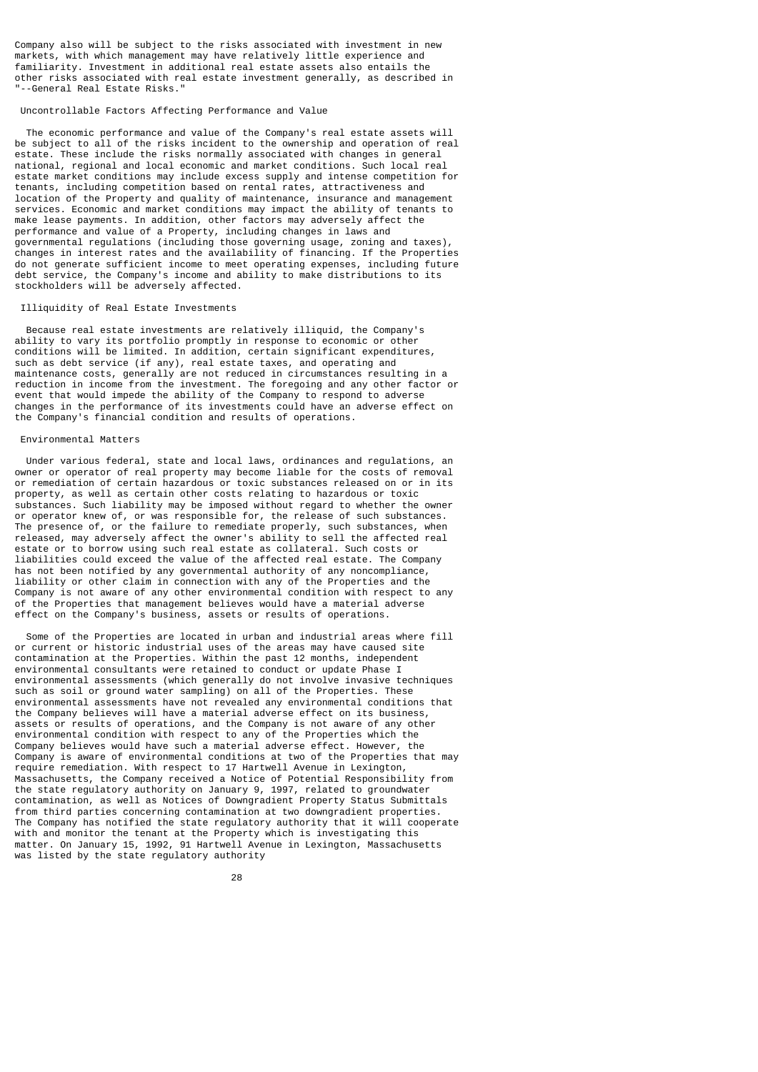Company also will be subject to the risks associated with investment in new markets, with which management may have relatively little experience and familiarity. Investment in additional real estate assets also entails the other risks associated with real estate investment generally, as described in "--General Real Estate Risks."

## Uncontrollable Factors Affecting Performance and Value

 The economic performance and value of the Company's real estate assets will be subject to all of the risks incident to the ownership and operation of real estate. These include the risks normally associated with changes in general national, regional and local economic and market conditions. Such local real estate market conditions may include excess supply and intense competition for tenants, including competition based on rental rates, attractiveness and location of the Property and quality of maintenance, insurance and management services. Economic and market conditions may impact the ability of tenants to make lease payments. In addition, other factors may adversely affect the performance and value of a Property, including changes in laws and governmental regulations (including those governing usage, zoning and taxes), changes in interest rates and the availability of financing. If the Properties do not generate sufficient income to meet operating expenses, including future debt service, the Company's income and ability to make distributions to its stockholders will be adversely affected.

## Illiquidity of Real Estate Investments

 Because real estate investments are relatively illiquid, the Company's ability to vary its portfolio promptly in response to economic or other conditions will be limited. In addition, certain significant expenditures, such as debt service (if any), real estate taxes, and operating and maintenance costs, generally are not reduced in circumstances resulting in a reduction in income from the investment. The foregoing and any other factor or event that would impede the ability of the Company to respond to adverse changes in the performance of its investments could have an adverse effect on the Company's financial condition and results of operations.

## Environmental Matters

 Under various federal, state and local laws, ordinances and regulations, an owner or operator of real property may become liable for the costs of removal or remediation of certain hazardous or toxic substances released on or in its property, as well as certain other costs relating to hazardous or toxic substances. Such liability may be imposed without regard to whether the owner or operator knew of, or was responsible for, the release of such substances. The presence of, or the failure to remediate properly, such substances, when released, may adversely affect the owner's ability to sell the affected real estate or to borrow using such real estate as collateral. Such costs or liabilities could exceed the value of the affected real estate. The Company has not been notified by any governmental authority of any noncompliance, liability or other claim in connection with any of the Properties and the Company is not aware of any other environmental condition with respect to any of the Properties that management believes would have a material adverse effect on the Company's business, assets or results of operations.

 Some of the Properties are located in urban and industrial areas where fill or current or historic industrial uses of the areas may have caused site contamination at the Properties. Within the past 12 months, independent environmental consultants were retained to conduct or update Phase I environmental assessments (which generally do not involve invasive techniques such as soil or ground water sampling) on all of the Properties. These environmental assessments have not revealed any environmental conditions that the Company believes will have a material adverse effect on its business, assets or results of operations, and the Company is not aware of any other environmental condition with respect to any of the Properties which the Company believes would have such a material adverse effect. However, the Company is aware of environmental conditions at two of the Properties that may require remediation. With respect to 17 Hartwell Avenue in Lexington, Massachusetts, the Company received a Notice of Potential Responsibility from the state regulatory authority on January 9, 1997, related to groundwater contamination, as well as Notices of Downgradient Property Status Submittals from third parties concerning contamination at two downgradient properties. The Company has notified the state regulatory authority that it will cooperate with and monitor the tenant at the Property which is investigating this matter. On January 15, 1992, 91 Hartwell Avenue in Lexington, Massachusetts was listed by the state regulatory authority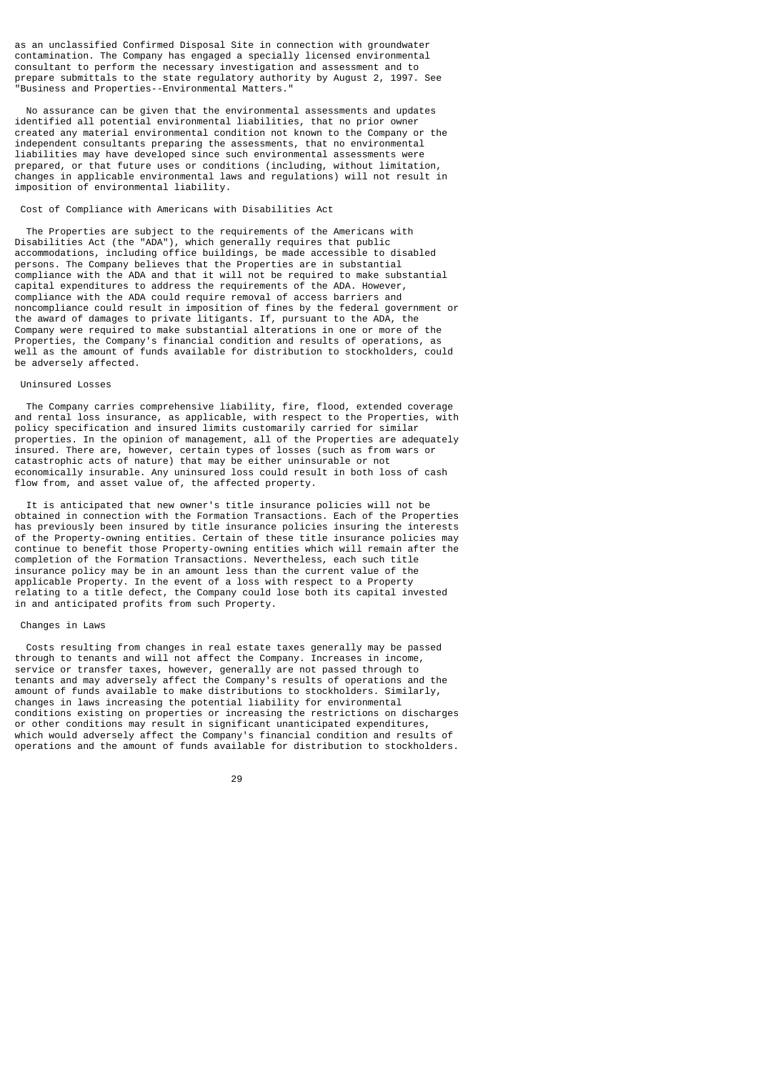as an unclassified Confirmed Disposal Site in connection with groundwater contamination. The Company has engaged a specially licensed environmental consultant to perform the necessary investigation and assessment and to prepare submittals to the state regulatory authority by August 2, 1997. See "Business and Properties--Environmental Matters."

 No assurance can be given that the environmental assessments and updates identified all potential environmental liabilities, that no prior owner created any material environmental condition not known to the Company or the independent consultants preparing the assessments, that no environmental liabilities may have developed since such environmental assessments were prepared, or that future uses or conditions (including, without limitation, changes in applicable environmental laws and regulations) will not result in imposition of environmental liability.

### Cost of Compliance with Americans with Disabilities Act

 The Properties are subject to the requirements of the Americans with Disabilities Act (the "ADA"), which generally requires that public accommodations, including office buildings, be made accessible to disabled persons. The Company believes that the Properties are in substantial compliance with the ADA and that it will not be required to make substantial capital expenditures to address the requirements of the ADA. However, compliance with the ADA could require removal of access barriers and noncompliance could result in imposition of fines by the federal government or the award of damages to private litigants. If, pursuant to the ADA, the Company were required to make substantial alterations in one or more of the Properties, the Company's financial condition and results of operations, as well as the amount of funds available for distribution to stockholders, could be adversely affected.

## Uninsured Losses

 The Company carries comprehensive liability, fire, flood, extended coverage and rental loss insurance, as applicable, with respect to the Properties, with policy specification and insured limits customarily carried for similar properties. In the opinion of management, all of the Properties are adequately insured. There are, however, certain types of losses (such as from wars or catastrophic acts of nature) that may be either uninsurable or not economically insurable. Any uninsured loss could result in both loss of cash flow from, and asset value of, the affected property.

 It is anticipated that new owner's title insurance policies will not be obtained in connection with the Formation Transactions. Each of the Properties has previously been insured by title insurance policies insuring the interests of the Property-owning entities. Certain of these title insurance policies may continue to benefit those Property-owning entities which will remain after the completion of the Formation Transactions. Nevertheless, each such title insurance policy may be in an amount less than the current value of the applicable Property. In the event of a loss with respect to a Property relating to a title defect, the Company could lose both its capital invested in and anticipated profits from such Property.

## Changes in Laws

 Costs resulting from changes in real estate taxes generally may be passed through to tenants and will not affect the Company. Increases in income, service or transfer taxes, however, generally are not passed through to tenants and may adversely affect the Company's results of operations and the amount of funds available to make distributions to stockholders. Similarly, changes in laws increasing the potential liability for environmental conditions existing on properties or increasing the restrictions on discharges or other conditions may result in significant unanticipated expenditures, which would adversely affect the Company's financial condition and results of operations and the amount of funds available for distribution to stockholders.

# <u>29 and 29 and 29 and 29 and 29 and 29 and 29 and 29 and 29 and 29 and 29 and 29 and 29 and 29 and 29 and 29 and 29 and 29 and 2012 and 2012 and 2012 and 2012 and 2012 and 2012 and 2012 and 2012 and 2012 and 2012 and 2012 </u>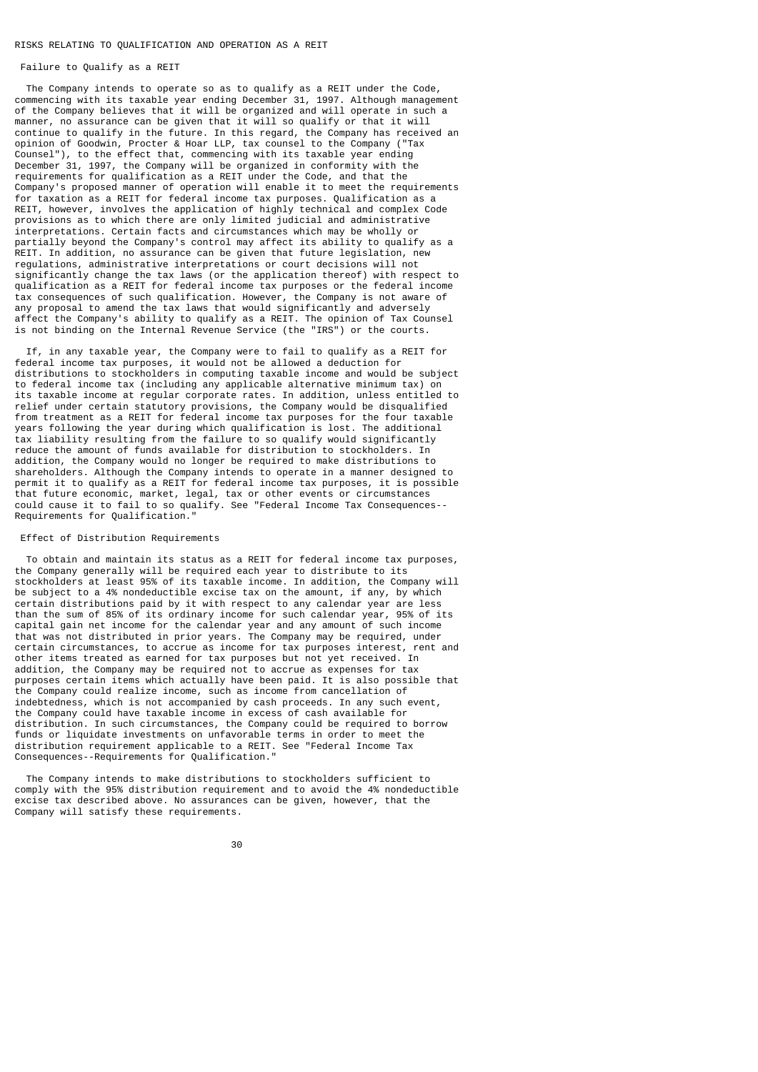### RISKS RELATING TO QUALIFICATION AND OPERATION AS A REIT

## Failure to Qualify as a REIT

 The Company intends to operate so as to qualify as a REIT under the Code, commencing with its taxable year ending December 31, 1997. Although management of the Company believes that it will be organized and will operate in such a manner, no assurance can be given that it will so qualify or that it will continue to qualify in the future. In this regard, the Company has received an opinion of Goodwin, Procter & Hoar LLP, tax counsel to the Company ("Tax Counsel"), to the effect that, commencing with its taxable year ending December 31, 1997, the Company will be organized in conformity with the requirements for qualification as a REIT under the Code, and that the Company's proposed manner of operation will enable it to meet the requirements for taxation as a REIT for federal income tax purposes. Qualification as a REIT, however, involves the application of highly technical and complex Code provisions as to which there are only limited judicial and administrative interpretations. Certain facts and circumstances which may be wholly or partially beyond the Company's control may affect its ability to qualify as a REIT. In addition, no assurance can be given that future legislation, new regulations, administrative interpretations or court decisions will not significantly change the tax laws (or the application thereof) with respect to qualification as a REIT for federal income tax purposes or the federal income tax consequences of such qualification. However, the Company is not aware of any proposal to amend the tax laws that would significantly and adversely affect the Company's ability to qualify as a REIT. The opinion of Tax Counsel is not binding on the Internal Revenue Service (the "IRS") or the courts.

 If, in any taxable year, the Company were to fail to qualify as a REIT for federal income tax purposes, it would not be allowed a deduction for distributions to stockholders in computing taxable income and would be subject to federal income tax (including any applicable alternative minimum tax) on its taxable income at regular corporate rates. In addition, unless entitled to relief under certain statutory provisions, the Company would be disqualified from treatment as a REIT for federal income tax purposes for the four taxable years following the year during which qualification is lost. The additional tax liability resulting from the failure to so qualify would significantly reduce the amount of funds available for distribution to stockholders. In addition, the Company would no longer be required to make distributions to shareholders. Although the Company intends to operate in a manner designed to permit it to qualify as a REIT for federal income tax purposes, it is possible that future economic, market, legal, tax or other events or circumstances could cause it to fail to so qualify. See "Federal Income Tax Consequences-- Requirements for Qualification."

## Effect of Distribution Requirements

 To obtain and maintain its status as a REIT for federal income tax purposes, the Company generally will be required each year to distribute to its stockholders at least 95% of its taxable income. In addition, the Company will be subject to a 4% nondeductible excise tax on the amount, if any, by which certain distributions paid by it with respect to any calendar year are less than the sum of 85% of its ordinary income for such calendar year, 95% of its capital gain net income for the calendar year and any amount of such income that was not distributed in prior years. The Company may be required, under certain circumstances, to accrue as income for tax purposes interest, rent and other items treated as earned for tax purposes but not yet received. In addition, the Company may be required not to accrue as expenses for tax purposes certain items which actually have been paid. It is also possible that the Company could realize income, such as income from cancellation of indebtedness, which is not accompanied by cash proceeds. In any such event, the Company could have taxable income in excess of cash available for distribution. In such circumstances, the Company could be required to borrow funds or liquidate investments on unfavorable terms in order to meet the distribution requirement applicable to a REIT. See "Federal Income Tax Consequences--Requirements for Qualification."

 The Company intends to make distributions to stockholders sufficient to comply with the 95% distribution requirement and to avoid the 4% nondeductible excise tax described above. No assurances can be given, however, that the Company will satisfy these requirements.

30 and 20 and 20 and 20 and 20 and 20 and 20 and 20 and 20 and 20 and 20 and 20 and 20 and 20 and 20 and 20 an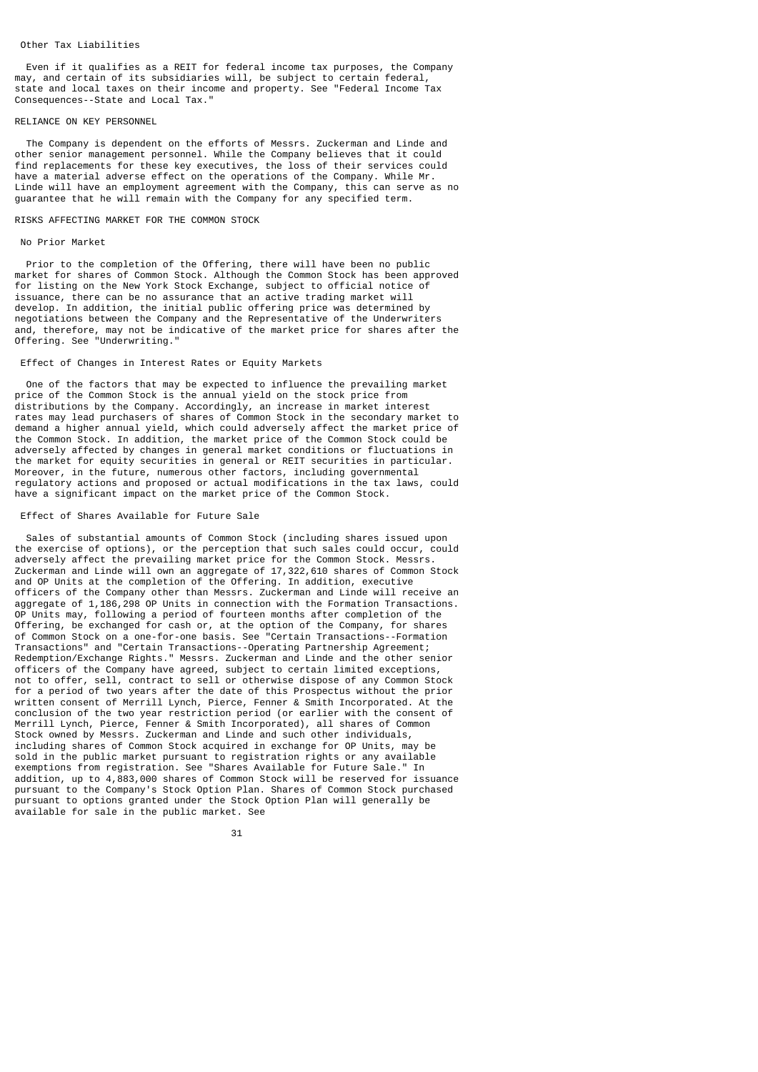### Other Tax Liabilities

 Even if it qualifies as a REIT for federal income tax purposes, the Company may, and certain of its subsidiaries will, be subject to certain federal, state and local taxes on their income and property. See "Federal Income Tax Consequences--State and Local Tax."

## RELIANCE ON KEY PERSONNEL

 The Company is dependent on the efforts of Messrs. Zuckerman and Linde and other senior management personnel. While the Company believes that it could find replacements for these key executives, the loss of their services could have a material adverse effect on the operations of the Company. While Mr. Linde will have an employment agreement with the Company, this can serve as no guarantee that he will remain with the Company for any specified term.

### RISKS AFFECTING MARKET FOR THE COMMON STOCK

#### No Prior Market

 Prior to the completion of the Offering, there will have been no public market for shares of Common Stock. Although the Common Stock has been approved for listing on the New York Stock Exchange, subject to official notice of issuance, there can be no assurance that an active trading market will develop. In addition, the initial public offering price was determined by negotiations between the Company and the Representative of the Underwriters and, therefore, may not be indicative of the market price for shares after the Offering. See "Underwriting."

## Effect of Changes in Interest Rates or Equity Markets

 One of the factors that may be expected to influence the prevailing market price of the Common Stock is the annual yield on the stock price from distributions by the Company. Accordingly, an increase in market interest rates may lead purchasers of shares of Common Stock in the secondary market to demand a higher annual yield, which could adversely affect the market price of the Common Stock. In addition, the market price of the Common Stock could be adversely affected by changes in general market conditions or fluctuations in the market for equity securities in general or REIT securities in particular. Moreover, in the future, numerous other factors, including governmental regulatory actions and proposed or actual modifications in the tax laws, could have a significant impact on the market price of the Common Stock.

#### Effect of Shares Available for Future Sale

 Sales of substantial amounts of Common Stock (including shares issued upon the exercise of options), or the perception that such sales could occur, could adversely affect the prevailing market price for the Common Stock. Messrs. Zuckerman and Linde will own an aggregate of 17,322,610 shares of Common Stock and OP Units at the completion of the Offering. In addition, executive officers of the Company other than Messrs. Zuckerman and Linde will receive an aggregate of 1,186,298 OP Units in connection with the Formation Transactions.<br>OP Units may following a period of fourteen months after completion of the Units may, following a period of fourteen months after completion of the Offering, be exchanged for cash or, at the option of the Company, for shares of Common Stock on a one-for-one basis. See "Certain Transactions--Formation Transactions" and "Certain Transactions--Operating Partnership Agreement; Redemption/Exchange Rights." Messrs. Zuckerman and Linde and the other senior officers of the Company have agreed, subject to certain limited exceptions, not to offer, sell, contract to sell or otherwise dispose of any Common Stock for a period of two years after the date of this Prospectus without the prior written consent of Merrill Lynch, Pierce, Fenner & Smith Incorporated. At the conclusion of the two year restriction period (or earlier with the consent of Merrill Lynch, Pierce, Fenner & Smith Incorporated), all shares of Common Stock owned by Messrs. Zuckerman and Linde and such other individuals, including shares of Common Stock acquired in exchange for OP Units, may be sold in the public market pursuant to registration rights or any available exemptions from registration. See "Shares Available for Future Sale." In addition, up to 4,883,000 shares of Common Stock will be reserved for issuance pursuant to the Company's Stock Option Plan. Shares of Common Stock purchased pursuant to options granted under the Stock Option Plan will generally be available for sale in the public market. See

 $31$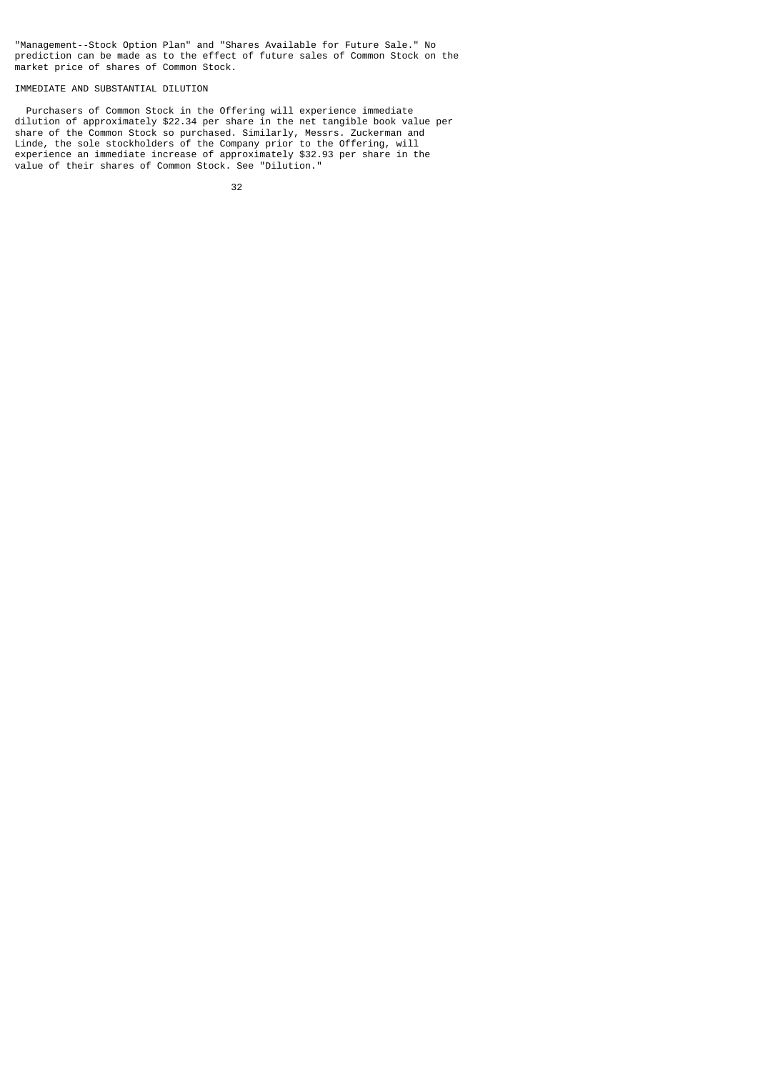"Management--Stock Option Plan" and "Shares Available for Future Sale." No prediction can be made as to the effect of future sales of Common Stock on the market price of shares of Common Stock.

# IMMEDIATE AND SUBSTANTIAL DILUTION

 Purchasers of Common Stock in the Offering will experience immediate dilution of approximately \$22.34 per share in the net tangible book value per share of the Common Stock so purchased. Similarly, Messrs. Zuckerman and Linde, the sole stockholders of the Company prior to the Offering, will experience an immediate increase of approximately \$32.93 per share in the value of their shares of Common Stock. See "Dilution."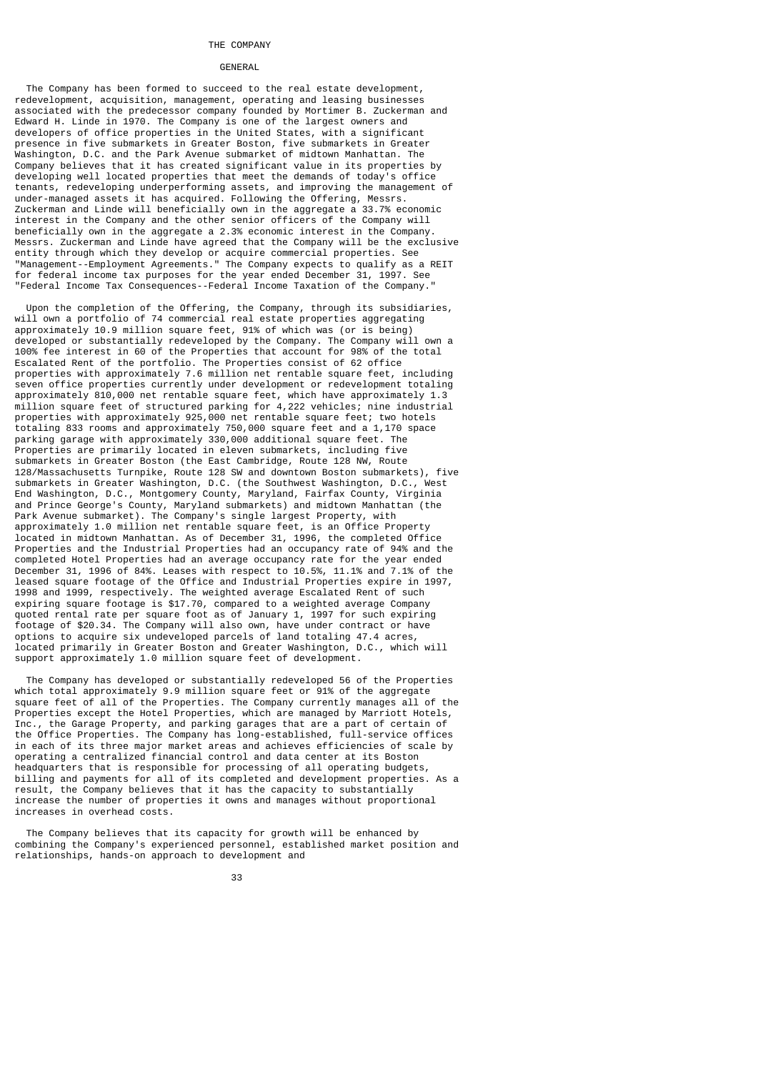#### THE COMPANY

### **GENERAL**

 The Company has been formed to succeed to the real estate development, redevelopment, acquisition, management, operating and leasing businesses associated with the predecessor company founded by Mortimer B. Zuckerman and Edward H. Linde in 1970. The Company is one of the largest owners and developers of office properties in the United States, with a significant presence in five submarkets in Greater Boston, five submarkets in Greater Washington, D.C. and the Park Avenue submarket of midtown Manhattan. The Company believes that it has created significant value in its properties by developing well located properties that meet the demands of today's office tenants, redeveloping underperforming assets, and improving the management of under-managed assets it has acquired. Following the Offering, Messrs. Zuckerman and Linde will beneficially own in the aggregate a 33.7% economic interest in the Company and the other senior officers of the Company will beneficially own in the aggregate a 2.3% economic interest in the Company. Messrs. Zuckerman and Linde have agreed that the Company will be the exclusive entity through which they develop or acquire commercial properties. See "Management--Employment Agreements." The Company expects to qualify as a REIT for federal income tax purposes for the year ended December 31, 1997. See "Federal Income Tax Consequences--Federal Income Taxation of the Company."

 Upon the completion of the Offering, the Company, through its subsidiaries, will own a portfolio of 74 commercial real estate properties aggregating approximately 10.9 million square feet, 91% of which was (or is being) developed or substantially redeveloped by the Company. The Company will own a 100% fee interest in 60 of the Properties that account for 98% of the total Escalated Rent of the portfolio. The Properties consist of 62 office properties with approximately 7.6 million net rentable square feet, including seven office properties currently under development or redevelopment totaling approximately 810,000 net rentable square feet, which have approximately 1.3 million square feet of structured parking for 4,222 vehicles; nine industrial properties with approximately 925,000 net rentable square feet; two hotels totaling 833 rooms and approximately 750,000 square feet and a 1,170 space parking garage with approximately 330,000 additional square feet. The Properties are primarily located in eleven submarkets, including five submarkets in Greater Boston (the East Cambridge, Route 128 NW, Route 128/Massachusetts Turnpike, Route 128 SW and downtown Boston submarkets), five submarkets in Greater Washington, D.C. (the Southwest Washington, D.C., West End Washington, D.C., Montgomery County, Maryland, Fairfax County, Virginia and Prince George's County, Maryland submarkets) and midtown Manhattan (the Park Avenue submarket). The Company's single largest Property, with approximately 1.0 million net rentable square feet, is an Office Property located in midtown Manhattan. As of December 31, 1996, the completed Office Properties and the Industrial Properties had an occupancy rate of 94% and the completed Hotel Properties had an average occupancy rate for the year ended December 31, 1996 of 84%. Leases with respect to 10.5%, 11.1% and 7.1% of the leased square footage of the Office and Industrial Properties expire in 1997, 1998 and 1999, respectively. The weighted average Escalated Rent of such expiring square footage is \$17.70, compared to a weighted average Company quoted rental rate per square foot as of January 1, 1997 for such expiring footage of \$20.34. The Company will also own, have under contract or have options to acquire six undeveloped parcels of land totaling 47.4 acres, located primarily in Greater Boston and Greater Washington, D.C., which will support approximately 1.0 million square feet of development.

 The Company has developed or substantially redeveloped 56 of the Properties which total approximately 9.9 million square feet or 91% of the aggregate square feet of all of the Properties. The Company currently manages all of the Properties except the Hotel Properties, which are managed by Marriott Hotels, Inc., the Garage Property, and parking garages that are a part of certain of the Office Properties. The Company has long-established, full-service offices in each of its three major market areas and achieves efficiencies of scale by operating a centralized financial control and data center at its Boston headquarters that is responsible for processing of all operating budgets, billing and payments for all of its completed and development properties. As a result, the Company believes that it has the capacity to substantially increase the number of properties it owns and manages without proportional increases in overhead costs.

 The Company believes that its capacity for growth will be enhanced by combining the Company's experienced personnel, established market position and relationships, hands-on approach to development and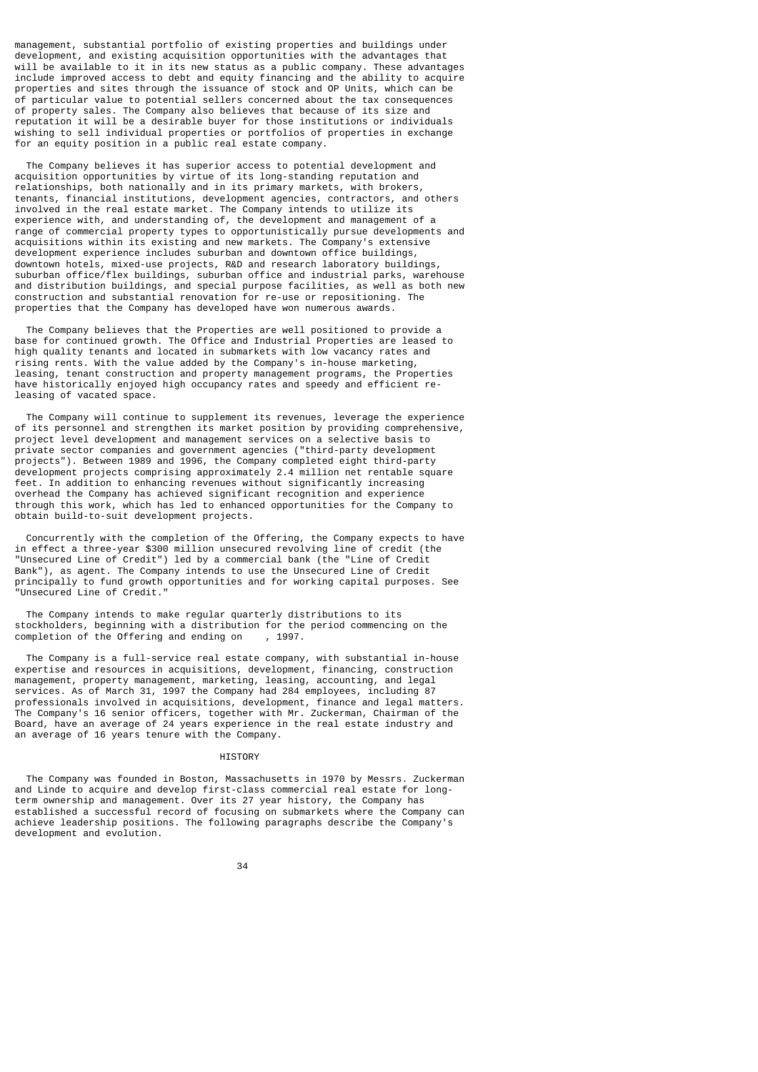management, substantial portfolio of existing properties and buildings under development, and existing acquisition opportunities with the advantages that will be available to it in its new status as a public company. These advantages include improved access to debt and equity financing and the ability to acquire properties and sites through the issuance of stock and OP Units, which can be of particular value to potential sellers concerned about the tax consequences of property sales. The Company also believes that because of its size and reputation it will be a desirable buyer for those institutions or individuals wishing to sell individual properties or portfolios of properties in exchange for an equity position in a public real estate company.

 The Company believes it has superior access to potential development and acquisition opportunities by virtue of its long-standing reputation and relationships, both nationally and in its primary markets, with brokers, tenants, financial institutions, development agencies, contractors, and others involved in the real estate market. The Company intends to utilize its experience with, and understanding of, the development and management of a range of commercial property types to opportunistically pursue developments and acquisitions within its existing and new markets. The Company's extensive development experience includes suburban and downtown office buildings, downtown hotels, mixed-use projects, R&D and research laboratory buildings, suburban office/flex buildings, suburban office and industrial parks, warehouse and distribution buildings, and special purpose facilities, as well as both new construction and substantial renovation for re-use or repositioning. The properties that the Company has developed have won numerous awards.

 The Company believes that the Properties are well positioned to provide a base for continued growth. The Office and Industrial Properties are leased to high quality tenants and located in submarkets with low vacancy rates and rising rents. With the value added by the Company's in-house marketing, leasing, tenant construction and property management programs, the Properties have historically enjoyed high occupancy rates and speedy and efficient releasing of vacated space.

 The Company will continue to supplement its revenues, leverage the experience of its personnel and strengthen its market position by providing comprehensive, project level development and management services on a selective basis to private sector companies and government agencies ("third-party development projects"). Between 1989 and 1996, the Company completed eight third-party development projects comprising approximately 2.4 million net rentable square feet. In addition to enhancing revenues without significantly increasing overhead the Company has achieved significant recognition and experience through this work, which has led to enhanced opportunities for the Company to obtain build-to-suit development projects.

 Concurrently with the completion of the Offering, the Company expects to have in effect a three-year \$300 million unsecured revolving line of credit (the "Unsecured Line of Credit") led by a commercial bank (the "Line of Credit Bank"), as agent. The Company intends to use the Unsecured Line of Credit principally to fund growth opportunities and for working capital purposes. See "Unsecured Line of Credit."

 The Company intends to make regular quarterly distributions to its stockholders, beginning with a distribution for the period commencing on the completion of the Offering and ending on , 1997.

 The Company is a full-service real estate company, with substantial in-house expertise and resources in acquisitions, development, financing, construction management, property management, marketing, leasing, accounting, and legal services. As of March 31, 1997 the Company had 284 employees, including 87 professionals involved in acquisitions, development, finance and legal matters. The Company's 16 senior officers, together with Mr. Zuckerman, Chairman of the Board, have an average of 24 years experience in the real estate industry and an average of 16 years tenure with the Company.

## **HTSTORY**

 The Company was founded in Boston, Massachusetts in 1970 by Messrs. Zuckerman and Linde to acquire and develop first-class commercial real estate for longterm ownership and management. Over its 27 year history, the Company has established a successful record of focusing on submarkets where the Company can achieve leadership positions. The following paragraphs describe the Company's development and evolution.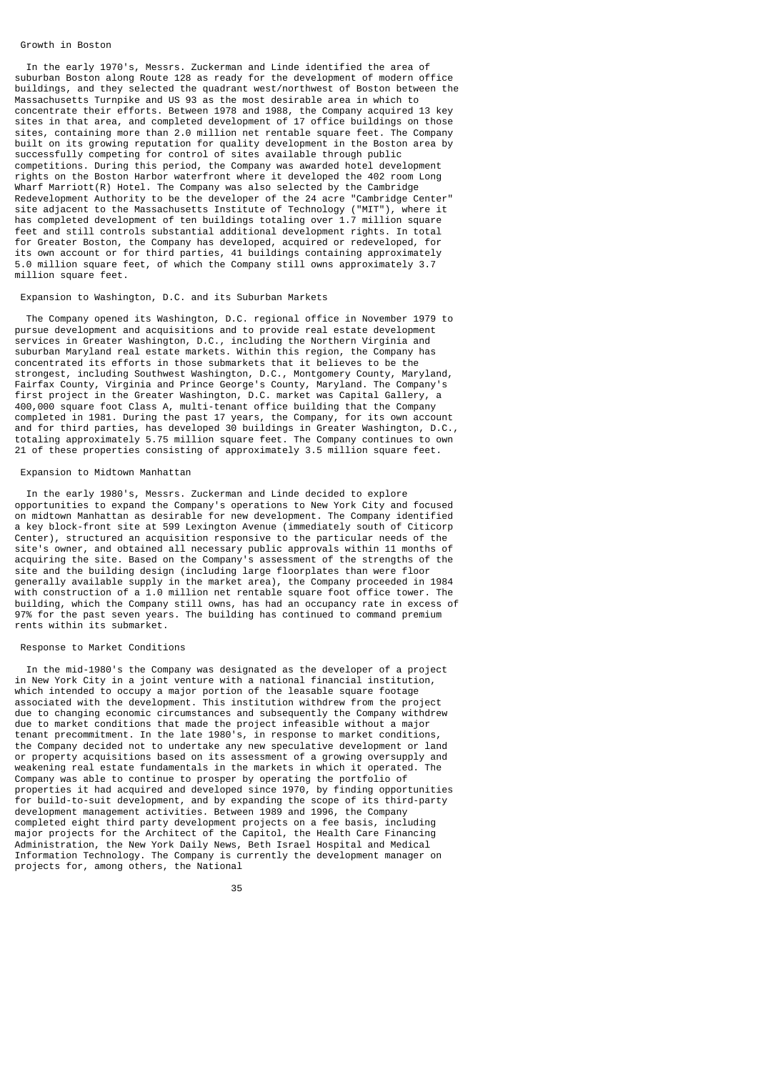### Growth in Boston

 In the early 1970's, Messrs. Zuckerman and Linde identified the area of suburban Boston along Route 128 as ready for the development of modern office buildings, and they selected the quadrant west/northwest of Boston between the Massachusetts Turnpike and US 93 as the most desirable area in which to concentrate their efforts. Between 1978 and 1988, the Company acquired 13 key sites in that area, and completed development of 17 office buildings on those sites, containing more than 2.0 million net rentable square feet. The Company built on its growing reputation for quality development in the Boston area by successfully competing for control of sites available through public competitions. During this period, the Company was awarded hotel development rights on the Boston Harbor waterfront where it developed the 402 room Long Wharf Marriott(R) Hotel. The Company was also selected by the Cambridge Redevelopment Authority to be the developer of the 24 acre "Cambridge Center" site adjacent to the Massachusetts Institute of Technology ("MIT"), where it has completed development of ten buildings totaling over  $1.7$  million square feet and still controls substantial additional development rights. In total for Greater Boston, the Company has developed, acquired or redeveloped, for its own account or for third parties, 41 buildings containing approximately 5.0 million square feet, of which the Company still owns approximately 3.7 million square feet.

## Expansion to Washington, D.C. and its Suburban Markets

 The Company opened its Washington, D.C. regional office in November 1979 to pursue development and acquisitions and to provide real estate development services in Greater Washington, D.C., including the Northern Virginia and suburban Maryland real estate markets. Within this region, the Company has concentrated its efforts in those submarkets that it believes to be the strongest, including Southwest Washington, D.C., Montgomery County, Maryland, Fairfax County, Virginia and Prince George's County, Maryland. The Company's first project in the Greater Washington, D.C. market was Capital Gallery, a 400,000 square foot Class A, multi-tenant office building that the Company completed in 1981. During the past 17 years, the Company, for its own account and for third parties, has developed 30 buildings in Greater Washington, D.C., totaling approximately 5.75 million square feet. The Company continues to own 21 of these properties consisting of approximately 3.5 million square feet.

## Expansion to Midtown Manhattan

 In the early 1980's, Messrs. Zuckerman and Linde decided to explore opportunities to expand the Company's operations to New York City and focused on midtown Manhattan as desirable for new development. The Company identified a key block-front site at 599 Lexington Avenue (immediately south of Citicorp Center), structured an acquisition responsive to the particular needs of the site's owner, and obtained all necessary public approvals within 11 months of acquiring the site. Based on the Company's assessment of the strengths of the site and the building design (including large floorplates than were floor generally available supply in the market area), the Company proceeded in 1984 with construction of a 1.0 million net rentable square foot office tower. The building, which the Company still owns, has had an occupancy rate in excess of 97% for the past seven years. The building has continued to command premium rents within its submarket.

## Response to Market Conditions

 In the mid-1980's the Company was designated as the developer of a project in New York City in a joint venture with a national financial institution, which intended to occupy a major portion of the leasable square footage associated with the development. This institution withdrew from the project due to changing economic circumstances and subsequently the Company withdrew due to market conditions that made the project infeasible without a major tenant precommitment. In the late 1980's, in response to market conditions, the Company decided not to undertake any new speculative development or land or property acquisitions based on its assessment of a growing oversupply and weakening real estate fundamentals in the markets in which it operated. The Company was able to continue to prosper by operating the portfolio of properties it had acquired and developed since 1970, by finding opportunities for build-to-suit development, and by expanding the scope of its third-party development management activities. Between 1989 and 1996, the Company completed eight third party development projects on a fee basis, including major projects for the Architect of the Capitol, the Health Care Financing Administration, the New York Daily News, Beth Israel Hospital and Medical Information Technology. The Company is currently the development manager on projects for, among others, the National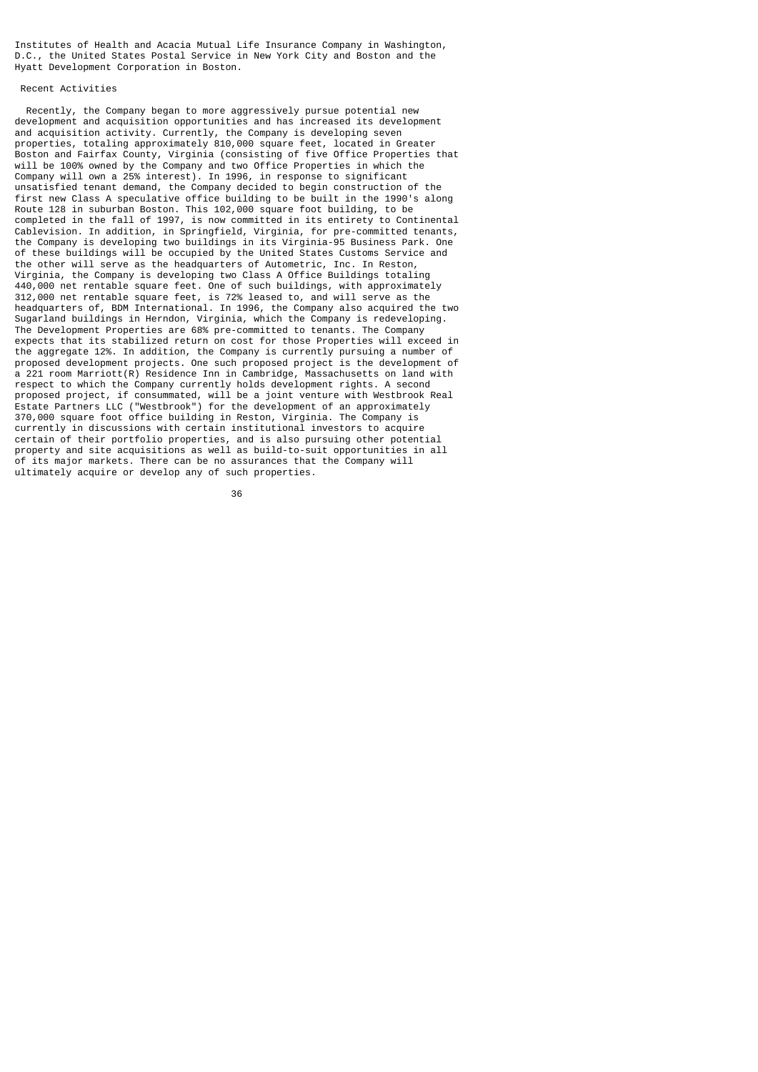Institutes of Health and Acacia Mutual Life Insurance Company in Washington, D.C., the United States Postal Service in New York City and Boston and the Hyatt Development Corporation in Boston.

# Recent Activities

 Recently, the Company began to more aggressively pursue potential new development and acquisition opportunities and has increased its development and acquisition activity. Currently, the Company is developing seven properties, totaling approximately 810,000 square feet, located in Greater Boston and Fairfax County, Virginia (consisting of five Office Properties that will be 100% owned by the Company and two Office Properties in which the Company will own a 25% interest). In 1996, in response to significant unsatisfied tenant demand, the Company decided to begin construction of the first new Class A speculative office building to be built in the 1990's along Route 128 in suburban Boston. This 102,000 square foot building, to be completed in the fall of 1997, is now committed in its entirety to Continental Cablevision. In addition, in Springfield, Virginia, for pre-committed tenants, the Company is developing two buildings in its Virginia-95 Business Park. One of these buildings will be occupied by the United States Customs Service and the other will serve as the headquarters of Autometric, Inc. In Reston, Virginia, the Company is developing two Class A Office Buildings totaling 440,000 net rentable square feet. One of such buildings, with approximately 312,000 net rentable square feet, is 72% leased to, and will serve as the headquarters of, BDM International. In 1996, the Company also acquired the two Sugarland buildings in Herndon, Virginia, which the Company is redeveloping. The Development Properties are 68% pre-committed to tenants. The Company expects that its stabilized return on cost for those Properties will exceed in the aggregate 12%. In addition, the Company is currently pursuing a number of proposed development projects. One such proposed project is the development of a 221 room Marriott(R) Residence Inn in Cambridge, Massachusetts on land with respect to which the Company currently holds development rights. A second proposed project, if consummated, will be a joint venture with Westbrook Real Estate Partners LLC ("Westbrook") for the development of an approximately 370,000 square foot office building in Reston, Virginia. The Company is currently in discussions with certain institutional investors to acquire certain of their portfolio properties, and is also pursuing other potential property and site acquisitions as well as build-to-suit opportunities in all of its major markets. There can be no assurances that the Company will ultimately acquire or develop any of such properties.

 $36$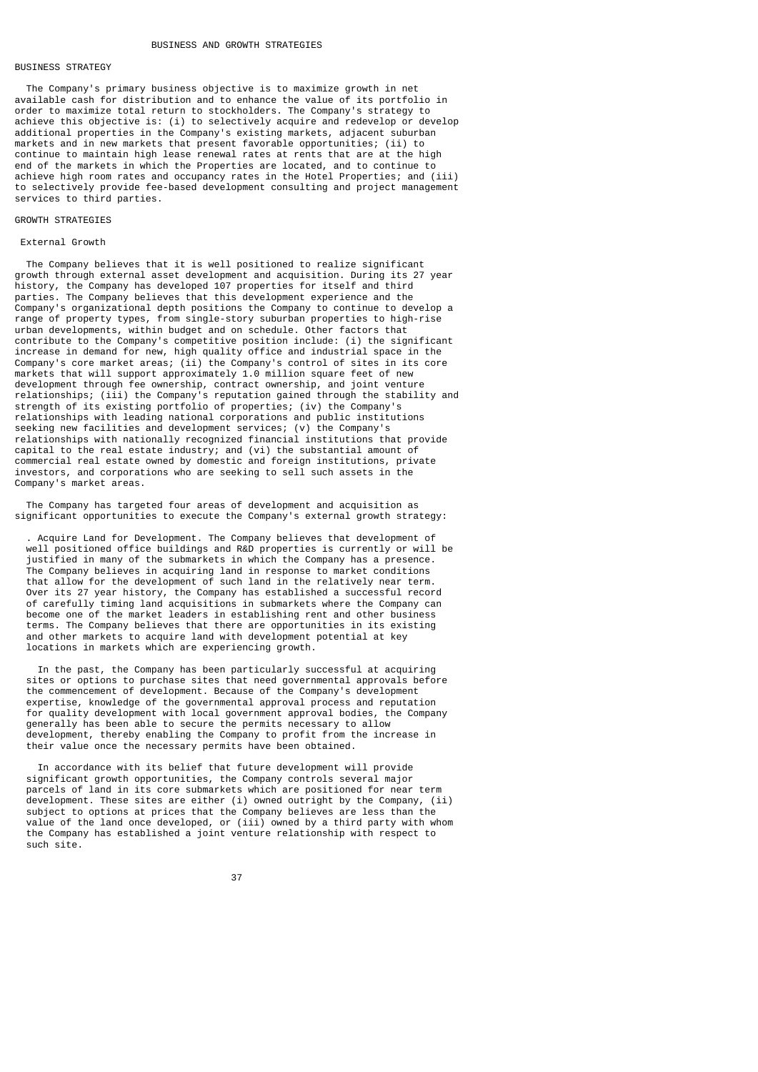## BUSINESS STRATEGY

 The Company's primary business objective is to maximize growth in net available cash for distribution and to enhance the value of its portfolio in order to maximize total return to stockholders. The Company's strategy to achieve this objective is: (i) to selectively acquire and redevelop or develop additional properties in the Company's existing markets, adjacent suburban markets and in new markets that present favorable opportunities; (ii) to continue to maintain high lease renewal rates at rents that are at the high end of the markets in which the Properties are located, and to continue to achieve high room rates and occupancy rates in the Hotel Properties; and (iii) to selectively provide fee-based development consulting and project management services to third parties.

## GROWTH STRATEGIES

### External Growth

 The Company believes that it is well positioned to realize significant growth through external asset development and acquisition. During its 27 year history, the Company has developed 107 properties for itself and third parties. The Company believes that this development experience and the Company's organizational depth positions the Company to continue to develop a range of property types, from single-story suburban properties to high-rise urban developments, within budget and on schedule. Other factors that contribute to the Company's competitive position include: (i) the significant increase in demand for new, high quality office and industrial space in the Company's core market areas; (ii) the Company's control of sites in its core markets that will support approximately 1.0 million square feet of new development through fee ownership, contract ownership, and joint venture relationships; (iii) the Company's reputation gained through the stability and strength of its existing portfolio of properties; (iv) the Company's relationships with leading national corporations and public institutions seeking new facilities and development services; (v) the Company's relationships with nationally recognized financial institutions that provide capital to the real estate industry; and (vi) the substantial amount of commercial real estate owned by domestic and foreign institutions, private investors, and corporations who are seeking to sell such assets in the Company's market areas.

 The Company has targeted four areas of development and acquisition as significant opportunities to execute the Company's external growth strategy:

 . Acquire Land for Development. The Company believes that development of well positioned office buildings and R&D properties is currently or will be justified in many of the submarkets in which the Company has a presence. The Company believes in acquiring land in response to market conditions that allow for the development of such land in the relatively near term. Over its 27 year history, the Company has established a successful record of carefully timing land acquisitions in submarkets where the Company can become one of the market leaders in establishing rent and other business terms. The Company believes that there are opportunities in its existing and other markets to acquire land with development potential at key locations in markets which are experiencing growth.

 In the past, the Company has been particularly successful at acquiring sites or options to purchase sites that need governmental approvals before the commencement of development. Because of the Company's development expertise, knowledge of the governmental approval process and reputation for quality development with local government approval bodies, the Company generally has been able to secure the permits necessary to allow development, thereby enabling the Company to profit from the increase in their value once the necessary permits have been obtained.

 In accordance with its belief that future development will provide significant growth opportunities, the Company controls several major parcels of land in its core submarkets which are positioned for near term development. These sites are either (i) owned outright by the Company, (ii) subject to options at prices that the Company believes are less than the value of the land once developed, or (iii) owned by a third party with whom the Company has established a joint venture relationship with respect to such site.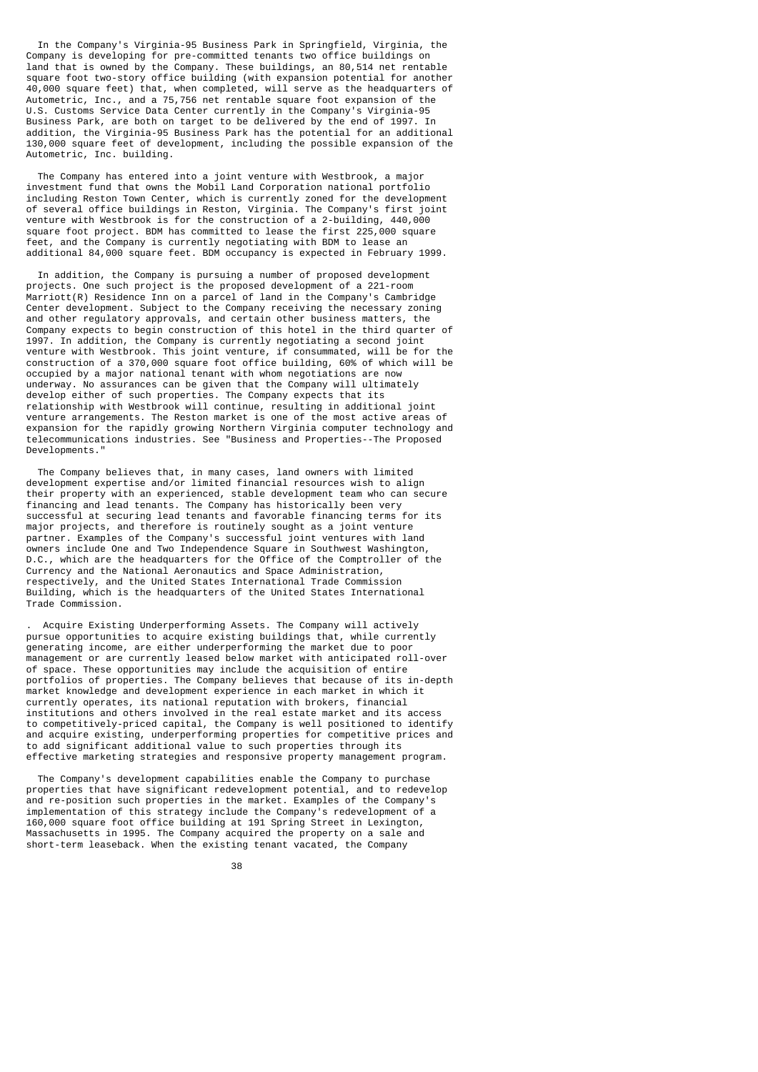In the Company's Virginia-95 Business Park in Springfield, Virginia, the Company is developing for pre-committed tenants two office buildings on land that is owned by the Company. These buildings, an 80,514 net rentable square foot two-story office building (with expansion potential for another 40,000 square feet) that, when completed, will serve as the headquarters of Autometric, Inc., and a 75,756 net rentable square foot expansion of the U.S. Customs Service Data Center currently in the Company's Virginia-95 Business Park, are both on target to be delivered by the end of 1997. In addition, the Virginia-95 Business Park has the potential for an additional 130,000 square feet of development, including the possible expansion of the Autometric, Inc. building.

 The Company has entered into a joint venture with Westbrook, a major investment fund that owns the Mobil Land Corporation national portfolio including Reston Town Center, which is currently zoned for the development of several office buildings in Reston, Virginia. The Company's first joint venture with Westbrook is for the construction of a 2-building, 440,000 square foot project. BDM has committed to lease the first 225,000 square feet, and the Company is currently negotiating with BDM to lease an additional 84,000 square feet. BDM occupancy is expected in February 1999.

 In addition, the Company is pursuing a number of proposed development projects. One such project is the proposed development of a 221-room Marriott(R) Residence Inn on a parcel of land in the Company's Cambridge Center development. Subject to the Company receiving the necessary zoning and other regulatory approvals, and certain other business matters, the Company expects to begin construction of this hotel in the third quarter of 1997. In addition, the Company is currently negotiating a second joint venture with Westbrook. This joint venture, if consummated, will be for the construction of a 370,000 square foot office building, 60% of which will be occupied by a major national tenant with whom negotiations are now underway. No assurances can be given that the Company will ultimately develop either of such properties. The Company expects that its relationship with Westbrook will continue, resulting in additional joint venture arrangements. The Reston market is one of the most active areas of expansion for the rapidly growing Northern Virginia computer technology and telecommunications industries. See "Business and Properties--The Proposed Developments."

 The Company believes that, in many cases, land owners with limited development expertise and/or limited financial resources wish to align their property with an experienced, stable development team who can secure financing and lead tenants. The Company has historically been very successful at securing lead tenants and favorable financing terms for its major projects, and therefore is routinely sought as a joint venture partner. Examples of the Company's successful joint ventures with land owners include One and Two Independence Square in Southwest Washington, D.C., which are the headquarters for the Office of the Comptroller of the Currency and the National Aeronautics and Space Administration, respectively, and the United States International Trade Commission Building, which is the headquarters of the United States International Trade Commission.

 . Acquire Existing Underperforming Assets. The Company will actively pursue opportunities to acquire existing buildings that, while currently generating income, are either underperforming the market due to poor management or are currently leased below market with anticipated roll-over of space. These opportunities may include the acquisition of entire portfolios of properties. The Company believes that because of its in-depth market knowledge and development experience in each market in which it currently operates, its national reputation with brokers, financial institutions and others involved in the real estate market and its access to competitively-priced capital, the Company is well positioned to identify and acquire existing, underperforming properties for competitive prices and to add significant additional value to such properties through its effective marketing strategies and responsive property management program.

 The Company's development capabilities enable the Company to purchase properties that have significant redevelopment potential, and to redevelop and re-position such properties in the market. Examples of the Company's implementation of this strategy include the Company's redevelopment of a 160,000 square foot office building at 191 Spring Street in Lexington, Massachusetts in 1995. The Company acquired the property on a sale and short-term leaseback. When the existing tenant vacated, the Company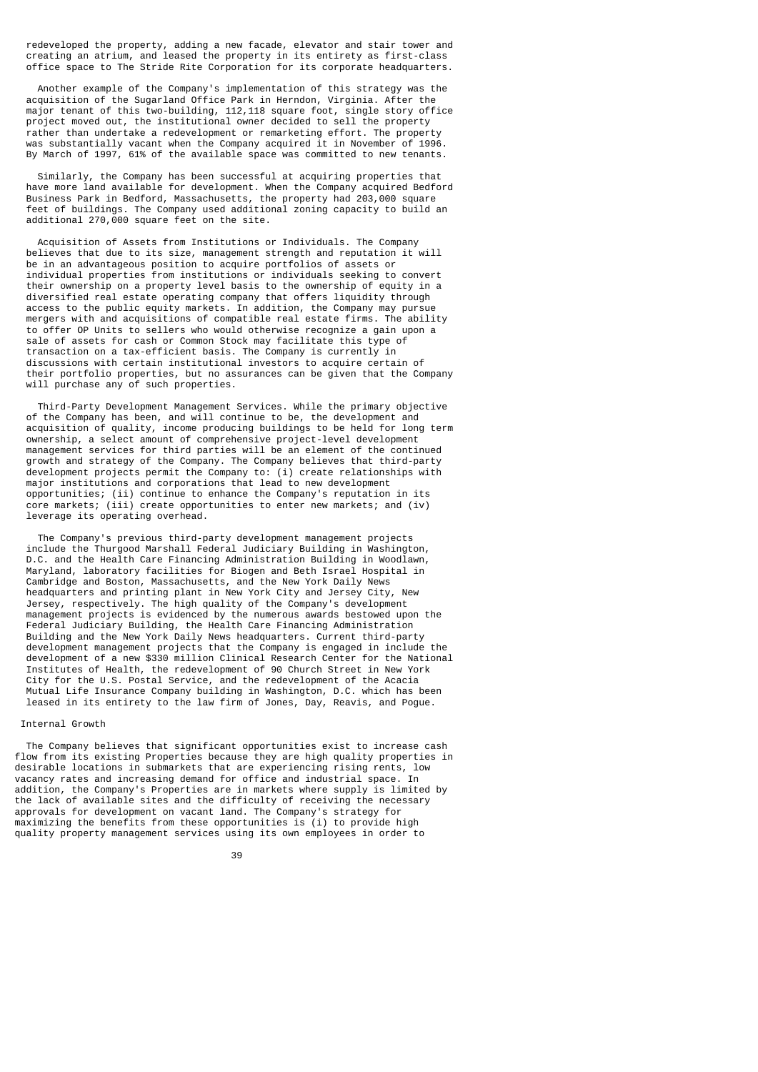redeveloped the property, adding a new facade, elevator and stair tower and creating an atrium, and leased the property in its entirety as first-class office space to The Stride Rite Corporation for its corporate headquarters.

 Another example of the Company's implementation of this strategy was the acquisition of the Sugarland Office Park in Herndon, Virginia. After the major tenant of this two-building, 112,118 square foot, single story office project moved out, the institutional owner decided to sell the property rather than undertake a redevelopment or remarketing effort. The property was substantially vacant when the Company acquired it in November of 1996. By March of 1997, 61% of the available space was committed to new tenants.

 Similarly, the Company has been successful at acquiring properties that have more land available for development. When the Company acquired Bedford Business Park in Bedford, Massachusetts, the property had 203,000 square feet of buildings. The Company used additional zoning capacity to build an additional 270,000 square feet on the site.

 Acquisition of Assets from Institutions or Individuals. The Company believes that due to its size, management strength and reputation it will be in an advantageous position to acquire portfolios of assets or individual properties from institutions or individuals seeking to convert their ownership on a property level basis to the ownership of equity in a diversified real estate operating company that offers liquidity through access to the public equity markets. In addition, the Company may pursue mergers with and acquisitions of compatible real estate firms. The ability to offer OP Units to sellers who would otherwise recognize a gain upon a sale of assets for cash or Common Stock may facilitate this type of transaction on a tax-efficient basis. The Company is currently in discussions with certain institutional investors to acquire certain of their portfolio properties, but no assurances can be given that the Company will purchase any of such properties.

 Third-Party Development Management Services. While the primary objective of the Company has been, and will continue to be, the development and acquisition of quality, income producing buildings to be held for long term ownership, a select amount of comprehensive project-level development management services for third parties will be an element of the continued growth and strategy of the Company. The Company believes that third-party development projects permit the Company to: (i) create relationships with major institutions and corporations that lead to new development opportunities; (ii) continue to enhance the Company's reputation in its core markets; (iii) create opportunities to enter new markets; and (iv) leverage its operating overhead.

 The Company's previous third-party development management projects include the Thurgood Marshall Federal Judiciary Building in Washington, D.C. and the Health Care Financing Administration Building in Woodlawn, Maryland, laboratory facilities for Biogen and Beth Israel Hospital in Cambridge and Boston, Massachusetts, and the New York Daily News headquarters and printing plant in New York City and Jersey City, New Jersey, respectively. The high quality of the Company's development management projects is evidenced by the numerous awards bestowed upon the Federal Judiciary Building, the Health Care Financing Administration Building and the New York Daily News headquarters. Current third-party development management projects that the Company is engaged in include the development of a new \$330 million Clinical Research Center for the National Institutes of Health, the redevelopment of 90 Church Street in New York City for the U.S. Postal Service, and the redevelopment of the Acacia Mutual Life Insurance Company building in Washington, D.C. which has been leased in its entirety to the law firm of Jones, Day, Reavis, and Pogue.

#### Internal Growth

 The Company believes that significant opportunities exist to increase cash flow from its existing Properties because they are high quality properties in desirable locations in submarkets that are experiencing rising rents, low vacancy rates and increasing demand for office and industrial space. In addition, the Company's Properties are in markets where supply is limited by the lack of available sites and the difficulty of receiving the necessary approvals for development on vacant land. The Company's strategy for maximizing the benefits from these opportunities is (i) to provide high quality property management services using its own employees in order to

39 and 2012 and 2013 and 2014 and 2014 and 2014 and 2014 and 2014 and 2014 and 2014 and 2014 and 2014 and 2014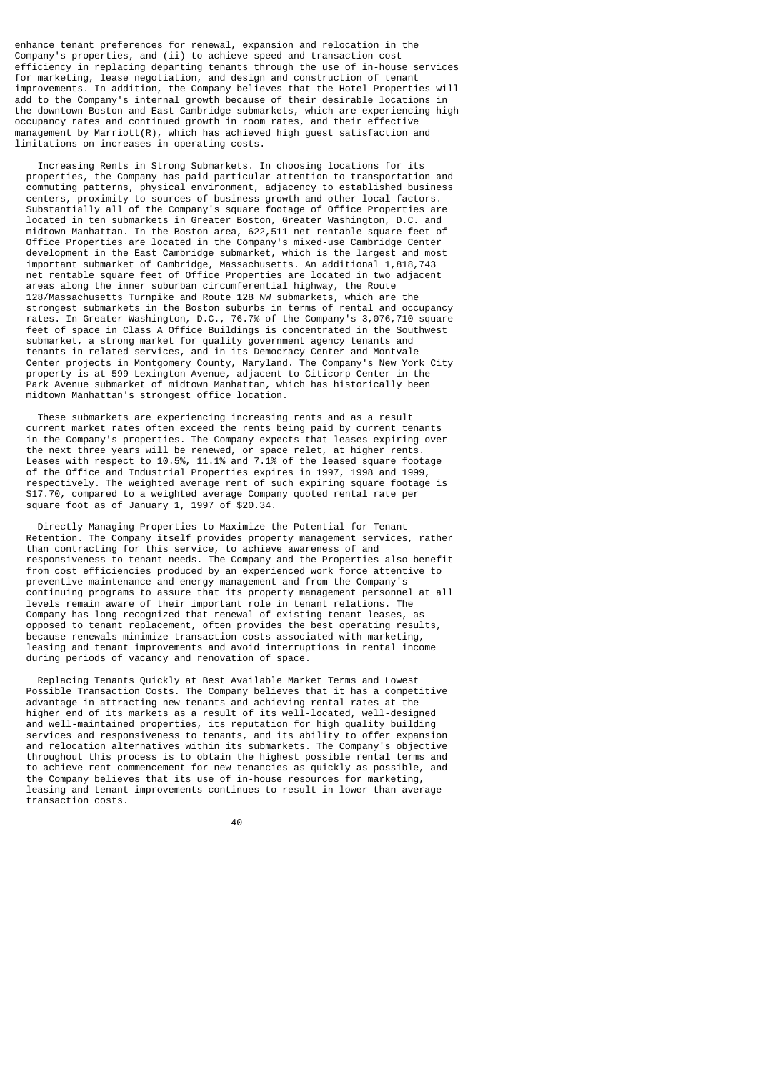enhance tenant preferences for renewal, expansion and relocation in the Company's properties, and (ii) to achieve speed and transaction cost efficiency in replacing departing tenants through the use of in-house services for marketing, lease negotiation, and design and construction of tenant improvements. In addition, the Company believes that the Hotel Properties will add to the Company's internal growth because of their desirable locations in the downtown Boston and East Cambridge submarkets, which are experiencing high occupancy rates and continued growth in room rates, and their effective management by Marriott(R), which has achieved high guest satisfaction and limitations on increases in operating costs.

 Increasing Rents in Strong Submarkets. In choosing locations for its properties, the Company has paid particular attention to transportation and commuting patterns, physical environment, adjacency to established business centers, proximity to sources of business growth and other local factors. Substantially all of the Company's square footage of Office Properties are located in ten submarkets in Greater Boston, Greater Washington, D.C. and midtown Manhattan. In the Boston area, 622,511 net rentable square feet of Office Properties are located in the Company's mixed-use Cambridge Center development in the East Cambridge submarket, which is the largest and most important submarket of Cambridge, Massachusetts. An additional 1,818,743 net rentable square feet of Office Properties are located in two adjacent areas along the inner suburban circumferential highway, the Route 128/Massachusetts Turnpike and Route 128 NW submarkets, which are the strongest submarkets in the Boston suburbs in terms of rental and occupancy rates. In Greater Washington, D.C., 76.7% of the Company's 3,076,710 square feet of space in Class A Office Buildings is concentrated in the Southwest submarket, a strong market for quality government agency tenants and tenants in related services, and in its Democracy Center and Montvale Center projects in Montgomery County, Maryland. The Company's New York City property is at 599 Lexington Avenue, adjacent to Citicorp Center in the Park Avenue submarket of midtown Manhattan, which has historically been midtown Manhattan's strongest office location.

 These submarkets are experiencing increasing rents and as a result current market rates often exceed the rents being paid by current tenants in the Company's properties. The Company expects that leases expiring over the next three years will be renewed, or space relet, at higher rents. Leases with respect to 10.5%, 11.1% and 7.1% of the leased square footage of the Office and Industrial Properties expires in 1997, 1998 and 1999, respectively. The weighted average rent of such expiring square footage is \$17.70, compared to a weighted average Company quoted rental rate per square foot as of January 1, 1997 of \$20.34.

 Directly Managing Properties to Maximize the Potential for Tenant Retention. The Company itself provides property management services, rather than contracting for this service, to achieve awareness of and responsiveness to tenant needs. The Company and the Properties also benefit from cost efficiencies produced by an experienced work force attentive to preventive maintenance and energy management and from the Company's continuing programs to assure that its property management personnel at all levels remain aware of their important role in tenant relations. The Company has long recognized that renewal of existing tenant leases, as opposed to tenant replacement, often provides the best operating results, because renewals minimize transaction costs associated with marketing, leasing and tenant improvements and avoid interruptions in rental income during periods of vacancy and renovation of space.

 Replacing Tenants Quickly at Best Available Market Terms and Lowest Possible Transaction Costs. The Company believes that it has a competitive advantage in attracting new tenants and achieving rental rates at the higher end of its markets as a result of its well-located, well-designed and well-maintained properties, its reputation for high quality building services and responsiveness to tenants, and its ability to offer expansion and relocation alternatives within its submarkets. The Company's objective throughout this process is to obtain the highest possible rental terms and to achieve rent commencement for new tenancies as quickly as possible, and the Company believes that its use of in-house resources for marketing, leasing and tenant improvements continues to result in lower than average transaction costs.

40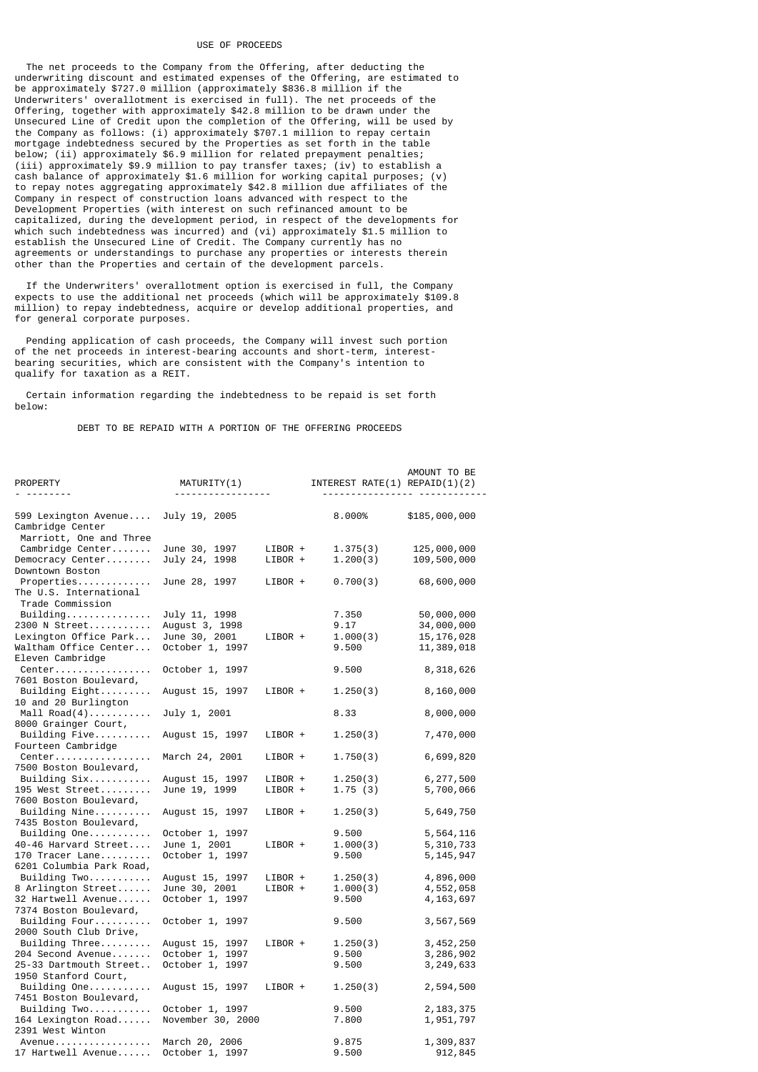#### USE OF PROCEEDS

 The net proceeds to the Company from the Offering, after deducting the underwriting discount and estimated expenses of the Offering, are estimated to be approximately \$727.0 million (approximately \$836.8 million if the Underwriters' overallotment is exercised in full). The net proceeds of the Offering, together with approximately \$42.8 million to be drawn under the Unsecured Line of Credit upon the completion of the Offering, will be used by the Company as follows: (i) approximately \$707.1 million to repay certain mortgage indebtedness secured by the Properties as set forth in the table below; (ii) approximately \$6.9 million for related prepayment penalties; (iii) approximately \$9.9 million to pay transfer taxes; (iv) to establish a cash balance of approximately \$1.6 million for working capital purposes; (v) to repay notes aggregating approximately \$42.8 million due affiliates of the Company in respect of construction loans advanced with respect to the Development Properties (with interest on such refinanced amount to be capitalized, during the development period, in respect of the developments for which such indebtedness was incurred) and (vi) approximately \$1.5 million to establish the Unsecured Line of Credit. The Company currently has no agreements or understandings to purchase any properties or interests therein other than the Properties and certain of the development parcels.

 If the Underwriters' overallotment option is exercised in full, the Company expects to use the additional net proceeds (which will be approximately \$109.8 million) to repay indebtedness, acquire or develop additional properties, and for general corporate purposes.

 Pending application of cash proceeds, the Company will invest such portion of the net proceeds in interest-bearing accounts and short-term, interestbearing securities, which are consistent with the Company's intention to qualify for taxation as a REIT.

 Certain information regarding the indebtedness to be repaid is set forth below:

DEBT TO BE REPAID WITH A PORTION OF THE OFFERING PROCEEDS

| PROPERTY<br>--------                                                | MATURITY(1)<br>.                 |                    | INTEREST RATE $(1)$ REPAID $(1)(2)$ | AMOUNT TO BE             |
|---------------------------------------------------------------------|----------------------------------|--------------------|-------------------------------------|--------------------------|
|                                                                     |                                  |                    |                                     |                          |
| 599 Lexington Avenue<br>Cambridge Center<br>Marriott, One and Three | July 19, 2005                    |                    | 8.000%                              | \$185,000,000            |
| Cambridge Center                                                    | June 30, 1997                    | LIBOR +            | 1.375(3)                            | 125,000,000              |
| Democracy Center                                                    | July 24, 1998                    | LIBOR +            | 1.200(3)                            | 109,500,000              |
| Downtown Boston                                                     |                                  |                    |                                     |                          |
| Properties                                                          | June 28, 1997                    | LIBOR +            | 0.700(3)                            | 68,600,000               |
| The U.S. International<br>Trade Commission                          |                                  |                    |                                     |                          |
| Building.                                                           | July 11, 1998                    |                    | 7.350                               | 50,000,000               |
| 2300 N Street                                                       | August 3, 1998                   |                    | 9.17                                | 34,000,000               |
| Lexington Office Park                                               | June 30, 2001                    | LIBOR +            | 1.000(3)                            | 15, 176, 028             |
| Waltham Office Center                                               | October 1, 1997                  |                    | 9.500                               | 11,389,018               |
| Eleven Cambridge                                                    |                                  |                    |                                     |                          |
| Center<br>7601 Boston Boulevard,                                    | October 1, 1997                  |                    | 9.500                               | 8,318,626                |
| Building Eight<br>10 and 20 Burlington                              | August 15, 1997                  | LIBOR +            | 1.250(3)                            | 8,160,000                |
| Mall $Read(4)$<br>8000 Grainger Court,                              | July 1, 2001                     |                    | 8.33                                | 8,000,000                |
| Building $Five$<br>Fourteen Cambridge                               | August 15, 1997                  | LIBOR +            | 1.250(3)                            | 7,470,000                |
| Center<br>7500 Boston Boulevard,                                    | March 24, 2001                   | LIBOR +            | 1.750(3)                            | 6,699,820                |
| Building $Six$                                                      | August 15, 1997                  | LIBOR +            | 1.250(3)                            | 6,277,500                |
| 195 West Street                                                     | June 19, 1999                    | LIBOR +            | 1.75(3)                             | 5,700,066                |
| 7600 Boston Boulevard,                                              |                                  |                    |                                     |                          |
| Building Nine                                                       | August 15, 1997                  | LIBOR +            | 1.250(3)                            | 5,649,750                |
| 7435 Boston Boulevard,                                              |                                  |                    |                                     |                          |
| Building One                                                        | October 1, 1997                  |                    | 9.500                               | 5,564,116                |
| 40-46 Harvard Street                                                | June 1, 2001                     | LIBOR +            | 1.000(3)                            | 5,310,733                |
| 170 Tracer Lane                                                     | October 1, 1997                  |                    | 9.500                               | 5, 145, 947              |
| 6201 Columbia Park Road,                                            |                                  |                    |                                     |                          |
| Building Two<br>8 Arlington Street                                  | August 15, 1997                  | LIBOR +<br>LIBOR + | 1.250(3)<br>1.000(3)                | 4,896,000                |
| 32 Hartwell Avenue                                                  | June 30, 2001<br>October 1, 1997 |                    | 9.500                               | 4,552,058<br>4, 163, 697 |
| 7374 Boston Boulevard,                                              |                                  |                    |                                     |                          |
| Building Four                                                       | October 1, 1997                  |                    | 9.500                               | 3,567,569                |
| 2000 South Club Drive,                                              |                                  |                    |                                     |                          |
| Building $Three \ldots$                                             | August 15, 1997                  | LIBOR +            | 1.250(3)                            | 3, 452, 250              |
| 204 Second Avenue                                                   | October 1, 1997                  |                    | 9.500                               | 3,286,902                |
| 25-33 Dartmouth Street                                              | October 1, 1997                  |                    | 9.500                               | 3, 249, 633              |
| 1950 Stanford Court,                                                |                                  |                    |                                     |                          |
| Building $One$<br>7451 Boston Boulevard,                            | August 15, 1997                  | LIBOR +            | 1.250(3)                            | 2,594,500                |
| Building Two                                                        | October 1, 1997                  |                    | 9.500                               | 2, 183, 375              |
| 164 Lexington Road                                                  | November 30, 2000                |                    | 7.800                               | 1,951,797                |
| 2391 West Winton                                                    |                                  |                    |                                     |                          |
| Avenue                                                              | March 20, 2006                   |                    | 9.875                               | 1,309,837                |
| 17 Hartwell Avenue                                                  | October 1, 1997                  |                    | 9.500                               | 912,845                  |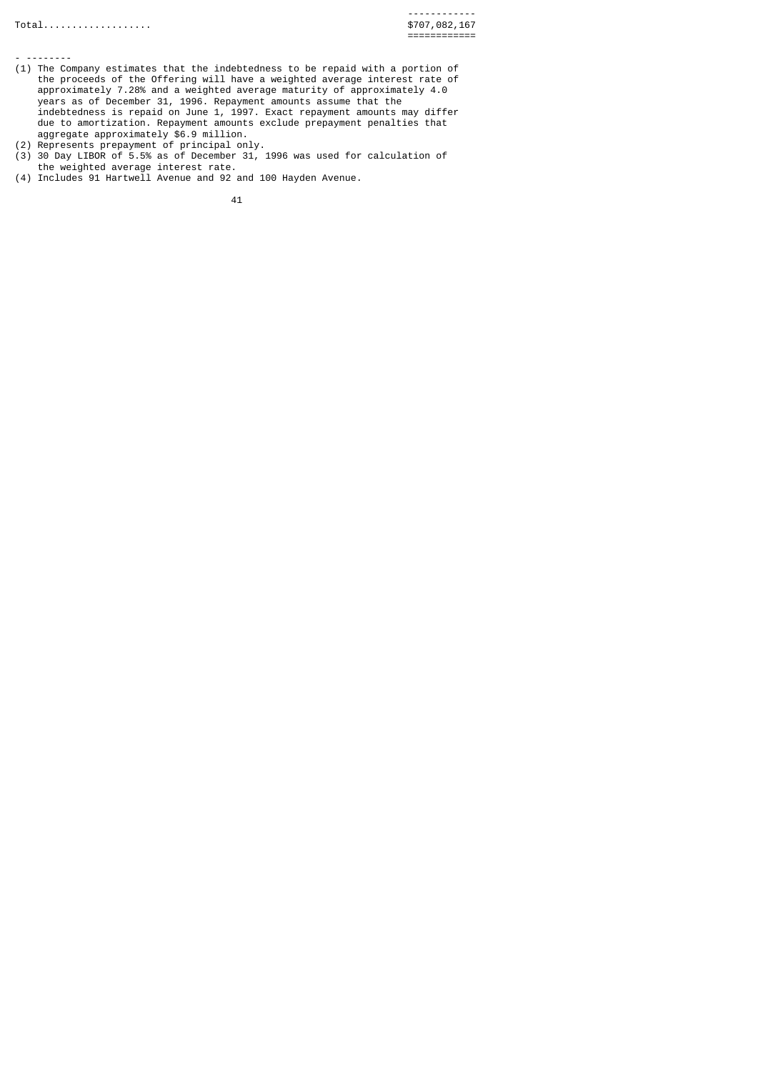- -------- (1) The Company estimates that the indebtedness to be repaid with a portion of the proceeds of the Offering will have a weighted average interest rate of approximately 7.28% and a weighted average maturity of approximately 4.0 years as of December 31, 1996. Repayment amounts assume that the indebtedness is repaid on June 1, 1997. Exact repayment amounts may differ due to amortization. Repayment amounts exclude prepayment penalties that aggregate approximately \$6.9 million.
- (2) Represents prepayment of principal only.
- (3) 30 Day LIBOR of 5.5% as of December 31, 1996 was used for calculation of the weighted average interest rate.
- (4) Includes 91 Hartwell Avenue and 92 and 100 Hayden Avenue.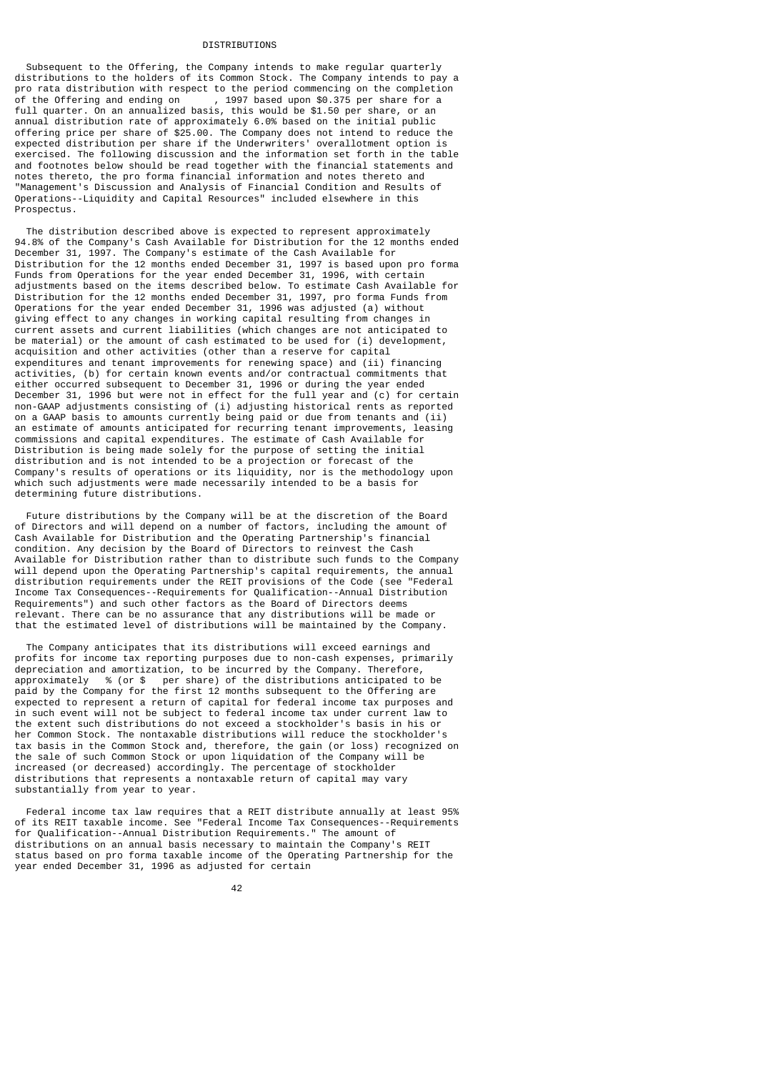#### DISTRIBUTIONS

 Subsequent to the Offering, the Company intends to make regular quarterly distributions to the holders of its Common Stock. The Company intends to pay a pro rata distribution with respect to the period commencing on the completion of the Offering and ending on , 1997 based upon \$0.375 per share for a full quarter. On an annualized basis, this would be \$1.50 per share, or an annual distribution rate of approximately 6.0% based on the initial public offering price per share of \$25.00. The Company does not intend to reduce the expected distribution per share if the Underwriters' overallotment option is exercised. The following discussion and the information set forth in the table and footnotes below should be read together with the financial statements and notes thereto, the pro forma financial information and notes thereto and "Management's Discussion and Analysis of Financial Condition and Results of Operations--Liquidity and Capital Resources" included elsewhere in this Prospectus.

 The distribution described above is expected to represent approximately 94.8% of the Company's Cash Available for Distribution for the 12 months ended December 31, 1997. The Company's estimate of the Cash Available for Distribution for the 12 months ended December 31, 1997 is based upon pro forma Funds from Operations for the year ended December 31, 1996, with certain adjustments based on the items described below. To estimate Cash Available for Distribution for the 12 months ended December 31, 1997, pro forma Funds from Operations for the year ended December 31, 1996 was adjusted (a) without giving effect to any changes in working capital resulting from changes in current assets and current liabilities (which changes are not anticipated to be material) or the amount of cash estimated to be used for (i) development, acquisition and other activities (other than a reserve for capital expenditures and tenant improvements for renewing space) and (ii) financing activities, (b) for certain known events and/or contractual commitments that either occurred subsequent to December 31, 1996 or during the year ended December 31, 1996 but were not in effect for the full year and (c) for certain non-GAAP adjustments consisting of (i) adjusting historical rents as reported on a GAAP basis to amounts currently being paid or due from tenants and (ii) an estimate of amounts anticipated for recurring tenant improvements, leasing commissions and capital expenditures. The estimate of Cash Available for Distribution is being made solely for the purpose of setting the initial distribution and is not intended to be a projection or forecast of the Company's results of operations or its liquidity, nor is the methodology upon which such adjustments were made necessarily intended to be a basis for determining future distributions.

 Future distributions by the Company will be at the discretion of the Board of Directors and will depend on a number of factors, including the amount of Cash Available for Distribution and the Operating Partnership's financial condition. Any decision by the Board of Directors to reinvest the Cash Available for Distribution rather than to distribute such funds to the Company will depend upon the Operating Partnership's capital requirements, the annual distribution requirements under the REIT provisions of the Code (see "Federal Income Tax Consequences--Requirements for Qualification--Annual Distribution Requirements") and such other factors as the Board of Directors deems relevant. There can be no assurance that any distributions will be made or that the estimated level of distributions will be maintained by the Company.

 The Company anticipates that its distributions will exceed earnings and profits for income tax reporting purposes due to non-cash expenses, primarily depreciation and amortization, to be incurred by the Company. Therefore, approximately % (or \$ per share) of the distributions anticipated to be paid by the Company for the first 12 months subsequent to the Offering are expected to represent a return of capital for federal income tax purposes and in such event will not be subject to federal income tax under current law to the extent such distributions do not exceed a stockholder's basis in his or her Common Stock. The nontaxable distributions will reduce the stockholder's tax basis in the Common Stock and, therefore, the gain (or loss) recognized on the sale of such Common Stock or upon liquidation of the Company will be increased (or decreased) accordingly. The percentage of stockholder distributions that represents a nontaxable return of capital may vary substantially from year to year.

 Federal income tax law requires that a REIT distribute annually at least 95% of its REIT taxable income. See "Federal Income Tax Consequences--Requirements for Qualification--Annual Distribution Requirements." The amount of distributions on an annual basis necessary to maintain the Company's REIT status based on pro forma taxable income of the Operating Partnership for the year ended December 31, 1996 as adjusted for certain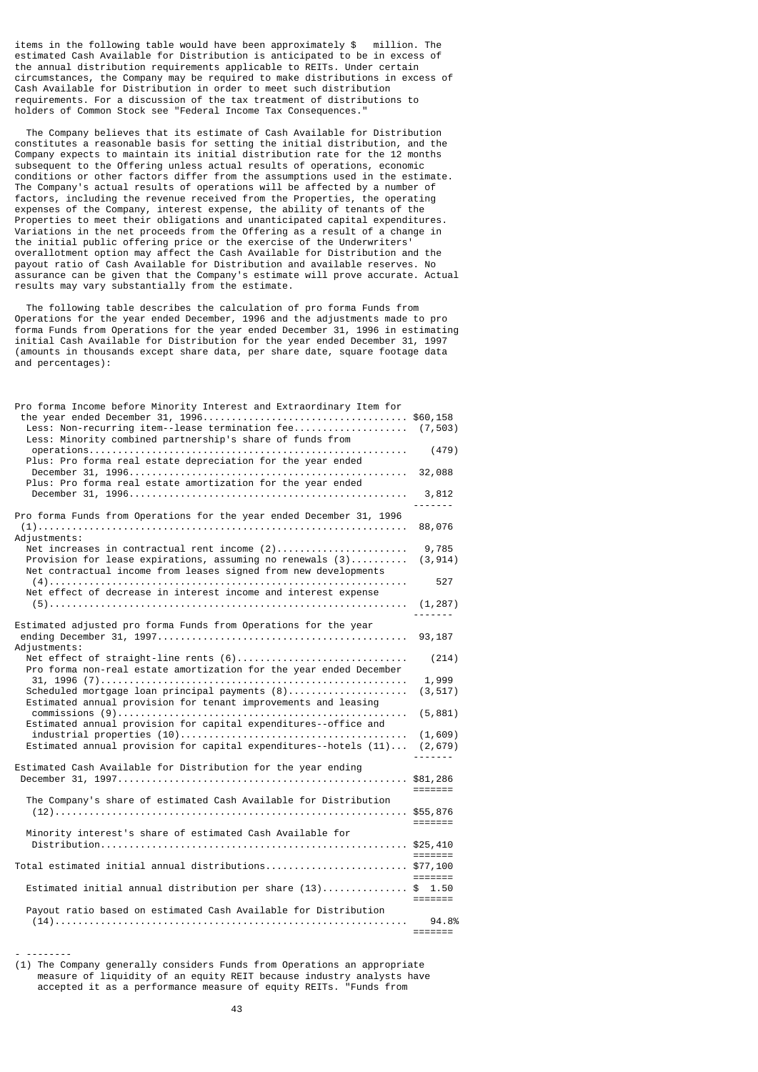items in the following table would have been approximately \$ million. The estimated Cash Available for Distribution is anticipated to be in excess of the annual distribution requirements applicable to REITs. Under certain circumstances, the Company may be required to make distributions in excess of Cash Available for Distribution in order to meet such distribution requirements. For a discussion of the tax treatment of distributions to holders of Common Stock see "Federal Income Tax Consequences.'

 The Company believes that its estimate of Cash Available for Distribution constitutes a reasonable basis for setting the initial distribution, and the Company expects to maintain its initial distribution rate for the 12 months subsequent to the Offering unless actual results of operations, economic conditions or other factors differ from the assumptions used in the estimate. The Company's actual results of operations will be affected by a number of factors, including the revenue received from the Properties, the operating expenses of the Company, interest expense, the ability of tenants of the Properties to meet their obligations and unanticipated capital expenditures. Variations in the net proceeds from the Offering as a result of a change in the initial public offering price or the exercise of the Underwriters' overallotment option may affect the Cash Available for Distribution and the payout ratio of Cash Available for Distribution and available reserves. No assurance can be given that the Company's estimate will prove accurate. Actual results may vary substantially from the estimate.

 The following table describes the calculation of pro forma Funds from Operations for the year ended December, 1996 and the adjustments made to pro forma Funds from Operations for the year ended December 31, 1996 in estimating initial Cash Available for Distribution for the year ended December 31, 1997 (amounts in thousands except share data, per share date, square footage data and percentages):

| Pro forma Income before Minority Interest and Extraordinary Item for<br>Less: Non-recurring item--lease termination fee (7,503)<br>Less: Minority combined partnership's share of funds from<br>Plus: Pro forma real estate depreciation for the year ended<br>Plus: Pro forma real estate amortization for the year ended | (479)<br>32,088<br>3,812    |
|----------------------------------------------------------------------------------------------------------------------------------------------------------------------------------------------------------------------------------------------------------------------------------------------------------------------------|-----------------------------|
| Pro forma Funds from Operations for the year ended December 31, 1996<br>Adjustments:                                                                                                                                                                                                                                       | 88,076                      |
| Net increases in contractual rent income (2)<br>Provision for lease expirations, assuming no renewals $(3)$<br>Net contractual income from leases signed from new developments                                                                                                                                             | 9,785<br>(3, 914)           |
| Net effect of decrease in interest income and interest expense                                                                                                                                                                                                                                                             | 527<br>(1, 287)             |
| Estimated adjusted pro forma Funds from Operations for the year                                                                                                                                                                                                                                                            | -------                     |
| Adiustments:                                                                                                                                                                                                                                                                                                               | 93,187                      |
| Net effect of straight-line rents (6)<br>Pro forma non-real estate amortization for the year ended December                                                                                                                                                                                                                | (214)                       |
| Estimated annual provision for tenant improvements and leasing                                                                                                                                                                                                                                                             | 1,999<br>(3, 517)           |
| Estimated annual provision for capital expenditures--office and                                                                                                                                                                                                                                                            | (5, 881)                    |
| Estimated annual provision for capital expenditures--hotels $(11) \ldots$                                                                                                                                                                                                                                                  | (1,609)<br>(2, 679)         |
| Estimated Cash Available for Distribution for the year ending                                                                                                                                                                                                                                                              | \$81,286<br>=======         |
| The Company's share of estimated Cash Available for Distribution                                                                                                                                                                                                                                                           | =======                     |
| Minority interest's share of estimated Cash Available for                                                                                                                                                                                                                                                                  | $=$ $=$ $=$ $=$ $=$ $=$ $=$ |
| Total estimated initial annual distributions \$77,100                                                                                                                                                                                                                                                                      | =======                     |
| Estimated initial annual distribution per share (13)\$ 1.50                                                                                                                                                                                                                                                                | $=$ $=$ $=$ $=$ $=$ $=$     |
| Payout ratio based on estimated Cash Available for Distribution                                                                                                                                                                                                                                                            | 94.8%                       |
|                                                                                                                                                                                                                                                                                                                            | =======                     |

- -------- (1) The Company generally considers Funds from Operations an appropriate measure of liquidity of an equity REIT because industry analysts have accepted it as a performance measure of equity REITs. "Funds from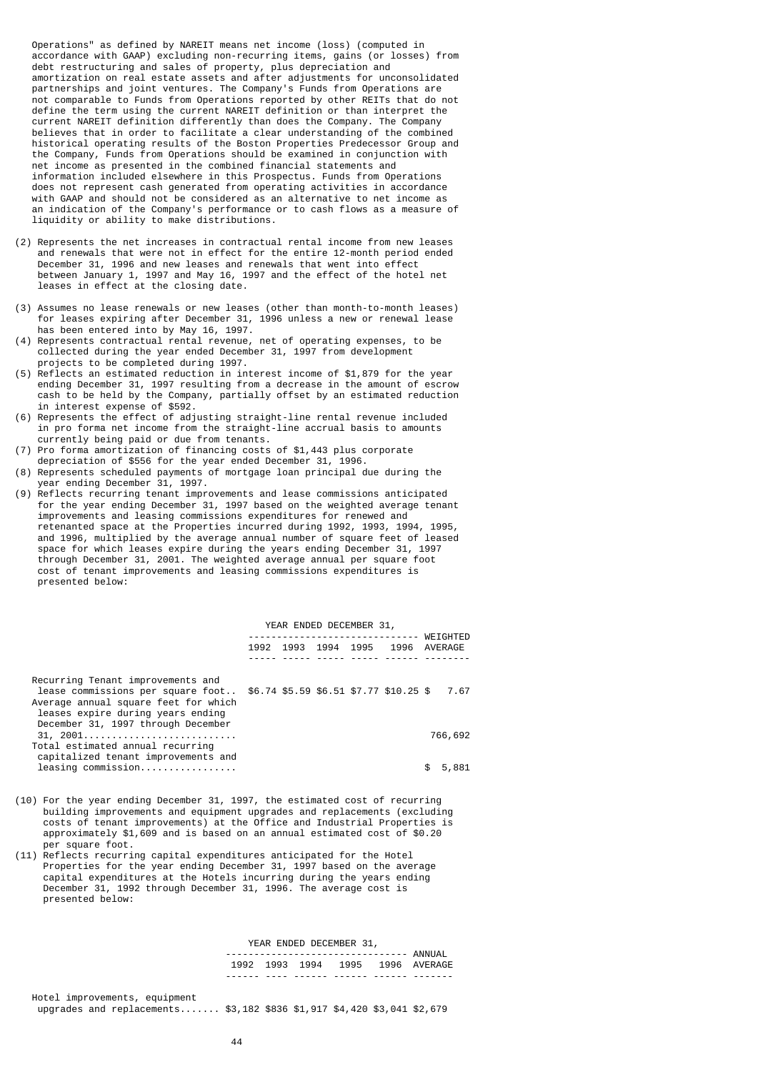Operations" as defined by NAREIT means net income (loss) (computed in accordance with GAAP) excluding non-recurring items, gains (or losses) from debt restructuring and sales of property, plus depreciation and amortization on real estate assets and after adjustments for unconsolidated partnerships and joint ventures. The Company's Funds from Operations are not comparable to Funds from Operations reported by other REITs that do not define the term using the current NAREIT definition or than interpret the current NAREIT definition differently than does the Company. The Company believes that in order to facilitate a clear understanding of the combined historical operating results of the Boston Properties Predecessor Group and the Company, Funds from Operations should be examined in conjunction with net income as presented in the combined financial statements and information included elsewhere in this Prospectus. Funds from Operations does not represent cash generated from operating activities in accordance with GAAP and should not be considered as an alternative to net income as an indication of the Company's performance or to cash flows as a measure of liquidity or ability to make distributions.

- (2) Represents the net increases in contractual rental income from new leases and renewals that were not in effect for the entire 12-month period ended December 31, 1996 and new leases and renewals that went into effect between January 1, 1997 and May 16, 1997 and the effect of the hotel net leases in effect at the closing date.
- (3) Assumes no lease renewals or new leases (other than month-to-month leases) for leases expiring after December 31, 1996 unless a new or renewal lease has been entered into by May 16, 1997.
- (4) Represents contractual rental revenue, net of operating expenses, to be collected during the year ended December 31, 1997 from development projects to be completed during 1997.
- (5) Reflects an estimated reduction in interest income of \$1,879 for the year ending December 31, 1997 resulting from a decrease in the amount of escrow cash to be held by the Company, partially offset by an estimated reduction in interest expense of \$592.
- (6) Represents the effect of adjusting straight-line rental revenue included in pro forma net income from the straight-line accrual basis to amounts currently being paid or due from tenants.
- (7) Pro forma amortization of financing costs of \$1,443 plus corporate depreciation of \$556 for the year ended December 31, 1996.
- (8) Represents scheduled payments of mortgage loan principal due during the year ending December 31, 1997.
- (9) Reflects recurring tenant improvements and lease commissions anticipated for the year ending December 31, 1997 based on the weighted average tenant improvements and leasing commissions expenditures for renewed and retenanted space at the Properties incurred during 1992, 1993, 1994, 1995, and 1996, multiplied by the average annual number of square feet of leased space for which leases expire during the years ending December 31, 1997 through December 31, 2001. The weighted average annual per square foot cost of tenant improvements and leasing commissions expenditures is presented below:

|                                                                                                                                                                                           | YEAR ENDED DECEMBER 31, |  |  |  |                                        |                     |
|-------------------------------------------------------------------------------------------------------------------------------------------------------------------------------------------|-------------------------|--|--|--|----------------------------------------|---------------------|
|                                                                                                                                                                                           | 1992                    |  |  |  | 1993 1994 1995 1996                    | WEIGHTED<br>AVERAGE |
| Recurring Tenant improvements and<br>lease commissions per square foot<br>Average annual square feet for which<br>leases expire during years ending<br>December 31, 1997 through December |                         |  |  |  | \$6.74 \$5.59 \$6.51 \$7.77 \$10.25 \$ | 7.67                |
| 31, 2001<br>Total estimated annual recurring<br>capitalized tenant improvements and                                                                                                       |                         |  |  |  |                                        | 766,692             |
| $leasing$ commission                                                                                                                                                                      |                         |  |  |  |                                        | 5,881               |

- (10) For the year ending December 31, 1997, the estimated cost of recurring building improvements and equipment upgrades and replacements (excluding costs of tenant improvements) at the Office and Industrial Properties is approximately \$1,609 and is based on an annual estimated cost of \$0.20 per square foot.
- (11) Reflects recurring capital expenditures anticipated for the Hotel Properties for the year ending December 31, 1997 based on the average capital expenditures at the Hotels incurring during the years ending December 31, 1992 through December 31, 1996. The average cost is presented below:

YEAR ENDED DECEMBER 31,

|  |                                     |  | 1992 1993 1994 1995 1996 AVERAGE |
|--|-------------------------------------|--|----------------------------------|
|  | _______ ____ ______ ____ _____ ____ |  |                                  |

| Hotel improvements, equipment                                           |  |  |  |
|-------------------------------------------------------------------------|--|--|--|
| upgrades and replacements \$3,182 \$836 \$1,917 \$4,420 \$3,041 \$2,679 |  |  |  |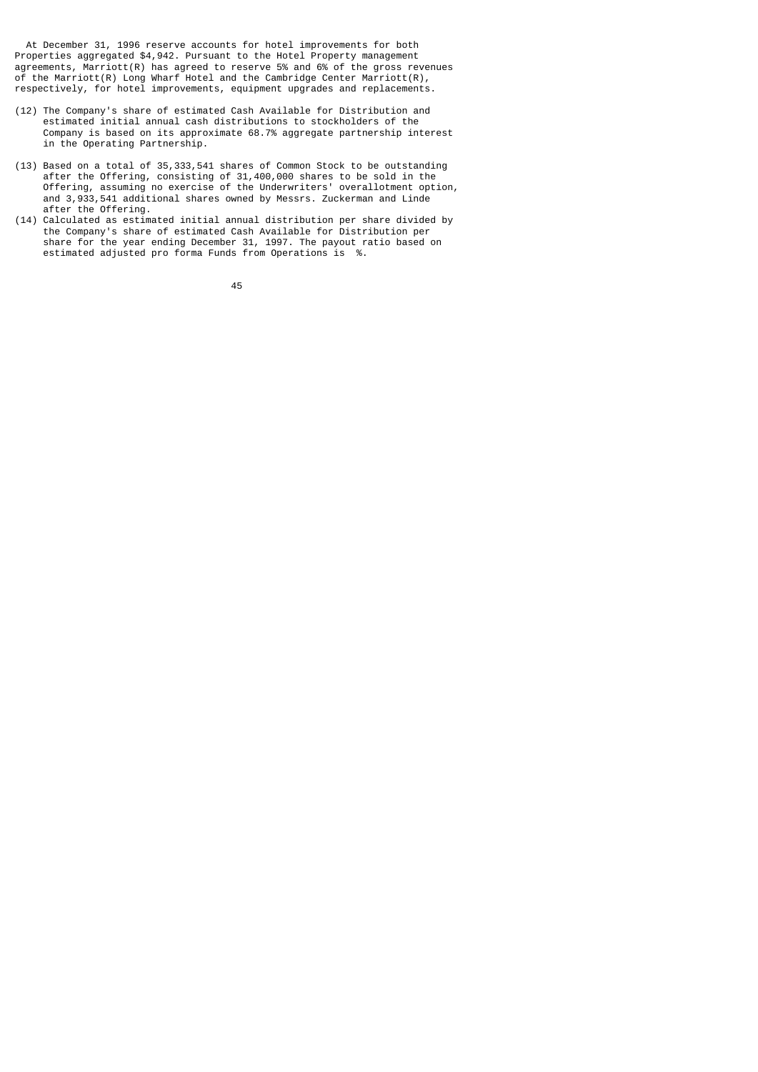At December 31, 1996 reserve accounts for hotel improvements for both Properties aggregated \$4,942. Pursuant to the Hotel Property management agreements, Marriott(R) has agreed to reserve 5% and 6% of the gross revenues of the Marriott(R) Long Wharf Hotel and the Cambridge Center Marriott(R), respectively, for hotel improvements, equipment upgrades and replacements.

- (12) The Company's share of estimated Cash Available for Distribution and estimated initial annual cash distributions to stockholders of the Company is based on its approximate 68.7% aggregate partnership interest in the Operating Partnership.
- (13) Based on a total of 35,333,541 shares of Common Stock to be outstanding after the Offering, consisting of 31,400,000 shares to be sold in the Offering, assuming no exercise of the Underwriters' overallotment option, and 3,933,541 additional shares owned by Messrs. Zuckerman and Linde after the Offering.
- (14) Calculated as estimated initial annual distribution per share divided by the Company's share of estimated Cash Available for Distribution per share for the year ending December 31, 1997. The payout ratio based on estimated adjusted pro forma Funds from Operations is %.

<u>45 and 2012 and 2013</u>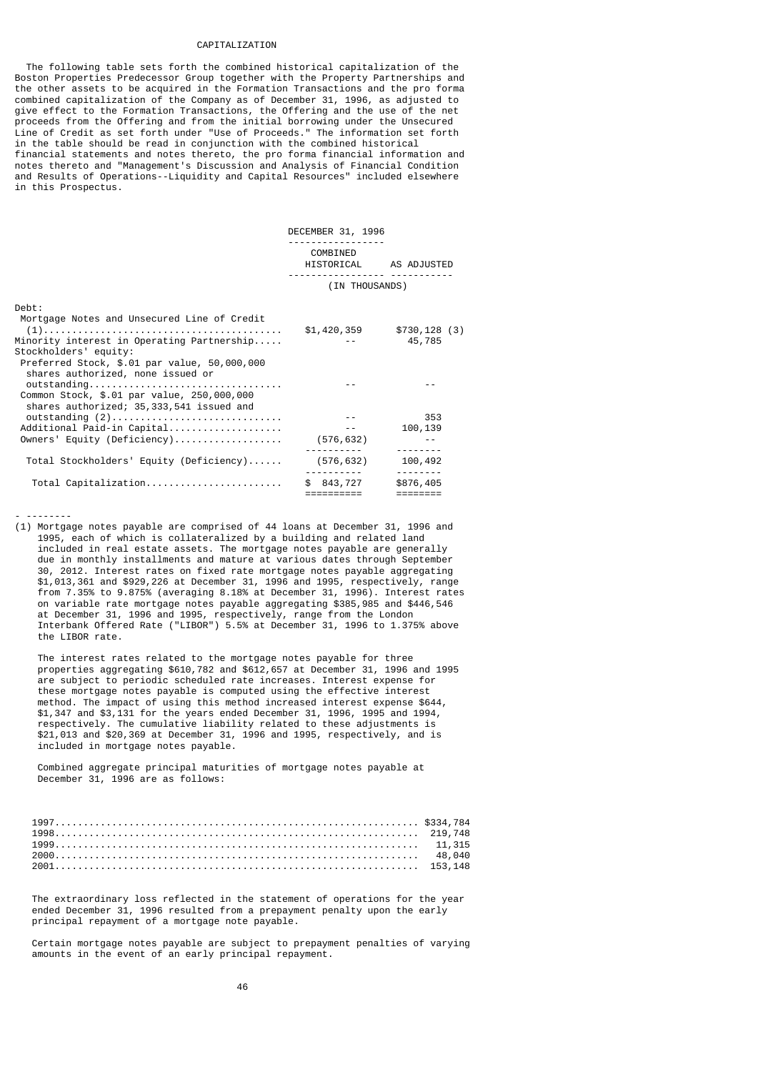### CAPITALIZATION

 The following table sets forth the combined historical capitalization of the Boston Properties Predecessor Group together with the Property Partnerships and the other assets to be acquired in the Formation Transactions and the pro forma combined capitalization of the Company as of December 31, 1996, as adjusted to give effect to the Formation Transactions, the Offering and the use of the net proceeds from the Offering and from the initial borrowing under the Unsecured Line of Credit as set forth under "Use of Proceeds." The information set forth in the table should be read in conjunction with the combined historical financial statements and notes thereto, the pro forma financial information and notes thereto and "Management's Discussion and Analysis of Financial Condition and Results of Operations--Liquidity and Capital Resources" included elsewhere in this Prospectus.

|                                                                                        | DECEMBER 31, 1996        |                             |
|----------------------------------------------------------------------------------------|--------------------------|-----------------------------|
|                                                                                        | COMBINED                 |                             |
|                                                                                        | HISTORICAL AS ADJUSTED   |                             |
|                                                                                        | (IN THOUSANDS)           |                             |
| Debt:                                                                                  |                          |                             |
| Mortgage Notes and Unsecured Line of Credit                                            |                          |                             |
|                                                                                        |                          | $$1,420,359$ $$730,128$ (3) |
| Minority interest in Operating Partnership                                             |                          | 45,785                      |
| Stockholders' equity:                                                                  |                          |                             |
| Preferred Stock, \$.01 par value, 50,000,000<br>shares authorized, none issued or      |                          |                             |
| outstanding                                                                            |                          |                             |
| Common Stock, \$.01 par value, 250,000,000<br>shares authorized; 35,333,541 issued and |                          |                             |
|                                                                                        |                          | 353                         |
| Additional Paid-in Capital                                                             | $\sim$ $\sim$ $ \sim$    | 100,139                     |
| Owners' Equity (Deficiency)                                                            | (576,632)                |                             |
|                                                                                        |                          | --------                    |
| Total Stockholders' Equity (Deficiency)                                                | (576, 632)               | 100,492<br>---------        |
| Total Capitalization                                                                   | \$ 843,727<br>========== | \$876,405                   |

#### - --------

(1) Mortgage notes payable are comprised of 44 loans at December 31, 1996 and 1995, each of which is collateralized by a building and related land included in real estate assets. The mortgage notes payable are generally due in monthly installments and mature at various dates through September 30, 2012. Interest rates on fixed rate mortgage notes payable aggregating \$1,013,361 and \$929,226 at December 31, 1996 and 1995, respectively, range from 7.35% to 9.875% (averaging 8.18% at December 31, 1996). Interest rates on variable rate mortgage notes payable aggregating \$385,985 and \$446,546 at December 31, 1996 and 1995, respectively, range from the London Interbank Offered Rate ("LIBOR") 5.5% at December 31, 1996 to 1.375% above the LIBOR rate.

 The interest rates related to the mortgage notes payable for three properties aggregating \$610,782 and \$612,657 at December 31, 1996 and 1995 are subject to periodic scheduled rate increases. Interest expense for these mortgage notes payable is computed using the effective interest method. The impact of using this method increased interest expense \$644, \$1,347 and \$3,131 for the years ended December 31, 1996, 1995 and 1994, respectively. The cumulative liability related to these adjustments is \$21,013 and \$20,369 at December 31, 1996 and 1995, respectively, and is included in mortgage notes payable.

 Combined aggregate principal maturities of mortgage notes payable at December 31, 1996 are as follows:

| 1998 |  |
|------|--|
| 1999 |  |
|      |  |
|      |  |

 The extraordinary loss reflected in the statement of operations for the year ended December 31, 1996 resulted from a prepayment penalty upon the early principal repayment of a mortgage note payable.

 Certain mortgage notes payable are subject to prepayment penalties of varying amounts in the event of an early principal repayment.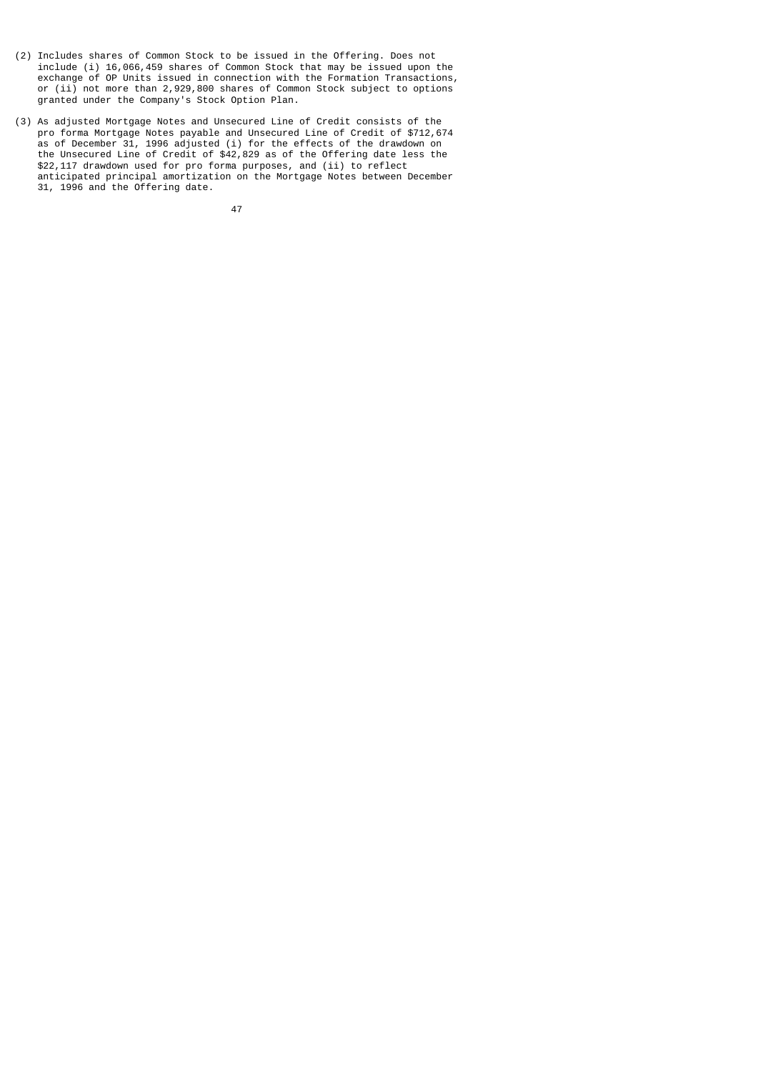- (2) Includes shares of Common Stock to be issued in the Offering. Does not include (i) 16,066,459 shares of Common Stock that may be issued upon the exchange of OP Units issued in connection with the Formation Transactions, or (ii) not more than 2,929,800 shares of Common Stock subject to options granted under the Company's Stock Option Plan.
- (3) As adjusted Mortgage Notes and Unsecured Line of Credit consists of the pro forma Mortgage Notes payable and Unsecured Line of Credit of \$712,674 as of December 31, 1996 adjusted (i) for the effects of the drawdown on the Unsecured Line of Credit of \$42,829 as of the Offering date less the \$22,117 drawdown used for pro forma purposes, and (ii) to reflect anticipated principal amortization on the Mortgage Notes between December 31, 1996 and the Offering date.

47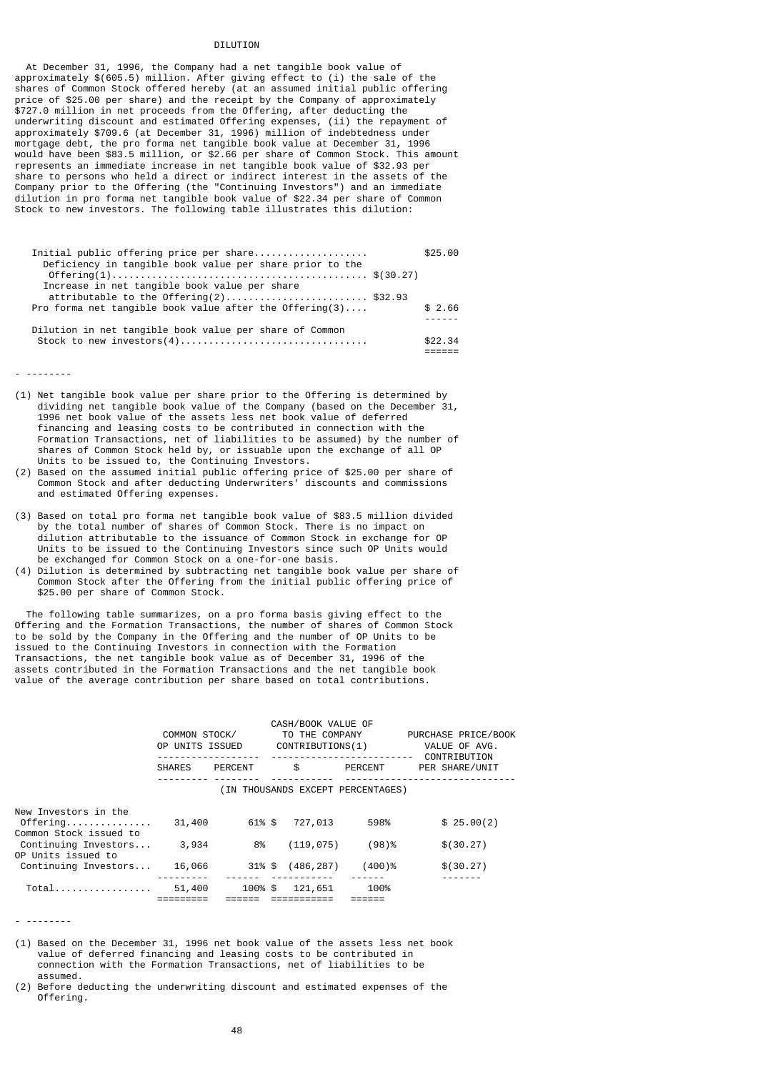### DTI UTTON

 At December 31, 1996, the Company had a net tangible book value of approximately \$(605.5) million. After giving effect to (i) the sale of the shares of Common Stock offered hereby (at an assumed initial public offering price of \$25.00 per share) and the receipt by the Company of approximately \$727.0 million in net proceeds from the Offering, after deducting the underwriting discount and estimated Offering expenses, (ii) the repayment of approximately \$709.6 (at December 31, 1996) million of indebtedness under mortgage debt, the pro forma net tangible book value at December 31, 1996 would have been \$83.5 million, or \$2.66 per share of Common Stock. This amount represents an immediate increase in net tangible book value of \$32.93 per share to persons who held a direct or indirect interest in the assets of the Company prior to the Offering (the "Continuing Investors") and an immediate dilution in pro forma net tangible book value of \$22.34 per share of Common Stock to new investors. The following table illustrates this dilution:

| Initial public offering price per share                    | \$25.00 |
|------------------------------------------------------------|---------|
| Deficiency in tangible book value per share prior to the   |         |
|                                                            |         |
| Increase in net tangible book value per share              |         |
| attributable to the $Offering(2)$ \$32.93                  |         |
| Pro forma net tangible book value after the Offering $(3)$ | \$2.66  |
|                                                            |         |
| Dilution in net tangible book value per share of Common    |         |
| Stock to new investors(4)                                  | \$22.34 |
|                                                            |         |

- --------

- (1) Net tangible book value per share prior to the Offering is determined by dividing net tangible book value of the Company (based on the December 31, 1996 net book value of the assets less net book value of deferred financing and leasing costs to be contributed in connection with the Formation Transactions, net of liabilities to be assumed) by the number of shares of Common Stock held by, or issuable upon the exchange of all OP Units to be issued to, the Continuing Investors.
- (2) Based on the assumed initial public offering price of \$25.00 per share of Common Stock and after deducting Underwriters' discounts and commissions and estimated Offering expenses.
- (3) Based on total pro forma net tangible book value of \$83.5 million divided by the total number of shares of Common Stock. There is no impact on dilution attributable to the issuance of Common Stock in exchange for OP Units to be issued to the Continuing Investors since such OP Units would be exchanged for Common Stock on a one-for-one basis.
- (4) Dilution is determined by subtracting net tangible book value per share of Common Stock after the Offering from the initial public offering price of \$25.00 per share of Common Stock.

 The following table summarizes, on a pro forma basis giving effect to the Offering and the Formation Transactions, the number of shares of Common Stock to be sold by the Company in the Offering and the number of OP Units to be issued to the Continuing Investors in connection with the Formation Transactions, the net tangible book value as of December 31, 1996 of the assets contributed in the Formation Transactions and the net tangible book value of the average contribution per share based on total contributions.

|                                            |                 |         | CASH/BOOK VALUE OF                |          |                                      |  |  |
|--------------------------------------------|-----------------|---------|-----------------------------------|----------|--------------------------------------|--|--|
|                                            | COMMON STOCK/   |         | TO THE COMPANY                    |          | PURCHASE PRICE/BOOK<br>VALUE OF AVG. |  |  |
|                                            | OP UNITS ISSUED |         | CONTRIBUTIONS(1)                  |          |                                      |  |  |
|                                            | <b>SHARES</b>   | PERCENT | \$                                | PERCENT  | CONTRIBUTION<br>PER SHARE/UNIT       |  |  |
|                                            |                 |         | (IN THOUSANDS EXCEPT PERCENTAGES) |          |                                      |  |  |
| New Investors in the                       |                 |         |                                   |          |                                      |  |  |
| Offering.<br>Common Stock issued to        | 31,400          | 61% \$  | 727,013                           | 598%     | \$25.00(2)                           |  |  |
| Continuing Investors<br>OP Units issued to | 3,934           | 8%      | (119, 075)                        | $(98)$ % | \$ (30.27)                           |  |  |
| Continuing Investors                       | 16,066          |         | 31% \$ (486,287)                  | (400)%   | \$(30.27)                            |  |  |
| $Total$                                    | 51,400          | 100% \$ | 121,651                           | 100%     |                                      |  |  |
|                                            |                 |         |                                   |          |                                      |  |  |

- (1) Based on the December 31, 1996 net book value of the assets less net book value of deferred financing and leasing costs to be contributed in connection with the Formation Transactions, net of liabilities to be assumed.
- (2) Before deducting the underwriting discount and estimated expenses of the Offering.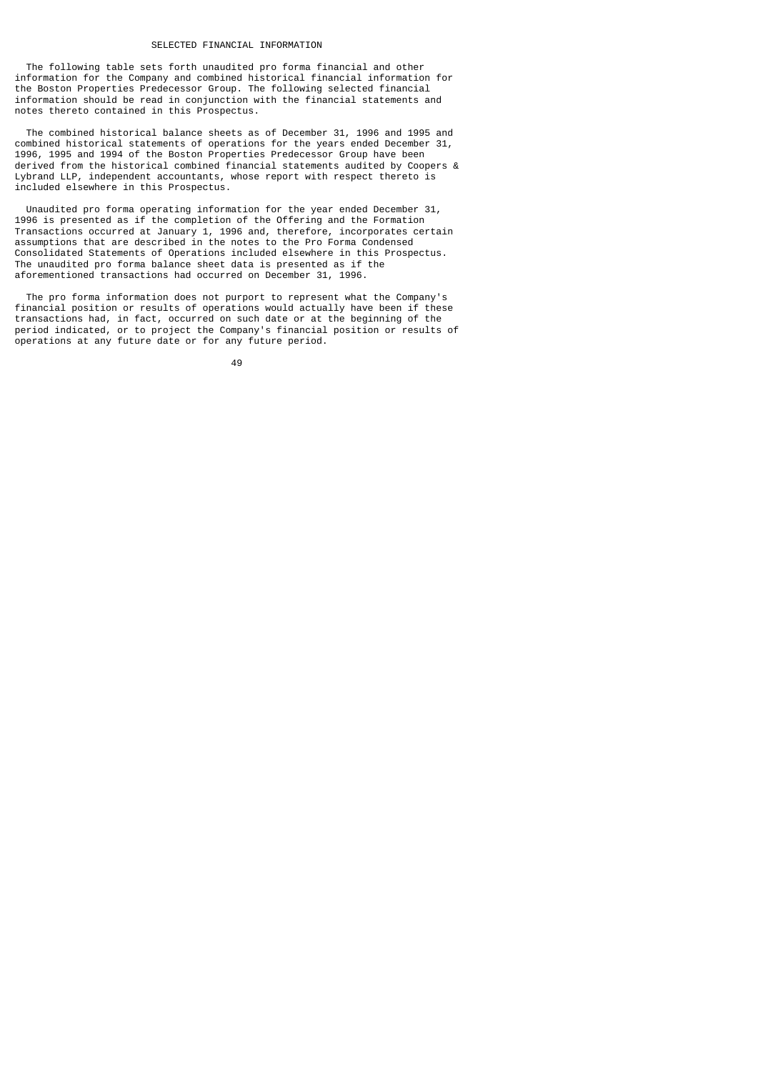### SELECTED FINANCIAL INFORMATION

 The following table sets forth unaudited pro forma financial and other information for the Company and combined historical financial information for the Boston Properties Predecessor Group. The following selected financial information should be read in conjunction with the financial statements and notes thereto contained in this Prospectus.

 The combined historical balance sheets as of December 31, 1996 and 1995 and combined historical statements of operations for the years ended December 31, 1996, 1995 and 1994 of the Boston Properties Predecessor Group have been derived from the historical combined financial statements audited by Coopers & Lybrand LLP, independent accountants, whose report with respect thereto is included elsewhere in this Prospectus.

 Unaudited pro forma operating information for the year ended December 31, 1996 is presented as if the completion of the Offering and the Formation Transactions occurred at January 1, 1996 and, therefore, incorporates certain assumptions that are described in the notes to the Pro Forma Condensed Consolidated Statements of Operations included elsewhere in this Prospectus. The unaudited pro forma balance sheet data is presented as if the aforementioned transactions had occurred on December 31, 1996.

 The pro forma information does not purport to represent what the Company's financial position or results of operations would actually have been if these transactions had, in fact, occurred on such date or at the beginning of the period indicated, or to project the Company's financial position or results of operations at any future date or for any future period.

49 and 2012 and 2014 and 2014 and 2014 and 2014 and 2014 and 2014 and 2014 and 2014 and 2014 and 2014 and 201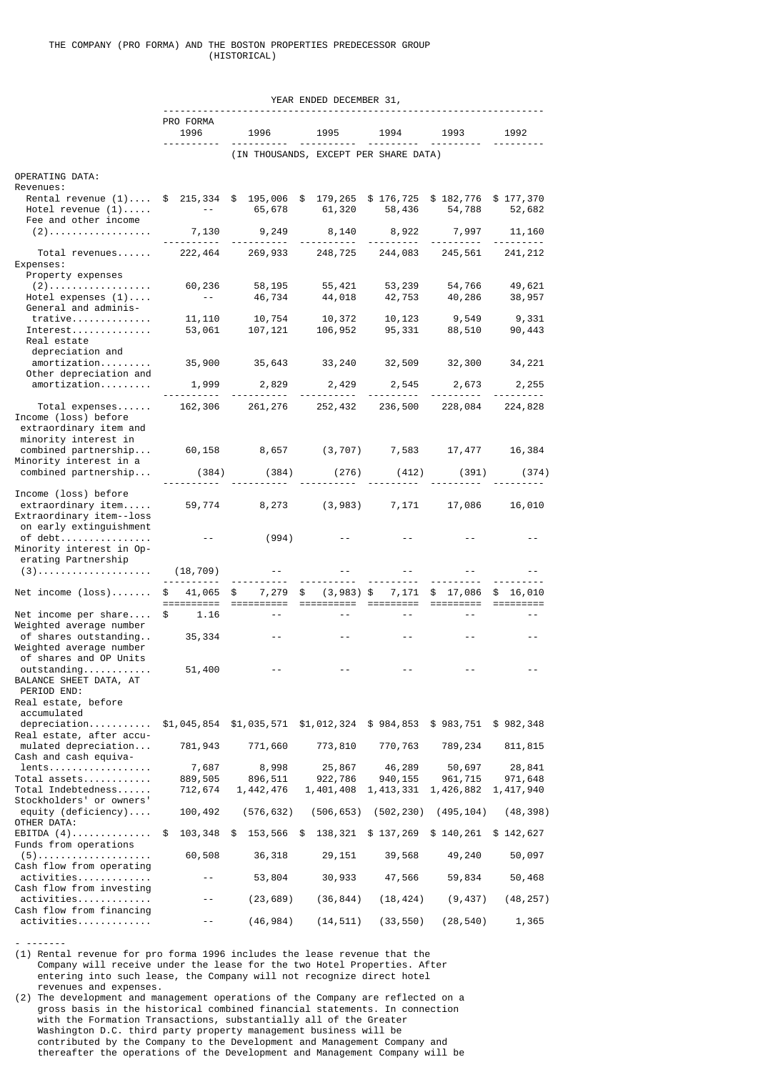|                                              |                                |                                                                   | YEAR ENDED DECEMBER 31,               |            |                  |           |
|----------------------------------------------|--------------------------------|-------------------------------------------------------------------|---------------------------------------|------------|------------------|-----------|
|                                              |                                |                                                                   |                                       |            |                  |           |
|                                              | PRO FORMA                      |                                                                   |                                       |            |                  |           |
|                                              | 1996                           | 1996                                                              | 1995                                  | 1994       | 1993             | 1992      |
|                                              |                                |                                                                   | (IN THOUSANDS, EXCEPT PER SHARE DATA) |            |                  |           |
| OPERATING DATA:                              |                                |                                                                   |                                       |            |                  |           |
| Revenues:                                    |                                |                                                                   |                                       |            |                  |           |
| Rental revenue $(1) \ldots$                  |                                | \$ 215,334 \$ 195,006 \$ 179,265 \$ 176,725 \$ 182,776 \$ 177,370 |                                       |            |                  |           |
| Hotel revenue $(1)$                          | $\sim 100$ m $^{-1}$ m $^{-1}$ |                                                                   | 65,678 61,320                         | 58,436     | 54,788           | 52,682    |
| Fee and other income                         |                                |                                                                   |                                       |            |                  |           |
| $(2)$                                        | 7,130                          | 9,249                                                             | 8,140                                 | 8,922      | 7,997            | 11,160    |
|                                              | .                              |                                                                   |                                       |            |                  |           |
| Total revenues                               |                                | 222,464 269,933 248,725 244,083 245,561                           |                                       |            |                  | 241, 212  |
| Expenses:                                    |                                |                                                                   |                                       |            |                  |           |
| Property expenses                            |                                |                                                                   |                                       |            |                  |           |
| $(2)$                                        | 60,236<br>$- - -$              | 58,195                                                            | 55, 421<br>44, 018                    | 53,239     | 54,766<br>40,286 | 49,621    |
| Hotel expenses $(1)$<br>General and adminis- |                                | 46,734                                                            |                                       | 42,753     |                  | 38,957    |
| $trative$                                    | 11, 110                        | 10,754                                                            | 10,372                                | 10,123     | 9,549            | 9,331     |
| $Interest \ldots \ldots \ldots$              | 53,061                         | 107,121                                                           | 106,952                               | 95,331     | 88,510           | 90,443    |
| Real estate                                  |                                |                                                                   |                                       |            |                  |           |
| depreciation and                             |                                |                                                                   |                                       |            |                  |           |
| amortization                                 | 35,900                         | 35,643   33,240   32,509   32,300   34,221                        |                                       |            |                  |           |
| Other depreciation and                       |                                |                                                                   |                                       |            |                  |           |
| amortization                                 | 1,999                          | 2,829                                                             | 2,429                                 | 2,545      | 2,673            | 2,255     |
|                                              |                                |                                                                   |                                       |            |                  |           |
| Total expenses<br>Income (loss) before       |                                | 162,306 261,276 252,432                                           |                                       | 236,500    | 228,084          | 224,828   |
| extraordinary item and                       |                                |                                                                   |                                       |            |                  |           |
| minority interest in                         |                                |                                                                   |                                       |            |                  |           |
| combined partnership                         |                                | 60,158 8,657 (3,707) 7,583 17,477                                 |                                       |            |                  | 16,384    |
| Minority interest in a                       |                                |                                                                   |                                       |            |                  |           |
| combined partnership                         | (384)                          | (384)                                                             | (276)                                 | (412)      | (391)            | (374)     |
|                                              |                                |                                                                   |                                       |            |                  |           |
| Income (loss) before                         |                                |                                                                   |                                       |            |                  |           |
| extraordinary item                           | 59,774                         |                                                                   | 8,273 (3,983) 7,171                   |            | 17,086           | 16,010    |
| Extraordinary item--loss                     |                                |                                                                   |                                       |            |                  |           |
| on early extinguishment                      |                                |                                                                   |                                       |            |                  |           |
| of debt                                      | $\sim$ $  -$                   | (994)                                                             |                                       |            |                  |           |
| Minority interest in Op-                     |                                |                                                                   |                                       |            |                  |           |
| erating Partnership<br>$(3)$                 | (18,709)                       |                                                                   |                                       |            |                  |           |
|                                              |                                |                                                                   |                                       |            |                  |           |
| Net income $(\text{loss}) \dots \dots$       | 41,065<br>\$                   | 7,279<br>\$                                                       | $(3,983)$ \$<br>\$                    | 7,171      | $$17,086$ \$     | 16,010    |
|                                              |                                |                                                                   |                                       |            |                  |           |
| Net income per share                         | \$<br>1.16                     |                                                                   |                                       |            |                  |           |
| Weighted average number                      |                                |                                                                   |                                       |            |                  |           |
| of shares outstanding                        | 35,334                         |                                                                   |                                       |            |                  |           |
| Weighted average number                      |                                |                                                                   |                                       |            |                  |           |
| of shares and OP Units                       |                                |                                                                   |                                       |            |                  |           |
| outstanding                                  | 51,400                         |                                                                   |                                       |            |                  |           |
| BALANCE SHEET DATA, AT<br>PERIOD END:        |                                |                                                                   |                                       |            |                  |           |
| Real estate, before                          |                                |                                                                   |                                       |            |                  |           |
| accumulated                                  |                                |                                                                   |                                       |            |                  |           |
| $depreciation \ldots$                        | \$1,045,854                    | \$1,035,571                                                       | \$1,012,324                           | \$984,853  | \$983,751        | \$982,348 |
| Real estate, after accu-                     |                                |                                                                   |                                       |            |                  |           |
| $mulated$ depreciation                       | 781,943                        | 771,660                                                           | 773,810                               | 770,763    | 789,234          | 811, 815  |
| Cash and cash equiva-                        |                                |                                                                   |                                       |            |                  |           |
| lents                                        | 7,687                          | 8,998                                                             | 25,867                                | 46,289     | 50,697           | 28,841    |
| Total assets                                 | 889,505                        | 896,511                                                           | 922,786                               | 940, 155   | 961,715          | 971,648   |
| $Total$ $Indebtedness$                       | 712,674                        | 1,442,476                                                         | 1,401,408                             | 1,413,331  | 1,426,882        | 1,417,940 |
| Stockholders' or owners'                     |                                |                                                                   |                                       |            |                  |           |
| equity (deficiency)<br>OTHER DATA:           | 100,492                        | (576, 632)                                                        | (506, 653)                            | (502, 230) | (495, 104)       | (48, 398) |
| $EBITDA(4) \ldots \ldots \ldots \ldots$      | 103,348<br>\$                  | 153,566<br>\$                                                     | \$<br>138,321                         | \$137,269  | \$140,261        | \$142,627 |
| Funds from operations                        |                                |                                                                   |                                       |            |                  |           |
| $(5)$                                        | 60,508                         | 36,318                                                            | 29,151                                | 39,568     | 49,240           | 50,097    |
| Cash flow from operating                     |                                |                                                                   |                                       |            |                  |           |
| activities                                   |                                | 53,804                                                            | 30,933                                | 47,566     | 59,834           | 50,468    |
| Cash flow from investing                     |                                |                                                                   |                                       |            |                  |           |
| activities                                   |                                | (23, 689)                                                         | (36, 844)                             | (18, 424)  | (9, 437)         | (48, 257) |
| Cash flow from financing                     |                                |                                                                   |                                       |            |                  |           |
| activities                                   |                                | (46, 984)                                                         | (14, 511)                             | (33, 550)  | (28, 540)        | 1,365     |

(1) Rental revenue for pro forma 1996 includes the lease revenue that the Company will receive under the lease for the two Hotel Properties. After entering into such lease, the Company will not recognize direct hotel revenues and expenses.

- -------

(2) The development and management operations of the Company are reflected on a gross basis in the historical combined financial statements. In connection with the Formation Transactions, substantially all of the Greater Washington D.C. third party property management business will be contributed by the Company to the Development and Management Company and thereafter the operations of the Development and Management Company will be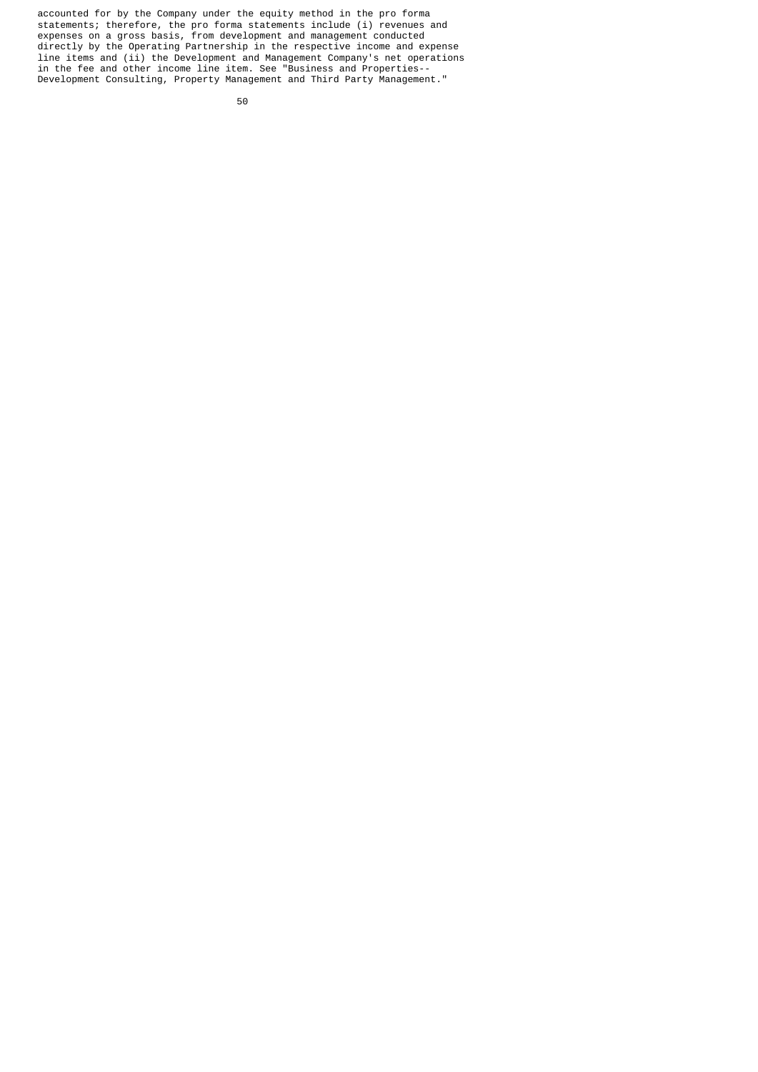accounted for by the Company under the equity method in the pro forma statements; therefore, the pro forma statements include (i) revenues and expenses on a gross basis, from development and management conducted directly by the Operating Partnership in the respective income and expense line items and (ii) the Development and Management Company's net operations in the fee and other income line item. See "Business and Properties-- Development Consulting, Property Management and Third Party Management."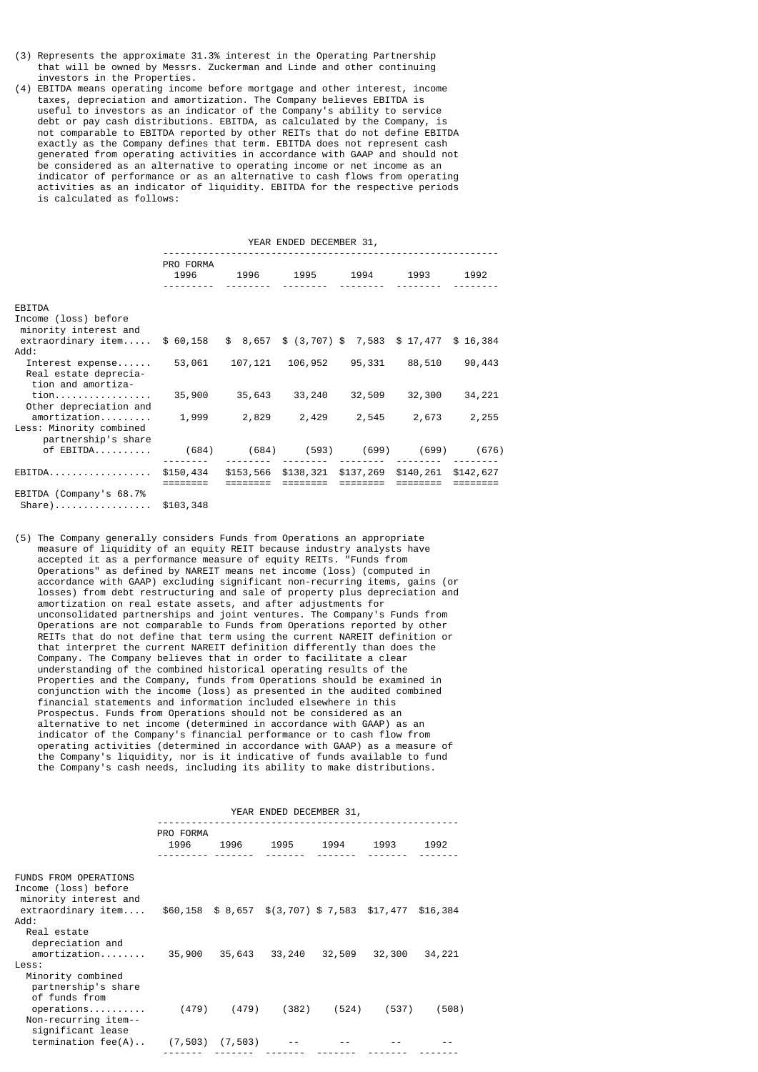- (3) Represents the approximate 31.3% interest in the Operating Partnership that will be owned by Messrs. Zuckerman and Linde and other continuing investors in the Properties.
- (4) EBITDA means operating income before mortgage and other interest, income taxes, depreciation and amortization. The Company believes EBITDA is useful to investors as an indicator of the Company's ability to service debt or pay cash distributions. EBITDA, as calculated by the Company, is not comparable to EBITDA reported by other REITs that do not define EBITDA exactly as the Company defines that term. EBITDA does not represent cash generated from operating activities in accordance with GAAP and should not be considered as an alternative to operating income or net income as an indicator of performance or as an alternative to cash flows from operating activities as an indicator of liquidity. EBITDA for the respective periods is calculated as follows:

|                                                                 | YEAR ENDED DECEMBER 31, |                         |                                                   |                       |        |        |  |  |  |
|-----------------------------------------------------------------|-------------------------|-------------------------|---------------------------------------------------|-----------------------|--------|--------|--|--|--|
|                                                                 | PRO FORMA<br>1996       |                         | 1996 1995 1994 1993                               |                       |        | 1992   |  |  |  |
| EBITDA                                                          |                         |                         |                                                   |                       |        |        |  |  |  |
| Income (loss) before<br>minority interest and                   |                         |                         |                                                   |                       |        |        |  |  |  |
| extraordinary item                                              | \$ 60,158               |                         | $$8,657$ $$ (3,707)$ $$7,583$ $$17,477$ $$16,384$ |                       |        |        |  |  |  |
| : Add                                                           |                         |                         |                                                   |                       |        |        |  |  |  |
| Interest expense<br>Real estate deprecia-<br>tion and amortiza- | 53,061                  | 107,121                 |                                                   | 106,952 95,331 88,510 |        | 90,443 |  |  |  |
| tion<br>Other depreciation and                                  | 35,900                  | 35,643                  | 33,240                                            | 32,509                | 32,300 | 34,221 |  |  |  |
| amortization<br>Less: Minority combined<br>partnership's share  | 1,999                   | 2,829                   | 2,429                                             | 2,545                 | 2,673  | 2,255  |  |  |  |
| of EBITDA                                                       | (684)                   | (684) (593) (699) (699) |                                                   |                       |        | (676)  |  |  |  |
|                                                                 |                         |                         |                                                   |                       |        |        |  |  |  |
| EBITDA.                                                         | \$150,434               |                         | \$153,566 \$138,321 \$137,269 \$140,261 \$142,627 |                       |        |        |  |  |  |
| EBITDA (Company's 68.7%                                         |                         |                         |                                                   |                       |        |        |  |  |  |

Share)................. \$103,348

(5) The Company generally considers Funds from Operations an appropriate measure of liquidity of an equity REIT because industry analysts have accepted it as a performance measure of equity REITs. "Funds from Operations" as defined by NAREIT means net income (loss) (computed in accordance with GAAP) excluding significant non-recurring items, gains (or losses) from debt restructuring and sale of property plus depreciation and amortization on real estate assets, and after adjustments for unconsolidated partnerships and joint ventures. The Company's Funds from Operations are not comparable to Funds from Operations reported by other REITs that do not define that term using the current NAREIT definition or that interpret the current NAREIT definition differently than does the Company. The Company believes that in order to facilitate a clear understanding of the combined historical operating results of the Properties and the Company, funds from Operations should be examined in conjunction with the income (loss) as presented in the audited combined financial statements and information included elsewhere in this Prospectus. Funds from Operations should not be considered as an alternative to net income (determined in accordance with GAAP) as an indicator of the Company's financial performance or to cash flow from operating activities (determined in accordance with GAAP) as a measure of the Company's liquidity, nor is it indicative of funds available to fund the Company's cash needs, including its ability to make distributions.

|                                                                               | YEAR ENDED DECEMBER 31, |                 |                                                      |        |        |        |  |
|-------------------------------------------------------------------------------|-------------------------|-----------------|------------------------------------------------------|--------|--------|--------|--|
|                                                                               | PRO FORMA<br>1996       |                 | 1996 1995 1994 1993                                  |        |        | 1992   |  |
| <b>FUNDS FROM OPERATIONS</b><br>Income (loss) before<br>minority interest and |                         |                 |                                                      |        |        |        |  |
| extraordinary item<br>: Add<br>Real estate                                    |                         |                 | \$60,158 \$8,657 \$(3,707) \$7,583 \$17,477 \$16,384 |        |        |        |  |
| depreciation and<br>amortization<br>Less:<br>Minority combined                | 35,900                  | 35,643          | 33,240                                               | 32,509 | 32,300 | 34,221 |  |
| partnership's share<br>of funds from<br>operations<br>Non-recurring item--    |                         | $(479)$ $(479)$ | (382)                                                | (524)  | (537)  | (508)  |  |
| significant lease<br>$termination fee(A)$                                     | $(7, 503)$ $(7, 503)$   |                 |                                                      |        |        |        |  |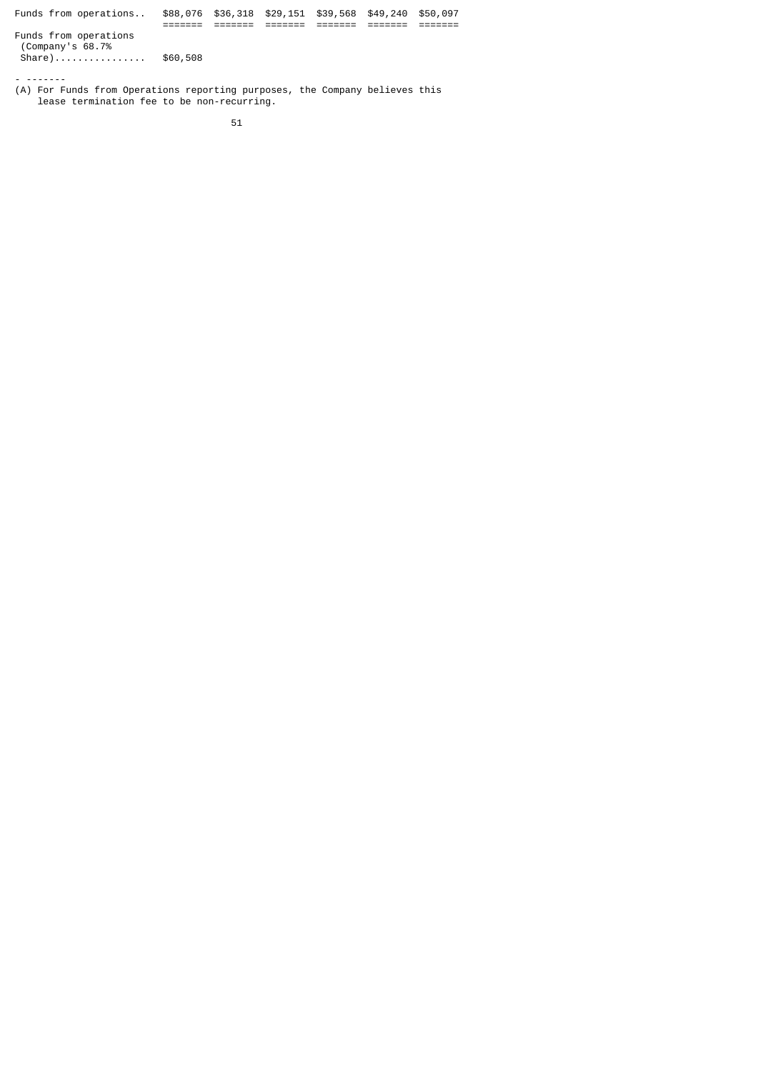| Funds from operations                                  | \$88,076 | \$36,318 \$29,151 \$39,568 \$49,240 |  | \$50,097 |
|--------------------------------------------------------|----------|-------------------------------------|--|----------|
| Funds from operations<br>(Company's 68.7%)<br>$share)$ | \$60,508 |                                     |  |          |
|                                                        |          |                                     |  |          |

(A) For Funds from Operations reporting purposes, the Company believes this lease termination fee to be non-recurring.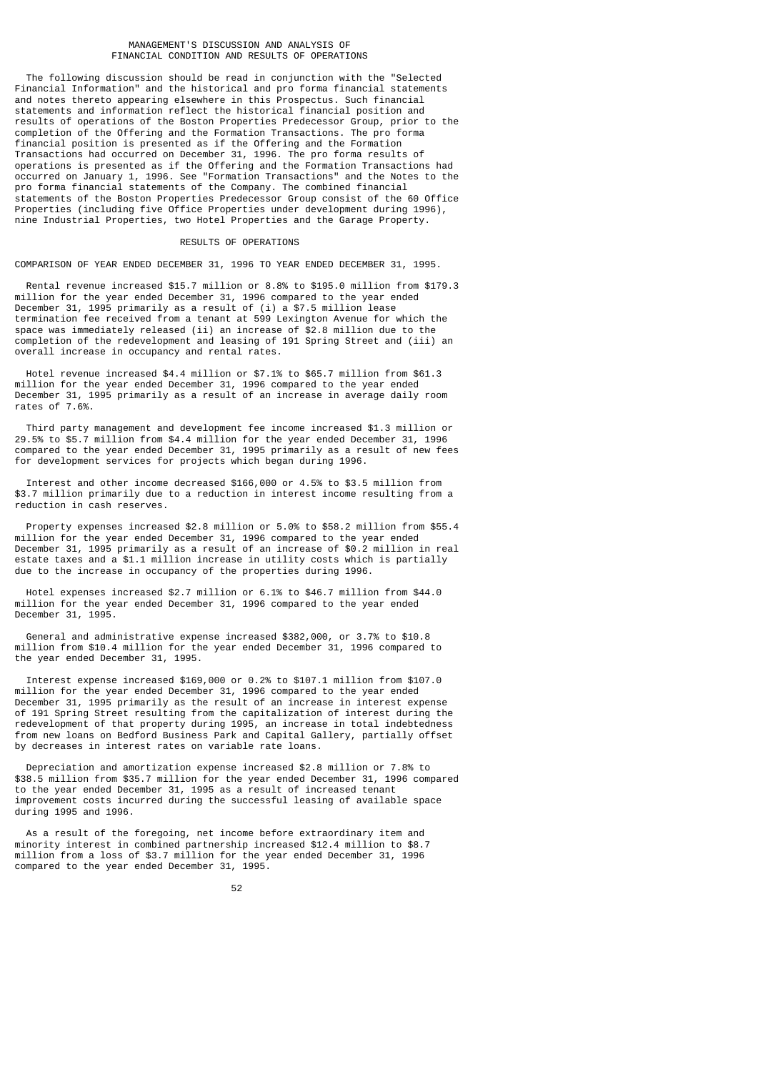### MANAGEMENT'S DISCUSSION AND ANALYSIS OF FINANCIAL CONDITION AND RESULTS OF OPERATIONS

 The following discussion should be read in conjunction with the "Selected Financial Information" and the historical and pro forma financial statements and notes thereto appearing elsewhere in this Prospectus. Such financial statements and information reflect the historical financial position and results of operations of the Boston Properties Predecessor Group, prior to the completion of the Offering and the Formation Transactions. The pro forma financial position is presented as if the Offering and the Formation Transactions had occurred on December 31, 1996. The pro forma results of operations is presented as if the Offering and the Formation Transactions had occurred on January 1, 1996. See "Formation Transactions" and the Notes to the pro forma financial statements of the Company. The combined financial statements of the Boston Properties Predecessor Group consist of the 60 Office Properties (including five Office Properties under development during 1996), nine Industrial Properties, two Hotel Properties and the Garage Property.

### RESULTS OF OPERATIONS

COMPARISON OF YEAR ENDED DECEMBER 31, 1996 TO YEAR ENDED DECEMBER 31, 1995.

 Rental revenue increased \$15.7 million or 8.8% to \$195.0 million from \$179.3 million for the year ended December 31, 1996 compared to the year ended December 31, 1995 primarily as a result of (i) a \$7.5 million lease termination fee received from a tenant at 599 Lexington Avenue for which the space was immediately released (ii) an increase of \$2.8 million due to the completion of the redevelopment and leasing of 191 Spring Street and (iii) an overall increase in occupancy and rental rates.

 Hotel revenue increased \$4.4 million or \$7.1% to \$65.7 million from \$61.3 million for the year ended December 31, 1996 compared to the year ended December 31, 1995 primarily as a result of an increase in average daily room rates of 7.6%.

 Third party management and development fee income increased \$1.3 million or 29.5% to \$5.7 million from \$4.4 million for the year ended December 31, 1996 compared to the year ended December 31, 1995 primarily as a result of new fees for development services for projects which began during 1996.

 Interest and other income decreased \$166,000 or 4.5% to \$3.5 million from \$3.7 million primarily due to a reduction in interest income resulting from a reduction in cash reserves.

 Property expenses increased \$2.8 million or 5.0% to \$58.2 million from \$55.4 million for the year ended December 31, 1996 compared to the year ended December 31, 1995 primarily as a result of an increase of \$0.2 million in real estate taxes and a \$1.1 million increase in utility costs which is partially due to the increase in occupancy of the properties during 1996.

 Hotel expenses increased \$2.7 million or 6.1% to \$46.7 million from \$44.0 million for the year ended December 31, 1996 compared to the year ended December 31, 1995.

 General and administrative expense increased \$382,000, or 3.7% to \$10.8 million from \$10.4 million for the year ended December 31, 1996 compared to the year ended December 31, 1995.

 Interest expense increased \$169,000 or 0.2% to \$107.1 million from \$107.0 million for the year ended December 31, 1996 compared to the year ended December 31, 1995 primarily as the result of an increase in interest expense of 191 Spring Street resulting from the capitalization of interest during the redevelopment of that property during 1995, an increase in total indebtedness from new loans on Bedford Business Park and Capital Gallery, partially offset by decreases in interest rates on variable rate loans.

 Depreciation and amortization expense increased \$2.8 million or 7.8% to \$38.5 million from \$35.7 million for the year ended December 31, 1996 compared to the year ended December 31, 1995 as a result of increased tenant improvement costs incurred during the successful leasing of available space during 1995 and 1996.

 As a result of the foregoing, net income before extraordinary item and minority interest in combined partnership increased \$12.4 million to \$8.7 million from a loss of \$3.7 million for the year ended December 31, 1996 compared to the year ended December 31, 1995.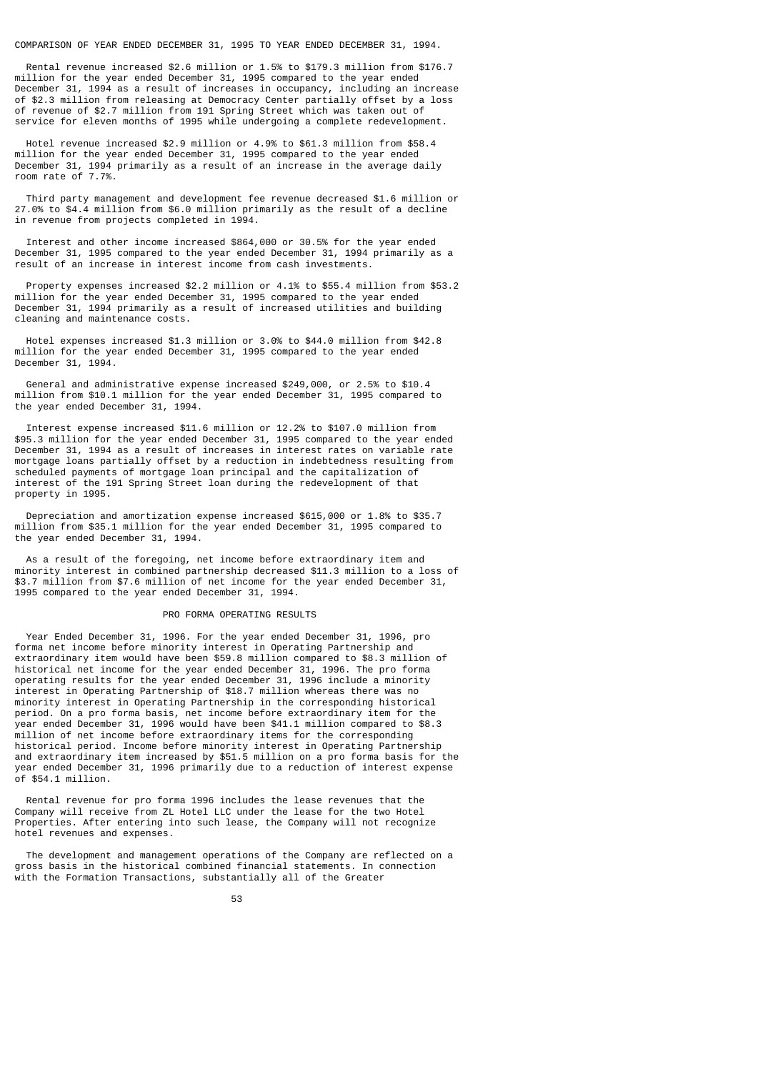COMPARISON OF YEAR ENDED DECEMBER 31, 1995 TO YEAR ENDED DECEMBER 31, 1994.

 Rental revenue increased \$2.6 million or 1.5% to \$179.3 million from \$176.7 million for the year ended December 31, 1995 compared to the year ended December 31, 1994 as a result of increases in occupancy, including an increase of \$2.3 million from releasing at Democracy Center partially offset by a loss of revenue of \$2.7 million from 191 Spring Street which was taken out of service for eleven months of 1995 while undergoing a complete redevelopment.

 Hotel revenue increased \$2.9 million or 4.9% to \$61.3 million from \$58.4 million for the year ended December 31, 1995 compared to the year ended December 31, 1994 primarily as a result of an increase in the average daily room rate of 7.7%.

 Third party management and development fee revenue decreased \$1.6 million or 27.0% to \$4.4 million from \$6.0 million primarily as the result of a decline in revenue from projects completed in 1994.

 Interest and other income increased \$864,000 or 30.5% for the year ended December 31, 1995 compared to the year ended December 31, 1994 primarily as a result of an increase in interest income from cash investments.

 Property expenses increased \$2.2 million or 4.1% to \$55.4 million from \$53.2 million for the year ended December 31, 1995 compared to the year ended December 31, 1994 primarily as a result of increased utilities and building cleaning and maintenance costs.

 Hotel expenses increased \$1.3 million or 3.0% to \$44.0 million from \$42.8 million for the year ended December 31, 1995 compared to the year ended December 31, 1994.

 General and administrative expense increased \$249,000, or 2.5% to \$10.4 million from \$10.1 million for the year ended December 31, 1995 compared to the year ended December 31, 1994.

 Interest expense increased \$11.6 million or 12.2% to \$107.0 million from \$95.3 million for the year ended December 31, 1995 compared to the year ended December 31, 1994 as a result of increases in interest rates on variable rate mortgage loans partially offset by a reduction in indebtedness resulting from scheduled payments of mortgage loan principal and the capitalization of interest of the 191 Spring Street loan during the redevelopment of that property in 1995.

 Depreciation and amortization expense increased \$615,000 or 1.8% to \$35.7 million from \$35.1 million for the year ended December 31, 1995 compared to the year ended December 31, 1994.

 As a result of the foregoing, net income before extraordinary item and minority interest in combined partnership decreased \$11.3 million to a loss of \$3.7 million from \$7.6 million of net income for the year ended December 31, 1995 compared to the year ended December 31, 1994.

### PRO FORMA OPERATING RESULTS

 Year Ended December 31, 1996. For the year ended December 31, 1996, pro forma net income before minority interest in Operating Partnership and extraordinary item would have been \$59.8 million compared to \$8.3 million of historical net income for the year ended December 31, 1996. The pro forma operating results for the year ended December 31, 1996 include a minority interest in Operating Partnership of \$18.7 million whereas there was no minority interest in Operating Partnership in the corresponding historical period. On a pro forma basis, net income before extraordinary item for the year ended December 31, 1996 would have been \$41.1 million compared to \$8.3 million of net income before extraordinary items for the corresponding historical period. Income before minority interest in Operating Partnership and extraordinary item increased by \$51.5 million on a pro forma basis for the year ended December 31, 1996 primarily due to a reduction of interest expense of \$54.1 million.

 Rental revenue for pro forma 1996 includes the lease revenues that the Company will receive from ZL Hotel LLC under the lease for the two Hotel Properties. After entering into such lease, the Company will not recognize hotel revenues and expenses.

 The development and management operations of the Company are reflected on a gross basis in the historical combined financial statements. In connection with the Formation Transactions, substantially all of the Greater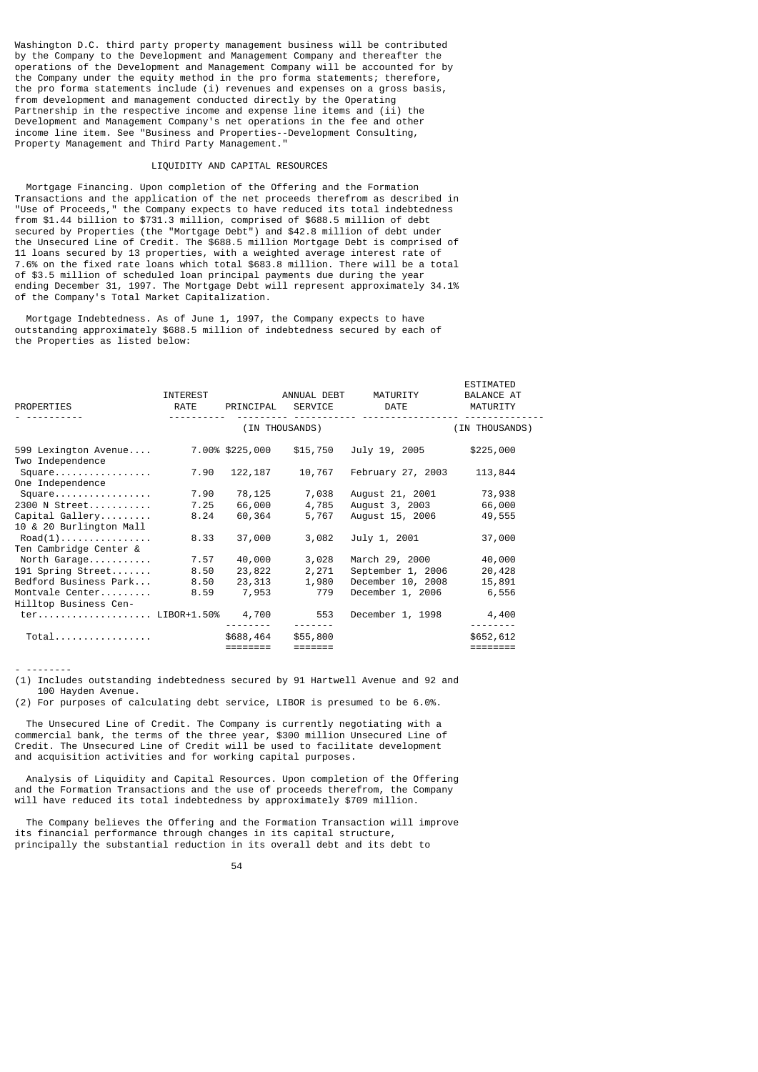Washington D.C. third party property management business will be contributed by the Company to the Development and Management Company and thereafter the operations of the Development and Management Company will be accounted for by the Company under the equity method in the pro forma statements; therefore, the pro forma statements include (i) revenues and expenses on a gross basis, from development and management conducted directly by the Operating Partnership in the respective income and expense line items and (ii) the Development and Management Company's net operations in the fee and other income line item. See "Business and Properties--Development Consulting, Property Management and Third Party Management."

### LIQUIDITY AND CAPITAL RESOURCES

 Mortgage Financing. Upon completion of the Offering and the Formation Transactions and the application of the net proceeds therefrom as described in "Use of Proceeds," the Company expects to have reduced its total indebtedness from \$1.44 billion to \$731.3 million, comprised of \$688.5 million of debt secured by Properties (the "Mortgage Debt") and \$42.8 million of debt under the Unsecured Line of Credit. The \$688.5 million Mortgage Debt is comprised of 11 loans secured by 13 properties, with a weighted average interest rate of 7.6% on the fixed rate loans which total \$683.8 million. There will be a total of \$3.5 million of scheduled loan principal payments due during the year ending December 31, 1997. The Mortgage Debt will represent approximately 34.1% of the Company's Total Market Capitalization.

 Mortgage Indebtedness. As of June 1, 1997, the Company expects to have outstanding approximately \$688.5 million of indebtedness secured by each of the Properties as listed below:

| PROPERTIES                                 | INTEREST<br>RATE |                 | ANNUAL DEBT<br>PRINCIPAL SERVICE | MATURITY<br><b>DATE</b> | <b>ESTIMATED</b><br><b>BALANCE AT</b><br>MATURITY |
|--------------------------------------------|------------------|-----------------|----------------------------------|-------------------------|---------------------------------------------------|
|                                            |                  | (IN THOUSANDS)  |                                  |                         |                                                   |
| 599 Lexington Avenue<br>Two Independence   |                  | 7.00% \$225,000 | \$15,750                         | July 19, 2005           | \$225,000                                         |
| Square<br>One Independence                 | 7.90             | 122,187         | 10,767                           | February 27, 2003       | 113,844                                           |
| Square                                     | 7.90             | 78,125          | 7,038                            | August 21, 2001         | 73,938                                            |
| 2300 N Street                              | 7.25             | 66,000          | 4,785                            | August 3, 2003          | 66,000                                            |
| Capital Gallery<br>10 & 20 Burlington Mall | 8.24             | 60,364          | 5,767                            | August 15, 2006         | 49,555                                            |
| $\text{Read}(1)$<br>Ten Cambridge Center & | 8.33             | 37,000          | 3,082                            | July 1, 2001            | 37,000                                            |
| North Garage                               | 7.57             | 40,000          | 3,028                            | March 29, 2000          | 40,000                                            |
| 191 Spring Street                          | 8.50             | 23,822          | 2,271                            | September 1, 2006       | 20,428                                            |
| Bedford Business Park                      | 8.50             | 23,313          | 1,980                            | December 10, 2008       | 15,891                                            |
| Montvale Center<br>Hilltop Business Cen-   | 8.59             | 7,953           | 779                              | December 1, 2006        | 6,556                                             |
| ter LIBOR+1.50%                            |                  | 4,700           | 553                              | December 1, 1998        | 4,400                                             |
| $Total$                                    |                  | \$688,464       | \$55,800                         |                         | \$652,612                                         |
|                                            |                  | ========        | $=$ $=$ $=$ $=$ $=$ $=$ $=$      |                         | ========                                          |

- --------

(1) Includes outstanding indebtedness secured by 91 Hartwell Avenue and 92 and 100 Hayden Avenue.

(2) For purposes of calculating debt service, LIBOR is presumed to be 6.0%.

 The Unsecured Line of Credit. The Company is currently negotiating with a commercial bank, the terms of the three year, \$300 million Unsecured Line of Credit. The Unsecured Line of Credit will be used to facilitate development and acquisition activities and for working capital purposes.

 Analysis of Liquidity and Capital Resources. Upon completion of the Offering and the Formation Transactions and the use of proceeds therefrom, the Company will have reduced its total indebtedness by approximately \$709 million.

 The Company believes the Offering and the Formation Transaction will improve its financial performance through changes in its capital structure, principally the substantial reduction in its overall debt and its debt to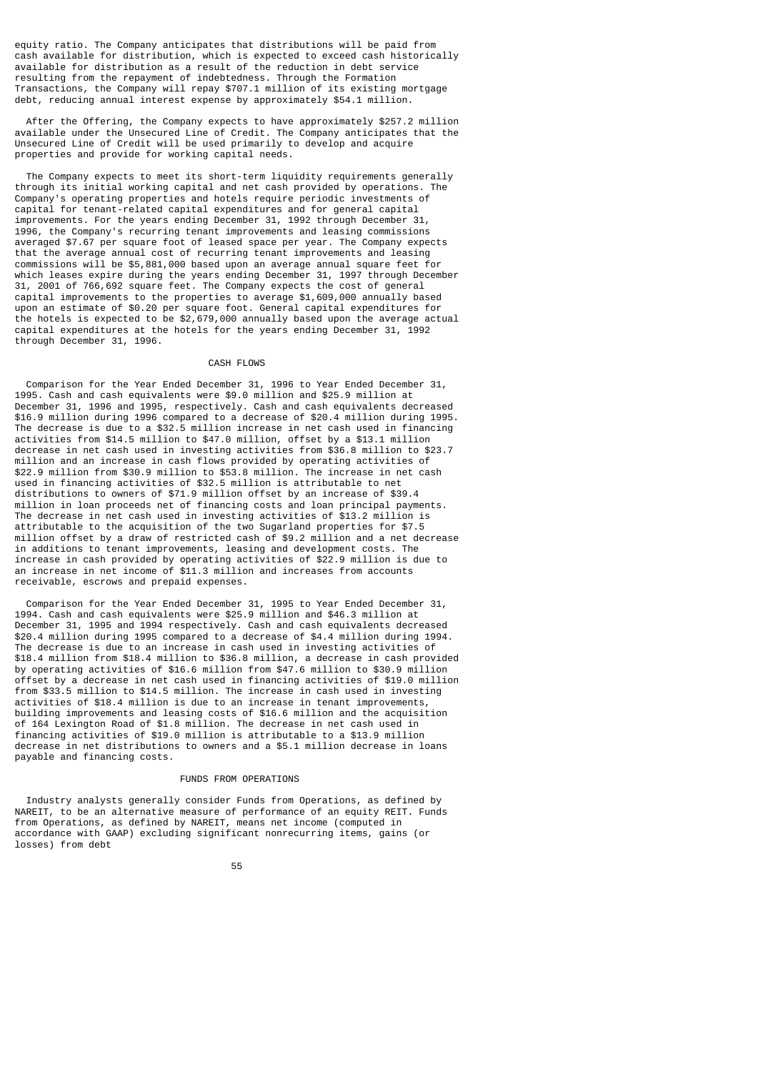equity ratio. The Company anticipates that distributions will be paid from cash available for distribution, which is expected to exceed cash historically available for distribution as a result of the reduction in debt service resulting from the repayment of indebtedness. Through the Formation Transactions, the Company will repay \$707.1 million of its existing mortgage debt, reducing annual interest expense by approximately \$54.1 million.

 After the Offering, the Company expects to have approximately \$257.2 million available under the Unsecured Line of Credit. The Company anticipates that the Unsecured Line of Credit will be used primarily to develop and acquire properties and provide for working capital needs.

 The Company expects to meet its short-term liquidity requirements generally through its initial working capital and net cash provided by operations. The Company's operating properties and hotels require periodic investments of capital for tenant-related capital expenditures and for general capital improvements. For the years ending December 31, 1992 through December 31, 1996, the Company's recurring tenant improvements and leasing commissions averaged \$7.67 per square foot of leased space per year. The Company expects that the average annual cost of recurring tenant improvements and leasing commissions will be \$5,881,000 based upon an average annual square feet for which leases expire during the years ending December 31, 1997 through December 31, 2001 of 766,692 square feet. The Company expects the cost of general capital improvements to the properties to average \$1,609,000 annually based upon an estimate of \$0.20 per square foot. General capital expenditures for the hotels is expected to be \$2,679,000 annually based upon the average actual capital expenditures at the hotels for the years ending December 31, 1992 through December 31, 1996.

## CASH FLOWS

 Comparison for the Year Ended December 31, 1996 to Year Ended December 31, 1995. Cash and cash equivalents were \$9.0 million and \$25.9 million at December 31, 1996 and 1995, respectively. Cash and cash equivalents decreased \$16.9 million during 1996 compared to a decrease of \$20.4 million during 1995. The decrease is due to a \$32.5 million increase in net cash used in financing activities from \$14.5 million to \$47.0 million, offset by a \$13.1 million decrease in net cash used in investing activities from \$36.8 million to \$23.7 million and an increase in cash flows provided by operating activities of \$22.9 million from \$30.9 million to \$53.8 million. The increase in net cash used in financing activities of \$32.5 million is attributable to net distributions to owners of \$71.9 million offset by an increase of \$39.4 million in loan proceeds net of financing costs and loan principal payments. The decrease in net cash used in investing activities of \$13.2 million is attributable to the acquisition of the two Sugarland properties for \$7.5 million offset by a draw of restricted cash of \$9.2 million and a net decrease in additions to tenant improvements, leasing and development costs. The increase in cash provided by operating activities of \$22.9 million is due to an increase in net income of \$11.3 million and increases from accounts receivable, escrows and prepaid expenses.

 Comparison for the Year Ended December 31, 1995 to Year Ended December 31, 1994. Cash and cash equivalents were \$25.9 million and \$46.3 million at December 31, 1995 and 1994 respectively. Cash and cash equivalents decreased \$20.4 million during 1995 compared to a decrease of \$4.4 million during 1994. The decrease is due to an increase in cash used in investing activities of \$18.4 million from \$18.4 million to \$36.8 million, a decrease in cash provided by operating activities of \$16.6 million from \$47.6 million to \$30.9 million offset by a decrease in net cash used in financing activities of \$19.0 million from \$33.5 million to \$14.5 million. The increase in cash used in investing activities of \$18.4 million is due to an increase in tenant improvements, building improvements and leasing costs of \$16.6 million and the acquisition of 164 Lexington Road of \$1.8 million. The decrease in net cash used in financing activities of \$19.0 million is attributable to a \$13.9 million decrease in net distributions to owners and a \$5.1 million decrease in loans payable and financing costs.

### FUNDS FROM OPERATIONS

 Industry analysts generally consider Funds from Operations, as defined by NAREIT, to be an alternative measure of performance of an equity REIT. Funds from Operations, as defined by NAREIT, means net income (computed in accordance with GAAP) excluding significant nonrecurring items, gains (or losses) from debt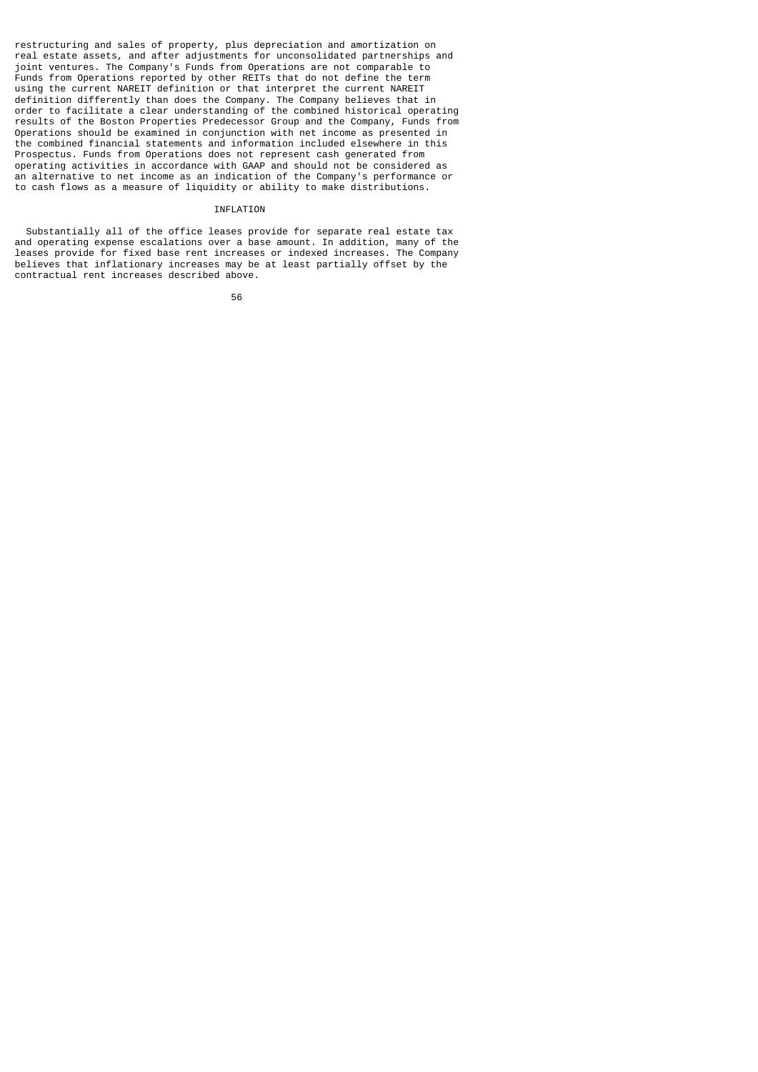restructuring and sales of property, plus depreciation and amortization on real estate assets, and after adjustments for unconsolidated partnerships and joint ventures. The Company's Funds from Operations are not comparable to Funds from Operations reported by other REITs that do not define the term using the current NAREIT definition or that interpret the current NAREIT definition differently than does the Company. The Company believes that in order to facilitate a clear understanding of the combined historical operating results of the Boston Properties Predecessor Group and the Company, Funds from Operations should be examined in conjunction with net income as presented in the combined financial statements and information included elsewhere in this Prospectus. Funds from Operations does not represent cash generated from operating activities in accordance with GAAP and should not be considered as an alternative to net income as an indication of the Company's performance or to cash flows as a measure of liquidity or ability to make distributions.

## **TNEL ATTON**

 Substantially all of the office leases provide for separate real estate tax and operating expense escalations over a base amount. In addition, many of the leases provide for fixed base rent increases or indexed increases. The Company believes that inflationary increases may be at least partially offset by the contractual rent increases described above.

 $56$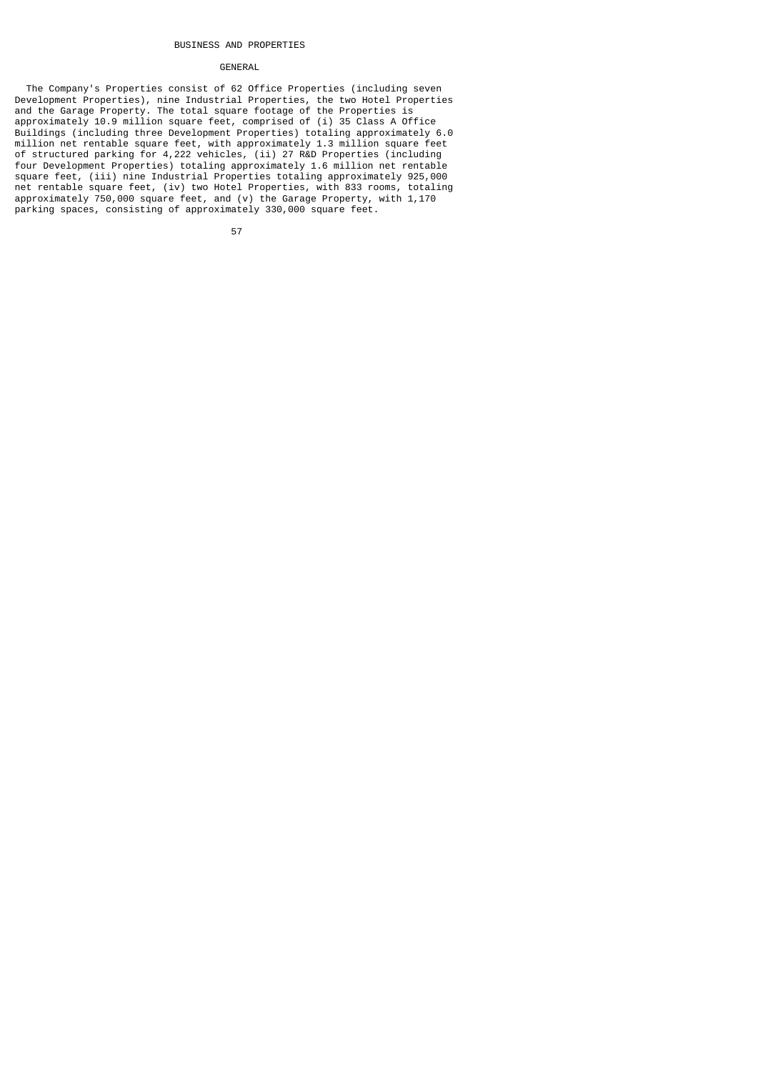#### BUSINESS AND PROPERTIES

### GENERAL

 The Company's Properties consist of 62 Office Properties (including seven Development Properties), nine Industrial Properties, the two Hotel Properties and the Garage Property. The total square footage of the Properties is approximately 10.9 million square feet, comprised of (i) 35 Class A Office Buildings (including three Development Properties) totaling approximately 6.0 million net rentable square feet, with approximately 1.3 million square feet of structured parking for 4,222 vehicles, (ii) 27 R&D Properties (including four Development Properties) totaling approximately 1.6 million net rentable square feet, (iii) nine Industrial Properties totaling approximately 925,000 net rentable square feet, (iv) two Hotel Properties, with 833 rooms, totaling approximately 750,000 square feet, and (v) the Garage Property, with 1,170 parking spaces, consisting of approximately 330,000 square feet.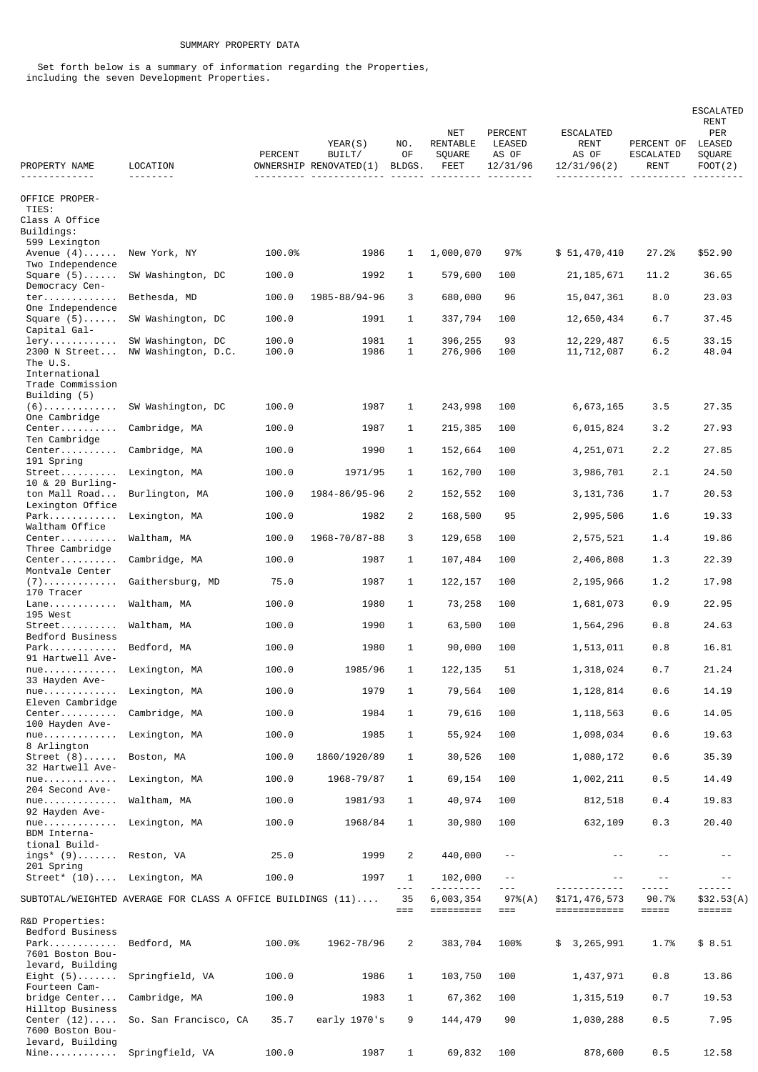## SUMMARY PROPERTY DATA

 Set forth below is a summary of information regarding the Properties, including the seven Development Properties.

| PROPERTY NAME<br><u> - - - - - - - - - - - - -</u> | LOCATION                                                             | <b>PERCENT</b> | YEAR(S)<br>BUILT/<br>OWNERSHIP RENOVATED(1) | NO.<br>0F<br>BLDGS. | <b>NET</b><br>RENTABLE<br>SQUARE<br><b>FEET</b> | PERCENT<br>LEASED<br>AS OF<br>12/31/96 | ESCALATED<br><b>RENT</b><br>AS OF<br>12/31/96(2) | PERCENT OF<br>ESCALATED<br>RENT | <b>ESCALATED</b><br>RENT<br>PER<br>LEASED<br>SQUARE<br>FOOT(2)<br><u>.</u> |
|----------------------------------------------------|----------------------------------------------------------------------|----------------|---------------------------------------------|---------------------|-------------------------------------------------|----------------------------------------|--------------------------------------------------|---------------------------------|----------------------------------------------------------------------------|
| OFFICE PROPER-<br>TIES:<br>Class A Office          |                                                                      |                |                                             |                     |                                                 |                                        |                                                  |                                 |                                                                            |
| Buildings:                                         |                                                                      |                |                                             |                     |                                                 |                                        |                                                  |                                 |                                                                            |
| 599 Lexington<br>Avenue $(4)$                      | New York, NY                                                         | 100.0%         | 1986                                        | $\mathbf{1}$        | 1,000,070                                       | 97%                                    | \$51,470,410                                     | 27.2%                           | \$52.90                                                                    |
| Two Independence                                   |                                                                      |                |                                             |                     |                                                 |                                        |                                                  |                                 |                                                                            |
| Square $(5)$<br>Democracy Cen-                     | SW Washington, DC                                                    | 100.0          | 1992                                        | 1                   | 579,600                                         | 100                                    | 21, 185, 671                                     | 11.2                            | 36.65                                                                      |
| $ter \ldots \ldots \ldots$<br>One Independence     | Bethesda, MD                                                         | 100.0          | 1985-88/94-96                               | 3                   | 680,000                                         | 96                                     | 15,047,361                                       | 8.0                             | 23.03                                                                      |
| Square $(5)$<br>Capital Gal-                       | SW Washington, DC                                                    | 100.0          | 1991                                        | 1                   | 337,794                                         | 100                                    | 12,650,434                                       | 6.7                             | 37.45                                                                      |
| $Iery. \ldots \ldots \ldots$<br>2300 N Street      | SW Washington, DC<br>NW Washington, D.C.                             | 100.0<br>100.0 | 1981<br>1986                                | 1<br>1              | 396,255<br>276,906                              | 93<br>100                              | 12, 229, 487<br>11,712,087                       | 6.5<br>6.2                      | 33.15<br>48.04                                                             |
| The U.S.                                           |                                                                      |                |                                             |                     |                                                 |                                        |                                                  |                                 |                                                                            |
| International<br>Trade Commission<br>Building (5)  |                                                                      |                |                                             |                     |                                                 |                                        |                                                  |                                 |                                                                            |
| (6).<br>One Cambridge                              | SW Washington, DC                                                    | 100.0          | 1987                                        | $\mathbf{1}$        | 243,998                                         | 100                                    | 6,673,165                                        | 3.5                             | 27.35                                                                      |
| Center                                             | Cambridge, MA                                                        | 100.0          | 1987                                        | 1                   | 215,385                                         | 100                                    | 6,015,824                                        | 3.2                             | 27.93                                                                      |
| Ten Cambridge<br>Center                            | Cambridge, MA                                                        | 100.0          | 1990                                        | 1                   | 152,664                                         | 100                                    | 4,251,071                                        | 2.2                             | 27.85                                                                      |
| 191 Spring<br>$Street$                             | Lexington, MA                                                        | 100.0          | 1971/95                                     | 1                   | 162,700                                         | 100                                    | 3,986,701                                        | 2.1                             | 24.50                                                                      |
| 10 & 20 Burling-<br>ton Mall Road                  | Burlington, MA                                                       | 100.0          | 1984-86/95-96                               | 2                   | 152,552                                         | 100                                    | 3,131,736                                        | 1.7                             | 20.53                                                                      |
| Lexington Office<br>Park                           | Lexington, MA                                                        | 100.0          | 1982                                        | $\overline{c}$      | 168,500                                         | 95                                     | 2,995,506                                        | 1.6                             | 19.33                                                                      |
| Waltham Office<br>Center                           | Waltham, MA                                                          | 100.0          | 1968-70/87-88                               | 3                   | 129,658                                         | 100                                    | 2,575,521                                        | 1.4                             | 19.86                                                                      |
| Three Cambridge                                    |                                                                      |                |                                             |                     |                                                 |                                        |                                                  |                                 |                                                                            |
| Center<br>Montvale Center                          | Cambridge, MA                                                        | 100.0          | 1987                                        | 1                   | 107,484                                         | 100                                    | 2,406,808                                        | 1.3                             | 22.39                                                                      |
| ( 7 )<br>170 Tracer                                | Gaithersburg, MD                                                     | 75.0           | 1987                                        | 1                   | 122, 157                                        | 100                                    | 2,195,966                                        | 1.2                             | 17.98                                                                      |
| $Lane$<br>195 West                                 | Waltham, MA                                                          | 100.0          | 1980                                        | 1                   | 73,258                                          | 100                                    | 1,681,073                                        | 0.9                             | 22.95                                                                      |
| Street<br>Bedford Business                         | Waltham, MA                                                          | 100.0          | 1990                                        | 1                   | 63,500                                          | 100                                    | 1,564,296                                        | 0.8                             | 24.63                                                                      |
| Park                                               | Bedford, MA                                                          | 100.0          | 1980                                        | 1                   | 90,000                                          | 100                                    | 1,513,011                                        | 0.8                             | 16.81                                                                      |
| 91 Hartwell Ave-<br>$nue.$                         | Lexington, MA                                                        | 100.0          | 1985/96                                     | 1                   | 122, 135                                        | 51                                     | 1,318,024                                        | 0.7                             | 21.24                                                                      |
| 33 Hayden Ave-<br>$nue.$                           | Lexington, MA                                                        | 100.0          | 1979                                        | 1                   | 79,564                                          | 100                                    | 1, 128, 814                                      | 0.6                             | 14.19                                                                      |
| Eleven Cambridge<br>Center                         | Cambridge, MA                                                        | 100.0          | 1984                                        | 1                   | 79,616                                          | 100                                    | 1, 118, 563                                      | 0.6                             | 14.05                                                                      |
| 100 Hayden Ave-<br>$nue.$                          | Lexington, MA                                                        | 100.0          | 1985                                        | 1                   | 55,924                                          | 100                                    | 1,098,034                                        | 0.6                             | 19.63                                                                      |
| 8 Arlington<br>Street $(8)$                        | Boston, MA                                                           | 100.0          | 1860/1920/89                                | 1                   | 30,526                                          | 100                                    | 1,080,172                                        | 0.6                             | 35.39                                                                      |
| 32 Hartwell Ave-<br>$nue.$                         |                                                                      |                |                                             |                     |                                                 |                                        |                                                  |                                 |                                                                            |
| 204 Second Ave-                                    | Lexington, MA                                                        | 100.0          | 1968-79/87                                  | 1                   | 69,154                                          | 100                                    | 1,002,211                                        | 0.5                             | 14.49                                                                      |
| $nue$<br>92 Hayden Ave-                            | Waltham, MA                                                          | 100.0          | 1981/93                                     | $\mathbf{1}$        | 40,974                                          | 100                                    | 812,518                                          | 0.4                             | 19.83                                                                      |
| $nue.$<br>BDM Interna-                             | Lexington, MA                                                        | 100.0          | 1968/84                                     | $\mathbf{1}$        | 30,980                                          | 100                                    | 632,109                                          | 0.3                             | 20.40                                                                      |
| tional Build-<br>ings* $(9) \ldots \ldots$         | Reston, VA                                                           | 25.0           | 1999                                        | 2                   | 440,000                                         | $\sim$ $-$                             | $\sim$ $-$                                       | $\sim$ $-$                      |                                                                            |
| 201 Spring                                         |                                                                      |                |                                             |                     |                                                 | $\sim$ $\sim$                          | $\sim$ $\sim$                                    | $- -$                           | $- -$                                                                      |
| Street* (10) Lexington, MA                         |                                                                      | 100.0          | 1997                                        | 1<br>$- - -$        | 102,000                                         | $- - -$                                |                                                  | - - - - -                       |                                                                            |
|                                                    | SUBTOTAL/WEIGHTED AVERAGE FOR CLASS A OFFICE BUILDINGS $(11) \ldots$ |                |                                             | 35<br>$==$          | 6,003,354<br>=========                          | 97%(A)<br>$==$                         | \$171,476,573<br>============                    | 90.7%<br>$=$ $=$ $=$ $=$ $=$    | \$32.53(A)<br>$=$ $=$ $=$ $=$ $=$ $=$                                      |
| R&D Properties:<br>Bedford Business                |                                                                      |                |                                             |                     |                                                 |                                        |                                                  |                                 |                                                                            |
| Park<br>7601 Boston Bou-                           | Bedford, MA                                                          | 100.0%         | 1962-78/96                                  | $\overline{c}$      | 383,704                                         | 100%                                   | 3, 265, 991<br>\$                                | 1.7%                            | \$8.51                                                                     |
| levard, Building<br>Eight $(5)$                    | Springfield, VA                                                      | 100.0          | 1986                                        | $\mathbf{1}$        |                                                 | 100                                    | 1,437,971                                        | 0.8                             | 13.86                                                                      |
| Fourteen Cam-                                      |                                                                      |                |                                             |                     | 103,750                                         |                                        |                                                  |                                 |                                                                            |
| bridge Center<br>Hilltop Business                  | Cambridge, MA                                                        | 100.0          | 1983                                        | $\mathbf{1}$        | 67,362                                          | 100                                    | 1, 315, 519                                      | 0.7                             | 19.53                                                                      |
| Center $(12) \ldots$ .<br>7600 Boston Bou-         | So. San Francisco, CA                                                | 35.7           | early 1970's                                | 9                   | 144,479                                         | 90                                     | 1,030,288                                        | 0.5                             | 7.95                                                                       |
| levard, Building                                   | Nine Springfield, VA                                                 | 100.0          | 1987                                        | $\mathbf{1}$        | 69,832                                          | 100                                    | 878,600                                          | 0.5                             | 12.58                                                                      |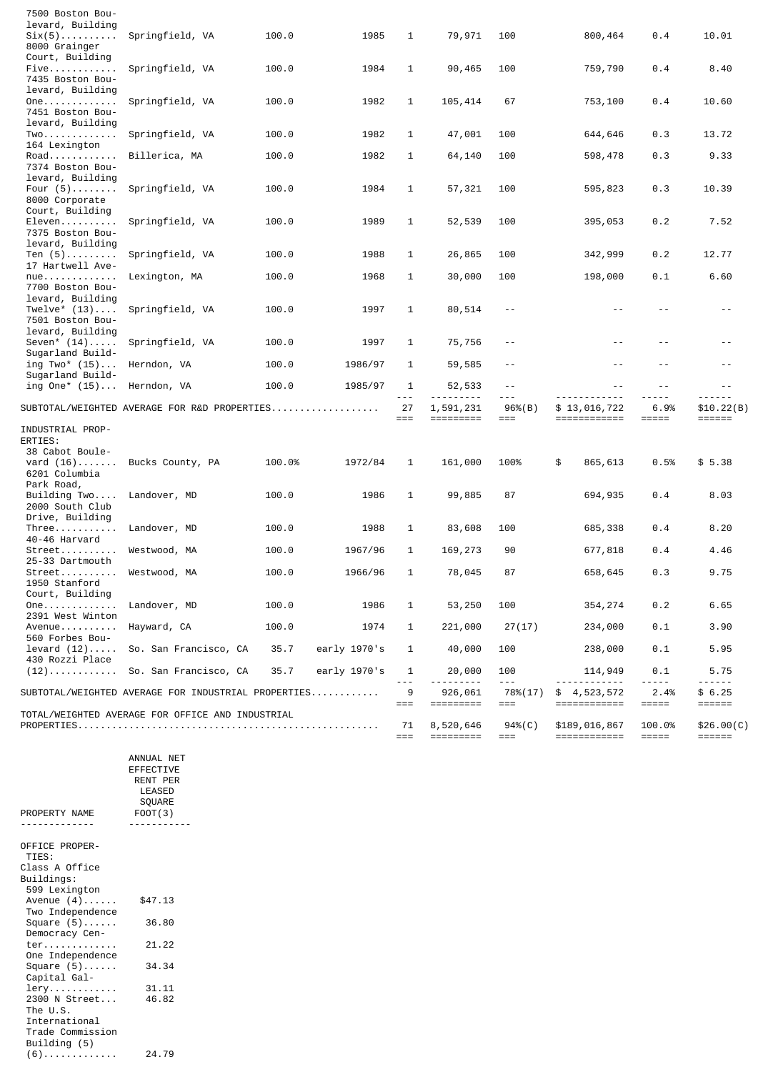| 7500 Boston Bou-                  |                                                     |        |              |              |                               |                    |                                   |                               |                        |
|-----------------------------------|-----------------------------------------------------|--------|--------------|--------------|-------------------------------|--------------------|-----------------------------------|-------------------------------|------------------------|
| levard, Building                  |                                                     |        |              |              |                               |                    |                                   |                               |                        |
| Six(5)<br>8000 Grainger           | Springfield, VA                                     | 100.0  | 1985         | 1            | 79,971                        | 100                | 800,464                           | 0.4                           | 10.01                  |
| Court, Building                   |                                                     |        |              |              |                               |                    |                                   |                               |                        |
| Five                              | Springfield, VA                                     | 100.0  | 1984         | 1            | 90,465                        | 100                | 759,790                           | 0.4                           | 8.40                   |
| 7435 Boston Bou-                  |                                                     |        |              |              |                               |                    |                                   |                               |                        |
| levard, Building                  |                                                     |        |              |              |                               |                    |                                   |                               |                        |
| 0ne.                              | Springfield, VA                                     | 100.0  | 1982         | 1            | 105,414                       | 67                 | 753,100                           | 0.4                           | 10.60                  |
| 7451 Boston Bou-                  |                                                     |        |              |              |                               |                    |                                   |                               |                        |
| levard, Building                  |                                                     |        |              |              |                               |                    |                                   |                               |                        |
| Two.                              | Springfield, VA                                     | 100.0  | 1982         | 1            | 47,001                        | 100                | 644,646                           | 0.3                           | 13.72                  |
| 164 Lexington<br>Road             | Billerica, MA                                       | 100.0  | 1982         | 1            | 64,140                        | 100                | 598,478                           | 0.3                           | 9.33                   |
| 7374 Boston Bou-                  |                                                     |        |              |              |                               |                    |                                   |                               |                        |
| levard, Building                  |                                                     |        |              |              |                               |                    |                                   |                               |                        |
| Four $(5)$                        | Springfield, VA                                     | 100.0  | 1984         | 1            | 57,321                        | 100                | 595,823                           | 0.3                           | 10.39                  |
| 8000 Corporate                    |                                                     |        |              |              |                               |                    |                                   |                               |                        |
| Court, Building                   |                                                     |        |              |              |                               |                    |                                   |                               |                        |
| Eleven                            | Springfield, VA                                     | 100.0  | 1989         | 1            | 52,539                        | 100                | 395,053                           | 0.2                           | 7.52                   |
| 7375 Boston Bou-                  |                                                     |        |              |              |                               |                    |                                   |                               |                        |
| levard, Building                  |                                                     | 100.0  |              | 1            |                               | 100                | 342,999                           | 0.2                           | 12.77                  |
| Ten $(5)$<br>17 Hartwell Ave-     | Springfield, VA                                     |        | 1988         |              | 26,865                        |                    |                                   |                               |                        |
| $nue.$                            | Lexington, MA                                       | 100.0  | 1968         | 1            | 30,000                        | 100                | 198,000                           | 0.1                           | 6.60                   |
| 7700 Boston Bou-                  |                                                     |        |              |              |                               |                    |                                   |                               |                        |
| levard, Building                  |                                                     |        |              |              |                               |                    |                                   |                               |                        |
| Twelve <sup>*</sup> $(13) \ldots$ | Springfield, VA                                     | 100.0  | 1997         | 1            | 80,514                        | $ -$               | $\sim$ $\sim$                     | $- -$                         | $- -$                  |
| 7501 Boston Bou-                  |                                                     |        |              |              |                               |                    |                                   |                               |                        |
| levard, Building                  |                                                     |        |              |              |                               |                    |                                   |                               |                        |
| Seven* $(14) \ldots$ .            | Springfield, VA                                     | 100.0  | 1997         | 1            | 75,756                        | $- -$              | $ -$                              | $ -$                          | $- -$                  |
| Sugarland Build-                  |                                                     | 100.0  | 1986/97      | 1            | 59,585                        | $ -$               | $ -$                              | $- -$                         | $- -$                  |
| ing $Two^*$ $(15) \ldots$         | Herndon, VA                                         |        |              |              |                               |                    |                                   |                               |                        |
|                                   |                                                     |        |              |              |                               |                    |                                   |                               |                        |
| Sugarland Build-                  |                                                     |        |              | 1            |                               | $- -$              | $- -$                             | $ -$                          | $- -$                  |
| ing One* $(15) \ldots$            | Herndon, VA                                         | 100.0  | 1985/97      | $- - -$      | 52,533                        | $- - -$            | .                                 | -----                         | ------                 |
|                                   | SUBTOTAL/WEIGHTED AVERAGE FOR R&D PROPERTIES        |        |              | 27           | 1,591,231                     | 96%(B)             | \$13,016,722                      | 6.9%                          | \$10.22(B)             |
|                                   |                                                     |        |              | $==$         |                               | ===                | ============                      | $=$ $=$ $=$ $=$ $=$           | ======                 |
| INDUSTRIAL PROP-                  |                                                     |        |              |              |                               |                    |                                   |                               |                        |
| ERTIES:                           |                                                     |        |              |              |                               |                    |                                   |                               |                        |
| 38 Cabot Boule-                   |                                                     |        |              |              |                               |                    |                                   |                               |                        |
| vard $(16) \ldots \ldots$         | Bucks County, PA                                    | 100.0% | 1972/84      | 1            | 161,000                       | 100%               | \$<br>865,613                     | 0.5%                          | \$5.38                 |
| 6201 Columbia<br>Park Road,       |                                                     |        |              |              |                               |                    |                                   |                               |                        |
| Building Two                      | Landover, MD                                        | 100.0  | 1986         | 1            | 99,885                        | 87                 | 694,935                           | 0.4                           | 8.03                   |
| 2000 South Club                   |                                                     |        |              |              |                               |                    |                                   |                               |                        |
| Drive, Building                   |                                                     |        |              |              |                               |                    |                                   |                               |                        |
| $Three \ldots \ldots$             | Landover, MD                                        | 100.0  | 1988         | 1            | 83,608                        | 100                | 685,338                           | 0.4                           | 8.20                   |
| 40-46 Harvard                     |                                                     |        |              |              |                               |                    |                                   |                               |                        |
| Street                            | Westwood, MA                                        | 100.0  | 1967/96      | 1            | 169,273                       | 90                 | 677,818                           | 0.4                           | 4.46                   |
| 25-33 Dartmouth                   |                                                     |        |              |              |                               |                    |                                   |                               |                        |
| Street<br>1950 Stanford           | Westwood, MA                                        | 100.0  | 1966/96      | 1            | 78,045                        | 87                 | 658,645                           | 0.3                           | 9.75                   |
| Court, Building                   |                                                     |        |              |              |                               |                    |                                   |                               |                        |
| 0ne                               | Landover, MD                                        | 100.0  | 1986         | 1            | 53,250                        | 100                | 354,274                           | 0.2                           | 6.65                   |
| 2391 West Winton                  |                                                     |        |              |              |                               |                    |                                   |                               |                        |
| Avenue                            | Hayward, CA                                         | 100.0  | 1974         | 1            | 221,000                       | 27(17)             | 234,000                           | 0.1                           | 3.90                   |
| 560 Forbes Bou-                   |                                                     |        |              |              |                               |                    |                                   |                               |                        |
| levard (12)                       | So. San Francisco, CA                               | 35.7   | early 1970's | 1            | 40,000                        | 100                | 238,000                           | 0.1                           | 5.95                   |
| 430 Rozzi Place                   |                                                     |        |              |              |                               |                    |                                   |                               |                        |
| $(12)$                            | So. San Francisco, CA                               | 35.7   | early 1970's | 1<br>$- - -$ | 20,000                        | 100<br>$- - -$     | 114,949                           | 0.1<br>-----                  | 5.75<br>------         |
|                                   | SUBTOTAL/WEIGHTED AVERAGE FOR INDUSTRIAL PROPERTIES |        |              | 9            | 926,061                       | 78%(17)            | 4,523,572<br>\$                   | 2.4%                          | \$6.25                 |
|                                   |                                                     |        |              | $==$         |                               | $==$               | $=$ ============                  | $=$ $=$ $=$ $=$ $=$           | ======                 |
|                                   | TOTAL/WEIGHTED AVERAGE FOR OFFICE AND INDUSTRIAL    |        |              |              |                               |                    |                                   |                               |                        |
|                                   |                                                     |        |              | 71<br>$==$   | 8,520,646<br><b>ECODEDICE</b> | $94\%$ (C)<br>$==$ | \$189,016,867<br>$=$ ============ | 100.0%<br>$=$ $=$ $=$ $=$ $=$ | \$26.00(C)<br>$======$ |

|                                  | EFFECTIVE<br>RENT PER |
|----------------------------------|-----------------------|
|                                  | <b>LEASED</b>         |
|                                  | SQUARE                |
| PROPERTY NAME                    | FOOT(3)               |
|                                  |                       |
| OFFICE PROPER-                   |                       |
| TIES:                            |                       |
| Class A Office                   |                       |
| Buildings:                       |                       |
| 599 Lexington                    |                       |
| Avenue $(4)$                     | \$47.13               |
| Two Independence<br>Square $(5)$ | 36.80                 |
| Democracy Cen-                   |                       |
| ter                              | 21.22                 |
| One Independence                 |                       |
| Square $(5)$                     | 34.34                 |
| Capital Gal-                     |                       |
| lery                             | 31.11                 |
| 2300 N Street                    | 46.82                 |
| The U.S.                         |                       |
| International                    |                       |
| Trade Commission                 |                       |
| Building (5)                     |                       |
| ( 6 )                            | 24.79                 |

ANNUAL NET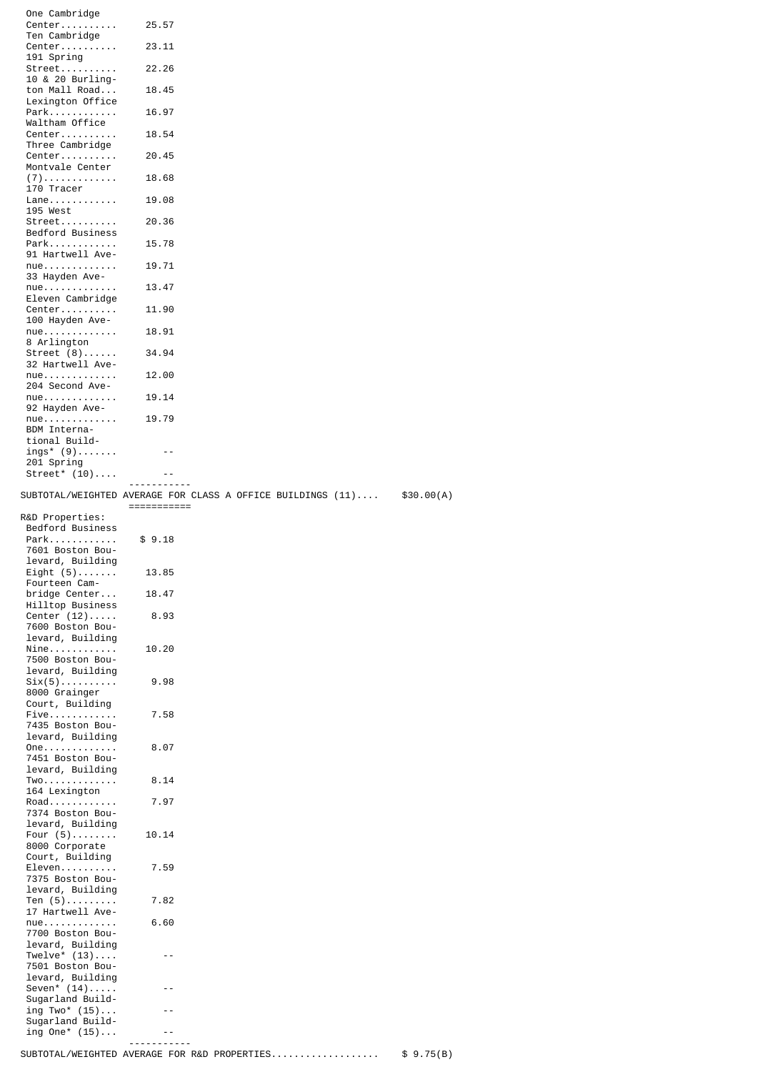| One Cambridge                               |             |                                                                                 |            |
|---------------------------------------------|-------------|---------------------------------------------------------------------------------|------------|
| Center                                      | 25.57       |                                                                                 |            |
| Ten Cambridge<br>Center                     | 23.11       |                                                                                 |            |
| 191 Spring                                  |             |                                                                                 |            |
| Street                                      | 22.26       |                                                                                 |            |
| 10 & 20 Burling-<br>ton Mall Road           | 18.45       |                                                                                 |            |
| Lexington Office                            |             |                                                                                 |            |
| Park                                        | 16.97       |                                                                                 |            |
| Waltham Office<br>Center                    | 18.54       |                                                                                 |            |
| Three Cambridge                             |             |                                                                                 |            |
| Center                                      | 20.45       |                                                                                 |            |
| Montvale Center<br>$(7)$                    | 18.68       |                                                                                 |            |
| 170 Tracer                                  |             |                                                                                 |            |
| $Lane$                                      | 19.08       |                                                                                 |            |
| 195 West<br>Street                          | 20.36       |                                                                                 |            |
| Bedford Business                            |             |                                                                                 |            |
| Park                                        | 15.78       |                                                                                 |            |
| 91 Hartwell Ave-<br>$nue$                   | 19.71       |                                                                                 |            |
| 33 Hayden Ave-                              |             |                                                                                 |            |
| $nue$                                       | 13.47       |                                                                                 |            |
| Eleven Cambridge<br>Center                  | 11.90       |                                                                                 |            |
| 100 Hayden Ave-                             |             |                                                                                 |            |
| nue                                         | 18.91       |                                                                                 |            |
| 8 Arlington<br>Street $(8)$                 |             |                                                                                 |            |
| 32 Hartwell Ave-                            | 34.94       |                                                                                 |            |
| $nue.$                                      | 12.00       |                                                                                 |            |
| 204 Second Ave-                             |             |                                                                                 |            |
| $nue$<br>92 Hayden Ave-                     | 19.14       |                                                                                 |            |
| $nue.$                                      | 19.79       |                                                                                 |            |
| BDM Interna-                                |             |                                                                                 |            |
| tional Build-<br>$ings^* (9) \ldots \ldots$ | $ -$        |                                                                                 |            |
| 201 Spring                                  |             |                                                                                 |            |
| Street* $(10) \ldots$ .                     |             |                                                                                 |            |
|                                             | -----       | $\texttt{SUBTOTAL/WEIGHTED}$ AVERAGE FOR CLASS A OFFICE BUILDINGS $(11) \ldots$ | \$30.00(A) |
|                                             | =========== |                                                                                 |            |
| R&D Properties:                             |             |                                                                                 |            |
|                                             |             |                                                                                 |            |
| Bedford Business                            |             |                                                                                 |            |
| Park<br>7601 Boston Bou-                    | \$9.18      |                                                                                 |            |
| levard, Building                            |             |                                                                                 |            |
| Eight $(5)$                                 | 13.85       |                                                                                 |            |
| Fourteen Cam-<br>bridge Center              | 18.47       |                                                                                 |            |
| Hilltop Business                            |             |                                                                                 |            |
| Center $(12)$                               | 8.93        |                                                                                 |            |
| 7600 Boston Bou-<br>levard, Building        |             |                                                                                 |            |
| $Nine$                                      | 10.20       |                                                                                 |            |
| 7500 Boston Bou-                            |             |                                                                                 |            |
| levard, Building                            | 9.98        |                                                                                 |            |
| $Six(5)$<br>8000 Grainger                   |             |                                                                                 |            |
| Court, Building                             |             |                                                                                 |            |
| Five<br>7435 Boston Bou-                    | 7.58        |                                                                                 |            |
| levard, Building                            |             |                                                                                 |            |
| $One$                                       | 8.07        |                                                                                 |            |
| 7451 Boston Bou-<br>levard, Building        |             |                                                                                 |            |
| Two.                                        | 8.14        |                                                                                 |            |
| 164 Lexington                               |             |                                                                                 |            |
| Road<br>7374 Boston Bou-                    | 7.97        |                                                                                 |            |
| levard, Building                            |             |                                                                                 |            |
| Four $(5)$                                  | 10.14       |                                                                                 |            |
| 8000 Corporate<br>Court, Building           |             |                                                                                 |            |
| Eleven                                      | 7.59        |                                                                                 |            |
| 7375 Boston Bou-                            |             |                                                                                 |            |
| levard, Building<br>Ten $(5)$               | 7.82        |                                                                                 |            |
| 17 Hartwell Ave-                            |             |                                                                                 |            |
| nue                                         | 6.60        |                                                                                 |            |
| 7700 Boston Bou-                            |             |                                                                                 |            |
| levard, Building<br>Twelve* $(13) \ldots$   | $ -$        |                                                                                 |            |
| 7501 Boston Bou-                            |             |                                                                                 |            |
| levard, Building                            | - -         |                                                                                 |            |
| Seven* $(14)$<br>Sugarland Build-           |             |                                                                                 |            |
| ing $Two^*$ $(15) \ldots$                   |             |                                                                                 |            |
| Sugarland Build-<br>ing $0ne^*$ $(15)$      |             |                                                                                 |            |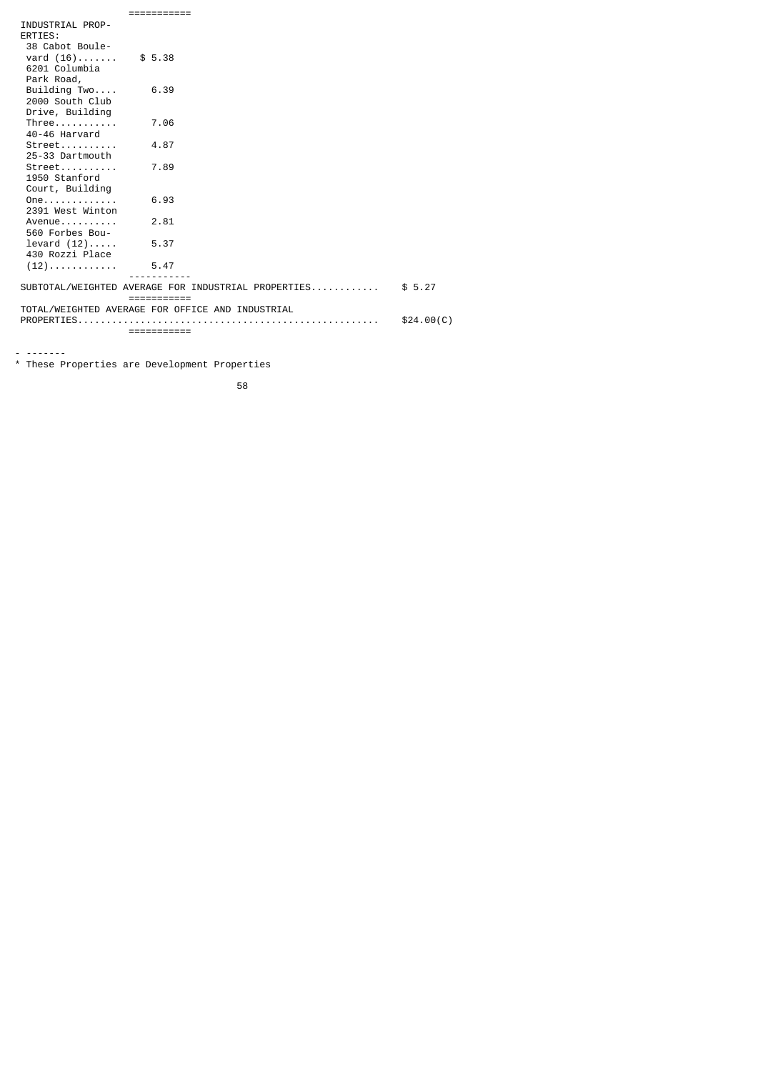| INDUSTRIAL PROP- |                                                             |            |
|------------------|-------------------------------------------------------------|------------|
| ERTIES:          |                                                             |            |
| 38 Cabot Boule-  |                                                             |            |
| vard $(16)$      | \$5.38                                                      |            |
| 6201 Columbia    |                                                             |            |
| Park Road,       |                                                             |            |
| Building Two     | 6.39                                                        |            |
| 2000 South Club  |                                                             |            |
| Drive, Building  |                                                             |            |
| Three            | 7.06                                                        |            |
| 40-46 Harvard    |                                                             |            |
| $Street$         | 4.87                                                        |            |
| 25-33 Dartmouth  |                                                             |            |
| $Street$         | 7.89                                                        |            |
| 1950 Stanford    |                                                             |            |
| Court, Building  |                                                             |            |
| $One.$           | 6.93                                                        |            |
| 2391 West Winton |                                                             |            |
| $A$ venue        | 2.81                                                        |            |
| 560 Forbes Bou-  |                                                             |            |
| levard (12)      | 5.37                                                        |            |
| 430 Rozzi Place  |                                                             |            |
| $(12)$           | 5.47                                                        |            |
|                  | SUBTOTAL/WEIGHTED AVERAGE FOR INDUSTRIAL PROPERTIES \$ 5.27 |            |
|                  | $=$ = = = = = = = = = = =                                   |            |
|                  | TOTAL/WEIGHTED AVERAGE FOR OFFICE AND INDUSTRIAL            |            |
|                  |                                                             | \$24.00(C) |
|                  | ===========                                                 |            |

- -------

\* These Properties are Development Properties

the contract of the contract of the contract of the contract of the contract of the contract of the contract o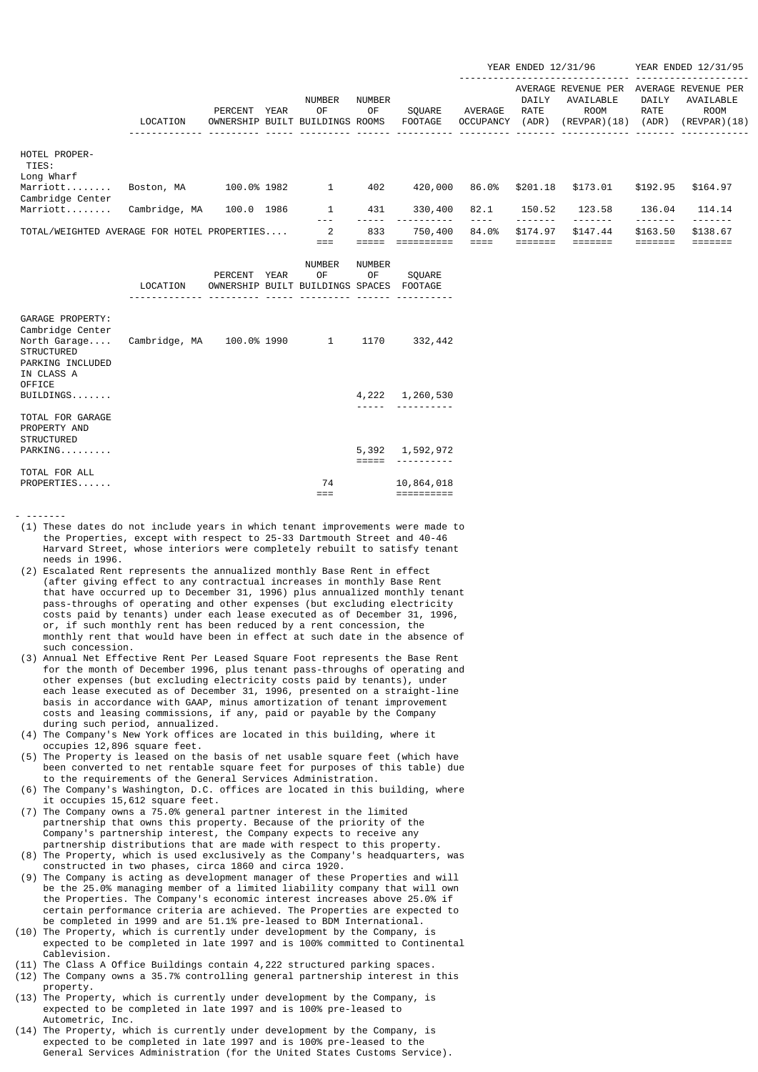|                                             |               |                      |             |                                              |                     |                          |                             | YEAR ENDED 12/31/96    |                                                           | YEAR ENDED 12/31/95    |                                                                 |
|---------------------------------------------|---------------|----------------------|-------------|----------------------------------------------|---------------------|--------------------------|-----------------------------|------------------------|-----------------------------------------------------------|------------------------|-----------------------------------------------------------------|
|                                             | LOCATION      | PERCENT<br>OWNERSHIP | <b>YEAR</b> | <b>NUMBER</b><br>0F<br>BUILT BUILDINGS ROOMS | <b>NUMBER</b><br>0F | SOUARE<br><b>FOOTAGE</b> | AVERAGE<br><b>OCCUPANCY</b> | DAILY<br>RATE<br>(ADR) | AVERAGE REVENUE PER<br>AVAILABLE<br>ROOM<br>(REVPAR) (18) | DAILY<br>RATE<br>(ADR) | AVERAGE REVENUE PER<br>AVAILABLE<br><b>ROOM</b><br>(REVPAR)(18) |
| HOTEL PROPER-<br>TIES:<br>Long Wharf        |               |                      |             |                                              |                     |                          |                             |                        |                                                           |                        |                                                                 |
| Marriott<br>Cambridge Center                | Boston, MA    | 100.0% 1982          |             | 1                                            | 402                 | 420,000                  | 86.0%                       | \$201.18               | \$173.01                                                  | \$192.95               | \$164.97                                                        |
| Marriott                                    | Cambridge, MA | 100.0                | 1986        | 1                                            | 431                 | 330,400                  | 82.1                        | 150.52                 | 123.58                                                    | 136.04                 | 114.14                                                          |
| TOTAL/WEIGHTED AVERAGE FOR HOTEL PROPERTIES |               |                      |             | 2                                            | 833                 | 750,400                  | 84.0%                       | \$174.97               | \$147.44                                                  | \$163.50               | \$138.67                                                        |
|                                             |               | PERCENT              | <b>YEAR</b> | <b>NUMBER</b><br>0F                          | <b>NUMBER</b><br>0F | <b>SOUARE</b>            |                             |                        |                                                           |                        |                                                                 |

|                                                                                                             | LOCATION      |             | OWNERSHIP BUILT BUILDINGS SPACES FOOTAGE |      |                              |
|-------------------------------------------------------------------------------------------------------------|---------------|-------------|------------------------------------------|------|------------------------------|
|                                                                                                             |               |             |                                          |      |                              |
| GARAGE PROPERTY:<br>Cambridge Center<br>North Garage<br><b>STRUCTURED</b><br>PARKING INCLUDED<br>IN CLASS A | Cambridge, MA | 100.0% 1990 | 1                                        | 1170 | 332,442                      |
| OFFICE<br>BULLDINGS                                                                                         |               |             |                                          |      | 4,222 1,260,530              |
| TOTAL FOR GARAGE<br>PROPERTY AND<br><b>STRUCTURED</b>                                                       |               |             |                                          |      |                              |
| $PARKING$                                                                                                   |               |             |                                          |      | 5,392 1,592,972<br>--------- |
| TOTAL FOR ALL                                                                                               |               |             |                                          |      |                              |
| PROPERTIES                                                                                                  |               |             | 74                                       |      | 10,864,018                   |
|                                                                                                             |               |             |                                          |      |                              |

- ------- (1) These dates do not include years in which tenant improvements were made to the Properties, except with respect to 25-33 Dartmouth Street and 40-46 Harvard Street, whose interiors were completely rebuilt to satisfy tenant needs in 1996.

- (2) Escalated Rent represents the annualized monthly Base Rent in effect (after giving effect to any contractual increases in monthly Base Rent that have occurred up to December 31, 1996) plus annualized monthly tenant pass-throughs of operating and other expenses (but excluding electricity costs paid by tenants) under each lease executed as of December 31, 1996, or, if such monthly rent has been reduced by a rent concession, the monthly rent that would have been in effect at such date in the absence of such concession.
- (3) Annual Net Effective Rent Per Leased Square Foot represents the Base Rent for the month of December 1996, plus tenant pass-throughs of operating and other expenses (but excluding electricity costs paid by tenants), under each lease executed as of December 31, 1996, presented on a straight-line basis in accordance with GAAP, minus amortization of tenant improvement costs and leasing commissions, if any, paid or payable by the Company during such period, annualized.
- (4) The Company's New York offices are located in this building, where it occupies 12,896 square feet.
- (5) The Property is leased on the basis of net usable square feet (which have been converted to net rentable square feet for purposes of this table) due to the requirements of the General Services Administration.
- (6) The Company's Washington, D.C. offices are located in this building, where it occupies 15,612 square feet.
- (7) The Company owns a 75.0% general partner interest in the limited partnership that owns this property. Because of the priority of the Company's partnership interest, the Company expects to receive any partnership distributions that are made with respect to this property.
- (8) The Property, which is used exclusively as the Company's headquarters, was constructed in two phases, circa 1860 and circa 1920.
- (9) The Company is acting as development manager of these Properties and will be the 25.0% managing member of a limited liability company that will own the Properties. The Company's economic interest increases above 25.0% if certain performance criteria are achieved. The Properties are expected to be completed in 1999 and are 51.1% pre-leased to BDM International.
- (10) The Property, which is currently under development by the Company, is expected to be completed in late 1997 and is 100% committed to Continental Cablevision.
- (11) The Class A Office Buildings contain 4,222 structured parking spaces.
- (12) The Company owns a 35.7% controlling general partnership interest in this property.
- (13) The Property, which is currently under development by the Company, is expected to be completed in late 1997 and is 100% pre-leased to Autometric, Inc.
- (14) The Property, which is currently under development by the Company, is expected to be completed in late 1997 and is 100% pre-leased to the General Services Administration (for the United States Customs Service).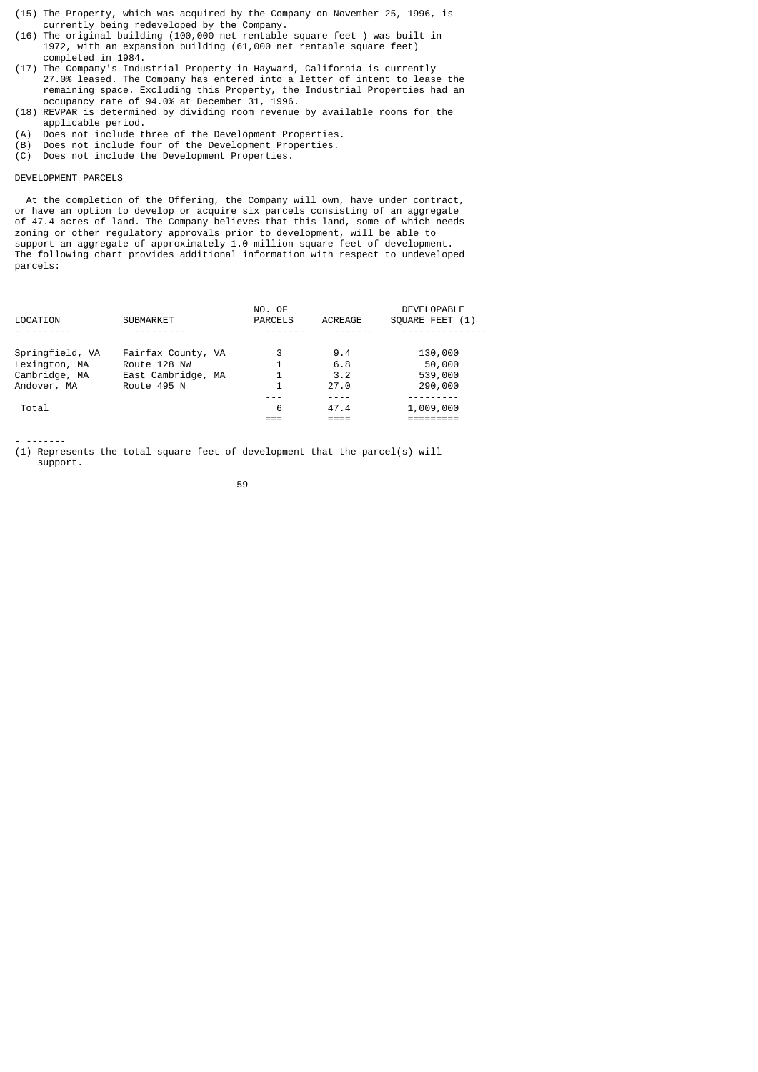- (15) The Property, which was acquired by the Company on November 25, 1996, is currently being redeveloped by the Company.
- (16) The original building (100,000 net rentable square feet ) was built in 1972, with an expansion building (61,000 net rentable square feet) completed in 1984.
- (17) The Company's Industrial Property in Hayward, California is currently 27.0% leased. The Company has entered into a letter of intent to lease the remaining space. Excluding this Property, the Industrial Properties had an occupancy rate of 94.0% at December 31, 1996.
- (18) REVPAR is determined by dividing room revenue by available rooms for the applicable period.
- (A) Does not include three of the Development Properties.
- (B) Does not include four of the Development Properties.
- (C) Does not include the Development Properties.

## DEVELOPMENT PARCELS

 At the completion of the Offering, the Company will own, have under contract, or have an option to develop or acquire six parcels consisting of an aggregate of 47.4 acres of land. The Company believes that this land, some of which needs zoning or other regulatory approvals prior to development, will be able to support an aggregate of approximately 1.0 million square feet of development. The following chart provides additional information with respect to undeveloped parcels:

| LOCATION                                                         | <b>SUBMARKET</b>                                                        | NO. OF<br><b>PARCELS</b> | ACREAGE                   | <b>DEVELOPABLE</b><br>SOUARE FEET (1)   |
|------------------------------------------------------------------|-------------------------------------------------------------------------|--------------------------|---------------------------|-----------------------------------------|
| Springfield, VA<br>Lexington, MA<br>Cambridge, MA<br>Andover, MA | Fairfax County, VA<br>Route 128 NW<br>East Cambridge, MA<br>Route 495 N | 3<br>1                   | 9.4<br>6.8<br>3.2<br>27.0 | 130,000<br>50,000<br>539,000<br>290,000 |
| Total                                                            |                                                                         | 6                        | 47.4                      | 1,009,000                               |

- -------

(1) Represents the total square feet of development that the parcel(s) will support.

59 - 1992 - 1993 - 1994 - 1995 - 1996 - 1997 - 1998 - 1999 - 1999 - 1999 - 1999 - 1999 - 1999 - 199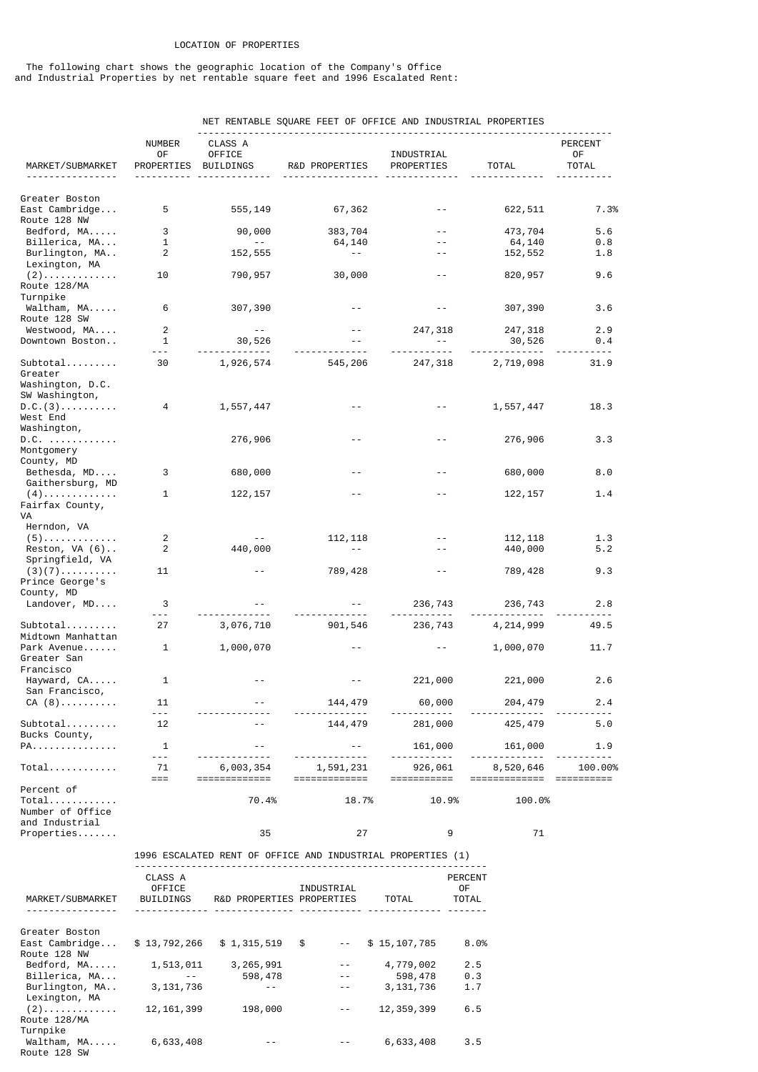## LOCATION OF PROPERTIES

 The following chart shows the geographic location of the Company's Office and Industrial Properties by net rentable square feet and 1996 Escalated Rent:

|                                               |                     |                          | NET RENTABLE SQUARE FEET OF OFFICE AND INDUSTRIAL PROPERTIES |                        |                            |               |
|-----------------------------------------------|---------------------|--------------------------|--------------------------------------------------------------|------------------------|----------------------------|---------------|
|                                               | <b>NUMBER</b><br>0F | CLASS A<br><b>OFFICE</b> |                                                              | INDUSTRIAL             |                            | PERCENT<br>0F |
| MARKET/SUBMARKET                              | PROPERTIES          | BUILDINGS                | R&D PROPERTIES                                               | PROPERTIES             | <b>TOTAL</b>               | <b>TOTAL</b>  |
|                                               |                     |                          |                                                              |                        |                            |               |
| Greater Boston                                |                     |                          |                                                              |                        |                            |               |
| East Cambridge                                | 5                   | 555,149                  | 67,362                                                       |                        | 622,511                    | 7.3%          |
| Route 128 NW<br>Bedford, MA                   | 3                   | 90,000                   | 383,704                                                      |                        | 473,704                    | 5.6           |
| Billerica, MA                                 | $\mathbf{1}$        | $- -$                    | 64,140                                                       |                        | 64,140                     | 0.8           |
| Burlington, MA<br>Lexington, MA               | 2                   | 152,555                  | $- -$                                                        |                        | 152,552                    | 1.8           |
| $(2)$<br>Route 128/MA                         | 10                  | 790,957                  | 30,000                                                       | $ -$                   | 820,957                    | 9.6           |
| Turnpike                                      |                     |                          |                                                              |                        |                            |               |
| Waltham, MA<br>Route 128 SW                   | 6                   | 307,390                  |                                                              |                        | 307,390                    | 3.6           |
| Westwood, MA                                  | 2                   | $\sim$ $-$               |                                                              | 247,318                | 247,318                    | 2.9           |
| Downtown Boston                               | $\mathbf{1}$        | 30,526                   |                                                              | $  \,$                 | 30,526                     | 0.4           |
| Subtotal                                      | - - -<br>30         | --------<br>1,926,574    | 545,206                                                      | 247,318                | -------------<br>2,719,098 | .<br>31.9     |
| Greater<br>Washington, D.C.<br>SW Washington, |                     |                          |                                                              |                        |                            |               |
| D.C. (3)<br>West End                          | 4                   | 1,557,447                |                                                              |                        | 1,557,447                  | 18.3          |
| Washington,<br>D.C.                           |                     | 276,906                  |                                                              |                        | 276,906                    | 3.3           |
| Montgomery<br>County, MD                      |                     |                          |                                                              |                        |                            |               |
| Bethesda, MD<br>Gaithersburg, MD              | 3                   | 680,000                  |                                                              |                        | 680,000                    | 8.0           |
| $(4)$<br>Fairfax County,<br>VA                | 1                   | 122, 157                 |                                                              |                        | 122, 157                   | 1.4           |
| Herndon, VA                                   |                     |                          |                                                              |                        |                            |               |
| $(5)$<br>Reston, $VA(6)$                      | $\overline{c}$<br>2 | 440,000                  | 112, 118<br>$\sim$ $-$                                       |                        | 112, 118<br>440,000        | 1.3<br>5.2    |
| Springfield, VA                               |                     |                          |                                                              |                        |                            |               |
| $(3)(7)$<br>Prince George's                   | 11                  |                          | 789,428                                                      |                        | 789,428                    | 9.3           |
| County, MD<br>Landover, MD                    | 3                   |                          |                                                              | 236,743                | 236,743                    | 2.8           |
|                                               | $- - -$             |                          |                                                              |                        |                            |               |
| Subtotal<br>Midtown Manhattan                 | 27                  | 3,076,710                | 901,546                                                      | 236,743                | 4, 214, 999                | 49.5          |
| Park Avenue<br>Greater San<br>Francisco       | 1                   | 1,000,070                |                                                              |                        | 1,000,070                  | 11.7          |
| Hayward, CA<br>San Francisco,                 | 1                   |                          |                                                              | 221,000                | 221,000                    | 2.6           |
| CA (8)                                        | 11                  |                          | 144,479                                                      | 60,000                 | 204,479                    | 2.4           |
|                                               | $- - -$             |                          |                                                              |                        |                            |               |
| Subtotal<br>Bucks County,                     | 12                  |                          | 144,479                                                      | 281,000                | 425, 479                   | 5.0           |
| PA.                                           | 1                   | $ -$                     | $- -$                                                        | 161,000                | 161,000                    | 1.9           |
| $Total$                                       | $- - -$<br>71       | 6,003,354                | 1,591,231                                                    |                        | 8,520,646                  | 100.00%       |
|                                               | $==$                | =============            | =============                                                | 926,061<br>=========== | =============              | ==========    |
| Percent of                                    |                     |                          |                                                              |                        |                            |               |
| $Total$<br>Number of Office                   |                     | 70.4%                    | 18.7%                                                        | 10.9%                  | 100.0%                     |               |

Properties....... 35 27 9 71 1996 ESCALATED RENT OF OFFICE AND INDUSTRIAL PROPERTIES (1) --------------------------------------------------------------

| MARKET/SUBMARKET | CLASS A<br>OFFICE<br><b>BUILDINGS</b> | R&D PROPERTIES PROPERTIES | INDUSTRIAL | TOTAL        | <b>PERCENT</b><br>0F<br><b>TOTAL</b> |
|------------------|---------------------------------------|---------------------------|------------|--------------|--------------------------------------|
| Greater Boston   |                                       |                           |            |              |                                      |
| East Cambridge   | \$13,792,266                          | \$1,315,519               | \$         | \$15,107,785 | 8.0%                                 |
| Route 128 NW     |                                       |                           |            |              |                                      |
| Bedford, MA      | 1,513,011                             | 3,265,991                 |            | 4,779,002    | 2.5                                  |
| Billerica, MA    | $- -$                                 | 598,478                   | $- -$      | 598,478      | 0.3                                  |
| Burlington, MA   | 3, 131, 736                           |                           |            | 3, 131, 736  | 1.7                                  |
| Lexington, MA    |                                       |                           |            |              |                                      |
| $(2)$            | 12, 161, 399                          | 198,000                   |            | 12, 359, 399 | 6.5                                  |
| Route 128/MA     |                                       |                           |            |              |                                      |
| Turnpike         |                                       |                           |            |              |                                      |
| Waltham, MA      | 6,633,408                             |                           |            | 6,633,408    | 3.5                                  |
| Route 128 SW     |                                       |                           |            |              |                                      |

and Industrial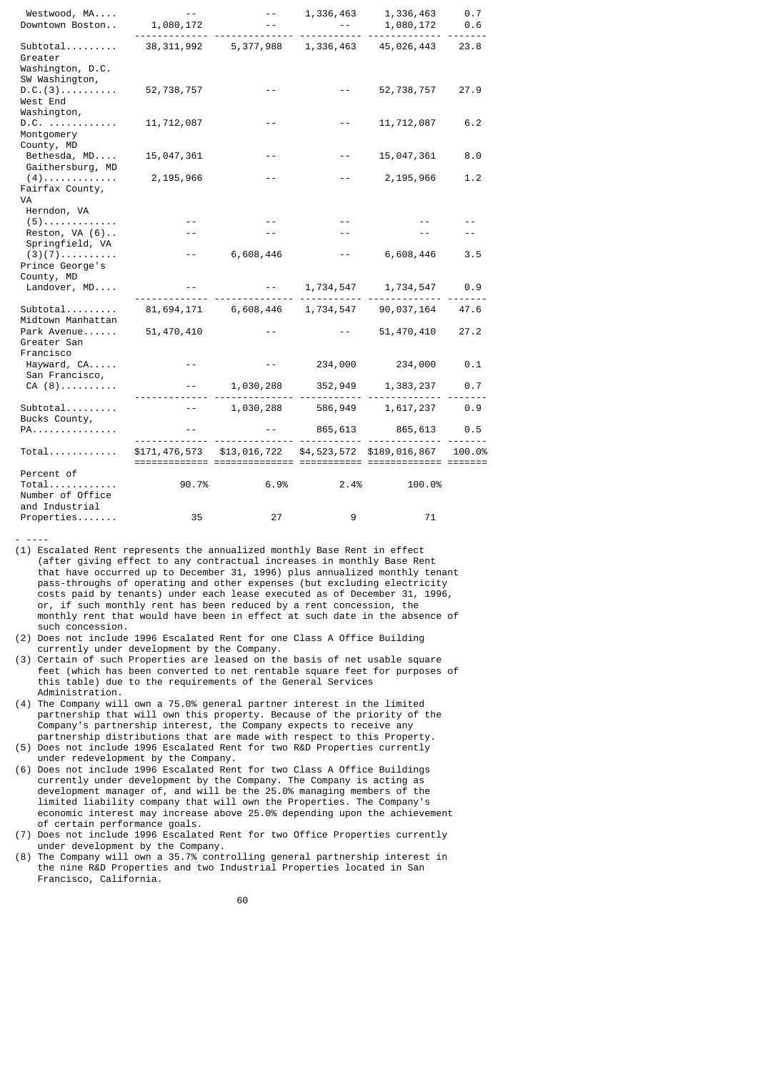| Westwood, MA<br>Downtown Boston                             | 1,080,172     |                                        | 1,336,463 | 1,336,463<br>1,080,172<br><u> - - - - - - - - - - - -</u> | 0.7<br>0.6<br>---- |
|-------------------------------------------------------------|---------------|----------------------------------------|-----------|-----------------------------------------------------------|--------------------|
| $Subtotal$<br>Greater<br>Washington, D.C.                   | 38, 311, 992  | 5,377,988                              | 1,336,463 | 45,026,443                                                | 23.8               |
| SW Washington,<br>D.C. (3)<br>West End<br>Washington,       | 52,738,757    | - -                                    |           | 52,738,757                                                | 27.9               |
| D.C.<br>Montgomery<br>County, MD                            | 11,712,087    |                                        |           | 11,712,087                                                | 6.2                |
| Bethesda, MD<br>Gaithersburg, MD                            | 15,047,361    |                                        |           | 15,047,361                                                | 8.0                |
| $(4)$<br>Fairfax County,<br>VA                              | 2,195,966     |                                        |           | 2,195,966                                                 | 1.2                |
| Herndon, VA                                                 |               |                                        |           |                                                           |                    |
| $(5)$<br>Reston, $VA(6)$                                    |               |                                        |           |                                                           |                    |
| Springfield, VA                                             |               |                                        |           |                                                           |                    |
| $(3)(7)$<br>Prince George's                                 |               | 6,608,446                              |           | 6,608,446                                                 | 3.5                |
| County, MD<br>Landover, MD                                  |               |                                        |           | $-2$ , 1, 734, 547 1, 734, 547                            | 0.9                |
|                                                             |               |                                        |           |                                                           |                    |
| $Subtotal$<br>Midtown Manhattan                             | 81,694,171    | 6,608,446 1,734,547                    |           | 90,037,164                                                | 47.6               |
| Park Avenue<br>Greater San<br>Francisco                     | 51, 470, 410  |                                        |           | 51, 470, 410                                              | 27.2               |
| Hayward, CA<br>San Francisco,                               | $- -$         |                                        | 234,000   | 234,000                                                   | 0.1                |
| $CA(8) \ldots \ldots$                                       |               | 1,030,288                              | 352,949   | 1,383,237                                                 | 0.7                |
| $Subtotal$<br>Bucks County,                                 |               | 1,030,288                              | 586,949   | 1,617,237                                                 | 0.9                |
| PA.                                                         |               |                                        | 865,613   | 865,613                                                   | 0.5                |
| $Total$                                                     | \$171,476,573 | \$13,016,722 \$4,523,572 \$189,016,867 |           | === ========                                              | 100.0%             |
|                                                             |               |                                        |           |                                                           | :== =======        |
| Percent of<br>$Total$<br>Number of Office<br>and Industrial | 90.7%         | 6.9%                                   | 2.4%      | 100.0%                                                    |                    |
| Properties                                                  | 35            | 27                                     | 9         | 71                                                        |                    |

- ----

- (1) Escalated Rent represents the annualized monthly Base Rent in effect (after giving effect to any contractual increases in monthly Base Rent that have occurred up to December 31, 1996) plus annualized monthly tenant pass-throughs of operating and other expenses (but excluding electricity costs paid by tenants) under each lease executed as of December 31, 1996, or, if such monthly rent has been reduced by a rent concession, the monthly rent that would have been in effect at such date in the absence of such concession.
- (2) Does not include 1996 Escalated Rent for one Class A Office Building currently under development by the Company.
- (3) Certain of such Properties are leased on the basis of net usable square feet (which has been converted to net rentable square feet for purposes of this table) due to the requirements of the General Services Administration.
- (4) The Company will own a 75.0% general partner interest in the limited partnership that will own this property. Because of the priority of the Company's partnership interest, the Company expects to receive any partnership distributions that are made with respect to this Property.
- (5) Does not include 1996 Escalated Rent for two R&D Properties currently under redevelopment by the Company.
- (6) Does not include 1996 Escalated Rent for two Class A Office Buildings currently under development by the Company. The Company is acting as development manager of, and will be the 25.0% managing members of the limited liability company that will own the Properties. The Company's economic interest may increase above 25.0% depending upon the achievement of certain performance goals.
- (7) Does not include 1996 Escalated Rent for two Office Properties currently under development by the Company.
- (8) The Company will own a 35.7% controlling general partnership interest in the nine R&D Properties and two Industrial Properties located in San Francisco, California.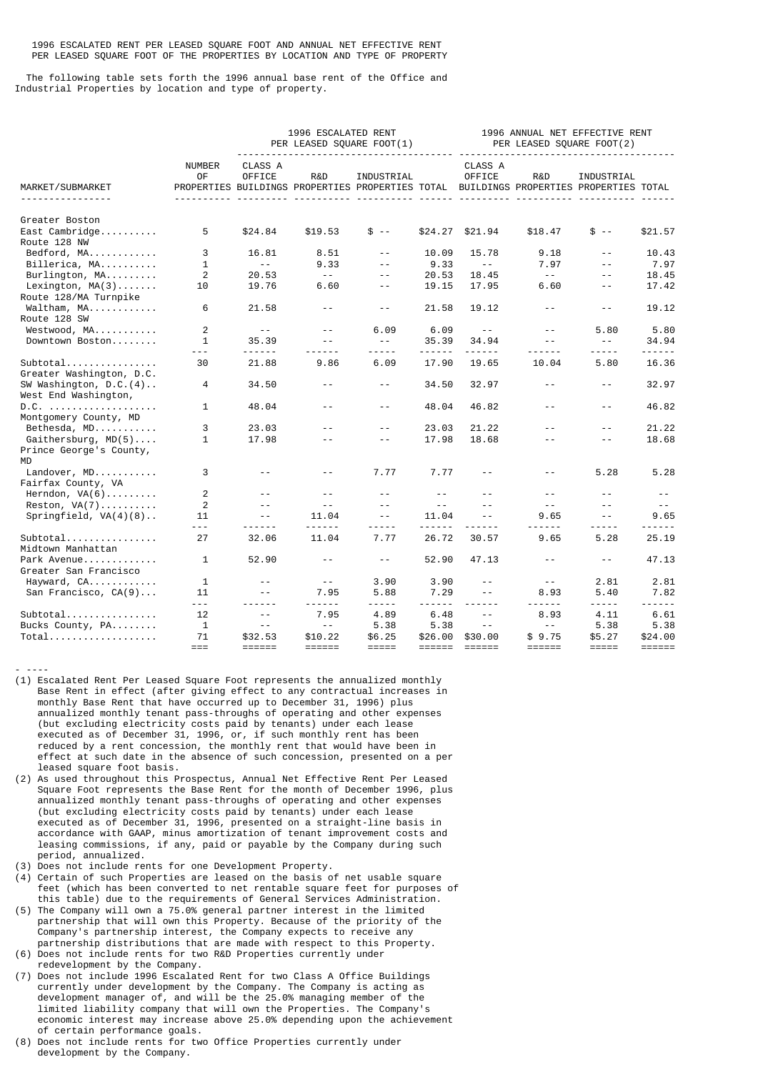1996 ESCALATED RENT PER LEASED SQUARE FOOT AND ANNUAL NET EFFECTIVE RENT PER LEASED SQUARE FOOT OF THE PROPERTIES BY LOCATION AND TYPE OF PROPERTY

 The following table sets forth the 1996 annual base rent of the Office and Industrial Properties by location and type of property.

|                                                        |                     |                          | 1996 ESCALATED RENT  | PER LEASED SQUARE FOOT(1)<br><u> - - - - - - - - - - - - - -</u> | 1996 ANNUAL NET EFFECTIVE RENT<br>PER LEASED SQUARE FOOT(2) |                          |                                                                                               |                               |                                    |
|--------------------------------------------------------|---------------------|--------------------------|----------------------|------------------------------------------------------------------|-------------------------------------------------------------|--------------------------|-----------------------------------------------------------------------------------------------|-------------------------------|------------------------------------|
| MARKET/SUBMARKET<br><u>.</u>                           | <b>NUMBER</b><br>0F | CLASS A<br><b>OFFICE</b> | R&D                  | INDUSTRIAL                                                       |                                                             | CLASS A<br>OFFICE        | R&D<br>PROPERTIES BUILDINGS PROPERTIES PROPERTIES TOTAL BUILDINGS PROPERTIES PROPERTIES TOTAL | INDUSTRIAL                    |                                    |
| Greater Boston<br>$East Cambridge$<br>Route 128 NW     | 5                   | \$24.84                  | \$19.53              | $$ - -$                                                          | \$24.27                                                     | \$21.94                  | \$18.47                                                                                       | $$ - -$                       | \$21.57                            |
| Bedford, MA                                            | 3                   | 16.81                    | 8.51                 | $- -$                                                            | 10.09                                                       | 15.78                    | 9.18                                                                                          | $\sim$ $\sim$                 | 10.43                              |
| Billerica, MA                                          | $\mathbf{1}$        | $\sim$ $\sim$            | 9.33                 | $\sim$ $\sim$                                                    | 9.33                                                        | $\sim$ $ ^{-}$           | 7.97                                                                                          | $\sim$ $\sim$                 | 7.97                               |
| Burlington, MA                                         | 2                   | 20.53                    | $\sim$ $\sim$ $\sim$ | $-$                                                              | 20.53                                                       | 18.45                    | $\sim$ $\sim$ $^{-1}$                                                                         | $-$                           | 18.45                              |
| Lexington, $MA(3)$<br>Route 128/MA Turnpike            | 10                  | 19.76                    | 6.60                 | $- -$                                                            | 19.15                                                       | 17.95                    | 6.60                                                                                          | $\sim$ $\sim$                 | 17.42                              |
| Waltham, MA<br>Route 128 SW                            | 6                   | 21.58                    | $\sim$ $-$           | $\sim$ $-$                                                       | 21.58                                                       | 19.12                    | $\sim$ $-$                                                                                    | $\sim$ $-$                    | 19.12                              |
| Westwood, MA                                           | $\overline{2}$      | $\sim$ $\sim$            | $ -$                 | 6.09                                                             | 6.09                                                        | $- -$                    | $- -$                                                                                         | 5.80                          | 5.80                               |
| Downtown Boston                                        | 1<br>$- - -$        | 35.39<br>$- - - - - -$   | $-$<br>$- - -$       | $- -$<br>- - - - -                                               | 35.39<br>------                                             | 34.94<br>------          | $\sim$ $\sim$<br>.                                                                            | $\sim$ $\sim$<br>- - - - -    | 34.94<br>------                    |
| $Subtotal$<br>Greater Washington, D.C.                 | 30                  | 21.88                    | 9.86                 | 6.09                                                             | 17.90                                                       | 19.65                    | 10.04                                                                                         | 5.80                          | 16.36                              |
| SW Washington, $D.C.(4)$<br>West End Washington,       | 4                   | 34.50                    | $ -$                 | $- -$                                                            | 34.50                                                       | 32.97                    | $ -$                                                                                          | $- -$                         | 32.97                              |
| D.C.<br>Montgomery County, MD                          | 1                   | 48.04                    | $ -$                 | $ -$                                                             | 48.04                                                       | 46.82                    | $- -$                                                                                         | $\sim$ $\sim$                 | 46.82                              |
| Bethesda, MD                                           | 3                   | 23.03                    | $-$                  | $-$                                                              | 23.03                                                       | 21.22                    | $ -$                                                                                          | $ -$                          | 21.22                              |
| Gaithersburg, $MD(5)$<br>Prince George's County,<br>MD | $\mathbf{1}$        | 17.98                    | $-$                  | $-$                                                              | 17.98                                                       | 18.68                    | $- -$                                                                                         | $-$                           | 18.68                              |
| Landover, MD<br>Fairfax County, VA                     | 3                   | $ -$                     | $- -$                | 7.77                                                             | 7.77                                                        | $- -$                    | $ -$                                                                                          | 5.28                          | 5.28                               |
| Herndon, $VA(6)$                                       | 2                   | $ -$                     | $-$                  | $\sim$ $\sim$                                                    | $ -$                                                        | $-$                      | $\sim$ $\sim$                                                                                 | $-$                           | $- -$                              |
| Reston, $VA(7)$                                        | 2                   | $\sim$ $\sim$            | $\sim$ $\sim$        | $\sim$ $\sim$                                                    | $- -$                                                       | $-$                      | $\sim$ $\sim$                                                                                 | $\sim$ $\sim$                 | $  \,$                             |
| Springfield, $VA(4)(8)$                                | 11<br>$- - -$       | $-$<br>- - - - - -       | 11.04                | $\sim$ $\sim$<br>-----                                           | 11.04<br>------                                             | $-$<br>$- - -$           | 9.65<br>------                                                                                | $\sim$ $\sim$<br>-----        | 9.65<br><u>.</u>                   |
| $Subtotal$<br>Midtown Manhattan                        | 27                  | 32.06                    | 11.04                | 7.77                                                             | 26.72                                                       | 30.57                    | 9.65                                                                                          | 5.28                          | 25.19                              |
| Park Avenue<br>Greater San Francisco                   | 1                   | 52.90                    | $- -$                | $- -$                                                            | 52.90                                                       | 47.13                    | $\sim$ $-$                                                                                    | $- -$                         | 47.13                              |
| Hayward, CA<br>San Francisco, CA(9)                    | $\mathbf{1}$<br>11  | $- -$<br>$- -$           | $- -$<br>7.95        | 3.90<br>5.88                                                     | 3.90<br>7.29                                                | $- -$<br>$- -$           | $  \,$<br>8.93                                                                                | 2.81<br>5.40                  | 2.81<br>7.82                       |
| Subtotal                                               | $- - -$<br>12       | ------<br>$ -$           | ------<br>7.95       | -----<br>4.89                                                    | 6.48                                                        | $- - - - - -$<br>$ -$    | $- - - - - -$<br>8.93                                                                         | -----<br>4.11                 | $- - - - - -$<br>6.61              |
| Bucks County, PA                                       | $\mathbf{1}$        | $- -$                    | $ -$                 | 5.38                                                             | 5.38                                                        | $-$                      | $\sim$ $\sim$ $^{-1}$                                                                         | 5.38                          | 5.38                               |
| $Total$                                                | 71<br>$===$         | \$32.53<br><b>EEEEEE</b> | \$10.22<br>======    | \$6.25<br>$=$ $=$ $=$ $=$ $=$                                    | \$26,00<br>======                                           | \$30.00<br><b>EEEEEE</b> | \$9.75<br><b>EEEEEE</b>                                                                       | \$5.27<br>$=$ $=$ $=$ $=$ $=$ | \$24.00<br>$=$ $=$ $=$ $=$ $=$ $=$ |

(1) Escalated Rent Per Leased Square Foot represents the annualized monthly Base Rent in effect (after giving effect to any contractual increases in monthly Base Rent that have occurred up to December 31, 1996) plus annualized monthly tenant pass-throughs of operating and other expenses (but excluding electricity costs paid by tenants) under each lease executed as of December 31, 1996, or, if such monthly rent has been reduced by a rent concession, the monthly rent that would have been in effect at such date in the absence of such concession, presented on a per leased square foot basis.

- (2) As used throughout this Prospectus, Annual Net Effective Rent Per Leased Square Foot represents the Base Rent for the month of December 1996, plus annualized monthly tenant pass-throughs of operating and other expenses (but excluding electricity costs paid by tenants) under each lease executed as of December 31, 1996, presented on a straight-line basis in accordance with GAAP, minus amortization of tenant improvement costs and leasing commissions, if any, paid or payable by the Company during such period, annualized.
- (3) Does not include rents for one Development Property.

- ----

- (4) Certain of such Properties are leased on the basis of net usable square feet (which has been converted to net rentable square feet for purposes of this table) due to the requirements of General Services Administration.
- (5) The Company will own a 75.0% general partner interest in the limited partnership that will own this Property. Because of the priority of the Company's partnership interest, the Company expects to receive any partnership distributions that are made with respect to this Property.
- (6) Does not include rents for two R&D Properties currently under redevelopment by the Company.
- (7) Does not include 1996 Escalated Rent for two Class A Office Buildings currently under development by the Company. The Company is acting as development manager of, and will be the 25.0% managing member of the limited liability company that will own the Properties. The Company's economic interest may increase above 25.0% depending upon the achievement of certain performance goals.
- (8) Does not include rents for two Office Properties currently under development by the Company.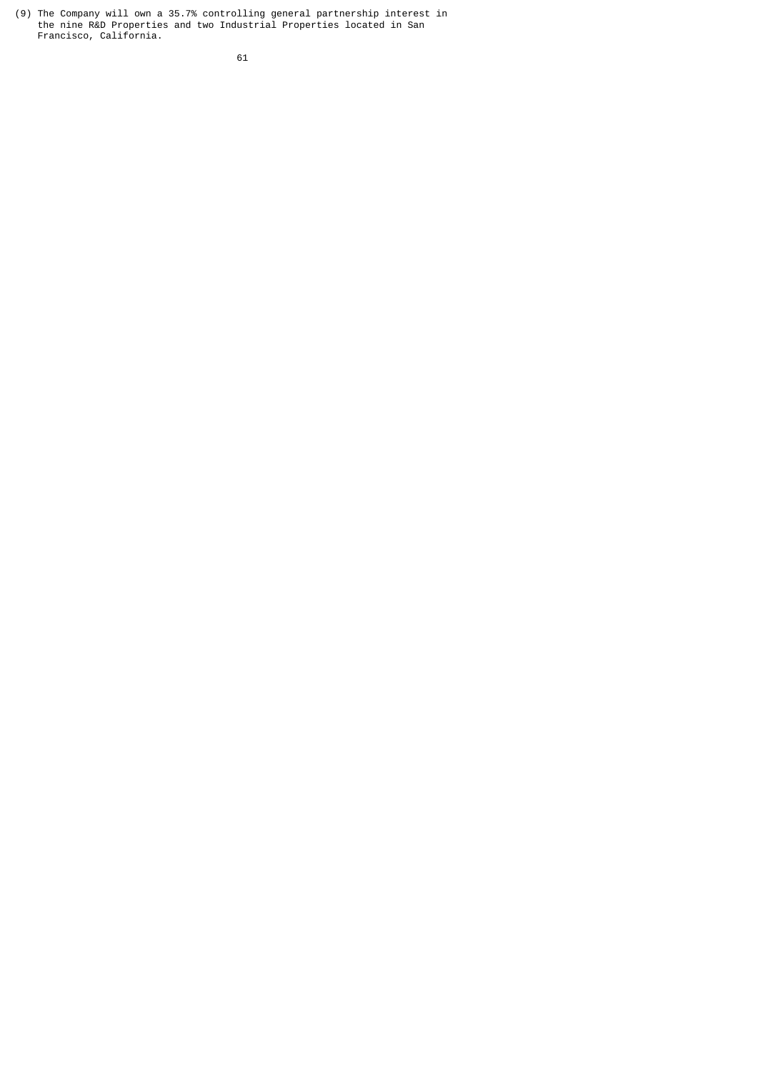(9) The Company will own a 35.7% controlling general partnership interest in the nine R&D Properties and two Industrial Properties located in San Francisco, California.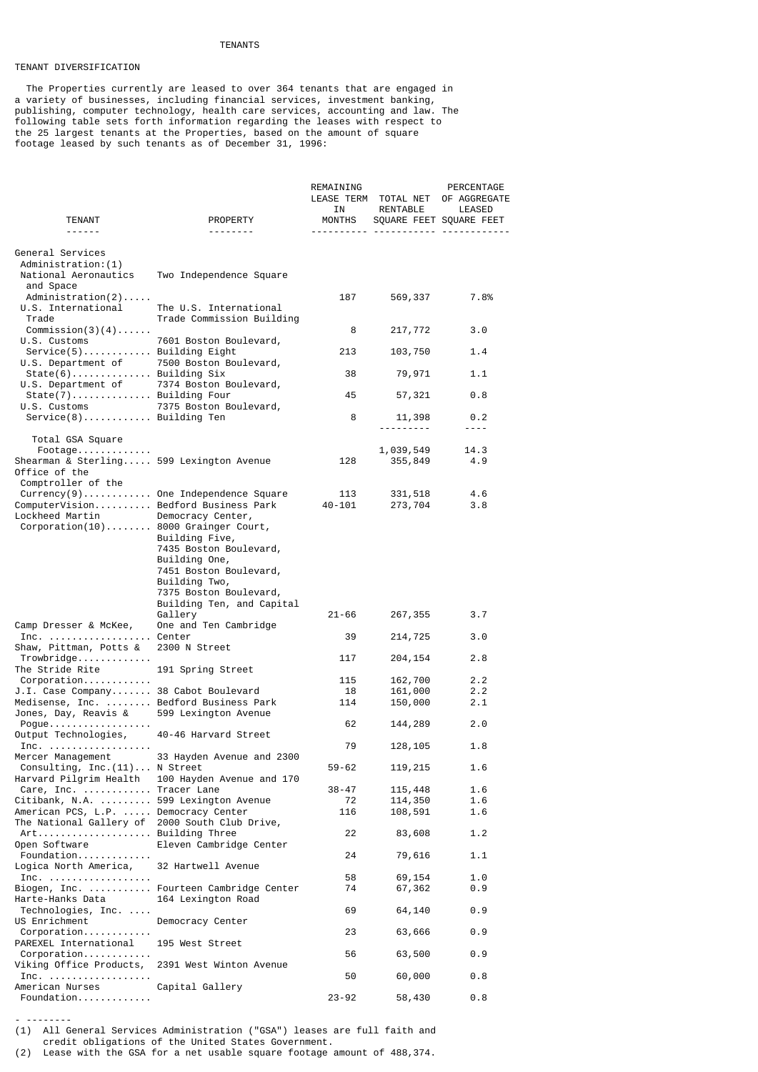### TENANTS

## TENANT DIVERSIFICATION

 The Properties currently are leased to over 364 tenants that are engaged in a variety of businesses, including financial services, investment banking, publishing, computer technology, health care services, accounting and law. The following table sets forth information regarding the leases with respect to the 25 largest tenants at the Properties, based on the amount of square footage leased by such tenants as of December 31, 1996:

| <b>TENANT</b>                                                                                                                          | PROPERTY                                                                                                                                  | REMAINING<br>ΙN<br>MONTHS   | LEASE TERM TOTAL NET<br>RENTABLE | PERCENTAGE<br>OF AGGREGATE<br>LEASED<br>SQUARE FEET SQUARE FEET |
|----------------------------------------------------------------------------------------------------------------------------------------|-------------------------------------------------------------------------------------------------------------------------------------------|-----------------------------|----------------------------------|-----------------------------------------------------------------|
| ------                                                                                                                                 | --------                                                                                                                                  | <u> - - - - - - - - - -</u> |                                  |                                                                 |
| General Services<br>Administration: (1)<br>National Aeronautics                                                                        | Two Independence Square                                                                                                                   |                             |                                  |                                                                 |
| and Space<br>$Administration(2) \ldots$ .<br>U.S. International<br>Trade                                                               | The U.S. International<br>Trade Commission Building                                                                                       | 187                         | 569,337                          | 7.8%                                                            |
| $Commission(3)(4) \ldots$<br>U.S. Customs                                                                                              | 7601 Boston Boulevard,                                                                                                                    | 8                           | 217,772                          | 3.0                                                             |
| Service(5) Building Eight<br>U.S. Department of 7500 Boston Boulevard,                                                                 |                                                                                                                                           | 213                         | 103,750                          | 1.4                                                             |
| State(6) Building Six<br>U.S. Department of                                                                                            | 7374 Boston Boulevard,                                                                                                                    | 38                          | 79,971                           | 1.1                                                             |
| State(7) Building Four<br>U.S. Customs                                                                                                 | 7375 Boston Boulevard,                                                                                                                    | 45                          | 57,321                           | 0.8                                                             |
| Service(8) Building Ten                                                                                                                |                                                                                                                                           | 8                           | 11,398                           | 0.2<br>$- - - -$                                                |
| Total GSA Square<br>$\texttt{Food} \dots \dots \dots \dots$                                                                            |                                                                                                                                           |                             | 1,039,549                        | 14.3                                                            |
| Shearman & Sterling 599 Lexington Avenue<br>Office of the<br>Comptroller of the                                                        |                                                                                                                                           | 128                         | 355,849                          | 4.9                                                             |
| Currency(9) One Independence Square<br>ComputerVision Bedford Business Park<br>Lockheed Martin<br>Corporation(10) 8000 Grainger Court, | Democracy Center,<br>Building Five,                                                                                                       | 113<br>$40 - 101$           | 331,518<br>273,704               | 4.6<br>3.8                                                      |
|                                                                                                                                        | 7435 Boston Boulevard,<br>Building One,<br>7451 Boston Boulevard,<br>Building Two,<br>7375 Boston Boulevard,<br>Building Ten, and Capital |                             |                                  |                                                                 |
| Camp Dresser & McKee,                                                                                                                  | Gallery<br>One and Ten Cambridge                                                                                                          | 21-66                       | 267,355                          | 3.7                                                             |
| Inc.  Center<br>Shaw, Pittman, Potts &                                                                                                 | 2300 N Street                                                                                                                             | 39                          | 214,725                          | 3.0                                                             |
| Trowbridge<br>The Stride Rite                                                                                                          | 191 Spring Street                                                                                                                         | 117                         | 204,154                          | 2.8                                                             |
| Corporation                                                                                                                            |                                                                                                                                           | 115                         | 162,700                          | 2.2                                                             |
| J.I. Case Company 38 Cabot Boulevard                                                                                                   |                                                                                                                                           | 18                          | 161,000                          | 2.2                                                             |
| Medisense, Inc.  Bedford Business Park<br>Jones, Day, Reavis &                                                                         | 599 Lexington Avenue                                                                                                                      | 114                         | 150,000                          | 2.1                                                             |
| Pogue<br>Output Technologies,                                                                                                          | 40-46 Harvard Street                                                                                                                      | 62                          | 144,289                          | 2.0                                                             |
| Inc. $\ldots$<br>Mercer Management                                                                                                     | 33 Hayden Avenue and 2300                                                                                                                 | 79                          | 128,105                          | 1.8                                                             |
| Consulting, $Inc.(11)N$ Street<br>Harvard Pilgrim Health                                                                               | 100 Hayden Avenue and 170                                                                                                                 | 59-62                       | 119,215                          | 1.6                                                             |
| Care, Inc.<br>$Citibank, N.A.$                                                                                                         | Tracer Lane<br>599 Lexington Avenue                                                                                                       | $38 - 47$<br>72             | 115,448<br>114,350               | 1.6<br>1.6                                                      |
| American PCS, L.P.<br>The National Gallery of                                                                                          | Democracy Center<br>2000 South Club Drive,                                                                                                | 116                         | 108,591                          | 1.6                                                             |
| Open Software                                                                                                                          | Building Three<br>Eleven Cambridge Center                                                                                                 | 22                          | 83,608                           | 1.2                                                             |
| Foundation<br>Logica North America,                                                                                                    | 32 Hartwell Avenue                                                                                                                        | 24                          | 79,616                           | 1.1                                                             |
| Inc. $\ldots \ldots \ldots \ldots \ldots$                                                                                              |                                                                                                                                           | 58                          | 69,154                           | 1.0                                                             |
| Biogen, Inc.<br>Harte-Hanks Data                                                                                                       | Fourteen Cambridge Center<br>164 Lexington Road                                                                                           | 74                          | 67,362                           | 0.9                                                             |
| Technologies, Inc.<br>US Enrichment                                                                                                    | Democracy Center                                                                                                                          | 69                          | 64,140                           | 0.9                                                             |
| $Corporation$<br>PAREXEL International                                                                                                 | 195 West Street                                                                                                                           | 23                          | 63,666                           | 0.9                                                             |
| Viking Office Products,                                                                                                                | 2391 West Winton Avenue                                                                                                                   | 56                          | 63,500                           | 0.9                                                             |
| Inc. $\ldots \ldots \ldots \ldots \ldots \ldots$<br>American Nurses                                                                    | Capital Gallery                                                                                                                           | 50                          | 60,000                           | 0.8                                                             |
| Foundation                                                                                                                             |                                                                                                                                           | $23 - 92$                   | 58,430                           | 0.8                                                             |

- -------- (1) All General Services Administration ("GSA") leases are full faith and

credit obligations of the United States Government.

(2) Lease with the GSA for a net usable square footage amount of 488,374.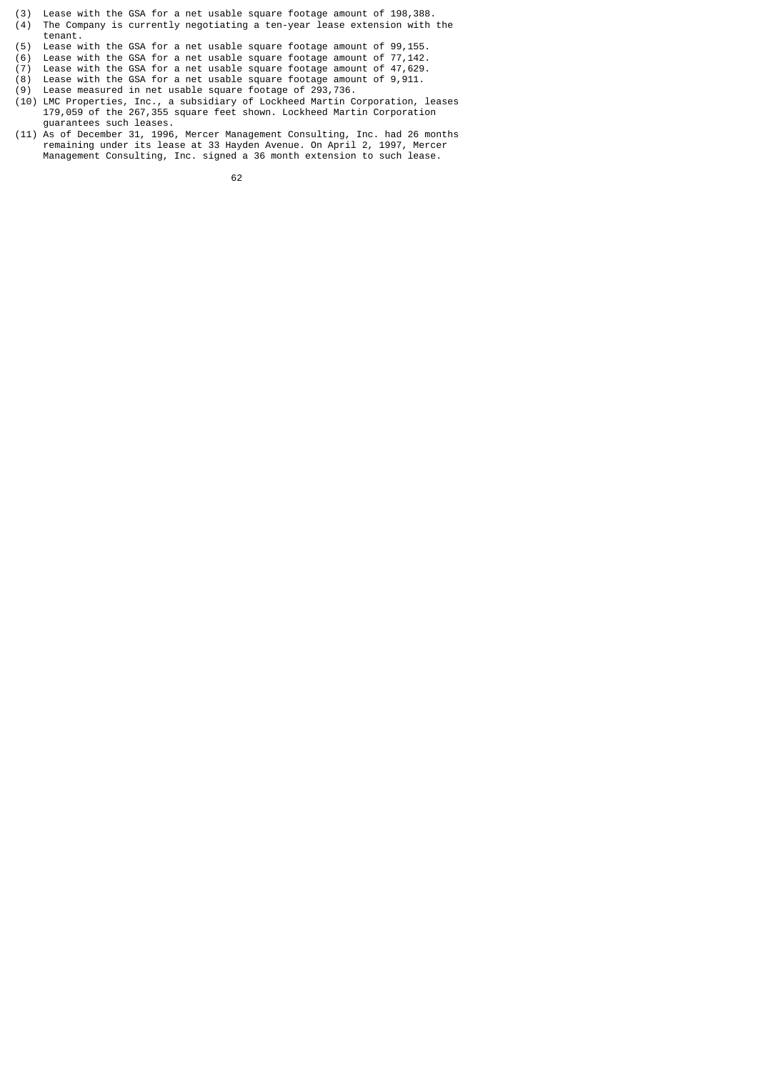- (3) Lease with the GSA for a net usable square footage amount of 198,388. (4) The Company is currently negotiating a ten-year lease extension with the
- $(5)$  tenant.<br>(5) Lease w Lease with the GSA for a net usable square footage amount of 99,155.
- (6) Lease with the GSA for a net usable square footage amount of 77,142.
- (7) Lease with the GSA for a net usable square footage amount of 47,629.
- (8) Lease with the GSA for a net usable square footage amount of 9,911.
- (9) Lease measured in net usable square footage of 293,736.
- (10) LMC Properties, Inc., a subsidiary of Lockheed Martin Corporation, leases 179,059 of the 267,355 square feet shown. Lockheed Martin Corporation guarantees such leases.
- (11) As of December 31, 1996, Mercer Management Consulting, Inc. had 26 months remaining under its lease at 33 Hayden Avenue. On April 2, 1997, Mercer Management Consulting, Inc. signed a 36 month extension to such lease.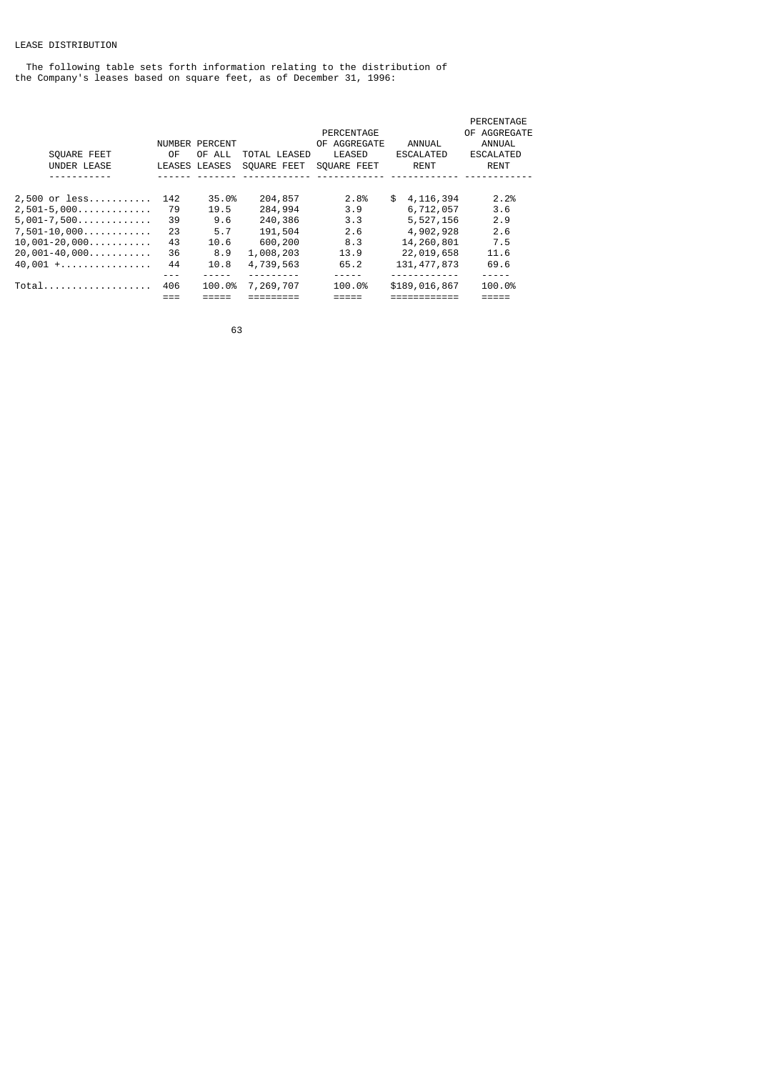# LEASE DISTRIBUTION

 The following table sets forth information relating to the distribution of the Company's leases based on square feet, as of December 31, 1996:

|     |        |                                 |              |                  | PERCENTAGE       |
|-----|--------|---------------------------------|--------------|------------------|------------------|
|     |        |                                 | PERCENTAGE   |                  | OF AGGREGATE     |
|     |        |                                 | OF AGGREGATE | ANNUAL           | ANNUAL           |
| 0F  | OF ALL | TOTAL LEASED                    | LEASED       | <b>ESCALATED</b> | <b>ESCALATED</b> |
|     |        | SOUARE FEET                     | SOUARE FEET  | <b>RENT</b>      | <b>RENT</b>      |
|     |        |                                 |              |                  |                  |
| 142 | 35.0%  | 204,857                         | 2.8%         | \$<br>4,116,394  | 2.2%             |
| 79  | 19.5   | 284,994                         | 3.9          | 6,712,057        | 3.6              |
| 39  | 9.6    | 240,386                         | 3.3          | 5,527,156        | 2.9              |
| 23  | 5.7    | 191,504                         | 2.6          | 4,902,928        | 2.6              |
| 43  | 10.6   | 600,200                         | 8.3          | 14,260,801       | 7.5              |
| 36  | 8.9    | 1,008,203                       | 13.9         | 22,019,658       | 11.6             |
| 44  | 10.8   | 4,739,563                       | 65.2         | 131, 477, 873    | 69.6             |
|     |        |                                 |              | .                |                  |
| 406 | 100.0% | 7,269,707                       | 100.0%       | \$189,016,867    | 100.0%           |
|     |        |                                 |              |                  |                  |
|     |        | NUMBER PERCENT<br>LEASES LEASES |              |                  |                  |

63 and 2012 and 2013 and 2014 and 2014 and 2014 and 2014 and 2014 and 2014 and 2014 and 2014 and 2014 and 2014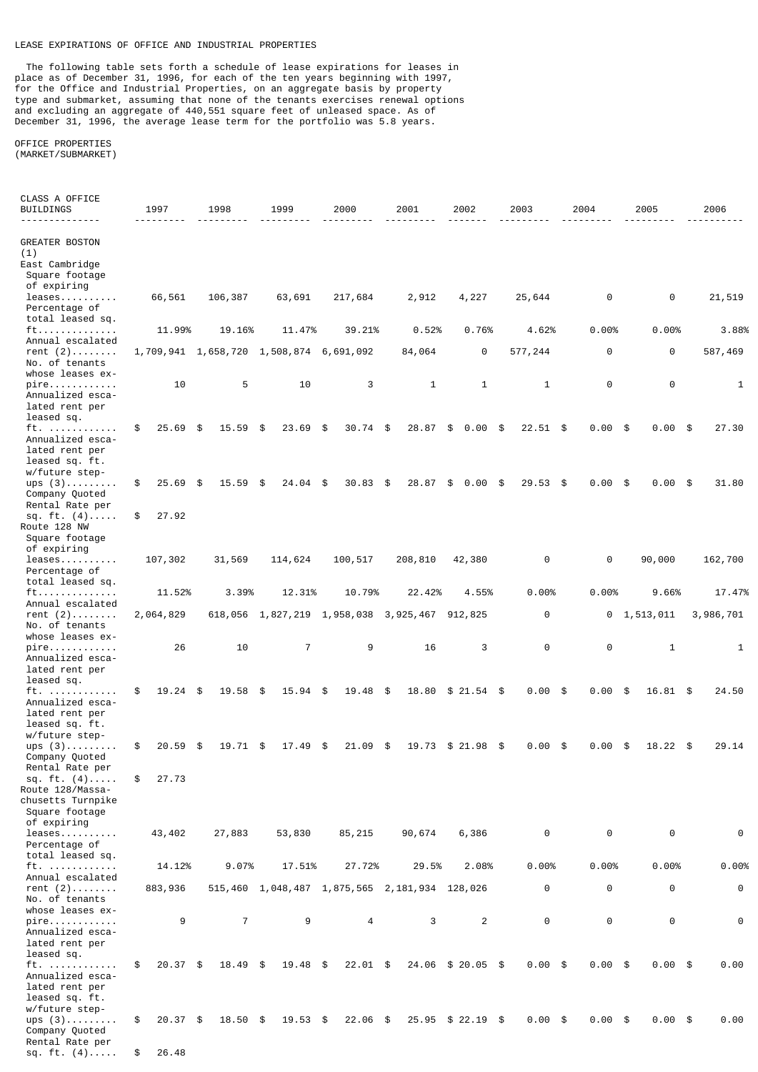## LEASE EXPIRATIONS OF OFFICE AND INDUSTRIAL PROPERTIES

 The following table sets forth a schedule of lease expirations for leases in place as of December 31, 1996, for each of the ten years beginning with 1997, for the Office and Industrial Properties, on an aggregate basis by property type and submarket, assuming that none of the tenants exercises renewal options and excluding an aggregate of 440,551 square feet of unleased space. As of December 31, 1996, the average lease term for the portfolio was 5.8 years.

### OFFICE PROPERTIES (MARKET/SUBMARKET)

| CLASS A OFFICE<br>BUILDINGS                                                           | 1997             | 1998                | 1999                                          | 2000                          | 2001         | 2002           | 2003             | 2004              | 2005                | 2006        |
|---------------------------------------------------------------------------------------|------------------|---------------------|-----------------------------------------------|-------------------------------|--------------|----------------|------------------|-------------------|---------------------|-------------|
| <b>GREATER BOSTON</b><br>(1)<br>East Cambridge<br>Square footage<br>of expiring       |                  |                     |                                               |                               |              |                |                  |                   |                     |             |
| $leases \ldots \ldots \ldots$<br>Percentage of<br>total leased sq.                    | 66,561           | 106,387             | 63,691                                        | 217,684                       | 2,912        | 4,227          | 25,644           | 0                 | 0                   | 21,519      |
| ft<br>Annual escalated                                                                | 11.99%           | 19.16%              | 11.47%                                        | 39.21%                        | 0.52%        | 0.76%          | 4.62%            | 0.00%             | 0.00%               | 3.88%       |
| rent $(2)$<br>No. of tenants<br>whose leases ex-                                      |                  | 1,709,941 1,658,720 | 1,508,874                                     | 6,691,092                     | 84,064       | 0              | 577,244          | $\Theta$          | $\Theta$            | 587,469     |
| $pire.$<br>Annualized esca-<br>lated rent per<br>leased sq.                           | 10               | 5                   | 10                                            | 3                             | $\mathbf{1}$ | $\mathbf{1}$   | $\mathbf{1}$     | $\Theta$          | $\Theta$            | 1           |
| ft.<br>Annualized esca-<br>lated rent per<br>leased sq. ft.<br>w/future step-         | \$<br>25.69      | -\$<br>15.59        | \$<br>23.69                                   | \$<br>30.74                   | \$<br>28.87  | \$<br>0.00     | $22.51$ \$<br>\$ | 0.00              | 0.00<br>\$<br>- \$  | 27.30       |
| ups $(3)$<br>Company Quoted<br>Rental Rate per                                        | \$<br>25.69      | 15.59<br>\$         | \$<br>24.04                                   | 30.83<br>\$                   | 28.87<br>\$  | \$<br>0.00     | 29.53<br>\$      | \$<br>0.00        | 0.00<br>\$          | 31.80<br>\$ |
| sq. ft. $(4)$<br>Route 128 NW<br>Square footage<br>of expiring                        | \$<br>27.92      |                     |                                               |                               |              |                |                  |                   |                     |             |
| $leases \ldots \ldots \ldots$<br>Percentage of<br>total leased sq.                    | 107,302          | 31,569              | 114,624                                       | 100,517                       | 208,810      | 42,380         | 0                | 0                 | 90,000              | 162,700     |
| ft<br>Annual escalated                                                                | 11.52%           | 3.39%               | 12.31%                                        | 10.79%                        | 22.42%       | 4.55%          | 0.00%            | 0.00%             | 9.66%               | 17.47%      |
| rent $(2)$<br>No. of tenants<br>whose leases ex-                                      | 2,064,829        | 618,056             |                                               | 1,827,219 1,958,038 3,925,467 |              | 912,825        | 0                |                   | $0 \quad 1,513,011$ | 3,986,701   |
| $pi$ re<br>Annualized esca-<br>lated rent per<br>leased sq.                           | 26               | 10                  | $\overline{7}$                                | 9                             | 16           | 3              | 0                | $\Theta$          | 1                   | 1           |
| ft.<br>Annualized esca-<br>lated rent per<br>leased sq. ft.<br>w/future step-         | \$<br>19.24      | 19.58<br>\$         | 15.94<br>\$                                   | 19.48<br>\$                   | 18.80<br>\$  | \$21.54        | \$<br>0.00       | 0.00<br>\$        | $16.81$ \$<br>S     | 24.50       |
| ups $(3)$<br>Company Quoted<br>Rental Rate per                                        | \$<br>20.59      | 19.71<br>\$         | 17.49<br>\$                                   | \$<br>21.09                   | 19.73<br>\$  | \$ 21.98       | \$<br>0.00       | \$<br>0.00        | $18.22$ \$<br>\$    | 29.14       |
| sq. ft. (4)<br>Route 128/Massa-<br>chusetts Turnpike<br>Square footage<br>of expiring | \$<br>27.73      |                     |                                               |                               |              |                |                  |                   |                     |             |
| $leases$<br>Percentage of<br>total leased sq.                                         | 43,402           | 27,883              | 53,830                                        | 85, 215                       | 90,674       | 6,386          | 0                | $\Theta$          | $\Theta$            | 0           |
| ft.<br>Annual escalated                                                               | 14.12%           | 9.07%               | 17.51%                                        | 27.72%                        | 29.5%        | 2.08%          | 0.00%            | 0.00%             | 0.00%               | $0.00\%$    |
| rent $(2)$<br>No. of tenants<br>whose leases ex-                                      | 883,936          |                     | 515,460 1,048,487 1,875,565 2,181,934 128,026 |                               |              |                | 0                | $\Theta$          | $\Theta$            | $\Theta$    |
| $pi$ re<br>Annualized esca-<br>lated rent per<br>leased sq.                           | 9                | $\overline{7}$      | 9                                             | 4                             | 3            | $\overline{2}$ | 0                | $\Theta$          | $\Theta$            | $\Theta$    |
| ft.<br>Annualized esca-<br>lated rent per<br>leased sq. ft.<br>w/future step-         | $20.37$ \$<br>\$ | $18.49$ \$          | 19.48                                         | $22.01$ \$<br>\$              | 24.06        | $$20.05$ \$    | $0.00$ \$        | $0.00$ \$         | $0.00$ \$           | 0.00        |
| ups $(3)$<br>Company Quoted<br>Rental Rate per                                        | \$<br>$20.37$ \$ | $18.50$ \$          | $19.53$ \$                                    | $22.06$ \$                    |              | 25.95 \$ 22.19 | \$<br>0.00       | $0.00$ \$<br>- \$ | $0.00$ \$           | 0.00        |
| sq. $ft. (4)$                                                                         | 26.48<br>\$      |                     |                                               |                               |              |                |                  |                   |                     |             |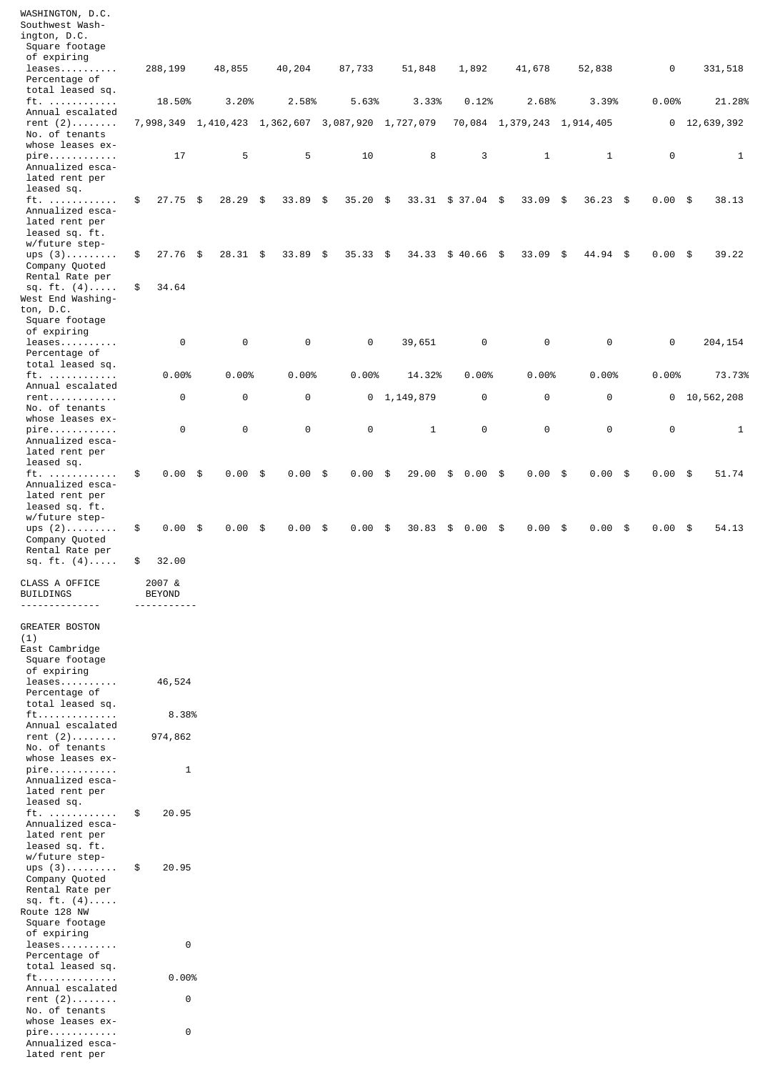| WASHINGTON, D.C.<br>Southwest Wash-                                             |                              |                       |                                                   |        |               |                 |                              |                            |                    |            |           |              |
|---------------------------------------------------------------------------------|------------------------------|-----------------------|---------------------------------------------------|--------|---------------|-----------------|------------------------------|----------------------------|--------------------|------------|-----------|--------------|
| ington, D.C.                                                                    |                              |                       |                                                   |        |               |                 |                              |                            |                    |            |           |              |
| Square footage<br>of expiring                                                   |                              |                       |                                                   |        |               |                 |                              |                            |                    |            |           |              |
| $leases \ldots \ldots \ldots$                                                   | 288,199                      | 48,855                | 40,204                                            | 87,733 |               | 51,848          | 1,892                        | 41,678                     | 52,838             |            | $\Theta$  | 331,518      |
| Percentage of<br>total leased sq.                                               |                              |                       |                                                   |        |               |                 |                              |                            |                    |            |           |              |
| ft.<br>Annual escalated                                                         | 18.50%                       | 3.20%                 | 2.58%                                             |        | 5.63%         | 3.33%           | 0.12%                        | 2.68%                      | 3.39%              |            | 0.00%     | 21.28%       |
| rent $(2)$<br>No. of tenants<br>whose leases ex-                                |                              |                       | 7,998,349 1,410,423 1,362,607 3,087,920 1,727,079 |        |               |                 |                              | 70,084 1,379,243 1,914,405 |                    |            | 0         | 12,639,392   |
| pire<br>Annualized esca-<br>lated rent per                                      | 17                           | 5                     | 5                                                 |        | 10            | 8               | 3                            | $\mathbf{1}$               | $\mathbf{1}$       |            | $\Theta$  | $\mathbf{1}$ |
| leased sq.<br>ft.<br>Annualized esca-                                           | \$<br>$27.75$ \$             | $28.29$ \$            | 33.89                                             | \$     | 35.20<br>- \$ |                 | $33.31 \quad $37.04 \quad $$ | 33.09                      | $36.23$ \$<br>- \$ |            | $0.00$ \$ | 38.13        |
| lated rent per<br>leased sq. ft.<br>w/future step-                              |                              |                       |                                                   |        |               |                 |                              |                            |                    |            |           |              |
| ups $(3)$<br>Company Quoted<br>Rental Rate per                                  | \$<br>$27.76$ \$             | $28.31$ \$            | 33.89                                             | \$     | 35.33<br>- \$ | 34.33           | \$40.66\$                    | 33.09                      | \$<br>44.94 \$     |            | $0.00$ \$ | 39.22        |
| sq. $ft. (4)$<br>West End Washing-<br>ton, D.C.                                 | \$<br>34.64                  |                       |                                                   |        |               |                 |                              |                            |                    |            |           |              |
| Square footage<br>of expiring                                                   |                              |                       |                                                   |        |               |                 |                              |                            |                    |            |           |              |
| $leases \ldots \ldots \ldots$<br>Percentage of<br>total leased sq.              | 0                            | $\Theta$              | 0                                                 |        | $\Theta$      | 39,651          | 0                            | $\Theta$                   | $\Theta$           |            | 0         | 204, 154     |
| $ft.$                                                                           | 0.00%                        | 0.00%                 | 0.00%                                             |        | 0.00%         | 14.32%          | 0.00%                        | 0.00%                      | 0.00%              |            | 0.00%     | 73.73%       |
| Annual escalated<br>$rent \ldots \ldots \ldots \ldots$                          | 0                            | $\boldsymbol{\Theta}$ | 0                                                 |        |               | $0$ 1, 149, 879 | $\Theta$                     | 0                          | $\Theta$           |            | 0         | 10,562,208   |
| No. of tenants<br>whose leases ex-<br>$pire.$                                   | 0                            | $\Theta$              | $\Theta$                                          |        | $\Theta$      | $\mathbf{1}$    | $\Theta$                     | 0                          | $\Theta$           |            | $\Theta$  | $\mathbf{1}$ |
| Annualized esca-<br>lated rent per<br>leased sq.                                |                              |                       |                                                   |        |               |                 |                              |                            |                    |            |           |              |
| ft.<br>Annualized esca-<br>lated rent per<br>leased sq. ft.<br>w/future step-   | \$<br>$0.00$ \$              | $0.00$ \$             | 0.00                                              | \$     | 0.00<br>\$    | 29.00           | 0.00<br>\$                   | \$<br>0.00                 | $0.00$ \$<br>-\$   |            | $0.00$ \$ | 51.74        |
| ups $(2)$<br>Company Quoted<br>Rental Rate per                                  | $0.00$ \$<br>\$              | 0.00                  | \$<br>0.00                                        | \$     | 0.00<br>\$    | 30.83           | \$<br>0.00                   | \$<br>0.00                 | 0.00<br>\$         | \$<br>0.00 |           | 54.13<br>\$  |
| sq. ft. $(4)$                                                                   | \$<br>32.00                  |                       |                                                   |        |               |                 |                              |                            |                    |            |           |              |
| CLASS A OFFICE<br>BUILDINGS                                                     | 2007 &<br><b>BEYOND</b><br>. |                       |                                                   |        |               |                 |                              |                            |                    |            |           |              |
| <b>GREATER BOSTON</b>                                                           |                              |                       |                                                   |        |               |                 |                              |                            |                    |            |           |              |
| (1)<br>East Cambridge                                                           |                              |                       |                                                   |        |               |                 |                              |                            |                    |            |           |              |
| Square footage<br>of expiring                                                   |                              |                       |                                                   |        |               |                 |                              |                            |                    |            |           |              |
| $leases \ldots \ldots$<br>Percentage of<br>total leased sq.                     | 46,524                       |                       |                                                   |        |               |                 |                              |                            |                    |            |           |              |
| $ft$                                                                            | 8.38%                        |                       |                                                   |        |               |                 |                              |                            |                    |            |           |              |
| Annual escalated<br>rent $(2)$                                                  | 974,862                      |                       |                                                   |        |               |                 |                              |                            |                    |            |           |              |
| No. of tenants<br>whose leases ex-                                              |                              |                       |                                                   |        |               |                 |                              |                            |                    |            |           |              |
| $pi$ re<br>Annualized esca-<br>lated rent per                                   | $\mathbf{1}$                 |                       |                                                   |        |               |                 |                              |                            |                    |            |           |              |
| leased sq.<br>ft.<br>Annualized esca-                                           | 20.95<br>\$                  |                       |                                                   |        |               |                 |                              |                            |                    |            |           |              |
| lated rent per<br>leased sq. ft.<br>w/future step-                              |                              |                       |                                                   |        |               |                 |                              |                            |                    |            |           |              |
| $ups(3)$<br>Company Quoted<br>Rental Rate per<br>sq. ft. $(4)$<br>Route 128 NW  | 20.95<br>\$                  |                       |                                                   |        |               |                 |                              |                            |                    |            |           |              |
| Square footage<br>of expiring<br>$leases \ldots \ldots \ldots$<br>Percentage of | $\Theta$                     |                       |                                                   |        |               |                 |                              |                            |                    |            |           |              |
| total leased sq.                                                                |                              |                       |                                                   |        |               |                 |                              |                            |                    |            |           |              |
| ft<br>Annual escalated                                                          | 0.00%                        |                       |                                                   |        |               |                 |                              |                            |                    |            |           |              |
| rent $(2)$<br>No. of tenants                                                    | $\Theta$                     |                       |                                                   |        |               |                 |                              |                            |                    |            |           |              |
| whose leases ex-<br>$pire.$<br>Annualized esca-<br>lated rent per               | $\Theta$                     |                       |                                                   |        |               |                 |                              |                            |                    |            |           |              |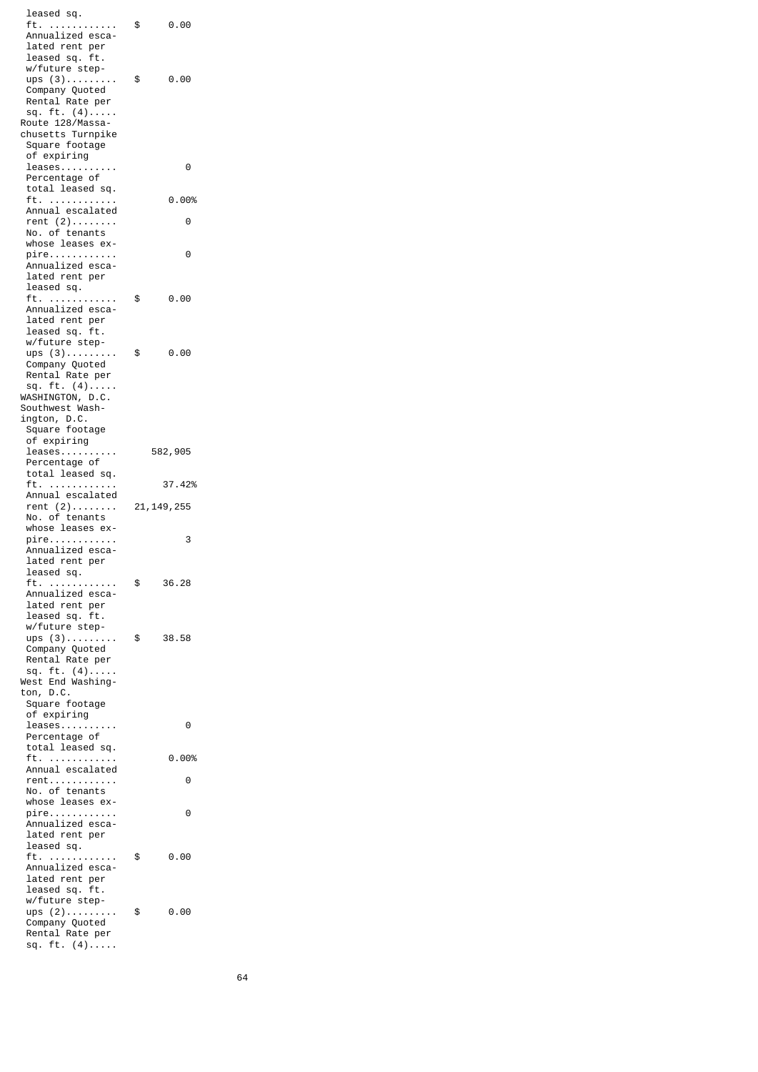leased sq. ft. ............ \$ 0.00 Annualized esca lated rent per leased sq. ft. w/future step ups  $(3)$ ...........\$ 0.00 Company Quoted Rental Rate per sq. ft.  $(4)$ ..... Route 128/Massa chusetts Turnpike Square footage of expiring leases.......... 0 Percentage of total leased sq. ft. ............ 0.00% Annual escalated rent (2)........ 0 No. of tenants whose leases ex pire............ 0 Annualized esca lated rent per leased sq. ft. ............ \$ 0.00 Annualized esca lated rent per leased sq. ft. w/future step ups (3)........... \$ 0.00 Company Quoted Rental Rate per sq.  $ft. (4)$ .... WASHINGTON, D.C. Southwest Wash ington, D.C. Square footage of expiring leases.......... 582,905 Percentage of total leased sq. ft. ............ 37.42% Annual escalated rent (2)........ 21,149,255 No. of tenants whose leases ex pire............ 3 Annualized esca lated rent per leased sq. ft. ............ \$ 36.28 Annualized esca lated rent per leased sq. ft. w/future step ups (3)..............\$ 38.58 Company Quoted Rental Rate per sq. ft. (4)..... West End Washing ton, D.C. Square footage of expiring leases.......... 0 Percentage of total leased sq. ft. ............ 0.00% Annual escalated rent............ 0 No. of tenants whose leases ex pire............ 0 Annualized esca lated rent per leased sq. ft. ............ \$ 0.00 Annualized esca lated rent per leased sq. ft. w/future step ups (2).......... \$ 0.00 Company Quoted Rental Rate per sq. ft. (4).....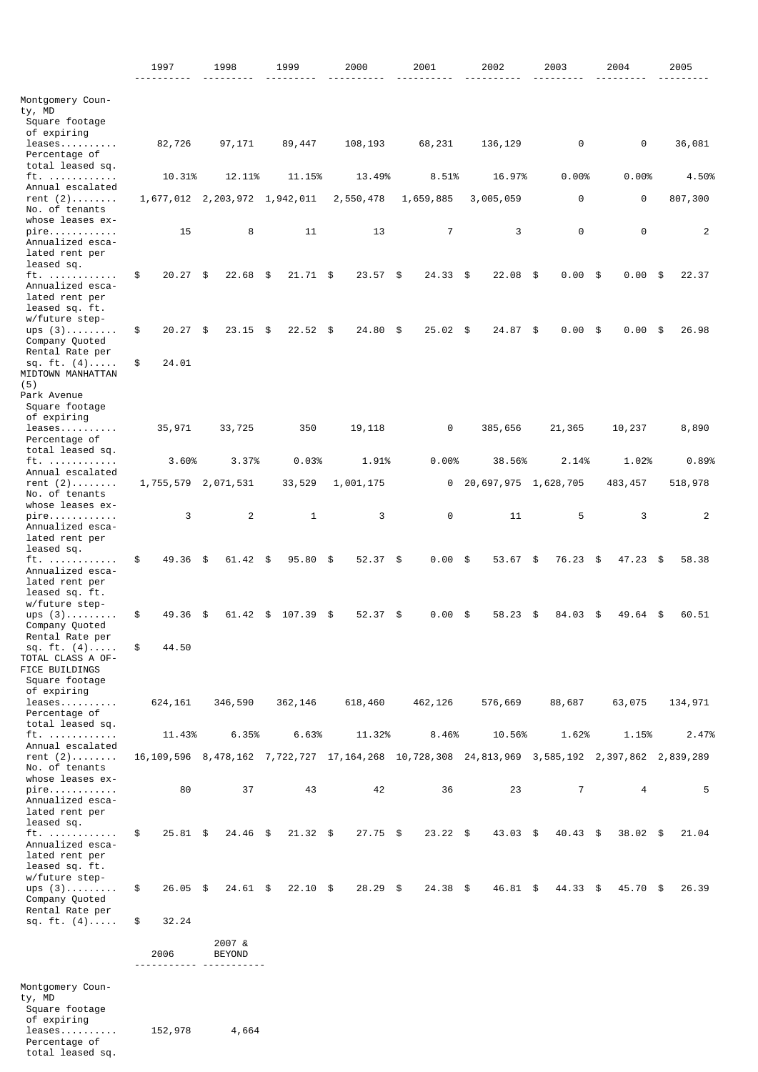|                                                             | 1997                          |      | 1998                                           |     | 1999         | 2000             | 2001           | 2002                                                                                                            | 2003           |      | 2004       |     | 2005           |
|-------------------------------------------------------------|-------------------------------|------|------------------------------------------------|-----|--------------|------------------|----------------|-----------------------------------------------------------------------------------------------------------------|----------------|------|------------|-----|----------------|
|                                                             |                               |      |                                                |     |              |                  |                |                                                                                                                 |                |      |            |     |                |
| Montgomery Coun-<br>ty, MD                                  |                               |      |                                                |     |              |                  |                |                                                                                                                 |                |      |            |     |                |
| Square footage<br>of expiring                               |                               |      |                                                |     |              |                  |                |                                                                                                                 |                |      |            |     |                |
| leases<br>Percentage of<br>total leased sq.                 | 82,726                        |      | 97,171                                         |     | 89,447       | 108,193          | 68,231         | 136, 129                                                                                                        | 0              |      | 0          |     | 36,081         |
| $ft.$                                                       | 10.31%                        |      | 12.11%                                         |     | 11.15%       | 13.49%           | 8.51%          | 16.97%                                                                                                          | 0.00%          |      | 0.00%      |     | 4.50%          |
| Annual escalated<br>rent $(2)$                              | 1,677,012 2,203,972 1,942,011 |      |                                                |     |              | 2,550,478        | 1,659,885      | 3,005,059                                                                                                       | 0              |      | $\Theta$   |     | 807,300        |
| No. of tenants<br>whose leases ex-                          |                               |      |                                                |     |              |                  |                |                                                                                                                 |                |      |            |     |                |
| $pi$ re<br>Annualized esca-<br>lated rent per<br>leased sq. | 15                            |      | 8                                              |     | 11           | 13               | $\overline{7}$ | 3                                                                                                               | 0              |      | $\Theta$   |     | 2              |
| ft.                                                         | \$<br>$20.27$ \$              |      | 22.68                                          | -\$ | $21.71$ \$   | $23.57$ \$       | $24.33$ \$     | 22.08                                                                                                           | \$<br>0.00     | - \$ | 0.00       | -\$ | 22.37          |
| Annualized esca-<br>lated rent per<br>leased sq. ft.        |                               |      |                                                |     |              |                  |                |                                                                                                                 |                |      |            |     |                |
| w/future step-<br>ups $(3)$<br>Company Quoted               | \$<br>$20.27$ \$              |      | $23.15$ \$                                     |     | $22.52$ \$   | 24.80 \$         | $25.02$ \$     | 24.87 \$                                                                                                        | 0.00           | - \$ | 0.00       | -\$ | 26.98          |
| Rental Rate per<br>sq. ft. $(4)$                            | \$<br>24.01                   |      |                                                |     |              |                  |                |                                                                                                                 |                |      |            |     |                |
| MIDTOWN MANHATTAN<br>(5)                                    |                               |      |                                                |     |              |                  |                |                                                                                                                 |                |      |            |     |                |
| Park Avenue<br>Square footage                               |                               |      |                                                |     |              |                  |                |                                                                                                                 |                |      |            |     |                |
| of expiring                                                 |                               |      |                                                |     |              |                  |                |                                                                                                                 |                |      |            |     |                |
| leases.<br>Percentage of<br>total leased sq.                | 35,971                        |      | 33,725                                         |     | 350          | 19,118           | 0              | 385,656                                                                                                         | 21,365         |      | 10,237     |     | 8,890          |
| $ft.$                                                       | 3.60%                         |      | 3.37%                                          |     | 0.03%        | 1.91%            | 0.00%          | 38.56%                                                                                                          | 2.14%          |      | 1.02%      |     | 0.89%          |
| Annual escalated<br>rent $(2)$                              | 1,755,579 2,071,531           |      |                                                |     | 33,529       | 1,001,175        | 0              | 20,697,975 1,628,705                                                                                            |                |      | 483, 457   |     | 518,978        |
| No. of tenants<br>whose leases ex-<br>pire                  | 3                             |      | 2                                              |     | $\mathbf{1}$ | 3                | 0              | 11                                                                                                              | 5              |      | 3          |     | $\overline{2}$ |
| Annualized esca-<br>lated rent per<br>leased sq.            |                               |      |                                                |     |              |                  |                |                                                                                                                 |                |      |            |     |                |
| ft.<br>Annualized esca-<br>lated rent per                   | \$<br>49.36                   | - \$ | 61.42 \$                                       |     | 95.80        | \$<br>$52.37$ \$ | 0.00           | \$<br>53.67                                                                                                     | \$<br>76.23 \$ |      | $47.23$ \$ |     | 58.38          |
| leased sq. ft.<br>w/future step-                            |                               |      |                                                |     |              |                  |                |                                                                                                                 |                |      |            |     |                |
| ups $(3)$<br>Company Quoted                                 | \$<br>49.36                   | \$   | 61.42                                          | \$  | 107.39       | \$<br>52.37      | \$<br>0.00     | \$<br>58.23                                                                                                     | \$<br>84.03    | \$   | 49.64      | \$  | 60.51          |
| Rental Rate per<br>sq. ft. (4)<br>TOTAL CLASS A OF-         | \$<br>44.50                   |      |                                                |     |              |                  |                |                                                                                                                 |                |      |            |     |                |
| FICE BUILDINGS<br>Square footage<br>of expiring             |                               |      |                                                |     |              |                  |                |                                                                                                                 |                |      |            |     |                |
| leases<br>Percentage of                                     | 624,161                       |      | 346,590                                        |     | 362,146      | 618,460          | 462,126        | 576,669                                                                                                         | 88,687         |      | 63,075     |     | 134,971        |
| total leased sq.<br>ft.                                     | 11.43%                        |      | 6.35%                                          |     | 6.63%        | 11.32%           | 8.46%          | 10.56%                                                                                                          | 1.62%          |      | 1.15%      |     | 2.47%          |
| Annual escalated<br>rent $(2)$                              |                               |      |                                                |     |              |                  |                | 16, 109, 596 8, 478, 162 7, 722, 727 17, 164, 268 10, 728, 308 24, 813, 969 3, 585, 192 2, 397, 862 2, 839, 289 |                |      |            |     |                |
| No. of tenants<br>whose leases ex-                          |                               |      |                                                |     |              |                  |                |                                                                                                                 |                |      |            |     |                |
| $pire.$<br>Annualized esca-<br>lated rent per               | 80                            |      | 37                                             |     | 43           | 42               | 36             | 23                                                                                                              | $\overline{7}$ |      | 4          |     | 5              |
| leased sq.<br>ft.                                           | \$<br>$25.81$ \$              |      | 24.46 \$                                       |     | $21.32$ \$   | $27.75$ \$       | $23.22$ \$     | $43.03$ \$                                                                                                      | $40.43$ \$     |      | $38.02$ \$ |     | 21.04          |
| Annualized esca-<br>lated rent per<br>leased sq. ft.        |                               |      |                                                |     |              |                  |                |                                                                                                                 |                |      |            |     |                |
| w/future step-<br>ups $(3)$<br>Company Quoted               | \$<br>$26.05$ \$              |      | $24.61$ \$                                     |     | $22.10$ \$   | $28.29$ \$       | $24.38$ \$     | 46.81 \$                                                                                                        | $44.33$ \$     |      | 45.70 \$   |     | 26.39          |
| Rental Rate per<br>sq. $ft. (4)$                            | \$<br>32.24                   |      |                                                |     |              |                  |                |                                                                                                                 |                |      |            |     |                |
|                                                             | 2006<br>- - - - - -           |      | 2007 &<br><b>BEYOND</b><br>- - - - - - - - - - |     |              |                  |                |                                                                                                                 |                |      |            |     |                |
| Montgomery Coun-                                            |                               |      |                                                |     |              |                  |                |                                                                                                                 |                |      |            |     |                |
| ty, MD<br>Square footage<br>of expiring                     |                               |      |                                                |     |              |                  |                |                                                                                                                 |                |      |            |     |                |
| $leases \ldots \ldots \ldots$<br>Percentage of              | 152,978                       |      | 4,664                                          |     |              |                  |                |                                                                                                                 |                |      |            |     |                |

total leased sq.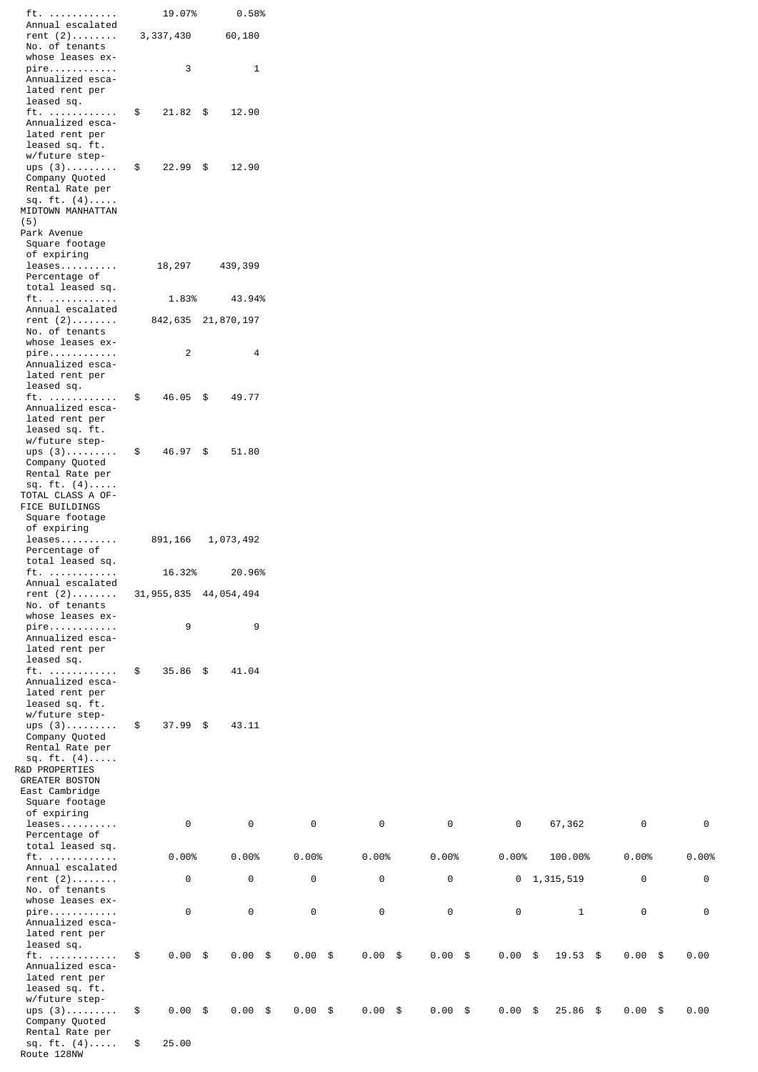| ft.                               | 19.07%                    | 0.58%              |           |           |           |                         |           |          |
|-----------------------------------|---------------------------|--------------------|-----------|-----------|-----------|-------------------------|-----------|----------|
| Annual escalated                  |                           |                    |           |           |           |                         |           |          |
| rent $(2)$                        | 3, 337, 430               | 60,180             |           |           |           |                         |           |          |
| No. of tenants                    |                           |                    |           |           |           |                         |           |          |
| whose leases ex-                  |                           |                    |           |           |           |                         |           |          |
| $pi$ re                           | 3                         | $\mathbf{1}$       |           |           |           |                         |           |          |
| Annualized esca-                  |                           |                    |           |           |           |                         |           |          |
| lated rent per                    |                           |                    |           |           |           |                         |           |          |
| leased sq.                        |                           |                    |           |           |           |                         |           |          |
| ft.                               | $21.82$ \$<br>\$          | 12.90              |           |           |           |                         |           |          |
| Annualized esca-                  |                           |                    |           |           |           |                         |           |          |
| lated rent per                    |                           |                    |           |           |           |                         |           |          |
| leased sq. ft.                    |                           |                    |           |           |           |                         |           |          |
| w/future step-                    |                           |                    |           |           |           |                         |           |          |
| ups $(3)$                         | \$<br>$22.99$ \$          | 12.90              |           |           |           |                         |           |          |
|                                   |                           |                    |           |           |           |                         |           |          |
| Company Quoted                    |                           |                    |           |           |           |                         |           |          |
| Rental Rate per                   |                           |                    |           |           |           |                         |           |          |
| sq. ft. $(4)$                     |                           |                    |           |           |           |                         |           |          |
| MIDTOWN MANHATTAN                 |                           |                    |           |           |           |                         |           |          |
| (5)                               |                           |                    |           |           |           |                         |           |          |
| Park Avenue                       |                           |                    |           |           |           |                         |           |          |
| Square footage                    |                           |                    |           |           |           |                         |           |          |
| of expiring                       |                           |                    |           |           |           |                         |           |          |
| $leases$                          | 18,297                    | 439,399            |           |           |           |                         |           |          |
| Percentage of                     |                           |                    |           |           |           |                         |           |          |
| total leased sq.                  |                           |                    |           |           |           |                         |           |          |
| $ft. \ldots \ldots \ldots$        | 1.83%                     | 43.94%             |           |           |           |                         |           |          |
| Annual escalated                  |                           |                    |           |           |           |                         |           |          |
| rent $(2)$                        |                           | 842,635 21,870,197 |           |           |           |                         |           |          |
| No. of tenants                    |                           |                    |           |           |           |                         |           |          |
| whose leases ex-                  |                           |                    |           |           |           |                         |           |          |
| $pi$ re                           | $\overline{c}$            | 4                  |           |           |           |                         |           |          |
| Annualized esca-                  |                           |                    |           |           |           |                         |           |          |
| lated rent per                    |                           |                    |           |           |           |                         |           |          |
| leased sq.                        |                           |                    |           |           |           |                         |           |          |
|                                   |                           |                    |           |           |           |                         |           |          |
| ft.                               | \$<br>46.05 \$            | 49.77              |           |           |           |                         |           |          |
| Annualized esca-                  |                           |                    |           |           |           |                         |           |          |
| lated rent per                    |                           |                    |           |           |           |                         |           |          |
| leased sq. ft.                    |                           |                    |           |           |           |                         |           |          |
| w/future step-                    |                           |                    |           |           |           |                         |           |          |
| ups $(3)$                         | 46.97 \$<br>\$            | 51.80              |           |           |           |                         |           |          |
| Company Quoted                    |                           |                    |           |           |           |                         |           |          |
| Rental Rate per                   |                           |                    |           |           |           |                         |           |          |
| sq. ft. (4)                       |                           |                    |           |           |           |                         |           |          |
| TOTAL CLASS A OF-                 |                           |                    |           |           |           |                         |           |          |
| FICE BUILDINGS                    |                           |                    |           |           |           |                         |           |          |
| Square footage                    |                           |                    |           |           |           |                         |           |          |
| of expiring                       |                           |                    |           |           |           |                         |           |          |
| $leases \ldots \ldots \ldots$     | 891,166                   | 1,073,492          |           |           |           |                         |           |          |
| Percentage of                     |                           |                    |           |           |           |                         |           |          |
| total leased sq.                  |                           |                    |           |           |           |                         |           |          |
| ft.                               | 16.32%                    | 20.96%             |           |           |           |                         |           |          |
|                                   |                           |                    |           |           |           |                         |           |          |
| Annual escalated                  |                           |                    |           |           |           |                         |           |          |
| rent $(2)$                        | 31, 955, 835 44, 054, 494 |                    |           |           |           |                         |           |          |
| No. of tenants                    |                           |                    |           |           |           |                         |           |          |
| whose leases ex-                  |                           |                    |           |           |           |                         |           |          |
| pire                              | 9                         | 9                  |           |           |           |                         |           |          |
| Annualized esca-                  |                           |                    |           |           |           |                         |           |          |
| lated rent per                    |                           |                    |           |           |           |                         |           |          |
| leased sq.                        |                           |                    |           |           |           |                         |           |          |
| ft.                               | \$<br>$35.86$ \$          | 41.04              |           |           |           |                         |           |          |
| Annualized esca-                  |                           |                    |           |           |           |                         |           |          |
| lated rent per                    |                           |                    |           |           |           |                         |           |          |
| leased sq. ft.                    |                           |                    |           |           |           |                         |           |          |
| w/future step-                    |                           |                    |           |           |           |                         |           |          |
| ups $(3)$                         | \$<br>$37.99$ \$          | 43.11              |           |           |           |                         |           |          |
| Company Quoted                    |                           |                    |           |           |           |                         |           |          |
|                                   |                           |                    |           |           |           |                         |           |          |
| Rental Rate per                   |                           |                    |           |           |           |                         |           |          |
| sq. $ft. (4)$                     |                           |                    |           |           |           |                         |           |          |
| R&D PROPERTIES                    |                           |                    |           |           |           |                         |           |          |
| <b>GREATER BOSTON</b>             |                           |                    |           |           |           |                         |           |          |
| East Cambridge                    |                           |                    |           |           |           |                         |           |          |
| Square footage                    |                           |                    |           |           |           |                         |           |          |
| of expiring                       |                           |                    |           |           |           |                         |           |          |
| $leases \ldots \ldots \ldots$     | $\Theta$                  | $\Theta$           | $\Theta$  | $\Theta$  | $\Theta$  | 0<br>67,362             | $\Theta$  | $\Theta$ |
| Percentage of                     |                           |                    |           |           |           |                         |           |          |
| total leased sq.                  |                           |                    |           |           |           |                         |           |          |
| $ft. \ldots \ldots \ldots \ldots$ | 0.00%                     | 0.00%              | 0.00%     | 0.00%     | 0.00%     | 0.00%<br>100.00%        | 0.00%     | 0.00%    |
| Annual escalated                  |                           |                    |           |           |           |                         |           |          |
| rent $(2)$                        | 0                         | 0                  | $\Theta$  | 0         | 0         | $0$ 1, 315, 519         | 0         | $\Theta$ |
| No. of tenants                    |                           |                    |           |           |           |                         |           |          |
| whose leases ex-                  |                           |                    |           |           |           |                         |           |          |
|                                   | $\Theta$                  | $\Theta$           | $\Theta$  | 0         | $\Theta$  | 0                       | $\Theta$  | $\Theta$ |
| $pire.$                           |                           |                    |           |           |           | $\mathbf{1}$            |           |          |
| Annualized esca-                  |                           |                    |           |           |           |                         |           |          |
| lated rent per                    |                           |                    |           |           |           |                         |           |          |
| leased sq.                        |                           |                    |           |           |           |                         |           |          |
| ft.                               | $0.00$ \$<br>\$           | $0.00$ \$          | $0.00$ \$ | $0.00$ \$ | $0.00$ \$ | $0.00$ \$<br>$19.53$ \$ | $0.00$ \$ | 0.00     |
| Annualized esca-                  |                           |                    |           |           |           |                         |           |          |
| lated rent per                    |                           |                    |           |           |           |                         |           |          |
| leased sq. ft.                    |                           |                    |           |           |           |                         |           |          |
| w/future step-                    |                           |                    |           |           |           |                         |           |          |
| $ups(3)$                          | $0.00$ \$<br>\$           | $0.00$ \$          | $0.00$ \$ | $0.00$ \$ | $0.00$ \$ | $0.00$ \$<br>$25.86$ \$ | $0.00$ \$ | 0.00     |
| Company Quoted                    |                           |                    |           |           |           |                         |           |          |
| Rental Rate per                   |                           |                    |           |           |           |                         |           |          |
| sq. ft. $(4)$                     | 25.00<br>\$               |                    |           |           |           |                         |           |          |

Route 128NW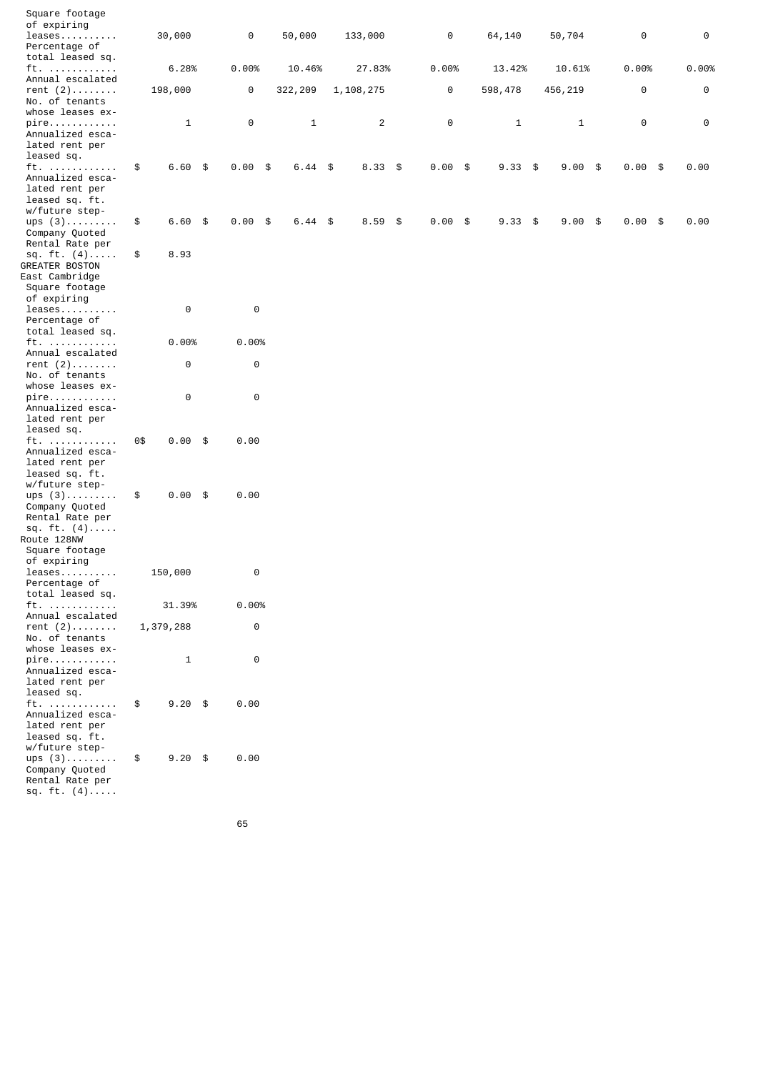| Square footage                                                                                   |     |              |           |         |                         |  |           |              |                 |           |          |               |  |
|--------------------------------------------------------------------------------------------------|-----|--------------|-----------|---------|-------------------------|--|-----------|--------------|-----------------|-----------|----------|---------------|--|
| of expiring<br>$l$ eases                                                                         |     | 30,000       | 0         | 50,000  | 133,000                 |  | 0         | 64,140       | 50,704          |           | $\Theta$ | 0             |  |
| Percentage of<br>total leased sq.                                                                |     |              |           |         |                         |  |           |              |                 |           |          |               |  |
| ft.<br>Annual escalated                                                                          |     | 6.28%        | 0.00%     | 10.46%  | 27.83%                  |  | 0.00%     | 13.42%       | 10.61%          | 0.00%     |          | 0.00%         |  |
| rent $(2)$                                                                                       |     | 198,000      | 0         | 322,209 | 1, 108, 275             |  | 0         | 598,478      | 456,219         |           | 0        | $\bm{\Theta}$ |  |
| No. of tenants<br>whose leases ex-                                                               |     |              |           |         |                         |  |           |              |                 |           |          |               |  |
| pire<br>Annualized esca-<br>lated rent per<br>leased sq.                                         |     | $\mathbf{1}$ | $\Theta$  | 1       | $\overline{\mathbf{c}}$ |  | $\Theta$  | $\mathbf{1}$ | 1               |           | 0        | 0             |  |
| ft.<br>Annualized esca-<br>lated rent per<br>leased sq. ft.                                      | \$  | $6.60$ \$    | $0.00$ \$ | 6.44    | \$<br>$8.33$ \$         |  | $0.00$ \$ | $9.33$ \$    | $9.00$ \$       | $0.00$ \$ |          | 0.00          |  |
| w/future step-<br>ups $(3)$                                                                      | \$  | $6.60$ \$    | $0.00$ \$ | 6.44    | \$<br>$8.59$ \$         |  | $0.00$ \$ | 9.33         | \$<br>$9.00$ \$ | $0.00$ \$ |          | 0.00          |  |
| Company Quoted<br>Rental Rate per                                                                |     |              |           |         |                         |  |           |              |                 |           |          |               |  |
| sq. ft. $(4)$<br><b>GREATER BOSTON</b><br>East Cambridge<br>Square footage                       | \$  | 8.93         |           |         |                         |  |           |              |                 |           |          |               |  |
| of expiring<br>leases<br>Percentage of                                                           |     | $\Theta$     | $\Theta$  |         |                         |  |           |              |                 |           |          |               |  |
| total leased sq.                                                                                 |     |              |           |         |                         |  |           |              |                 |           |          |               |  |
| ft.<br>Annual escalated                                                                          |     | 0.00%        | 0.00%     |         |                         |  |           |              |                 |           |          |               |  |
| rent $(2)$<br>No. of tenants                                                                     |     | $\Theta$     | 0         |         |                         |  |           |              |                 |           |          |               |  |
| whose leases ex-<br>pire                                                                         |     | $\Theta$     | $\Theta$  |         |                         |  |           |              |                 |           |          |               |  |
| Annualized esca-<br>lated rent per<br>leased sq.                                                 |     |              |           |         |                         |  |           |              |                 |           |          |               |  |
| ft.<br>Annualized esca-<br>lated rent per<br>leased sq. ft.<br>w/future step-                    | 0\$ | $0.00$ \$    | 0.00      |         |                         |  |           |              |                 |           |          |               |  |
| ups $(3)$<br>Company Quoted<br>Rental Rate per<br>sq. ft. $(4)$<br>Route 128NW<br>Square footage | \$  | $0.00$ \$    | 0.00      |         |                         |  |           |              |                 |           |          |               |  |
| of expiring<br>leases<br>Percentage of<br>total leased sq.                                       |     | 150,000      | 0         |         |                         |  |           |              |                 |           |          |               |  |
| ft.<br>Annual escalated                                                                          |     | 31.39%       | 0.00%     |         |                         |  |           |              |                 |           |          |               |  |
| rent $(2)$<br>No. of tenants<br>whose leases ex-                                                 |     | 1,379,288    | 0         |         |                         |  |           |              |                 |           |          |               |  |
| $pi$ re<br>Annualized esca-<br>lated rent per<br>leased sq.                                      |     | $\mathbf{1}$ | 0         |         |                         |  |           |              |                 |           |          |               |  |
| ft.<br>Annualized esca-<br>lated rent per<br>leased sq. ft.<br>w/future step-                    | \$  | $9.20$ \$    | 0.00      |         |                         |  |           |              |                 |           |          |               |  |
| ups $(3)$<br>Company Quoted<br>Rental Rate per<br>sq. ft. $(4)$                                  | \$  | $9.20$ \$    | 0.00      |         |                         |  |           |              |                 |           |          |               |  |
|                                                                                                  |     |              |           |         |                         |  |           |              |                 |           |          |               |  |

 $\sim$  65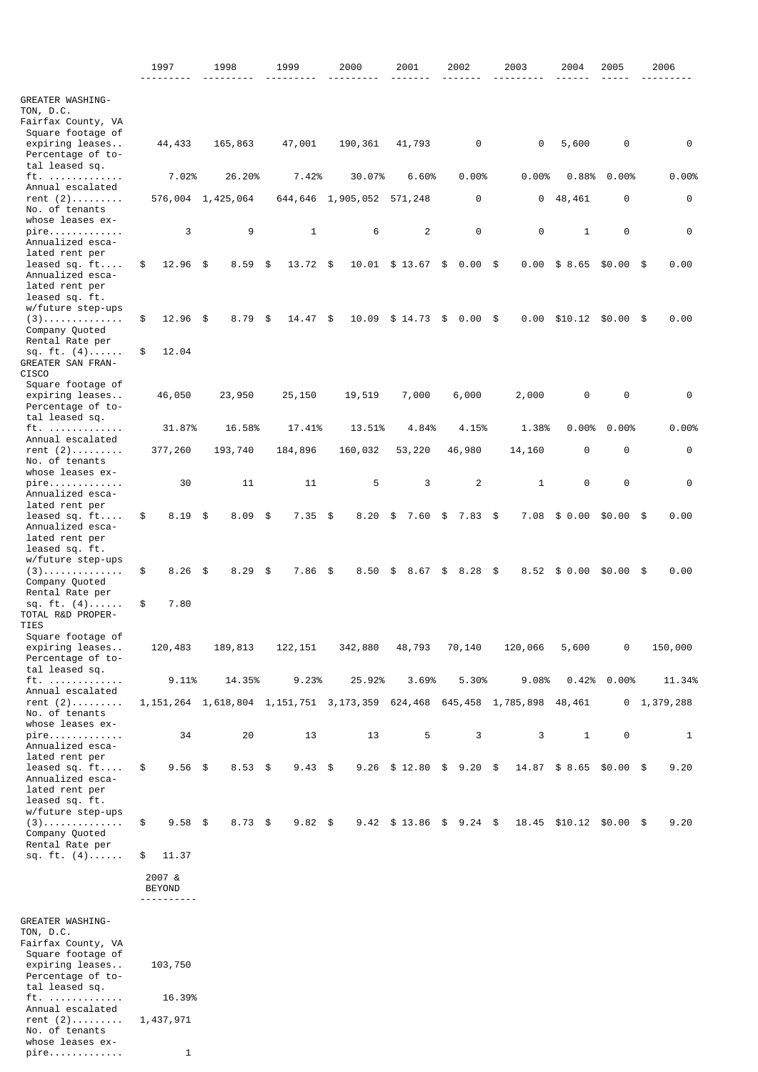|                                                                                                                                                               | 1997                                           | 1998      | 1999              | 2000                                                                                  | 2001           | 2002                       | 2003         | 2004     |              | 2005                    | 2006            |
|---------------------------------------------------------------------------------------------------------------------------------------------------------------|------------------------------------------------|-----------|-------------------|---------------------------------------------------------------------------------------|----------------|----------------------------|--------------|----------|--------------|-------------------------|-----------------|
|                                                                                                                                                               |                                                |           |                   |                                                                                       |                |                            |              |          |              |                         |                 |
| GREATER WASHING-<br>TON, D.C.<br>Fairfax County, VA<br>Square footage of                                                                                      |                                                |           |                   |                                                                                       |                |                            |              |          |              |                         |                 |
| expiring leases<br>Percentage of to-<br>tal leased sq.                                                                                                        | 44,433                                         | 165,863   | 47,001            | 190,361                                                                               | 41,793         | $\Theta$                   | 0            | 5,600    |              | 0                       | $\Theta$        |
| ft.                                                                                                                                                           | 7.02%                                          | 26.20%    | 7.42%             | 30.07%                                                                                | 6.60%          | 0.00%                      | 0.00%        | 0.88%    |              | 0.00%                   | 0.00%           |
| Annual escalated<br>rent $(2)$<br>No. of tenants                                                                                                              | 576,004 1,425,064                              |           | 644,646 1,905,052 |                                                                                       | 571,248        | 0                          | 0            | 48,461   |              | 0                       | 0               |
| whose leases ex-<br>pire<br>Annualized esca-                                                                                                                  | 3                                              | 9         | $\mathbf{1}$      | 6                                                                                     | $\overline{c}$ | $\Theta$                   | $\Theta$     |          | $\mathbf{1}$ | 0                       | 0               |
| lated rent per<br>leased sq. $ft$ .                                                                                                                           | \$<br>$12.96$ \$                               | 8.59      | \$<br>13.72       | \$<br>10.01 \$ 13.67                                                                  |                | \$<br>0.00                 | \$<br>0.00   | \$8.65   |              | $$0.00$ \$              | 0.00            |
| Annualized esca-<br>lated rent per<br>leased sq. ft.                                                                                                          |                                                |           |                   |                                                                                       |                |                            |              |          |              |                         |                 |
| w/future step-ups<br>$(3)$<br>Company Quoted                                                                                                                  | \$<br>$12.96$ \$                               | 8.79      | \$<br>14.47       | \$<br>10.09                                                                           | \$14.73        | \$<br>0.00                 | \$<br>0.00   | \$10.12  |              | \$0.00                  | \$<br>0.00      |
| Rental Rate per<br>sq. $ft. (4)$<br><b>GREATER SAN FRAN-</b>                                                                                                  | \$<br>12.04                                    |           |                   |                                                                                       |                |                            |              |          |              |                         |                 |
| CISC <sub>0</sub><br>Square footage of<br>expiring leases<br>Percentage of to-                                                                                | 46,050                                         | 23,950    | 25,150            | 19,519                                                                                | 7,000          | 6,000                      | 2,000        |          | 0            | 0                       | 0               |
| tal leased sq.                                                                                                                                                |                                                |           |                   |                                                                                       |                |                            |              |          |              |                         |                 |
| ft.<br>Annual escalated                                                                                                                                       | 31.87%                                         | 16.58%    | 17.41%            | 13.51%                                                                                | 4.84%          | 4.15%                      | 1.38%        | $0.00\%$ |              | 0.00%                   | 0.00%           |
| rent $(2)$<br>No. of tenants<br>whose leases ex-                                                                                                              | 377,260                                        | 193,740   | 184,896           | 160,032                                                                               | 53,220         | 46,980                     | 14,160       |          | 0            | 0                       | 0               |
| pire<br>Annualized esca-<br>lated rent per                                                                                                                    | 30                                             | 11        | 11                | 5                                                                                     | 3              | 2                          | $\mathbf{1}$ |          | $\Theta$     | 0                       | 0               |
| leased sq. $ft$ .<br>Annualized esca-<br>lated rent per<br>leased sq. ft.                                                                                     | \$<br>$8.19$ \$                                | 8.09      | \$<br>7.35        | \$<br>8.20                                                                            | \$<br>7.60     | \$<br>$7.83$ \$            | 7.08         | \$0.00   |              | $$0.00$ \$              | 0.00            |
| w/future step-ups<br>$(3)$<br>Company Quoted<br>Rental Rate per                                                                                               | \$<br>$8.26$ \$                                | 8.29      | \$<br>7.86        | \$<br>8.50                                                                            | \$<br>8.67     | \$<br>8.28                 | \$<br>8.52   | \$0.00   |              | \$0.00                  | \$<br>0.00      |
| sq. ft. $(4)$<br>TOTAL R&D PROPER-<br><b>TIES</b>                                                                                                             | \$<br>7.80                                     |           |                   |                                                                                       |                |                            |              |          |              |                         |                 |
| Square footage of<br>expiring leases<br>Percentage of to-                                                                                                     | 120,483                                        | 189,813   | 122, 151          | 342,880                                                                               | 48,793         | 70,140                     | 120,066      | 5,600    |              | 0                       | 150,000         |
| tal leased sq.<br>ft.                                                                                                                                         | 9.11%                                          | 14.35%    | 9.23%             | 25.92%                                                                                | 3.69%          | 5.30%                      | 9.08%        |          |              | $0.42\%$ 0.00%          | 11.34%          |
| Annual escalated<br>rent $(2)$<br>No. of tenants                                                                                                              |                                                |           |                   | 1, 151, 264 1, 618, 804 1, 151, 751 3, 173, 359 624, 468 645, 458 1, 785, 898 48, 461 |                |                            |              |          |              |                         | $0$ 1, 379, 288 |
| whose leases ex-<br>pire<br>Annualized esca-                                                                                                                  | 34                                             | 20        | 13                | 13                                                                                    | 5              | 3                          | 3            |          | $\mathbf{1}$ | $\Theta$                | 1               |
| lated rent per<br>leased sq. $ft$ .<br>Annualized esca-<br>lated rent per<br>leased sq. ft.                                                                   | \$<br>$9.56$ \$                                | $8.53$ \$ | $9.43$ \$         |                                                                                       |                | $9.26$ \$ 12.80 \$ 9.20 \$ |              |          |              | 14.87 \$ 8.65 \$0.00 \$ | 9.20            |
| w/future step-ups<br>$(3)$<br>Company Quoted                                                                                                                  | \$<br>$9.58$ \$                                | $8.73$ \$ | $9.82$ \$         | 9.42                                                                                  | $$13.86$ \$    | $9.24$ \$                  | 18.45        | \$10.12  |              | \$0.00\$                | 9.20            |
| Rental Rate per<br>sq. ft. $(4)$                                                                                                                              | \$<br>11.37                                    |           |                   |                                                                                       |                |                            |              |          |              |                         |                 |
|                                                                                                                                                               | 2007 &<br><b>BEYOND</b><br>- - - - - - - - - - |           |                   |                                                                                       |                |                            |              |          |              |                         |                 |
| GREATER WASHING-<br>TON, D.C.<br>Fairfax County, VA<br>Square footage of<br>expiring leases<br>Percentage of to-<br>tal leased sq.<br>ft.<br>Annual escalated | 103,750<br>16.39%                              |           |                   |                                                                                       |                |                            |              |          |              |                         |                 |
| rent $(2)$<br>No. of tenants<br>whose leases ex-                                                                                                              | 1,437,971                                      |           |                   |                                                                                       |                |                            |              |          |              |                         |                 |

pire............. 1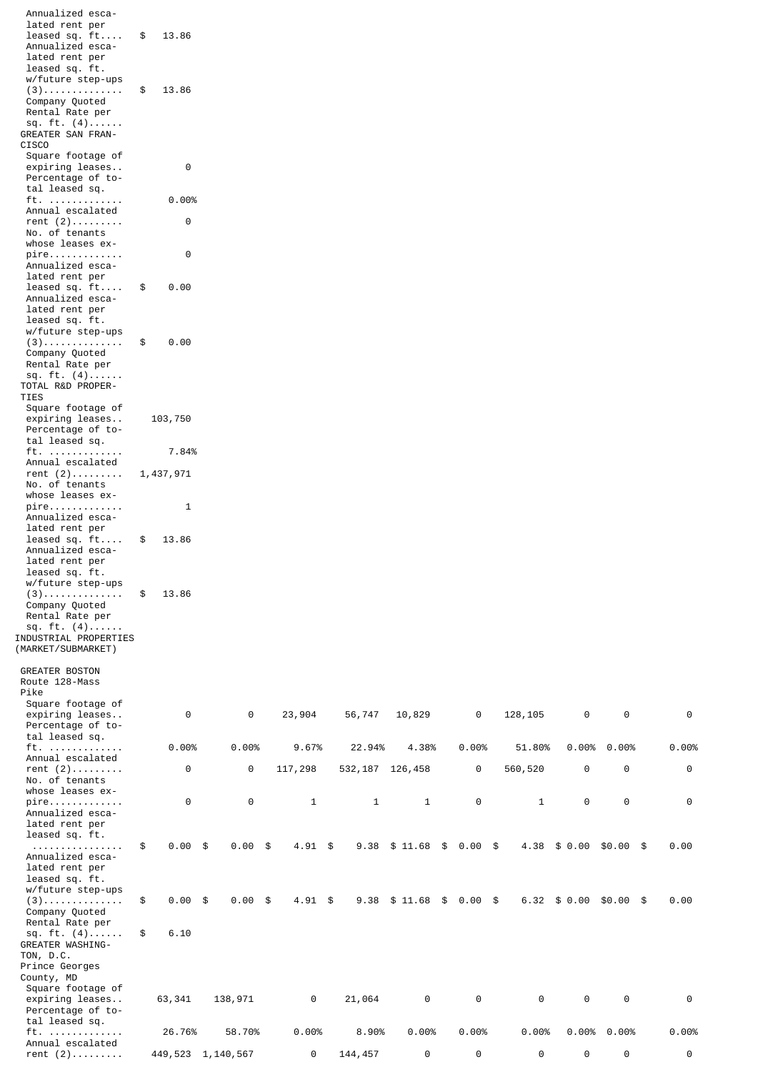| Annualized esca-<br>lated rent per<br>leased sq. $ft$ .<br>Annualized esca-<br>lated rent per<br>leased sq. ft. | \$<br>13.86     |                   |              |                   |              |                 |              |                |            |       |
|-----------------------------------------------------------------------------------------------------------------|-----------------|-------------------|--------------|-------------------|--------------|-----------------|--------------|----------------|------------|-------|
| w/future step-ups<br>$(3)$<br>Company Quoted<br>Rental Rate per<br>sq. ft. $(4)$<br>GREATER SAN FRAN-           | \$<br>13.86     |                   |              |                   |              |                 |              |                |            |       |
| CISC <sub>0</sub><br>Square footage of<br>expiring leases<br>Percentage of to-<br>tal leased sq.                | 0               |                   |              |                   |              |                 |              |                |            |       |
| ft.                                                                                                             | 0.00%           |                   |              |                   |              |                 |              |                |            |       |
| Annual escalated<br>rent $(2)$<br>No. of tenants<br>whose leases ex-                                            | 0               |                   |              |                   |              |                 |              |                |            |       |
| pire                                                                                                            | 0               |                   |              |                   |              |                 |              |                |            |       |
| Annualized esca-<br>lated rent per<br>leased sq. $ft$ .<br>Annualized esca-                                     | \$<br>0.00      |                   |              |                   |              |                 |              |                |            |       |
| lated rent per<br>leased sq. ft.<br>w/future step-ups                                                           |                 |                   |              |                   |              |                 |              |                |            |       |
| $(3)$<br>Company Quoted<br>Rental Rate per<br>sq. ft. $(4)$                                                     | \$<br>0.00      |                   |              |                   |              |                 |              |                |            |       |
| TOTAL R&D PROPER-<br><b>TIES</b>                                                                                |                 |                   |              |                   |              |                 |              |                |            |       |
| Square footage of<br>expiring leases<br>Percentage of to-<br>tal leased sq.                                     | 103,750         |                   |              |                   |              |                 |              |                |            |       |
| ft.<br>Annual escalated                                                                                         | 7.84%           |                   |              |                   |              |                 |              |                |            |       |
| rent $(2)$                                                                                                      | 1,437,971       |                   |              |                   |              |                 |              |                |            |       |
| No. of tenants<br>whose leases ex-                                                                              |                 |                   |              |                   |              |                 |              |                |            |       |
| pire<br>Annualized esca-<br>lated rent per                                                                      | 1               |                   |              |                   |              |                 |              |                |            |       |
| leased sq. $ft$ .<br>Annualized esca-<br>lated rent per<br>leased sq. ft.                                       | \$<br>13.86     |                   |              |                   |              |                 |              |                |            |       |
| w/future step-ups<br>$(3)$<br>Company Quoted                                                                    | \$<br>13.86     |                   |              |                   |              |                 |              |                |            |       |
| Rental Rate per<br>sq. $ft. (4)$<br>INDUSTRIAL PROPERTIES<br>(MARKET/SUBMARKET)                                 |                 |                   |              |                   |              |                 |              |                |            |       |
| <b>GREATER BOSTON</b>                                                                                           |                 |                   |              |                   |              |                 |              |                |            |       |
| Route 128-Mass<br>Pike<br>Square footage of                                                                     |                 |                   |              |                   |              |                 |              |                |            |       |
| expiring leases<br>Percentage of to-<br>tal leased sq.                                                          | 0               | $\Theta$          | 23,904       | 56,747            | 10,829       | $\Theta$        | 128, 105     | $\Theta$       | $\Theta$   | 0     |
| $ft.$<br>Annual escalated                                                                                       | 0.00%           | 0.00%             | 9.67%        | 22.94%            | 4.38%        | 0.00%           | 51.80%       | 0.00%          | 0.00%      | 0.00% |
| rent $(2)$<br>No. of tenants<br>whose leases ex-                                                                | 0               | 0                 | 117,298      | 532, 187 126, 458 |              | 0               | 560,520      | $\Theta$       | $\Theta$   | 0     |
| pire<br>Annualized esca-<br>lated rent per<br>leased sq. ft.                                                    | 0               | $\Theta$          | $\mathbf{1}$ | $\mathbf{1}$      | $\mathbf{1}$ | $\Theta$        | $\mathbf{1}$ | 0              | $\Theta$   | 0     |
| .<br>Annualized esca-<br>lated rent per<br>leased sq. ft.<br>w/future step-ups                                  | \$<br>$0.00$ \$ | $0.00$ \$         | $4.91$ \$    | 9.38              | \$11.68      | \$<br>0.00 \$   | 4.38         | \$0.00         | $$0.00$ \$ | 0.00  |
| $(3)$<br>Company Quoted<br>Rental Rate per                                                                      | \$<br>$0.00$ \$ | $0.00$ \$         | $4.91$ \$    | 9.38              | \$11.68      | \$<br>$0.00$ \$ | 6.32         | \$0.00         | $$0.00$ \$ | 0.00  |
| sq. $ft. (4)$<br><b>GREATER WASHING-</b><br>TON, D.C.<br>Prince Georges<br>County, MD                           | \$<br>6.10      |                   |              |                   |              |                 |              |                |            |       |
| Square footage of<br>expiring leases<br>Percentage of to-<br>tal leased sq.                                     | 63,341          | 138,971           | 0            | 21,064            | $\Theta$     | $\Theta$        | 0            | $\Theta$       | $\Theta$   | 0     |
| ft.                                                                                                             | 26.76%          | 58.70%            | 0.00%        | 8.90%             | 0.00%        | 0.00%           | 0.00%        | $0.00\%$ 0.00% |            | 0.00% |
| Annual escalated<br>rent $(2)$                                                                                  |                 | 449,523 1,140,567 | 0            | 144,457           | 0            | 0               | 0            | 0              | $\Theta$   | 0     |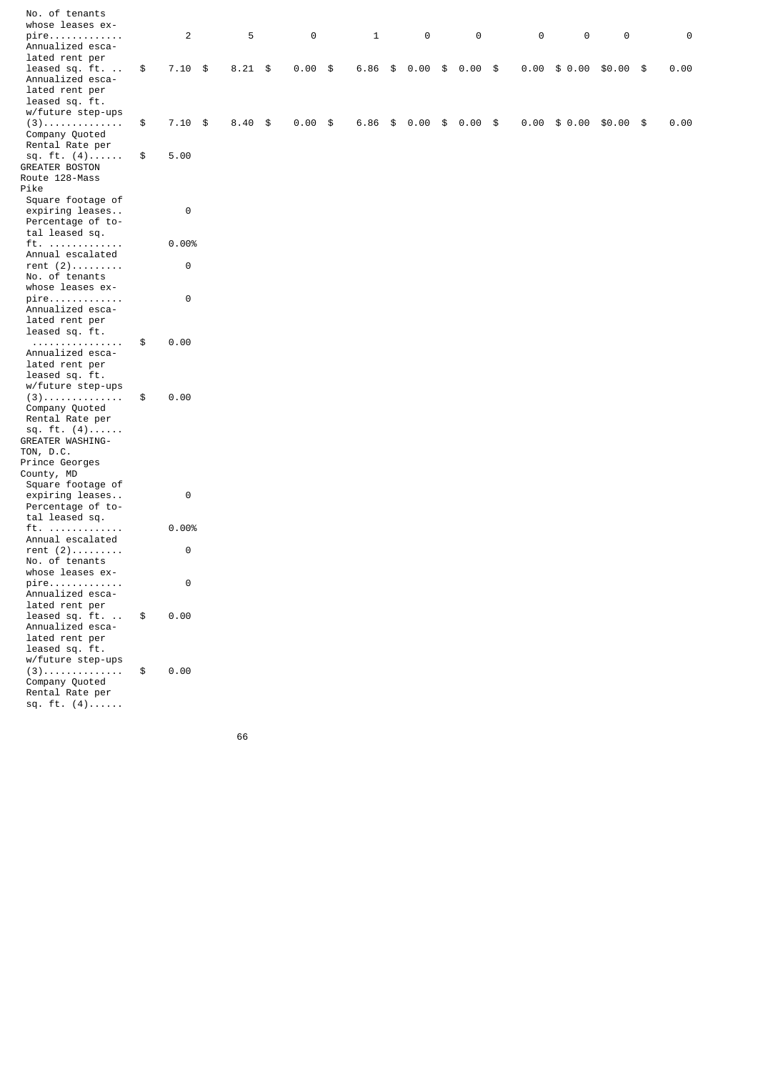| No. of tenants<br>whose leases ex-      |                 |                |           |              |                 |           |          |                                        |          |          |
|-----------------------------------------|-----------------|----------------|-----------|--------------|-----------------|-----------|----------|----------------------------------------|----------|----------|
| pire                                    | $\overline{c}$  | 5              | $\Theta$  | $\mathbf{1}$ | $\Theta$        | $\Theta$  | $\Theta$ | $\Theta$                               | $\Theta$ | $\Theta$ |
| Annualized esca-                        |                 |                |           |              |                 |           |          |                                        |          |          |
| lated rent per                          |                 |                |           |              |                 |           |          |                                        |          |          |
| leased sq. ft.                          | \$<br>$7.10$ \$ | $8.21$ \$      | $0.00$ \$ | 6.86         | \$<br>$0.00$ \$ | $0.00$ \$ |          | $0.00 \quad $0.00 \quad $0.00 \quad $$ |          | 0.00     |
| Annualized esca-<br>lated rent per      |                 |                |           |              |                 |           |          |                                        |          |          |
| leased sq. ft.                          |                 |                |           |              |                 |           |          |                                        |          |          |
| w/future step-ups                       |                 |                |           |              |                 |           |          |                                        |          |          |
| $(3)$                                   | \$<br>$7.10$ \$ | $8.40\quad$ \$ | $0.00$ \$ | 6.86         | \$<br>$0.00$ \$ | $0.00$ \$ | 0.00     | $$0.00$ \$0.00 \$                      |          | 0.00     |
| Company Quoted                          |                 |                |           |              |                 |           |          |                                        |          |          |
| Rental Rate per                         |                 |                |           |              |                 |           |          |                                        |          |          |
| sq. ft. $(4)$                           | \$<br>5.00      |                |           |              |                 |           |          |                                        |          |          |
| <b>GREATER BOSTON</b><br>Route 128-Mass |                 |                |           |              |                 |           |          |                                        |          |          |
| Pike                                    |                 |                |           |              |                 |           |          |                                        |          |          |
| Square footage of                       |                 |                |           |              |                 |           |          |                                        |          |          |
| expiring leases                         | $\Theta$        |                |           |              |                 |           |          |                                        |          |          |
| Percentage of to-                       |                 |                |           |              |                 |           |          |                                        |          |          |
| tal leased sq.<br>ft.                   | 0.00%           |                |           |              |                 |           |          |                                        |          |          |
| Annual escalated                        |                 |                |           |              |                 |           |          |                                        |          |          |
| rent $(2)$                              | $\Theta$        |                |           |              |                 |           |          |                                        |          |          |
| No. of tenants                          |                 |                |           |              |                 |           |          |                                        |          |          |
| whose leases ex-                        |                 |                |           |              |                 |           |          |                                        |          |          |
| pire<br>Annualized esca-                | 0               |                |           |              |                 |           |          |                                        |          |          |
| lated rent per                          |                 |                |           |              |                 |           |          |                                        |          |          |
| leased sq. ft.                          |                 |                |           |              |                 |           |          |                                        |          |          |
| .                                       | \$<br>0.00      |                |           |              |                 |           |          |                                        |          |          |
| Annualized esca-                        |                 |                |           |              |                 |           |          |                                        |          |          |
| lated rent per<br>leased sq. ft.        |                 |                |           |              |                 |           |          |                                        |          |          |
| w/future step-ups                       |                 |                |           |              |                 |           |          |                                        |          |          |
| $(3)$                                   | \$<br>0.00      |                |           |              |                 |           |          |                                        |          |          |
| Company Quoted                          |                 |                |           |              |                 |           |          |                                        |          |          |
| Rental Rate per                         |                 |                |           |              |                 |           |          |                                        |          |          |
| sq. ft. $(4)$<br>GREATER WASHING-       |                 |                |           |              |                 |           |          |                                        |          |          |
| TON, D.C.                               |                 |                |           |              |                 |           |          |                                        |          |          |
| Prince Georges                          |                 |                |           |              |                 |           |          |                                        |          |          |
| County, MD                              |                 |                |           |              |                 |           |          |                                        |          |          |
| Square footage of                       |                 |                |           |              |                 |           |          |                                        |          |          |
| expiring leases<br>Percentage of to-    | 0               |                |           |              |                 |           |          |                                        |          |          |
| tal leased sq.                          |                 |                |           |              |                 |           |          |                                        |          |          |
| ft.                                     | 0.00%           |                |           |              |                 |           |          |                                        |          |          |
| Annual escalated                        |                 |                |           |              |                 |           |          |                                        |          |          |
| rent $(2)$                              | $\Theta$        |                |           |              |                 |           |          |                                        |          |          |
| No. of tenants<br>whose leases ex-      |                 |                |           |              |                 |           |          |                                        |          |          |
| pire                                    | 0               |                |           |              |                 |           |          |                                        |          |          |
| Annualized esca-                        |                 |                |           |              |                 |           |          |                                        |          |          |
| lated rent per                          |                 |                |           |              |                 |           |          |                                        |          |          |
| leased sq. ft.<br>Annualized esca-      | \$<br>0.00      |                |           |              |                 |           |          |                                        |          |          |
| lated rent per                          |                 |                |           |              |                 |           |          |                                        |          |          |
| leased sq. ft.                          |                 |                |           |              |                 |           |          |                                        |          |          |
| w/future step-ups                       |                 |                |           |              |                 |           |          |                                        |          |          |
| $(3)$                                   | \$<br>0.00      |                |           |              |                 |           |          |                                        |          |          |
| Company Quoted                          |                 |                |           |              |                 |           |          |                                        |          |          |
| Rental Rate per<br>sq. $ft. (4)$        |                 |                |           |              |                 |           |          |                                        |          |          |
|                                         |                 |                |           |              |                 |           |          |                                        |          |          |

 $66$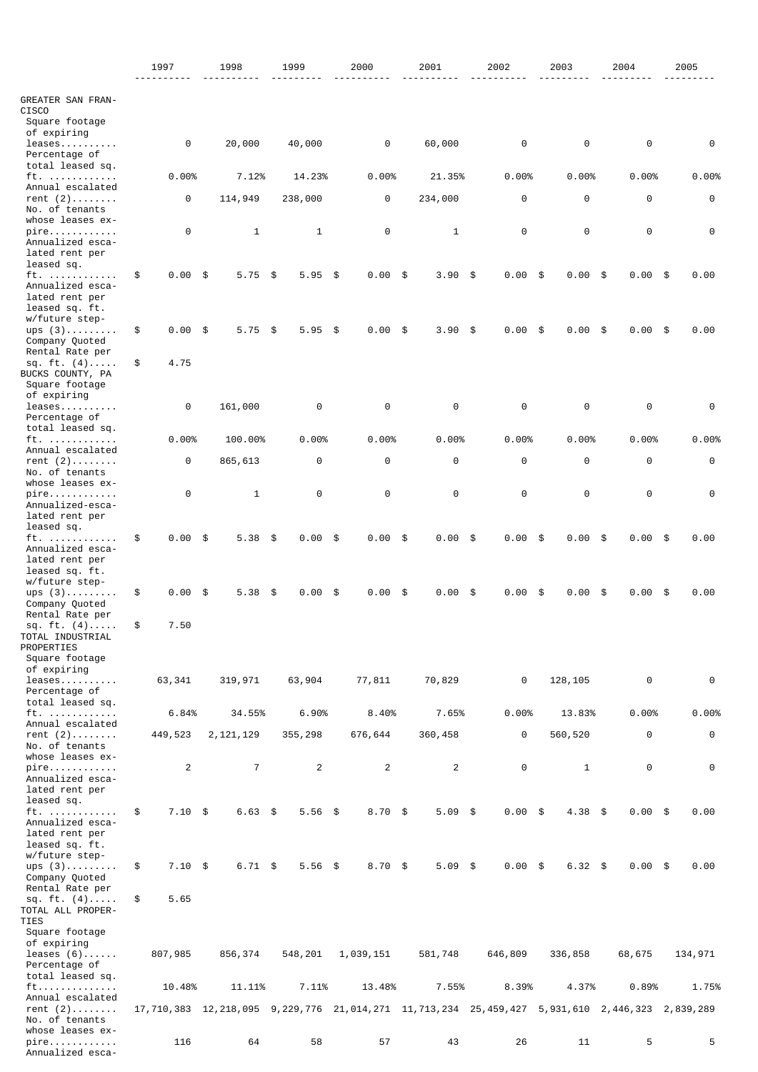|                                                      | 1997            | 1998                                                                                           | 1999           |      | 2000           | 2001         | 2002       | 2003            | 2004       |     | 2005     |
|------------------------------------------------------|-----------------|------------------------------------------------------------------------------------------------|----------------|------|----------------|--------------|------------|-----------------|------------|-----|----------|
|                                                      |                 |                                                                                                |                |      |                |              |            |                 |            |     |          |
| <b>GREATER SAN FRAN-</b><br><b>CISCO</b>             |                 |                                                                                                |                |      |                |              |            |                 |            |     |          |
| Square footage<br>of expiring<br>leases              | 0               | 20,000                                                                                         | 40,000         |      | 0              | 60,000       | 0          | $\Theta$        | 0          |     | 0        |
| Percentage of<br>total leased sq.                    |                 |                                                                                                |                |      |                |              |            |                 |            |     |          |
| ft.                                                  | 0.00%           | 7.12%                                                                                          | 14.23%         |      | 0.00%          | 21.35%       | 0.00%      | 0.00%           | 0.00%      |     | 0.00%    |
| Annual escalated<br>rent $(2)$<br>No. of tenants     | 0               | 114,949                                                                                        | 238,000        |      | 0              | 234,000      | 0          | 0               | 0          |     | 0        |
| whose leases ex-<br>pire                             | $\Theta$        | $\mathbf{1}$                                                                                   | 1              |      | $\Theta$       | $\mathbf{1}$ | 0          | $\Theta$        | 0          |     | 0        |
| Annualized esca-<br>lated rent per                   |                 |                                                                                                |                |      |                |              |            |                 |            |     |          |
| leased sq.                                           |                 |                                                                                                |                |      |                |              |            |                 |            |     |          |
| ft.<br>Annualized esca-                              | \$<br>0.00      | \$<br>5.75                                                                                     | \$<br>5.95     | \$   | 0.00           | \$<br>3.90   | \$<br>0.00 | \$<br>0.00      | \$<br>0.00 | -\$ | 0.00     |
| lated rent per<br>leased sq. ft.                     |                 |                                                                                                |                |      |                |              |            |                 |            |     |          |
| w/future step-<br>ups $(3)$                          | \$<br>$0.00$ \$ | $5.75$ \$                                                                                      | 5.95           | - \$ | 0.00           | \$<br>3.90   | \$<br>0.00 | \$<br>0.00      | \$<br>0.00 | \$  | 0.00     |
| Company Quoted<br>Rental Rate per                    |                 |                                                                                                |                |      |                |              |            |                 |            |     |          |
| sq. ft. $(4)$                                        | \$<br>4.75      |                                                                                                |                |      |                |              |            |                 |            |     |          |
| BUCKS COUNTY, PA<br>Square footage<br>of expiring    |                 |                                                                                                |                |      |                |              |            |                 |            |     |          |
| $l$ eases<br>Percentage of                           | 0               | 161,000                                                                                        | 0              |      | $\Theta$       | 0            | 0          | 0               | $\Theta$   |     | 0        |
| total leased sq.<br>ft.                              | 0.00%           | 100.00%                                                                                        | 0.00%          |      | 0.00%          | 0.00%        | 0.00%      | 0.00%           | 0.00%      |     | 0.00%    |
| Annual escalated<br>rent $(2)$                       | 0               | 865,613                                                                                        | $\Theta$       |      | $\Theta$       | 0            | $\Theta$   | $\Theta$        | 0          |     | $\Theta$ |
| No. of tenants<br>whose leases ex-                   |                 |                                                                                                |                |      |                |              |            |                 |            |     |          |
| pire<br>Annualized-esca-<br>lated rent per           | $\Theta$        | $\mathbf{1}$                                                                                   | $\Theta$       |      | $\Theta$       | $\Theta$     | $\Theta$   | $\Theta$        | 0          |     | $\Theta$ |
| leased sq.<br>ft.                                    | \$<br>$0.00$ \$ | $5.38$ \$                                                                                      | 0.00           | - \$ | 0.00           | \$<br>0.00   | \$<br>0.00 | \$<br>$0.00$ \$ | $0.00$ \$  |     | 0.00     |
| Annualized esca-<br>lated rent per<br>leased sq. ft. |                 |                                                                                                |                |      |                |              |            |                 |            |     |          |
| w/future step-<br>ups $(3)$                          | \$<br>$0.00$ \$ | 5.38                                                                                           | \$<br>0.00     | \$   | 0.00           | \$<br>0.00   | \$<br>0.00 | \$<br>0.00      | \$<br>0.00 | \$  | 0.00     |
| Company Quoted<br>Rental Rate per                    |                 |                                                                                                |                |      |                |              |            |                 |            |     |          |
| sq. ft. (4)<br>TOTAL INDUSTRIAL                      | \$<br>7.50      |                                                                                                |                |      |                |              |            |                 |            |     |          |
| PROPERTIES<br>Square footage                         |                 |                                                                                                |                |      |                |              |            |                 |            |     |          |
| of expiring                                          |                 |                                                                                                |                |      |                |              |            |                 |            |     |          |
| $leases \ldots \ldots \ldots$<br>Percentage of       | 63,341          | 319,971                                                                                        | 63,904         |      | 77,811         | 70,829       | $\Theta$   | 128,105         | 0          |     | $\Theta$ |
| total leased sq.<br>$ft.$                            | 6.84%           | 34.55%                                                                                         | 6.90%          |      | 8.40%          | 7.65%        | 0.00%      | 13.83%          | 0.00%      |     | 0.00%    |
| Annual escalated                                     |                 |                                                                                                |                |      |                |              |            |                 |            |     |          |
| rent $(2)$<br>No. of tenants                         | 449,523         | 2, 121, 129                                                                                    | 355,298        |      | 676,644        | 360,458      | 0          | 560,520         | 0          |     | 0        |
| whose leases ex-<br>$pire.$                          | $\overline{2}$  | $\overline{7}$                                                                                 | $\overline{2}$ |      | $\overline{2}$ | 2            | 0          | $\mathbf{1}$    | 0          |     | $\Theta$ |
| Annualized esca-<br>lated rent per<br>leased sq.     |                 |                                                                                                |                |      |                |              |            |                 |            |     |          |
| ft.                                                  | \$<br>$7.10$ \$ | $6.63$ \$                                                                                      | $5.56$ \$      |      | $8.70$ \$      | $5.09$ \$    | 0.00       | \$<br>$4.38$ \$ | $0.00$ \$  |     | 0.00     |
| Annualized esca-<br>lated rent per<br>leased sq. ft. |                 |                                                                                                |                |      |                |              |            |                 |            |     |          |
| w/future step-                                       |                 |                                                                                                |                |      |                |              |            |                 |            |     |          |
| ups $(3)$<br>Company Quoted<br>Rental Rate per       | \$<br>$7.10$ \$ | $6.71$ \$                                                                                      | $5.56$ \$      |      | $8.70$ \$      | $5.09$ \$    | 0.00       | \$<br>$6.32$ \$ | $0.00$ \$  |     | 0.00     |
| sq. ft. $(4)$                                        | \$<br>5.65      |                                                                                                |                |      |                |              |            |                 |            |     |          |
| TOTAL ALL PROPER-<br>TIES<br>Square footage          |                 |                                                                                                |                |      |                |              |            |                 |            |     |          |
| of expiring<br>leases $(6)$                          | 807,985         | 856,374                                                                                        | 548,201        |      | 1,039,151      | 581,748      | 646,809    | 336,858         | 68,675     |     | 134,971  |
| Percentage of                                        |                 |                                                                                                |                |      |                |              |            |                 |            |     |          |
| total leased sq.<br>ft                               | 10.48%          | 11.11%                                                                                         | 7.11%          |      | 13.48%         | 7.55%        | 8.39%      | 4.37%           | 0.89%      |     | 1.75%    |
| Annual escalated<br>rent $(2)$                       |                 | 17,710,383 12,218,095 9,229,776 21,014,271 11,713,234 25,459,427 5,931,610 2,446,323 2,839,289 |                |      |                |              |            |                 |            |     |          |
| No. of tenants<br>whose leases ex-                   |                 |                                                                                                |                |      |                |              |            |                 |            |     |          |
| pire<br>Annualized esca-                             | 116             | 64                                                                                             | 58             |      | 57             | 43           | 26         | 11              | 5          |     | 5        |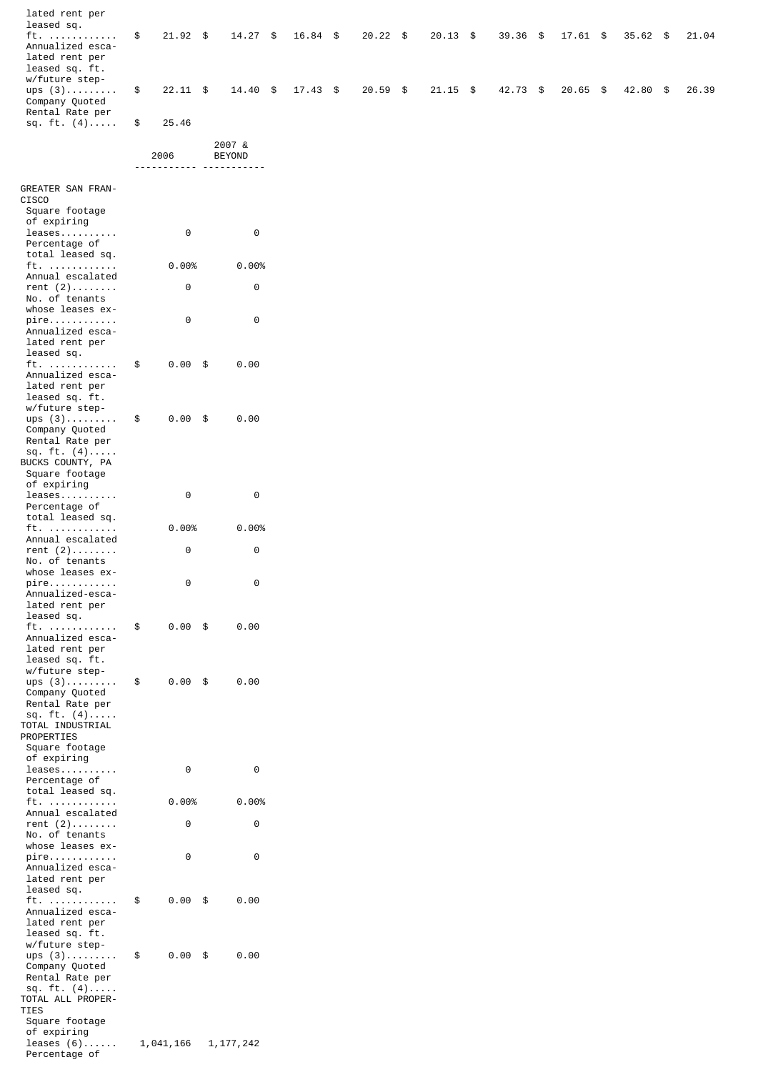|                                                                               |               | 2006       | 2007 &<br><b>BEYOND</b> |                   |          |            |          |            |            |       |
|-------------------------------------------------------------------------------|---------------|------------|-------------------------|-------------------|----------|------------|----------|------------|------------|-------|
| sq. ft. $(4)$ \$                                                              |               | 25.46      |                         |                   |          |            |          |            |            |       |
| ups $(3)$<br>Company Quoted<br>Rental Rate per                                | $\mathfrak s$ | $22.11$ \$ |                         | 14.40 \$ 17.43 \$ | 20.59 \$ | $21.15$ \$ | 42.73 \$ | $20.65$ \$ | 42.80 \$   | 26.39 |
| ft.<br>Annualized esca-<br>lated rent per<br>leased sq. ft.<br>w/future step- | $\mathfrak s$ | $21.92$ \$ | $14.27$ \$              | 16.84 \$          | 20.22 \$ | 20.13 \$   | 39.36 \$ | 17.61 \$   | $35.62$ \$ | 21.04 |
| lated rent per<br>leased sq.                                                  |               |            |                         |                   |          |            |          |            |            |       |

| GREATER SAN FRAN-                  |            |             |
|------------------------------------|------------|-------------|
| CISCO<br>Square footage            |            |             |
| of expiring                        |            |             |
| $l$ eases                          | 0          | 0           |
| Percentage of                      |            |             |
| total leased sq.<br>ft.            | 0.00%      | 0.00%       |
| Annual escalated                   |            |             |
| rent $(2)$                         | 0          | 0           |
| No. of tenants                     |            |             |
| whose leases ex-<br>pire           | 0          | 0           |
| Annualized esca-                   |            |             |
| lated rent per                     |            |             |
| leased sq.                         |            |             |
| ft.<br>Annualized esca-            | \$<br>0.00 | \$<br>0.00  |
| lated rent per                     |            |             |
| leased sq. ft.                     |            |             |
| w/future step-                     |            |             |
| $ups(3)$<br>Company Quoted         | \$<br>0.00 | \$<br>0.00  |
| Rental Rate per                    |            |             |
| sq. ft. (4)                        |            |             |
| BUCKS COUNTY, PA                   |            |             |
| Square footage<br>of expiring      |            |             |
| leases                             | 0          | 0           |
| Percentage of                      |            |             |
| total leased sq.                   |            |             |
| ft.<br>Annual escalated            | 0.00%      | $0.00\%$    |
| $rent (2) \ldots \ldots$           | 0          | 0           |
| No. of tenants                     |            |             |
| whose leases ex-                   | 0          | 0           |
| pire<br>Annualized-esca-           |            |             |
| lated rent per                     |            |             |
| leased sq.                         |            |             |
| ft.<br>Annualized esca-            | \$<br>0.00 | \$<br>0.00  |
| lated rent per                     |            |             |
| leased sq. ft.                     |            |             |
| w/future step-                     |            |             |
| $ups(3)$<br>Company Quoted         | \$<br>0.00 | \$<br>0.00  |
| Rental Rate per                    |            |             |
| sq. ft. (4)                        |            |             |
| TOTAL INDUSTRIAL<br>PROPERTIES     |            |             |
| Square footage                     |            |             |
| of expiring                        |            |             |
| leases                             | 0          | 0           |
| Percentage of<br>total leased sq.  |            |             |
| ft.                                | 0.00%      | 0.00%       |
| Annual escalated                   |            |             |
| rent $(2)$                         | 0          | 0           |
| No. of tenants<br>whose leases ex- |            |             |
| pire                               | 0          | 0           |
| Annualized esca-                   |            |             |
| lated rent per<br>leased sq.       |            |             |
| ft.                                | \$<br>0.00 | \$<br>0.00  |
| Annualized esca-                   |            |             |
| lated rent per                     |            |             |
| leased sq. ft.<br>w/future step-   |            |             |
| $ups(3)$                           | \$<br>0.00 | \$<br>0.00  |
| Company Quoted                     |            |             |
| Rental Rate per                    |            |             |
| sq. ft. $(4)$<br>TOTAL ALL PROPER- |            |             |
| TIES                               |            |             |
| Square footage                     |            |             |
| of expiring                        |            |             |
| leases $(6)$<br>Percentage of      | 1,041,166  | 1, 177, 242 |

----------- -----------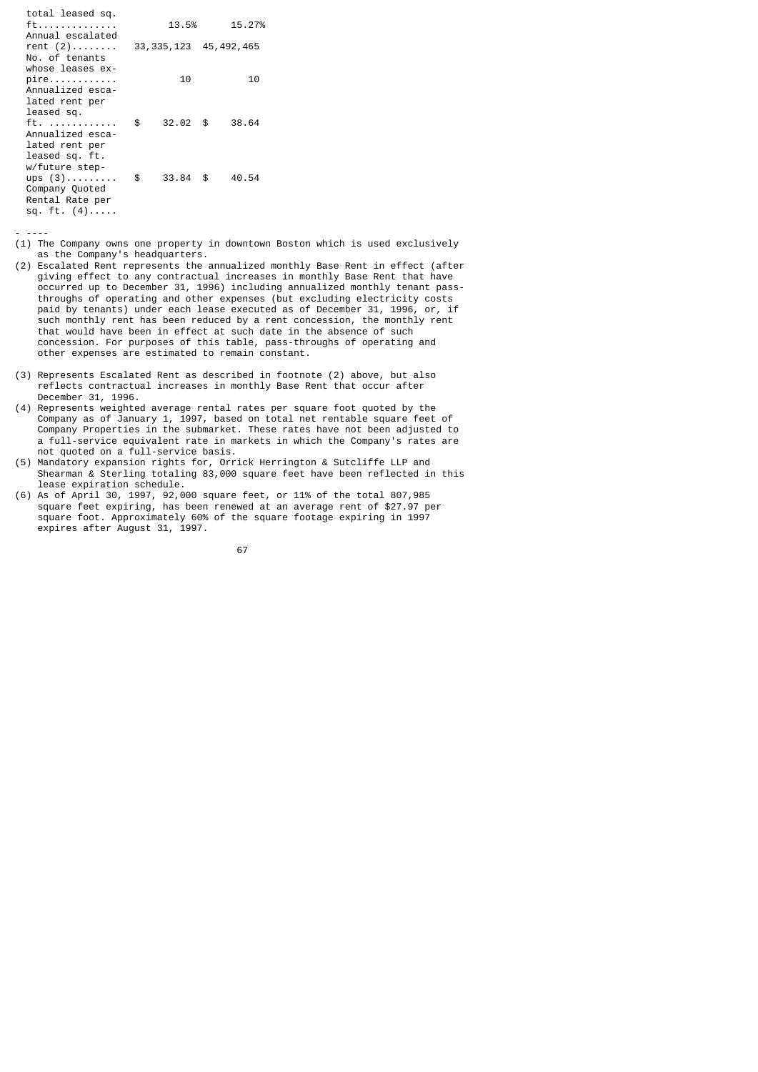total leased sq. ft.............. 13.5% 15.27% Annual escalated<br>rent (2)........ 33,335,123 45,492,465 No. of tenants whose leases ex pire............ 10 10 Annualized esca lated rent per leased sq. ft. ............ \$ 32.02 \$ 38.64 Annualized esca lated rent per leased sq. ft. w/future step ups  $(3)$ ..........\$ 33.84 \$ 40.54 Company Quoted Rental Rate per sq. ft.  $(4)$ ....

- ----

- (1) The Company owns one property in downtown Boston which is used exclusively as the Company's headquarters.
- (2) Escalated Rent represents the annualized monthly Base Rent in effect (after giving effect to any contractual increases in monthly Base Rent that have occurred up to December 31, 1996) including annualized monthly tenant pass throughs of operating and other expenses (but excluding electricity costs paid by tenants) under each lease executed as of December 31, 1996, or, if such monthly rent has been reduced by a rent concession, the monthly rent that would have been in effect at such date in the absence of such concession. For purposes of this table, pass-throughs of operating and other expenses are estimated to remain constant.
- (3) Represents Escalated Rent as described in footnote (2) above, but also reflects contractual increases in monthly Base Rent that occur after December 31, 1996.
- (4) Represents weighted average rental rates per square foot quoted by the Company as of January 1, 1997, based on total net rentable square feet of Company Properties in the submarket. These rates have not been adjusted to a full-service equivalent rate in markets in which the Company's rates are not quoted on a full-service basis.
- (5) Mandatory expansion rights for, Orrick Herrington & Sutcliffe LLP and Shearman & Sterling totaling 83,000 square feet have been reflected in this lease expiration schedule.
- (6) As of April 30, 1997, 92,000 square feet, or 11% of the total 807,985 square feet expiring, has been renewed at an average rent of \$27.97 per square foot. Approximately 60% of the square footage expiring in 1997 expires after August 31, 1997.

67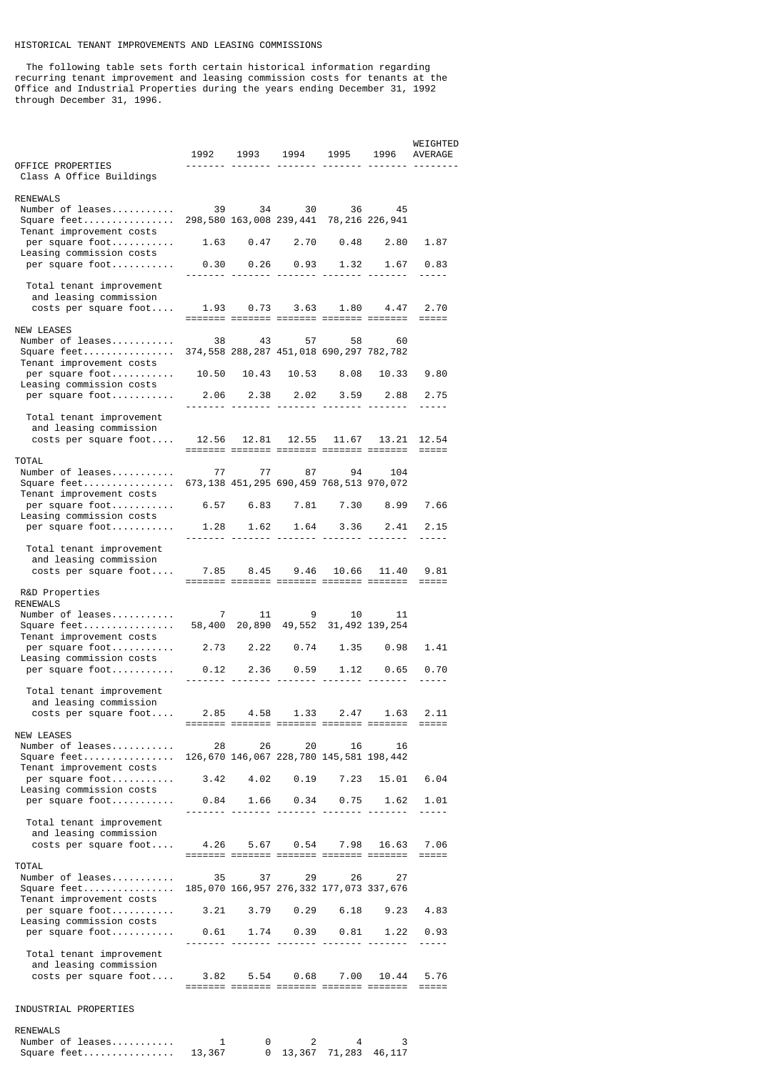## HISTORICAL TENANT IMPROVEMENTS AND LEASING COMMISSIONS

 The following table sets forth certain historical information regarding recurring tenant improvement and leasing commission costs for tenants at the Office and Industrial Properties during the years ending December 31, 1992 through December 31, 1996.

|                                                                                                            |                                            | 1992 1993 1994 1995 1996 AVERAGE                          |                                               |                   |             | WEIGHTED            |
|------------------------------------------------------------------------------------------------------------|--------------------------------------------|-----------------------------------------------------------|-----------------------------------------------|-------------------|-------------|---------------------|
| OFFICE PROPERTIES<br>Class A Office Buildings                                                              |                                            |                                                           |                                               |                   |             |                     |
| <b>RENEWALS</b><br>Number of leases<br>Square feet<br>Tenant improvement costs                             | 39 34 30 36 45                             | 298,580 163,008 239,441 78,216 226,941                    |                                               |                   |             |                     |
| per square foot<br>Leasing commission costs                                                                |                                            |                                                           |                                               |                   |             | 1.87                |
| per square foot                                                                                            |                                            | $0.30$ $0.26$ $0.93$ $1.32$ $1.67$ $0.83$                 |                                               |                   |             | $- - - - -$         |
| Total tenant improvement<br>and leasing commission<br>costs per square foot                                |                                            | 1.93  0.73  3.63  1.80  4.47  2.70                        |                                               |                   |             |                     |
| <b>NEW LEASES</b><br>Number of leases<br>Square feet                                                       |                                            | 38 43 57 58 60<br>374,558 288,287 451,018 690,297 782,782 |                                               |                   |             |                     |
| Tenant improvement costs<br>per square foot<br>Leasing commission costs                                    | 10.50 10.43 10.53 8.08 10.33               |                                                           |                                               |                   |             | 9.80                |
| per square foot                                                                                            |                                            | 2.06 2.38 2.02 3.59 2.88                                  |                                               |                   |             | 2.75<br>-----       |
| Total tenant improvement<br>and leasing commission<br>$costs$ per square $foot$                            |                                            | 12.56 12.81<br>------- ------- ------- ------- ------     |                                               | 12.55 11.67 13.21 |             | 12.54<br>$=====$    |
| <b>TOTAL</b><br>Number of leases 77 77 87 94 104                                                           |                                            |                                                           |                                               |                   |             |                     |
| Square feet 673,138 451,295 690,459 768,513 970,072<br>Tenant improvement costs                            |                                            |                                                           |                                               |                   |             |                     |
| per square foot 6.57 6.83 7.81 7.30 8.99 7.66<br>Leasing commission costs                                  |                                            |                                                           |                                               |                   |             |                     |
| per square foot                                                                                            |                                            | 1.28  1.62  1.64  3.36  2.41  2.15                        |                                               |                   |             | $- - - - -$         |
| Total tenant improvement<br>and leasing commission<br>costs per square foot 7.85 8.45 9.46                 |                                            |                                                           |                                               |                   | 10.66 11.40 | 9.81                |
| R&D Properties<br><b>RENEWALS</b>                                                                          |                                            |                                                           |                                               |                   |             |                     |
| Number of leases                                                                                           |                                            | 7 11 9 10                                                 |                                               |                   | 11          |                     |
| Tenant improvement costs<br>per square foot                                                                | 2.73 2.22 0.74 1.35 0.98                   |                                                           |                                               |                   |             | 1.41                |
| Leasing commission costs<br>per square foot                                                                |                                            | $0.12$ 2.36 0.59 1.12 0.65                                |                                               |                   |             | 0.70<br>-----       |
| Total tenant improvement<br>and leasing commission<br>costs per square foot                                |                                            | 2.85 4.58 1.33 2.47 1.63 2.11                             |                                               |                   |             |                     |
| <b>NEW LEASES</b><br>Number of leases<br>Square feet 126,670 146,067 228,780 145,581 198,442               |                                            | 28 — 1                                                    | 26 20                                         | 16                | 16          |                     |
| Tenant improvement costs<br>per square foot                                                                | $3.42$ $4.02$ $0.19$ $7.23$ $15.01$ $6.04$ |                                                           |                                               |                   |             |                     |
| Leasing commission costs<br>per square foot                                                                |                                            | $0.84$ 1.66 0.34 0.75 1.62                                |                                               |                   |             | 1.01<br>$- - - - -$ |
| Total tenant improvement<br>and leasing commission<br>costs per square foot                                |                                            | 4.26 5.67 0.54 7.98 16.63 7.06                            |                                               |                   |             |                     |
| TOTAL<br>Number of leases<br>Square feet 185,070 166,957 276,332 177,073 337,676                           |                                            | ------- ------ ------- ------- ------<br>35 37 29 26      |                                               |                   | 27          | $=$ $=$ $=$ $=$ $=$ |
| Tenant improvement costs<br>per square foot 3.21 3.79 0.29 6.18 9.23                                       |                                            |                                                           |                                               |                   |             | 4.83                |
| Leasing commission costs<br>per square foot                                                                |                                            | $0.61$ 1.74  0.39  0.81  1.22  0.93                       |                                               |                   |             |                     |
| Total tenant improvement<br>and leasing commission<br>costs per square foot 3.82 5.54 0.68 7.00 10.44 5.76 |                                            |                                                           |                                               |                   |             | -----               |
| INDUSTRIAL PROPERTIES                                                                                      |                                            |                                                           |                                               |                   |             |                     |
| <b>RENEWALS</b>                                                                                            |                                            |                                                           |                                               |                   |             |                     |
| Number of leases<br>Square feet 13,367                                                                     | $\overline{\mathbf{1}}$                    | $\Theta$                                                  | $\overline{2}$<br>$0$ 13, 367 71, 283 46, 117 | 4                 | 3           |                     |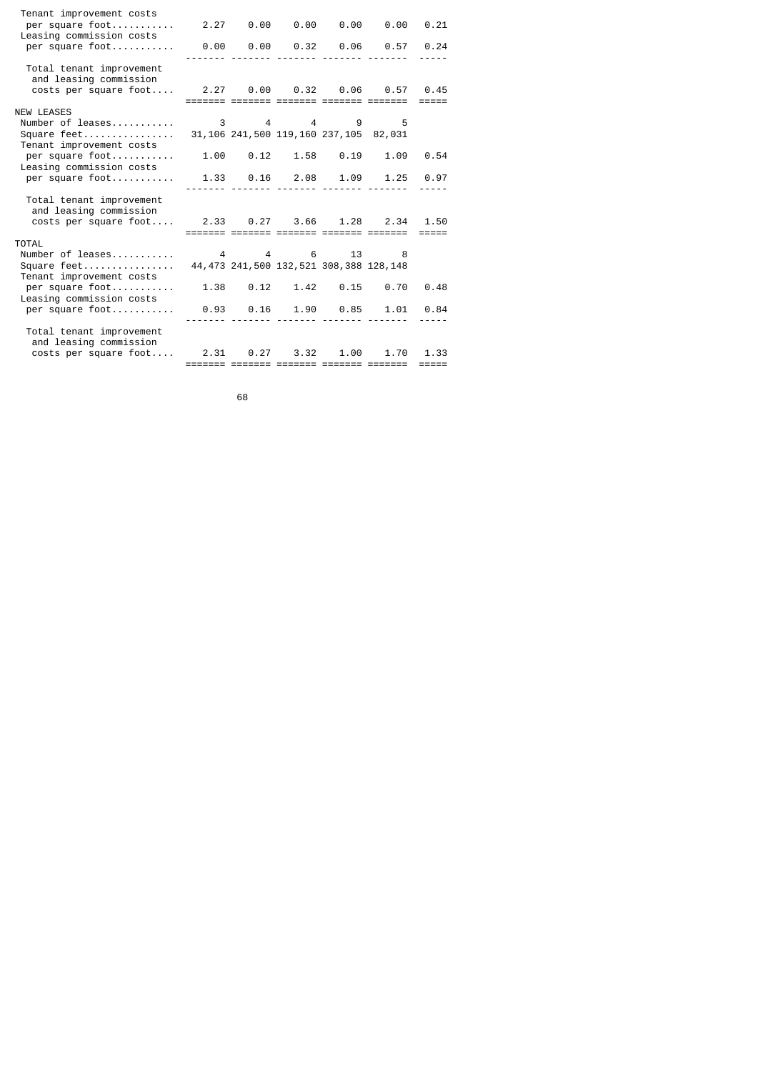| Tenant improvement costs<br>per square foot 2.27 0.00 0.00 0.00 0.00 0.21<br>Leasing commission costs<br>per square foot |  |                                             | $0.00$ $0.00$ $0.32$ $0.06$ $0.57$ $0.24$ |                     |
|--------------------------------------------------------------------------------------------------------------------------|--|---------------------------------------------|-------------------------------------------|---------------------|
| Total tenant improvement<br>and leasing commission<br>costs per square foot 2.27 0.00 0.32 0.06 0.57 0.45                |  |                                             |                                           | $=$ $=$ $=$ $=$     |
| <b>NEW LEASES</b><br>Number of leases<br>Square feet 31,106 241,500 119,160 237,105 82,031                               |  | 3 4 4 9 5                                   |                                           |                     |
| Tenant improvement costs<br>per square foot<br>Leasing commission costs                                                  |  |                                             | $1.00$ $0.12$ $1.58$ $0.19$ $1.09$ $0.54$ |                     |
| per square foot                                                                                                          |  |                                             | 1.33  0.16  2.08  1.09  1.25  0.97        | $- - - - -$         |
| Total tenant improvement<br>and leasing commission<br>costs per square foot 2.33 0.27 3.66 1.28 2.34                     |  |                                             |                                           | 1.50                |
| TOTAL                                                                                                                    |  |                                             | ------- ------ ------- ------- -------    | $=$ $=$ $=$ $=$     |
| Number of leases                                                                                                         |  | 4 4 6 13 8                                  |                                           |                     |
| Square feet<br>Tenant improvement costs                                                                                  |  | 44, 473 241, 500 132, 521 308, 388 128, 148 |                                           |                     |
| per square foot<br>Leasing commission costs                                                                              |  |                                             | $1.38$ 0.12 1.42 0.15 0.70                | 0.48                |
| per square foot                                                                                                          |  |                                             | $0.93$ $0.16$ $1.90$ $0.85$ $1.01$ $0.84$ |                     |
| Total tenant improvement<br>and leasing commission                                                                       |  |                                             |                                           |                     |
| costs per square foot                                                                                                    |  |                                             | 2.31 0.27 3.32 1.00 1.70                  | 1.33                |
|                                                                                                                          |  |                                             | ------- ------ ------- ------- ------     | $=$ $=$ $=$ $=$ $=$ |

e de la construcción de la construcción de la construcción de la construcción de la construcción de la constru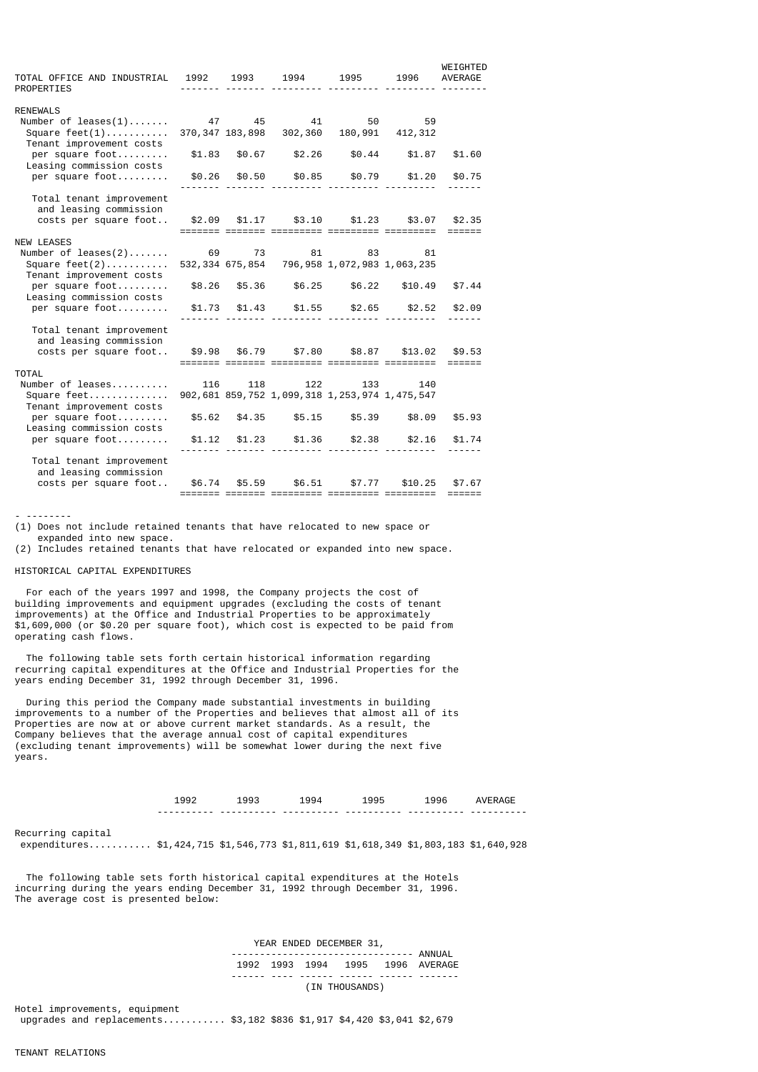| TOTAL OFFICE AND INDUSTRIAL<br><b>PROPERTIES</b>                        | 1992   | 1993                       | 1994                                                             | 1995                  | 1996                  | WEIGHTED<br>AVERAGE                   |
|-------------------------------------------------------------------------|--------|----------------------------|------------------------------------------------------------------|-----------------------|-----------------------|---------------------------------------|
| <b>RENEWALS</b><br>Number of $leases(1)$<br>Square $feet(1)$            |        | 47 45<br>370, 347 183, 898 | 41                                                               | 50<br>302,360 180,991 | 59<br>412,312         |                                       |
| Tenant improvement costs<br>per square foot<br>Leasing commission costs |        | \$1.83 \$0.67              | \$2.26                                                           | \$0.44                | \$1.87                | \$1.60                                |
| per square foot                                                         |        | \$0.26 \$0.50              | \$0.85                                                           | \$0.79                | \$1.20                | \$0.75                                |
| Total tenant improvement<br>and leasing commission                      |        |                            |                                                                  |                       |                       |                                       |
| costs per square foot \$2.09 \$1.17 \$3.10 \$1.23 \$3.07                |        |                            |                                                                  |                       |                       | \$2.35<br>$=$ $=$ $=$ $=$ $=$ $=$ $=$ |
| <b>NEW LEASES</b>                                                       |        |                            |                                                                  |                       |                       |                                       |
| Number of $leases(2)$<br>Square $feet(2)$<br>Tenant improvement costs   | 69     |                            | 73 81<br>532, 334 675, 854 796, 958 1, 072, 983 1, 063, 235      | 83                    | 81                    |                                       |
| per square foot<br>Leasing commission costs                             |        | \$8.26 \$5.36              | \$6.25                                                           | \$6.22                | \$10.49               | \$7.44                                |
| per square foot                                                         |        | $$1.73$ $$1.43$            | \$1.55                                                           | \$2.65                | \$2.52                | \$2.09                                |
| Total tenant improvement<br>and leasing commission                      |        |                            |                                                                  |                       |                       |                                       |
| costs per square foot                                                   |        | \$9.98 \$6.79              |                                                                  |                       | \$7.80 \$8.87 \$13.02 | \$9.53<br>$=$ $=$ $=$ $=$ $=$ $=$ $=$ |
| <b>TOTAL</b>                                                            |        |                            |                                                                  |                       |                       |                                       |
| Number of leases<br>Square feet<br>Tenant improvement costs             | 116    |                            | 118 122<br>902, 681 859, 752 1, 099, 318 1, 253, 974 1, 475, 547 | 133                   | 140                   |                                       |
| per square foot<br>Leasing commission costs                             |        | \$5.62 \$4.35              | \$5.15                                                           | $\$5.39$              | \$8.09                | \$5.93                                |
| per square foot                                                         | \$1.12 | \$1.23                     | \$1.36                                                           | \$2.38                | \$2.16                | \$1.74                                |
| Total tenant improvement<br>and leasing commission                      |        |                            |                                                                  |                       |                       |                                       |
| costs per square foot                                                   |        | \$6.74 \$5.59              | \$6.51                                                           | \$7.77                | \$10.25               | \$7.67                                |

- --------

(1) Does not include retained tenants that have relocated to new space or

expanded into new space.

(2) Includes retained tenants that have relocated or expanded into new space.

#### HISTORICAL CAPITAL EXPENDITURES

 For each of the years 1997 and 1998, the Company projects the cost of building improvements and equipment upgrades (excluding the costs of tenant improvements) at the Office and Industrial Properties to be approximately \$1,609,000 (or \$0.20 per square foot), which cost is expected to be paid from operating cash flows.

 The following table sets forth certain historical information regarding recurring capital expenditures at the Office and Industrial Properties for the years ending December 31, 1992 through December 31, 1996.

 During this period the Company made substantial investments in building improvements to a number of the Properties and believes that almost all of its Properties are now at or above current market standards. As a result, the Company believes that the average annual cost of capital expenditures (excluding tenant improvements) will be somewhat lower during the next five years.

Recurring capital

expenditures........... \$1,424,715 \$1,546,773 \$1,811,619 \$1,618,349 \$1,803,183 \$1,640,928

 The following table sets forth historical capital expenditures at the Hotels incurring during the years ending December 31, 1992 through December 31, 1996. The average cost is presented below:

 YEAR ENDED DECEMBER 31, -------------------------------- ANNUAL 1992 1993 1994 1995 1996 AVERAGE ------ ---- ------ ------ ------ -------

(IN THOUSANDS)

Hotel improvements, equipment upgrades and replacements.......... \$3,182 \$836 \$1,917 \$4,420 \$3,041 \$2,679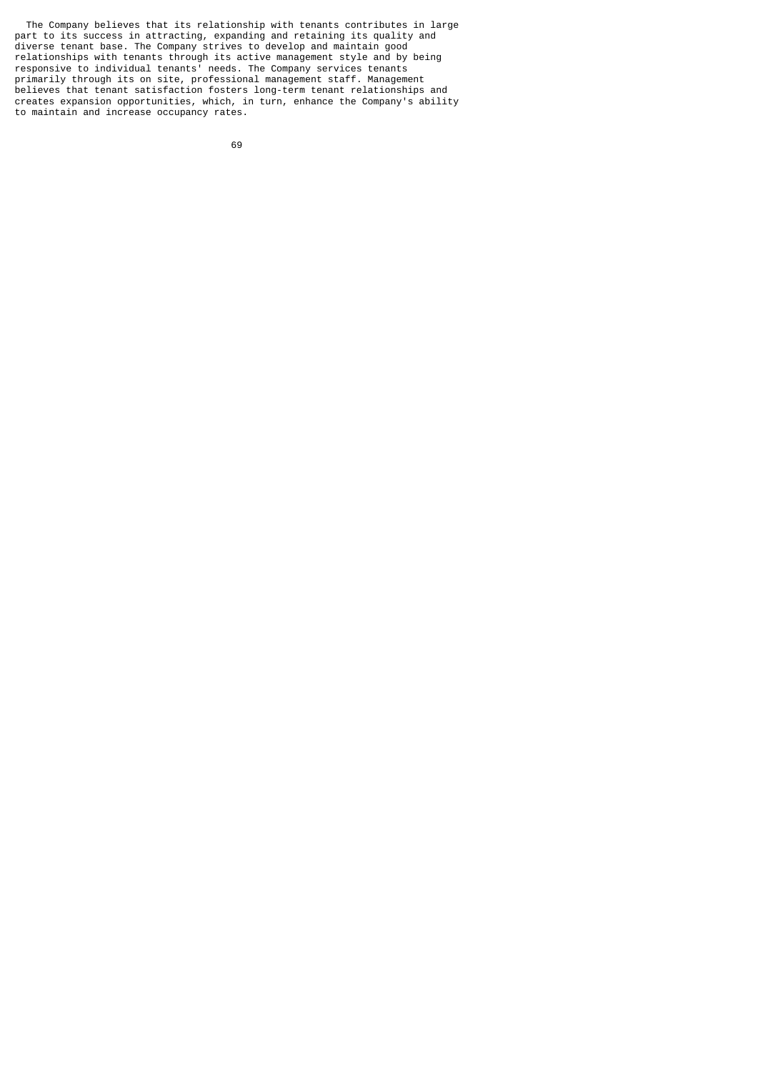The Company believes that its relationship with tenants contributes in large part to its success in attracting, expanding and retaining its quality and diverse tenant base. The Company strives to develop and maintain good relationships with tenants through its active management style and by being responsive to individual tenants' needs. The Company services tenants primarily through its on site, professional management staff. Management believes that tenant satisfaction fosters long-term tenant relationships and creates expansion opportunities, which, in turn, enhance the Company's ability to maintain and increase occupancy rates.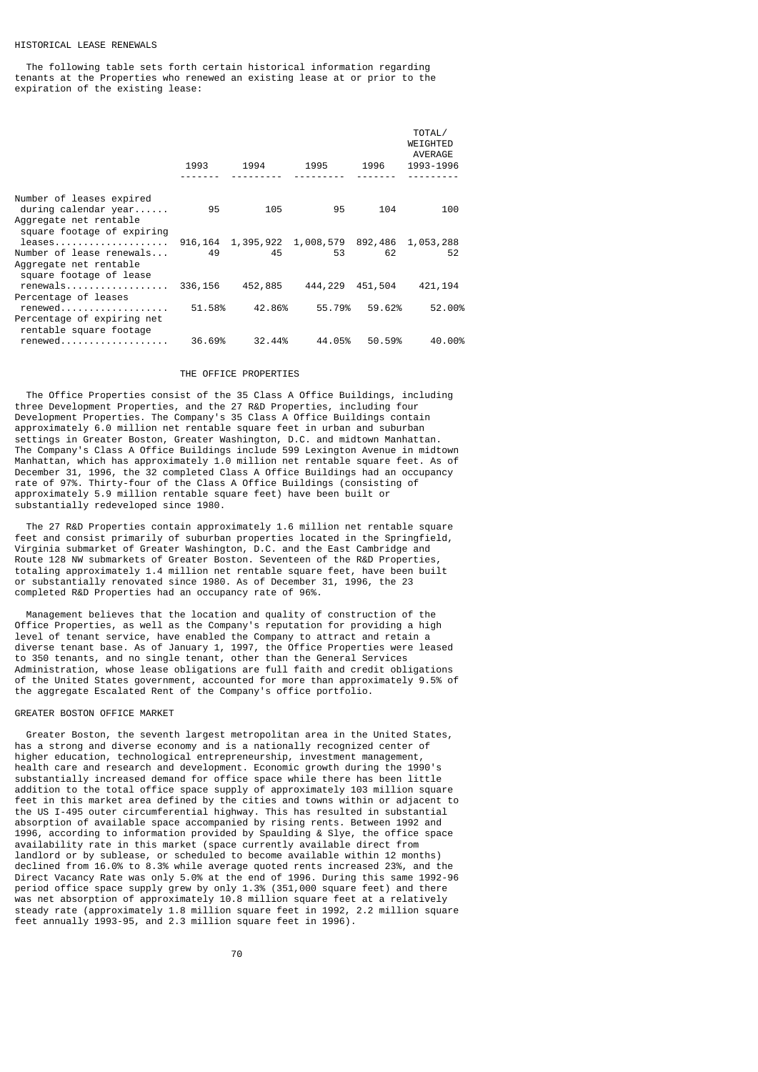### HISTORICAL LEASE RENEWALS

 The following table sets forth certain historical information regarding tenants at the Properties who renewed an existing lease at or prior to the expiration of the existing lease:

|                                                                                                                  | 1993    | 1994    | 1995                                                  | 1996    | TOTAL/<br>WEIGHTED<br>AVERAGE<br>1993-1996 |
|------------------------------------------------------------------------------------------------------------------|---------|---------|-------------------------------------------------------|---------|--------------------------------------------|
|                                                                                                                  |         |         |                                                       |         |                                            |
| Number of leases expired<br>during calendar $year \dots$<br>Aggregate net rentable<br>square footage of expiring | 95      | 105     | 95                                                    | 104     | 100                                        |
| $leases \ldots \ldots \ldots \ldots \ldots$                                                                      |         |         | 916, 164 1, 395, 922 1, 008, 579 892, 486 1, 053, 288 |         |                                            |
| Number of lease renewals<br>Aggregate net rentable<br>square footage of lease                                    | 49      | 45      | 53                                                    | 62      | 52                                         |
| renewals<br>Percentage of leases                                                                                 | 336,156 | 452,885 | 444,229                                               | 451,504 | 421, 194                                   |
| renewed<br>Percentage of expiring net<br>rentable square footage                                                 | 51.58%  | 42.86%  | 55.79%                                                | 59.62%  | 52.00%                                     |
| renewed                                                                                                          | 36.69%  | 32.44%  | 44.05%                                                | 50.59%  | 40.00%                                     |

### THE OFFICE PROPERTIES

 The Office Properties consist of the 35 Class A Office Buildings, including three Development Properties, and the 27 R&D Properties, including four Development Properties. The Company's 35 Class A Office Buildings contain approximately 6.0 million net rentable square feet in urban and suburban settings in Greater Boston, Greater Washington, D.C. and midtown Manhattan. The Company's Class A Office Buildings include 599 Lexington Avenue in midtown Manhattan, which has approximately 1.0 million net rentable square feet. As of December 31, 1996, the 32 completed Class A Office Buildings had an occupancy rate of 97%. Thirty-four of the Class A Office Buildings (consisting of approximately 5.9 million rentable square feet) have been built or substantially redeveloped since 1980.

The 27 R&D Properties contain approximately 1.6 million net rentable square feet and consist primarily of suburban properties located in the Springfield, Virginia submarket of Greater Washington, D.C. and the East Cambridge and Route 128 NW submarkets of Greater Boston. Seventeen of the R&D Properties, totaling approximately 1.4 million net rentable square feet, have been built or substantially renovated since 1980. As of December 31, 1996, the 23 completed R&D Properties had an occupancy rate of 96%.

 Management believes that the location and quality of construction of the Office Properties, as well as the Company's reputation for providing a high level of tenant service, have enabled the Company to attract and retain a diverse tenant base. As of January 1, 1997, the Office Properties were leased to 350 tenants, and no single tenant, other than the General Services Administration, whose lease obligations are full faith and credit obligations of the United States government, accounted for more than approximately 9.5% of the aggregate Escalated Rent of the Company's office portfolio.

### GREATER BOSTON OFFICE MARKET

 Greater Boston, the seventh largest metropolitan area in the United States, has a strong and diverse economy and is a nationally recognized center of higher education, technological entrepreneurship, investment management, health care and research and development. Economic growth during the 1990's substantially increased demand for office space while there has been little addition to the total office space supply of approximately 103 million square feet in this market area defined by the cities and towns within or adjacent to the US I-495 outer circumferential highway. This has resulted in substantial absorption of available space accompanied by rising rents. Between 1992 and 1996, according to information provided by Spaulding & Slye, the office space availability rate in this market (space currently available direct from landlord or by sublease, or scheduled to become available within 12 months) declined from 16.0% to 8.3% while average quoted rents increased 23%, and the Direct Vacancy Rate was only 5.0% at the end of 1996. During this same 1992-96 period office space supply grew by only 1.3% (351,000 square feet) and there was net absorption of approximately 10.8 million square feet at a relatively steady rate (approximately 1.8 million square feet in 1992, 2.2 million square feet annually 1993-95, and 2.3 million square feet in 1996).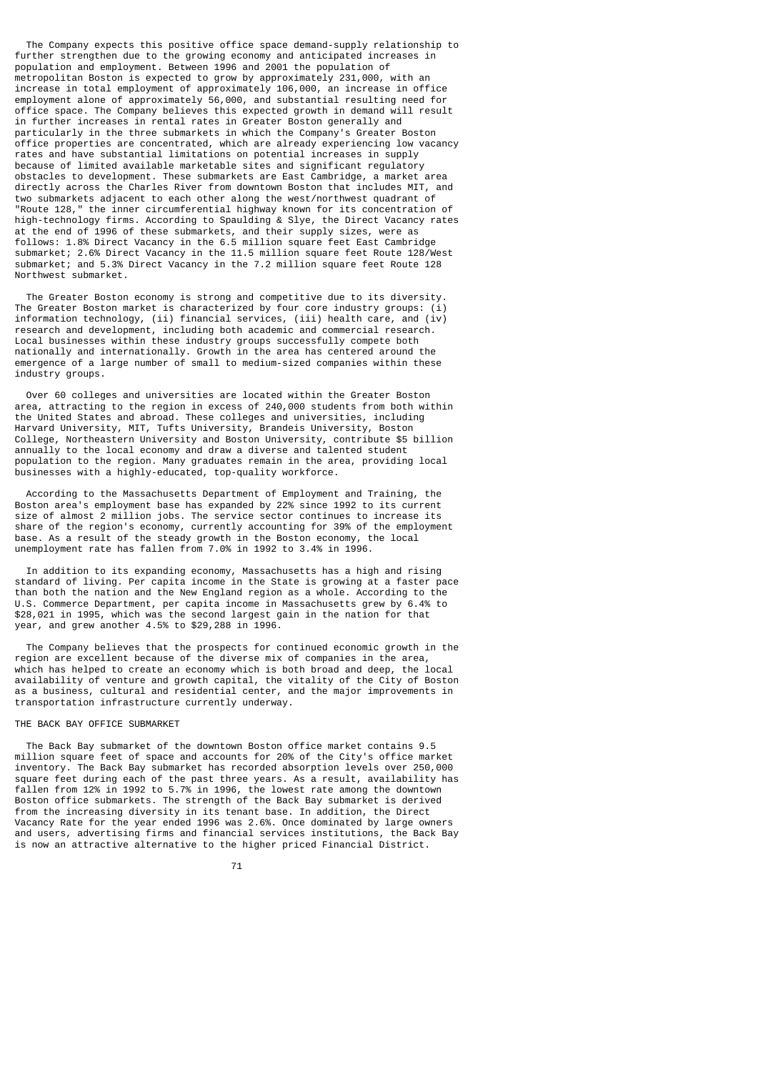The Company expects this positive office space demand-supply relationship to further strengthen due to the growing economy and anticipated increases in population and employment. Between 1996 and 2001 the population of metropolitan Boston is expected to grow by approximately 231,000, with an increase in total employment of approximately 106,000, an increase in office employment alone of approximately 56,000, and substantial resulting need for office space. The Company believes this expected growth in demand will result in further increases in rental rates in Greater Boston generally and particularly in the three submarkets in which the Company's Greater Boston office properties are concentrated, which are already experiencing low vacancy rates and have substantial limitations on potential increases in supply because of limited available marketable sites and significant regulatory obstacles to development. These submarkets are East Cambridge, a market area directly across the Charles River from downtown Boston that includes MIT, and two submarkets adjacent to each other along the west/northwest quadrant of "Route 128," the inner circumferential highway known for its concentration of high-technology firms. According to Spaulding & Slye, the Direct Vacancy rates at the end of 1996 of these submarkets, and their supply sizes, were as follows: 1.8% Direct Vacancy in the 6.5 million square feet East Cambridge submarket; 2.6% Direct Vacancy in the 11.5 million square feet Route 128/West submarket; and 5.3% Direct Vacancy in the 7.2 million square feet Route 128 Northwest submarket.

 The Greater Boston economy is strong and competitive due to its diversity. The Greater Boston market is characterized by four core industry groups: (i) information technology, (ii) financial services, (iii) health care, and (iv) research and development, including both academic and commercial research. Local businesses within these industry groups successfully compete both nationally and internationally. Growth in the area has centered around the emergence of a large number of small to medium-sized companies within these industry groups.

 Over 60 colleges and universities are located within the Greater Boston area, attracting to the region in excess of 240,000 students from both within the United States and abroad. These colleges and universities, including Harvard University, MIT, Tufts University, Brandeis University, Boston College, Northeastern University and Boston University, contribute \$5 billion annually to the local economy and draw a diverse and talented student population to the region. Many graduates remain in the area, providing local businesses with a highly-educated, top-quality workforce.

 According to the Massachusetts Department of Employment and Training, the Boston area's employment base has expanded by 22% since 1992 to its current size of almost 2 million jobs. The service sector continues to increase its share of the region's economy, currently accounting for 39% of the employment base. As a result of the steady growth in the Boston economy, the local unemployment rate has fallen from 7.0% in 1992 to 3.4% in 1996.

 In addition to its expanding economy, Massachusetts has a high and rising standard of living. Per capita income in the State is growing at a faster pace than both the nation and the New England region as a whole. According to the U.S. Commerce Department, per capita income in Massachusetts grew by 6.4% to \$28,021 in 1995, which was the second largest gain in the nation for that year, and grew another 4.5% to \$29,288 in 1996.

 The Company believes that the prospects for continued economic growth in the region are excellent because of the diverse mix of companies in the area, which has helped to create an economy which is both broad and deep, the local availability of venture and growth capital, the vitality of the City of Boston as a business, cultural and residential center, and the major improvements in transportation infrastructure currently underway.

## THE BACK BAY OFFICE SUBMARKET

 The Back Bay submarket of the downtown Boston office market contains 9.5 million square feet of space and accounts for 20% of the City's office market inventory. The Back Bay submarket has recorded absorption levels over 250,000 square feet during each of the past three years. As a result, availability has fallen from 12% in 1992 to 5.7% in 1996, the lowest rate among the downtown Boston office submarkets. The strength of the Back Bay submarket is derived from the increasing diversity in its tenant base. In addition, the Direct Vacancy Rate for the year ended 1996 was 2.6%. Once dominated by large owners and users, advertising firms and financial services institutions, the Back Bay is now an attractive alternative to the higher priced Financial District.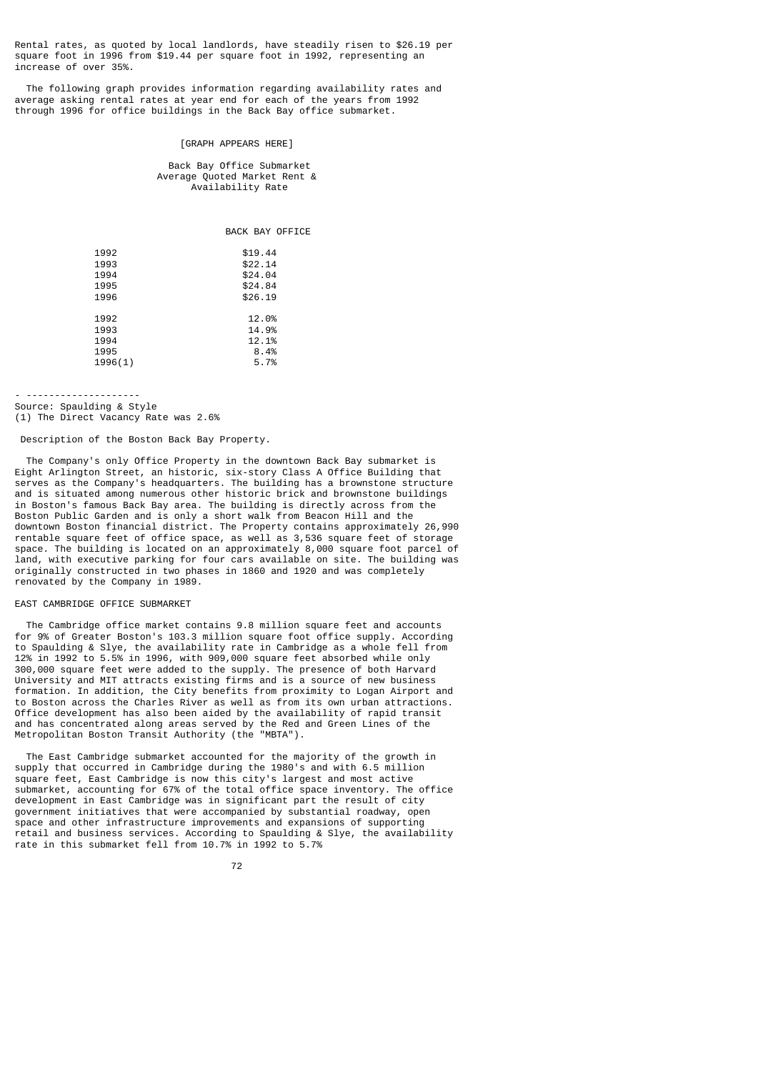Rental rates, as quoted by local landlords, have steadily risen to \$26.19 per square foot in 1996 from \$19.44 per square foot in 1992, representing an increase of over 35%.

 The following graph provides information regarding availability rates and average asking rental rates at year end for each of the years from 1992 through 1996 for office buildings in the Back Bay office submarket.

#### [GRAPH APPEARS HERE]

 Back Bay Office Submarket Average Quoted Market Rent & Availability Rate

BACK BAY OFFICE

| 1992<br>1993<br>1994<br>1995<br>1996    | \$19.44<br>\$22.14<br>\$24.04<br>\$24.84<br>\$26.19 |
|-----------------------------------------|-----------------------------------------------------|
| 1992<br>1993<br>1994<br>1995<br>1996(1) | 12.0%<br>14.9%<br>12.1%<br>8.4%<br>5.7%             |

- --------------------

Source: Spaulding & Style (1) The Direct Vacancy Rate was 2.6%

Description of the Boston Back Bay Property.

 The Company's only Office Property in the downtown Back Bay submarket is Eight Arlington Street, an historic, six-story Class A Office Building that serves as the Company's headquarters. The building has a brownstone structure and is situated among numerous other historic brick and brownstone buildings in Boston's famous Back Bay area. The building is directly across from the Boston Public Garden and is only a short walk from Beacon Hill and the downtown Boston financial district. The Property contains approximately 26,990 rentable square feet of office space, as well as 3,536 square feet of storage space. The building is located on an approximately 8,000 square foot parcel of land, with executive parking for four cars available on site. The building was originally constructed in two phases in 1860 and 1920 and was completely renovated by the Company in 1989.

### EAST CAMBRIDGE OFFICE SUBMARKET

 The Cambridge office market contains 9.8 million square feet and accounts for 9% of Greater Boston's 103.3 million square foot office supply. According to Spaulding & Slye, the availability rate in Cambridge as a whole fell from 12% in 1992 to 5.5% in 1996, with 909,000 square feet absorbed while only 300,000 square feet were added to the supply. The presence of both Harvard University and MIT attracts existing firms and is a source of new business formation. In addition, the City benefits from proximity to Logan Airport and to Boston across the Charles River as well as from its own urban attractions. Office development has also been aided by the availability of rapid transit and has concentrated along areas served by the Red and Green Lines of the Metropolitan Boston Transit Authority (the "MBTA").

 The East Cambridge submarket accounted for the majority of the growth in supply that occurred in Cambridge during the 1980's and with 6.5 million square feet, East Cambridge is now this city's largest and most active submarket, accounting for 67% of the total office space inventory. The office development in East Cambridge was in significant part the result of city government initiatives that were accompanied by substantial roadway, open space and other infrastructure improvements and expansions of supporting retail and business services. According to Spaulding & Slye, the availability rate in this submarket fell from 10.7% in 1992 to 5.7%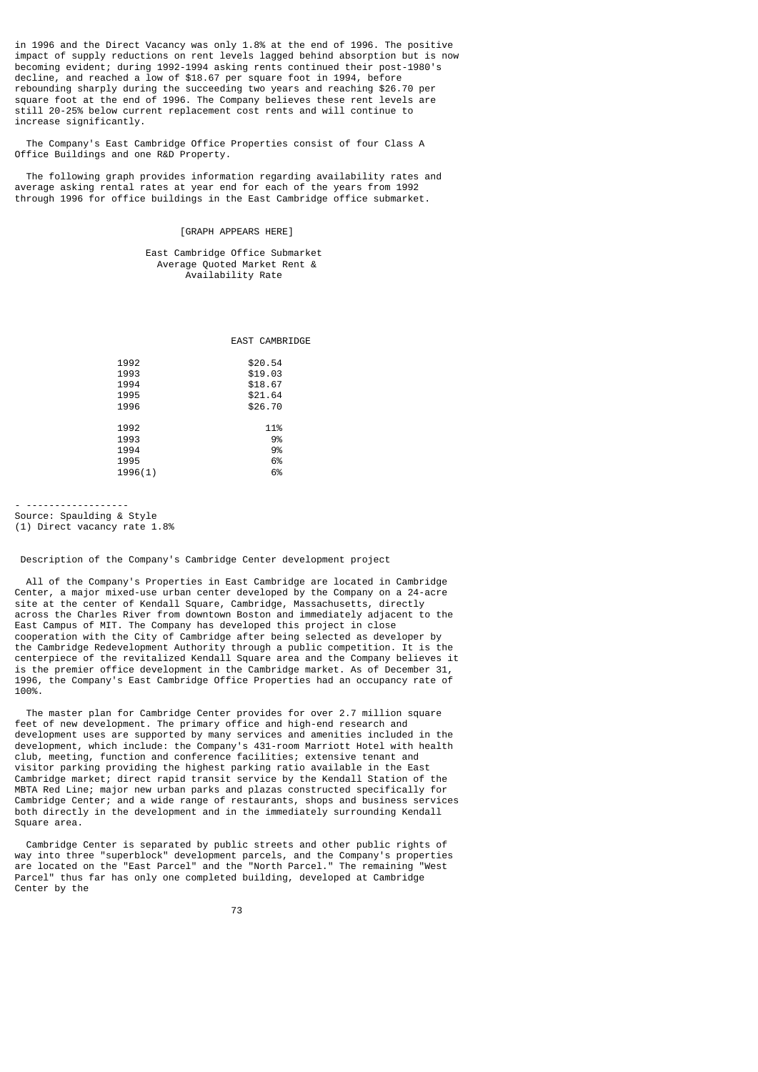in 1996 and the Direct Vacancy was only 1.8% at the end of 1996. The positive impact of supply reductions on rent levels lagged behind absorption but is now becoming evident; during 1992-1994 asking rents continued their post-1980's decline, and reached a low of \$18.67 per square foot in 1994, before rebounding sharply during the succeeding two years and reaching \$26.70 per square foot at the end of 1996. The Company believes these rent levels are still 20-25% below current replacement cost rents and will continue to increase significantly.

 The Company's East Cambridge Office Properties consist of four Class A Office Buildings and one R&D Property.

 The following graph provides information regarding availability rates and average asking rental rates at year end for each of the years from 1992 through 1996 for office buildings in the East Cambridge office submarket.

### [GRAPH APPEARS HERE]

 East Cambridge Office Submarket Average Quoted Market Rent & Availability Rate

|  | EAST CAMBRIDGE |
|--|----------------|
|  |                |

| 1992    | \$20.54 |
|---------|---------|
| 1993    | \$19.03 |
| 1994    | \$18.67 |
| 1995    | \$21.64 |
| 1996    | \$26.70 |
|         |         |
| 1992    | 11%     |
| 1993    | 9%      |
| 1994    | 9%      |
| 1995    | 6%      |
| 1996(1) | 6%      |
|         |         |

- ------------------

Source: Spaulding & Style (1) Direct vacancy rate 1.8%

Description of the Company's Cambridge Center development project

 All of the Company's Properties in East Cambridge are located in Cambridge Center, a major mixed-use urban center developed by the Company on a 24-acre site at the center of Kendall Square, Cambridge, Massachusetts, directly across the Charles River from downtown Boston and immediately adjacent to the East Campus of MIT. The Company has developed this project in close cooperation with the City of Cambridge after being selected as developer by the Cambridge Redevelopment Authority through a public competition. It is the centerpiece of the revitalized Kendall Square area and the Company believes it is the premier office development in the Cambridge market. As of December 31, 1996, the Company's East Cambridge Office Properties had an occupancy rate of 100%.

 The master plan for Cambridge Center provides for over 2.7 million square feet of new development. The primary office and high-end research and development uses are supported by many services and amenities included in the development, which include: the Company's 431-room Marriott Hotel with health club, meeting, function and conference facilities; extensive tenant and visitor parking providing the highest parking ratio available in the East Cambridge market; direct rapid transit service by the Kendall Station of the MBTA Red Line; major new urban parks and plazas constructed specifically for Cambridge Center; and a wide range of restaurants, shops and business services both directly in the development and in the immediately surrounding Kendall Square area.

 Cambridge Center is separated by public streets and other public rights of way into three "superblock" development parcels, and the Company's properties are located on the "East Parcel" and the "North Parcel." The remaining "West Parcel" thus far has only one completed building, developed at Cambridge Center by the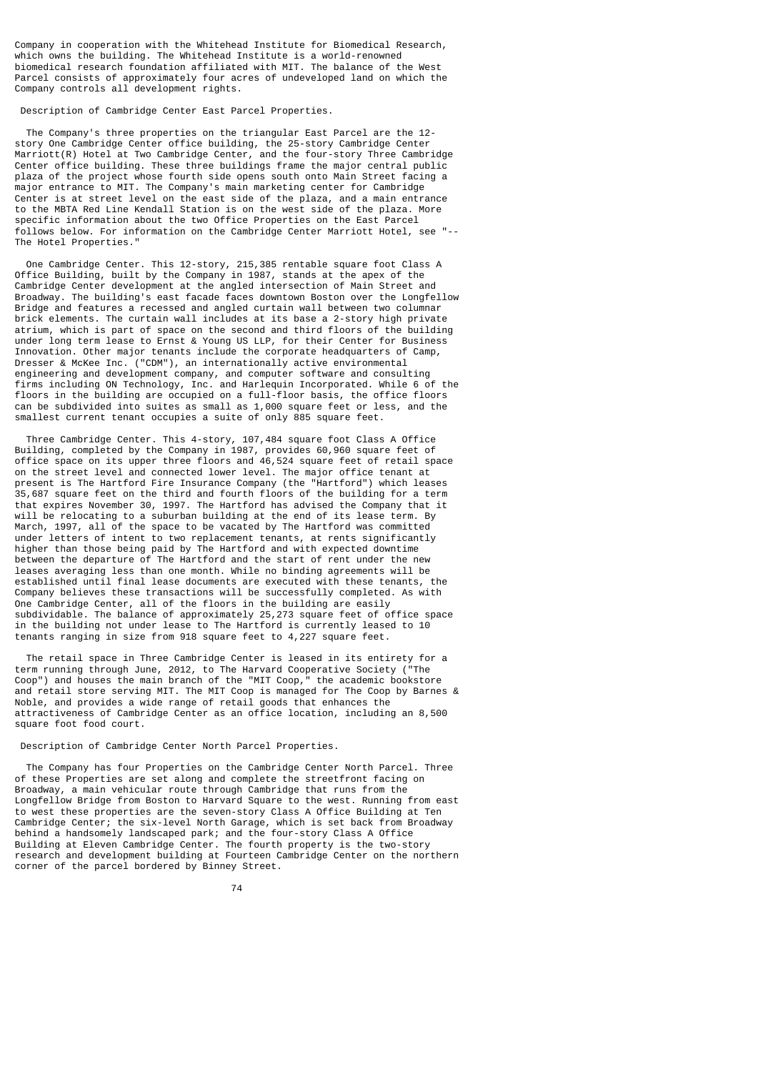Company in cooperation with the Whitehead Institute for Biomedical Research, which owns the building. The Whitehead Institute is a world-renowned biomedical research foundation affiliated with MIT. The balance of the West Parcel consists of approximately four acres of undeveloped land on which the Company controls all development rights.

Description of Cambridge Center East Parcel Properties.

 The Company's three properties on the triangular East Parcel are the 12 story One Cambridge Center office building, the 25-story Cambridge Center Marriott(R) Hotel at Two Cambridge Center, and the four-story Three Cambridge Center office building. These three buildings frame the major central public plaza of the project whose fourth side opens south onto Main Street facing a major entrance to MIT. The Company's main marketing center for Cambridge Center is at street level on the east side of the plaza, and a main entrance to the MBTA Red Line Kendall Station is on the west side of the plaza. More specific information about the two Office Properties on the East Parcel follows below. For information on the Cambridge Center Marriott Hotel, see "-- The Hotel Properties."

 One Cambridge Center. This 12-story, 215,385 rentable square foot Class A Office Building, built by the Company in 1987, stands at the apex of the Cambridge Center development at the angled intersection of Main Street and Broadway. The building's east facade faces downtown Boston over the Longfellow Bridge and features a recessed and angled curtain wall between two columnar brick elements. The curtain wall includes at its base a 2-story high private atrium, which is part of space on the second and third floors of the building under long term lease to Ernst & Young US LLP, for their Center for Business Innovation. Other major tenants include the corporate headquarters of Camp, Dresser & McKee Inc. ("CDM"), an internationally active environmental engineering and development company, and computer software and consulting firms including ON Technology, Inc. and Harlequin Incorporated. While 6 of the floors in the building are occupied on a full-floor basis, the office floors can be subdivided into suites as small as 1,000 square feet or less, and the smallest current tenant occupies a suite of only 885 square feet.

 Three Cambridge Center. This 4-story, 107,484 square foot Class A Office Building, completed by the Company in 1987, provides 60,960 square feet of office space on its upper three floors and 46,524 square feet of retail space on the street level and connected lower level. The major office tenant at present is The Hartford Fire Insurance Company (the "Hartford") which leases 35,687 square feet on the third and fourth floors of the building for a term that expires November 30, 1997. The Hartford has advised the Company that it will be relocating to a suburban building at the end of its lease term. By March, 1997, all of the space to be vacated by The Hartford was committed under letters of intent to two replacement tenants, at rents significantly higher than those being paid by The Hartford and with expected downtime between the departure of The Hartford and the start of rent under the new leases averaging less than one month. While no binding agreements will be established until final lease documents are executed with these tenants, the Company believes these transactions will be successfully completed. As with One Cambridge Center, all of the floors in the building are easily subdividable. The balance of approximately 25,273 square feet of office space in the building not under lease to The Hartford is currently leased to 10 tenants ranging in size from 918 square feet to 4,227 square feet.

 The retail space in Three Cambridge Center is leased in its entirety for a term running through June, 2012, to The Harvard Cooperative Society ("The Coop") and houses the main branch of the "MIT Coop," the academic bookstore and retail store serving MIT. The MIT Coop is managed for The Coop by Barnes & Noble, and provides a wide range of retail goods that enhances the attractiveness of Cambridge Center as an office location, including an 8,500 square foot food court.

Description of Cambridge Center North Parcel Properties.

 The Company has four Properties on the Cambridge Center North Parcel. Three of these Properties are set along and complete the streetfront facing on Broadway, a main vehicular route through Cambridge that runs from the Longfellow Bridge from Boston to Harvard Square to the west. Running from east to west these properties are the seven-story Class A Office Building at Ten Cambridge Center; the six-level North Garage, which is set back from Broadway behind a handsomely landscaped park; and the four-story Class A Office Building at Eleven Cambridge Center. The fourth property is the two-story research and development building at Fourteen Cambridge Center on the northern corner of the parcel bordered by Binney Street.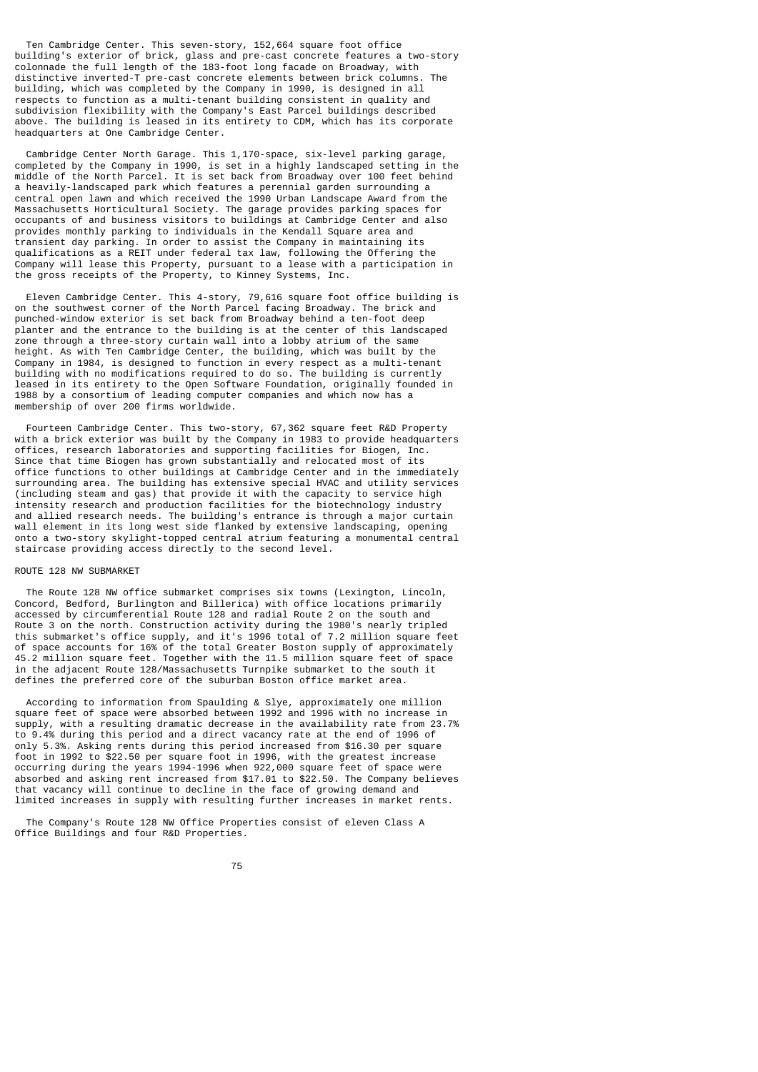Ten Cambridge Center. This seven-story, 152,664 square foot office building's exterior of brick, glass and pre-cast concrete features a two-story colonnade the full length of the 183-foot long facade on Broadway, with distinctive inverted-T pre-cast concrete elements between brick columns. The building, which was completed by the Company in 1990, is designed in all respects to function as a multi-tenant building consistent in quality and subdivision flexibility with the Company's East Parcel buildings described above. The building is leased in its entirety to CDM, which has its corporate headquarters at One Cambridge Center.

 Cambridge Center North Garage. This 1,170-space, six-level parking garage, completed by the Company in 1990, is set in a highly landscaped setting in the middle of the North Parcel. It is set back from Broadway over 100 feet behind a heavily-landscaped park which features a perennial garden surrounding a central open lawn and which received the 1990 Urban Landscape Award from the Massachusetts Horticultural Society. The garage provides parking spaces for occupants of and business visitors to buildings at Cambridge Center and also provides monthly parking to individuals in the Kendall Square area and transient day parking. In order to assist the Company in maintaining its qualifications as a REIT under federal tax law, following the Offering the Company will lease this Property, pursuant to a lease with a participation in the gross receipts of the Property, to Kinney Systems, Inc.

 Eleven Cambridge Center. This 4-story, 79,616 square foot office building is on the southwest corner of the North Parcel facing Broadway. The brick and punched-window exterior is set back from Broadway behind a ten-foot deep planter and the entrance to the building is at the center of this landscaped zone through a three-story curtain wall into a lobby atrium of the same height. As with Ten Cambridge Center, the building, which was built by the Company in 1984, is designed to function in every respect as a multi-tenant building with no modifications required to do so. The building is currently leased in its entirety to the Open Software Foundation, originally founded in 1988 by a consortium of leading computer companies and which now has a membership of over 200 firms worldwide.

 Fourteen Cambridge Center. This two-story, 67,362 square feet R&D Property with a brick exterior was built by the Company in 1983 to provide headquarters offices, research laboratories and supporting facilities for Biogen, Inc. Since that time Biogen has grown substantially and relocated most of its office functions to other buildings at Cambridge Center and in the immediately surrounding area. The building has extensive special HVAC and utility services (including steam and gas) that provide it with the capacity to service high intensity research and production facilities for the biotechnology industry and allied research needs. The building's entrance is through a major curtain wall element in its long west side flanked by extensive landscaping, opening onto a two-story skylight-topped central atrium featuring a monumental central staircase providing access directly to the second level.

#### ROUTE 128 NW SUBMARKET

 The Route 128 NW office submarket comprises six towns (Lexington, Lincoln, Concord, Bedford, Burlington and Billerica) with office locations primarily accessed by circumferential Route 128 and radial Route 2 on the south and Route 3 on the north. Construction activity during the 1980's nearly tripled this submarket's office supply, and it's 1996 total of 7.2 million square feet of space accounts for 16% of the total Greater Boston supply of approximately 45.2 million square feet. Together with the 11.5 million square feet of space in the adjacent Route 128/Massachusetts Turnpike submarket to the south it defines the preferred core of the suburban Boston office market area.

 According to information from Spaulding & Slye, approximately one million square feet of space were absorbed between 1992 and 1996 with no increase in supply, with a resulting dramatic decrease in the availability rate from 23.7% to 9.4% during this period and a direct vacancy rate at the end of 1996 of only 5.3%. Asking rents during this period increased from \$16.30 per square foot in 1992 to \$22.50 per square foot in 1996, with the greatest increase occurring during the years 1994-1996 when 922,000 square feet of space were absorbed and asking rent increased from \$17.01 to \$22.50. The Company believes that vacancy will continue to decline in the face of growing demand and limited increases in supply with resulting further increases in market rents.

 The Company's Route 128 NW Office Properties consist of eleven Class A Office Buildings and four R&D Properties.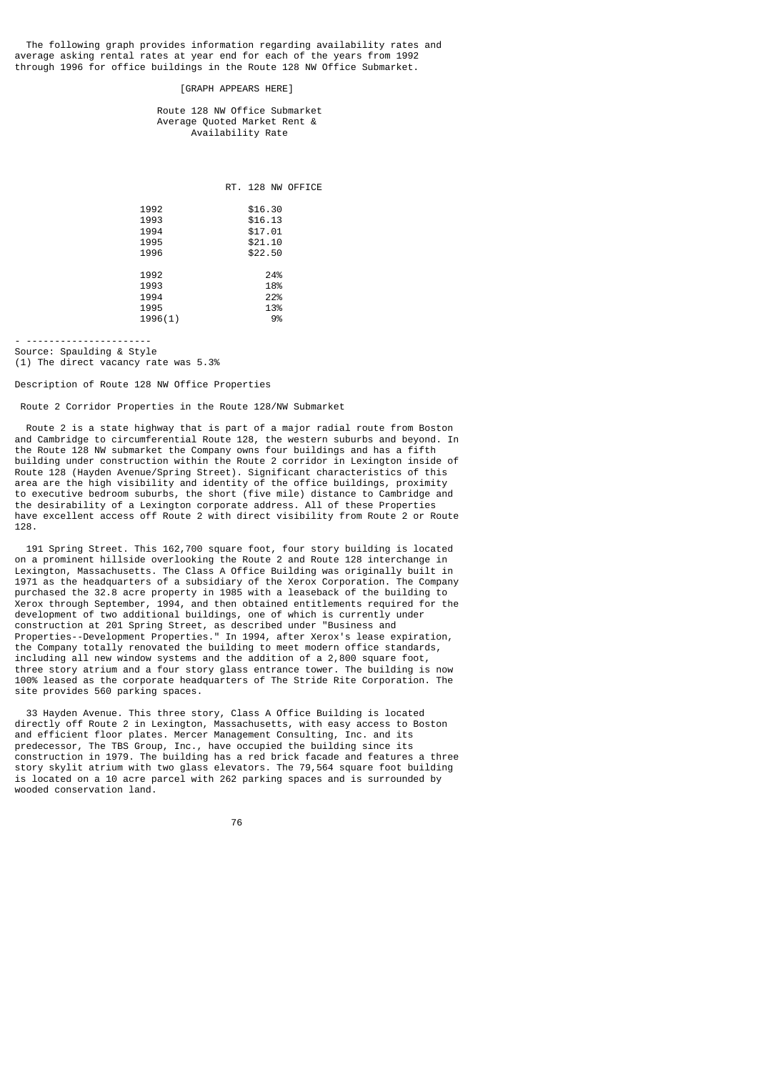The following graph provides information regarding availability rates and average asking rental rates at year end for each of the years from 1992 through 1996 for office buildings in the Route 128 NW Office Submarket.

[GRAPH APPEARS HERE]

 Route 128 NW Office Submarket Average Quoted Market Rent & Availability Rate

RT. 128 NW OFFICE

| 1992    | \$16.30 |
|---------|---------|
| 1993    | \$16.13 |
| 1994    | \$17.01 |
| 1995    | \$21.10 |
| 1996    | \$22.50 |
|         |         |
| 1992    | 24%     |
| 1993    | 18%     |
| 1994    | 22%     |
| 1995    | 13%     |
| 1996(1) | 9%      |
|         |         |

- ---------------------- Source: Spaulding & Style

(1) The direct vacancy rate was 5.3%

Description of Route 128 NW Office Properties

Route 2 Corridor Properties in the Route 128/NW Submarket

 Route 2 is a state highway that is part of a major radial route from Boston and Cambridge to circumferential Route 128, the western suburbs and beyond. In the Route 128 NW submarket the Company owns four buildings and has a fifth building under construction within the Route 2 corridor in Lexington inside of Route 128 (Hayden Avenue/Spring Street). Significant characteristics of this area are the high visibility and identity of the office buildings, proximity to executive bedroom suburbs, the short (five mile) distance to Cambridge and the desirability of a Lexington corporate address. All of these Properties have excellent access off Route 2 with direct visibility from Route 2 or Route 128.

 191 Spring Street. This 162,700 square foot, four story building is located on a prominent hillside overlooking the Route 2 and Route 128 interchange in Lexington, Massachusetts. The Class A Office Building was originally built in 1971 as the headquarters of a subsidiary of the Xerox Corporation. The Company purchased the 32.8 acre property in 1985 with a leaseback of the building to Xerox through September, 1994, and then obtained entitlements required for the development of two additional buildings, one of which is currently under construction at 201 Spring Street, as described under "Business and Properties--Development Properties." In 1994, after Xerox's lease expiration, the Company totally renovated the building to meet modern office standards, including all new window systems and the addition of a 2,800 square foot, three story atrium and a four story glass entrance tower. The building is now 100% leased as the corporate headquarters of The Stride Rite Corporation. The site provides 560 parking spaces.

 33 Hayden Avenue. This three story, Class A Office Building is located directly off Route 2 in Lexington, Massachusetts, with easy access to Boston and efficient floor plates. Mercer Management Consulting, Inc. and its predecessor, The TBS Group, Inc., have occupied the building since its construction in 1979. The building has a red brick facade and features a three story skylit atrium with two glass elevators. The 79,564 square foot building is located on a 10 acre parcel with 262 parking spaces and is surrounded by wooded conservation land.

ли в село в село во село во 176 година, во 176<br>176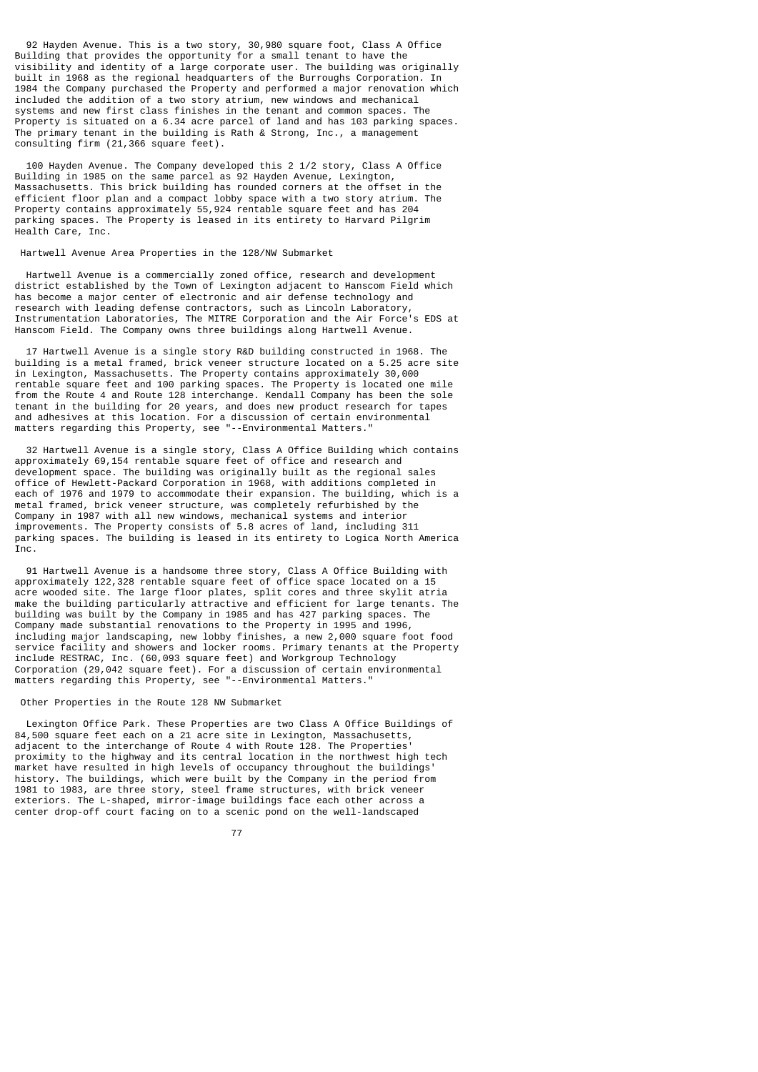92 Hayden Avenue. This is a two story, 30,980 square foot, Class A Office Building that provides the opportunity for a small tenant to have the visibility and identity of a large corporate user. The building was originally built in 1968 as the regional headquarters of the Burroughs Corporation. In 1984 the Company purchased the Property and performed a major renovation which included the addition of a two story atrium, new windows and mechanical systems and new first class finishes in the tenant and common spaces. The Property is situated on a 6.34 acre parcel of land and has 103 parking spaces. The primary tenant in the building is Rath & Strong, Inc., a management consulting firm (21,366 square feet).

 100 Hayden Avenue. The Company developed this 2 1/2 story, Class A Office Building in 1985 on the same parcel as 92 Hayden Avenue, Lexington, Massachusetts. This brick building has rounded corners at the offset in the efficient floor plan and a compact lobby space with a two story atrium. The Property contains approximately 55,924 rentable square feet and has 204 parking spaces. The Property is leased in its entirety to Harvard Pilgrim Health Care, Inc.

Hartwell Avenue Area Properties in the 128/NW Submarket

 Hartwell Avenue is a commercially zoned office, research and development district established by the Town of Lexington adjacent to Hanscom Field which has become a major center of electronic and air defense technology and research with leading defense contractors, such as Lincoln Laboratory, Instrumentation Laboratories, The MITRE Corporation and the Air Force's EDS at Hanscom Field. The Company owns three buildings along Hartwell Avenue.

 17 Hartwell Avenue is a single story R&D building constructed in 1968. The building is a metal framed, brick veneer structure located on a 5.25 acre site in Lexington, Massachusetts. The Property contains approximately 30,000 rentable square feet and 100 parking spaces. The Property is located one mile from the Route 4 and Route 128 interchange. Kendall Company has been the sole tenant in the building for 20 years, and does new product research for tapes and adhesives at this location. For a discussion of certain environmental matters regarding this Property, see "--Environmental Matters."

 32 Hartwell Avenue is a single story, Class A Office Building which contains approximately 69,154 rentable square feet of office and research and development space. The building was originally built as the regional sales office of Hewlett-Packard Corporation in 1968, with additions completed in each of 1976 and 1979 to accommodate their expansion. The building, which is a metal framed, brick veneer structure, was completely refurbished by the Company in 1987 with all new windows, mechanical systems and interior improvements. The Property consists of 5.8 acres of land, including 311 parking spaces. The building is leased in its entirety to Logica North America T<sub>nc</sub>

 91 Hartwell Avenue is a handsome three story, Class A Office Building with approximately 122,328 rentable square feet of office space located on a 15 acre wooded site. The large floor plates, split cores and three skylit atria make the building particularly attractive and efficient for large tenants. The building was built by the Company in 1985 and has 427 parking spaces. The Company made substantial renovations to the Property in 1995 and 1996, including major landscaping, new lobby finishes, a new 2,000 square foot food service facility and showers and locker rooms. Primary tenants at the Property include RESTRAC, Inc. (60,093 square feet) and Workgroup Technology Corporation (29,042 square feet). For a discussion of certain environmental matters regarding this Property, see "--Environmental Matters."

Other Properties in the Route 128 NW Submarket

 Lexington Office Park. These Properties are two Class A Office Buildings of 84,500 square feet each on a 21 acre site in Lexington, Massachusetts, adjacent to the interchange of Route 4 with Route 128. The Properties' proximity to the highway and its central location in the northwest high tech market have resulted in high levels of occupancy throughout the buildings' history. The buildings, which were built by the Company in the period from 1981 to 1983, are three story, steel frame structures, with brick veneer exteriors. The L-shaped, mirror-image buildings face each other across a center drop-off court facing on to a scenic pond on the well-landscaped

ли в село в село во село во 177 година, во 177 година, во 177 година, во 177 година, во 177 година, во 177 год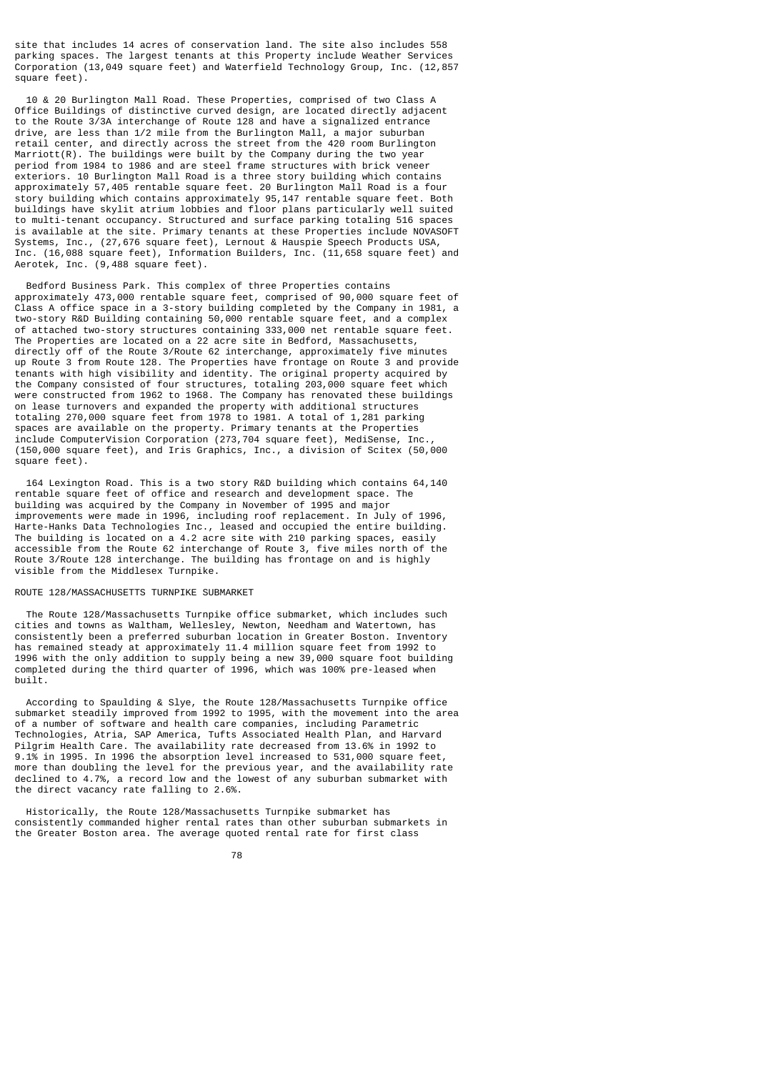site that includes 14 acres of conservation land. The site also includes 558 parking spaces. The largest tenants at this Property include Weather Services Corporation (13,049 square feet) and Waterfield Technology Group, Inc. (12,857 square feet).

 10 & 20 Burlington Mall Road. These Properties, comprised of two Class A Office Buildings of distinctive curved design, are located directly adjacent to the Route 3/3A interchange of Route 128 and have a signalized entrance drive, are less than 1/2 mile from the Burlington Mall, a major suburban retail center, and directly across the street from the 420 room Burlington Marriott(R). The buildings were built by the Company during the two year period from 1984 to 1986 and are steel frame structures with brick veneer exteriors. 10 Burlington Mall Road is a three story building which contains approximately 57,405 rentable square feet. 20 Burlington Mall Road is a four story building which contains approximately 95,147 rentable square feet. Both buildings have skylit atrium lobbies and floor plans particularly well suited to multi-tenant occupancy. Structured and surface parking totaling 516 spaces is available at the site. Primary tenants at these Properties include NOVASOFT Systems, Inc., (27,676 square feet), Lernout & Hauspie Speech Products USA, Inc. (16,088 square feet), Information Builders, Inc. (11,658 square feet) and Aerotek, Inc. (9,488 square feet).

 Bedford Business Park. This complex of three Properties contains approximately 473,000 rentable square feet, comprised of 90,000 square feet of Class A office space in a 3-story building completed by the Company in 1981, a two-story R&D Building containing 50,000 rentable square feet, and a complex of attached two-story structures containing 333,000 net rentable square feet. The Properties are located on a 22 acre site in Bedford, Massachusetts, directly off of the Route 3/Route 62 interchange, approximately five minutes up Route 3 from Route 128. The Properties have frontage on Route 3 and provide tenants with high visibility and identity. The original property acquired by the Company consisted of four structures, totaling 203,000 square feet which were constructed from 1962 to 1968. The Company has renovated these buildings on lease turnovers and expanded the property with additional structures totaling 270,000 square feet from 1978 to 1981. A total of 1,281 parking spaces are available on the property. Primary tenants at the Properties include ComputerVision Corporation (273,704 square feet), MediSense, Inc., (150,000 square feet), and Iris Graphics, Inc., a division of Scitex (50,000 square feet).

 164 Lexington Road. This is a two story R&D building which contains 64,140 rentable square feet of office and research and development space. The building was acquired by the Company in November of 1995 and major improvements were made in 1996, including roof replacement. In July of 1996, Harte-Hanks Data Technologies Inc., leased and occupied the entire building. The building is located on a 4.2 acre site with 210 parking spaces, easily accessible from the Route 62 interchange of Route 3, five miles north of the Route 3/Route 128 interchange. The building has frontage on and is highly visible from the Middlesex Turnpike.

# ROUTE 128/MASSACHUSETTS TURNPIKE SUBMARKET

 The Route 128/Massachusetts Turnpike office submarket, which includes such cities and towns as Waltham, Wellesley, Newton, Needham and Watertown, has consistently been a preferred suburban location in Greater Boston. Inventory has remained steady at approximately 11.4 million square feet from 1992 to 1996 with the only addition to supply being a new 39,000 square foot building completed during the third quarter of 1996, which was 100% pre-leased when built.

 According to Spaulding & Slye, the Route 128/Massachusetts Turnpike office submarket steadily improved from 1992 to 1995, with the movement into the area of a number of software and health care companies, including Parametric Technologies, Atria, SAP America, Tufts Associated Health Plan, and Harvard Pilgrim Health Care. The availability rate decreased from 13.6% in 1992 to 9.1% in 1995. In 1996 the absorption level increased to 531,000 square feet, more than doubling the level for the previous year, and the availability rate declined to 4.7%, a record low and the lowest of any suburban submarket with the direct vacancy rate falling to 2.6%.

 Historically, the Route 128/Massachusetts Turnpike submarket has consistently commanded higher rental rates than other suburban submarkets in the Greater Boston area. The average quoted rental rate for first class

e a componente de la construction de la construction de la construction de la construction de la construction<br>1788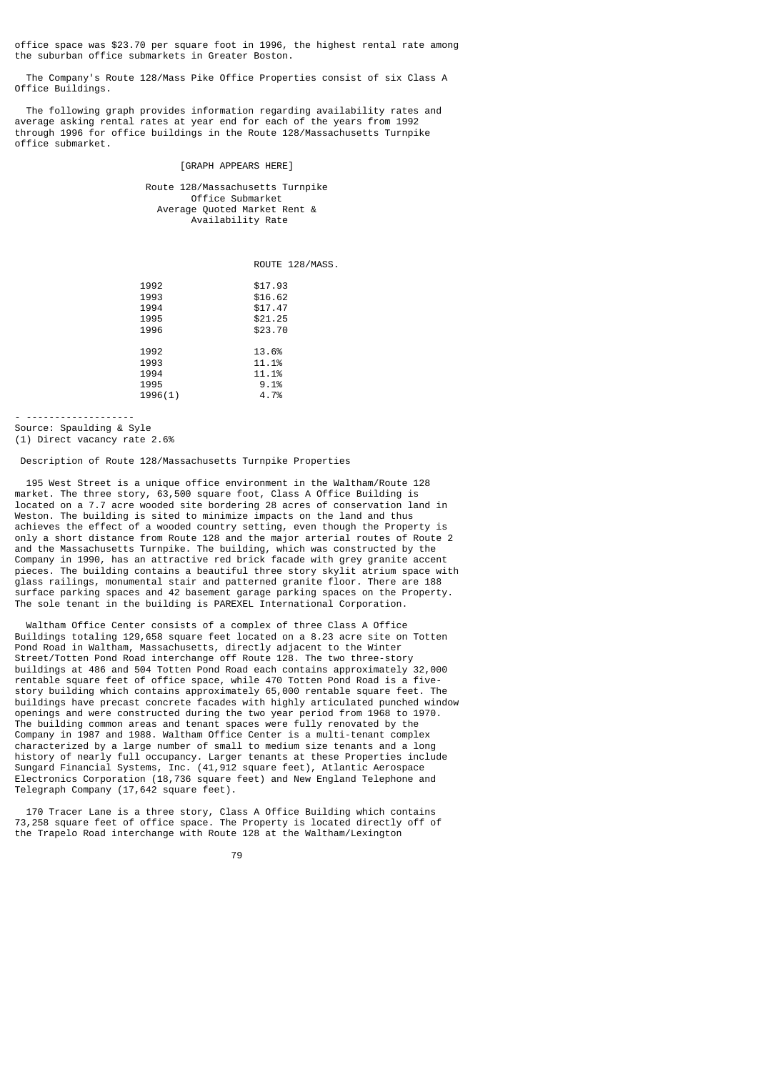office space was \$23.70 per square foot in 1996, the highest rental rate among the suburban office submarkets in Greater Boston.

 The Company's Route 128/Mass Pike Office Properties consist of six Class A Office Buildings.

 The following graph provides information regarding availability rates and average asking rental rates at year end for each of the years from 1992 through 1996 for office buildings in the Route 128/Massachusetts Turnpike office submarket.

# [GRAPH APPEARS HERE]

 Route 128/Massachusetts Turnpike Office Submarket Average Quoted Market Rent & Availability Rate

ROUTE 128/MASS.

| 1992    | \$17.93 |
|---------|---------|
| 1993    | \$16.62 |
| 1994    | \$17.47 |
| 1995    | \$21.25 |
| 1996    | \$23.70 |
|         |         |
| 1992    | 13.6%   |
| 1993    | 11.1%   |
| 1994    | 11.1%   |
| 1995    | 9.1%    |
| 1996(1) | 4.7%    |
|         |         |

- -------------------

Source: Spaulding & Syle (1) Direct vacancy rate 2.6%

Description of Route 128/Massachusetts Turnpike Properties

 195 West Street is a unique office environment in the Waltham/Route 128 market. The three story, 63,500 square foot, Class A Office Building is located on a 7.7 acre wooded site bordering 28 acres of conservation land in Weston. The building is sited to minimize impacts on the land and thus achieves the effect of a wooded country setting, even though the Property is only a short distance from Route 128 and the major arterial routes of Route 2 and the Massachusetts Turnpike. The building, which was constructed by the Company in 1990, has an attractive red brick facade with grey granite accent pieces. The building contains a beautiful three story skylit atrium space with glass railings, monumental stair and patterned granite floor. There are 188 surface parking spaces and 42 basement garage parking spaces on the Property. The sole tenant in the building is PAREXEL International Corporation.

 Waltham Office Center consists of a complex of three Class A Office Buildings totaling 129,658 square feet located on a 8.23 acre site on Totten Pond Road in Waltham, Massachusetts, directly adjacent to the Winter Street/Totten Pond Road interchange off Route 128. The two three-story buildings at 486 and 504 Totten Pond Road each contains approximately 32,000 rentable square feet of office space, while 470 Totten Pond Road is a fivestory building which contains approximately 65,000 rentable square feet. The buildings have precast concrete facades with highly articulated punched window openings and were constructed during the two year period from 1968 to 1970. The building common areas and tenant spaces were fully renovated by the Company in 1987 and 1988. Waltham Office Center is a multi-tenant complex characterized by a large number of small to medium size tenants and a long history of nearly full occupancy. Larger tenants at these Properties include Sungard Financial Systems, Inc. (41,912 square feet), Atlantic Aerospace Electronics Corporation (18,736 square feet) and New England Telephone and Telegraph Company (17,642 square feet).

 170 Tracer Lane is a three story, Class A Office Building which contains 73,258 square feet of office space. The Property is located directly off of the Trapelo Road interchange with Route 128 at the Waltham/Lexington

ли в село в село во село во 1992 година во 1992 година во 1992 година во 1992 година во 1993 година во 1993 го<br>Во 1993 година од село во 1993 година од село во 1993 година од село во 1993 година од село во 1993 година од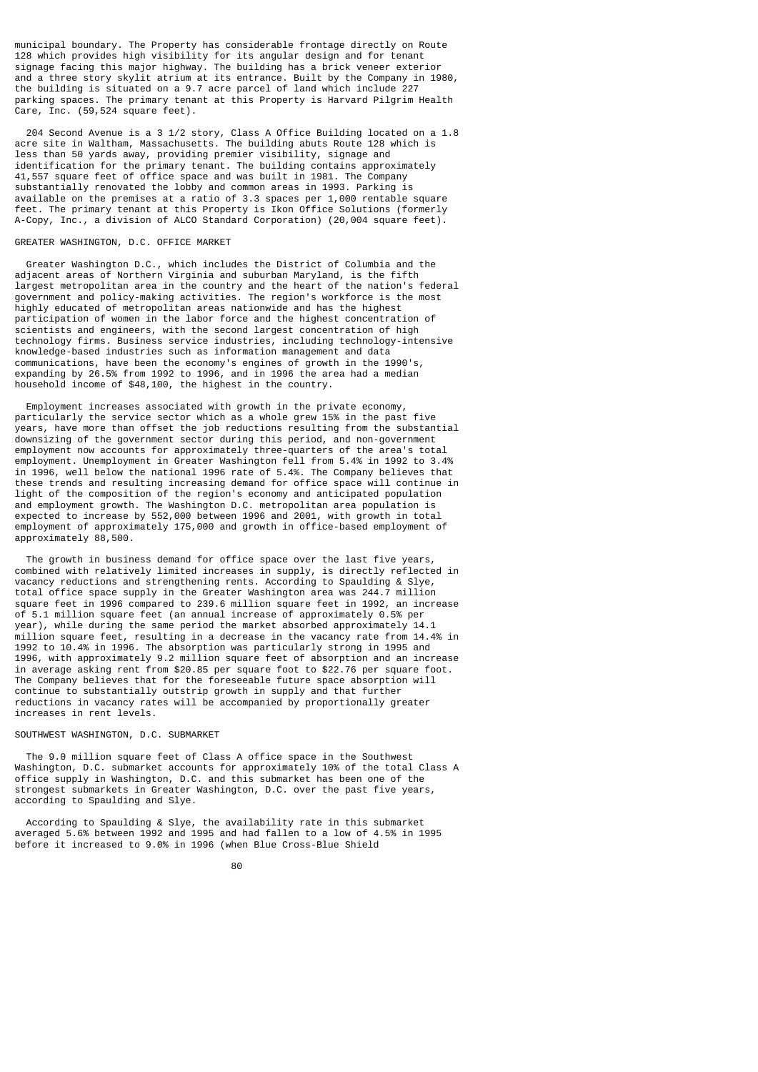municipal boundary. The Property has considerable frontage directly on Route 128 which provides high visibility for its angular design and for tenant signage facing this major highway. The building has a brick veneer exterior and a three story skylit atrium at its entrance. Built by the Company in 1980, the building is situated on a 9.7 acre parcel of land which include 227 parking spaces. The primary tenant at this Property is Harvard Pilgrim Health Care, Inc. (59,524 square feet).

 204 Second Avenue is a 3 1/2 story, Class A Office Building located on a 1.8 acre site in Waltham, Massachusetts. The building abuts Route 128 which is less than 50 yards away, providing premier visibility, signage and identification for the primary tenant. The building contains approximately 41,557 square feet of office space and was built in 1981. The Company substantially renovated the lobby and common areas in 1993. Parking is available on the premises at a ratio of 3.3 spaces per 1,000 rentable square feet. The primary tenant at this Property is Ikon Office Solutions (formerly A-Copy, Inc., a division of ALCO Standard Corporation) (20,004 square feet).

# GREATER WASHINGTON, D.C. OFFICE MARKET

 Greater Washington D.C., which includes the District of Columbia and the adjacent areas of Northern Virginia and suburban Maryland, is the fifth largest metropolitan area in the country and the heart of the nation's federal government and policy-making activities. The region's workforce is the most highly educated of metropolitan areas nationwide and has the highest participation of women in the labor force and the highest concentration of scientists and engineers, with the second largest concentration of high technology firms. Business service industries, including technology-intensive knowledge-based industries such as information management and data communications, have been the economy's engines of growth in the 1990's, expanding by 26.5% from 1992 to 1996, and in 1996 the area had a median household income of \$48,100, the highest in the country.

 Employment increases associated with growth in the private economy, particularly the service sector which as a whole grew 15% in the past five years, have more than offset the job reductions resulting from the substantial downsizing of the government sector during this period, and non-government employment now accounts for approximately three-quarters of the area's total employment. Unemployment in Greater Washington fell from 5.4% in 1992 to 3.4% in 1996, well below the national 1996 rate of 5.4%. The Company believes that these trends and resulting increasing demand for office space will continue in light of the composition of the region's economy and anticipated population and employment growth. The Washington D.C. metropolitan area population is expected to increase by 552,000 between 1996 and 2001, with growth in total employment of approximately 175,000 and growth in office-based employment of approximately 88,500.

 The growth in business demand for office space over the last five years, combined with relatively limited increases in supply, is directly reflected in vacancy reductions and strengthening rents. According to Spaulding & Slye, total office space supply in the Greater Washington area was 244.7 million square feet in 1996 compared to 239.6 million square feet in 1992, an increase of 5.1 million square feet (an annual increase of approximately 0.5% per year), while during the same period the market absorbed approximately 14.1 million square feet, resulting in a decrease in the vacancy rate from 14.4% in 1992 to 10.4% in 1996. The absorption was particularly strong in 1995 and 1996, with approximately 9.2 million square feet of absorption and an increase in average asking rent from \$20.85 per square foot to \$22.76 per square foot. The Company believes that for the foreseeable future space absorption will continue to substantially outstrip growth in supply and that further reductions in vacancy rates will be accompanied by proportionally greater increases in rent levels.

#### SOUTHWEST WASHINGTON, D.C. SUBMARKET

 The 9.0 million square feet of Class A office space in the Southwest Washington, D.C. submarket accounts for approximately 10% of the total Class A office supply in Washington, D.C. and this submarket has been one of the strongest submarkets in Greater Washington, D.C. over the past five years, according to Spaulding and Slye.

 According to Spaulding & Slye, the availability rate in this submarket averaged 5.6% between 1992 and 1995 and had fallen to a low of 4.5% in 1995 before it increased to 9.0% in 1996 (when Blue Cross-Blue Shield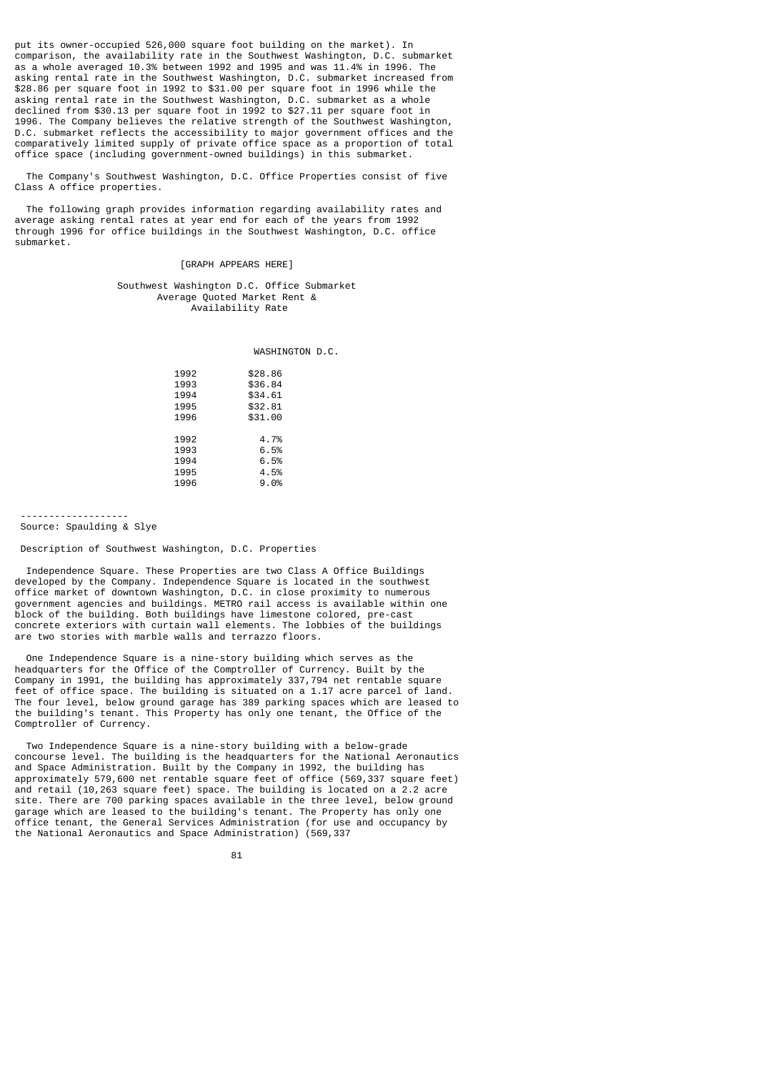put its owner-occupied 526,000 square foot building on the market). In comparison, the availability rate in the Southwest Washington, D.C. submarket as a whole averaged 10.3% between 1992 and 1995 and was 11.4% in 1996. The asking rental rate in the Southwest Washington, D.C. submarket increased from \$28.86 per square foot in 1992 to \$31.00 per square foot in 1996 while the asking rental rate in the Southwest Washington, D.C. submarket as a whole declined from \$30.13 per square foot in 1992 to \$27.11 per square foot in 1996. The Company believes the relative strength of the Southwest Washington, D.C. submarket reflects the accessibility to major government offices and the comparatively limited supply of private office space as a proportion of total office space (including government-owned buildings) in this submarket.

 The Company's Southwest Washington, D.C. Office Properties consist of five Class A office properties.

 The following graph provides information regarding availability rates and average asking rental rates at year end for each of the years from 1992 through 1996 for office buildings in the Southwest Washington, D.C. office submarket.

#### [GRAPH APPEARS HERE]

### Southwest Washington D.C. Office Submarket Average Quoted Market Rent & Availability Rate

WASHINGTON D.C.

| 1992 | \$28.86 |
|------|---------|
| 1993 | \$36.84 |
| 1994 | \$34.61 |
| 1995 | \$32.81 |
| 1996 | \$31.00 |
|      |         |
| 1992 | 4.7%    |
| 1993 | 6.5%    |
| 1994 | 6.5%    |
| 1995 | 4.5%    |
| 1996 | 9.0%    |

 ------------------- Source: Spaulding & Slye

Description of Southwest Washington, D.C. Properties

 Independence Square. These Properties are two Class A Office Buildings developed by the Company. Independence Square is located in the southwest office market of downtown Washington, D.C. in close proximity to numerous government agencies and buildings. METRO rail access is available within one block of the building. Both buildings have limestone colored, pre-cast concrete exteriors with curtain wall elements. The lobbies of the buildings are two stories with marble walls and terrazzo floors.

 One Independence Square is a nine-story building which serves as the headquarters for the Office of the Comptroller of Currency. Built by the Company in 1991, the building has approximately 337,794 net rentable square feet of office space. The building is situated on a 1.17 acre parcel of land. The four level, below ground garage has 389 parking spaces which are leased to the building's tenant. This Property has only one tenant, the Office of the Comptroller of Currency.

 Two Independence Square is a nine-story building with a below-grade concourse level. The building is the headquarters for the National Aeronautics and Space Administration. Built by the Company in 1992, the building has approximately 579,600 net rentable square feet of office (569,337 square feet) and retail (10,263 square feet) space. The building is located on a 2.2 acre site. There are 700 parking spaces available in the three level, below ground garage which are leased to the building's tenant. The Property has only one office tenant, the General Services Administration (for use and occupancy by the National Aeronautics and Space Administration) (569,337

<u>81 - John Stein, amerikansk politiker (</u>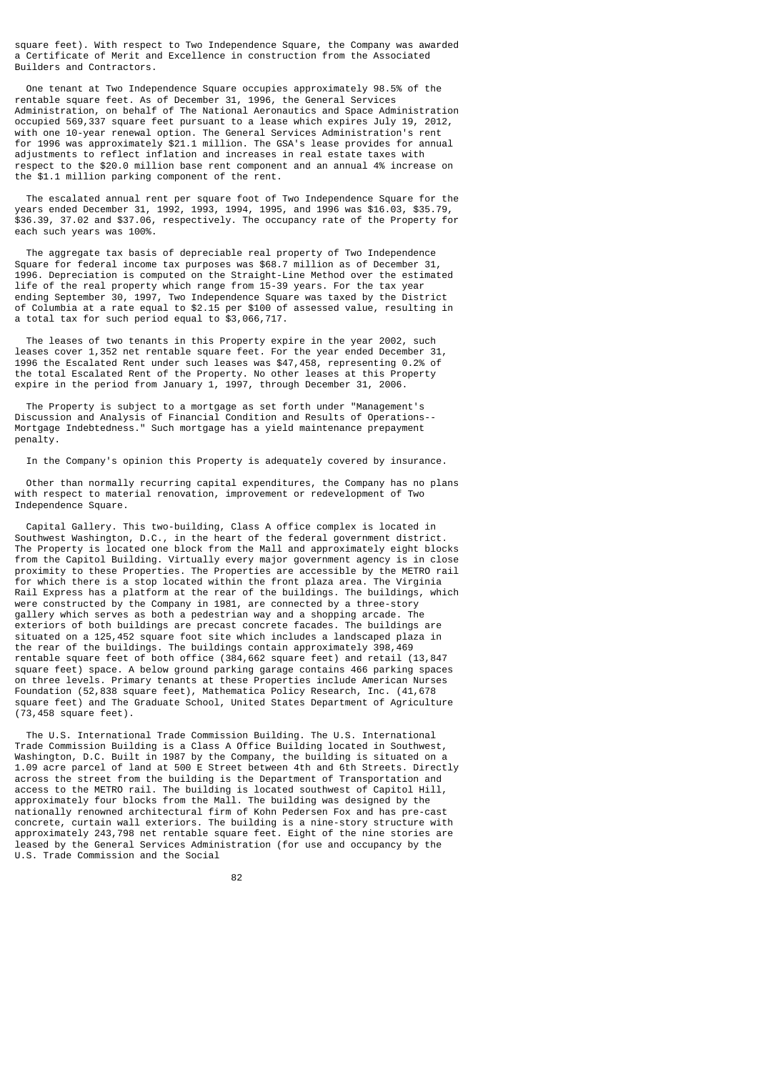square feet). With respect to Two Independence Square, the Company was awarded a Certificate of Merit and Excellence in construction from the Associated Builders and Contractors.

 One tenant at Two Independence Square occupies approximately 98.5% of the rentable square feet. As of December 31, 1996, the General Services Administration, on behalf of The National Aeronautics and Space Administration occupied 569,337 square feet pursuant to a lease which expires July 19, 2012, with one 10-year renewal option. The General Services Administration's rent for 1996 was approximately \$21.1 million. The GSA's lease provides for annual adjustments to reflect inflation and increases in real estate taxes with respect to the \$20.0 million base rent component and an annual 4% increase on the \$1.1 million parking component of the rent.

 The escalated annual rent per square foot of Two Independence Square for the years ended December 31, 1992, 1993, 1994, 1995, and 1996 was \$16.03, \$35.79, \$36.39, 37.02 and \$37.06, respectively. The occupancy rate of the Property for each such years was 100%.

 The aggregate tax basis of depreciable real property of Two Independence Square for federal income tax purposes was \$68.7 million as of December 31, 1996. Depreciation is computed on the Straight-Line Method over the estimated life of the real property which range from 15-39 years. For the tax year ending September 30, 1997, Two Independence Square was taxed by the District of Columbia at a rate equal to \$2.15 per \$100 of assessed value, resulting in a total tax for such period equal to \$3,066,717.

 The leases of two tenants in this Property expire in the year 2002, such leases cover 1,352 net rentable square feet. For the year ended December 31, 1996 the Escalated Rent under such leases was \$47,458, representing 0.2% of the total Escalated Rent of the Property. No other leases at this Property expire in the period from January 1, 1997, through December 31, 2006.

 The Property is subject to a mortgage as set forth under "Management's Discussion and Analysis of Financial Condition and Results of Operations-- Mortgage Indebtedness." Such mortgage has a yield maintenance prepayment penalty.

In the Company's opinion this Property is adequately covered by insurance.

 Other than normally recurring capital expenditures, the Company has no plans with respect to material renovation, improvement or redevelopment of Two Independence Square.

 Capital Gallery. This two-building, Class A office complex is located in Southwest Washington, D.C., in the heart of the federal government district. The Property is located one block from the Mall and approximately eight blocks from the Capitol Building. Virtually every major government agency is in close proximity to these Properties. The Properties are accessible by the METRO rail for which there is a stop located within the front plaza area. The Virginia Rail Express has a platform at the rear of the buildings. The buildings, which were constructed by the Company in 1981, are connected by a three-story gallery which serves as both a pedestrian way and a shopping arcade. The exteriors of both buildings are precast concrete facades. The buildings are situated on a 125,452 square foot site which includes a landscaped plaza in the rear of the buildings. The buildings contain approximately 398,469 rentable square feet of both office (384,662 square feet) and retail (13,847 square feet) space. A below ground parking garage contains 466 parking spaces on three levels. Primary tenants at these Properties include American Nurses Foundation (52,838 square feet), Mathematica Policy Research, Inc. (41,678 square feet) and The Graduate School, United States Department of Agriculture (73,458 square feet).

 The U.S. International Trade Commission Building. The U.S. International Trade Commission Building is a Class A Office Building located in Southwest, Washington, D.C. Built in 1987 by the Company, the building is situated on a 1.09 acre parcel of land at 500 E Street between 4th and 6th Streets. Directly across the street from the building is the Department of Transportation and access to the METRO rail. The building is located southwest of Capitol Hill, approximately four blocks from the Mall. The building was designed by the nationally renowned architectural firm of Kohn Pedersen Fox and has pre-cast concrete, curtain wall exteriors. The building is a nine-story structure with approximately 243,798 net rentable square feet. Eight of the nine stories are leased by the General Services Administration (for use and occupancy by the U.S. Trade Commission and the Social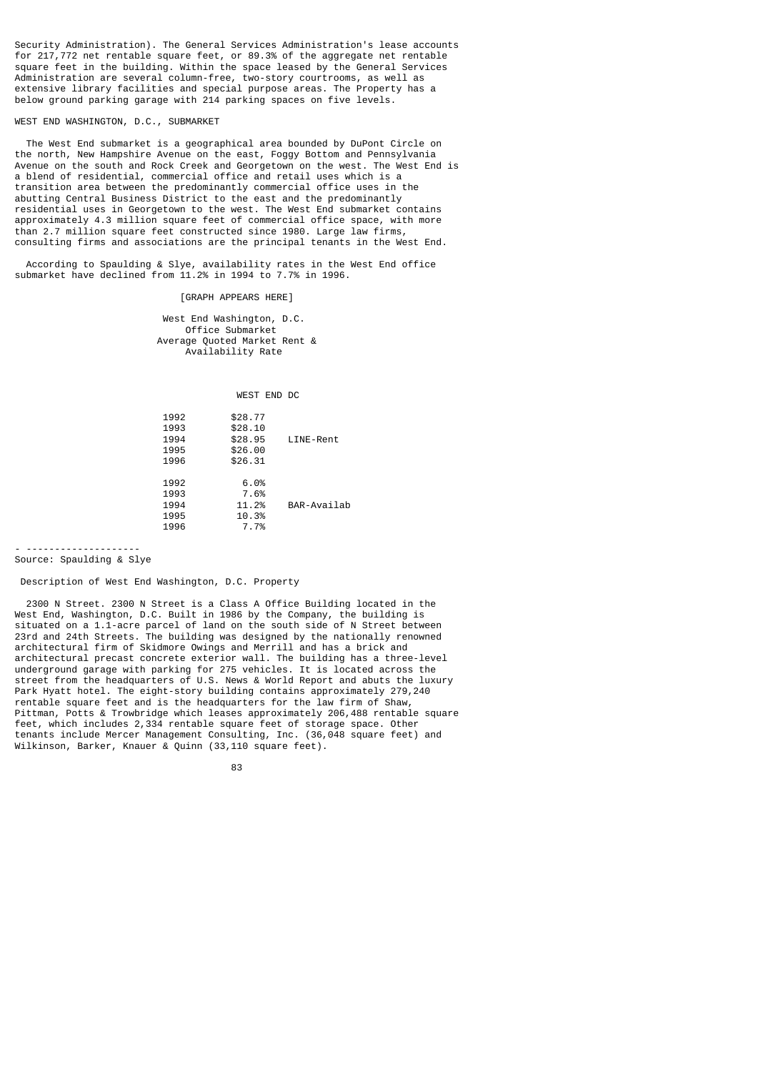Security Administration). The General Services Administration's lease accounts for 217,772 net rentable square feet, or 89.3% of the aggregate net rentable square feet in the building. Within the space leased by the General Services Administration are several column-free, two-story courtrooms, as well as extensive library facilities and special purpose areas. The Property has a below ground parking garage with 214 parking spaces on five levels.

# WEST END WASHINGTON, D.C., SUBMARKET

 The West End submarket is a geographical area bounded by DuPont Circle on the north, New Hampshire Avenue on the east, Foggy Bottom and Pennsylvania Avenue on the south and Rock Creek and Georgetown on the west. The West End is a blend of residential, commercial office and retail uses which is a transition area between the predominantly commercial office uses in the abutting Central Business District to the east and the predominantly residential uses in Georgetown to the west. The West End submarket contains approximately 4.3 million square feet of commercial office space, with more than 2.7 million square feet constructed since 1980. Large law firms, consulting firms and associations are the principal tenants in the West End.

 According to Spaulding & Slye, availability rates in the West End office submarket have declined from 11.2% in 1994 to 7.7% in 1996.

[GRAPH APPEARS HERE]

 West End Washington, D.C. Office Submarket Average Quoted Market Rent & Availability Rate

WEST END DC

| 1992 | \$28.77 |             |
|------|---------|-------------|
| 1993 | \$28.10 |             |
| 1994 | \$28.95 | LINE-Rent   |
| 1995 | \$26.00 |             |
| 1996 | \$26.31 |             |
|      |         |             |
| 1992 | 6.0%    |             |
| 1993 | 7.6%    |             |
| 1994 | 11.2%   | BAR-Availab |
| 1995 | 10.3%   |             |
| 1996 | 7.7%    |             |
|      |         |             |

- -------------------- Source: Spaulding & Slye

Description of West End Washington, D.C. Property

 2300 N Street. 2300 N Street is a Class A Office Building located in the West End, Washington, D.C. Built in 1986 by the Company, the building is situated on a 1.1-acre parcel of land on the south side of N Street between 23rd and 24th Streets. The building was designed by the nationally renowned architectural firm of Skidmore Owings and Merrill and has a brick and architectural precast concrete exterior wall. The building has a three-level underground garage with parking for 275 vehicles. It is located across the street from the headquarters of U.S. News & World Report and abuts the luxury Park Hyatt hotel. The eight-story building contains approximately 279,240 rentable square feet and is the headquarters for the law firm of Shaw, Pittman, Potts & Trowbridge which leases approximately 206,488 rentable square feet, which includes 2,334 rentable square feet of storage space. Other tenants include Mercer Management Consulting, Inc. (36,048 square feet) and Wilkinson, Barker, Knauer & Quinn (33,110 square feet).

<u>83 - Johann John Stein, amerikan sebagai peng</u>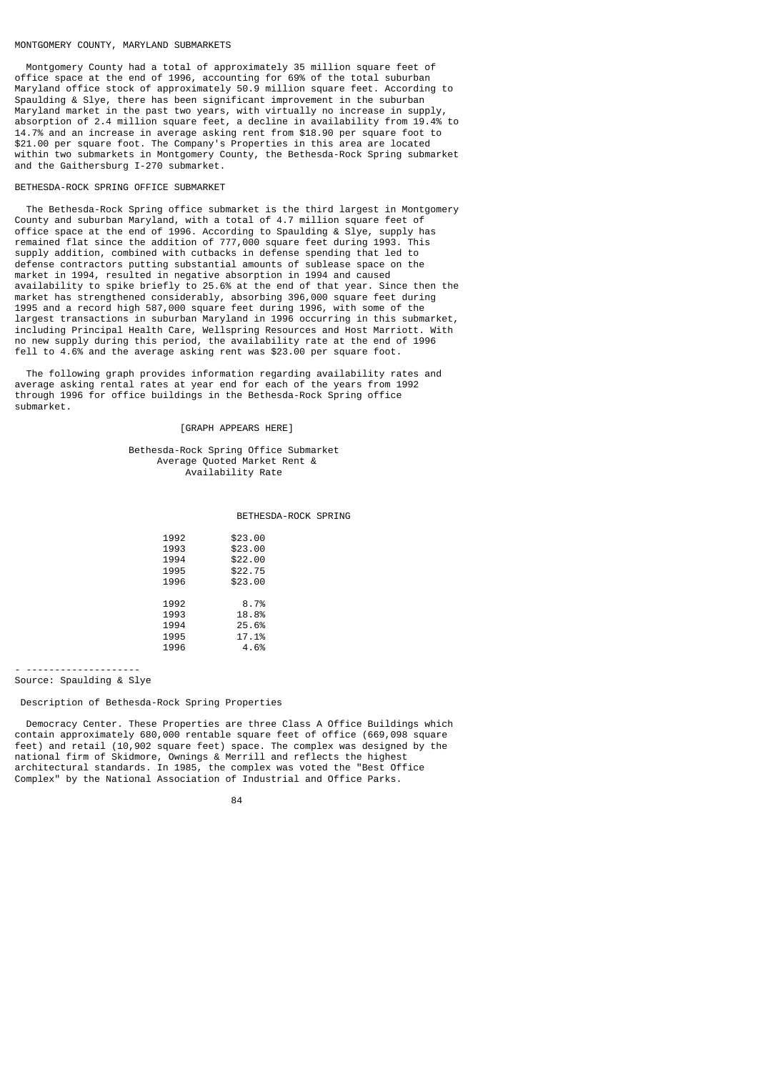#### MONTGOMERY COUNTY, MARYLAND SUBMARKETS

 Montgomery County had a total of approximately 35 million square feet of office space at the end of 1996, accounting for 69% of the total suburban Maryland office stock of approximately 50.9 million square feet. According to Spaulding & Slye, there has been significant improvement in the suburban Maryland market in the past two years, with virtually no increase in supply, absorption of 2.4 million square feet, a decline in availability from 19.4% to 14.7% and an increase in average asking rent from \$18.90 per square foot to \$21.00 per square foot. The Company's Properties in this area are located within two submarkets in Montgomery County, the Bethesda-Rock Spring submarket and the Gaithersburg I-270 submarket.

# BETHESDA-ROCK SPRING OFFICE SUBMARKET

 The Bethesda-Rock Spring office submarket is the third largest in Montgomery County and suburban Maryland, with a total of 4.7 million square feet of office space at the end of 1996. According to Spaulding & Slye, supply has remained flat since the addition of 777,000 square feet during 1993. This supply addition, combined with cutbacks in defense spending that led to defense contractors putting substantial amounts of sublease space on the market in 1994, resulted in negative absorption in 1994 and caused availability to spike briefly to 25.6% at the end of that year. Since then the market has strengthened considerably, absorbing 396,000 square feet during 1995 and a record high 587,000 square feet during 1996, with some of the largest transactions in suburban Maryland in 1996 occurring in this submarket, including Principal Health Care, Wellspring Resources and Host Marriott. With no new supply during this period, the availability rate at the end of 1996 fell to 4.6% and the average asking rent was \$23.00 per square foot.

 The following graph provides information regarding availability rates and average asking rental rates at year end for each of the years from 1992 through 1996 for office buildings in the Bethesda-Rock Spring office submarket.

## [GRAPH APPEARS HERE]

#### Bethesda-Rock Spring Office Submarket Average Quoted Market Rent & Availability Rate

#### BETHESDA-ROCK SPRING

| 1992 | \$23.00 |
|------|---------|
| 1993 | \$23.00 |
| 1994 | \$22.00 |
| 1995 | \$22.75 |
| 1996 | \$23.00 |
|      |         |
| 1992 | 8.7%    |
| 1993 | 18.8%   |
| 1994 | 25.6%   |
| 1995 | 17.1%   |
| 1996 | 4.6%    |
|      |         |

- -------------------- Source: Spaulding & Slye

# Description of Bethesda-Rock Spring Properties

 Democracy Center. These Properties are three Class A Office Buildings which contain approximately 680,000 rentable square feet of office (669,098 square feet) and retail (10,902 square feet) space. The complex was designed by the national firm of Skidmore, Ownings & Merrill and reflects the highest architectural standards. In 1985, the complex was voted the "Best Office Complex" by the National Association of Industrial and Office Parks.

<sup>84</sup> and 2012 and 2013 and 2014 and 2014 and 2014 and 2014 and 2014 and 2014 and 2014 and 2014 and 2014 and 2014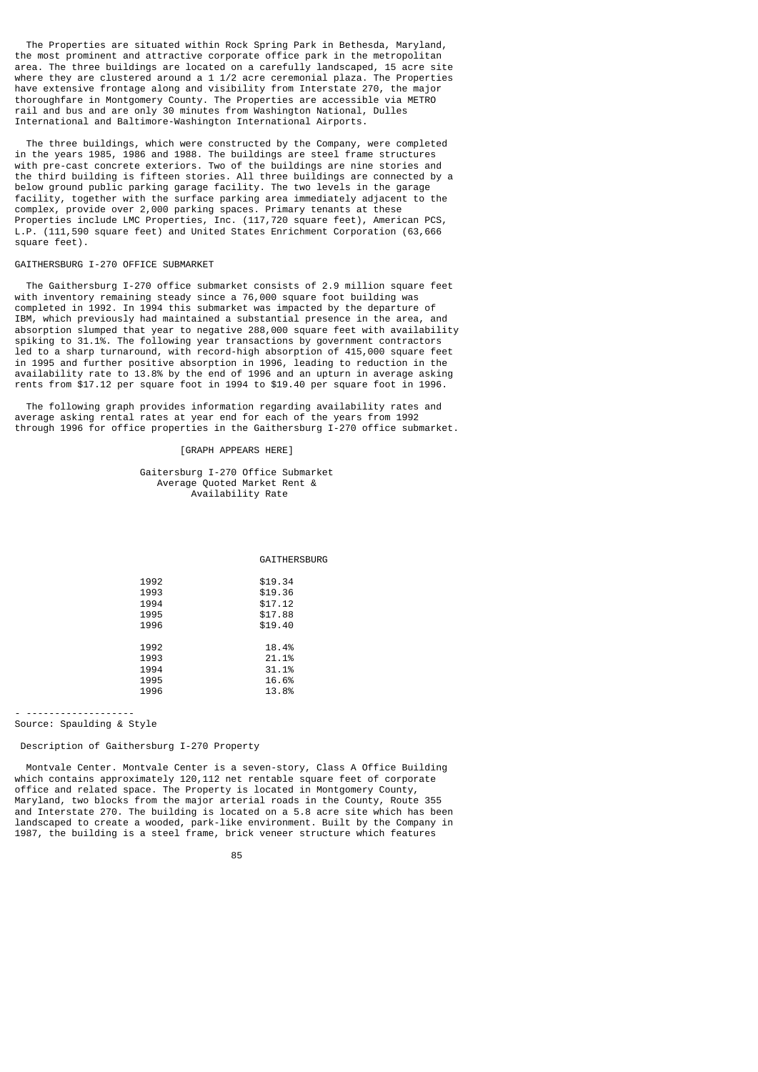The Properties are situated within Rock Spring Park in Bethesda, Maryland, the most prominent and attractive corporate office park in the metropolitan area. The three buildings are located on a carefully landscaped, 15 acre site where they are clustered around a 1 1/2 acre ceremonial plaza. The Properties have extensive frontage along and visibility from Interstate 270, the major thoroughfare in Montgomery County. The Properties are accessible via METRO rail and bus and are only 30 minutes from Washington National, Dulles International and Baltimore-Washington International Airports.

 The three buildings, which were constructed by the Company, were completed in the years 1985, 1986 and 1988. The buildings are steel frame structures with pre-cast concrete exteriors. Two of the buildings are nine stories and the third building is fifteen stories. All three buildings are connected by a below ground public parking garage facility. The two levels in the garage facility, together with the surface parking area immediately adjacent to the complex, provide over 2,000 parking spaces. Primary tenants at these Properties include LMC Properties, Inc. (117,720 square feet), American PCS, L.P. (111,590 square feet) and United States Enrichment Corporation (63,666 square feet).

# GAITHERSBURG I-270 OFFICE SUBMARKET

 The Gaithersburg I-270 office submarket consists of 2.9 million square feet with inventory remaining steady since a 76,000 square foot building was completed in 1992. In 1994 this submarket was impacted by the departure of IBM, which previously had maintained a substantial presence in the area, and absorption slumped that year to negative 288,000 square feet with availability spiking to 31.1%. The following year transactions by government contractors led to a sharp turnaround, with record-high absorption of 415,000 square feet in 1995 and further positive absorption in 1996, leading to reduction in the availability rate to 13.8% by the end of 1996 and an upturn in average asking rents from \$17.12 per square foot in 1994 to \$19.40 per square foot in 1996.

 The following graph provides information regarding availability rates and average asking rental rates at year end for each of the years from 1992 through 1996 for office properties in the Gaithersburg I-270 office submarket.

# [GRAPH APPEARS HERE]

 Gaitersburg I-270 Office Submarket Average Quoted Market Rent & Availability Rate

**GATTHERSBURG** 

| 1992 | \$19.34 |
|------|---------|
| 1993 | \$19.36 |
| 1994 | \$17.12 |
| 1995 | \$17.88 |
| 1996 | \$19.40 |
|      |         |
| 1992 | 18.4%   |
| 1993 | 21.1%   |
| 1994 | 31.1%   |
| 1995 | 16.6%   |
| 1996 | 13.8%   |

- -------------------

# Source: Spaulding & Style

# Description of Gaithersburg I-270 Property

 Montvale Center. Montvale Center is a seven-story, Class A Office Building which contains approximately 120,112 net rentable square feet of corporate office and related space. The Property is located in Montgomery County, Maryland, two blocks from the major arterial roads in the County, Route 355 and Interstate 270. The building is located on a 5.8 acre site which has been landscaped to create a wooded, park-like environment. Built by the Company in 1987, the building is a steel frame, brick veneer structure which features

<u>85 and 200 and 200 and 200 and 200 and 200 and 200 and 200 and 200 and 200 and 200 and 200 and 200 and 200 and 200 and 200 and 200 and 200 and 200 and 200 and 200 and 200 and 200 and 200 and 200 and 200 and 200 and 200 an</u>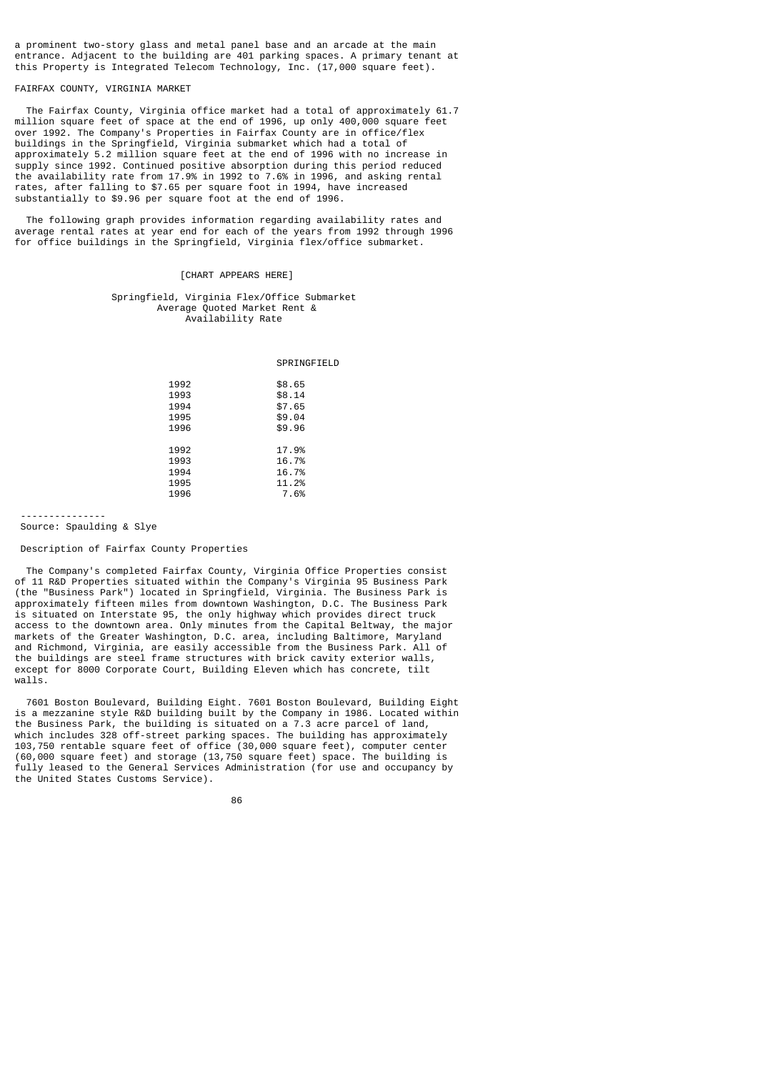a prominent two-story glass and metal panel base and an arcade at the main entrance. Adjacent to the building are 401 parking spaces. A primary tenant at this Property is Integrated Telecom Technology, Inc. (17,000 square feet).

# FAIRFAX COUNTY, VIRGINIA MARKET

 The Fairfax County, Virginia office market had a total of approximately 61.7 million square feet of space at the end of 1996, up only 400,000 square feet over 1992. The Company's Properties in Fairfax County are in office/flex buildings in the Springfield, Virginia submarket which had a total of approximately 5.2 million square feet at the end of 1996 with no increase in supply since 1992. Continued positive absorption during this period reduced the availability rate from 17.9% in 1992 to 7.6% in 1996, and asking rental rates, after falling to \$7.65 per square foot in 1994, have increased substantially to \$9.96 per square foot at the end of 1996.

 The following graph provides information regarding availability rates and average rental rates at year end for each of the years from 1992 through 1996 for office buildings in the Springfield, Virginia flex/office submarket.

# [CHART APPEARS HERE]

# Springfield, Virginia Flex/Office Submarket Average Quoted Market Rent & Availability Rate

SPRINGFIELD

| 1992 | \$8.65 |
|------|--------|
| 1993 | \$8.14 |
| 1994 | \$7.65 |
| 1995 | \$9.04 |
| 1996 | \$9.96 |
|      |        |
| 1992 | 17.9%  |
| 1993 | 16.7%  |
| 1994 | 16.7%  |
| 1995 | 11.2%  |
| 1996 | 7.6%   |
|      |        |

 --------------- Source: Spaulding & Slye

# Description of Fairfax County Properties

 The Company's completed Fairfax County, Virginia Office Properties consist of 11 R&D Properties situated within the Company's Virginia 95 Business Park (the "Business Park") located in Springfield, Virginia. The Business Park is approximately fifteen miles from downtown Washington, D.C. The Business Park is situated on Interstate 95, the only highway which provides direct truck access to the downtown area. Only minutes from the Capital Beltway, the major markets of the Greater Washington, D.C. area, including Baltimore, Maryland and Richmond, Virginia, are easily accessible from the Business Park. All of the buildings are steel frame structures with brick cavity exterior walls, except for 8000 Corporate Court, Building Eleven which has concrete, tilt walls.

 7601 Boston Boulevard, Building Eight. 7601 Boston Boulevard, Building Eight is a mezzanine style R&D building built by the Company in 1986. Located within the Business Park, the building is situated on a 7.3 acre parcel of land, which includes 328 off-street parking spaces. The building has approximately 103,750 rentable square feet of office (30,000 square feet), computer center (60,000 square feet) and storage (13,750 square feet) space. The building is fully leased to the General Services Administration (for use and occupancy by the United States Customs Service).

<u>86 and a three states of the states and a state of the state of the state of the state of the state of the sta</u>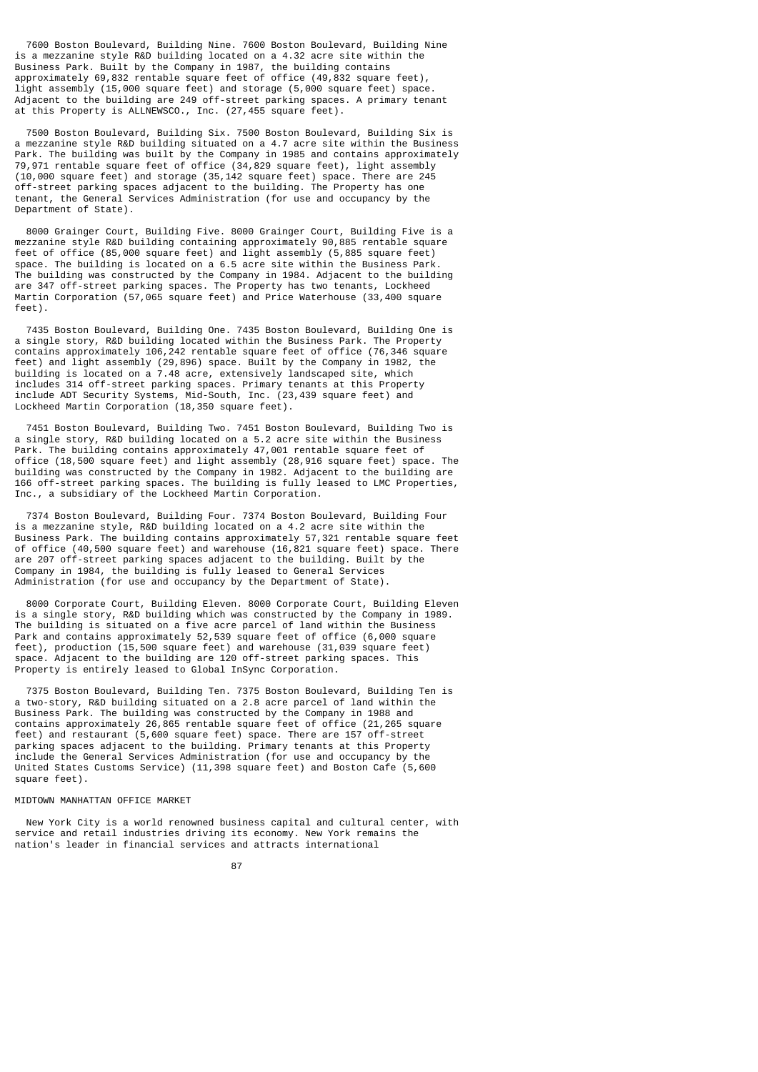7600 Boston Boulevard, Building Nine. 7600 Boston Boulevard, Building Nine is a mezzanine style R&D building located on a 4.32 acre site within the Business Park. Built by the Company in 1987, the building contains approximately 69,832 rentable square feet of office (49,832 square feet), light assembly (15,000 square feet) and storage (5,000 square feet) space. Adjacent to the building are 249 off-street parking spaces. A primary tenant at this Property is ALLNEWSCO., Inc. (27,455 square feet).

 7500 Boston Boulevard, Building Six. 7500 Boston Boulevard, Building Six is a mezzanine style R&D building situated on a 4.7 acre site within the Business Park. The building was built by the Company in 1985 and contains approximately 79,971 rentable square feet of office (34,829 square feet), light assembly (10,000 square feet) and storage (35,142 square feet) space. There are 245 off-street parking spaces adjacent to the building. The Property has one tenant, the General Services Administration (for use and occupancy by the Department of State).

 8000 Grainger Court, Building Five. 8000 Grainger Court, Building Five is a mezzanine style R&D building containing approximately 90,885 rentable square feet of office (85,000 square feet) and light assembly (5,885 square feet) space. The building is located on a 6.5 acre site within the Business Park. The building was constructed by the Company in 1984. Adjacent to the building are 347 off-street parking spaces. The Property has two tenants, Lockheed Martin Corporation (57,065 square feet) and Price Waterhouse (33,400 square feet).

 7435 Boston Boulevard, Building One. 7435 Boston Boulevard, Building One is a single story, R&D building located within the Business Park. The Property contains approximately 106,242 rentable square feet of office (76,346 square feet) and light assembly (29,896) space. Built by the Company in 1982, the building is located on a 7.48 acre, extensively landscaped site, which includes 314 off-street parking spaces. Primary tenants at this Property include ADT Security Systems, Mid-South, Inc. (23,439 square feet) and Lockheed Martin Corporation (18,350 square feet).

 7451 Boston Boulevard, Building Two. 7451 Boston Boulevard, Building Two is a single story, R&D building located on a 5.2 acre site within the Business Park. The building contains approximately 47,001 rentable square feet of office (18,500 square feet) and light assembly (28,916 square feet) space. The building was constructed by the Company in 1982. Adjacent to the building are 166 off-street parking spaces. The building is fully leased to LMC Properties, Inc., a subsidiary of the Lockheed Martin Corporation.

 7374 Boston Boulevard, Building Four. 7374 Boston Boulevard, Building Four is a mezzanine style, R&D building located on a 4.2 acre site within the Business Park. The building contains approximately 57,321 rentable square feet of office (40,500 square feet) and warehouse (16,821 square feet) space. There are 207 off-street parking spaces adjacent to the building. Built by the Company in 1984, the building is fully leased to General Services Administration (for use and occupancy by the Department of State).

 8000 Corporate Court, Building Eleven. 8000 Corporate Court, Building Eleven is a single story, R&D building which was constructed by the Company in 1989. The building is situated on a five acre parcel of land within the Business Park and contains approximately 52,539 square feet of office (6,000 square feet), production (15,500 square feet) and warehouse (31,039 square feet) space. Adjacent to the building are 120 off-street parking spaces. This Property is entirely leased to Global InSync Corporation.

 7375 Boston Boulevard, Building Ten. 7375 Boston Boulevard, Building Ten is a two-story, R&D building situated on a 2.8 acre parcel of land within the Business Park. The building was constructed by the Company in 1988 and contains approximately 26,865 rentable square feet of office (21,265 square feet) and restaurant (5,600 square feet) space. There are 157 off-street parking spaces adjacent to the building. Primary tenants at this Property include the General Services Administration (for use and occupancy by the United States Customs Service) (11,398 square feet) and Boston Cafe (5,600 square feet).

# MIDTOWN MANHATTAN OFFICE MARKET

 New York City is a world renowned business capital and cultural center, with service and retail industries driving its economy. New York remains the nation's leader in financial services and attracts international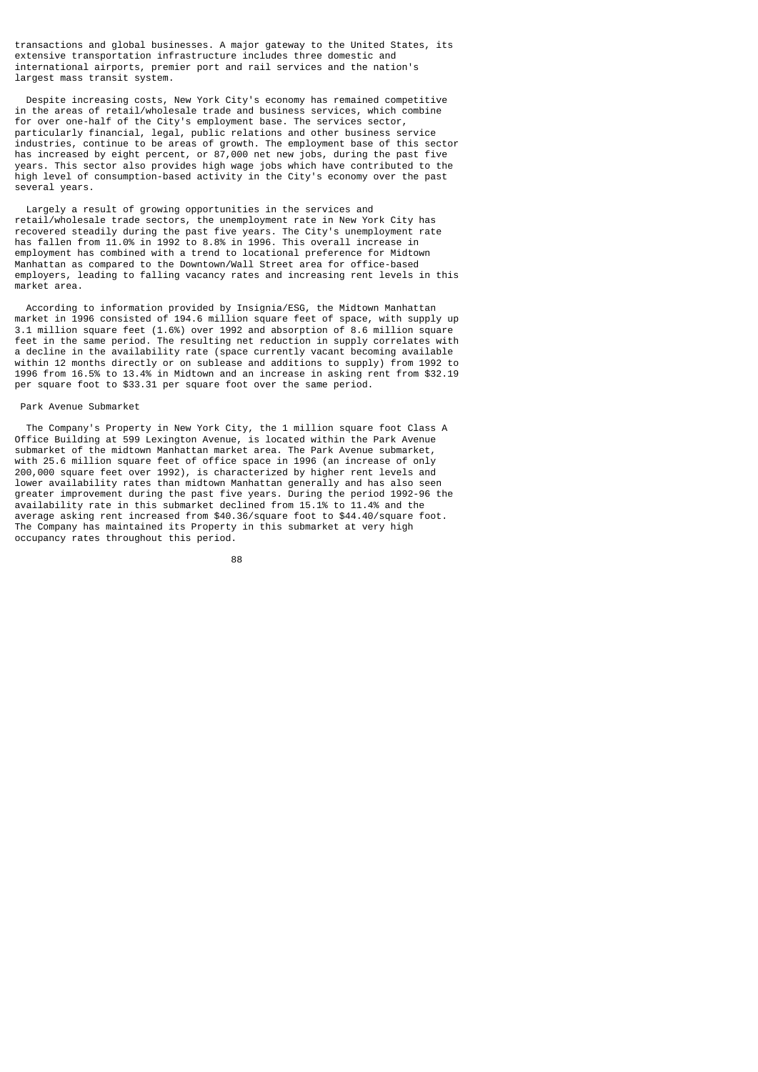transactions and global businesses. A major gateway to the United States, its extensive transportation infrastructure includes three domestic and international airports, premier port and rail services and the nation's largest mass transit system.

 Despite increasing costs, New York City's economy has remained competitive in the areas of retail/wholesale trade and business services, which combine for over one-half of the City's employment base. The services sector, particularly financial, legal, public relations and other business service industries, continue to be areas of growth. The employment base of this sector has increased by eight percent, or 87,000 net new jobs, during the past five years. This sector also provides high wage jobs which have contributed to the high level of consumption-based activity in the City's economy over the past several years.

 Largely a result of growing opportunities in the services and retail/wholesale trade sectors, the unemployment rate in New York City has recovered steadily during the past five years. The City's unemployment rate has fallen from 11.0% in 1992 to 8.8% in 1996. This overall increase in employment has combined with a trend to locational preference for Midtown Manhattan as compared to the Downtown/Wall Street area for office-based employers, leading to falling vacancy rates and increasing rent levels in this market area.

 According to information provided by Insignia/ESG, the Midtown Manhattan market in 1996 consisted of 194.6 million square feet of space, with supply up 3.1 million square feet (1.6%) over 1992 and absorption of 8.6 million square feet in the same period. The resulting net reduction in supply correlates with a decline in the availability rate (space currently vacant becoming available within 12 months directly or on sublease and additions to supply) from 1992 to 1996 from 16.5% to 13.4% in Midtown and an increase in asking rent from \$32.19 per square foot to \$33.31 per square foot over the same period.

#### Park Avenue Submarket

 The Company's Property in New York City, the 1 million square foot Class A Office Building at 599 Lexington Avenue, is located within the Park Avenue submarket of the midtown Manhattan market area. The Park Avenue submarket, with 25.6 million square feet of office space in 1996 (an increase of only 200,000 square feet over 1992), is characterized by higher rent levels and lower availability rates than midtown Manhattan generally and has also seen greater improvement during the past five years. During the period 1992-96 the availability rate in this submarket declined from 15.1% to 11.4% and the average asking rent increased from \$40.36/square foot to \$44.40/square foot. The Company has maintained its Property in this submarket at very high occupancy rates throughout this period.

e a construction de la construction de la construction de la construction de la construction de la constructio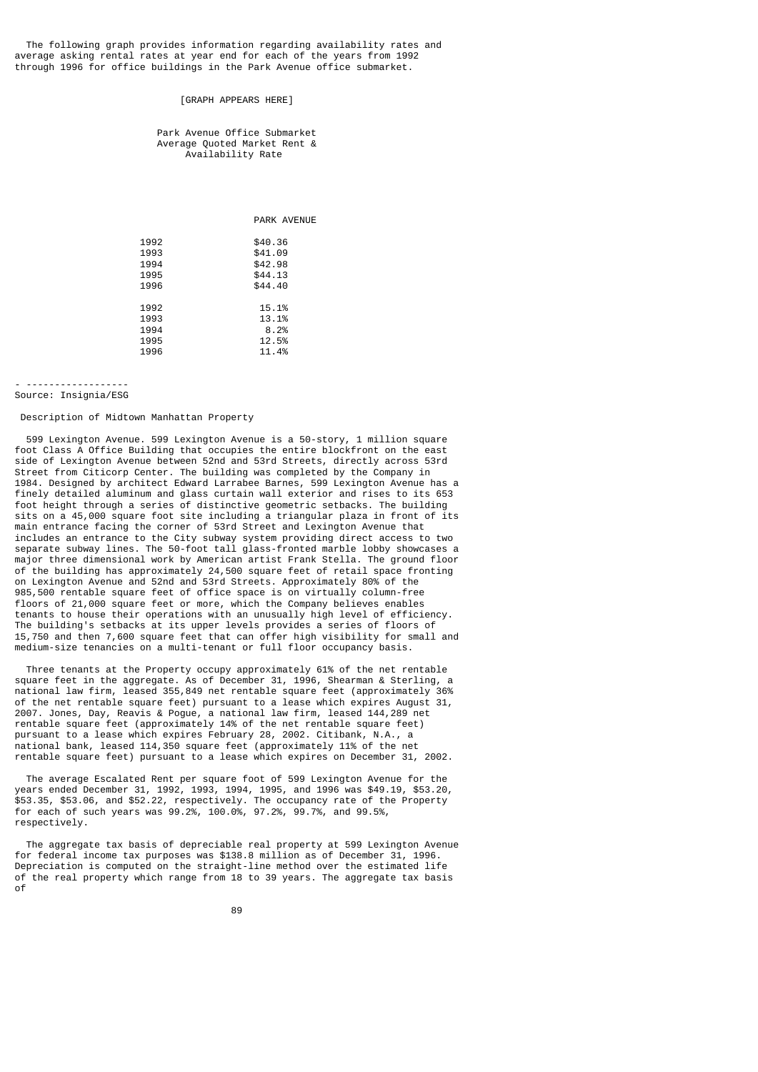The following graph provides information regarding availability rates and average asking rental rates at year end for each of the years from 1992 through 1996 for office buildings in the Park Avenue office submarket.

## [GRAPH APPEARS HERE]

#### Park Avenue Office Submarket Average Quoted Market Rent & Availability Rate

|  | <b>PARK AVENUE</b> |
|--|--------------------|
|  |                    |

| 1992 | \$40.36 |
|------|---------|
| 1993 | \$41.09 |
| 1994 | \$42.98 |
| 1995 | \$44.13 |
| 1996 | \$44.40 |
|      |         |
| 1992 | 15.1%   |
| 1993 | 13.1%   |
| 1994 | 8.2%    |
| 1995 | 12.5%   |
| 1996 | 11.4%   |
|      |         |

# - ------------------

# Source: Insignia/ESG

# Description of Midtown Manhattan Property

 599 Lexington Avenue. 599 Lexington Avenue is a 50-story, 1 million square foot Class A Office Building that occupies the entire blockfront on the east side of Lexington Avenue between 52nd and 53rd Streets, directly across 53rd Street from Citicorp Center. The building was completed by the Company in 1984. Designed by architect Edward Larrabee Barnes, 599 Lexington Avenue has a finely detailed aluminum and glass curtain wall exterior and rises to its 653 foot height through a series of distinctive geometric setbacks. The building sits on a 45,000 square foot site including a triangular plaza in front of its main entrance facing the corner of 53rd Street and Lexington Avenue that includes an entrance to the City subway system providing direct access to two separate subway lines. The 50-foot tall glass-fronted marble lobby showcases a major three dimensional work by American artist Frank Stella. The ground floor of the building has approximately 24,500 square feet of retail space fronting on Lexington Avenue and 52nd and 53rd Streets. Approximately 80% of the 985,500 rentable square feet of office space is on virtually column-free floors of 21,000 square feet or more, which the Company believes enables tenants to house their operations with an unusually high level of efficiency. The building's setbacks at its upper levels provides a series of floors of 15,750 and then 7,600 square feet that can offer high visibility for small and medium-size tenancies on a multi-tenant or full floor occupancy basis.

 Three tenants at the Property occupy approximately 61% of the net rentable square feet in the aggregate. As of December 31, 1996, Shearman & Sterling, a national law firm, leased 355,849 net rentable square feet (approximately 36% of the net rentable square feet) pursuant to a lease which expires August 31, 2007. Jones, Day, Reavis & Pogue, a national law firm, leased 144,289 net rentable square feet (approximately 14% of the net rentable square feet) pursuant to a lease which expires February 28, 2002. Citibank, N.A., a national bank, leased 114,350 square feet (approximately 11% of the net rentable square feet) pursuant to a lease which expires on December 31, 2002.

 The average Escalated Rent per square foot of 599 Lexington Avenue for the years ended December 31, 1992, 1993, 1994, 1995, and 1996 was \$49.19, \$53.20, \$53.35, \$53.06, and \$52.22, respectively. The occupancy rate of the Property for each of such years was 99.2%, 100.0%, 97.2%, 99.7%, and 99.5%, respectively.

 The aggregate tax basis of depreciable real property at 599 Lexington Avenue for federal income tax purposes was \$138.8 million as of December 31, 1996. Depreciation is computed on the straight-line method over the estimated life of the real property which range from 18 to 39 years. The aggregate tax basis of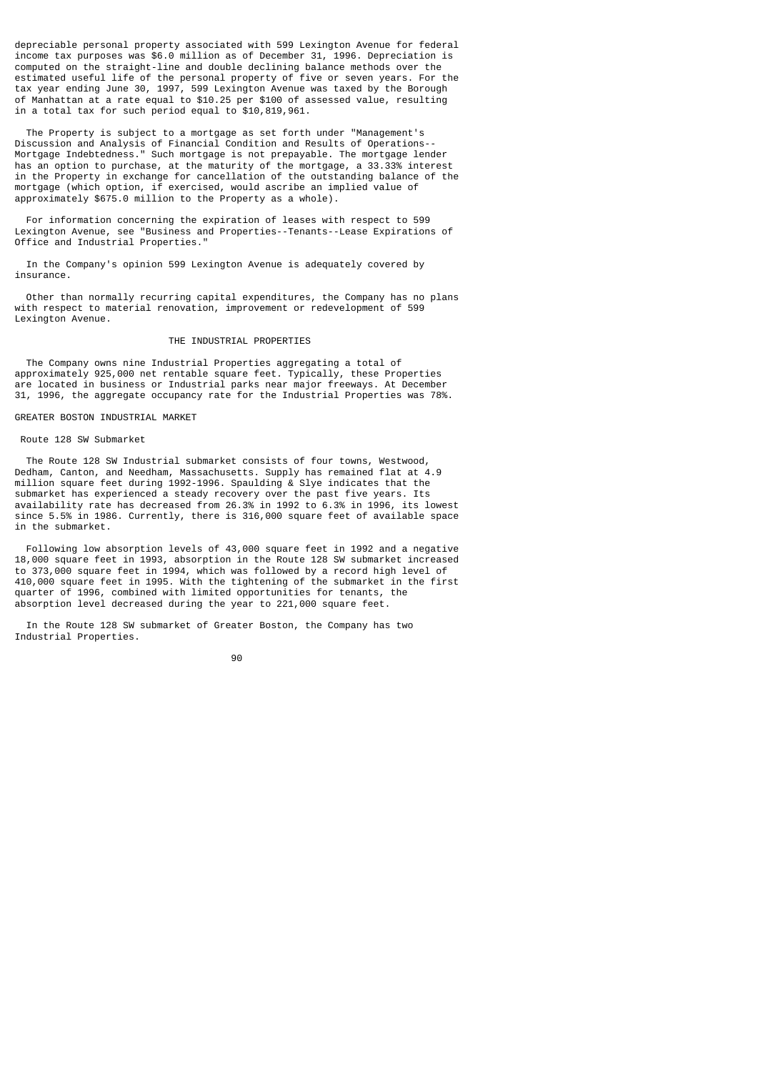depreciable personal property associated with 599 Lexington Avenue for federal income tax purposes was \$6.0 million as of December 31, 1996. Depreciation is computed on the straight-line and double declining balance methods over the estimated useful life of the personal property of five or seven years. For the tax year ending June 30, 1997, 599 Lexington Avenue was taxed by the Borough of Manhattan at a rate equal to \$10.25 per \$100 of assessed value, resulting in a total tax for such period equal to \$10,819,961.

 The Property is subject to a mortgage as set forth under "Management's Discussion and Analysis of Financial Condition and Results of Operations-- Mortgage Indebtedness." Such mortgage is not prepayable. The mortgage lender has an option to purchase, at the maturity of the mortgage, a 33.33% interest in the Property in exchange for cancellation of the outstanding balance of the mortgage (which option, if exercised, would ascribe an implied value of approximately \$675.0 million to the Property as a whole).

 For information concerning the expiration of leases with respect to 599 Lexington Avenue, see "Business and Properties--Tenants--Lease Expirations of Office and Industrial Properties."

 In the Company's opinion 599 Lexington Avenue is adequately covered by insurance.

 Other than normally recurring capital expenditures, the Company has no plans with respect to material renovation, improvement or redevelopment of 599 Lexington Avenue.

# THE INDUSTRIAL PROPERTIES

 The Company owns nine Industrial Properties aggregating a total of approximately 925,000 net rentable square feet. Typically, these Properties are located in business or Industrial parks near major freeways. At December 31, 1996, the aggregate occupancy rate for the Industrial Properties was 78%.

## GREATER BOSTON INDUSTRIAL MARKET

# Route 128 SW Submarket

 The Route 128 SW Industrial submarket consists of four towns, Westwood, Dedham, Canton, and Needham, Massachusetts. Supply has remained flat at 4.9 million square feet during 1992-1996. Spaulding  $\&$  Slye indicates that the submarket has experienced a steady recovery over the past five years. Its availability rate has decreased from 26.3% in 1992 to 6.3% in 1996, its lowest since 5.5% in 1986. Currently, there is 316,000 square feet of available space in the submarket.

 Following low absorption levels of 43,000 square feet in 1992 and a negative 18,000 square feet in 1993, absorption in the Route 128 SW submarket increased to 373,000 square feet in 1994, which was followed by a record high level of 410,000 square feet in 1995. With the tightening of the submarket in the first quarter of 1996, combined with limited opportunities for tenants, the absorption level decreased during the year to 221,000 square feet.

 In the Route 128 SW submarket of Greater Boston, the Company has two Industrial Properties.

e de la construcción de la construcción de la construcción de la construcción de la construcción de la constru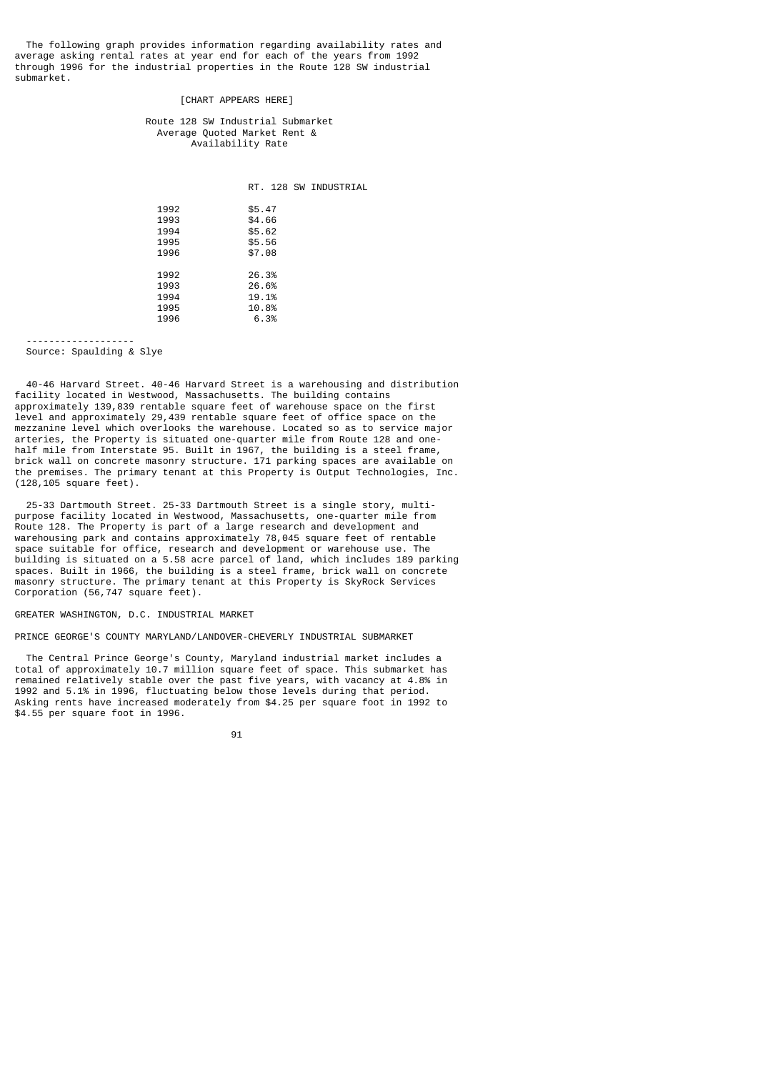The following graph provides information regarding availability rates and average asking rental rates at year end for each of the years from 1992 through 1996 for the industrial properties in the Route 128 SW industrial submarket.

#### [CHART APPEARS HERE]

 Route 128 SW Industrial Submarket Average Quoted Market Rent & Availability Rate

RT. 128 SW INDUSTRIAL

| 1992<br>1993<br>1994<br>1995<br>1996 | \$5.47<br>\$4,66<br>\$5.62<br>\$5.56<br>\$7.08 |
|--------------------------------------|------------------------------------------------|
| 1992<br>1993<br>1994<br>1995<br>1996 | 26.3%<br>26.6%<br>19.1%<br>10.8%<br>6.3%       |

-------------------

# Source: Spaulding & Slye

 40-46 Harvard Street. 40-46 Harvard Street is a warehousing and distribution facility located in Westwood, Massachusetts. The building contains approximately 139,839 rentable square feet of warehouse space on the first level and approximately 29,439 rentable square feet of office space on the mezzanine level which overlooks the warehouse. Located so as to service major arteries, the Property is situated one-quarter mile from Route 128 and onehalf mile from Interstate 95. Built in 1967, the building is a steel frame, hard mass from ancorescence of the structure. 171 parking spaces are available on the premises. The primary tenant at this Property is Output Technologies, Inc. (128,105 square feet).

 25-33 Dartmouth Street. 25-33 Dartmouth Street is a single story, multipurpose facility located in Westwood, Massachusetts, one-quarter mile from Route 128. The Property is part of a large research and development and warehousing park and contains approximately 78,045 square feet of rentable space suitable for office, research and development or warehouse use. The building is situated on a 5.58 acre parcel of land, which includes 189 parking spaces. Built in 1966, the building is a steel frame, brick wall on concrete masonry structure. The primary tenant at this Property is SkyRock Services Corporation (56,747 square feet).

# GREATER WASHINGTON, D.C. INDUSTRIAL MARKET

# PRINCE GEORGE'S COUNTY MARYLAND/LANDOVER-CHEVERLY INDUSTRIAL SUBMARKET

 The Central Prince George's County, Maryland industrial market includes a total of approximately 10.7 million square feet of space. This submarket has remained relatively stable over the past five years, with vacancy at 4.8% in 1992 and 5.1% in 1996, fluctuating below those levels during that period. Asking rents have increased moderately from \$4.25 per square foot in 1992 to \$4.55 per square foot in 1996.

91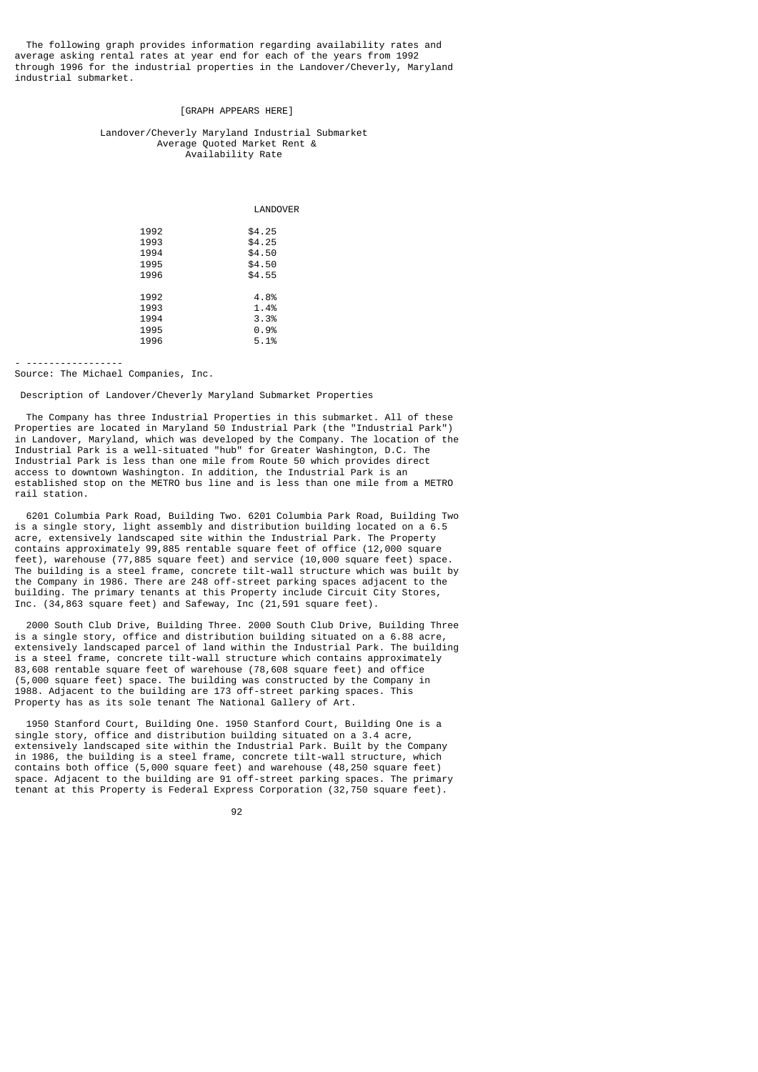The following graph provides information regarding availability rates and average asking rental rates at year end for each of the years from 1992 through 1996 for the industrial properties in the Landover/Cheverly, Maryland industrial submarket.

# [GRAPH APPEARS HERE]

#### Landover/Cheverly Maryland Industrial Submarket Average Quoted Market Rent & Availability Rate

LANDOVER

| 1992 | \$4.25 |
|------|--------|
| 1993 | \$4.25 |
| 1994 | \$4.50 |
| 1995 | \$4.50 |
| 1996 | \$4.55 |
|      |        |
| 1992 | 4.8%   |
| 1993 | 1.4%   |
| 1994 | 3.3%   |
| 1995 | 0.9%   |
| 1996 | 5.1%   |
|      |        |

- -----------------

Source: The Michael Companies, Inc.

Description of Landover/Cheverly Maryland Submarket Properties

 The Company has three Industrial Properties in this submarket. All of these Properties are located in Maryland 50 Industrial Park (the "Industrial Park") in Landover, Maryland, which was developed by the Company. The location of the Industrial Park is a well-situated "hub" for Greater Washington, D.C. The Industrial Park is less than one mile from Route 50 which provides direct access to downtown Washington. In addition, the Industrial Park is an established stop on the METRO bus line and is less than one mile from a METRO rail station.

 6201 Columbia Park Road, Building Two. 6201 Columbia Park Road, Building Two is a single story, light assembly and distribution building located on a 6.5 acre, extensively landscaped site within the Industrial Park. The Property contains approximately 99,885 rentable square feet of office (12,000 square feet), warehouse (77,885 square feet) and service (10,000 square feet) space. The building is a steel frame, concrete tilt-wall structure which was built by the Company in 1986. There are 248 off-street parking spaces adjacent to the building. The primary tenants at this Property include Circuit City Stores, Inc. (34,863 square feet) and Safeway, Inc (21,591 square feet).

 2000 South Club Drive, Building Three. 2000 South Club Drive, Building Three is a single story, office and distribution building situated on a 6.88 acre, extensively landscaped parcel of land within the Industrial Park. The building is a steel frame, concrete tilt-wall structure which contains approximately 83,608 rentable square feet of warehouse (78,608 square feet) and office (5,000 square feet) space. The building was constructed by the Company in 1988. Adjacent to the building are 173 off-street parking spaces. This Property has as its sole tenant The National Gallery of Art.

 1950 Stanford Court, Building One. 1950 Stanford Court, Building One is a single story, office and distribution building situated on a 3.4 acre, extensively landscaped site within the Industrial Park. Built by the Company in 1986, the building is a steel frame, concrete tilt-wall structure, which contains both office (5,000 square feet) and warehouse (48,250 square feet) space. Adjacent to the building are 91 off-street parking spaces. The primary tenant at this Property is Federal Express Corporation (32,750 square feet).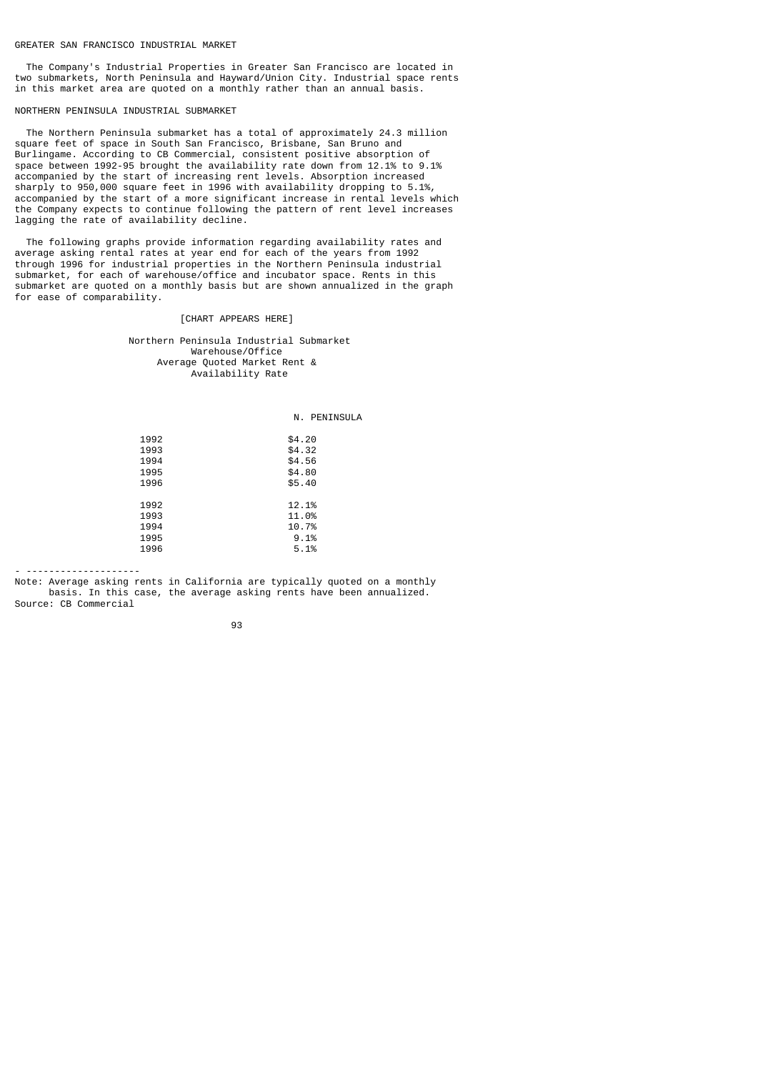#### GREATER SAN FRANCISCO INDUSTRIAL MARKET

 The Company's Industrial Properties in Greater San Francisco are located in two submarkets, North Peninsula and Hayward/Union City. Industrial space rents in this market area are quoted on a monthly rather than an annual basis.

NORTHERN PENINSULA INDUSTRIAL SUBMARKET

 The Northern Peninsula submarket has a total of approximately 24.3 million square feet of space in South San Francisco, Brisbane, San Bruno and Burlingame. According to CB Commercial, consistent positive absorption of space between 1992-95 brought the availability rate down from 12.1% to 9.1% accompanied by the start of increasing rent levels. Absorption increased sharply to 950,000 square feet in 1996 with availability dropping to 5.1%, accompanied by the start of a more significant increase in rental levels which the Company expects to continue following the pattern of rent level increases lagging the rate of availability decline.

 The following graphs provide information regarding availability rates and average asking rental rates at year end for each of the years from 1992 through 1996 for industrial properties in the Northern Peninsula industrial submarket, for each of warehouse/office and incubator space. Rents in this submarket are quoted on a monthly basis but are shown annualized in the graph for ease of comparability.

# [CHART APPEARS HERE]

 Northern Peninsula Industrial Submarket Warehouse/Office Average Quoted Market Rent & Availability Rate

#### N. PENINSULA

| 1992 | \$4.20 |
|------|--------|
| 1993 | \$4.32 |
| 1994 | \$4.56 |
| 1995 | \$4.80 |
| 1996 | \$5.40 |
|      |        |
| 1992 | 12.1%  |
| 1993 | 11.0%  |
| 1994 | 10.7%  |
| 1995 | 9.1%   |
| 1996 | 5.1%   |
|      |        |

- --------------------

Note: Average asking rents in California are typically quoted on a monthly basis. In this case, the average asking rents have been annualized. Source: CB Commercial

93 - Paul Barbara, poeta e a poeta e a 1930 - Paul Barbara, poeta e a 1930 - Paul Barbara, poeta e a 1930 - Pa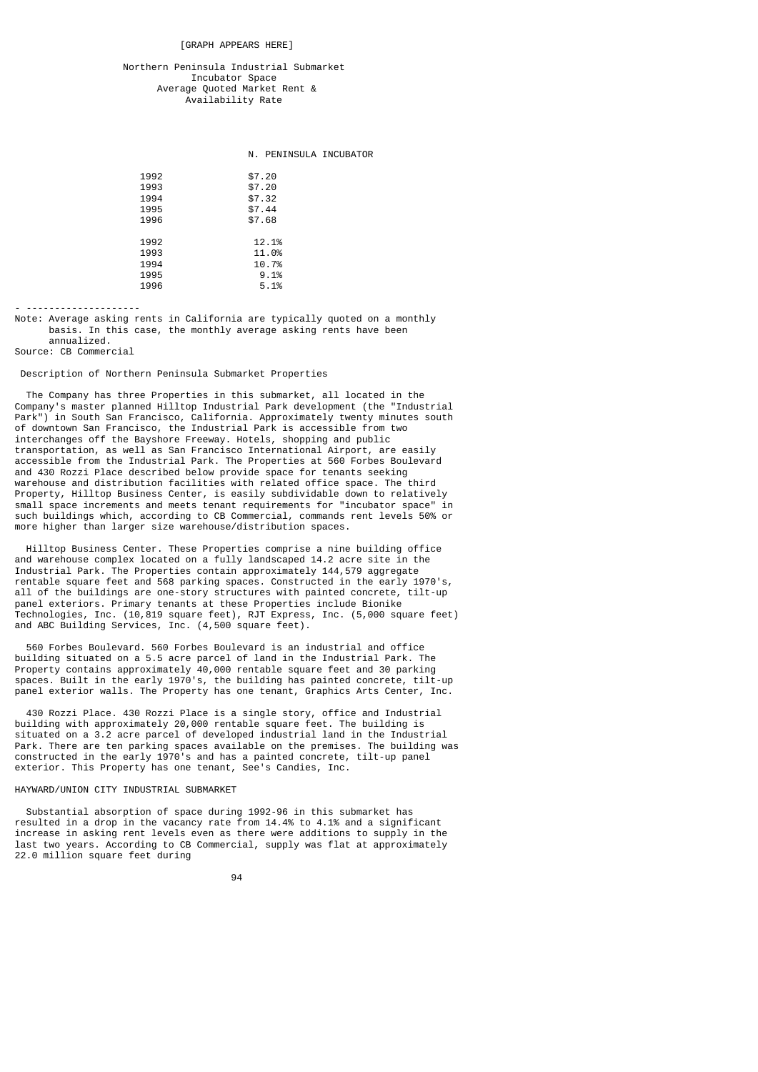[GRAPH APPEARS HERE]

# Northern Peninsula Industrial Submarket Incubator Space Average Quoted Market Rent & Availability Rate

# N. PENINSULA INCUBATOR

| \$7.20 |
|--------|
| \$7.20 |
| \$7.32 |
| \$7.44 |
| \$7.68 |
|        |
| 12.1%  |
| 11.0%  |
| 10.7%  |
| 9.1%   |
| 5.1%   |
|        |

- --------------------

Note: Average asking rents in California are typically quoted on a monthly basis. In this case, the monthly average asking rents have been annualized.

Source: CB Commercial

#### Description of Northern Peninsula Submarket Properties

 The Company has three Properties in this submarket, all located in the Company's master planned Hilltop Industrial Park development (the "Industrial Park") in South San Francisco, California. Approximately twenty minutes south of downtown San Francisco, the Industrial Park is accessible from two interchanges off the Bayshore Freeway. Hotels, shopping and public transportation, as well as San Francisco International Airport, are easily accessible from the Industrial Park. The Properties at 560 Forbes Boulevard and 430 Rozzi Place described below provide space for tenants seeking warehouse and distribution facilities with related office space. The third Property, Hilltop Business Center, is easily subdividable down to relatively small space increments and meets tenant requirements for "incubator space" in such buildings which, according to CB Commercial, commands rent levels 50% or more higher than larger size warehouse/distribution spaces.

 Hilltop Business Center. These Properties comprise a nine building office and warehouse complex located on a fully landscaped 14.2 acre site in the Industrial Park. The Properties contain approximately 144,579 aggregate rentable square feet and 568 parking spaces. Constructed in the early 1970's, all of the buildings are one-story structures with painted concrete, tilt-up panel exteriors. Primary tenants at these Properties include Bionike Technologies, Inc. (10,819 square feet), RJT Express, Inc. (5,000 square feet) and ABC Building Services, Inc. (4,500 square feet).

 560 Forbes Boulevard. 560 Forbes Boulevard is an industrial and office building situated on a 5.5 acre parcel of land in the Industrial Park. The Property contains approximately 40,000 rentable square feet and 30 parking spaces. Built in the early 1970's, the building has painted concrete, tilt-up panel exterior walls. The Property has one tenant, Graphics Arts Center, Inc.

 430 Rozzi Place. 430 Rozzi Place is a single story, office and Industrial building with approximately 20,000 rentable square feet. The building is situated on a 3.2 acre parcel of developed industrial land in the Industrial Park. There are ten parking spaces available on the premises. The building was constructed in the early 1970's and has a painted concrete, tilt-up panel exterior. This Property has one tenant, See's Candies, Inc.

# HAYWARD/UNION CITY INDUSTRIAL SUBMARKET

 Substantial absorption of space during 1992-96 in this submarket has resulted in a drop in the vacancy rate from 14.4% to 4.1% and a significant increase in asking rent levels even as there were additions to supply in the last two years. According to CB Commercial, supply was flat at approximately 22.0 million square feet during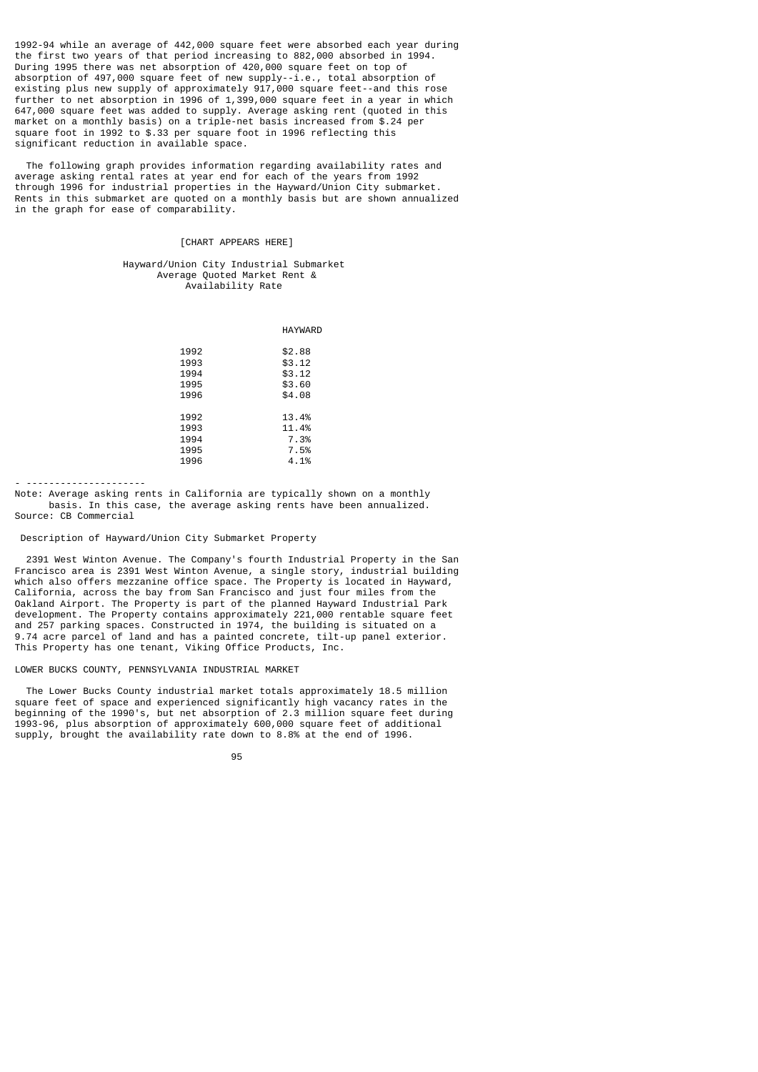1992-94 while an average of 442,000 square feet were absorbed each year during the first two years of that period increasing to 882,000 absorbed in 1994. During 1995 there was net absorption of 420,000 square feet on top of absorption of 497,000 square feet of new supply--i.e., total absorption of existing plus new supply of approximately 917,000 square feet--and this rose further to net absorption in 1996 of 1,399,000 square feet in a year in which 647,000 square feet was added to supply. Average asking rent (quoted in this market on a monthly basis) on a triple-net basis increased from \$.24 per square foot in 1992 to \$.33 per square foot in 1996 reflecting this significant reduction in available space.

 The following graph provides information regarding availability rates and average asking rental rates at year end for each of the years from 1992 through 1996 for industrial properties in the Hayward/Union City submarket. Rents in this submarket are quoted on a monthly basis but are shown annualized in the graph for ease of comparability.

# [CHART APPEARS HERE]

# Hayward/Union City Industrial Submarket Average Quoted Market Rent & Availability Rate

|      | <b>HAYWARD</b> |
|------|----------------|
| 1992 | \$2.88         |
| 1993 | \$3.12         |
| 1994 | \$3.12         |
| 1995 | \$3.60         |
| 1996 | \$4.08         |
|      |                |
| 1992 | 13.4%          |
| 1993 | 11.4%          |
| 1994 | 7.3%           |
| 1995 | 7.5%           |
| 1996 | 4.1%           |
|      |                |

- ---------------------

Note: Average asking rents in California are typically shown on a monthly basis. In this case, the average asking rents have been annualized. Source: CB Commercial

Description of Hayward/Union City Submarket Property

 2391 West Winton Avenue. The Company's fourth Industrial Property in the San Francisco area is 2391 West Winton Avenue, a single story, industrial building which also offers mezzanine office space. The Property is located in Hayward, California, across the bay from San Francisco and just four miles from the Oakland Airport. The Property is part of the planned Hayward Industrial Park development. The Property contains approximately 221,000 rentable square feet and 257 parking spaces. Constructed in 1974, the building is situated on a 9.74 acre parcel of land and has a painted concrete, tilt-up panel exterior. This Property has one tenant, Viking Office Products, Inc.

# LOWER BUCKS COUNTY, PENNSYLVANIA INDUSTRIAL MARKET

 The Lower Bucks County industrial market totals approximately 18.5 million square feet of space and experienced significantly high vacancy rates in the beginning of the 1990's, but net absorption of 2.3 million square feet during 1993-96, plus absorption of approximately 600,000 square feet of additional supply, brought the availability rate down to 8.8% at the end of 1996.

e de la construcción de la construcción de la construcción de la construcción de la construcción de la constru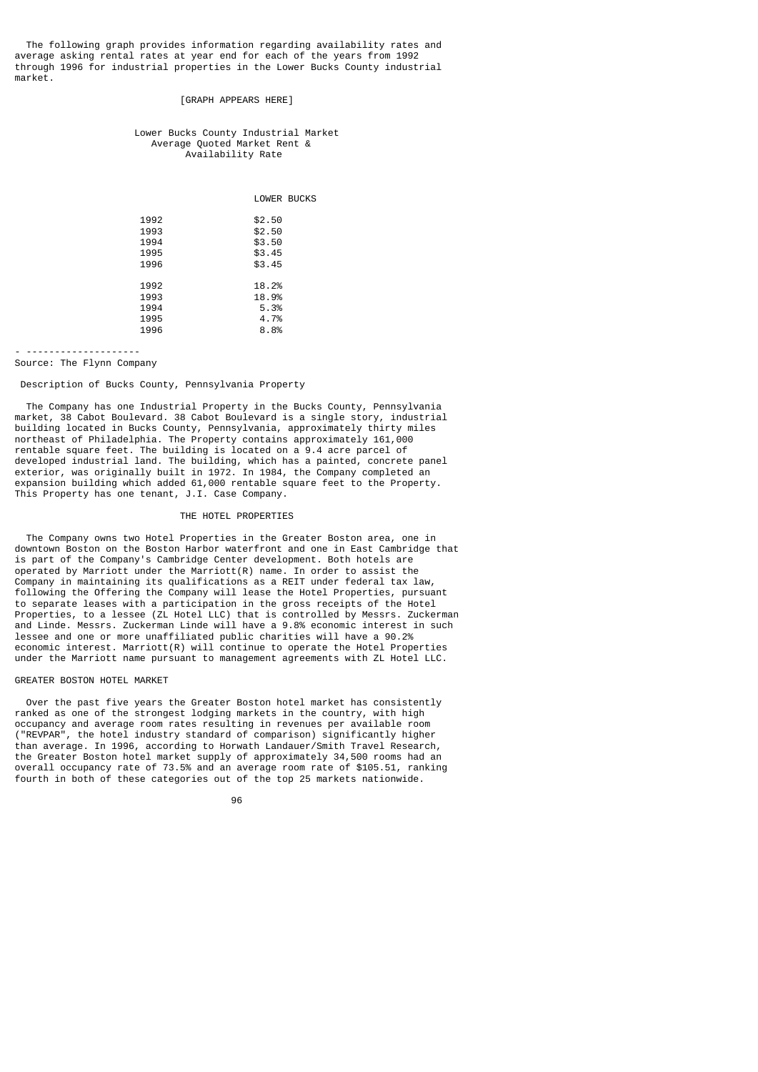The following graph provides information regarding availability rates and average asking rental rates at year end for each of the years from 1992 through 1996 for industrial properties in the Lower Bucks County industrial market.

# [GRAPH APPEARS HERE]

#### Lower Bucks County Industrial Market Average Quoted Market Rent & Availability Rate

|                | LOWER BUCKS |
|----------------|-------------|
|                |             |
| \$2.50<br>1992 |             |
| 1993<br>\$2.50 |             |
| \$3.50<br>1994 |             |
| 1995<br>\$3.45 |             |
| \$3.45<br>1996 |             |
|                |             |
| 1992<br>18.2%  |             |
| 1993<br>18.9%  |             |
| 1994<br>5.3%   |             |
| 1995<br>4.7%   |             |
| 1996<br>8.8%   |             |

- -------------------- Source: The Flynn Company

Description of Bucks County, Pennsylvania Property

 The Company has one Industrial Property in the Bucks County, Pennsylvania market, 38 Cabot Boulevard. 38 Cabot Boulevard is a single story, industrial building located in Bucks County, Pennsylvania, approximately thirty miles northeast of Philadelphia. The Property contains approximately 161,000 rentable square feet. The building is located on a 9.4 acre parcel of developed industrial land. The building, which has a painted, concrete panel exterior, was originally built in 1972. In 1984, the Company completed an expansion building which added 61,000 rentable square feet to the Property. This Property has one tenant, J.I. Case Company.

# THE HOTEL PROPERTIES

 The Company owns two Hotel Properties in the Greater Boston area, one in downtown Boston on the Boston Harbor waterfront and one in East Cambridge that is part of the Company's Cambridge Center development. Both hotels are operated by Marriott under the Marriott $(R)$  name. In order to assist the Company in maintaining its qualifications as a REIT under federal tax law, following the Offering the Company will lease the Hotel Properties, pursuant to separate leases with a participation in the gross receipts of the Hotel Properties, to a lessee (ZL Hotel LLC) that is controlled by Messrs. Zuckerman and Linde. Messrs. Zuckerman Linde will have a 9.8% economic interest in such lessee and one or more unaffiliated public charities will have a 90.2% economic interest. Marriott(R) will continue to operate the Hotel Properties under the Marriott name pursuant to management agreements with ZL Hotel LLC.

#### GREATER BOSTON HOTEL MARKET

 Over the past five years the Greater Boston hotel market has consistently ranked as one of the strongest lodging markets in the country, with high occupancy and average room rates resulting in revenues per available room ("REVPAR", the hotel industry standard of comparison) significantly higher than average. In 1996, according to Horwath Landauer/Smith Travel Research, the Greater Boston hotel market supply of approximately 34,500 rooms had an overall occupancy rate of 73.5% and an average room rate of \$105.51, ranking fourth in both of these categories out of the top 25 markets nationwide.

<u>96 - Johann Stein, amerikan sebagai pengaran sebagai pengaran sebagai pengaran sebagai pengaran sebagai penga</u>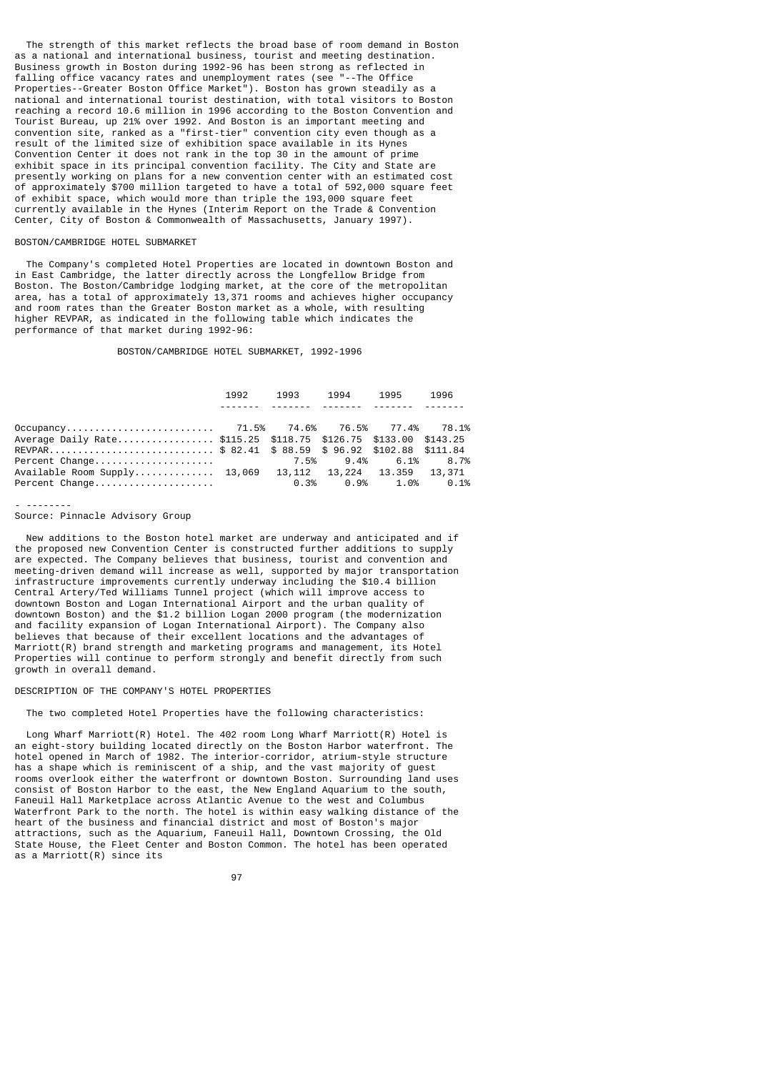The strength of this market reflects the broad base of room demand in Boston as a national and international business, tourist and meeting destination. Business growth in Boston during 1992-96 has been strong as reflected in falling office vacancy rates and unemployment rates (see "--The Office Properties--Greater Boston Office Market"). Boston has grown steadily as a national and international tourist destination, with total visitors to Boston reaching a record 10.6 million in 1996 according to the Boston Convention and Tourist Bureau, up 21% over 1992. And Boston is an important meeting and convention site, ranked as a "first-tier" convention city even though as a result of the limited size of exhibition space available in its Hynes Convention Center it does not rank in the top 30 in the amount of prime exhibit space in its principal convention facility. The City and State are presently working on plans for a new convention center with an estimated cost of approximately \$700 million targeted to have a total of 592,000 square feet of exhibit space, which would more than triple the 193,000 square feet currently available in the Hynes (Interim Report on the Trade & Convention Center, City of Boston & Commonwealth of Massachusetts, January 1997).

# BOSTON/CAMBRIDGE HOTEL SUBMARKET

 The Company's completed Hotel Properties are located in downtown Boston and in East Cambridge, the latter directly across the Longfellow Bridge from Boston. The Boston/Cambridge lodging market, at the core of the metropolitan area, has a total of approximately 13,371 rooms and achieves higher occupancy and room rates than the Greater Boston market as a whole, with resulting higher REVPAR, as indicated in the following table which indicates the performance of that market during 1992-96:

#### BOSTON/CAMBRIDGE HOTEL SUBMARKET, 1992-1996

|                                                                | 1992 |                                                                                                                       | 1993 1994 1995 | 1996                            |
|----------------------------------------------------------------|------|-----------------------------------------------------------------------------------------------------------------------|----------------|---------------------------------|
|                                                                |      | <u> 1999-1998 - 1999-1998 - 1999-1999 - 1999-1999 - 1999-1999 - 1999-1999 - 1999-1999 - 1999-1999 - 1999-1999 - 1</u> |                |                                 |
|                                                                |      |                                                                                                                       |                |                                 |
| Average Daily Rate\$115.25 \$118.75 \$126.75 \$133.00 \$143.25 |      |                                                                                                                       |                |                                 |
| REVPAR\$ 82.41 \$ 88.59 \$ 96.92 \$102.88 \$111.84             |      |                                                                                                                       |                |                                 |
|                                                                |      |                                                                                                                       |                |                                 |
| Available Room Supply 13,069  13,112  13,224  13.359  13,371   |      |                                                                                                                       |                |                                 |
| Percent Change                                                 |      |                                                                                                                       |                | $0.3\%$ $0.9\%$ $1.0\%$ $0.1\%$ |

#### - --------

#### Source: Pinnacle Advisory Group

 New additions to the Boston hotel market are underway and anticipated and if the proposed new Convention Center is constructed further additions to supply are expected. The Company believes that business, tourist and convention and meeting-driven demand will increase as well, supported by major transportation infrastructure improvements currently underway including the \$10.4 billion Central Artery/Ted Williams Tunnel project (which will improve access to downtown Boston and Logan International Airport and the urban quality of downtown Boston) and the \$1.2 billion Logan 2000 program (the modernization and facility expansion of Logan International Airport). The Company also believes that because of their excellent locations and the advantages of Marriott(R) brand strength and marketing programs and management, its Hotel Properties will continue to perform strongly and benefit directly from such growth in overall demand.

# DESCRIPTION OF THE COMPANY'S HOTEL PROPERTIES

#### The two completed Hotel Properties have the following characteristics:

 Long Wharf Marriott(R) Hotel. The 402 room Long Wharf Marriott(R) Hotel is an eight-story building located directly on the Boston Harbor waterfront. The hotel opened in March of 1982. The interior-corridor, atrium-style structure has a shape which is reminiscent of a ship, and the vast majority of guest rooms overlook either the waterfront or downtown Boston. Surrounding land uses consist of Boston Harbor to the east, the New England Aquarium to the south, Faneuil Hall Marketplace across Atlantic Avenue to the west and Columbus Waterfront Park to the north. The hotel is within easy walking distance of the heart of the business and financial district and most of Boston's major attractions, such as the Aquarium, Faneuil Hall, Downtown Crossing, the Old State House, the Fleet Center and Boston Common. The hotel has been operated as a Marriott(R) since its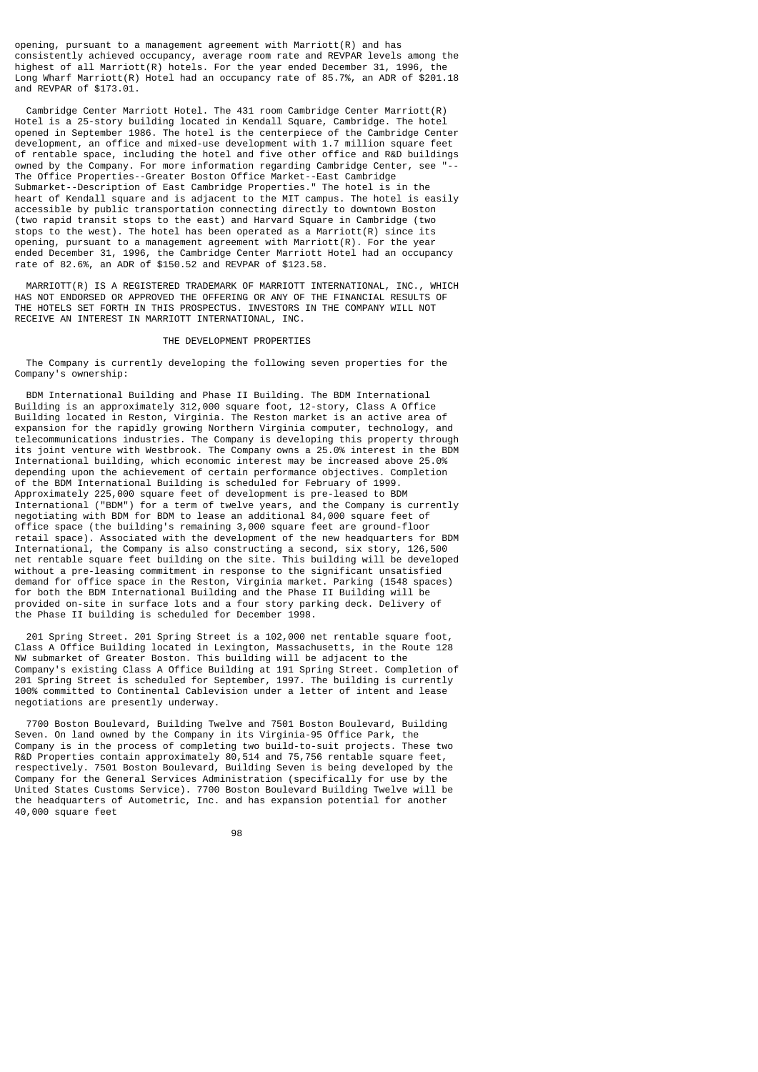opening, pursuant to a management agreement with Marriott(R) and has consistently achieved occupancy, average room rate and REVPAR levels among the highest of all Marriott(R) hotels. For the year ended December 31, 1996, the Long Wharf Marriott(R) Hotel had an occupancy rate of 85.7%, an ADR of \$201.18 and REVPAR of \$173.01.

 Cambridge Center Marriott Hotel. The 431 room Cambridge Center Marriott(R) Hotel is a 25-story building located in Kendall Square, Cambridge. The hotel opened in September 1986. The hotel is the centerpiece of the Cambridge Center development, an office and mixed-use development with 1.7 million square feet of rentable space, including the hotel and five other office and R&D buildings owned by the Company. For more information regarding Cambridge Center, see "-- The Office Properties--Greater Boston Office Market--East Cambridge Submarket--Description of East Cambridge Properties." The hotel is in the heart of Kendall square and is adjacent to the MIT campus. The hotel is easily accessible by public transportation connecting directly to downtown Boston (two rapid transit stops to the east) and Harvard Square in Cambridge (two stops to the west). The hotel has been operated as a Marriott(R) since its opening, pursuant to a management agreement with Marriott(R). For the year ended December 31, 1996, the Cambridge Center Marriott Hotel had an occupancy rate of 82.6%, an ADR of \$150.52 and REVPAR of \$123.58.

 MARRIOTT(R) IS A REGISTERED TRADEMARK OF MARRIOTT INTERNATIONAL, INC., WHICH HAS NOT ENDORSED OR APPROVED THE OFFERING OR ANY OF THE FINANCIAL RESULTS OF THE HOTELS SET FORTH IN THIS PROSPECTUS. INVESTORS IN THE COMPANY WILL NOT RECEIVE AN INTEREST IN MARRIOTT INTERNATIONAL, INC.

# THE DEVELOPMENT PROPERTIES

 The Company is currently developing the following seven properties for the Company's ownership:

 BDM International Building and Phase II Building. The BDM International Building is an approximately 312,000 square foot, 12-story, Class A Office Building located in Reston, Virginia. The Reston market is an active area of expansion for the rapidly growing Northern Virginia computer, technology, and telecommunications industries. The Company is developing this property through its joint venture with Westbrook. The Company owns a 25.0% interest in the BDM International building, which economic interest may be increased above 25.0% depending upon the achievement of certain performance objectives. Completion of the BDM International Building is scheduled for February of 1999. Approximately 225,000 square feet of development is pre-leased to BDM International ("BDM") for a term of twelve years, and the Company is currently negotiating with BDM for BDM to lease an additional 84,000 square feet of office space (the building's remaining 3,000 square feet are ground-floor retail space). Associated with the development of the new headquarters for BDM International, the Company is also constructing a second, six story, 126,500 net rentable square feet building on the site. This building will be developed without a pre-leasing commitment in response to the significant unsatisfied demand for office space in the Reston, Virginia market. Parking (1548 spaces) for both the BDM International Building and the Phase II Building will be provided on-site in surface lots and a four story parking deck. Delivery of the Phase II building is scheduled for December 1998.

 201 Spring Street. 201 Spring Street is a 102,000 net rentable square foot, Class A Office Building located in Lexington, Massachusetts, in the Route 128 NW submarket of Greater Boston. This building will be adjacent to the Company's existing Class A Office Building at 191 Spring Street. Completion of 201 Spring Street is scheduled for September, 1997. The building is currently 100% committed to Continental Cablevision under a letter of intent and lease negotiations are presently underway.

 7700 Boston Boulevard, Building Twelve and 7501 Boston Boulevard, Building Seven. On land owned by the Company in its Virginia-95 Office Park, the Company is in the process of completing two build-to-suit projects. These two R&D Properties contain approximately 80,514 and 75,756 rentable square feet, respectively. 7501 Boston Boulevard, Building Seven is being developed by the Company for the General Services Administration (specifically for use by the United States Customs Service). 7700 Boston Boulevard Building Twelve will be the headquarters of Autometric, Inc. and has expansion potential for another 40,000 square feet

e de la construcción de la construcción de la construcción de la construcción de la construcción de la constru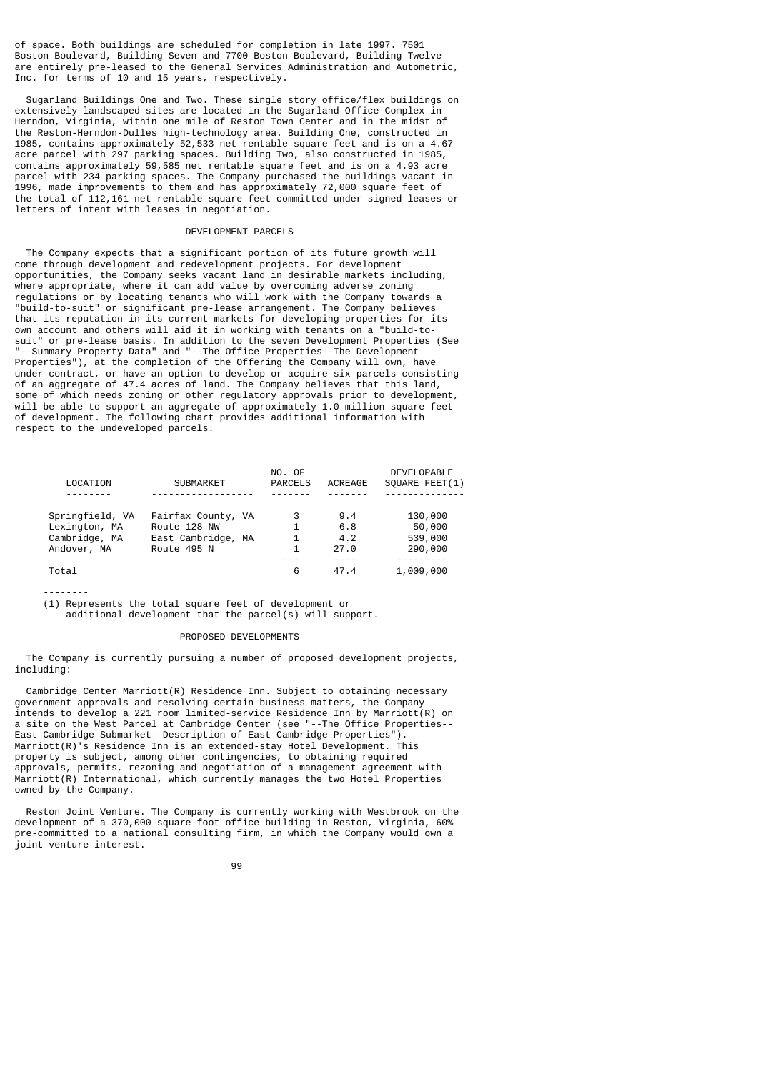of space. Both buildings are scheduled for completion in late 1997. 7501 Boston Boulevard, Building Seven and 7700 Boston Boulevard, Building Twelve are entirely pre-leased to the General Services Administration and Autometric, Inc. for terms of 10 and 15 years, respectively.

 Sugarland Buildings One and Two. These single story office/flex buildings on extensively landscaped sites are located in the Sugarland Office Complex in Herndon, Virginia, within one mile of Reston Town Center and in the midst of the Reston-Herndon-Dulles high-technology area. Building One, constructed in 1985, contains approximately 52,533 net rentable square feet and is on a 4.67 acre parcel with 297 parking spaces. Building Two, also constructed in 1985, contains approximately 59,585 net rentable square feet and is on a 4.93 acre parcel with 234 parking spaces. The Company purchased the buildings vacant in 1996, made improvements to them and has approximately 72,000 square feet of the total of 112,161 net rentable square feet committed under signed leases or letters of intent with leases in negotiation.

## DEVELOPMENT PARCELS

 The Company expects that a significant portion of its future growth will come through development and redevelopment projects. For development opportunities, the Company seeks vacant land in desirable markets including, where appropriate, where it can add value by overcoming adverse zoning regulations or by locating tenants who will work with the Company towards a "build-to-suit" or significant pre-lease arrangement. The Company believes that its reputation in its current markets for developing properties for its own account and others will aid it in working with tenants on a "build-tosuit" or pre-lease basis. In addition to the seven Development Properties (See "--Summary Property Data" and "--The Office Properties--The Development Properties"), at the completion of the Offering the Company will own, have under contract, or have an option to develop or acquire six parcels consisting of an aggregate of 47.4 acres of land. The Company believes that this land, some of which needs zoning or other regulatory approvals prior to development, will be able to support an aggregate of approximately 1.0 million square feet of development. The following chart provides additional information with respect to the undeveloped parcels.

|                 |                    | NO. OF  |         | <b>DEVELOPABLE</b> |
|-----------------|--------------------|---------|---------|--------------------|
| LOCATION        | <b>SUBMARKET</b>   | PARCELS | ACREAGE | SOUARE FEET(1)     |
|                 |                    |         |         |                    |
| Springfield, VA | Fairfax County, VA | 3       | 9.4     | 130,000            |
| Lexington, MA   | Route 128 NW       | 1       | 6.8     | 50,000             |
| Cambridge, MA   | East Cambridge, MA | 1       | 4.2     | 539,000            |
| Andover, MA     | Route 495 N        | 1       | 27.0    | 290,000            |
|                 |                    |         |         |                    |
| Total           |                    | 6       | 47.4    | 1,009,000          |

--------

(1) Represents the total square feet of development or

additional development that the parcel(s) will support.

# PROPOSED DEVELOPMENTS

 The Company is currently pursuing a number of proposed development projects, including:

 Cambridge Center Marriott(R) Residence Inn. Subject to obtaining necessary government approvals and resolving certain business matters, the Company intends to develop a 221 room limited-service Residence Inn by Marriott(R) on a site on the West Parcel at Cambridge Center (see "--The Office Properties-- East Cambridge Submarket--Description of East Cambridge Properties"). Marriott(R)'s Residence Inn is an extended-stay Hotel Development. This property is subject, among other contingencies, to obtaining required approvals, permits, rezoning and negotiation of a management agreement with Marriott(R) International, which currently manages the two Hotel Properties owned by the Company.

 Reston Joint Venture. The Company is currently working with Westbrook on the development of a 370,000 square foot office building in Reston, Virginia, 60% pre-committed to a national consulting firm, in which the Company would own a joint venture interest.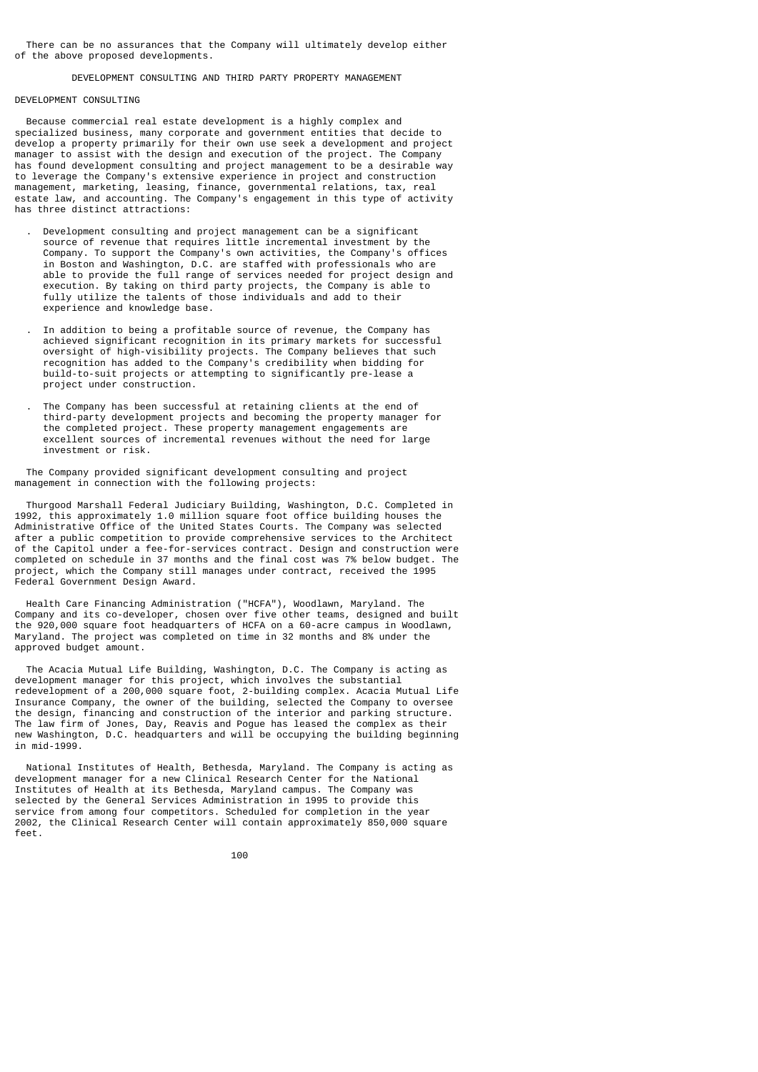There can be no assurances that the Company will ultimately develop either of the above proposed developments.

# DEVELOPMENT CONSULTING AND THIRD PARTY PROPERTY MANAGEMENT

# DEVELOPMENT CONSULTING

 Because commercial real estate development is a highly complex and specialized business, many corporate and government entities that decide to develop a property primarily for their own use seek a development and project manager to assist with the design and execution of the project. The Company has found development consulting and project management to be a desirable way to leverage the Company's extensive experience in project and construction management, marketing, leasing, finance, governmental relations, tax, real estate law, and accounting. The Company's engagement in this type of activity has three distinct attractions:

- . Development consulting and project management can be a significant source of revenue that requires little incremental investment by the Company. To support the Company's own activities, the Company's offices in Boston and Washington, D.C. are staffed with professionals who are able to provide the full range of services needed for project design and execution. By taking on third party projects, the Company is able to fully utilize the talents of those individuals and add to their experience and knowledge base.
- . In addition to being a profitable source of revenue, the Company has achieved significant recognition in its primary markets for successful oversight of high-visibility projects. The Company believes that such recognition has added to the Company's credibility when bidding for build-to-suit projects or attempting to significantly pre-lease a project under construction.
- . The Company has been successful at retaining clients at the end of third-party development projects and becoming the property manager for the completed project. These property management engagements are excellent sources of incremental revenues without the need for large investment or risk.

 The Company provided significant development consulting and project management in connection with the following projects:

 Thurgood Marshall Federal Judiciary Building, Washington, D.C. Completed in 1992, this approximately 1.0 million square foot office building houses the Administrative Office of the United States Courts. The Company was selected after a public competition to provide comprehensive services to the Architect of the Capitol under a fee-for-services contract. Design and construction were completed on schedule in 37 months and the final cost was 7% below budget. The project, which the Company still manages under contract, received the 1995 Federal Government Design Award.

 Health Care Financing Administration ("HCFA"), Woodlawn, Maryland. The Company and its co-developer, chosen over five other teams, designed and built the 920,000 square foot headquarters of HCFA on a 60-acre campus in Woodlawn, Maryland. The project was completed on time in 32 months and 8% under the approved budget amount.

 The Acacia Mutual Life Building, Washington, D.C. The Company is acting as development manager for this project, which involves the substantial redevelopment of a 200,000 square foot, 2-building complex. Acacia Mutual Life Insurance Company, the owner of the building, selected the Company to oversee the design, financing and construction of the interior and parking structure. The law firm of Jones, Day, Reavis and Pogue has leased the complex as their new Washington, D.C. headquarters and will be occupying the building beginning in mid-1999.

 National Institutes of Health, Bethesda, Maryland. The Company is acting as development manager for a new Clinical Research Center for the National Institutes of Health at its Bethesda, Maryland campus. The Company was selected by the General Services Administration in 1995 to provide this service from among four competitors. Scheduled for completion in the year 2002, the Clinical Research Center will contain approximately 850,000 square feet.

<u>100 and 100 and 100 and 100 and 100 and 100 and 100 and 100 and 100 and 100 and 100 and 100 and 100 and 100 and 100 and 100 and 100 and 100 and 100 and 100 and 100 and 100 and 100 and 100 and 100 and 100 and 100 and 100 a</u>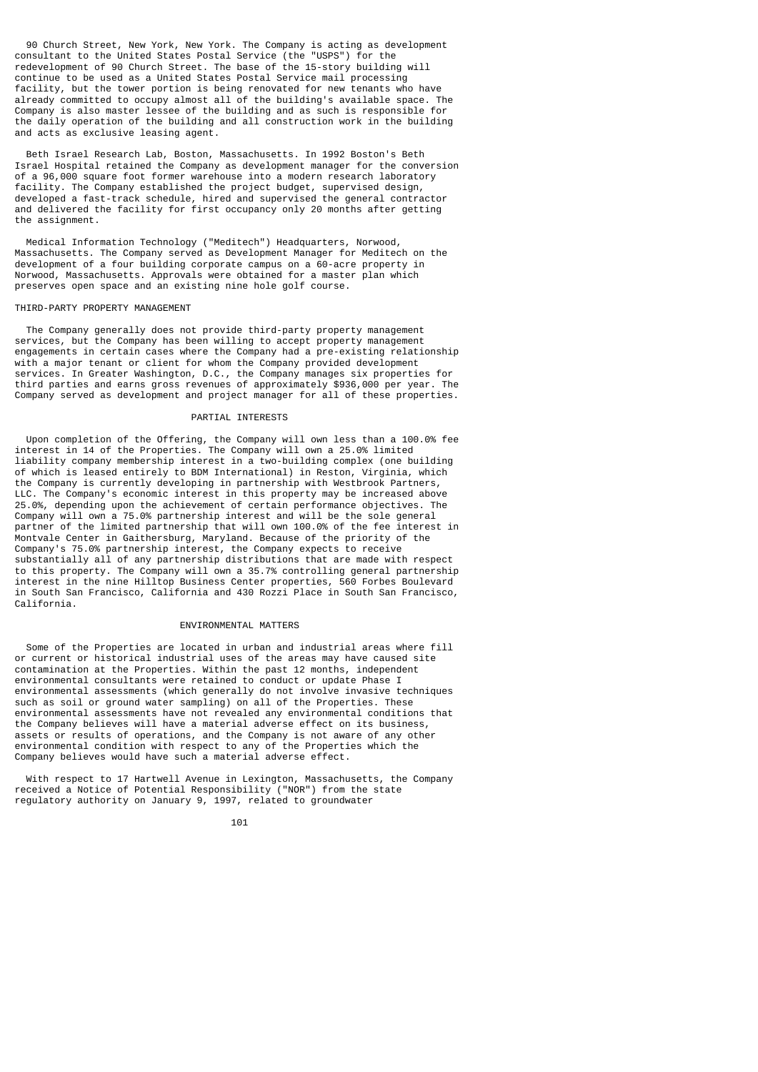90 Church Street, New York, New York. The Company is acting as development consultant to the United States Postal Service (the "USPS") for the redevelopment of 90 Church Street. The base of the 15-story building will continue to be used as a United States Postal Service mail processing facility, but the tower portion is being renovated for new tenants who have already committed to occupy almost all of the building's available space. The Company is also master lessee of the building and as such is responsible for the daily operation of the building and all construction work in the building and acts as exclusive leasing agent.

 Beth Israel Research Lab, Boston, Massachusetts. In 1992 Boston's Beth Israel Hospital retained the Company as development manager for the conversion of a 96,000 square foot former warehouse into a modern research laboratory facility. The Company established the project budget, supervised design, developed a fast-track schedule, hired and supervised the general contractor and delivered the facility for first occupancy only 20 months after getting the assignment.

 Medical Information Technology ("Meditech") Headquarters, Norwood, Massachusetts. The Company served as Development Manager for Meditech on the development of a four building corporate campus on a 60-acre property in Norwood, Massachusetts. Approvals were obtained for a master plan which preserves open space and an existing nine hole golf course.

#### THIRD-PARTY PROPERTY MANAGEMENT

 The Company generally does not provide third-party property management services, but the Company has been willing to accept property management engagements in certain cases where the Company had a pre-existing relationship with a major tenant or client for whom the Company provided development services. In Greater Washington, D.C., the Company manages six properties for third parties and earns gross revenues of approximately \$936,000 per year. The Company served as development and project manager for all of these properties.

# PARTIAL INTERESTS

 Upon completion of the Offering, the Company will own less than a 100.0% fee interest in 14 of the Properties. The Company will own a 25.0% limited liability company membership interest in a two-building complex (one building of which is leased entirely to BDM International) in Reston, Virginia, which the Company is currently developing in partnership with Westbrook Partners, LLC. The Company's economic interest in this property may be increased above 25.0%, depending upon the achievement of certain performance objectives. The Company will own a 75.0% partnership interest and will be the sole general partner of the limited partnership that will own 100.0% of the fee interest in Montvale Center in Gaithersburg, Maryland. Because of the priority of the Company's 75.0% partnership interest, the Company expects to receive substantially all of any partnership distributions that are made with respect to this property. The Company will own a 35.7% controlling general partnership interest in the nine Hilltop Business Center properties, 560 Forbes Boulevard in South San Francisco, California and 430 Rozzi Place in South San Francisco, California.

# ENVIRONMENTAL MATTERS

 Some of the Properties are located in urban and industrial areas where fill or current or historical industrial uses of the areas may have caused site contamination at the Properties. Within the past 12 months, independent environmental consultants were retained to conduct or update Phase I environmental assessments (which generally do not involve invasive techniques such as soil or ground water sampling) on all of the Properties. These environmental assessments have not revealed any environmental conditions that the Company believes will have a material adverse effect on its business, assets or results of operations, and the Company is not aware of any other environmental condition with respect to any of the Properties which the Company believes would have such a material adverse effect.

 With respect to 17 Hartwell Avenue in Lexington, Massachusetts, the Company received a Notice of Potential Responsibility ("NOR") from the state regulatory authority on January 9, 1997, related to groundwater

101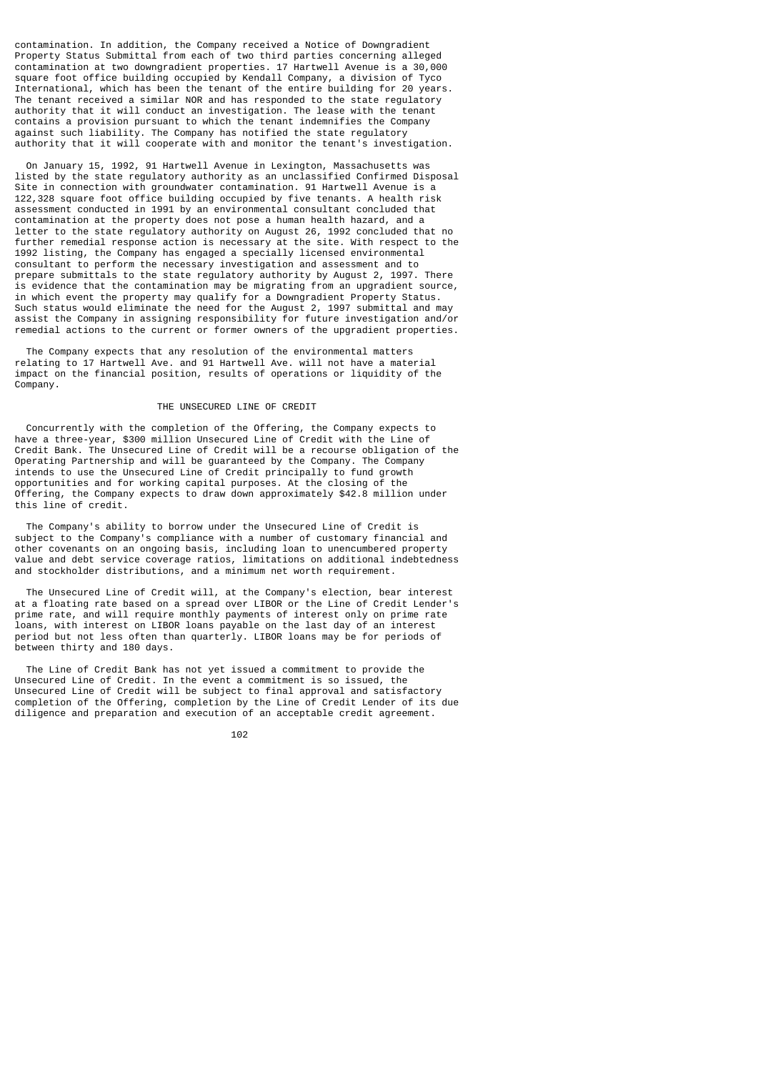contamination. In addition, the Company received a Notice of Downgradient Property Status Submittal from each of two third parties concerning alleged contamination at two downgradient properties. 17 Hartwell Avenue is a 30,000 square foot office building occupied by Kendall Company, a division of Tyco International, which has been the tenant of the entire building for 20 years. The tenant received a similar NOR and has responded to the state regulatory authority that it will conduct an investigation. The lease with the tenant contains a provision pursuant to which the tenant indemnifies the Company against such liability. The Company has notified the state regulatory authority that it will cooperate with and monitor the tenant's investigation.

 On January 15, 1992, 91 Hartwell Avenue in Lexington, Massachusetts was listed by the state regulatory authority as an unclassified Confirmed Disposal Site in connection with groundwater contamination. 91 Hartwell Avenue is a 122,328 square foot office building occupied by five tenants. A health risk assessment conducted in 1991 by an environmental consultant concluded that contamination at the property does not pose a human health hazard, and a letter to the state regulatory authority on August 26, 1992 concluded that no further remedial response action is necessary at the site. With respect to the 1992 listing, the Company has engaged a specially licensed environmental consultant to perform the necessary investigation and assessment and to prepare submittals to the state regulatory authority by August 2, 1997. There is evidence that the contamination may be migrating from an upgradient source, in which event the property may qualify for a Downgradient Property Status. Such status would eliminate the need for the August 2, 1997 submittal and may assist the Company in assigning responsibility for future investigation and/or remedial actions to the current or former owners of the upgradient properties.

 The Company expects that any resolution of the environmental matters relating to 17 Hartwell Ave. and 91 Hartwell Ave. will not have a material impact on the financial position, results of operations or liquidity of the Company.

## THE UNSECURED LINE OF CREDIT

 Concurrently with the completion of the Offering, the Company expects to have a three-year, \$300 million Unsecured Line of Credit with the Line of Credit Bank. The Unsecured Line of Credit will be a recourse obligation of the Operating Partnership and will be guaranteed by the Company. The Company intends to use the Unsecured Line of Credit principally to fund growth opportunities and for working capital purposes. At the closing of the Offering, the Company expects to draw down approximately \$42.8 million under this line of credit.

 The Company's ability to borrow under the Unsecured Line of Credit is subject to the Company's compliance with a number of customary financial and other covenants on an ongoing basis, including loan to unencumbered property value and debt service coverage ratios, limitations on additional indebtedness and stockholder distributions, and a minimum net worth requirement.

 The Unsecured Line of Credit will, at the Company's election, bear interest at a floating rate based on a spread over LIBOR or the Line of Credit Lender's prime rate, and will require monthly payments of interest only on prime rate loans, with interest on LIBOR loans payable on the last day of an interest period but not less often than quarterly. LIBOR loans may be for periods of between thirty and 180 days.

 The Line of Credit Bank has not yet issued a commitment to provide the Unsecured Line of Credit. In the event a commitment is so issued, the Unsecured Line of Credit will be subject to final approval and satisfactory completion of the Offering, completion by the Line of Credit Lender of its due diligence and preparation and execution of an acceptable credit agreement.

#### <u>102</u>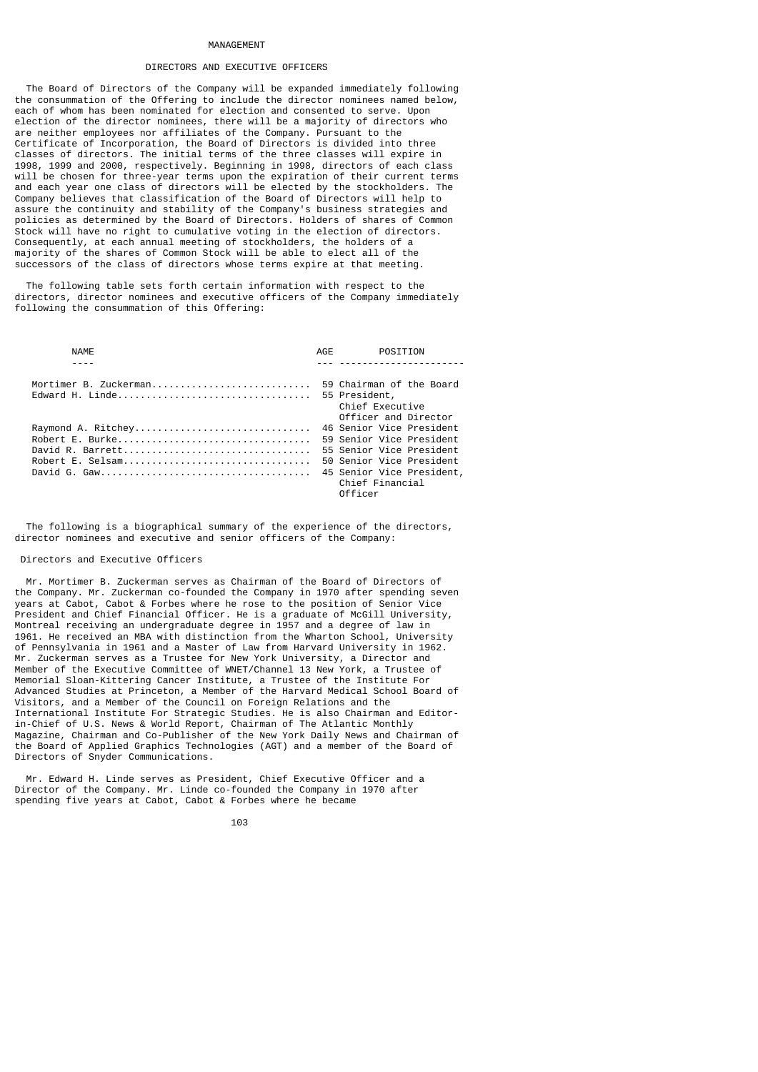#### MANAGEMENT

# DIRECTORS AND EXECUTIVE OFFICERS

 The Board of Directors of the Company will be expanded immediately following the consummation of the Offering to include the director nominees named below, each of whom has been nominated for election and consented to serve. Upon election of the director nominees, there will be a majority of directors who are neither employees nor affiliates of the Company. Pursuant to the Certificate of Incorporation, the Board of Directors is divided into three classes of directors. The initial terms of the three classes will expire in 1998, 1999 and 2000, respectively. Beginning in 1998, directors of each class will be chosen for three-year terms upon the expiration of their current terms and each year one class of directors will be elected by the stockholders. The Company believes that classification of the Board of Directors will help to assure the continuity and stability of the Company's business strategies and policies as determined by the Board of Directors. Holders of shares of Common Stock will have no right to cumulative voting in the election of directors. Consequently, at each annual meeting of stockholders, the holders of a majority of the shares of Common Stock will be able to elect all of the successors of the class of directors whose terms expire at that meeting.

 The following table sets forth certain information with respect to the directors, director nominees and executive officers of the Company immediately following the consummation of this Offering:

| NAMF                                  | AGE<br>POSITION                                                                                                                                                         |
|---------------------------------------|-------------------------------------------------------------------------------------------------------------------------------------------------------------------------|
| Mortimer B. Zuckerman                 | 59 Chairman of the Board<br>55 President,<br>Chief Executive<br>Officer and Director                                                                                    |
| Raymond A. Ritchey<br>Robert E. Burke | 46 Senior Vice President<br>59 Senior Vice President<br>55 Senior Vice President<br>50 Senior Vice President<br>45 Senior Vice President,<br>Chief Financial<br>Officer |

 The following is a biographical summary of the experience of the directors, director nominees and executive and senior officers of the Company:

#### Directors and Executive Officers

 Mr. Mortimer B. Zuckerman serves as Chairman of the Board of Directors of the Company. Mr. Zuckerman co-founded the Company in 1970 after spending seven years at Cabot, Cabot & Forbes where he rose to the position of Senior Vice President and Chief Financial Officer. He is a graduate of McGill University, Montreal receiving an undergraduate degree in 1957 and a degree of law in 1961. He received an MBA with distinction from the Wharton School, University of Pennsylvania in 1961 and a Master of Law from Harvard University in 1962. Mr. Zuckerman serves as a Trustee for New York University, a Director and Member of the Executive Committee of WNET/Channel 13 New York, a Trustee of Memorial Sloan-Kittering Cancer Institute, a Trustee of the Institute For Advanced Studies at Princeton, a Member of the Harvard Medical School Board of Visitors, and a Member of the Council on Foreign Relations and the International Institute For Strategic Studies. He is also Chairman and Editorin-Chief of U.S. News & World Report, Chairman of The Atlantic Monthly Magazine, Chairman and Co-Publisher of the New York Daily News and Chairman of the Board of Applied Graphics Technologies (AGT) and a member of the Board of Directors of Snyder Communications.

 Mr. Edward H. Linde serves as President, Chief Executive Officer and a Director of the Company. Mr. Linde co-founded the Company in 1970 after spending five years at Cabot, Cabot & Forbes where he became

103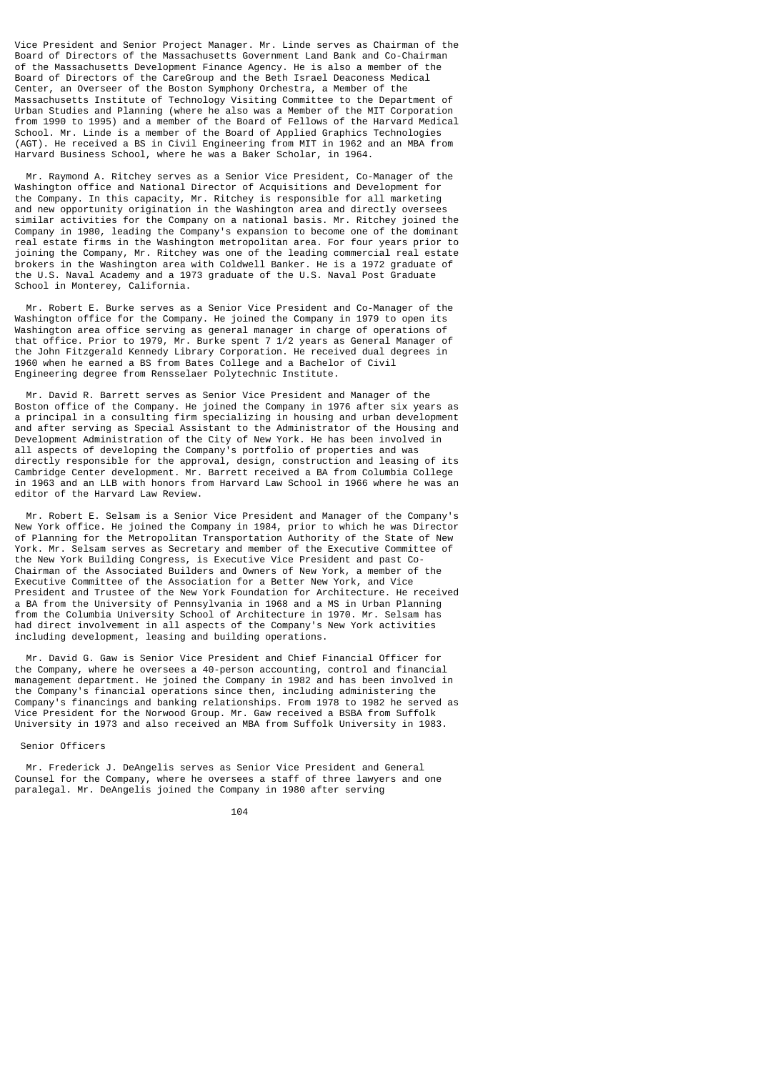Vice President and Senior Project Manager. Mr. Linde serves as Chairman of the Board of Directors of the Massachusetts Government Land Bank and Co-Chairman of the Massachusetts Development Finance Agency. He is also a member of the Board of Directors of the CareGroup and the Beth Israel Deaconess Medical Center, an Overseer of the Boston Symphony Orchestra, a Member of the Massachusetts Institute of Technology Visiting Committee to the Department of Urban Studies and Planning (where he also was a Member of the MIT Corporation from 1990 to 1995) and a member of the Board of Fellows of the Harvard Medical School. Mr. Linde is a member of the Board of Applied Graphics Technologies (AGT). He received a BS in Civil Engineering from MIT in 1962 and an MBA from Harvard Business School, where he was a Baker Scholar, in 1964.

 Mr. Raymond A. Ritchey serves as a Senior Vice President, Co-Manager of the Washington office and National Director of Acquisitions and Development for the Company. In this capacity, Mr. Ritchey is responsible for all marketing and new opportunity origination in the Washington area and directly oversees similar activities for the Company on a national basis. Mr. Ritchey joined the Company in 1980, leading the Company's expansion to become one of the dominant real estate firms in the Washington metropolitan area. For four years prior to joining the Company, Mr. Ritchey was one of the leading commercial real estate brokers in the Washington area with Coldwell Banker. He is a 1972 graduate of the U.S. Naval Academy and a 1973 graduate of the U.S. Naval Post Graduate School in Monterey, California.

 Mr. Robert E. Burke serves as a Senior Vice President and Co-Manager of the Washington office for the Company. He joined the Company in 1979 to open its Washington area office serving as general manager in charge of operations of that office. Prior to 1979, Mr. Burke spent 7 1/2 years as General Manager of the John Fitzgerald Kennedy Library Corporation. He received dual degrees in 1960 when he earned a BS from Bates College and a Bachelor of Civil Engineering degree from Rensselaer Polytechnic Institute.

 Mr. David R. Barrett serves as Senior Vice President and Manager of the Boston office of the Company. He joined the Company in 1976 after six years as a principal in a consulting firm specializing in housing and urban development and after serving as Special Assistant to the Administrator of the Housing and Development Administration of the City of New York. He has been involved in all aspects of developing the Company's portfolio of properties and was directly responsible for the approval, design, construction and leasing of its Cambridge Center development. Mr. Barrett received a BA from Columbia College in 1963 and an LLB with honors from Harvard Law School in 1966 where he was an editor of the Harvard Law Review.

 Mr. Robert E. Selsam is a Senior Vice President and Manager of the Company's New York office. He joined the Company in 1984, prior to which he was Director of Planning for the Metropolitan Transportation Authority of the State of New York. Mr. Selsam serves as Secretary and member of the Executive Committee of the New York Building Congress, is Executive Vice President and past Co-Chairman of the Associated Builders and Owners of New York, a member of the Executive Committee of the Association for a Better New York, and Vice President and Trustee of the New York Foundation for Architecture. He received a BA from the University of Pennsylvania in 1968 and a MS in Urban Planning from the Columbia University School of Architecture in 1970. Mr. Selsam has had direct involvement in all aspects of the Company's New York activities including development, leasing and building operations.

 Mr. David G. Gaw is Senior Vice President and Chief Financial Officer for the Company, where he oversees a 40-person accounting, control and financial management department. He joined the Company in 1982 and has been involved in the Company's financial operations since then, including administering the Company's financings and banking relationships. From 1978 to 1982 he served as Vice President for the Norwood Group. Mr. Gaw received a BSBA from Suffolk University in 1973 and also received an MBA from Suffolk University in 1983.

Senior Officers

 Mr. Frederick J. DeAngelis serves as Senior Vice President and General Counsel for the Company, where he oversees a staff of three lawyers and one paralegal. Mr. DeAngelis joined the Company in 1980 after serving

<u>104</u>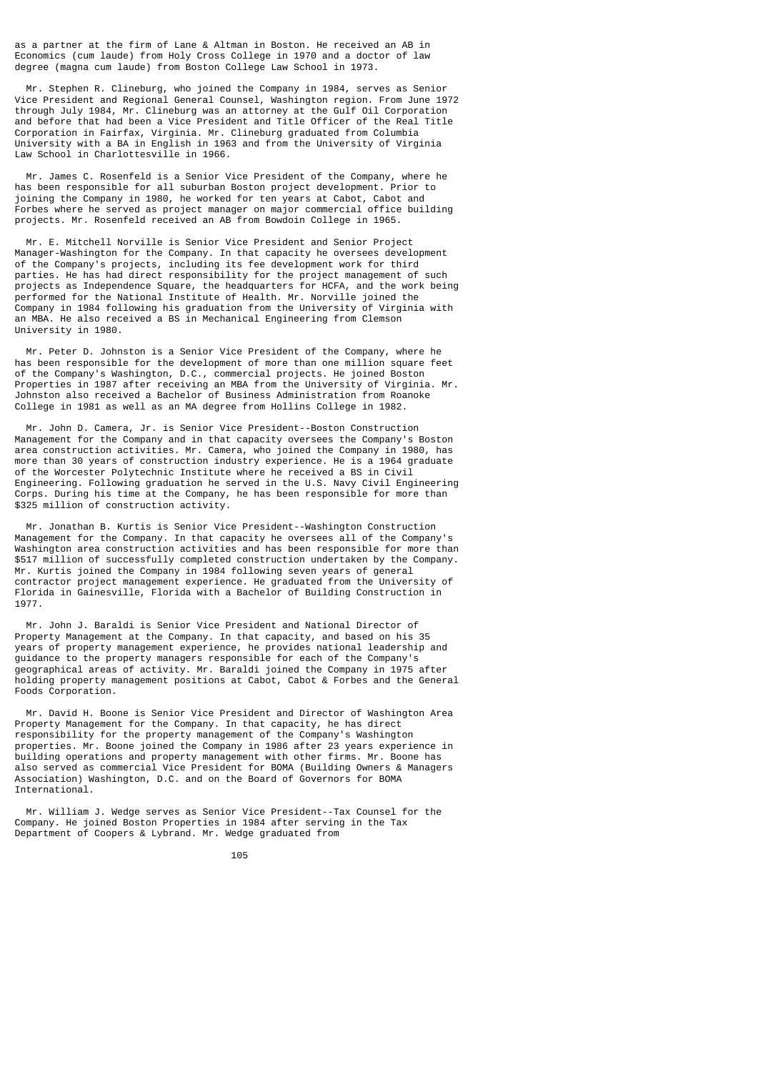as a partner at the firm of Lane & Altman in Boston. He received an AB in Economics (cum laude) from Holy Cross College in 1970 and a doctor of law degree (magna cum laude) from Boston College Law School in 1973.

 Mr. Stephen R. Clineburg, who joined the Company in 1984, serves as Senior Vice President and Regional General Counsel, Washington region. From June 1972 through July 1984, Mr. Clineburg was an attorney at the Gulf Oil Corporation and before that had been a Vice President and Title Officer of the Real Title Corporation in Fairfax, Virginia. Mr. Clineburg graduated from Columbia University with a BA in English in 1963 and from the University of Virginia Law School in Charlottesville in 1966.

 Mr. James C. Rosenfeld is a Senior Vice President of the Company, where he has been responsible for all suburban Boston project development. Prior to joining the Company in 1980, he worked for ten years at Cabot, Cabot and Forbes where he served as project manager on major commercial office building projects. Mr. Rosenfeld received an AB from Bowdoin College in 1965.

 Mr. E. Mitchell Norville is Senior Vice President and Senior Project Manager-Washington for the Company. In that capacity he oversees development of the Company's projects, including its fee development work for third parties. He has had direct responsibility for the project management of such projects as Independence Square, the headquarters for HCFA, and the work being performed for the National Institute of Health. Mr. Norville joined the Company in 1984 following his graduation from the University of Virginia with an MBA. He also received a BS in Mechanical Engineering from Clemson University in 1980.

 Mr. Peter D. Johnston is a Senior Vice President of the Company, where he has been responsible for the development of more than one million square feet of the Company's Washington, D.C., commercial projects. He joined Boston Properties in 1987 after receiving an MBA from the University of Virginia. Mr. Johnston also received a Bachelor of Business Administration from Roanoke College in 1981 as well as an MA degree from Hollins College in 1982.

 Mr. John D. Camera, Jr. is Senior Vice President--Boston Construction Management for the Company and in that capacity oversees the Company's Boston area construction activities. Mr. Camera, who joined the Company in 1980, has more than 30 years of construction industry experience. He is a 1964 graduate of the Worcester Polytechnic Institute where he received a BS in Civil Engineering. Following graduation he served in the U.S. Navy Civil Engineering Corps. During his time at the Company, he has been responsible for more than \$325 million of construction activity.

 Mr. Jonathan B. Kurtis is Senior Vice President--Washington Construction Management for the Company. In that capacity he oversees all of the Company's Washington area construction activities and has been responsible for more than \$517 million of successfully completed construction undertaken by the Company. Mr. Kurtis joined the Company in 1984 following seven years of general contractor project management experience. He graduated from the University of Florida in Gainesville, Florida with a Bachelor of Building Construction in 1977.

 Mr. John J. Baraldi is Senior Vice President and National Director of Property Management at the Company. In that capacity, and based on his 35 years of property management experience, he provides national leadership and guidance to the property managers responsible for each of the Company's geographical areas of activity. Mr. Baraldi joined the Company in 1975 after holding property management positions at Cabot, Cabot & Forbes and the General Foods Corporation.

 Mr. David H. Boone is Senior Vice President and Director of Washington Area Property Management for the Company. In that capacity, he has direct responsibility for the property management of the Company's Washington properties. Mr. Boone joined the Company in 1986 after 23 years experience in building operations and property management with other firms. Mr. Boone has also served as commercial Vice President for BOMA (Building Owners & Managers Association) Washington, D.C. and on the Board of Governors for BOMA International.

 Mr. William J. Wedge serves as Senior Vice President--Tax Counsel for the Company. He joined Boston Properties in 1984 after serving in the Tax Department of Coopers & Lybrand. Mr. Wedge graduated from

<u>105 - Animal Stephen Barbara, amerikan pengaran pengaran pengaran pengaran pengaran pengaran pengaran pengara</u>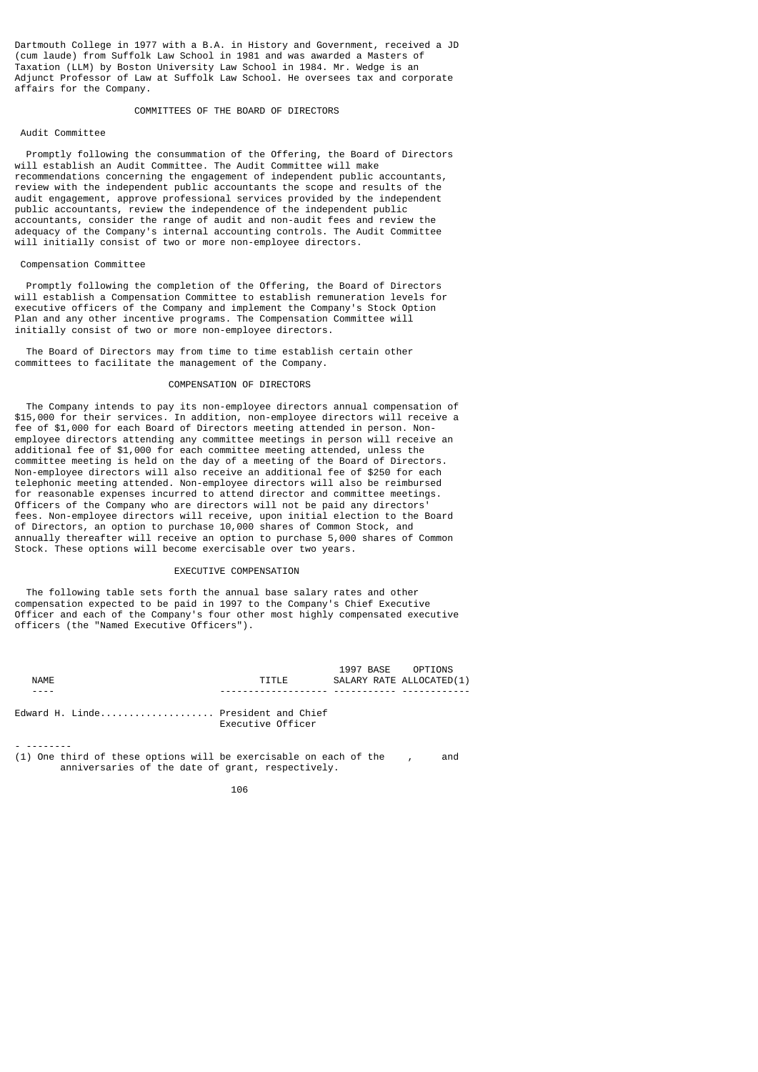Dartmouth College in 1977 with a B.A. in History and Government, received a JD (cum laude) from Suffolk Law School in 1981 and was awarded a Masters of Taxation (LLM) by Boston University Law School in 1984. Mr. Wedge is an Adjunct Professor of Law at Suffolk Law School. He oversees tax and corporate affairs for the Company.

COMMITTEES OF THE BOARD OF DIRECTORS

# Audit Committee

 Promptly following the consummation of the Offering, the Board of Directors will establish an Audit Committee. The Audit Committee will make recommendations concerning the engagement of independent public accountants, review with the independent public accountants the scope and results of the audit engagement, approve professional services provided by the independent public accountants, review the independence of the independent public accountants, consider the range of audit and non-audit fees and review the adequacy of the Company's internal accounting controls. The Audit Committee will initially consist of two or more non-employee directors.

# Compensation Committee

- --------

 Promptly following the completion of the Offering, the Board of Directors will establish a Compensation Committee to establish remuneration levels for executive officers of the Company and implement the Company's Stock Option Plan and any other incentive programs. The Compensation Committee will initially consist of two or more non-employee directors.

 The Board of Directors may from time to time establish certain other committees to facilitate the management of the Company.

# COMPENSATION OF DIRECTORS

 The Company intends to pay its non-employee directors annual compensation of \$15,000 for their services. In addition, non-employee directors will receive a fee of \$1,000 for each Board of Directors meeting attended in person. Nonemployee directors attending any committee meetings in person will receive an additional fee of \$1,000 for each committee meeting attended, unless the committee meeting is held on the day of a meeting of the Board of Directors. Non-employee directors will also receive an additional fee of \$250 for each telephonic meeting attended. Non-employee directors will also be reimbursed for reasonable expenses incurred to attend director and committee meetings. Officers of the Company who are directors will not be paid any directors' fees. Non-employee directors will receive, upon initial election to the Board of Directors, an option to purchase 10,000 shares of Common Stock, and annually thereafter will receive an option to purchase 5,000 shares of Common Stock. These options will become exercisable over two years.

## EXECUTIVE COMPENSATION

 The following table sets forth the annual base salary rates and other compensation expected to be paid in 1997 to the Company's Chief Executive Officer and each of the Company's four other most highly compensated executive officers (the "Named Executive Officers").

|      |                                                          |  | 1997 BASE OPTIONS        |  |
|------|----------------------------------------------------------|--|--------------------------|--|
| NAME | TTTI F                                                   |  | SALARY RATE ALLOCATED(1) |  |
|      |                                                          |  |                          |  |
|      | Edward H. Linde President and Chief<br>Executive Officer |  |                          |  |

(1) One third of these options will be exercisable on each of the , and anniversaries of the date of grant, respectively.

 <sup>106</sup>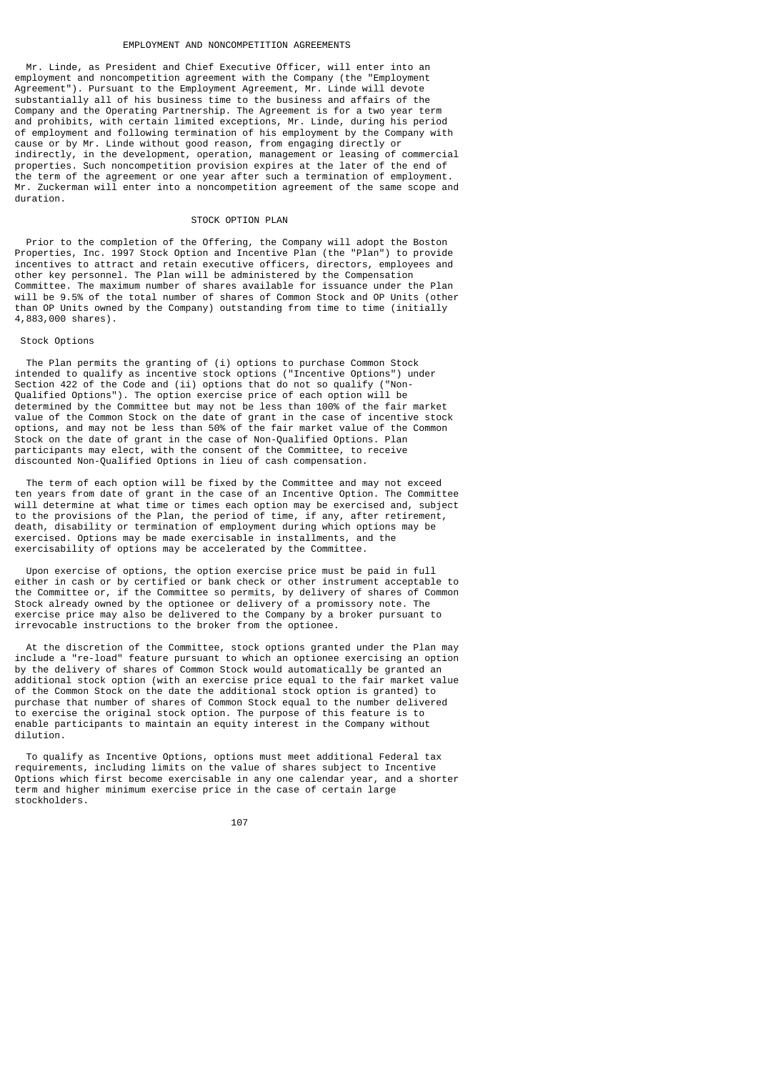#### EMPLOYMENT AND NONCOMPETITION AGREEMENTS

 Mr. Linde, as President and Chief Executive Officer, will enter into an employment and noncompetition agreement with the Company (the "Employment Agreement"). Pursuant to the Employment Agreement, Mr. Linde will devote substantially all of his business time to the business and affairs of the Company and the Operating Partnership. The Agreement is for a two year term and prohibits, with certain limited exceptions, Mr. Linde, during his period of employment and following termination of his employment by the Company with cause or by Mr. Linde without good reason, from engaging directly or indirectly, in the development, operation, management or leasing of commercial properties. Such noncompetition provision expires at the later of the end of the term of the agreement or one year after such a termination of employment. Mr. Zuckerman will enter into a noncompetition agreement of the same scope and duration.

# STOCK OPTION PLAN

 Prior to the completion of the Offering, the Company will adopt the Boston Properties, Inc. 1997 Stock Option and Incentive Plan (the "Plan") to provide incentives to attract and retain executive officers, directors, employees and other key personnel. The Plan will be administered by the Compensation Committee. The maximum number of shares available for issuance under the Plan will be 9.5% of the total number of shares of Common Stock and OP Units (other than OP Units owned by the Company) outstanding from time to time (initially 4,883,000 shares).

# Stock Options

 The Plan permits the granting of (i) options to purchase Common Stock intended to qualify as incentive stock options ("Incentive Options") under Section 422 of the Code and (ii) options that do not so qualify ("Non-Qualified Options"). The option exercise price of each option will be determined by the Committee but may not be less than 100% of the fair market value of the Common Stock on the date of grant in the case of incentive stock options, and may not be less than 50% of the fair market value of the Common Stock on the date of grant in the case of Non-Qualified Options. Plan participants may elect, with the consent of the Committee, to receive discounted Non-Qualified Options in lieu of cash compensation.

 The term of each option will be fixed by the Committee and may not exceed ten years from date of grant in the case of an Incentive Option. The Committee will determine at what time or times each option may be exercised and, subject to the provisions of the Plan, the period of time, if any, after retirement, death, disability or termination of employment during which options may be exercised. Options may be made exercisable in installments, and the exercisability of options may be accelerated by the Committee.

 Upon exercise of options, the option exercise price must be paid in full either in cash or by certified or bank check or other instrument acceptable to the Committee or, if the Committee so permits, by delivery of shares of Common Stock already owned by the optionee or delivery of a promissory note. The exercise price may also be delivered to the Company by a broker pursuant to irrevocable instructions to the broker from the optionee.

 At the discretion of the Committee, stock options granted under the Plan may include a "re-load" feature pursuant to which an optionee exercising an option by the delivery of shares of Common Stock would automatically be granted an additional stock option (with an exercise price equal to the fair market value of the Common Stock on the date the additional stock option is granted) to purchase that number of shares of Common Stock equal to the number delivered to exercise the original stock option. The purpose of this feature is to enable participants to maintain an equity interest in the Company without dilution.

 To qualify as Incentive Options, options must meet additional Federal tax requirements, including limits on the value of shares subject to Incentive Options which first become exercisable in any one calendar year, and a shorter term and higher minimum exercise price in the case of certain large stockholders.

107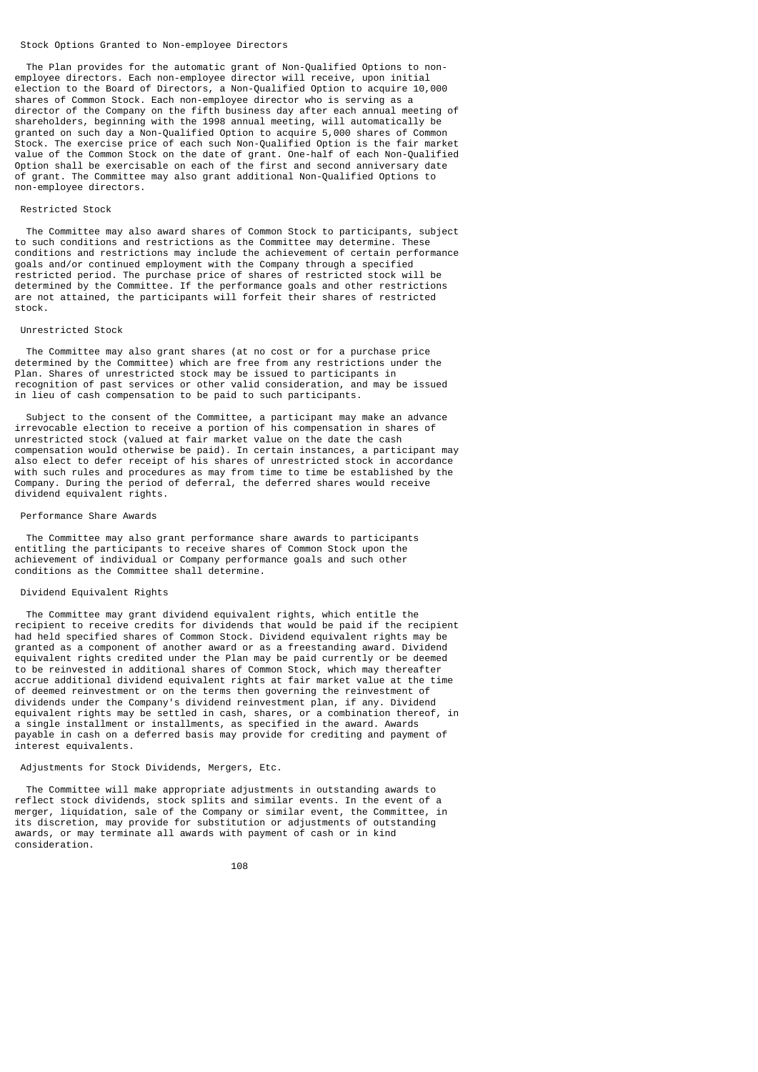#### Stock Options Granted to Non-employee Directors

 The Plan provides for the automatic grant of Non-Qualified Options to nonemployee directors. Each non-employee director will receive, upon initial election to the Board of Directors, a Non-Qualified Option to acquire 10,000 shares of Common Stock. Each non-employee director who is serving as a director of the Company on the fifth business day after each annual meeting of shareholders, beginning with the 1998 annual meeting, will automatically be granted on such day a Non-Qualified Option to acquire 5,000 shares of Common Stock. The exercise price of each such Non-Qualified Option is the fair market value of the Common Stock on the date of grant. One-half of each Non-Qualified Option shall be exercisable on each of the first and second anniversary date of grant. The Committee may also grant additional Non-Qualified Options to non-employee directors.

#### Restricted Stock

 The Committee may also award shares of Common Stock to participants, subject to such conditions and restrictions as the Committee may determine. These conditions and restrictions may include the achievement of certain performance goals and/or continued employment with the Company through a specified restricted period. The purchase price of shares of restricted stock will be determined by the Committee. If the performance goals and other restrictions are not attained, the participants will forfeit their shares of restricted stock.

# Unrestricted Stock

 The Committee may also grant shares (at no cost or for a purchase price determined by the Committee) which are free from any restrictions under the Plan. Shares of unrestricted stock may be issued to participants in recognition of past services or other valid consideration, and may be issued in lieu of cash compensation to be paid to such participants.

 Subject to the consent of the Committee, a participant may make an advance irrevocable election to receive a portion of his compensation in shares of unrestricted stock (valued at fair market value on the date the cash compensation would otherwise be paid). In certain instances, a participant may also elect to defer receipt of his shares of unrestricted stock in accordance with such rules and procedures as may from time to time be established by the Company. During the period of deferral, the deferred shares would receive dividend equivalent rights.

#### Performance Share Awards

 The Committee may also grant performance share awards to participants entitling the participants to receive shares of Common Stock upon the achievement of individual or Company performance goals and such other conditions as the Committee shall determine.

# Dividend Equivalent Rights

 The Committee may grant dividend equivalent rights, which entitle the recipient to receive credits for dividends that would be paid if the recipient had held specified shares of Common Stock. Dividend equivalent rights may be granted as a component of another award or as a freestanding award. Dividend equivalent rights credited under the Plan may be paid currently or be deemed to be reinvested in additional shares of Common Stock, which may thereafter accrue additional dividend equivalent rights at fair market value at the time of deemed reinvestment or on the terms then governing the reinvestment of dividends under the Company's dividend reinvestment plan, if any. Dividend equivalent rights may be settled in cash, shares, or a combination thereof, in a single installment or installments, as specified in the award. Awards payable in cash on a deferred basis may provide for crediting and payment of interest equivalents.

# Adjustments for Stock Dividends, Mergers, Etc.

 The Committee will make appropriate adjustments in outstanding awards to reflect stock dividends, stock splits and similar events. In the event of a merger, liquidation, sale of the Company or similar event, the Committee, in its discretion, may provide for substitution or adjustments of outstanding awards, or may terminate all awards with payment of cash or in kind consideration.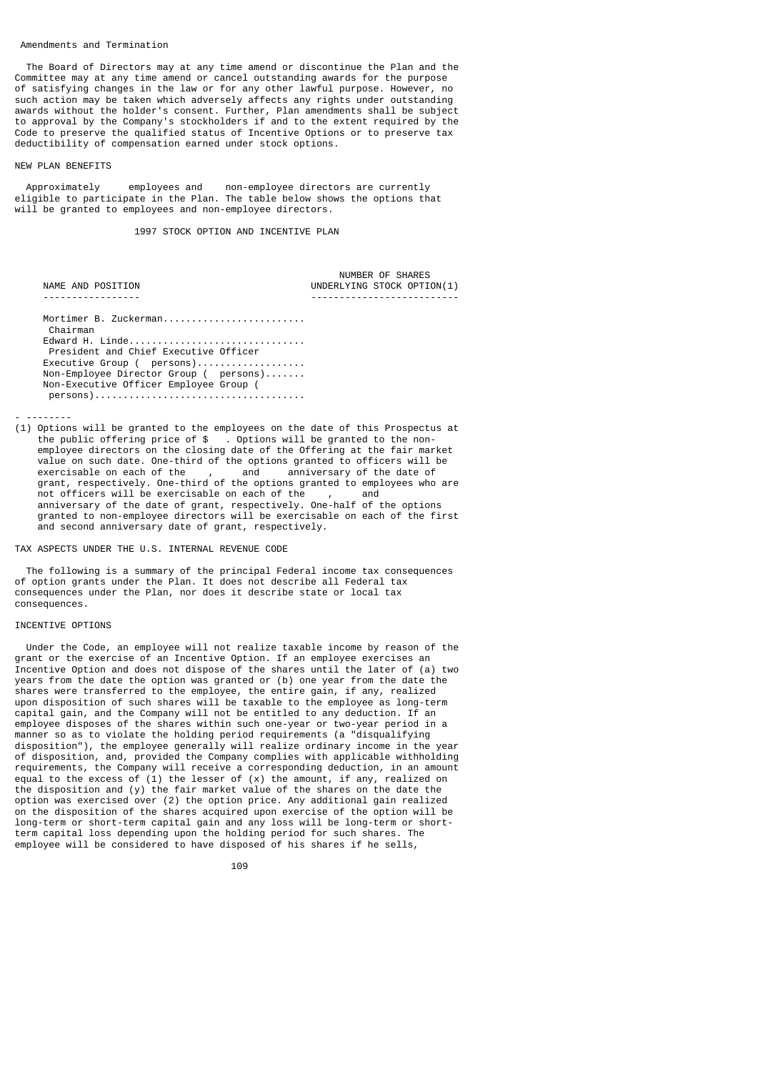#### Amendments and Termination

 The Board of Directors may at any time amend or discontinue the Plan and the Committee may at any time amend or cancel outstanding awards for the purpose of satisfying changes in the law or for any other lawful purpose. However, no such action may be taken which adversely affects any rights under outstanding awards without the holder's consent. Further, Plan amendments shall be subject to approval by the Company's stockholders if and to the extent required by the Code to preserve the qualified status of Incentive Options or to preserve tax deductibility of compensation earned under stock options.

#### NEW PLAN BENEFITS

 Approximately employees and non-employee directors are currently eligible to participate in the Plan. The table below shows the options that will be granted to employees and non-employee directors.

1997 STOCK OPTION AND INCENTIVE PLAN

| NAME AND POSITION                      | NUMBER OF SHARES<br>UNDERLYING STOCK OPTION(1) |
|----------------------------------------|------------------------------------------------|
|                                        |                                                |
| Mortimer B. Zuckerman                  |                                                |
| Chairman                               |                                                |
| Edward H. Linde                        |                                                |
| President and Chief Executive Officer  |                                                |
| Executive Group ( persons)             |                                                |
| Non-Employee Director Group ( persons) |                                                |
| Non-Executive Officer Employee Group ( |                                                |
|                                        |                                                |

- --------

(1) Options will be granted to the employees on the date of this Prospectus at the public offering price of \$ . Options will be granted to the non employee directors on the closing date of the Offering at the fair market value on such date. One-third of the options granted to officers will be exercisable on each of the  $\overline{\phantom{a}}$ , and anniversary of the date of exercisable on each of the , and anniversary of the date of grant, respectively. One-third of the options granted to employees who are not officers will be exercisable on each of the , and anniversary of the date of grant, respectively. One-half of the options granted to non-employee directors will be exercisable on each of the first and second anniversary date of grant, respectively.

# TAX ASPECTS UNDER THE U.S. INTERNAL REVENUE CODE

 The following is a summary of the principal Federal income tax consequences of option grants under the Plan. It does not describe all Federal tax consequences under the Plan, nor does it describe state or local tax consequences.

# INCENTIVE OPTIONS

 Under the Code, an employee will not realize taxable income by reason of the grant or the exercise of an Incentive Option. If an employee exercises an Incentive Option and does not dispose of the shares until the later of (a) two years from the date the option was granted or (b) one year from the date the shares were transferred to the employee, the entire gain, if any, realized upon disposition of such shares will be taxable to the employee as long-term capital gain, and the Company will not be entitled to any deduction. If an employee disposes of the shares within such one-year or two-year period in a manner so as to violate the holding period requirements (a "disqualifying disposition"), the employee generally will realize ordinary income in the year of disposition, and, provided the Company complies with applicable withholding requirements, the Company will receive a corresponding deduction, in an amount equal to the excess of  $(1)$  the lesser of  $(x)$  the amount, if any, realized on the disposition and (y) the fair market value of the shares on the date the option was exercised over (2) the option price. Any additional gain realized on the disposition of the shares acquired upon exercise of the option will be long-term or short-term capital gain and any loss will be long-term or shortterm capital loss depending upon the holding period for such shares. The employee will be considered to have disposed of his shares if he sells,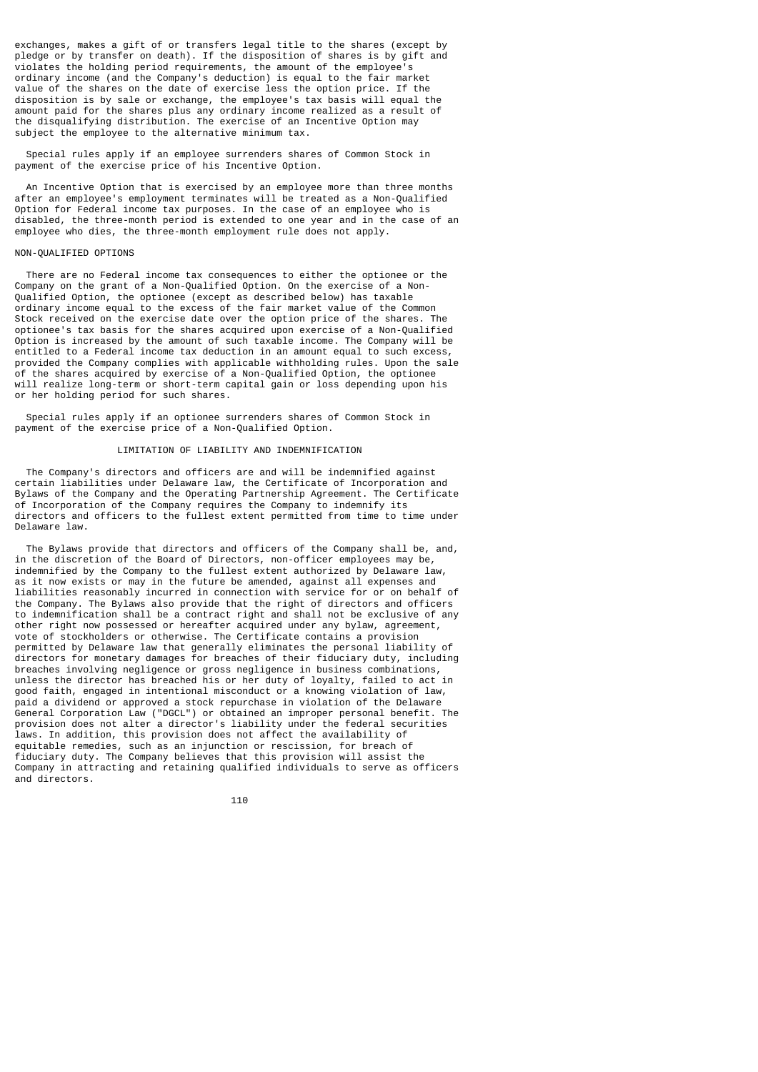exchanges, makes a gift of or transfers legal title to the shares (except by pledge or by transfer on death). If the disposition of shares is by gift and violates the holding period requirements, the amount of the employee's ordinary income (and the Company's deduction) is equal to the fair market value of the shares on the date of exercise less the option price. If the disposition is by sale or exchange, the employee's tax basis will equal the amount paid for the shares plus any ordinary income realized as a result of the disqualifying distribution. The exercise of an Incentive Option may subject the employee to the alternative minimum tax.

 Special rules apply if an employee surrenders shares of Common Stock in payment of the exercise price of his Incentive Option.

 An Incentive Option that is exercised by an employee more than three months after an employee's employment terminates will be treated as a Non-Qualified Option for Federal income tax purposes. In the case of an employee who is disabled, the three-month period is extended to one year and in the case of an employee who dies, the three-month employment rule does not apply.

# NON-QUALIFIED OPTIONS

 There are no Federal income tax consequences to either the optionee or the Company on the grant of a Non-Qualified Option. On the exercise of a Non-Qualified Option, the optionee (except as described below) has taxable ordinary income equal to the excess of the fair market value of the Common Stock received on the exercise date over the option price of the shares. The optionee's tax basis for the shares acquired upon exercise of a Non-Qualified Option is increased by the amount of such taxable income. The Company will be entitled to a Federal income tax deduction in an amount equal to such excess, provided the Company complies with applicable withholding rules. Upon the sale of the shares acquired by exercise of a Non-Qualified Option, the optionee will realize long-term or short-term capital gain or loss depending upon his or her holding period for such shares.

 Special rules apply if an optionee surrenders shares of Common Stock in payment of the exercise price of a Non-Qualified Option.

# LIMITATION OF LIABILITY AND INDEMNIFICATION

 The Company's directors and officers are and will be indemnified against certain liabilities under Delaware law, the Certificate of Incorporation and Bylaws of the Company and the Operating Partnership Agreement. The Certificate of Incorporation of the Company requires the Company to indemnify its directors and officers to the fullest extent permitted from time to time under Delaware law.

 The Bylaws provide that directors and officers of the Company shall be, and, in the discretion of the Board of Directors, non-officer employees may be, indemnified by the Company to the fullest extent authorized by Delaware law, as it now exists or may in the future be amended, against all expenses and liabilities reasonably incurred in connection with service for or on behalf of the Company. The Bylaws also provide that the right of directors and officers to indemnification shall be a contract right and shall not be exclusive of any other right now possessed or hereafter acquired under any bylaw, agreement, vote of stockholders or otherwise. The Certificate contains a provision permitted by Delaware law that generally eliminates the personal liability of directors for monetary damages for breaches of their fiduciary duty, including breaches involving negligence or gross negligence in business combinations, unless the director has breached his or her duty of loyalty, failed to act in good faith, engaged in intentional misconduct or a knowing violation of law, paid a dividend or approved a stock repurchase in violation of the Delaware General Corporation Law ("DGCL") or obtained an improper personal benefit. The provision does not alter a director's liability under the federal securities laws. In addition, this provision does not affect the availability of equitable remedies, such as an injunction or rescission, for breach of fiduciary duty. The Company believes that this provision will assist the Company in attracting and retaining qualified individuals to serve as officers and directors.

 $110$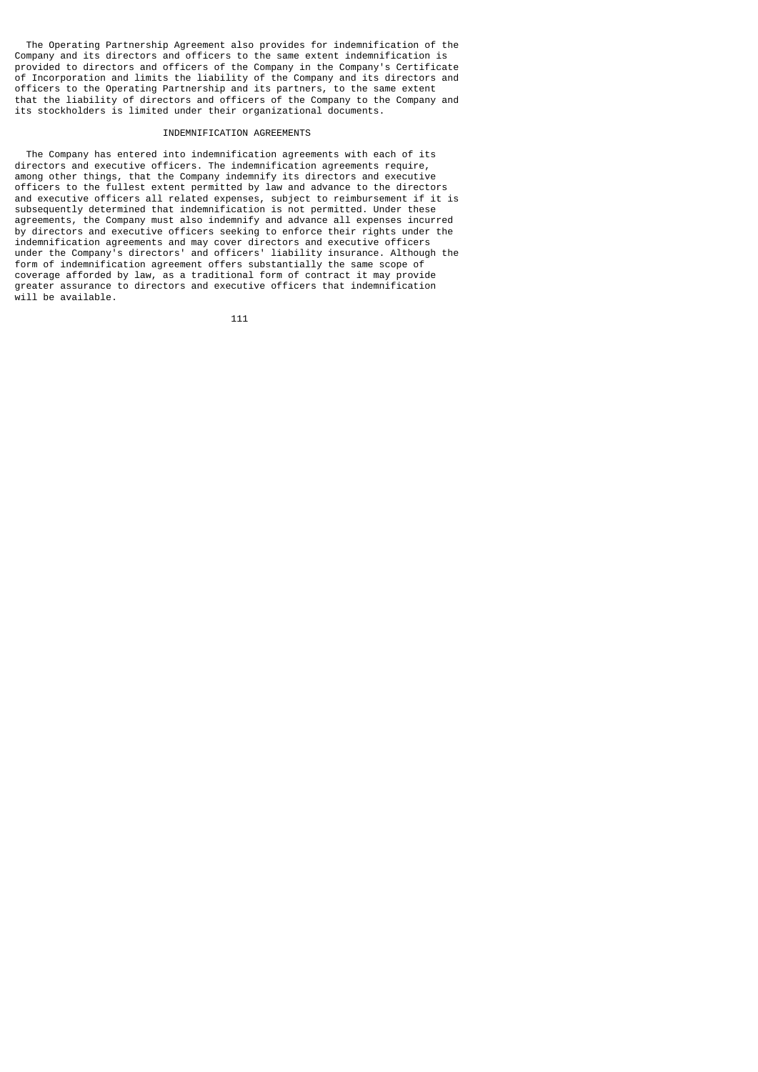The Operating Partnership Agreement also provides for indemnification of the Company and its directors and officers to the same extent indemnification is provided to directors and officers of the Company in the Company's Certificate of Incorporation and limits the liability of the Company and its directors and officers to the Operating Partnership and its partners, to the same extent that the liability of directors and officers of the Company to the Company and its stockholders is limited under their organizational documents.

## INDEMNIFICATION AGREEMENTS

 The Company has entered into indemnification agreements with each of its directors and executive officers. The indemnification agreements require, among other things, that the Company indemnify its directors and executive officers to the fullest extent permitted by law and advance to the directors and executive officers all related expenses, subject to reimbursement if it is subsequently determined that indemnification is not permitted. Under these agreements, the Company must also indemnify and advance all expenses incurred by directors and executive officers seeking to enforce their rights under the indemnification agreements and may cover directors and executive officers under the Company's directors' and officers' liability insurance. Although the form of indemnification agreement offers substantially the same scope of coverage afforded by law, as a traditional form of contract it may provide greater assurance to directors and executive officers that indemnification will be available.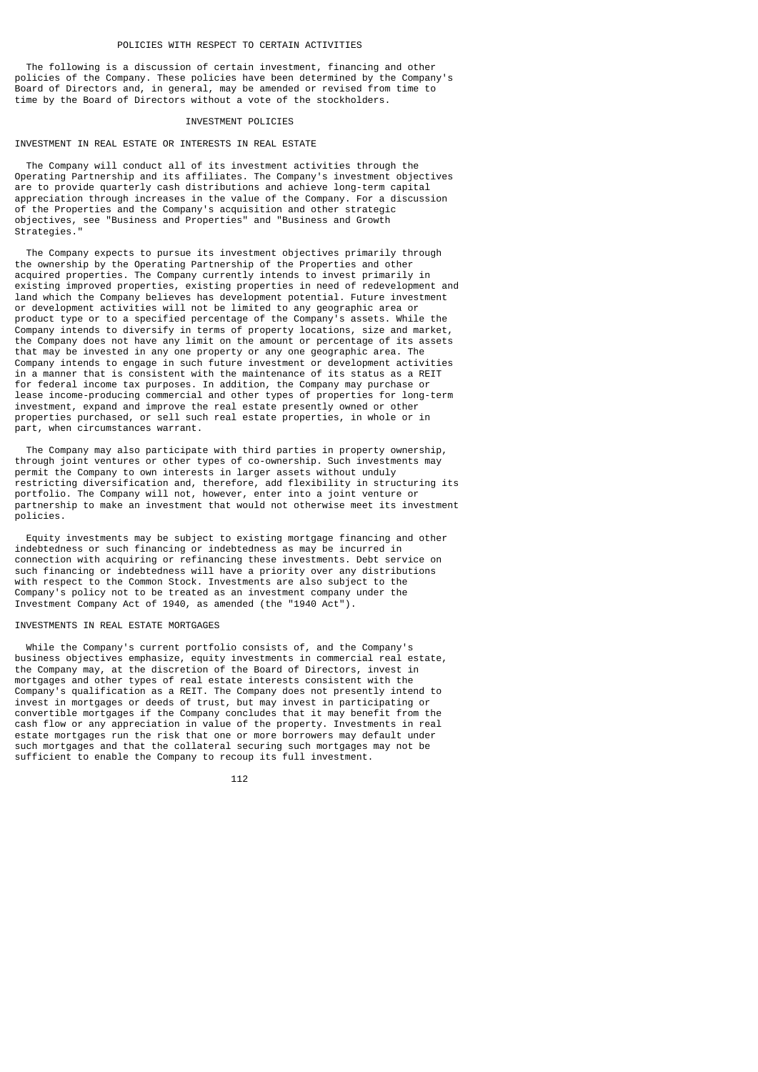The following is a discussion of certain investment, financing and other policies of the Company. These policies have been determined by the Company's Board of Directors and, in general, may be amended or revised from time to time by the Board of Directors without a vote of the stockholders.

## INVESTMENT POLICIES

### INVESTMENT IN REAL ESTATE OR INTERESTS IN REAL ESTATE

 The Company will conduct all of its investment activities through the Operating Partnership and its affiliates. The Company's investment objectives are to provide quarterly cash distributions and achieve long-term capital appreciation through increases in the value of the Company. For a discussion of the Properties and the Company's acquisition and other strategic objectives, see "Business and Properties" and "Business and Growth Strategies."

 The Company expects to pursue its investment objectives primarily through the ownership by the Operating Partnership of the Properties and other acquired properties. The Company currently intends to invest primarily in existing improved properties, existing properties in need of redevelopment and land which the Company believes has development potential. Future investment or development activities will not be limited to any geographic area or product type or to a specified percentage of the Company's assets. While the Company intends to diversify in terms of property locations, size and market, the Company does not have any limit on the amount or percentage of its assets that may be invested in any one property or any one geographic area. The Company intends to engage in such future investment or development activities in a manner that is consistent with the maintenance of its status as a REIT for federal income tax purposes. In addition, the Company may purchase or lease income-producing commercial and other types of properties for long-term investment, expand and improve the real estate presently owned or other properties purchased, or sell such real estate properties, in whole or in part, when circumstances warrant.

 The Company may also participate with third parties in property ownership, through joint ventures or other types of co-ownership. Such investments may permit the Company to own interests in larger assets without unduly restricting diversification and, therefore, add flexibility in structuring its portfolio. The Company will not, however, enter into a joint venture or partnership to make an investment that would not otherwise meet its investment policies.

 Equity investments may be subject to existing mortgage financing and other indebtedness or such financing or indebtedness as may be incurred in connection with acquiring or refinancing these investments. Debt service on such financing or indebtedness will have a priority over any distributions with respect to the Common Stock. Investments are also subject to the Company's policy not to be treated as an investment company under the Investment Company Act of 1940, as amended (the "1940 Act").

### INVESTMENTS IN REAL ESTATE MORTGAGES

 While the Company's current portfolio consists of, and the Company's business objectives emphasize, equity investments in commercial real estate, the Company may, at the discretion of the Board of Directors, invest in mortgages and other types of real estate interests consistent with the Company's qualification as a REIT. The Company does not presently intend to invest in mortgages or deeds of trust, but may invest in participating or convertible mortgages if the Company concludes that it may benefit from the cash flow or any appreciation in value of the property. Investments in real estate mortgages run the risk that one or more borrowers may default under such mortgages and that the collateral securing such mortgages may not be sufficient to enable the Company to recoup its full investment.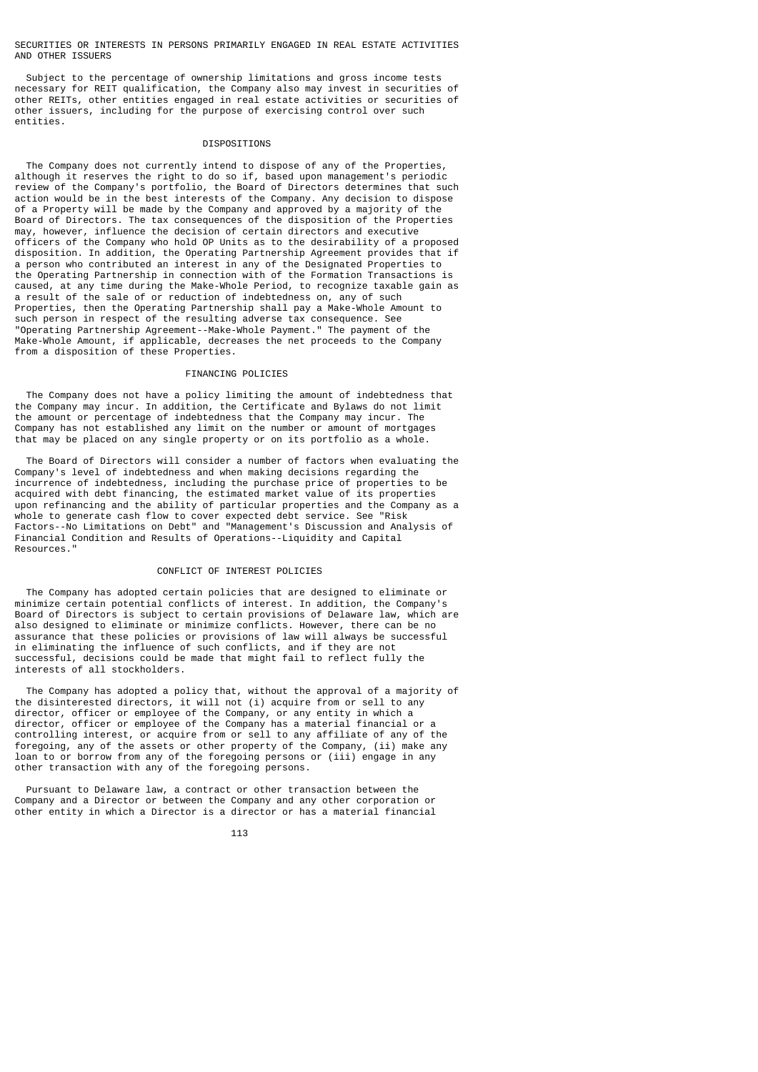#### SECURITIES OR INTERESTS IN PERSONS PRIMARILY ENGAGED IN REAL ESTATE ACTIVITIES AND OTHER ISSUERS

 Subject to the percentage of ownership limitations and gross income tests necessary for REIT qualification, the Company also may invest in securities of other REITs, other entities engaged in real estate activities or securities of other issuers, including for the purpose of exercising control over such entities.

## DISPOSITIONS

 The Company does not currently intend to dispose of any of the Properties, although it reserves the right to do so if, based upon management's periodic review of the Company's portfolio, the Board of Directors determines that such action would be in the best interests of the Company. Any decision to dispose of a Property will be made by the Company and approved by a majority of the Board of Directors. The tax consequences of the disposition of the Properties may, however, influence the decision of certain directors and executive officers of the Company who hold OP Units as to the desirability of a proposed disposition. In addition, the Operating Partnership Agreement provides that if a person who contributed an interest in any of the Designated Properties to the Operating Partnership in connection with of the Formation Transactions is caused, at any time during the Make-Whole Period, to recognize taxable gain as a result of the sale of or reduction of indebtedness on, any of such Properties, then the Operating Partnership shall pay a Make-Whole Amount to such person in respect of the resulting adverse tax consequence. See "Operating Partnership Agreement--Make-Whole Payment." The payment of the Make-Whole Amount, if applicable, decreases the net proceeds to the Company from a disposition of these Properties.

## FINANCING POLICIES

 The Company does not have a policy limiting the amount of indebtedness that the Company may incur. In addition, the Certificate and Bylaws do not limit the amount or percentage of indebtedness that the Company may incur. The Company has not established any limit on the number or amount of mortgages that may be placed on any single property or on its portfolio as a whole.

 The Board of Directors will consider a number of factors when evaluating the Company's level of indebtedness and when making decisions regarding the incurrence of indebtedness, including the purchase price of properties to be acquired with debt financing, the estimated market value of its properties upon refinancing and the ability of particular properties and the Company as a whole to generate cash flow to cover expected debt service. See "Risk Factors--No Limitations on Debt" and "Management's Discussion and Analysis of Financial Condition and Results of Operations--Liquidity and Capital Resources."

## CONFLICT OF INTEREST POLICIES

 The Company has adopted certain policies that are designed to eliminate or minimize certain potential conflicts of interest. In addition, the Company's Board of Directors is subject to certain provisions of Delaware law, which are also designed to eliminate or minimize conflicts. However, there can be no assurance that these policies or provisions of law will always be successful in eliminating the influence of such conflicts, and if they are not successful, decisions could be made that might fail to reflect fully the interests of all stockholders.

 The Company has adopted a policy that, without the approval of a majority of the disinterested directors, it will not (i) acquire from or sell to any director, officer or employee of the Company, or any entity in which a director, officer or employee of the Company has a material financial or a controlling interest, or acquire from or sell to any affiliate of any of the foregoing, any of the assets or other property of the Company, (ii) make any loan to or borrow from any of the foregoing persons or (iii) engage in any other transaction with any of the foregoing persons.

 Pursuant to Delaware law, a contract or other transaction between the Company and a Director or between the Company and any other corporation or other entity in which a Director is a director or has a material financial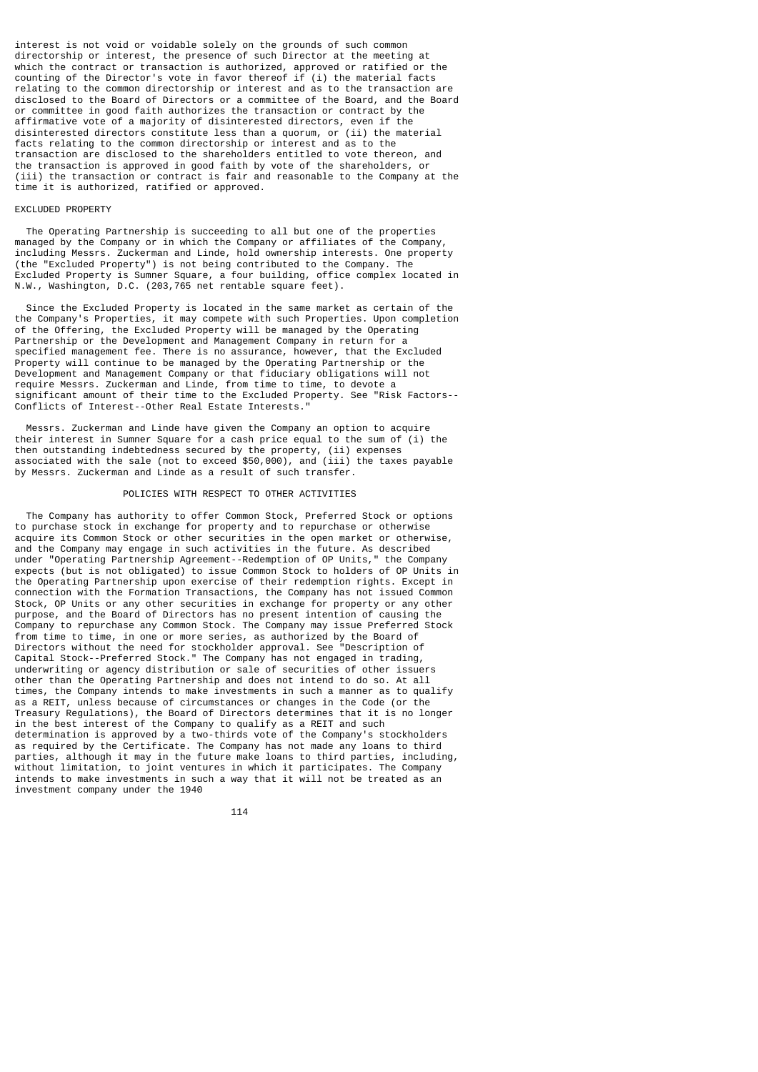interest is not void or voidable solely on the grounds of such common directorship or interest, the presence of such Director at the meeting at which the contract or transaction is authorized, approved or ratified or the counting of the Director's vote in favor thereof if (i) the material facts relating to the common directorship or interest and as to the transaction are disclosed to the Board of Directors or a committee of the Board, and the Board or committee in good faith authorizes the transaction or contract by the affirmative vote of a majority of disinterested directors, even if the disinterested directors constitute less than a quorum, or (ii) the material facts relating to the common directorship or interest and as to the transaction are disclosed to the shareholders entitled to vote thereon, and the transaction is approved in good faith by vote of the shareholders, or (iii) the transaction or contract is fair and reasonable to the Company at the time it is authorized, ratified or approved.

### EXCLUDED PROPERTY

 The Operating Partnership is succeeding to all but one of the properties managed by the Company or in which the Company or affiliates of the Company, including Messrs. Zuckerman and Linde, hold ownership interests. One property (the "Excluded Property") is not being contributed to the Company. The Excluded Property is Sumner Square, a four building, office complex located in N.W., Washington, D.C. (203,765 net rentable square feet).

 Since the Excluded Property is located in the same market as certain of the the Company's Properties, it may compete with such Properties. Upon completion of the Offering, the Excluded Property will be managed by the Operating Partnership or the Development and Management Company in return for a specified management fee. There is no assurance, however, that the Excluded Property will continue to be managed by the Operating Partnership or the Development and Management Company or that fiduciary obligations will not require Messrs. Zuckerman and Linde, from time to time, to devote a significant amount of their time to the Excluded Property. See "Risk Factors-- Conflicts of Interest--Other Real Estate Interests."

 Messrs. Zuckerman and Linde have given the Company an option to acquire their interest in Sumner Square for a cash price equal to the sum of (i) the then outstanding indebtedness secured by the property, (ii) expenses associated with the sale (not to exceed \$50,000), and (iii) the taxes payable by Messrs. Zuckerman and Linde as a result of such transfer.

## POLICIES WITH RESPECT TO OTHER ACTIVITIES

 The Company has authority to offer Common Stock, Preferred Stock or options to purchase stock in exchange for property and to repurchase or otherwise acquire its Common Stock or other securities in the open market or otherwise, and the Company may engage in such activities in the future. As described under "Operating Partnership Agreement--Redemption of OP Units," the Company expects (but is not obligated) to issue Common Stock to holders of OP Units in the Operating Partnership upon exercise of their redemption rights. Except in connection with the Formation Transactions, the Company has not issued Common Stock, OP Units or any other securities in exchange for property or any other purpose, and the Board of Directors has no present intention of causing the Company to repurchase any Common Stock. The Company may issue Preferred Stock from time to time, in one or more series, as authorized by the Board of Directors without the need for stockholder approval. See "Description of Capital Stock--Preferred Stock." The Company has not engaged in trading, underwriting or agency distribution or sale of securities of other issuers other than the Operating Partnership and does not intend to do so. At all times, the Company intends to make investments in such a manner as to qualify as a REIT, unless because of circumstances or changes in the Code (or the Treasury Regulations), the Board of Directors determines that it is no longer in the best interest of the Company to qualify as a REIT and such determination is approved by a two-thirds vote of the Company's stockholders as required by the Certificate. The Company has not made any loans to third parties, although it may in the future make loans to third parties, including, without limitation, to joint ventures in which it participates. The Company intends to make investments in such a way that it will not be treated as an investment company under the 1940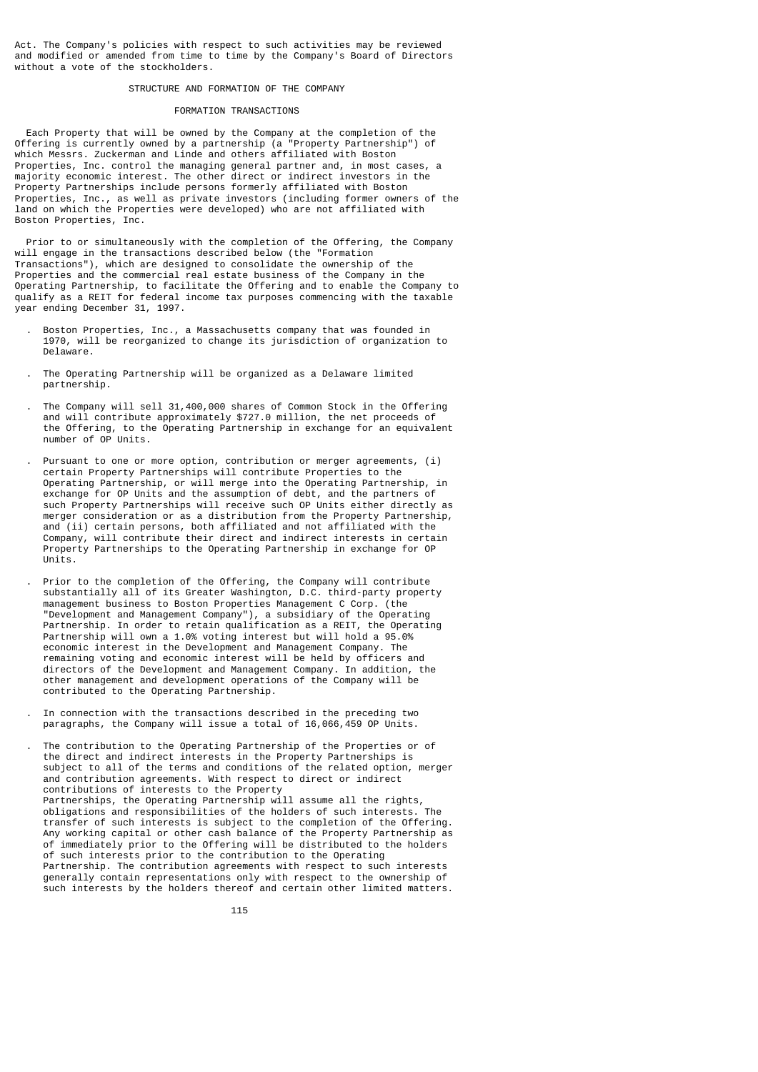Act. The Company's policies with respect to such activities may be reviewed and modified or amended from time to time by the Company's Board of Directors without a vote of the stockholders.

## STRUCTURE AND FORMATION OF THE COMPANY

### FORMATION TRANSACTIONS

 Each Property that will be owned by the Company at the completion of the Offering is currently owned by a partnership (a "Property Partnership") of which Messrs. Zuckerman and Linde and others affiliated with Boston Properties, Inc. control the managing general partner and, in most cases, a majority economic interest. The other direct or indirect investors in the Property Partnerships include persons formerly affiliated with Boston Properties, Inc., as well as private investors (including former owners of the land on which the Properties were developed) who are not affiliated with Boston Properties, Inc.

 Prior to or simultaneously with the completion of the Offering, the Company will engage in the transactions described below (the "Formation Transactions"), which are designed to consolidate the ownership of the Properties and the commercial real estate business of the Company in the Operating Partnership, to facilitate the Offering and to enable the Company to qualify as a REIT for federal income tax purposes commencing with the taxable year ending December 31, 1997.

- . Boston Properties, Inc., a Massachusetts company that was founded in 1970, will be reorganized to change its jurisdiction of organization to Delaware.
- . The Operating Partnership will be organized as a Delaware limited partnership.
- . The Company will sell 31,400,000 shares of Common Stock in the Offering and will contribute approximately \$727.0 million, the net proceeds of the Offering, to the Operating Partnership in exchange for an equivalent number of OP Units.
- Pursuant to one or more option, contribution or merger agreements, (i) certain Property Partnerships will contribute Properties to the Operating Partnership, or will merge into the Operating Partnership, in exchange for OP Units and the assumption of debt, and the partners of such Property Partnerships will receive such OP Units either directly as merger consideration or as a distribution from the Property Partnership, and (ii) certain persons, both affiliated and not affiliated with the Company, will contribute their direct and indirect interests in certain Property Partnerships to the Operating Partnership in exchange for OP Units.
- . Prior to the completion of the Offering, the Company will contribute substantially all of its Greater Washington, D.C. third-party property management business to Boston Properties Management C Corp. (the "Development and Management Company"), a subsidiary of the Operating Partnership. In order to retain qualification as a REIT, the Operating Partnership will own a 1.0% voting interest but will hold a 95.0% economic interest in the Development and Management Company. The remaining voting and economic interest will be held by officers and directors of the Development and Management Company. In addition, the other management and development operations of the Company will be contributed to the Operating Partnership.
	- . In connection with the transactions described in the preceding two paragraphs, the Company will issue a total of 16,066,459 OP Units.

 . The contribution to the Operating Partnership of the Properties or of the direct and indirect interests in the Property Partnerships is subject to all of the terms and conditions of the related option, merger and contribution agreements. With respect to direct or indirect contributions of interests to the Property Partnerships, the Operating Partnership will assume all the rights, obligations and responsibilities of the holders of such interests. The transfer of such interests is subject to the completion of the Offering. Any working capital or other cash balance of the Property Partnership as of immediately prior to the Offering will be distributed to the holders of such interests prior to the contribution to the Operating Partnership. The contribution agreements with respect to such interests generally contain representations only with respect to the ownership of such interests by the holders thereof and certain other limited matters.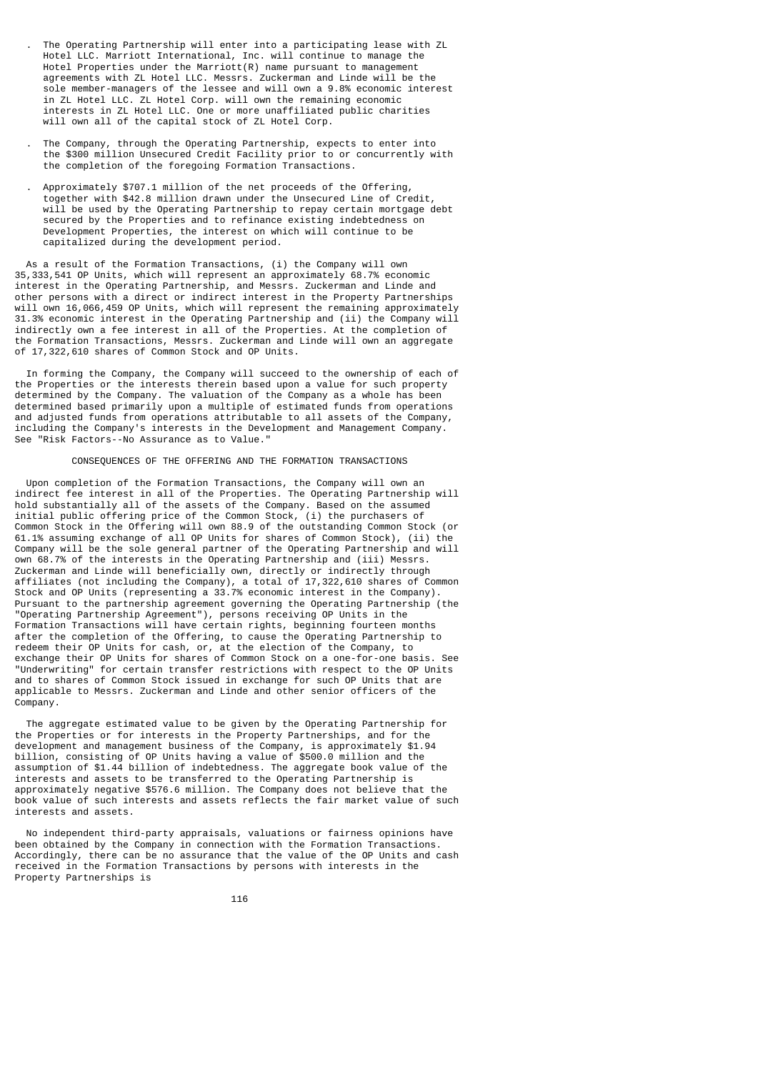- . The Operating Partnership will enter into a participating lease with ZL Hotel LLC. Marriott International, Inc. will continue to manage the Hotel Properties under the Marriott(R) name pursuant to management agreements with ZL Hotel LLC. Messrs. Zuckerman and Linde will be the sole member-managers of the lessee and will own a 9.8% economic interest in ZL Hotel LLC. ZL Hotel Corp. will own the remaining economic interests in ZL Hotel LLC. One or more unaffiliated public charities will own all of the capital stock of ZL Hotel Corp.
- . The Company, through the Operating Partnership, expects to enter into the \$300 million Unsecured Credit Facility prior to or concurrently with the completion of the foregoing Formation Transactions.
- . Approximately \$707.1 million of the net proceeds of the Offering, together with \$42.8 million drawn under the Unsecured Line of Credit, will be used by the Operating Partnership to repay certain mortgage debt secured by the Properties and to refinance existing indebtedness on Development Properties, the interest on which will continue to be capitalized during the development period.

 As a result of the Formation Transactions, (i) the Company will own 35,333,541 OP Units, which will represent an approximately 68.7% economic interest in the Operating Partnership, and Messrs. Zuckerman and Linde and other persons with a direct or indirect interest in the Property Partnerships will own 16,066,459 OP Units, which will represent the remaining approximately 31.3% economic interest in the Operating Partnership and (ii) the Company will indirectly own a fee interest in all of the Properties. At the completion of the Formation Transactions, Messrs. Zuckerman and Linde will own an aggregate of 17,322,610 shares of Common Stock and OP Units.

 In forming the Company, the Company will succeed to the ownership of each of the Properties or the interests therein based upon a value for such property determined by the Company. The valuation of the Company as a whole has been determined based primarily upon a multiple of estimated funds from operations and adjusted funds from operations attributable to all assets of the Company, including the Company's interests in the Development and Management Company. See "Risk Factors--No Assurance as to Value."

### CONSEQUENCES OF THE OFFERING AND THE FORMATION TRANSACTIONS

 Upon completion of the Formation Transactions, the Company will own an indirect fee interest in all of the Properties. The Operating Partnership will hold substantially all of the assets of the Company. Based on the assumed initial public offering price of the Common Stock, (i) the purchasers of Common Stock in the Offering will own 88.9 of the outstanding Common Stock (or 61.1% assuming exchange of all OP Units for shares of Common Stock), (ii) the Company will be the sole general partner of the Operating Partnership and will own 68.7% of the interests in the Operating Partnership and (iii) Messrs. Zuckerman and Linde will beneficially own, directly or indirectly through affiliates (not including the Company), a total of 17,322,610 shares of Common Stock and OP Units (representing a 33.7% economic interest in the Company). Pursuant to the partnership agreement governing the Operating Partnership (the "Operating Partnership Agreement"), persons receiving OP Units in the Formation Transactions will have certain rights, beginning fourteen months after the completion of the Offering, to cause the Operating Partnership to redeem their OP Units for cash, or, at the election of the Company, to exchange their OP Units for shares of Common Stock on a one-for-one basis. See "Underwriting" for certain transfer restrictions with respect to the OP Units and to shares of Common Stock issued in exchange for such OP Units that are applicable to Messrs. Zuckerman and Linde and other senior officers of the Company.

 The aggregate estimated value to be given by the Operating Partnership for the Properties or for interests in the Property Partnerships, and for the development and management business of the Company, is approximately \$1.94 billion, consisting of OP Units having a value of \$500.0 million and the assumption of \$1.44 billion of indebtedness. The aggregate book value of the interests and assets to be transferred to the Operating Partnership is approximately negative \$576.6 million. The Company does not believe that the book value of such interests and assets reflects the fair market value of such interests and assets.

 No independent third-party appraisals, valuations or fairness opinions have been obtained by the Company in connection with the Formation Transactions. Accordingly, there can be no assurance that the value of the OP Units and cash received in the Formation Transactions by persons with interests in the Property Partnerships is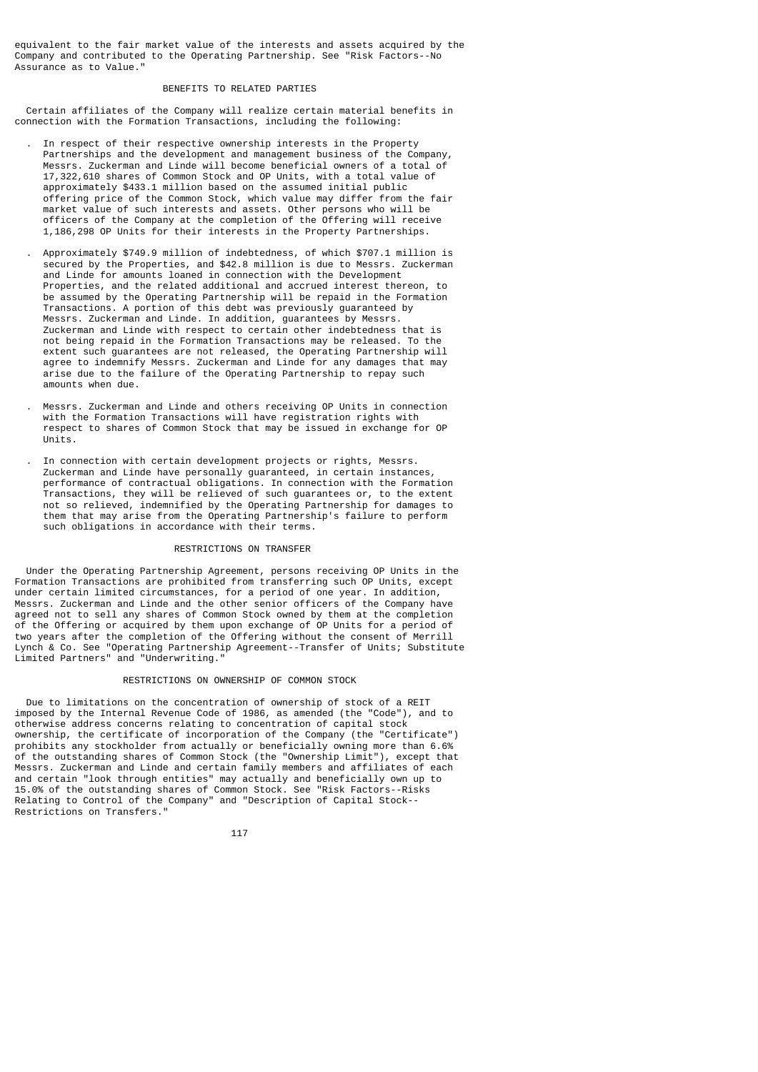equivalent to the fair market value of the interests and assets acquired by the Company and contributed to the Operating Partnership. See "Risk Factors--No Assurance as to Value."

## BENEFITS TO RELATED PARTIES

 Certain affiliates of the Company will realize certain material benefits in connection with the Formation Transactions, including the following:

- . In respect of their respective ownership interests in the Property Partnerships and the development and management business of the Company, Messrs. Zuckerman and Linde will become beneficial owners of a total of 17,322,610 shares of Common Stock and OP Units, with a total value of approximately \$433.1 million based on the assumed initial public offering price of the Common Stock, which value may differ from the fair market value of such interests and assets. Other persons who will be officers of the Company at the completion of the Offering will receive 1,186,298 OP Units for their interests in the Property Partnerships.
- . Approximately \$749.9 million of indebtedness, of which \$707.1 million is secured by the Properties, and \$42.8 million is due to Messrs. Zuckerman and Linde for amounts loaned in connection with the Development Properties, and the related additional and accrued interest thereon, to be assumed by the Operating Partnership will be repaid in the Formation Transactions. A portion of this debt was previously guaranteed by Messrs. Zuckerman and Linde. In addition, guarantees by Messrs. Zuckerman and Linde with respect to certain other indebtedness that is not being repaid in the Formation Transactions may be released. To the extent such guarantees are not released, the Operating Partnership will agree to indemnify Messrs. Zuckerman and Linde for any damages that may arise due to the failure of the Operating Partnership to repay such amounts when due.
- . Messrs. Zuckerman and Linde and others receiving OP Units in connection with the Formation Transactions will have registration rights with respect to shares of Common Stock that may be issued in exchange for OP Units.
- . In connection with certain development projects or rights, Messrs. Zuckerman and Linde have personally guaranteed, in certain instances, performance of contractual obligations. In connection with the Formation Transactions, they will be relieved of such guarantees or, to the extent not so relieved, indemnified by the Operating Partnership for damages to them that may arise from the Operating Partnership's failure to perform such obligations in accordance with their terms.

## RESTRICTIONS ON TRANSFER

 Under the Operating Partnership Agreement, persons receiving OP Units in the Formation Transactions are prohibited from transferring such OP Units, except under certain limited circumstances, for a period of one year. In addition, Messrs. Zuckerman and Linde and the other senior officers of the Company have agreed not to sell any shares of Common Stock owned by them at the completion of the Offering or acquired by them upon exchange of OP Units for a period of two years after the completion of the Offering without the consent of Merrill Lynch & Co. See "Operating Partnership Agreement--Transfer of Units; Substitute Limited Partners" and "Underwriting."

## RESTRICTIONS ON OWNERSHIP OF COMMON STOCK

 Due to limitations on the concentration of ownership of stock of a REIT imposed by the Internal Revenue Code of 1986, as amended (the "Code"), and to otherwise address concerns relating to concentration of capital stock ownership, the certificate of incorporation of the Company (the "Certificate") prohibits any stockholder from actually or beneficially owning more than 6.6% of the outstanding shares of Common Stock (the "Ownership Limit"), except that Messrs. Zuckerman and Linde and certain family members and affiliates of each and certain "look through entities" may actually and beneficially own up to 15.0% of the outstanding shares of Common Stock. See "Risk Factors--Risks Relating to Control of the Company" and "Description of Capital Stock-- Restrictions on Transfers."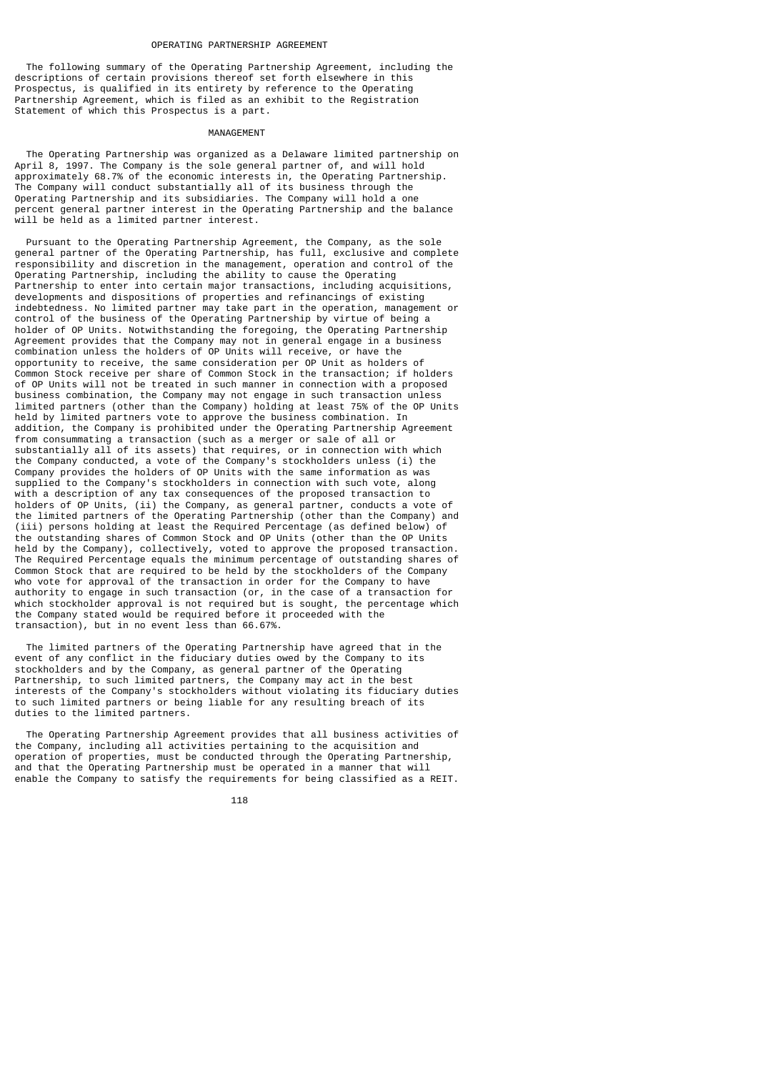The following summary of the Operating Partnership Agreement, including the descriptions of certain provisions thereof set forth elsewhere in this Prospectus, is qualified in its entirety by reference to the Operating Partnership Agreement, which is filed as an exhibit to the Registration Statement of which this Prospectus is a part.

#### MANAGEMENT

 The Operating Partnership was organized as a Delaware limited partnership on April 8, 1997. The Company is the sole general partner of, and will hold approximately 68.7% of the economic interests in, the Operating Partnership. The Company will conduct substantially all of its business through the Operating Partnership and its subsidiaries. The Company will hold a one percent general partner interest in the Operating Partnership and the balance will be held as a limited partner interest.

 Pursuant to the Operating Partnership Agreement, the Company, as the sole general partner of the Operating Partnership, has full, exclusive and complete responsibility and discretion in the management, operation and control of the Operating Partnership, including the ability to cause the Operating Partnership to enter into certain major transactions, including acquisitions, developments and dispositions of properties and refinancings of existing indebtedness. No limited partner may take part in the operation, management or control of the business of the Operating Partnership by virtue of being a holder of OP Units. Notwithstanding the foregoing, the Operating Partnership Agreement provides that the Company may not in general engage in a business combination unless the holders of OP Units will receive, or have the opportunity to receive, the same consideration per OP Unit as holders of Common Stock receive per share of Common Stock in the transaction; if holders of OP Units will not be treated in such manner in connection with a proposed business combination, the Company may not engage in such transaction unless limited partners (other than the Company) holding at least 75% of the OP Units held by limited partners vote to approve the business combination. In addition, the Company is prohibited under the Operating Partnership Agreement from consummating a transaction (such as a merger or sale of all or substantially all of its assets) that requires, or in connection with which the Company conducted, a vote of the Company's stockholders unless (i) the Company provides the holders of OP Units with the same information as was supplied to the Company's stockholders in connection with such vote, along with a description of any tax consequences of the proposed transaction to holders of OP Units, (ii) the Company, as general partner, conducts a vote of the limited partners of the Operating Partnership (other than the Company) and (iii) persons holding at least the Required Percentage (as defined below) of the outstanding shares of Common Stock and OP Units (other than the OP Units held by the Company), collectively, voted to approve the proposed transaction. The Required Percentage equals the minimum percentage of outstanding shares of Common Stock that are required to be held by the stockholders of the Company who vote for approval of the transaction in order for the Company to have authority to engage in such transaction (or, in the case of a transaction for which stockholder approval is not required but is sought, the percentage which the Company stated would be required before it proceeded with the transaction), but in no event less than 66.67%.

 The limited partners of the Operating Partnership have agreed that in the event of any conflict in the fiduciary duties owed by the Company to its stockholders and by the Company, as general partner of the Operating Partnership, to such limited partners, the Company may act in the best interests of the Company's stockholders without violating its fiduciary duties to such limited partners or being liable for any resulting breach of its duties to the limited partners.

 The Operating Partnership Agreement provides that all business activities of the Company, including all activities pertaining to the acquisition and operation of properties, must be conducted through the Operating Partnership, and that the Operating Partnership must be operated in a manner that will enable the Company to satisfy the requirements for being classified as a REIT.

118 - 118 - 118 - 118 - 118 - 118 - 118 - 118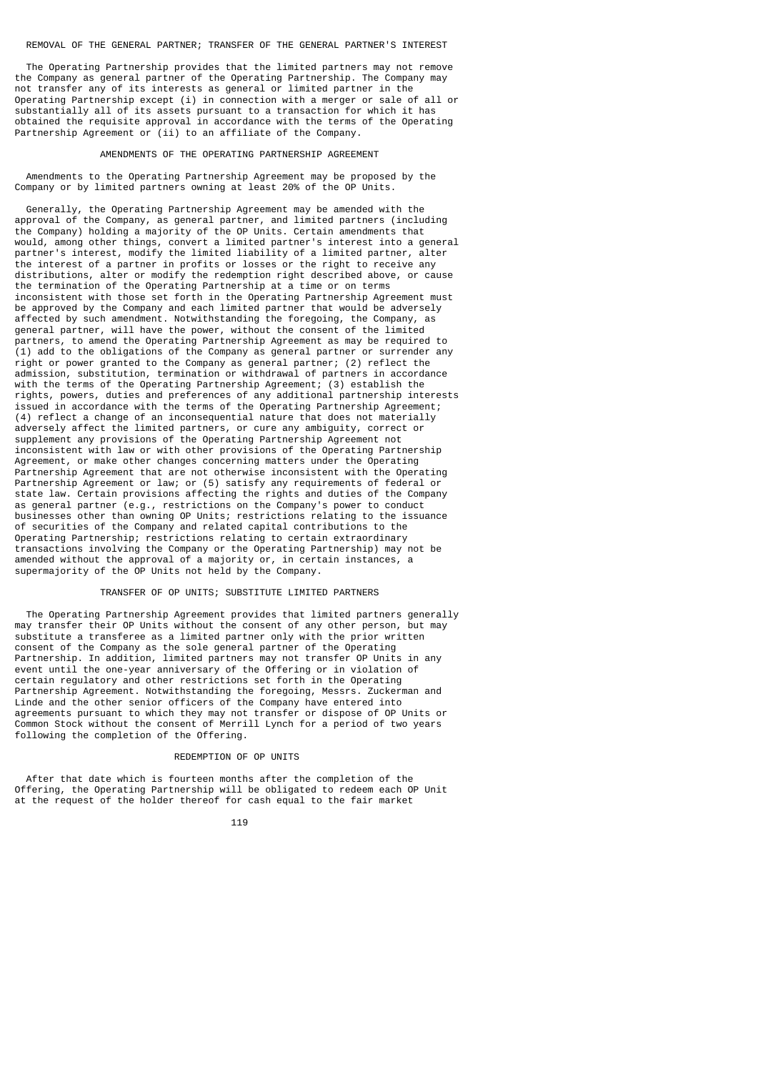The Operating Partnership provides that the limited partners may not remove the Company as general partner of the Operating Partnership. The Company may not transfer any of its interests as general or limited partner in the Operating Partnership except (i) in connection with a merger or sale of all or substantially all of its assets pursuant to a transaction for which it has obtained the requisite approval in accordance with the terms of the Operating Partnership Agreement or (ii) to an affiliate of the Company.

### AMENDMENTS OF THE OPERATING PARTNERSHIP AGREEMENT

 Amendments to the Operating Partnership Agreement may be proposed by the Company or by limited partners owning at least 20% of the OP Units.

 Generally, the Operating Partnership Agreement may be amended with the approval of the Company, as general partner, and limited partners (including the Company) holding a majority of the OP Units. Certain amendments that would, among other things, convert a limited partner's interest into a general partner's interest, modify the limited liability of a limited partner, alter the interest of a partner in profits or losses or the right to receive any distributions, alter or modify the redemption right described above, or cause the termination of the Operating Partnership at a time or on terms inconsistent with those set forth in the Operating Partnership Agreement must be approved by the Company and each limited partner that would be adversely affected by such amendment. Notwithstanding the foregoing, the Company, as general partner, will have the power, without the consent of the limited partners, to amend the Operating Partnership Agreement as may be required to (1) add to the obligations of the Company as general partner or surrender any right or power granted to the Company as general partner; (2) reflect the admission, substitution, termination or withdrawal of partners in accordance with the terms of the Operating Partnership Agreement; (3) establish the rights, powers, duties and preferences of any additional partnership interests issued in accordance with the terms of the Operating Partnership Agreement; (4) reflect a change of an inconsequential nature that does not materially adversely affect the limited partners, or cure any ambiguity, correct or supplement any provisions of the Operating Partnership Agreement not inconsistent with law or with other provisions of the Operating Partnership Agreement, or make other changes concerning matters under the Operating Partnership Agreement that are not otherwise inconsistent with the Operating Partnership Agreement or law; or (5) satisfy any requirements of federal or state law. Certain provisions affecting the rights and duties of the Company as general partner (e.g., restrictions on the Company's power to conduct businesses other than owning OP Units; restrictions relating to the issuance of securities of the Company and related capital contributions to the Operating Partnership; restrictions relating to certain extraordinary transactions involving the Company or the Operating Partnership) may not be amended without the approval of a majority or, in certain instances, a supermajority of the OP Units not held by the Company.

## TRANSFER OF OP UNITS; SUBSTITUTE LIMITED PARTNERS

 The Operating Partnership Agreement provides that limited partners generally may transfer their OP Units without the consent of any other person, but may substitute a transferee as a limited partner only with the prior written consent of the Company as the sole general partner of the Operating Partnership. In addition, limited partners may not transfer OP Units in any event until the one-year anniversary of the Offering or in violation of certain regulatory and other restrictions set forth in the Operating Partnership Agreement. Notwithstanding the foregoing, Messrs. Zuckerman and Linde and the other senior officers of the Company have entered into agreements pursuant to which they may not transfer or dispose of OP Units or Common Stock without the consent of Merrill Lynch for a period of two years following the completion of the Offering.

### REDEMPTION OF OP UNITS

 After that date which is fourteen months after the completion of the Offering, the Operating Partnership will be obligated to redeem each OP Unit at the request of the holder thereof for cash equal to the fair market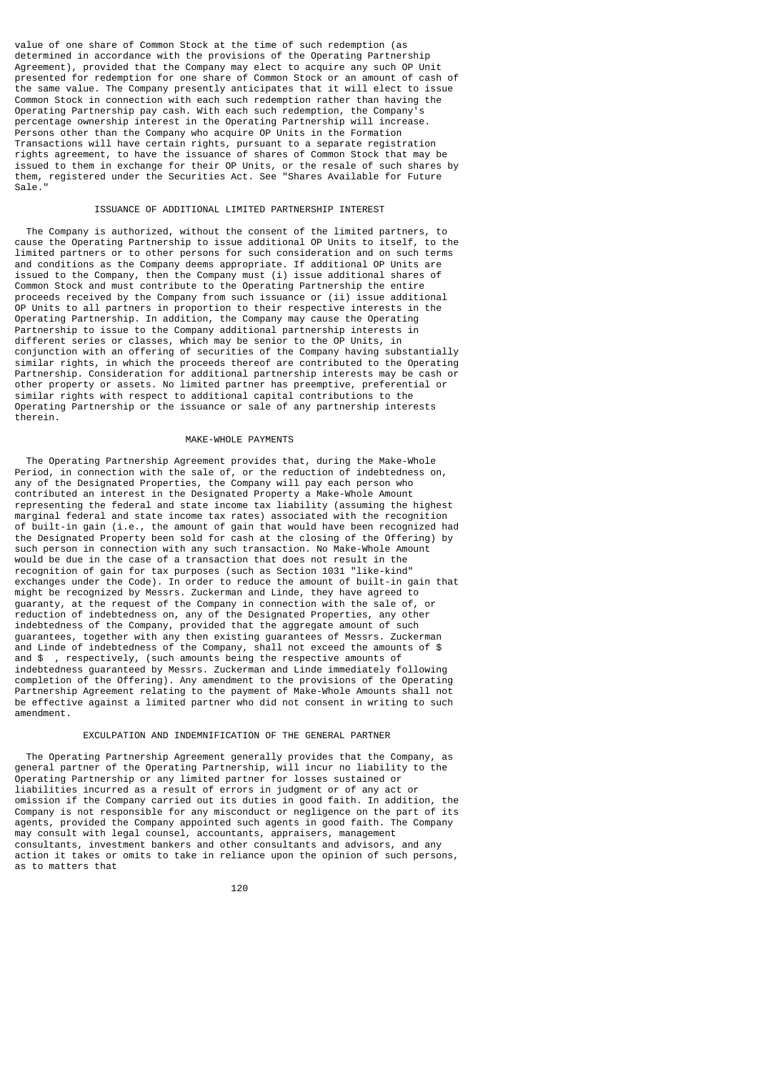value of one share of Common Stock at the time of such redemption (as determined in accordance with the provisions of the Operating Partnership Agreement), provided that the Company may elect to acquire any such OP Unit presented for redemption for one share of Common Stock or an amount of cash of the same value. The Company presently anticipates that it will elect to issue Common Stock in connection with each such redemption rather than having the Operating Partnership pay cash. With each such redemption, the Company's percentage ownership interest in the Operating Partnership will increase. Persons other than the Company who acquire OP Units in the Formation Transactions will have certain rights, pursuant to a separate registration rights agreement, to have the issuance of shares of Common Stock that may be issued to them in exchange for their OP Units, or the resale of such shares by them, registered under the Securities Act. See "Shares Available for Future Sale."

### ISSUANCE OF ADDITIONAL LIMITED PARTNERSHIP INTEREST

 The Company is authorized, without the consent of the limited partners, to cause the Operating Partnership to issue additional OP Units to itself, to the limited partners or to other persons for such consideration and on such terms and conditions as the Company deems appropriate. If additional OP Units are issued to the Company, then the Company must (i) issue additional shares of Common Stock and must contribute to the Operating Partnership the entire proceeds received by the Company from such issuance or (ii) issue additional OP Units to all partners in proportion to their respective interests in the Operating Partnership. In addition, the Company may cause the Operating Partnership to issue to the Company additional partnership interests in different series or classes, which may be senior to the OP Units, in conjunction with an offering of securities of the Company having substantially similar rights, in which the proceeds thereof are contributed to the Operating Partnership. Consideration for additional partnership interests may be cash or other property or assets. No limited partner has preemptive, preferential or similar rights with respect to additional capital contributions to the Operating Partnership or the issuance or sale of any partnership interests therein.

## MAKE-WHOLE PAYMENTS

 The Operating Partnership Agreement provides that, during the Make-Whole Period, in connection with the sale of, or the reduction of indebtedness on, any of the Designated Properties, the Company will pay each person who contributed an interest in the Designated Property a Make-Whole Amount representing the federal and state income tax liability (assuming the highest marginal federal and state income tax rates) associated with the recognition of built-in gain (i.e., the amount of gain that would have been recognized had the Designated Property been sold for cash at the closing of the Offering) by such person in connection with any such transaction. No Make-Whole Amount would be due in the case of a transaction that does not result in the recognition of gain for tax purposes (such as Section 1031 "like-kind" exchanges under the Code). In order to reduce the amount of built-in gain that might be recognized by Messrs. Zuckerman and Linde, they have agreed to guaranty, at the request of the Company in connection with the sale of, or reduction of indebtedness on, any of the Designated Properties, any other indebtedness of the Company, provided that the aggregate amount of such guarantees, together with any then existing guarantees of Messrs. Zuckerman and Linde of indebtedness of the Company, shall not exceed the amounts of \$ and \$ , respectively, (such amounts being the respective amounts of indebtedness guaranteed by Messrs. Zuckerman and Linde immediately following completion of the Offering). Any amendment to the provisions of the Operating Partnership Agreement relating to the payment of Make-Whole Amounts shall not be effective against a limited partner who did not consent in writing to such amendment.

## EXCULPATION AND INDEMNIFICATION OF THE GENERAL PARTNER

 The Operating Partnership Agreement generally provides that the Company, as general partner of the Operating Partnership, will incur no liability to the Operating Partnership or any limited partner for losses sustained or liabilities incurred as a result of errors in judgment or of any act or omission if the Company carried out its duties in good faith. In addition, the Company is not responsible for any misconduct or negligence on the part of its agents, provided the Company appointed such agents in good faith. The Company may consult with legal counsel, accountants, appraisers, management consultants, investment bankers and other consultants and advisors, and any action it takes or omits to take in reliance upon the opinion of such persons, as to matters that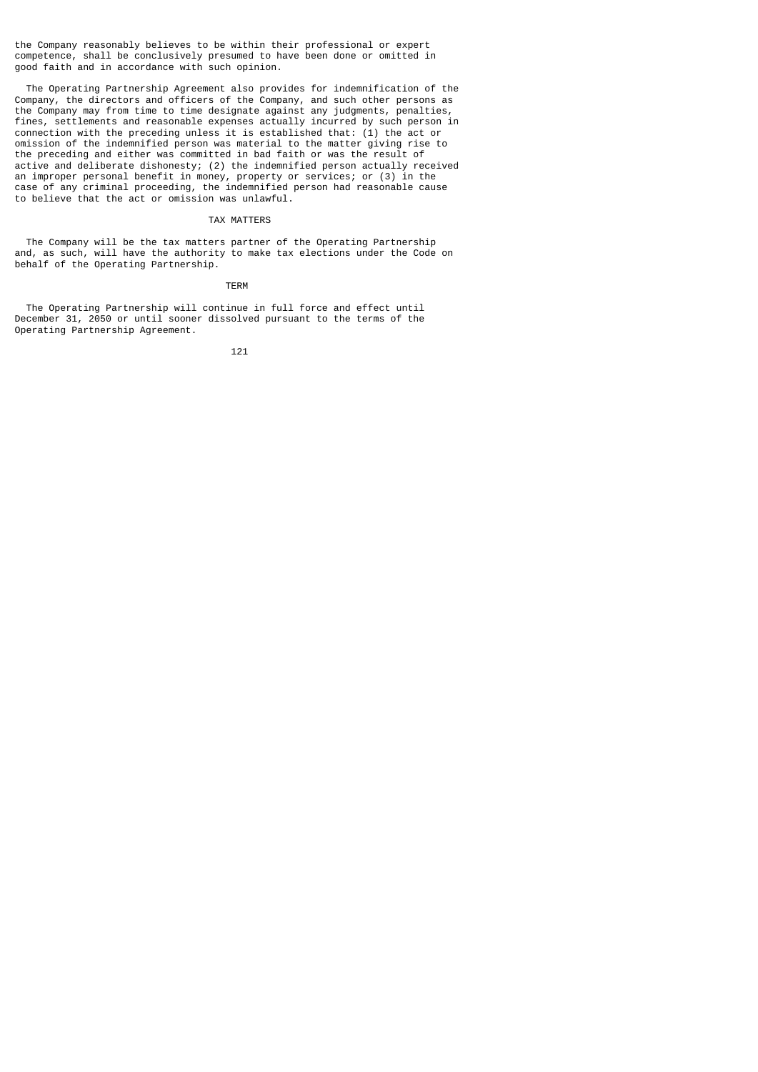the Company reasonably believes to be within their professional or expert competence, shall be conclusively presumed to have been done or omitted in good faith and in accordance with such opinion.

 The Operating Partnership Agreement also provides for indemnification of the Company, the directors and officers of the Company, and such other persons as the Company may from time to time designate against any judgments, penalties, fines, settlements and reasonable expenses actually incurred by such person in connection with the preceding unless it is established that: (1) the act or omission of the indemnified person was material to the matter giving rise to the preceding and either was committed in bad faith or was the result of active and deliberate dishonesty; (2) the indemnified person actually received an improper personal benefit in money, property or services; or (3) in the case of any criminal proceeding, the indemnified person had reasonable cause to believe that the act or omission was unlawful.

### TAX MATTERS

 The Company will be the tax matters partner of the Operating Partnership and, as such, will have the authority to make tax elections under the Code on behalf of the Operating Partnership.

### **TERM** TERM

 The Operating Partnership will continue in full force and effect until December 31, 2050 or until sooner dissolved pursuant to the terms of the Operating Partnership Agreement.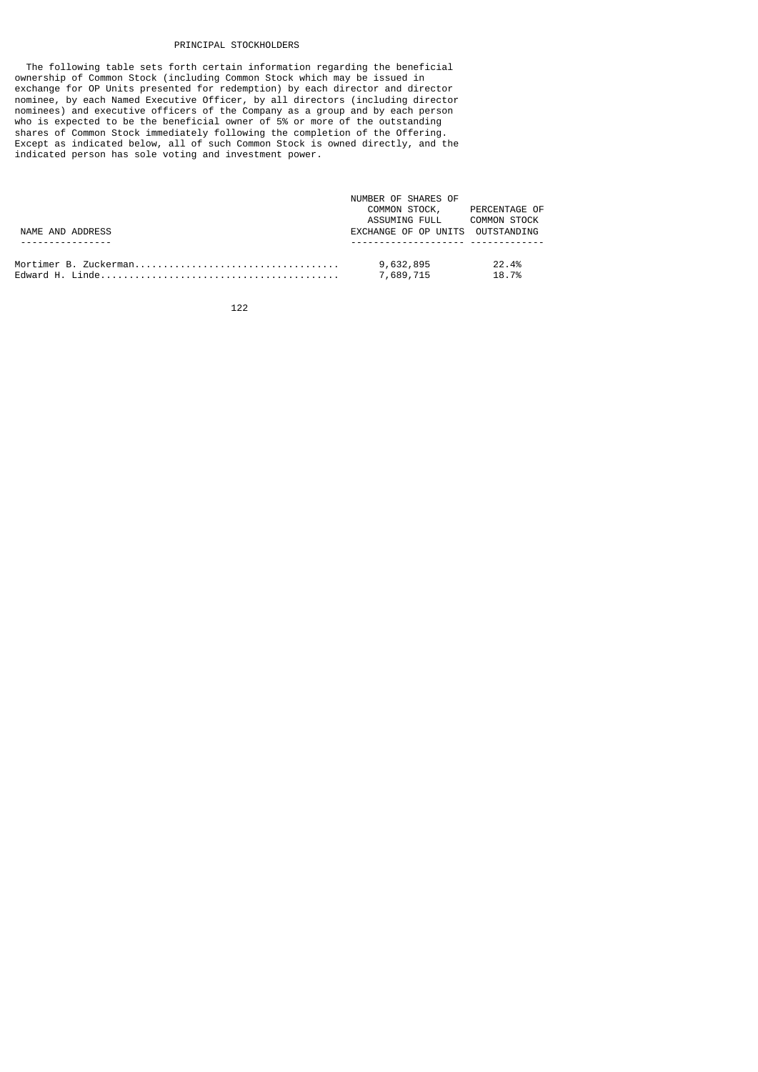## PRINCIPAL STOCKHOLDERS

 The following table sets forth certain information regarding the beneficial ownership of Common Stock (including Common Stock which may be issued in exchange for OP Units presented for redemption) by each director and director nominee, by each Named Executive Officer, by all directors (including director nominees) and executive officers of the Company as a group and by each person who is expected to be the beneficial owner of 5% or more of the outstanding shares of Common Stock immediately following the completion of the Offering. Except as indicated below, all of such Common Stock is owned directly, and the indicated person has sole voting and investment power.

|                  | NUMBER OF SHARES OF              |                |
|------------------|----------------------------------|----------------|
|                  | COMMON STOCK, PERCENTAGE OF      |                |
|                  | ASSUMING FULL                    | COMMON STOCK   |
| NAME AND ADDRESS | EXCHANGE OF OP UNITS OUTSTANDING |                |
|                  |                                  |                |
|                  | 9,632,895<br>7,689,715           | 22.4%<br>18.7% |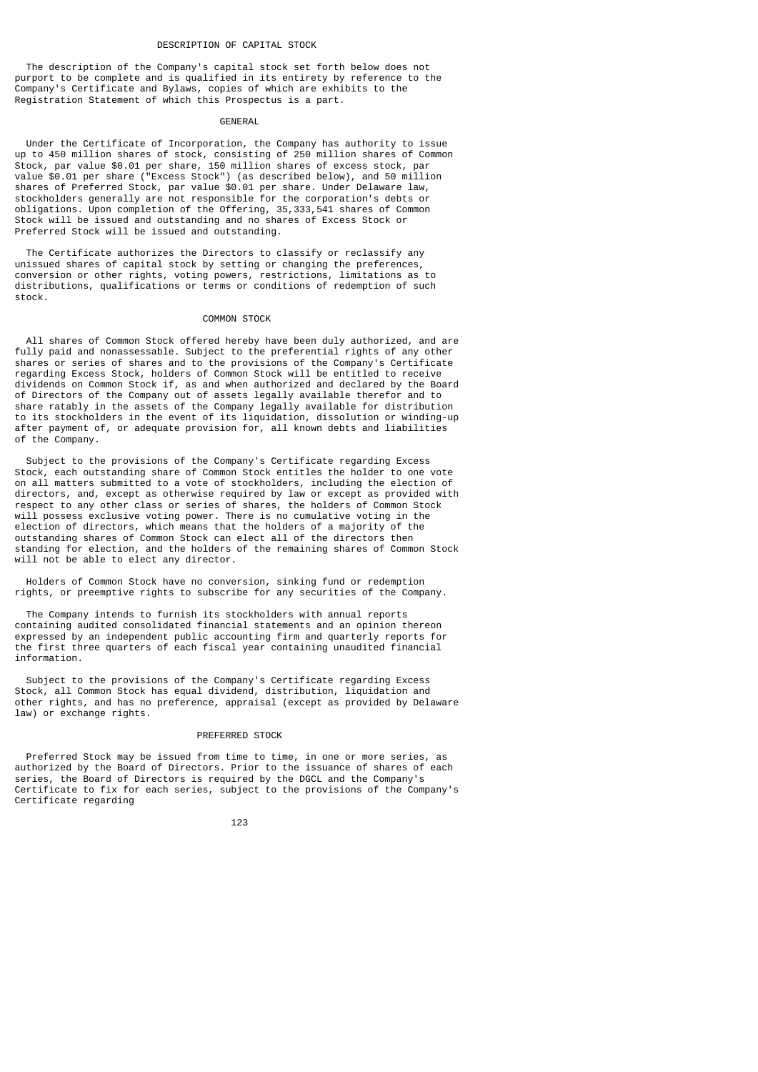#### DESCRIPTION OF CAPITAL STOCK

 The description of the Company's capital stock set forth below does not purport to be complete and is qualified in its entirety by reference to the Company's Certificate and Bylaws, copies of which are exhibits to the Registration Statement of which this Prospectus is a part.

### GENERAL

 Under the Certificate of Incorporation, the Company has authority to issue up to 450 million shares of stock, consisting of 250 million shares of Common Stock, par value \$0.01 per share, 150 million shares of excess stock, par value \$0.01 per share ("Excess Stock") (as described below), and 50 million shares of Preferred Stock, par value \$0.01 per share. Under Delaware law, stockholders generally are not responsible for the corporation's debts or obligations. Upon completion of the Offering, 35,333,541 shares of Common Stock will be issued and outstanding and no shares of Excess Stock or Preferred Stock will be issued and outstanding.

 The Certificate authorizes the Directors to classify or reclassify any unissued shares of capital stock by setting or changing the preferences, conversion or other rights, voting powers, restrictions, limitations as to distributions, qualifications or terms or conditions of redemption of such stock.

#### COMMON STOCK

 All shares of Common Stock offered hereby have been duly authorized, and are fully paid and nonassessable. Subject to the preferential rights of any other shares or series of shares and to the provisions of the Company's Certificate regarding Excess Stock, holders of Common Stock will be entitled to receive dividends on Common Stock if, as and when authorized and declared by the Board of Directors of the Company out of assets legally available therefor and to share ratably in the assets of the Company legally available for distribution to its stockholders in the event of its liquidation, dissolution or winding-up after payment of, or adequate provision for, all known debts and liabilities of the Company.

 Subject to the provisions of the Company's Certificate regarding Excess Stock, each outstanding share of Common Stock entitles the holder to one vote on all matters submitted to a vote of stockholders, including the election of directors, and, except as otherwise required by law or except as provided with respect to any other class or series of shares, the holders of Common Stock will possess exclusive voting power. There is no cumulative voting in the election of directors, which means that the holders of a majority of the outstanding shares of Common Stock can elect all of the directors then standing for election, and the holders of the remaining shares of Common Stock will not be able to elect any director.

 Holders of Common Stock have no conversion, sinking fund or redemption rights, or preemptive rights to subscribe for any securities of the Company.

 The Company intends to furnish its stockholders with annual reports containing audited consolidated financial statements and an opinion thereon expressed by an independent public accounting firm and quarterly reports for the first three quarters of each fiscal year containing unaudited financial information.

 Subject to the provisions of the Company's Certificate regarding Excess Stock, all Common Stock has equal dividend, distribution, liquidation and other rights, and has no preference, appraisal (except as provided by Delaware law) or exchange rights.

### PREFERRED STOCK

 Preferred Stock may be issued from time to time, in one or more series, as authorized by the Board of Directors. Prior to the issuance of shares of each series, the Board of Directors is required by the DGCL and the Company's Certificate to fix for each series, subject to the provisions of the Company's Certificate regarding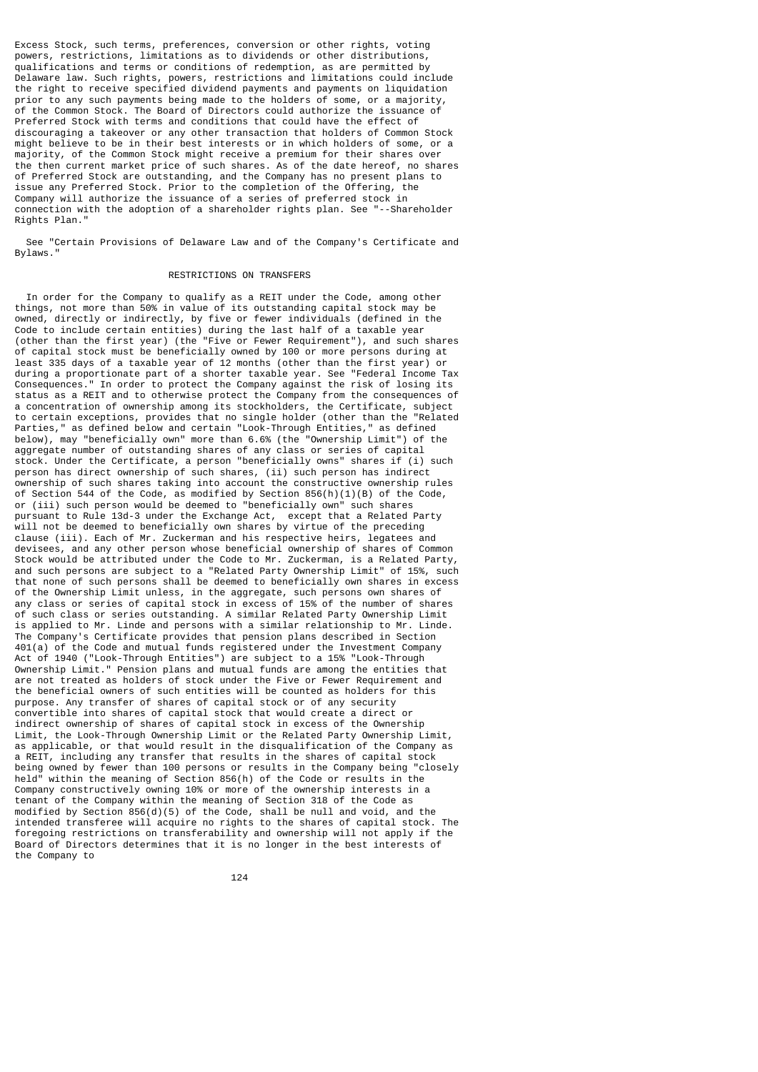Excess Stock, such terms, preferences, conversion or other rights, voting powers, restrictions, limitations as to dividends or other distributions, qualifications and terms or conditions of redemption, as are permitted by Delaware law. Such rights, powers, restrictions and limitations could include the right to receive specified dividend payments and payments on liquidation prior to any such payments being made to the holders of some, or a majority, of the Common Stock. The Board of Directors could authorize the issuance of Preferred Stock with terms and conditions that could have the effect of discouraging a takeover or any other transaction that holders of Common Stock might believe to be in their best interests or in which holders of some, or a majority, of the Common Stock might receive a premium for their shares over the then current market price of such shares. As of the date hereof, no shares of Preferred Stock are outstanding, and the Company has no present plans to issue any Preferred Stock. Prior to the completion of the Offering, the Company will authorize the issuance of a series of preferred stock in connection with the adoption of a shareholder rights plan. See "--Shareholder Rights Plan."

 See "Certain Provisions of Delaware Law and of the Company's Certificate and Bylaws."

## RESTRICTIONS ON TRANSFERS

 In order for the Company to qualify as a REIT under the Code, among other things, not more than 50% in value of its outstanding capital stock may be owned, directly or indirectly, by five or fewer individuals (defined in the Code to include certain entities) during the last half of a taxable year (other than the first year) (the "Five or Fewer Requirement"), and such shares of capital stock must be beneficially owned by 100 or more persons during at least 335 days of a taxable year of 12 months (other than the first year) or during a proportionate part of a shorter taxable year. See "Federal Income Tax Consequences." In order to protect the Company against the risk of losing its status as a REIT and to otherwise protect the Company from the consequences of a concentration of ownership among its stockholders, the Certificate, subject to certain exceptions, provides that no single holder (other than the "Related Parties," as defined below and certain "Look-Through Entities," as defined below), may "beneficially own" more than 6.6% (the "Ownership Limit") of the aggregate number of outstanding shares of any class or series of capital stock. Under the Certificate, a person "beneficially owns" shares if (i) such person has direct ownership of such shares, (ii) such person has indirect ownership of such shares taking into account the constructive ownership rules of Section 544 of the Code, as modified by Section 856(h)(1)(B) of the Code, or (iii) such person would be deemed to "beneficially own" such shares pursuant to Rule 13d-3 under the Exchange Act, except that a Related Party will not be deemed to beneficially own shares by virtue of the preceding clause (iii). Each of Mr. Zuckerman and his respective heirs, legatees and devisees, and any other person whose beneficial ownership of shares of Common Stock would be attributed under the Code to Mr. Zuckerman, is a Related Party, and such persons are subject to a "Related Party Ownership Limit" of 15%, such that none of such persons shall be deemed to beneficially own shares in excess of the Ownership Limit unless, in the aggregate, such persons own shares of any class or series of capital stock in excess of 15% of the number of shares of such class or series outstanding. A similar Related Party Ownership Limit is applied to Mr. Linde and persons with a similar relationship to Mr. Linde. The Company's Certificate provides that pension plans described in Section 401(a) of the Code and mutual funds registered under the Investment Company Act of 1940 ("Look-Through Entities") are subject to a 15% "Look-Through Ownership Limit." Pension plans and mutual funds are among the entities that are not treated as holders of stock under the Five or Fewer Requirement and the beneficial owners of such entities will be counted as holders for this purpose. Any transfer of shares of capital stock or of any security convertible into shares of capital stock that would create a direct or indirect ownership of shares of capital stock in excess of the Ownership Limit, the Look-Through Ownership Limit or the Related Party Ownership Limit, as applicable, or that would result in the disqualification of the Company as a REIT, including any transfer that results in the shares of capital stock being owned by fewer than 100 persons or results in the Company being "closely held" within the meaning of Section 856(h) of the Code or results in the Company constructively owning 10% or more of the ownership interests in a tenant of the Company within the meaning of Section 318 of the Code as modified by Section 856(d)(5) of the Code, shall be null and void, and the intended transferee will acquire no rights to the shares of capital stock. The foregoing restrictions on transferability and ownership will not apply if the Board of Directors determines that it is no longer in the best interests of the Company to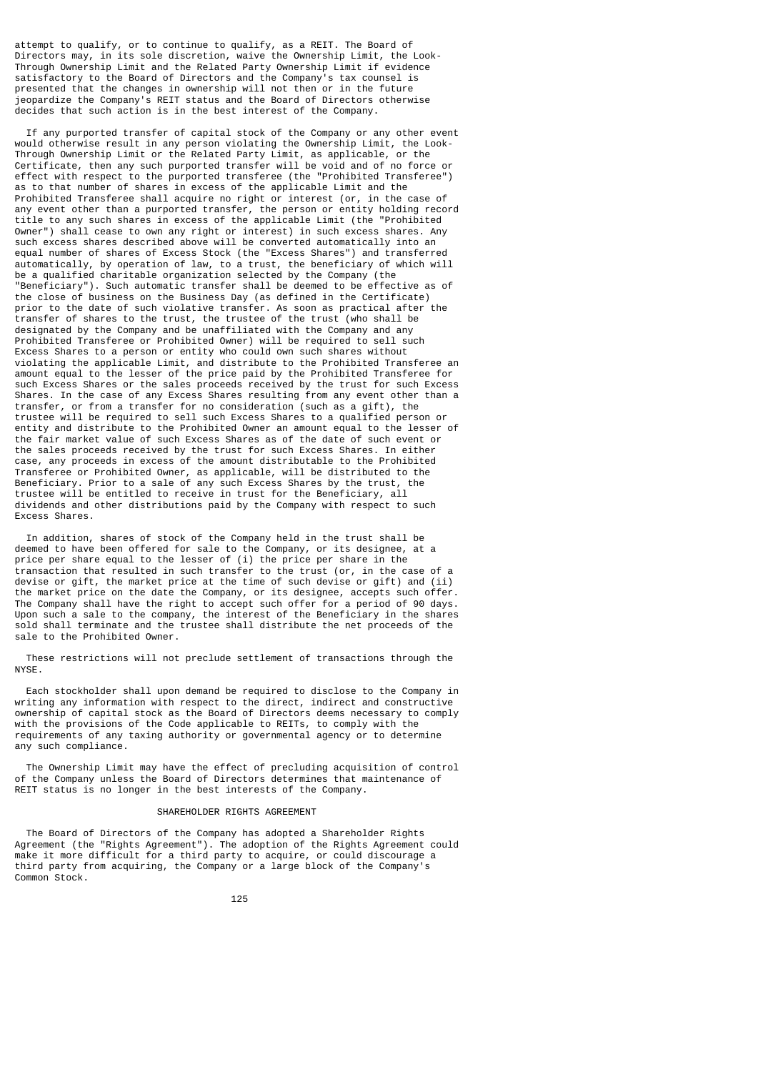attempt to qualify, or to continue to qualify, as a REIT. The Board of Directors may, in its sole discretion, waive the Ownership Limit, the Look-Through Ownership Limit and the Related Party Ownership Limit if evidence satisfactory to the Board of Directors and the Company's tax counsel is presented that the changes in ownership will not then or in the future jeopardize the Company's REIT status and the Board of Directors otherwise decides that such action is in the best interest of the Company.

 If any purported transfer of capital stock of the Company or any other event would otherwise result in any person violating the Ownership Limit, the Look-Through Ownership Limit or the Related Party Limit, as applicable, or the Certificate, then any such purported transfer will be void and of no force or effect with respect to the purported transferee (the "Prohibited Transferee") as to that number of shares in excess of the applicable Limit and the Prohibited Transferee shall acquire no right or interest (or, in the case of any event other than a purported transfer, the person or entity holding record title to any such shares in excess of the applicable Limit (the "Prohibited Owner") shall cease to own any right or interest) in such excess shares. Any such excess shares described above will be converted automatically into an equal number of shares of Excess Stock (the "Excess Shares") and transferred automatically, by operation of law, to a trust, the beneficiary of which will be a qualified charitable organization selected by the Company (the "Beneficiary"). Such automatic transfer shall be deemed to be effective as of the close of business on the Business Day (as defined in the Certificate) prior to the date of such violative transfer. As soon as practical after the transfer of shares to the trust, the trustee of the trust (who shall be designated by the Company and be unaffiliated with the Company and any Prohibited Transferee or Prohibited Owner) will be required to sell such Excess Shares to a person or entity who could own such shares without violating the applicable Limit, and distribute to the Prohibited Transferee an amount equal to the lesser of the price paid by the Prohibited Transferee for such Excess Shares or the sales proceeds received by the trust for such Excess Shares. In the case of any Excess Shares resulting from any event other than a transfer, or from a transfer for no consideration (such as a gift), the trustee will be required to sell such Excess Shares to a qualified person or entity and distribute to the Prohibited Owner an amount equal to the lesser of the fair market value of such Excess Shares as of the date of such event or the sales proceeds received by the trust for such Excess Shares. In either case, any proceeds in excess of the amount distributable to the Prohibited Transferee or Prohibited Owner, as applicable, will be distributed to the Beneficiary. Prior to a sale of any such Excess Shares by the trust, the trustee will be entitled to receive in trust for the Beneficiary, all dividends and other distributions paid by the Company with respect to such Excess Shares.

 In addition, shares of stock of the Company held in the trust shall be deemed to have been offered for sale to the Company, or its designee, at a price per share equal to the lesser of (i) the price per share in the transaction that resulted in such transfer to the trust (or, in the case of a devise or gift, the market price at the time of such devise or gift) and (ii) the market price on the date the Company, or its designee, accepts such offer. The Company shall have the right to accept such offer for a period of 90 days. Upon such a sale to the company, the interest of the Beneficiary in the shares sold shall terminate and the trustee shall distribute the net proceeds of the sale to the Prohibited Owner.

 These restrictions will not preclude settlement of transactions through the NYSE.

 Each stockholder shall upon demand be required to disclose to the Company in writing any information with respect to the direct, indirect and constructive ownership of capital stock as the Board of Directors deems necessary to comply with the provisions of the Code applicable to REITs, to comply with the requirements of any taxing authority or governmental agency or to determine any such compliance.

 The Ownership Limit may have the effect of precluding acquisition of control of the Company unless the Board of Directors determines that maintenance of REIT status is no longer in the best interests of the Company.

### SHAREHOLDER RIGHTS AGREEMENT

 The Board of Directors of the Company has adopted a Shareholder Rights Agreement (the "Rights Agreement"). The adoption of the Rights Agreement could make it more difficult for a third party to acquire, or could discourage a third party from acquiring, the Company or a large block of the Company's Common Stock.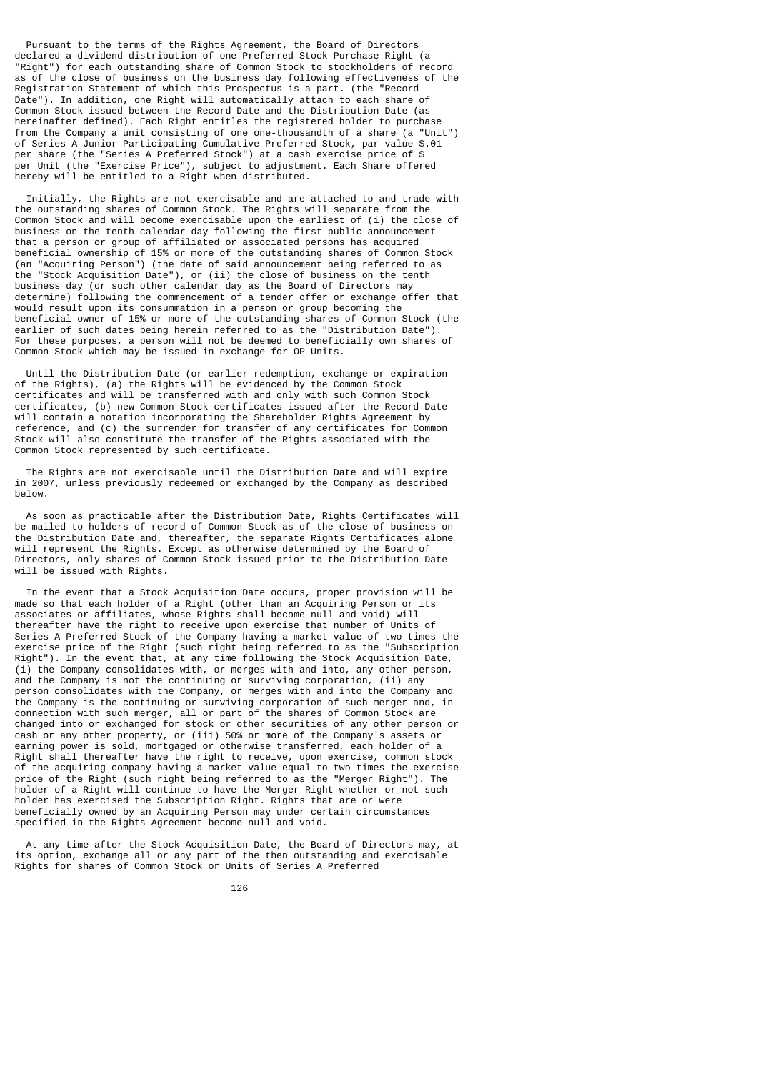Pursuant to the terms of the Rights Agreement, the Board of Directors declared a dividend distribution of one Preferred Stock Purchase Right (a "Right") for each outstanding share of Common Stock to stockholders of record as of the close of business on the business day following effectiveness of the Registration Statement of which this Prospectus is a part. (the "Record Date"). In addition, one Right will automatically attach to each share of Common Stock issued between the Record Date and the Distribution Date (as hereinafter defined). Each Right entitles the registered holder to purchase from the Company a unit consisting of one one-thousandth of a share (a "Unit") of Series A Junior Participating Cumulative Preferred Stock, par value \$.01 per share (the "Series A Preferred Stock") at a cash exercise price of \$ per Unit (the "Exercise Price"), subject to adjustment. Each Share offered hereby will be entitled to a Right when distributed.

 Initially, the Rights are not exercisable and are attached to and trade with the outstanding shares of Common Stock. The Rights will separate from the Common Stock and will become exercisable upon the earliest of (i) the close of business on the tenth calendar day following the first public announcement that a person or group of affiliated or associated persons has acquired beneficial ownership of 15% or more of the outstanding shares of Common Stock (an "Acquiring Person") (the date of said announcement being referred to as the "Stock Acquisition Date"), or (ii) the close of business on the tenth business day (or such other calendar day as the Board of Directors may determine) following the commencement of a tender offer or exchange offer that would result upon its consummation in a person or group becoming the beneficial owner of 15% or more of the outstanding shares of Common Stock (the earlier of such dates being herein referred to as the "Distribution Date"). For these purposes, a person will not be deemed to beneficially own shares of Common Stock which may be issued in exchange for OP Units.

 Until the Distribution Date (or earlier redemption, exchange or expiration of the Rights), (a) the Rights will be evidenced by the Common Stock certificates and will be transferred with and only with such Common Stock certificates, (b) new Common Stock certificates issued after the Record Date will contain a notation incorporating the Shareholder Rights Agreement by reference, and (c) the surrender for transfer of any certificates for Common Stock will also constitute the transfer of the Rights associated with the Common Stock represented by such certificate.

 The Rights are not exercisable until the Distribution Date and will expire in 2007, unless previously redeemed or exchanged by the Company as described below.

 As soon as practicable after the Distribution Date, Rights Certificates will be mailed to holders of record of Common Stock as of the close of business on the Distribution Date and, thereafter, the separate Rights Certificates alone will represent the Rights. Except as otherwise determined by the Board of Directors, only shares of Common Stock issued prior to the Distribution Date will be issued with Rights.

 In the event that a Stock Acquisition Date occurs, proper provision will be made so that each holder of a Right (other than an Acquiring Person or its associates or affiliates, whose Rights shall become null and void) will thereafter have the right to receive upon exercise that number of Units of Series A Preferred Stock of the Company having a market value of two times the exercise price of the Right (such right being referred to as the "Subscription Right"). In the event that, at any time following the Stock Acquisition Date, (i) the Company consolidates with, or merges with and into, any other person, and the Company is not the continuing or surviving corporation, (ii) any person consolidates with the Company, or merges with and into the Company and the Company is the continuing or surviving corporation of such merger and, in connection with such merger, all or part of the shares of Common Stock are changed into or exchanged for stock or other securities of any other person or cash or any other property, or (iii) 50% or more of the Company's assets or earning power is sold, mortgaged or otherwise transferred, each holder of a Right shall thereafter have the right to receive, upon exercise, common stock of the acquiring company having a market value equal to two times the exercise price of the Right (such right being referred to as the "Merger Right"). The holder of a Right will continue to have the Merger Right whether or not such holder has exercised the Subscription Right. Rights that are or were beneficially owned by an Acquiring Person may under certain circumstances specified in the Rights Agreement become null and void.

 At any time after the Stock Acquisition Date, the Board of Directors may, at its option, exchange all or any part of the then outstanding and exercisable Rights for shares of Common Stock or Units of Series A Preferred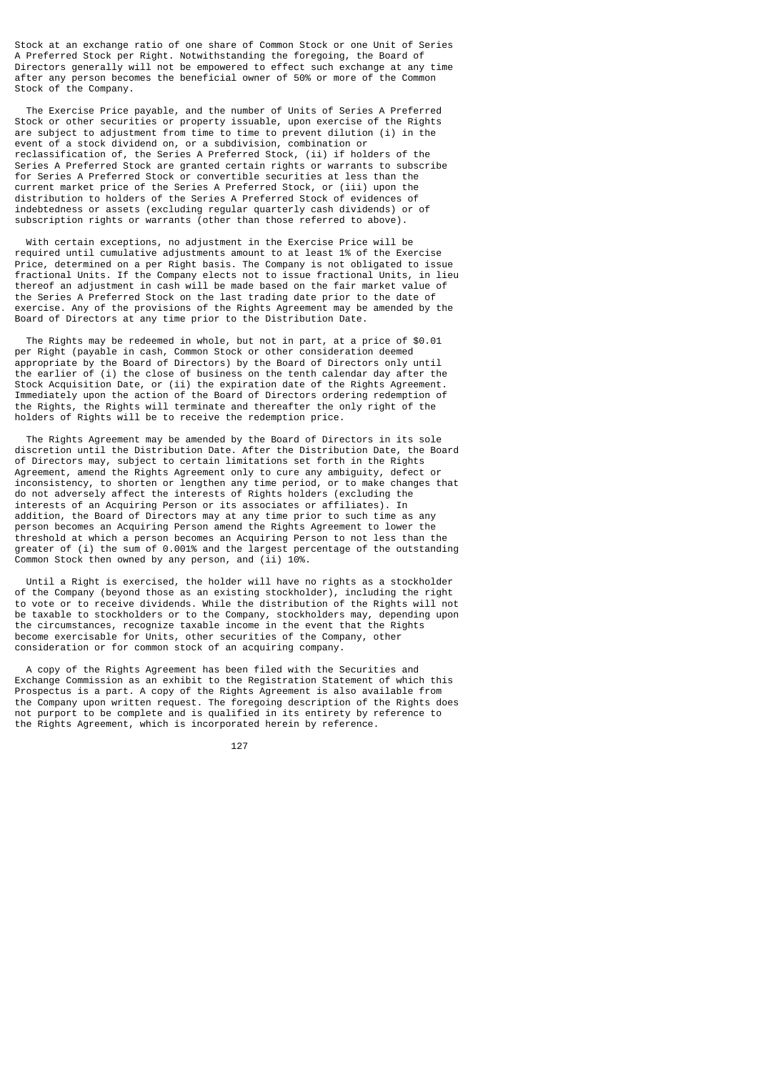Stock at an exchange ratio of one share of Common Stock or one Unit of Series A Preferred Stock per Right. Notwithstanding the foregoing, the Board of Directors generally will not be empowered to effect such exchange at any time after any person becomes the beneficial owner of 50% or more of the Common Stock of the Company.

 The Exercise Price payable, and the number of Units of Series A Preferred Stock or other securities or property issuable, upon exercise of the Rights are subject to adjustment from time to time to prevent dilution (i) in the event of a stock dividend on, or a subdivision, combination or reclassification of, the Series A Preferred Stock, (ii) if holders of the Series A Preferred Stock are granted certain rights or warrants to subscribe for Series A Preferred Stock or convertible securities at less than the current market price of the Series A Preferred Stock, or (iii) upon the distribution to holders of the Series A Preferred Stock of evidences of indebtedness or assets (excluding regular quarterly cash dividends) or of subscription rights or warrants (other than those referred to above).

 With certain exceptions, no adjustment in the Exercise Price will be required until cumulative adjustments amount to at least 1% of the Exercise Price, determined on a per Right basis. The Company is not obligated to issue fractional Units. If the Company elects not to issue fractional Units, in lieu thereof an adjustment in cash will be made based on the fair market value of the Series A Preferred Stock on the last trading date prior to the date of exercise. Any of the provisions of the Rights Agreement may be amended by the Board of Directors at any time prior to the Distribution Date.

 The Rights may be redeemed in whole, but not in part, at a price of \$0.01 per Right (payable in cash, Common Stock or other consideration deemed appropriate by the Board of Directors) by the Board of Directors only until the earlier of (i) the close of business on the tenth calendar day after the Stock Acquisition Date, or (ii) the expiration date of the Rights Agreement. Immediately upon the action of the Board of Directors ordering redemption of the Rights, the Rights will terminate and thereafter the only right of the holders of Rights will be to receive the redemption price.

 The Rights Agreement may be amended by the Board of Directors in its sole discretion until the Distribution Date. After the Distribution Date, the Board of Directors may, subject to certain limitations set forth in the Rights Agreement, amend the Rights Agreement only to cure any ambiguity, defect or inconsistency, to shorten or lengthen any time period, or to make changes that do not adversely affect the interests of Rights holders (excluding the interests of an Acquiring Person or its associates or affiliates). In addition, the Board of Directors may at any time prior to such time as any person becomes an Acquiring Person amend the Rights Agreement to lower the threshold at which a person becomes an Acquiring Person to not less than the greater of (i) the sum of 0.001% and the largest percentage of the outstanding Common Stock then owned by any person, and (ii) 10%.

 Until a Right is exercised, the holder will have no rights as a stockholder of the Company (beyond those as an existing stockholder), including the right to vote or to receive dividends. While the distribution of the Rights will not be taxable to stockholders or to the Company, stockholders may, depending upon the circumstances, recognize taxable income in the event that the Rights become exercisable for Units, other securities of the Company, other consideration or for common stock of an acquiring company.

 A copy of the Rights Agreement has been filed with the Securities and Exchange Commission as an exhibit to the Registration Statement of which this Prospectus is a part. A copy of the Rights Agreement is also available from the Company upon written request. The foregoing description of the Rights does not purport to be complete and is qualified in its entirety by reference to the Rights Agreement, which is incorporated herein by reference.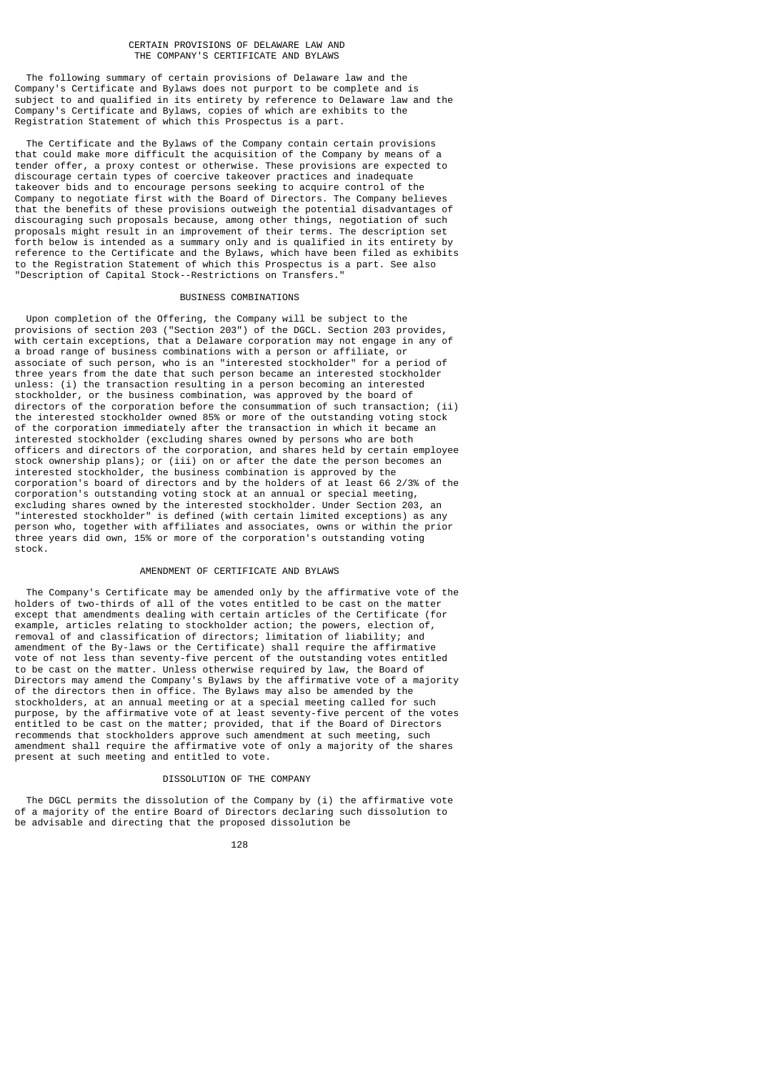#### CERTAIN PROVISIONS OF DELAWARE LAW AND THE COMPANY'S CERTIFICATE AND BYLAWS

 The following summary of certain provisions of Delaware law and the Company's Certificate and Bylaws does not purport to be complete and is subject to and qualified in its entirety by reference to Delaware law and the Company's Certificate and Bylaws, copies of which are exhibits to the Registration Statement of which this Prospectus is a part.

 The Certificate and the Bylaws of the Company contain certain provisions that could make more difficult the acquisition of the Company by means of a tender offer, a proxy contest or otherwise. These provisions are expected to discourage certain types of coercive takeover practices and inadequate takeover bids and to encourage persons seeking to acquire control of the Company to negotiate first with the Board of Directors. The Company believes that the benefits of these provisions outweigh the potential disadvantages of discouraging such proposals because, among other things, negotiation of such proposals might result in an improvement of their terms. The description set forth below is intended as a summary only and is qualified in its entirety by reference to the Certificate and the Bylaws, which have been filed as exhibits to the Registration Statement of which this Prospectus is a part. See also "Description of Capital Stock--Restrictions on Transfers."

## BUSINESS COMBINATIONS

 Upon completion of the Offering, the Company will be subject to the provisions of section 203 ("Section 203") of the DGCL. Section 203 provides, with certain exceptions, that a Delaware corporation may not engage in any of a broad range of business combinations with a person or affiliate, or associate of such person, who is an "interested stockholder" for a period of three years from the date that such person became an interested stockholder unless: (i) the transaction resulting in a person becoming an interested stockholder, or the business combination, was approved by the board of directors of the corporation before the consummation of such transaction; (ii) the interested stockholder owned 85% or more of the outstanding voting stock of the corporation immediately after the transaction in which it became an interested stockholder (excluding shares owned by persons who are both officers and directors of the corporation, and shares held by certain employee stock ownership plans); or (iii) on or after the date the person becomes an interested stockholder, the business combination is approved by the corporation's board of directors and by the holders of at least 66 2/3% of the corporation's outstanding voting stock at an annual or special meeting, excluding shares owned by the interested stockholder. Under Section 203, an "interested stockholder" is defined (with certain limited exceptions) as any person who, together with affiliates and associates, owns or within the prior three years did own, 15% or more of the corporation's outstanding voting stock.

## AMENDMENT OF CERTIFICATE AND BYLAWS

 The Company's Certificate may be amended only by the affirmative vote of the holders of two-thirds of all of the votes entitled to be cast on the matter except that amendments dealing with certain articles of the Certificate (for example, articles relating to stockholder action; the powers, election of, removal of and classification of directors; limitation of liability; and amendment of the By-laws or the Certificate) shall require the affirmative vote of not less than seventy-five percent of the outstanding votes entitled to be cast on the matter. Unless otherwise required by law, the Board of Directors may amend the Company's Bylaws by the affirmative vote of a majority of the directors then in office. The Bylaws may also be amended by the stockholders, at an annual meeting or at a special meeting called for such purpose, by the affirmative vote of at least seventy-five percent of the votes entitled to be cast on the matter; provided, that if the Board of Directors recommends that stockholders approve such amendment at such meeting, such amendment shall require the affirmative vote of only a majority of the shares present at such meeting and entitled to vote.

## DISSOLUTION OF THE COMPANY

 The DGCL permits the dissolution of the Company by (i) the affirmative vote of a majority of the entire Board of Directors declaring such dissolution to be advisable and directing that the proposed dissolution be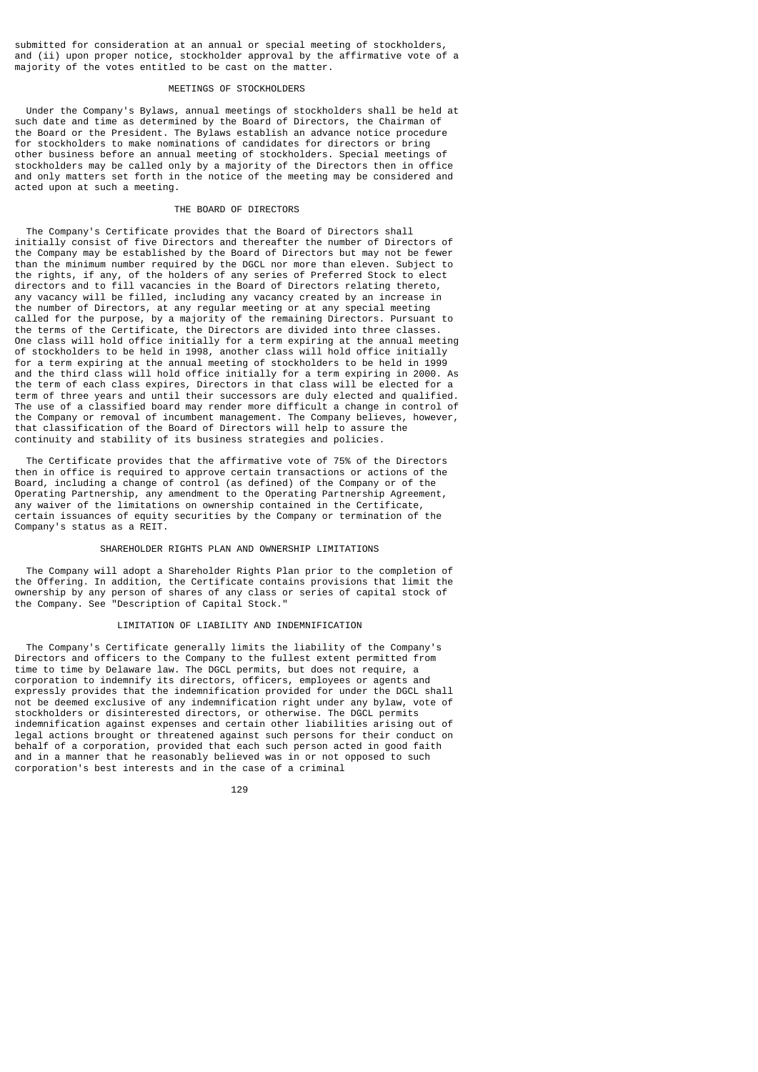submitted for consideration at an annual or special meeting of stockholders, and (ii) upon proper notice, stockholder approval by the affirmative vote of a majority of the votes entitled to be cast on the matter.

## MEETINGS OF STOCKHOLDERS

 Under the Company's Bylaws, annual meetings of stockholders shall be held at such date and time as determined by the Board of Directors, the Chairman of the Board or the President. The Bylaws establish an advance notice procedure for stockholders to make nominations of candidates for directors or bring other business before an annual meeting of stockholders. Special meetings of stockholders may be called only by a majority of the Directors then in office and only matters set forth in the notice of the meeting may be considered and acted upon at such a meeting.

## THE BOARD OF DIRECTORS

 The Company's Certificate provides that the Board of Directors shall initially consist of five Directors and thereafter the number of Directors of the Company may be established by the Board of Directors but may not be fewer than the minimum number required by the DGCL nor more than eleven. Subject to the rights, if any, of the holders of any series of Preferred Stock to elect directors and to fill vacancies in the Board of Directors relating thereto, any vacancy will be filled, including any vacancy created by an increase in the number of Directors, at any regular meeting or at any special meeting called for the purpose, by a majority of the remaining Directors. Pursuant to the terms of the Certificate, the Directors are divided into three classes. One class will hold office initially for a term expiring at the annual meeting of stockholders to be held in 1998, another class will hold office initially for a term expiring at the annual meeting of stockholders to be held in 1999 and the third class will hold office initially for a term expiring in 2000. As the term of each class expires, Directors in that class will be elected for a term of three years and until their successors are duly elected and qualified. The use of a classified board may render more difficult a change in control of the Company or removal of incumbent management. The Company believes, however, that classification of the Board of Directors will help to assure the continuity and stability of its business strategies and policies.

 The Certificate provides that the affirmative vote of 75% of the Directors then in office is required to approve certain transactions or actions of the Board, including a change of control (as defined) of the Company or of the Operating Partnership, any amendment to the Operating Partnership Agreement, any waiver of the limitations on ownership contained in the Certificate, certain issuances of equity securities by the Company or termination of the Company's status as a REIT.

#### SHAREHOLDER RIGHTS PLAN AND OWNERSHIP LIMITATIONS

 The Company will adopt a Shareholder Rights Plan prior to the completion of the Offering. In addition, the Certificate contains provisions that limit the ownership by any person of shares of any class or series of capital stock of the Company. See "Description of Capital Stock."

## LIMITATION OF LIABILITY AND INDEMNIFICATION

 The Company's Certificate generally limits the liability of the Company's Directors and officers to the Company to the fullest extent permitted from time to time by Delaware law. The DGCL permits, but does not require, a corporation to indemnify its directors, officers, employees or agents and expressly provides that the indemnification provided for under the DGCL shall not be deemed exclusive of any indemnification right under any bylaw, vote of stockholders or disinterested directors, or otherwise. The DGCL permits indemnification against expenses and certain other liabilities arising out of legal actions brought or threatened against such persons for their conduct on behalf of a corporation, provided that each such person acted in good faith and in a manner that he reasonably believed was in or not opposed to such corporation's best interests and in the case of a criminal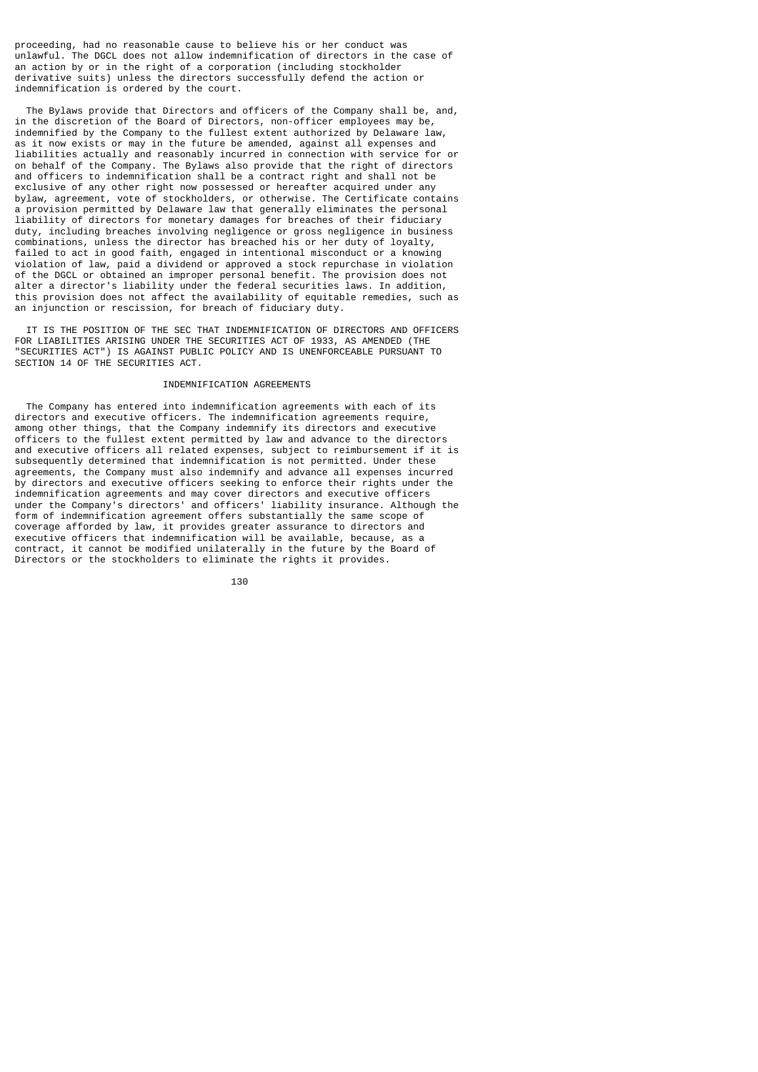proceeding, had no reasonable cause to believe his or her conduct was unlawful. The DGCL does not allow indemnification of directors in the case of an action by or in the right of a corporation (including stockholder derivative suits) unless the directors successfully defend the action or indemnification is ordered by the court.

 The Bylaws provide that Directors and officers of the Company shall be, and, in the discretion of the Board of Directors, non-officer employees may be, indemnified by the Company to the fullest extent authorized by Delaware law, as it now exists or may in the future be amended, against all expenses and liabilities actually and reasonably incurred in connection with service for or on behalf of the Company. The Bylaws also provide that the right of directors and officers to indemnification shall be a contract right and shall not be exclusive of any other right now possessed or hereafter acquired under any bylaw, agreement, vote of stockholders, or otherwise. The Certificate contains a provision permitted by Delaware law that generally eliminates the personal liability of directors for monetary damages for breaches of their fiduciary duty, including breaches involving negligence or gross negligence in business combinations, unless the director has breached his or her duty of loyalty, failed to act in good faith, engaged in intentional misconduct or a knowing violation of law, paid a dividend or approved a stock repurchase in violation of the DGCL or obtained an improper personal benefit. The provision does not alter a director's liability under the federal securities laws. In addition, this provision does not affect the availability of equitable remedies, such as an injunction or rescission, for breach of fiduciary duty.

 IT IS THE POSITION OF THE SEC THAT INDEMNIFICATION OF DIRECTORS AND OFFICERS FOR LIABILITIES ARISING UNDER THE SECURITIES ACT OF 1933, AS AMENDED (THE "SECURITIES ACT") IS AGAINST PUBLIC POLICY AND IS UNENFORCEABLE PURSUANT TO SECTION 14 OF THE SECURITIES ACT.

# INDEMNIFICATION AGREEMENTS

 The Company has entered into indemnification agreements with each of its directors and executive officers. The indemnification agreements require, among other things, that the Company indemnify its directors and executive officers to the fullest extent permitted by law and advance to the directors and executive officers all related expenses, subject to reimbursement if it is subsequently determined that indemnification is not permitted. Under these agreements, the Company must also indemnify and advance all expenses incurred by directors and executive officers seeking to enforce their rights under the indemnification agreements and may cover directors and executive officers under the Company's directors' and officers' liability insurance. Although the form of indemnification agreement offers substantially the same scope of coverage afforded by law, it provides greater assurance to directors and executive officers that indemnification will be available, because, as a contract, it cannot be modified unilaterally in the future by the Board of Directors or the stockholders to eliminate the rights it provides.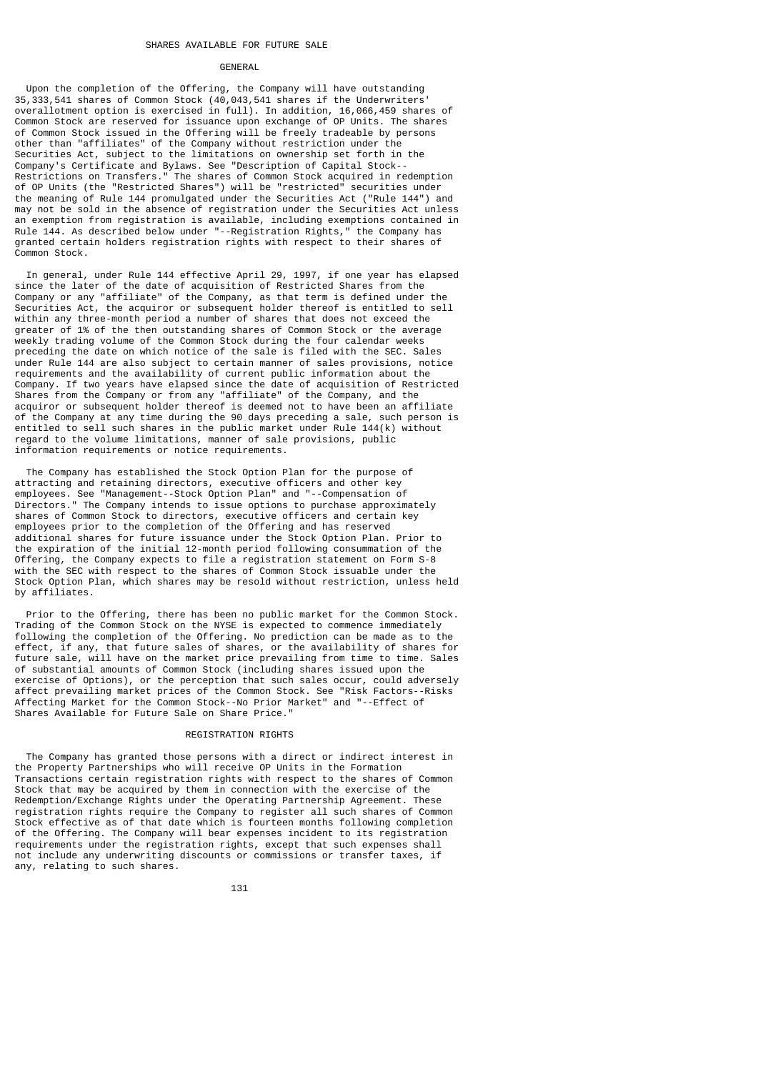### **GENERAL**

 Upon the completion of the Offering, the Company will have outstanding 35,333,541 shares of Common Stock (40,043,541 shares if the Underwriters' overallotment option is exercised in full). In addition, 16,066,459 shares of Common Stock are reserved for issuance upon exchange of OP Units. The shares of Common Stock issued in the Offering will be freely tradeable by persons other than "affiliates" of the Company without restriction under the Securities Act, subject to the limitations on ownership set forth in the Company's Certificate and Bylaws. See "Description of Capital Stock-- Restrictions on Transfers." The shares of Common Stock acquired in redemption of OP Units (the "Restricted Shares") will be "restricted" securities under the meaning of Rule 144 promulgated under the Securities Act ("Rule 144") and may not be sold in the absence of registration under the Securities Act unless an exemption from registration is available, including exemptions contained in Rule 144. As described below under "--Registration Rights," the Company has granted certain holders registration rights with respect to their shares of Common Stock.

 In general, under Rule 144 effective April 29, 1997, if one year has elapsed since the later of the date of acquisition of Restricted Shares from the Company or any "affiliate" of the Company, as that term is defined under the Securities Act, the acquiror or subsequent holder thereof is entitled to sell within any three-month period a number of shares that does not exceed the greater of 1% of the then outstanding shares of Common Stock or the average weekly trading volume of the Common Stock during the four calendar weeks preceding the date on which notice of the sale is filed with the SEC. Sales under Rule 144 are also subject to certain manner of sales provisions, notice requirements and the availability of current public information about the Company. If two years have elapsed since the date of acquisition of Restricted Shares from the Company or from any "affiliate" of the Company, and the acquiror or subsequent holder thereof is deemed not to have been an affiliate of the Company at any time during the 90 days preceding a sale, such person is entitled to sell such shares in the public market under Rule 144(k) without regard to the volume limitations, manner of sale provisions, public information requirements or notice requirements.

 The Company has established the Stock Option Plan for the purpose of attracting and retaining directors, executive officers and other key employees. See "Management--Stock Option Plan" and "--Compensation of Directors." The Company intends to issue options to purchase approximately shares of Common Stock to directors, executive officers and certain key employees prior to the completion of the Offering and has reserved additional shares for future issuance under the Stock Option Plan. Prior to the expiration of the initial 12-month period following consummation of the Offering, the Company expects to file a registration statement on Form S-8 with the SEC with respect to the shares of Common Stock issuable under the Stock Option Plan, which shares may be resold without restriction, unless held by affiliates.

 Prior to the Offering, there has been no public market for the Common Stock. Trading of the Common Stock on the NYSE is expected to commence immediately following the completion of the Offering. No prediction can be made as to the effect, if any, that future sales of shares, or the availability of shares for future sale, will have on the market price prevailing from time to time. Sales of substantial amounts of Common Stock (including shares issued upon the exercise of Options), or the perception that such sales occur, could adversely affect prevailing market prices of the Common Stock. See "Risk Factors--Risks Affecting Market for the Common Stock--No Prior Market" and "--Effect of Shares Available for Future Sale on Share Price."

### REGISTRATION RIGHTS

 The Company has granted those persons with a direct or indirect interest in the Property Partnerships who will receive OP Units in the Formation Transactions certain registration rights with respect to the shares of Common Stock that may be acquired by them in connection with the exercise of the Redemption/Exchange Rights under the Operating Partnership Agreement. These registration rights require the Company to register all such shares of Common Stock effective as of that date which is fourteen months following completion of the Offering. The Company will bear expenses incident to its registration requirements under the registration rights, except that such expenses shall not include any underwriting discounts or commissions or transfer taxes, if any, relating to such shares.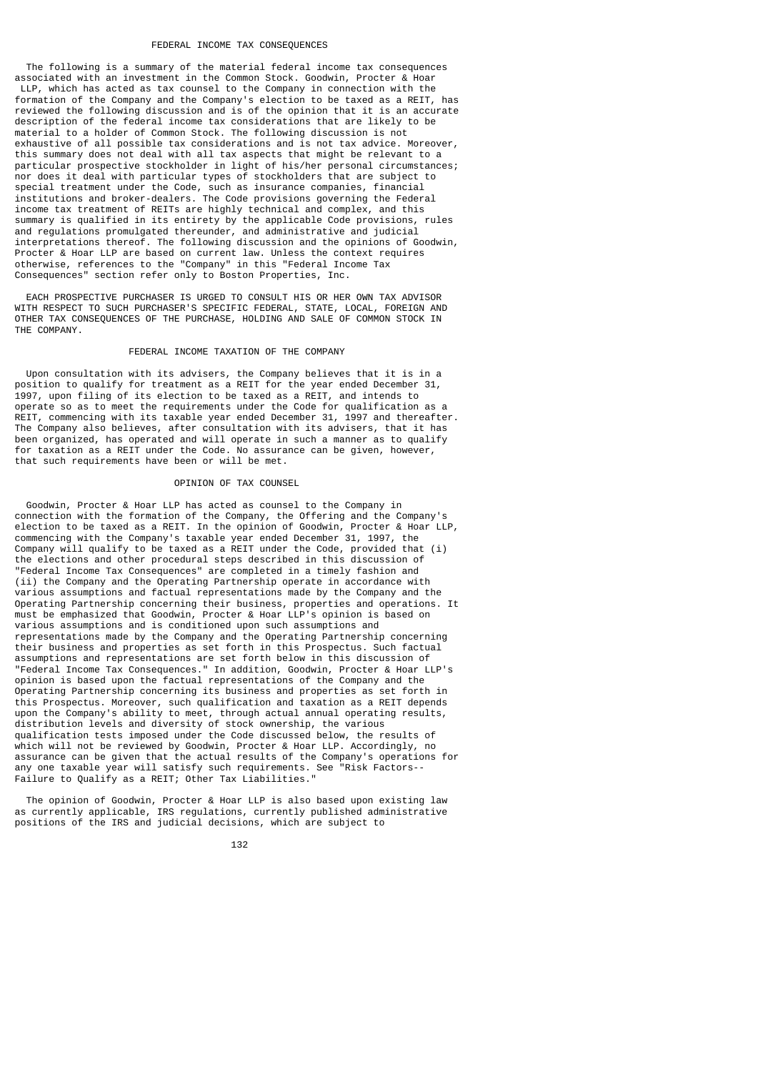### FEDERAL INCOME TAX CONSEQUENCES

 The following is a summary of the material federal income tax consequences associated with an investment in the Common Stock. Goodwin, Procter & Hoar LLP, which has acted as tax counsel to the Company in connection with the formation of the Company and the Company's election to be taxed as a REIT, has reviewed the following discussion and is of the opinion that it is an accurate description of the federal income tax considerations that are likely to be material to a holder of Common Stock. The following discussion is not exhaustive of all possible tax considerations and is not tax advice. Moreover, this summary does not deal with all tax aspects that might be relevant to a particular prospective stockholder in light of his/her personal circumstances; nor does it deal with particular types of stockholders that are subject to special treatment under the Code, such as insurance companies, financial institutions and broker-dealers. The Code provisions governing the Federal income tax treatment of REITs are highly technical and complex, and this summary is qualified in its entirety by the applicable Code provisions, rules and regulations promulgated thereunder, and administrative and judicial interpretations thereof. The following discussion and the opinions of Goodwin, Procter & Hoar LLP are based on current law. Unless the context requires otherwise, references to the "Company" in this "Federal Income Tax Consequences" section refer only to Boston Properties, Inc.

 EACH PROSPECTIVE PURCHASER IS URGED TO CONSULT HIS OR HER OWN TAX ADVISOR WITH RESPECT TO SUCH PURCHASER'S SPECIFIC FEDERAL, STATE, LOCAL, FOREIGN AND OTHER TAX CONSEQUENCES OF THE PURCHASE, HOLDING AND SALE OF COMMON STOCK IN THE COMPANY.

#### FEDERAL INCOME TAXATION OF THE COMPANY

 Upon consultation with its advisers, the Company believes that it is in a position to qualify for treatment as a REIT for the year ended December 31, 1997, upon filing of its election to be taxed as a REIT, and intends to operate so as to meet the requirements under the Code for qualification as a REIT, commencing with its taxable year ended December 31, 1997 and thereafter. The Company also believes, after consultation with its advisers, that it has been organized, has operated and will operate in such a manner as to qualify for taxation as a REIT under the Code. No assurance can be given, however, that such requirements have been or will be met.

## OPINION OF TAX COUNSEL

 Goodwin, Procter & Hoar LLP has acted as counsel to the Company in connection with the formation of the Company, the Offering and the Company's election to be taxed as a REIT. In the opinion of Goodwin, Procter & Hoar LLP, commencing with the Company's taxable year ended December 31, 1997, the Company will qualify to be taxed as a REIT under the Code, provided that (i) the elections and other procedural steps described in this discussion of "Federal Income Tax Consequences" are completed in a timely fashion and (ii) the Company and the Operating Partnership operate in accordance with various assumptions and factual representations made by the Company and the Operating Partnership concerning their business, properties and operations. It must be emphasized that Goodwin, Procter & Hoar LLP's opinion is based on various assumptions and is conditioned upon such assumptions and representations made by the Company and the Operating Partnership concerning their business and properties as set forth in this Prospectus. Such factual assumptions and representations are set forth below in this discussion of "Federal Income Tax Consequences." In addition, Goodwin, Procter & Hoar LLP's opinion is based upon the factual representations of the Company and the Operating Partnership concerning its business and properties as set forth in this Prospectus. Moreover, such qualification and taxation as a REIT depends upon the Company's ability to meet, through actual annual operating results, distribution levels and diversity of stock ownership, the various qualification tests imposed under the Code discussed below, the results of which will not be reviewed by Goodwin, Procter & Hoar LLP. Accordingly, no assurance can be given that the actual results of the Company's operations for any one taxable year will satisfy such requirements. See "Risk Factors-- Failure to Qualify as a REIT; Other Tax Liabilities."

 The opinion of Goodwin, Procter & Hoar LLP is also based upon existing law as currently applicable, IRS regulations, currently published administrative positions of the IRS and judicial decisions, which are subject to

132 and 2012 and 2013 and 2014 and 2014 and 2014 and 2014 and 2014 and 2014 and 2014 and 2014 and 2014 and 201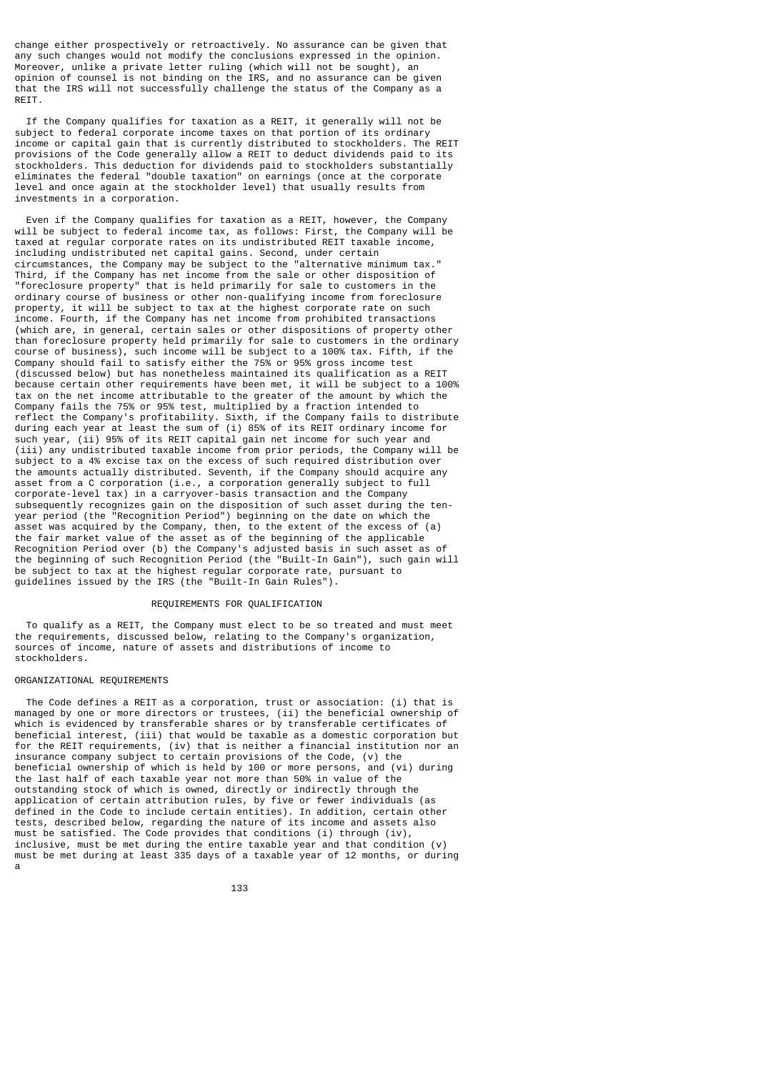change either prospectively or retroactively. No assurance can be given that any such changes would not modify the conclusions expressed in the opinion. Moreover, unlike a private letter ruling (which will not be sought), an opinion of counsel is not binding on the IRS, and no assurance can be given that the IRS will not successfully challenge the status of the Company as a **RETT** 

 If the Company qualifies for taxation as a REIT, it generally will not be subject to federal corporate income taxes on that portion of its ordinary income or capital gain that is currently distributed to stockholders. The REIT provisions of the Code generally allow a REIT to deduct dividends paid to its stockholders. This deduction for dividends paid to stockholders substantially eliminates the federal "double taxation" on earnings (once at the corporate level and once again at the stockholder level) that usually results from investments in a corporation.

 Even if the Company qualifies for taxation as a REIT, however, the Company will be subject to federal income tax, as follows: First, the Company will be taxed at regular corporate rates on its undistributed REIT taxable income, including undistributed net capital gains. Second, under certain circumstances, the Company may be subject to the "alternative minimum tax." Third, if the Company has net income from the sale or other disposition of "foreclosure property" that is held primarily for sale to customers in the ordinary course of business or other non-qualifying income from foreclosure property, it will be subject to tax at the highest corporate rate on such income. Fourth, if the Company has net income from prohibited transactions (which are, in general, certain sales or other dispositions of property other than foreclosure property held primarily for sale to customers in the ordinary course of business), such income will be subject to a 100% tax. Fifth, if the Company should fail to satisfy either the 75% or 95% gross income test (discussed below) but has nonetheless maintained its qualification as a REIT because certain other requirements have been met, it will be subject to a 100% tax on the net income attributable to the greater of the amount by which the Company fails the 75% or 95% test, multiplied by a fraction intended to reflect the Company's profitability. Sixth, if the Company fails to distribute during each year at least the sum of (i) 85% of its REIT ordinary income for such year, (ii) 95% of its REIT capital gain net income for such year and (iii) any undistributed taxable income from prior periods, the Company will be subject to a 4% excise tax on the excess of such required distribution over the amounts actually distributed. Seventh, if the Company should acquire any asset from a C corporation (i.e., a corporation generally subject to full corporate-level tax) in a carryover-basis transaction and the Company subsequently recognizes gain on the disposition of such asset during the tenyear period (the "Recognition Period") beginning on the date on which the asset was acquired by the Company, then, to the extent of the excess of (a) the fair market value of the asset as of the beginning of the applicable Recognition Period over (b) the Company's adjusted basis in such asset as of the beginning of such Recognition Period (the "Built-In Gain"), such gain will be subject to tax at the highest regular corporate rate, pursuant to guidelines issued by the IRS (the "Built-In Gain Rules").

## REQUIREMENTS FOR QUALIFICATION

 To qualify as a REIT, the Company must elect to be so treated and must meet the requirements, discussed below, relating to the Company's organization, sources of income, nature of assets and distributions of income to stockholders.

## ORGANIZATIONAL REQUIREMENTS

 The Code defines a REIT as a corporation, trust or association: (i) that is managed by one or more directors or trustees, (ii) the beneficial ownership of which is evidenced by transferable shares or by transferable certificates of beneficial interest, (iii) that would be taxable as a domestic corporation but for the REIT requirements, (iv) that is neither a financial institution nor an insurance company subject to certain provisions of the Code, (v) the beneficial ownership of which is held by 100 or more persons, and (vi) during the last half of each taxable year not more than 50% in value of the outstanding stock of which is owned, directly or indirectly through the application of certain attribution rules, by five or fewer individuals (as defined in the Code to include certain entities). In addition, certain other tests, described below, regarding the nature of its income and assets also must be satisfied. The Code provides that conditions (i) through (iv) inclusive, must be met during the entire taxable year and that condition (v) must be met during at least 335 days of a taxable year of 12 months, or during a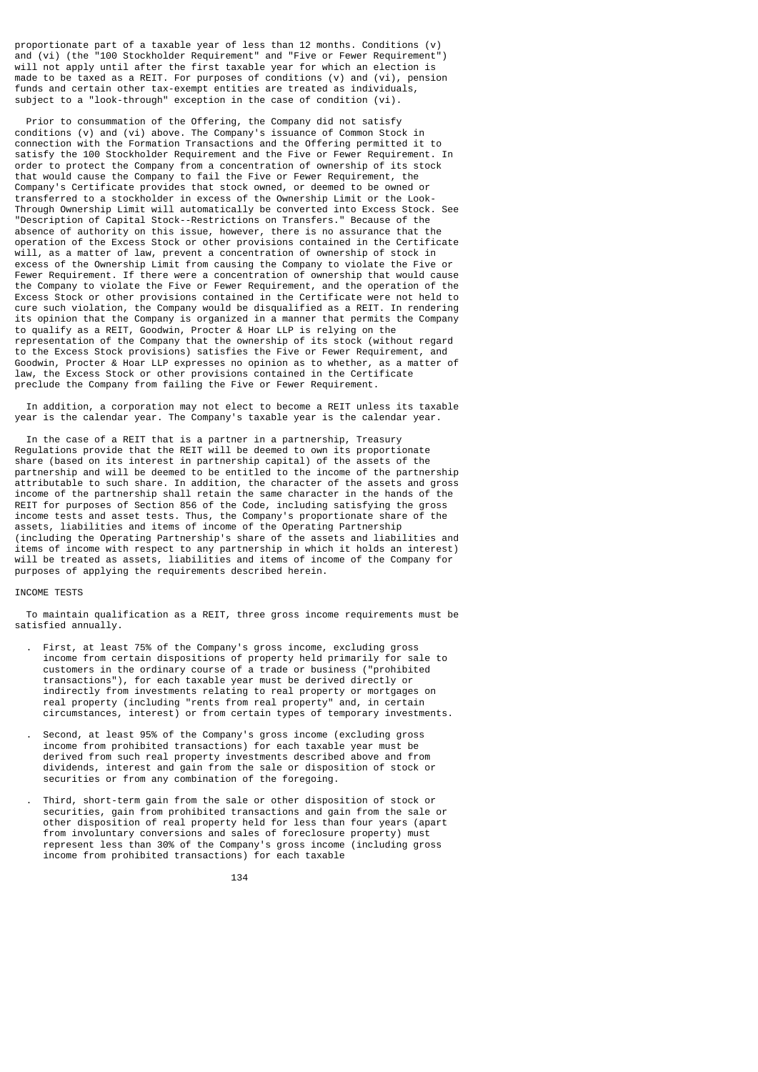proportionate part of a taxable year of less than 12 months. Conditions (v) and (vi) (the "100 Stockholder Requirement" and "Five or Fewer Requirement") will not apply until after the first taxable year for which an election is made to be taxed as a REIT. For purposes of conditions (v) and (vi), pension funds and certain other tax-exempt entities are treated as individuals, subject to a "look-through" exception in the case of condition (vi).

 Prior to consummation of the Offering, the Company did not satisfy conditions (v) and (vi) above. The Company's issuance of Common Stock in connection with the Formation Transactions and the Offering permitted it to satisfy the 100 Stockholder Requirement and the Five or Fewer Requirement. In order to protect the Company from a concentration of ownership of its stock that would cause the Company to fail the Five or Fewer Requirement, the Company's Certificate provides that stock owned, or deemed to be owned or transferred to a stockholder in excess of the Ownership Limit or the Look-Through Ownership Limit will automatically be converted into Excess Stock. See "Description of Capital Stock--Restrictions on Transfers." Because of the absence of authority on this issue, however, there is no assurance that the operation of the Excess Stock or other provisions contained in the Certificate will, as a matter of law, prevent a concentration of ownership of stock in excess of the Ownership Limit from causing the Company to violate the Five or Fewer Requirement. If there were a concentration of ownership that would cause the Company to violate the Five or Fewer Requirement, and the operation of the Excess Stock or other provisions contained in the Certificate were not held to cure such violation, the Company would be disqualified as a REIT. In rendering its opinion that the Company is organized in a manner that permits the Company to qualify as a REIT, Goodwin, Procter & Hoar LLP is relying on the representation of the Company that the ownership of its stock (without regard to the Excess Stock provisions) satisfies the Five or Fewer Requirement, and Goodwin, Procter & Hoar LLP expresses no opinion as to whether, as a matter of law, the Excess Stock or other provisions contained in the Certificate preclude the Company from failing the Five or Fewer Requirement.

 In addition, a corporation may not elect to become a REIT unless its taxable year is the calendar year. The Company's taxable year is the calendar year.

 In the case of a REIT that is a partner in a partnership, Treasury Regulations provide that the REIT will be deemed to own its proportionate share (based on its interest in partnership capital) of the assets of the partnership and will be deemed to be entitled to the income of the partnership attributable to such share. In addition, the character of the assets and gross income of the partnership shall retain the same character in the hands of the REIT for purposes of Section 856 of the Code, including satisfying the gross income tests and asset tests. Thus, the Company's proportionate share of the assets, liabilities and items of income of the Operating Partnership (including the Operating Partnership's share of the assets and liabilities and items of income with respect to any partnership in which it holds an interest) will be treated as assets, liabilities and items of income of the Company for purposes of applying the requirements described herein.

## INCOME TESTS

 To maintain qualification as a REIT, three gross income requirements must be satisfied annually.

- . First, at least 75% of the Company's gross income, excluding gross income from certain dispositions of property held primarily for sale to customers in the ordinary course of a trade or business ("prohibited transactions"), for each taxable year must be derived directly or indirectly from investments relating to real property or mortgages on real property (including "rents from real property" and, in certain circumstances, interest) or from certain types of temporary investments.
- . Second, at least 95% of the Company's gross income (excluding gross income from prohibited transactions) for each taxable year must be derived from such real property investments described above and from dividends, interest and gain from the sale or disposition of stock or securities or from any combination of the foregoing.
- . Third, short-term gain from the sale or other disposition of stock or securities, gain from prohibited transactions and gain from the sale or other disposition of real property held for less than four years (apart from involuntary conversions and sales of foreclosure property) must represent less than 30% of the Company's gross income (including gross income from prohibited transactions) for each taxable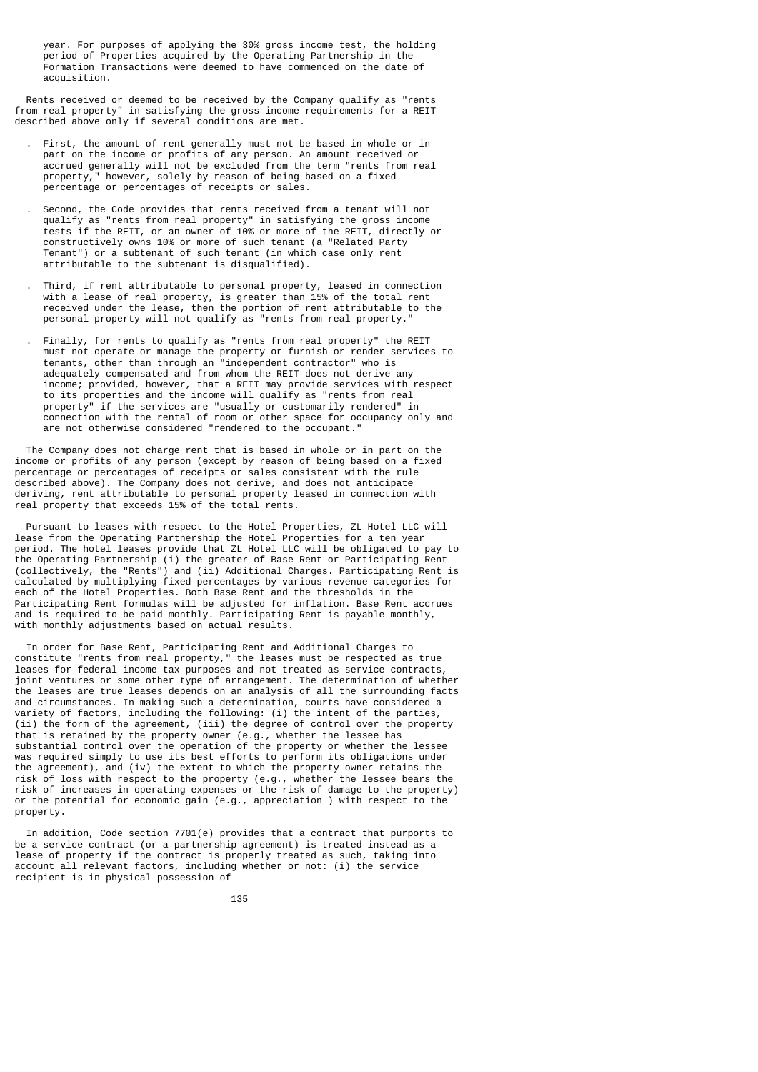year. For purposes of applying the 30% gross income test, the holding period of Properties acquired by the Operating Partnership in the Formation Transactions were deemed to have commenced on the date of acquisition.

 Rents received or deemed to be received by the Company qualify as "rents from real property" in satisfying the gross income requirements for a REIT described above only if several conditions are met.

- . First, the amount of rent generally must not be based in whole or in part on the income or profits of any person. An amount received or accrued generally will not be excluded from the term "rents from real property," however, solely by reason of being based on a fixed percentage or percentages of receipts or sales.
- . Second, the Code provides that rents received from a tenant will not qualify as "rents from real property" in satisfying the gross income tests if the REIT, or an owner of 10% or more of the REIT, directly or constructively owns 10% or more of such tenant (a "Related Party Tenant") or a subtenant of such tenant (in which case only rent attributable to the subtenant is disqualified).
- . Third, if rent attributable to personal property, leased in connection with a lease of real property, is greater than  $15%$  of the total rent received under the lease, then the portion of rent attributable to the personal property will not qualify as "rents from real property."
- . Finally, for rents to qualify as "rents from real property" the REIT must not operate or manage the property or furnish or render services to tenants, other than through an "independent contractor" who is adequately compensated and from whom the REIT does not derive any income; provided, however, that a REIT may provide services with respect to its properties and the income will qualify as "rents from real property" if the services are "usually or customarily rendered" in connection with the rental of room or other space for occupancy only and are not otherwise considered "rendered to the occupant."

 The Company does not charge rent that is based in whole or in part on the income or profits of any person (except by reason of being based on a fixed percentage or percentages of receipts or sales consistent with the rule described above). The Company does not derive, and does not anticipate deriving, rent attributable to personal property leased in connection with real property that exceeds 15% of the total rents.

 Pursuant to leases with respect to the Hotel Properties, ZL Hotel LLC will lease from the Operating Partnership the Hotel Properties for a ten year period. The hotel leases provide that ZL Hotel LLC will be obligated to pay to the Operating Partnership (i) the greater of Base Rent or Participating Rent (collectively, the "Rents") and (ii) Additional Charges. Participating Rent is calculated by multiplying fixed percentages by various revenue categories for each of the Hotel Properties. Both Base Rent and the thresholds in the Participating Rent formulas will be adjusted for inflation. Base Rent accrues and is required to be paid monthly. Participating Rent is payable monthly, with monthly adjustments based on actual results.

 In order for Base Rent, Participating Rent and Additional Charges to constitute "rents from real property," the leases must be respected as true leases for federal income tax purposes and not treated as service contracts, joint ventures or some other type of arrangement. The determination of whether the leases are true leases depends on an analysis of all the surrounding facts and circumstances. In making such a determination, courts have considered a variety of factors, including the following: (i) the intent of the parties, (ii) the form of the agreement, (iii) the degree of control over the property that is retained by the property owner (e.g., whether the lessee has substantial control over the operation of the property or whether the lessee was required simply to use its best efforts to perform its obligations under the agreement), and (iv) the extent to which the property owner retains the risk of loss with respect to the property (e.g., whether the lessee bears the risk of increases in operating expenses or the risk of damage to the property) or the potential for economic gain (e.g., appreciation ) with respect to the property.

 In addition, Code section 7701(e) provides that a contract that purports to be a service contract (or a partnership agreement) is treated instead as a lease of property if the contract is properly treated as such, taking into account all relevant factors, including whether or not: (i) the service recipient is in physical possession of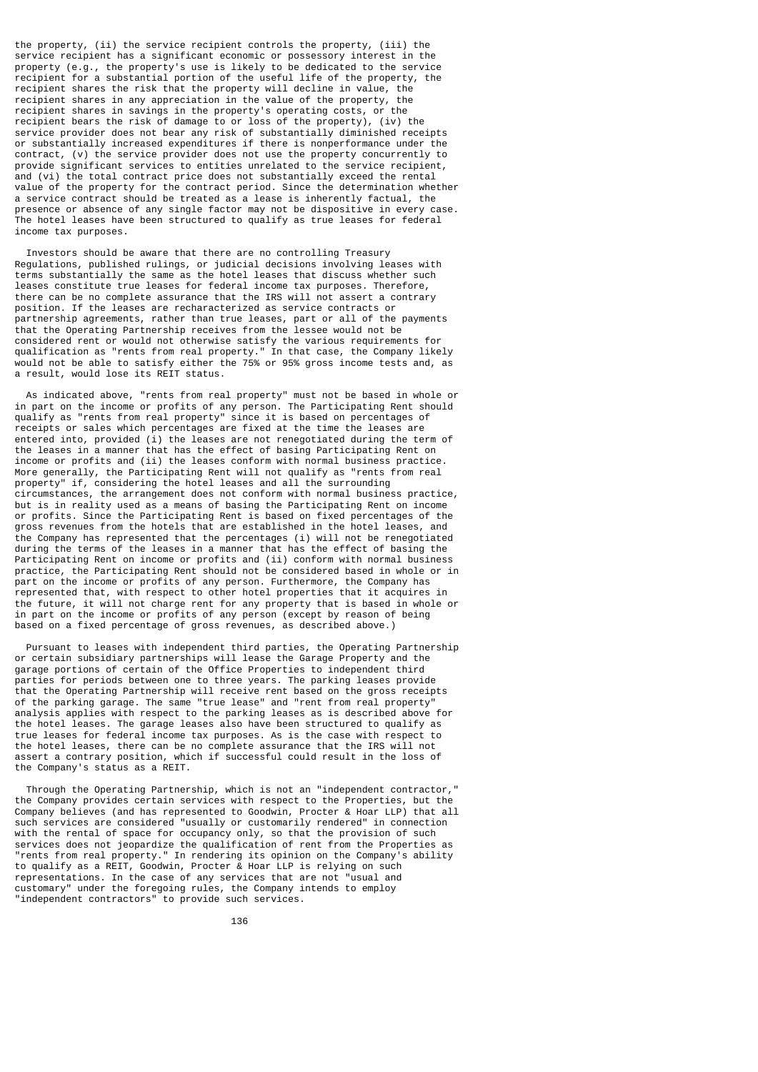the property, (ii) the service recipient controls the property, (iii) the service recipient has a significant economic or possessory interest in the property (e.g., the property's use is likely to be dedicated to the service recipient for a substantial portion of the useful life of the property, the recipient shares the risk that the property will decline in value, the recipient shares in any appreciation in the value of the property, the recipient shares in any appreciation in the value of the property, recipient shares in savings in the property's operating costs, or the recipient bears the risk of damage to or loss of the property), (iv) the service provider does not bear any risk of substantially diminished receipts or substantially increased expenditures if there is nonperformance under the contract, (v) the service provider does not use the property concurrently to provide significant services to entities unrelated to the service recipient, and (vi) the total contract price does not substantially exceed the rental value of the property for the contract period. Since the determination whether a service contract should be treated as a lease is inherently factual, the presence or absence of any single factor may not be dispositive in every case. The hotel leases have been structured to qualify as true leases for federal income tax purposes.

 Investors should be aware that there are no controlling Treasury Regulations, published rulings, or judicial decisions involving leases with terms substantially the same as the hotel leases that discuss whether such leases constitute true leases for federal income tax purposes. Therefore, there can be no complete assurance that the IRS will not assert a contrary position. If the leases are recharacterized as service contracts or partnership agreements, rather than true leases, part or all of the payments that the Operating Partnership receives from the lessee would not be considered rent or would not otherwise satisfy the various requirements for qualification as "rents from real property." In that case, the Company likely would not be able to satisfy either the 75% or 95% gross income tests and, as a result, would lose its REIT status.

 As indicated above, "rents from real property" must not be based in whole or in part on the income or profits of any person. The Participating Rent should qualify as "rents from real property" since it is based on percentages of receipts or sales which percentages are fixed at the time the leases are entered into, provided (i) the leases are not renegotiated during the term of the leases in a manner that has the effect of basing Participating Rent on income or profits and (ii) the leases conform with normal business practice. More generally, the Participating Rent will not qualify as "rents from real property" if, considering the hotel leases and all the surrounding circumstances, the arrangement does not conform with normal business practice, but is in reality used as a means of basing the Participating Rent on income or profits. Since the Participating Rent is based on fixed percentages of the gross revenues from the hotels that are established in the hotel leases, and the Company has represented that the percentages (i) will not be renegotiated during the terms of the leases in a manner that has the effect of basing the Participating Rent on income or profits and (ii) conform with normal business practice, the Participating Rent should not be considered based in whole or in part on the income or profits of any person. Furthermore, the Company has represented that, with respect to other hotel properties that it acquires in the future, it will not charge rent for any property that is based in whole or in part on the income or profits of any person (except by reason of being based on a fixed percentage of gross revenues, as described above.)

 Pursuant to leases with independent third parties, the Operating Partnership or certain subsidiary partnerships will lease the Garage Property and the garage portions of certain of the Office Properties to independent third parties for periods between one to three years. The parking leases provide that the Operating Partnership will receive rent based on the gross receipts of the parking garage. The same "true lease" and "rent from real property" analysis applies with respect to the parking leases as is described above for the hotel leases. The garage leases also have been structured to qualify as true leases for federal income tax purposes. As is the case with respect to the hotel leases, there can be no complete assurance that the IRS will not assert a contrary position, which if successful could result in the loss of the Company's status as a REIT.

 Through the Operating Partnership, which is not an "independent contractor," the Company provides certain services with respect to the Properties, but the Company believes (and has represented to Goodwin, Procter & Hoar LLP) that all such services are considered "usually or customarily rendered" in connection with the rental of space for occupancy only, so that the provision of such services does not jeopardize the qualification of rent from the Properties as "rents from real property." In rendering its opinion on the Company's ability to qualify as a REIT, Goodwin, Procter & Hoar LLP is relying on such representations. In the case of any services that are not "usual and customary" under the foregoing rules, the Company intends to employ "independent contractors" to provide such services.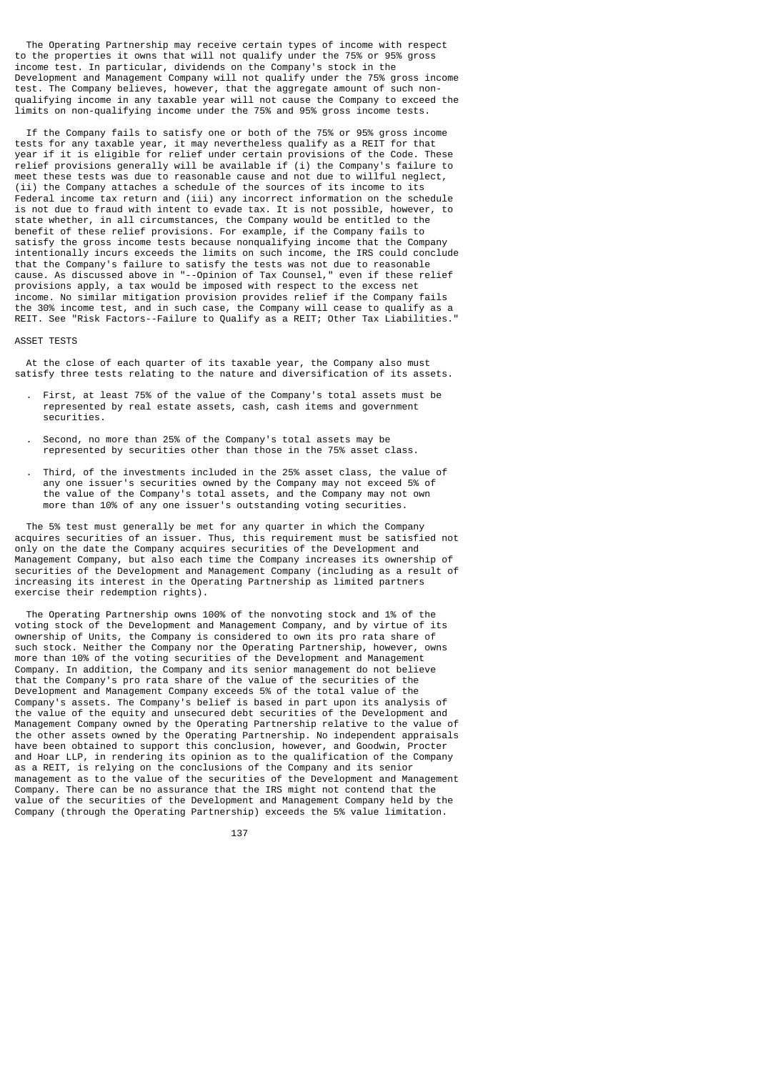The Operating Partnership may receive certain types of income with respect to the properties it owns that will not qualify under the 75% or 95% gross income test. In particular, dividends on the Company's stock in the Development and Management Company will not qualify under the 75% gross income test. The Company believes, however, that the aggregate amount of such nonqualifying income in any taxable year will not cause the Company to exceed the limits on non-qualifying income under the 75% and 95% gross income tests.

 If the Company fails to satisfy one or both of the 75% or 95% gross income tests for any taxable year, it may nevertheless qualify as a REIT for that year if it is eligible for relief under certain provisions of the Code. These relief provisions generally will be available if (i) the Company's failure to meet these tests was due to reasonable cause and not due to willful neglect, (ii) the Company attaches a schedule of the sources of its income to its Federal income tax return and (iii) any incorrect information on the schedule is not due to fraud with intent to evade tax. It is not possible, however, to state whether, in all circumstances, the Company would be entitled to the benefit of these relief provisions. For example, if the Company fails to satisfy the gross income tests because nonqualifying income that the Company intentionally incurs exceeds the limits on such income, the IRS could conclude that the Company's failure to satisfy the tests was not due to reasonable cause. As discussed above in "--Opinion of Tax Counsel," even if these relief provisions apply, a tax would be imposed with respect to the excess net income. No similar mitigation provision provides relief if the Company fails the 30% income test, and in such case, the Company will cease to qualify as a REIT. See "Risk Factors--Failure to Qualify as a REIT; Other Tax Liabilities."

## ASSET TESTS

 At the close of each quarter of its taxable year, the Company also must satisfy three tests relating to the nature and diversification of its assets.

- . First, at least 75% of the value of the Company's total assets must be represented by real estate assets, cash, cash items and government securities.
- . Second, no more than 25% of the Company's total assets may be represented by securities other than those in the 75% asset class.
- . Third, of the investments included in the 25% asset class, the value of any one issuer's securities owned by the Company may not exceed 5% of the value of the Company's total assets, and the Company may not own more than 10% of any one issuer's outstanding voting securities.

 The 5% test must generally be met for any quarter in which the Company acquires securities of an issuer. Thus, this requirement must be satisfied not only on the date the Company acquires securities of the Development and Management Company, but also each time the Company increases its ownership of securities of the Development and Management Company (including as a result of increasing its interest in the Operating Partnership as limited partners exercise their redemption rights).

 The Operating Partnership owns 100% of the nonvoting stock and 1% of the voting stock of the Development and Management Company, and by virtue of its ownership of Units, the Company is considered to own its pro rata share of such stock. Neither the Company nor the Operating Partnership, however, owns more than 10% of the voting securities of the Development and Management Company. In addition, the Company and its senior management do not believe that the Company's pro rata share of the value of the securities of the Development and Management Company exceeds 5% of the total value of the Company's assets. The Company's belief is based in part upon its analysis of the value of the equity and unsecured debt securities of the Development and Management Company owned by the Operating Partnership relative to the value of the other assets owned by the Operating Partnership. No independent appraisals have been obtained to support this conclusion, however, and Goodwin, Procter and Hoar LLP, in rendering its opinion as to the qualification of the Company as a REIT, is relying on the conclusions of the Company and its senior management as to the value of the securities of the Development and Management Company. There can be no assurance that the IRS might not contend that the value of the securities of the Development and Management Company held by the Company (through the Operating Partnership) exceeds the 5% value limitation.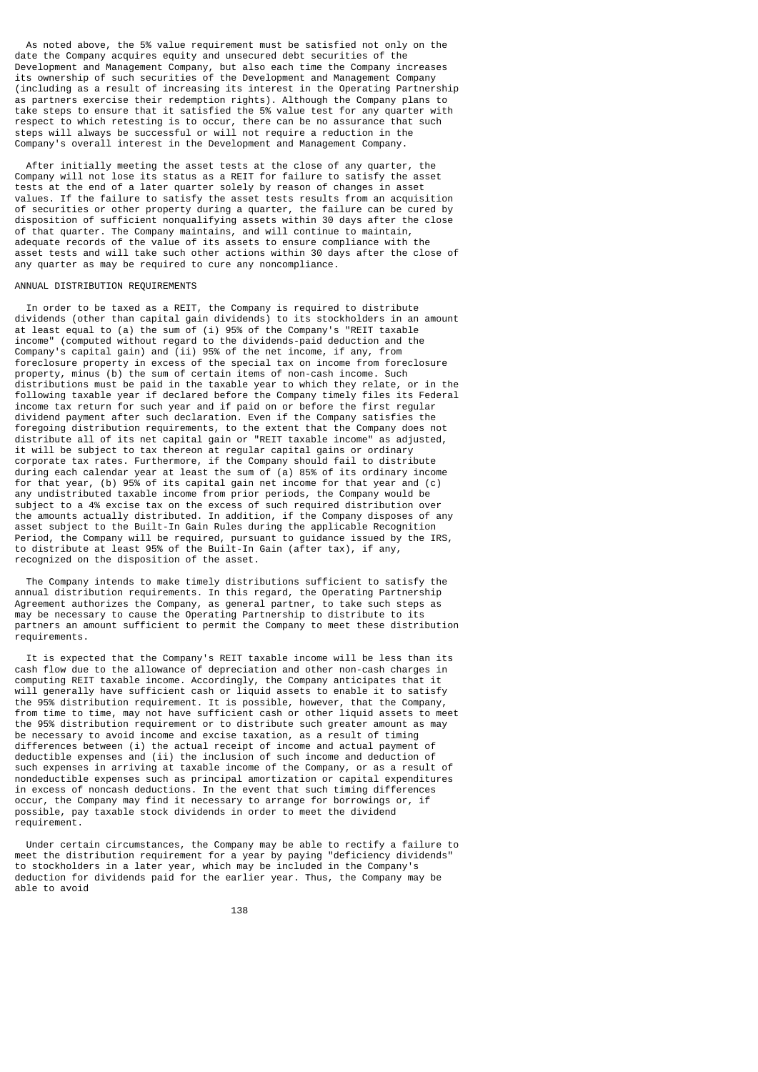As noted above, the 5% value requirement must be satisfied not only on the date the Company acquires equity and unsecured debt securities of the Development and Management Company, but also each time the Company increases its ownership of such securities of the Development and Management Company (including as a result of increasing its interest in the Operating Partnership as partners exercise their redemption rights). Although the Company plans to take steps to ensure that it satisfied the 5% value test for any quarter with respect to which retesting is to occur, there can be no assurance that such steps will always be successful or will not require a reduction in the Company's overall interest in the Development and Management Company.

 After initially meeting the asset tests at the close of any quarter, the Company will not lose its status as a REIT for failure to satisfy the asset tests at the end of a later quarter solely by reason of changes in asset values. If the failure to satisfy the asset tests results from an acquisition of securities or other property during a quarter, the failure can be cured by disposition of sufficient nonqualifying assets within 30 days after the close of that quarter. The Company maintains, and will continue to maintain, adequate records of the value of its assets to ensure compliance with the asset tests and will take such other actions within 30 days after the close of any quarter as may be required to cure any noncompliance.

# ANNUAL DISTRIBUTION REQUIREMENTS

 In order to be taxed as a REIT, the Company is required to distribute dividends (other than capital gain dividends) to its stockholders in an amount at least equal to (a) the sum of (i) 95% of the Company's "REIT taxable income" (computed without regard to the dividends-paid deduction and the Company's capital gain) and (ii) 95% of the net income, if any, from foreclosure property in excess of the special tax on income from foreclosure property, minus (b) the sum of certain items of non-cash income. Such distributions must be paid in the taxable year to which they relate, or in the following taxable year if declared before the Company timely files its Federal income tax return for such year and if paid on or before the first regular dividend payment after such declaration. Even if the Company satisfies the foregoing distribution requirements, to the extent that the Company does not distribute all of its net capital gain or "REIT taxable income" as adjusted, it will be subject to tax thereon at regular capital gains or ordinary corporate tax rates. Furthermore, if the Company should fail to distribute during each calendar year at least the sum of (a) 85% of its ordinary income for that year, (b) 95% of its capital gain net income for that year and (c) any undistributed taxable income from prior periods, the Company would be subject to a 4% excise tax on the excess of such required distribution over the amounts actually distributed. In addition, if the Company disposes of any asset subject to the Built-In Gain Rules during the applicable Recognition Period, the Company will be required, pursuant to guidance issued by the IRS, to distribute at least 95% of the Built-In Gain (after tax), if any, recognized on the disposition of the asset.

 The Company intends to make timely distributions sufficient to satisfy the annual distribution requirements. In this regard, the Operating Partnership Agreement authorizes the Company, as general partner, to take such steps as may be necessary to cause the Operating Partnership to distribute to its partners an amount sufficient to permit the Company to meet these distribution .<br>requirements.

 It is expected that the Company's REIT taxable income will be less than its cash flow due to the allowance of depreciation and other non-cash charges in computing REIT taxable income. Accordingly, the Company anticipates that it will generally have sufficient cash or liquid assets to enable it to satisfy the 95% distribution requirement. It is possible, however, that the Company, from time to time, may not have sufficient cash or other liquid assets to meet the 95% distribution requirement or to distribute such greater amount as may be necessary to avoid income and excise taxation, as a result of timing differences between (i) the actual receipt of income and actual payment of deductible expenses and (ii) the inclusion of such income and deduction of such expenses in arriving at taxable income of the Company, or as a result of nondeductible expenses such as principal amortization or capital expenditures in excess of noncash deductions. In the event that such timing differences occur, the Company may find it necessary to arrange for borrowings or, if possible, pay taxable stock dividends in order to meet the dividend requirement.

 Under certain circumstances, the Company may be able to rectify a failure to meet the distribution requirement for a year by paying "deficiency dividends" to stockholders in a later year, which may be included in the Company's deduction for dividends paid for the earlier year. Thus, the Company may be able to avoid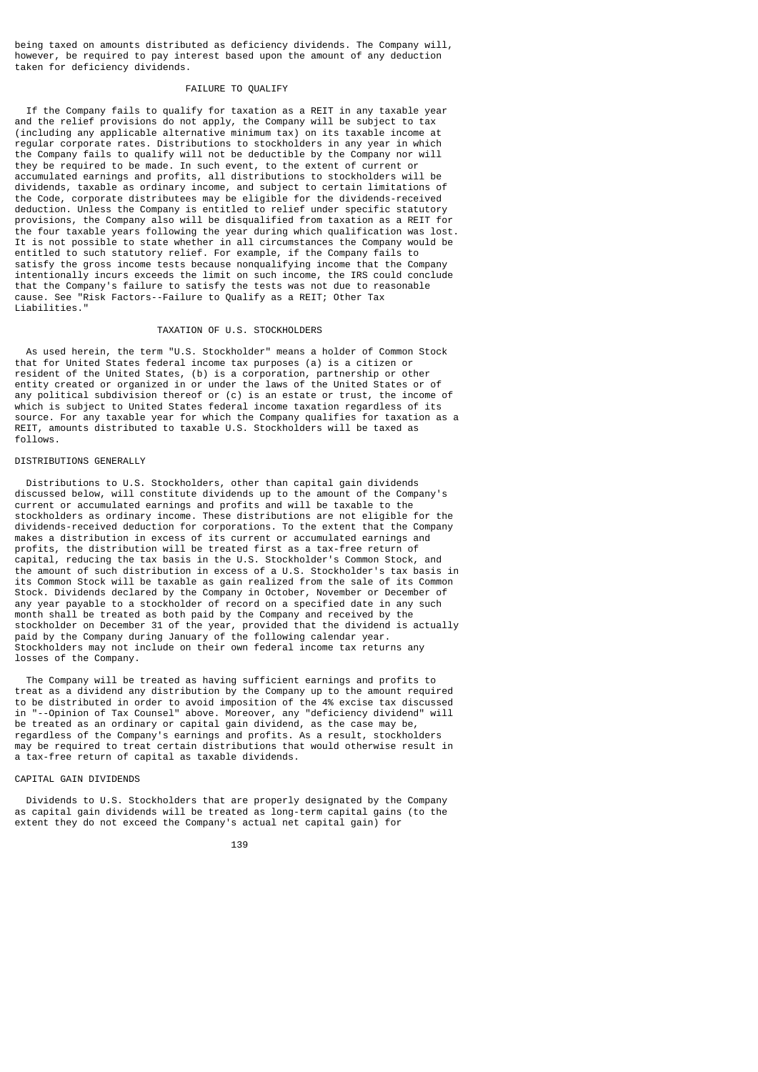being taxed on amounts distributed as deficiency dividends. The Company will, however, be required to pay interest based upon the amount of any deduction taken for deficiency dividends.

## FAILURE TO QUALIFY

 If the Company fails to qualify for taxation as a REIT in any taxable year and the relief provisions do not apply, the Company will be subject to tax (including any applicable alternative minimum tax) on its taxable income at regular corporate rates. Distributions to stockholders in any year in which the Company fails to qualify will not be deductible by the Company nor will they be required to be made. In such event, to the extent of current or accumulated earnings and profits, all distributions to stockholders will be dividends, taxable as ordinary income, and subject to certain limitations of the Code, corporate distributees may be eligible for the dividends-received deduction. Unless the Company is entitled to relief under specific statutory provisions, the Company also will be disqualified from taxation as a REIT for the four taxable years following the year during which qualification was lost. It is not possible to state whether in all circumstances the Company would be entitled to such statutory relief. For example, if the Company fails to satisfy the gross income tests because nonqualifying income that the Company intentionally incurs exceeds the limit on such income, the IRS could conclude that the Company's failure to satisfy the tests was not due to reasonable cause. See "Risk Factors--Failure to Qualify as a REIT; Other Tax Liabilities."

## TAXATION OF U.S. STOCKHOLDERS

 As used herein, the term "U.S. Stockholder" means a holder of Common Stock that for United States federal income tax purposes (a) is a citizen or resident of the United States, (b) is a corporation, partnership or other entity created or organized in or under the laws of the United States or of any political subdivision thereof or (c) is an estate or trust, the income of which is subject to United States federal income taxation regardless of its source. For any taxable year for which the Company qualifies for taxation as a REIT, amounts distributed to taxable U.S. Stockholders will be taxed as follows.

### DISTRIBUTIONS GENERALLY

 Distributions to U.S. Stockholders, other than capital gain dividends discussed below, will constitute dividends up to the amount of the Company's current or accumulated earnings and profits and will be taxable to the stockholders as ordinary income. These distributions are not eligible for the dividends-received deduction for corporations. To the extent that the Company makes a distribution in excess of its current or accumulated earnings and profits, the distribution will be treated first as a tax-free return of capital, reducing the tax basis in the U.S. Stockholder's Common Stock, and the amount of such distribution in excess of a U.S. Stockholder's tax basis in its Common Stock will be taxable as gain realized from the sale of its Common Stock. Dividends declared by the Company in October, November or December of any year payable to a stockholder of record on a specified date in any such month shall be treated as both paid by the Company and received by the stockholder on December 31 of the year, provided that the dividend is actually paid by the Company during January of the following calendar year. Stockholders may not include on their own federal income tax returns any losses of the Company.

 The Company will be treated as having sufficient earnings and profits to treat as a dividend any distribution by the Company up to the amount required to be distributed in order to avoid imposition of the 4% excise tax discussed in "--Opinion of Tax Counsel" above. Moreover, any "deficiency dividend" will be treated as an ordinary or capital gain dividend, as the case may be, regardless of the Company's earnings and profits. As a result, stockholders may be required to treat certain distributions that would otherwise result in a tax-free return of capital as taxable dividends.

### CAPITAL GAIN DIVIDENDS

 Dividends to U.S. Stockholders that are properly designated by the Company as capital gain dividends will be treated as long-term capital gains (to the extent they do not exceed the Company's actual net capital gain) for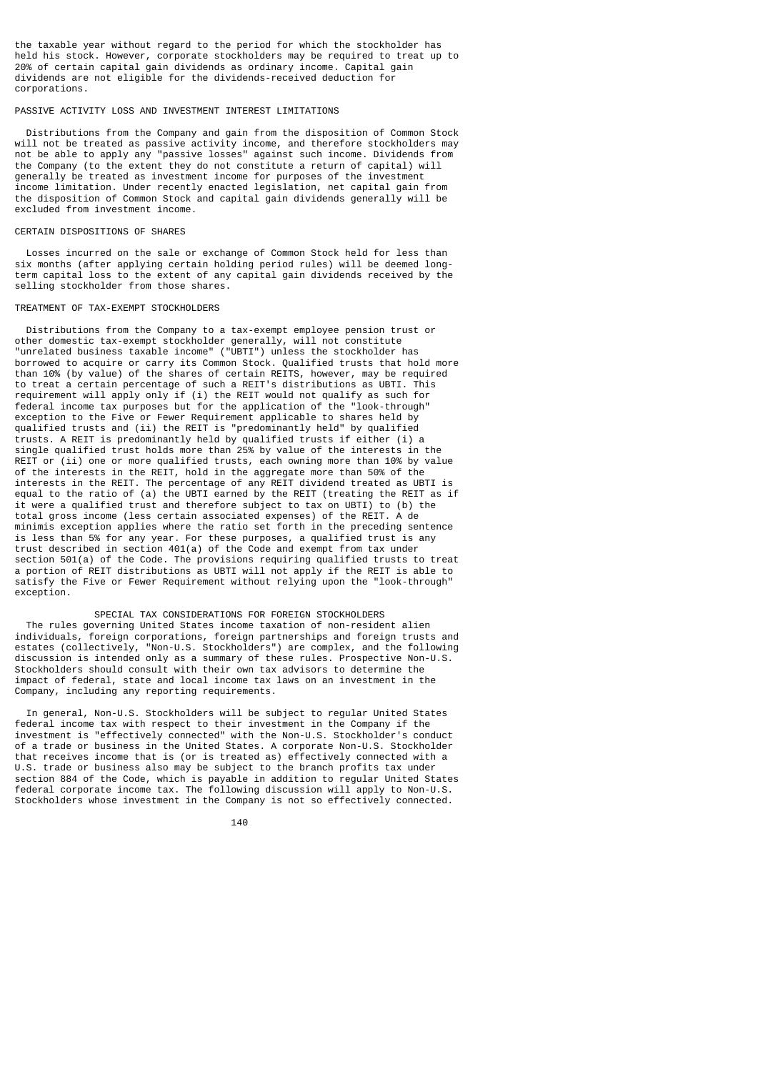the taxable year without regard to the period for which the stockholder has held his stock. However, corporate stockholders may be required to treat up to 20% of certain capital gain dividends as ordinary income. Capital gain dividends are not eligible for the dividends-received deduction for corporations.

### PASSIVE ACTIVITY LOSS AND INVESTMENT INTEREST LIMITATIONS

 Distributions from the Company and gain from the disposition of Common Stock will not be treated as passive activity income, and therefore stockholders may not be able to apply any "passive losses" against such income. Dividends from the Company (to the extent they do not constitute a return of capital) will generally be treated as investment income for purposes of the investment income limitation. Under recently enacted legislation, net capital gain from the disposition of Common Stock and capital gain dividends generally will be excluded from investment income.

### CERTAIN DISPOSITIONS OF SHARES

 Losses incurred on the sale or exchange of Common Stock held for less than six months (after applying certain holding period rules) will be deemed longterm capital loss to the extent of any capital gain dividends received by the selling stockholder from those shares.

### TREATMENT OF TAX-EXEMPT STOCKHOLDERS

 Distributions from the Company to a tax-exempt employee pension trust or other domestic tax-exempt stockholder generally, will not constitute "unrelated business taxable income" ("UBTI") unless the stockholder has borrowed to acquire or carry its Common Stock. Qualified trusts that hold more than 10% (by value) of the shares of certain REITS, however, may be required to treat a certain percentage of such a REIT's distributions as UBTI. This requirement will apply only if (i) the REIT would not qualify as such for federal income tax purposes but for the application of the "look-through" exception to the Five or Fewer Requirement applicable to shares held by qualified trusts and (ii) the REIT is "predominantly held" by qualified trusts. A REIT is predominantly held by qualified trusts if either (i) a single qualified trust holds more than 25% by value of the interests in the REIT or (ii) one or more qualified trusts, each owning more than 10% by value of the interests in the REIT, hold in the aggregate more than 50% of the interests in the REIT. The percentage of any REIT dividend treated as UBTI is equal to the ratio of (a) the UBTI earned by the REIT (treating the REIT as if it were a qualified trust and therefore subject to tax on UBTI) to (b) the total gross income (less certain associated expenses) of the REIT. A de minimis exception applies where the ratio set forth in the preceding sentence is less than 5% for any year. For these purposes, a qualified trust is any trust described in section 401(a) of the Code and exempt from tax under section 501(a) of the Code. The provisions requiring qualified trusts to treat a portion of REIT distributions as UBTI will not apply if the REIT is able to satisfy the Five or Fewer Requirement without relying upon the "look-through" exception.

 SPECIAL TAX CONSIDERATIONS FOR FOREIGN STOCKHOLDERS The rules governing United States income taxation of non-resident alien individuals, foreign corporations, foreign partnerships and foreign trusts and estates (collectively, "Non-U.S. Stockholders") are complex, and the following discussion is intended only as a summary of these rules. Prospective Non-U.S. Stockholders should consult with their own tax advisors to determine the impact of federal, state and local income tax laws on an investment in the Company, including any reporting requirements.

 In general, Non-U.S. Stockholders will be subject to regular United States federal income tax with respect to their investment in the Company if the investment is "effectively connected" with the Non-U.S. Stockholder's conduct of a trade or business in the United States. A corporate Non-U.S. Stockholder that receives income that is (or is treated as) effectively connected with a U.S. trade or business also may be subject to the branch profits tax under section 884 of the Code, which is payable in addition to regular United States federal corporate income tax. The following discussion will apply to Non-U.S. Stockholders whose investment in the Company is not so effectively connected.

<u>140</u>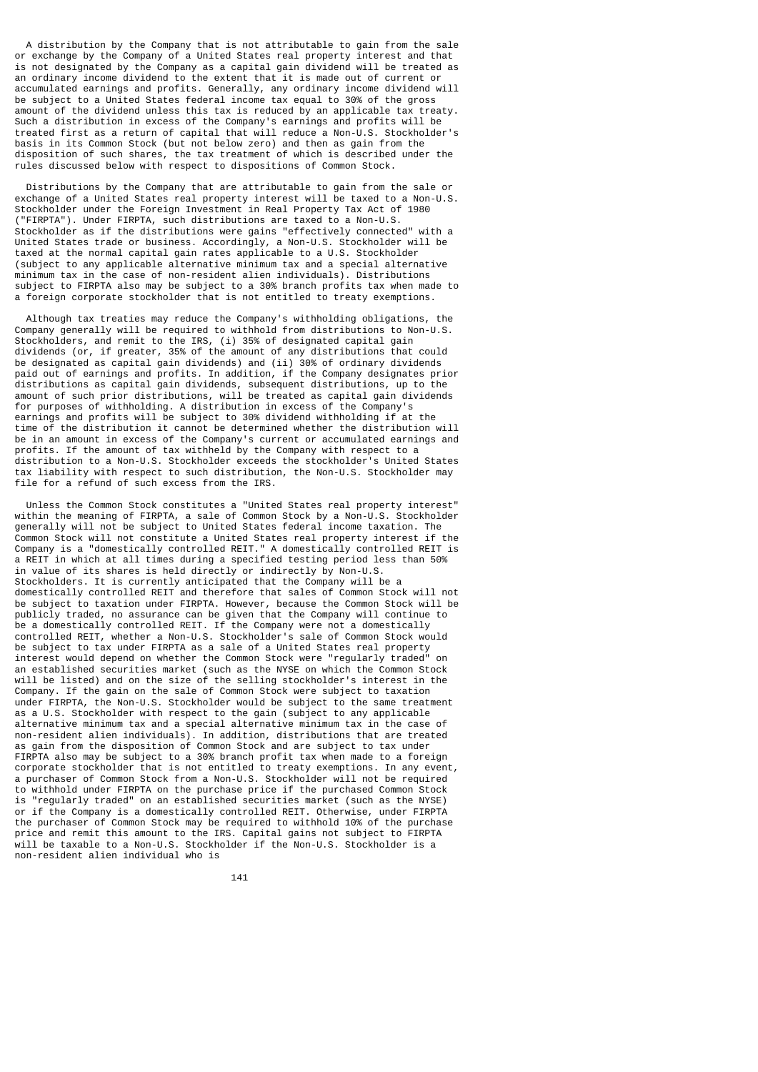A distribution by the Company that is not attributable to gain from the sale or exchange by the Company of a United States real property interest and that is not designated by the Company as a capital gain dividend will be treated as an ordinary income dividend to the extent that it is made out of current or accumulated earnings and profits. Generally, any ordinary income dividend will be subject to a United States federal income tax equal to 30% of the gross amount of the dividend unless this tax is reduced by an applicable tax treaty. Such a distribution in excess of the Company's earnings and profits will be treated first as a return of capital that will reduce a Non-U.S. Stockholder's basis in its Common Stock (but not below zero) and then as gain from the disposition of such shares, the tax treatment of which is described under the rules discussed below with respect to dispositions of Common Stock.

 Distributions by the Company that are attributable to gain from the sale or exchange of a United States real property interest will be taxed to a Non-U.S. Stockholder under the Foreign Investment in Real Property Tax Act of 1980 ("FIRPTA"). Under FIRPTA, such distributions are taxed to a Non-U.S. Stockholder as if the distributions were gains "effectively connected" with a United States trade or business. Accordingly, a Non-U.S. Stockholder will be taxed at the normal capital gain rates applicable to a U.S. Stockholder (subject to any applicable alternative minimum tax and a special alternative minimum tax in the case of non-resident alien individuals). Distributions subject to FIRPTA also may be subject to a 30% branch profits tax when made to a foreign corporate stockholder that is not entitled to treaty exemptions.

 Although tax treaties may reduce the Company's withholding obligations, the Company generally will be required to withhold from distributions to Non-U.S. Stockholders, and remit to the IRS, (i) 35% of designated capital gain dividends (or, if greater, 35% of the amount of any distributions that could be designated as capital gain dividends) and (ii) 30% of ordinary dividends paid out of earnings and profits. In addition, if the Company designates prior distributions as capital gain dividends, subsequent distributions, up to the amount of such prior distributions, will be treated as capital gain dividends for purposes of withholding. A distribution in excess of the Company's earnings and profits will be subject to 30% dividend withholding if at the time of the distribution it cannot be determined whether the distribution will be in an amount in excess of the Company's current or accumulated earnings and profits. If the amount of tax withheld by the Company with respect to a distribution to a Non-U.S. Stockholder exceeds the stockholder's United States tax liability with respect to such distribution, the Non-U.S. Stockholder may file for a refund of such excess from the IRS.

 Unless the Common Stock constitutes a "United States real property interest" within the meaning of FIRPTA, a sale of Common Stock by a Non-U.S. Stockholder generally will not be subject to United States federal income taxation. The Common Stock will not constitute a United States real property interest if the Company is a "domestically controlled REIT." A domestically controlled REIT is a REIT in which at all times during a specified testing period less than 50% in value of its shares is held directly or indirectly by Non-U.S. Stockholders. It is currently anticipated that the Company will be a domestically controlled REIT and therefore that sales of Common Stock will not be subject to taxation under FIRPTA. However, because the Common Stock will be publicly traded, no assurance can be given that the Company will continue to be a domestically controlled REIT. If the Company were not a domestically controlled REIT, whether a Non-U.S. Stockholder's sale of Common Stock would be subject to tax under FIRPTA as a sale of a United States real property interest would depend on whether the Common Stock were "regularly traded" on an established securities market (such as the NYSE on which the Common Stock will be listed) and on the size of the selling stockholder's interest in the Company. If the gain on the sale of Common Stock were subject to taxation under FIRPTA, the Non-U.S. Stockholder would be subject to the same treatment as a U.S. Stockholder with respect to the gain (subject to any applicable alternative minimum tax and a special alternative minimum tax in the case of non-resident alien individuals). In addition, distributions that are treated as gain from the disposition of Common Stock and are subject to tax under FIRPTA also may be subject to a 30% branch profit tax when made to a foreign corporate stockholder that is not entitled to treaty exemptions. In any event, a purchaser of Common Stock from a Non-U.S. Stockholder will not be required to withhold under FIRPTA on the purchase price if the purchased Common Stock is "regularly traded" on an established securities market (such as the NYSE) or if the Company is a domestically controlled REIT. Otherwise, under FIRPTA the purchaser of Common Stock may be required to withhold 10% of the purchase price and remit this amount to the IRS. Capital gains not subject to FIRPTA will be taxable to a Non-U.S. Stockholder if the Non-U.S. Stockholder is a non-resident alien individual who is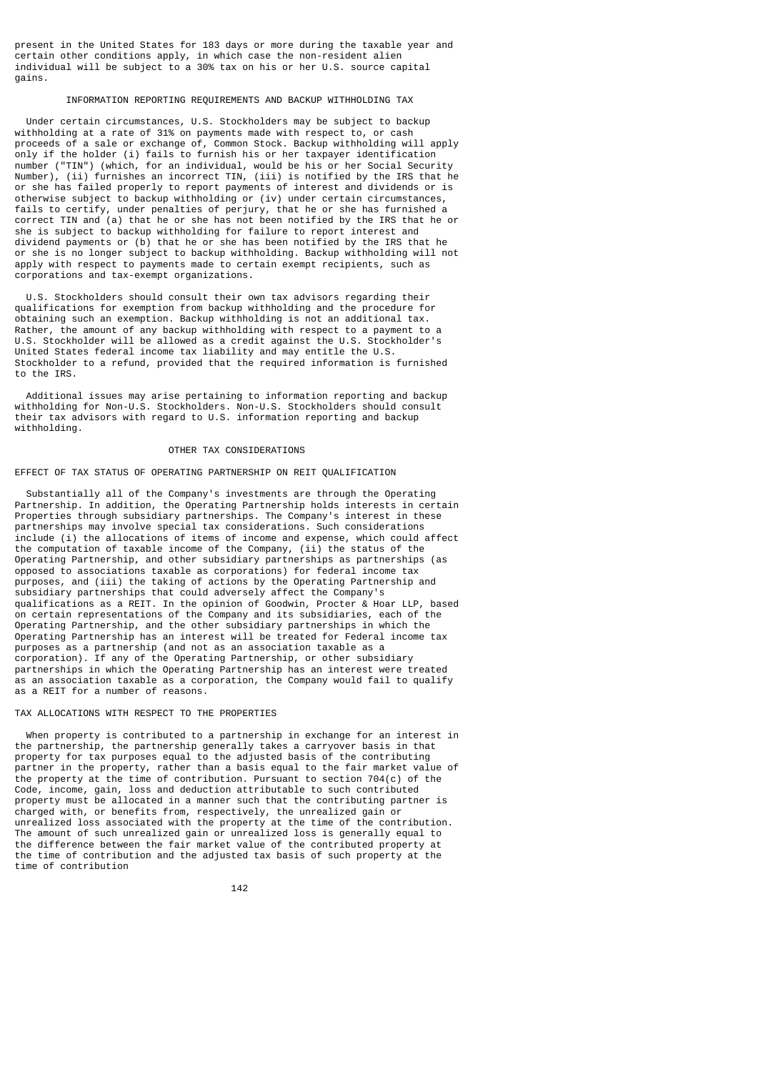present in the United States for 183 days or more during the taxable year and certain other conditions apply, in which case the non-resident alien individual will be subject to a 30% tax on his or her U.S. source capital gains.

## INFORMATION REPORTING REQUIREMENTS AND BACKUP WITHHOLDING TAX

 Under certain circumstances, U.S. Stockholders may be subject to backup withholding at a rate of 31% on payments made with respect to, or cash proceeds of a sale or exchange of, Common Stock. Backup withholding will apply only if the holder (i) fails to furnish his or her taxpayer identification number ("TIN") (which, for an individual, would be his or her Social Security Number), (ii) furnishes an incorrect TIN, (iii) is notified by the IRS that he or she has failed properly to report payments of interest and dividends or is otherwise subject to backup withholding or (iv) under certain circumstances, fails to certify, under penalties of perjury, that he or she has furnished a correct TIN and (a) that he or she has not been notified by the IRS that he or she is subject to backup withholding for failure to report interest and dividend payments or (b) that he or she has been notified by the IRS that he or she is no longer subject to backup withholding. Backup withholding will not apply with respect to payments made to certain exempt recipients, such as corporations and tax-exempt organizations.

 U.S. Stockholders should consult their own tax advisors regarding their qualifications for exemption from backup withholding and the procedure for obtaining such an exemption. Backup withholding is not an additional tax. Rather, the amount of any backup withholding with respect to a payment to a U.S. Stockholder will be allowed as a credit against the U.S. Stockholder's United States federal income tax liability and may entitle the U.S. Stockholder to a refund, provided that the required information is furnished to the IRS.

 Additional issues may arise pertaining to information reporting and backup withholding for Non-U.S. Stockholders. Non-U.S. Stockholders should consult their tax advisors with regard to U.S. information reporting and backup withholding.

## OTHER TAX CONSIDERATIONS

## EFFECT OF TAX STATUS OF OPERATING PARTNERSHIP ON REIT QUALIFICATION

 Substantially all of the Company's investments are through the Operating Partnership. In addition, the Operating Partnership holds interests in certain Properties through subsidiary partnerships. The Company's interest in these partnerships may involve special tax considerations. Such considerations include (i) the allocations of items of income and expense, which could affect the computation of taxable income of the Company, (ii) the status of the Operating Partnership, and other subsidiary partnerships as partnerships (as opposed to associations taxable as corporations) for federal income tax purposes, and (iii) the taking of actions by the Operating Partnership and subsidiary partnerships that could adversely affect the Company's qualifications as a REIT. In the opinion of Goodwin, Procter & Hoar LLP, based on certain representations of the Company and its subsidiaries, each of the Operating Partnership, and the other subsidiary partnerships in which the Operating Partnership has an interest will be treated for Federal income tax purposes as a partnership (and not as an association taxable as a corporation). If any of the Operating Partnership, or other subsidiary partnerships in which the Operating Partnership has an interest were treated as an association taxable as a corporation, the Company would fail to qualify as a REIT for a number of reasons.

### TAX ALLOCATIONS WITH RESPECT TO THE PROPERTIES

 When property is contributed to a partnership in exchange for an interest in the partnership, the partnership generally takes a carryover basis in that property for tax purposes equal to the adjusted basis of the contributing partner in the property, rather than a basis equal to the fair market value of the property at the time of contribution. Pursuant to section 704(c) of the Code, income, gain, loss and deduction attributable to such contributed property must be allocated in a manner such that the contributing partner is charged with, or benefits from, respectively, the unrealized gain or unrealized loss associated with the property at the time of the contribution. The amount of such unrealized gain or unrealized loss is generally equal to the difference between the fair market value of the contributed property at the time of contribution and the adjusted tax basis of such property at the time of contribution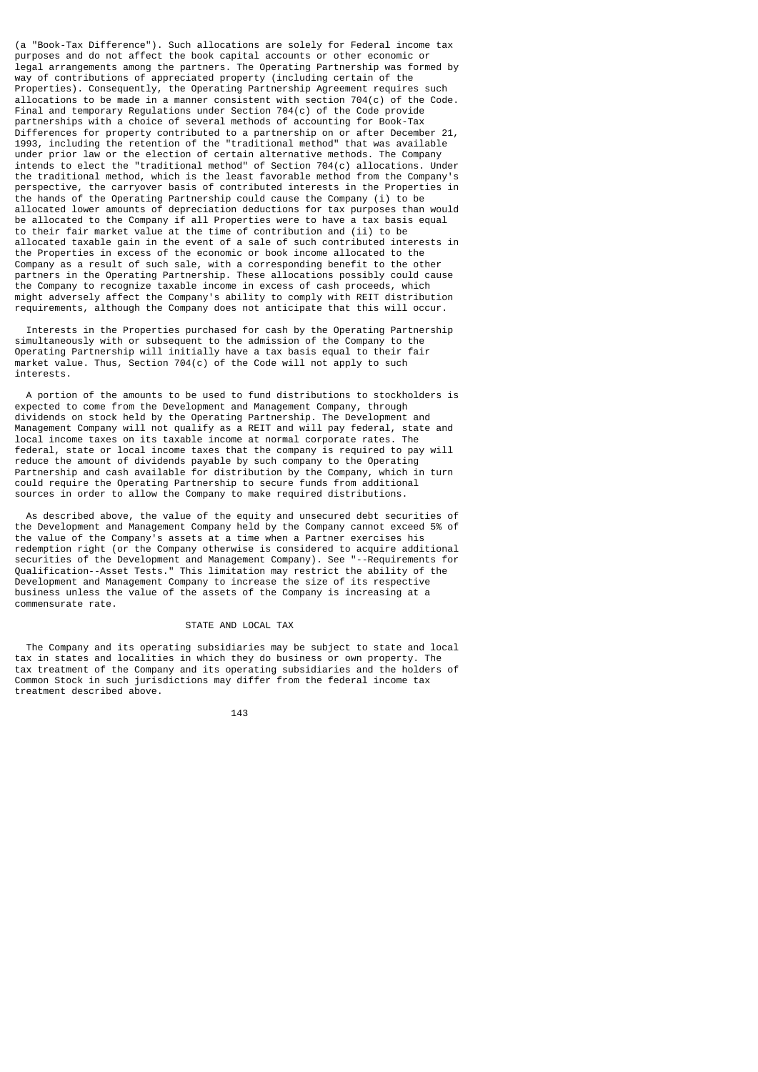(a "Book-Tax Difference"). Such allocations are solely for Federal income tax purposes and do not affect the book capital accounts or other economic or legal arrangements among the partners. The Operating Partnership was formed by way of contributions of appreciated property (including certain of the Properties). Consequently, the Operating Partnership Agreement requires such allocations to be made in a manner consistent with section 704(c) of the Code. Final and temporary Regulations under Section 704(c) of the Code provide partnerships with a choice of several methods of accounting for Book-Tax Differences for property contributed to a partnership on or after December 21, 1993, including the retention of the "traditional method" that was available under prior law or the election of certain alternative methods. The Company intends to elect the "traditional method" of Section 704(c) allocations. Under the traditional method, which is the least favorable method from the Company's perspective, the carryover basis of contributed interests in the Properties in the hands of the Operating Partnership could cause the Company (i) to be allocated lower amounts of depreciation deductions for tax purposes than would be allocated to the Company if all Properties were to have a tax basis equal to their fair market value at the time of contribution and (ii) to be allocated taxable gain in the event of a sale of such contributed interests in the Properties in excess of the economic or book income allocated to the Company as a result of such sale, with a corresponding benefit to the other partners in the Operating Partnership. These allocations possibly could cause the Company to recognize taxable income in excess of cash proceeds, which might adversely affect the Company's ability to comply with REIT distribution requirements, although the Company does not anticipate that this will occur.

 Interests in the Properties purchased for cash by the Operating Partnership simultaneously with or subsequent to the admission of the Company to the Operating Partnership will initially have a tax basis equal to their fair market value. Thus, Section 704(c) of the Code will not apply to such interests.

 A portion of the amounts to be used to fund distributions to stockholders is expected to come from the Development and Management Company, through dividends on stock held by the Operating Partnership. The Development and Management Company will not qualify as a REIT and will pay federal, state and local income taxes on its taxable income at normal corporate rates. The federal, state or local income taxes that the company is required to pay will reduce the amount of dividends payable by such company to the Operating Partnership and cash available for distribution by the Company, which in turn could require the Operating Partnership to secure funds from additional sources in order to allow the Company to make required distributions.

 As described above, the value of the equity and unsecured debt securities of the Development and Management Company held by the Company cannot exceed 5% of the value of the Company's assets at a time when a Partner exercises his redemption right (or the Company otherwise is considered to acquire additional securities of the Development and Management Company). See "--Requirements for Qualification--Asset Tests." This limitation may restrict the ability of the Development and Management Company to increase the size of its respective business unless the value of the assets of the Company is increasing at a commensurate rate.

# STATE AND LOCAL TAX

 The Company and its operating subsidiaries may be subject to state and local tax in states and localities in which they do business or own property. The tax treatment of the Company and its operating subsidiaries and the holders of Common Stock in such jurisdictions may differ from the federal income tax treatment described above.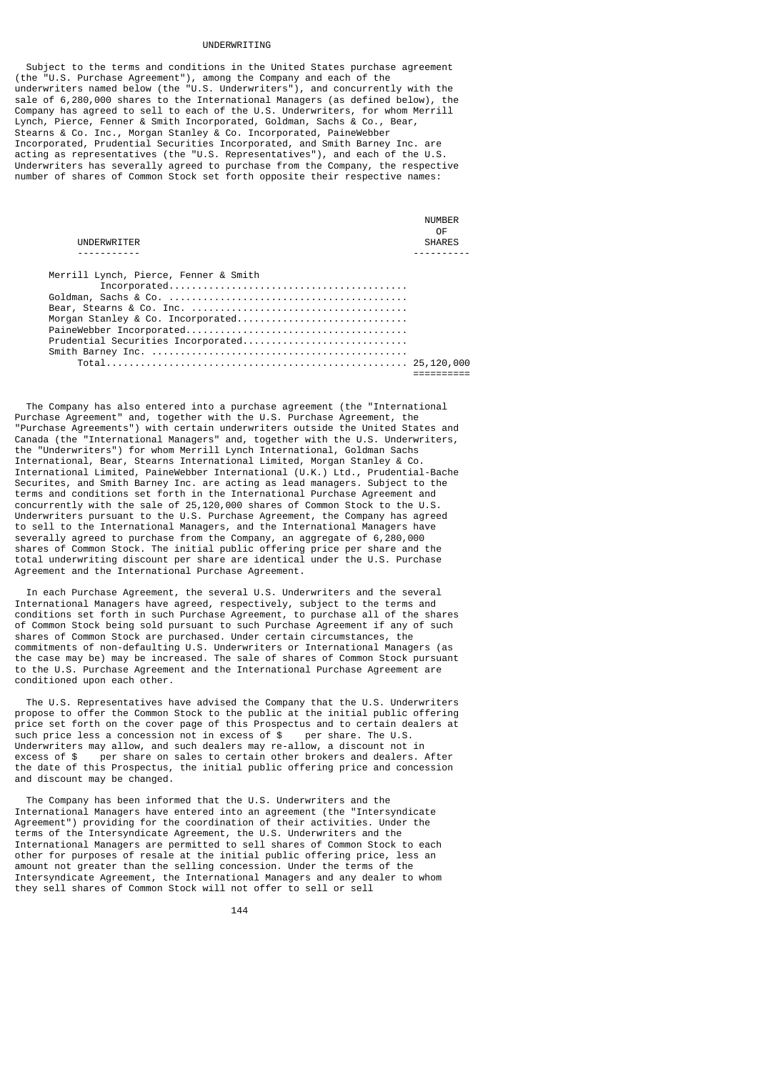#### UNDERWRITING

 Subject to the terms and conditions in the United States purchase agreement (the "U.S. Purchase Agreement"), among the Company and each of the underwriters named below (the "U.S. Underwriters"), and concurrently with the sale of 6,280,000 shares to the International Managers (as defined below), the Company has agreed to sell to each of the U.S. Underwriters, for whom Merrill Lynch, Pierce, Fenner & Smith Incorporated, Goldman, Sachs & Co., Bear, Stearns & Co. Inc., Morgan Stanley & Co. Incorporated, PaineWebber Incorporated, Prudential Securities Incorporated, and Smith Barney Inc. are acting as representatives (the "U.S. Representatives"), and each of the U.S. Underwriters has severally agreed to purchase from the Company, the respective number of shares of Common Stock set forth opposite their respective names:

| UNDERWRITER                           | <b>NIJMRFR</b><br>0E<br><b>SHARES</b> |
|---------------------------------------|---------------------------------------|
|                                       |                                       |
| Merrill Lynch, Pierce, Fenner & Smith |                                       |
|                                       |                                       |
|                                       |                                       |
|                                       |                                       |
|                                       |                                       |
|                                       |                                       |
| Prudential Securities Incorporated    |                                       |
|                                       |                                       |
|                                       |                                       |

 The Company has also entered into a purchase agreement (the "International Purchase Agreement" and, together with the U.S. Purchase Agreement, the "Purchase Agreements") with certain underwriters outside the United States and Canada (the "International Managers" and, together with the U.S. Underwriters, the "Underwriters") for whom Merrill Lynch International, Goldman Sachs International, Bear, Stearns International Limited, Morgan Stanley & Co. International Limited, PaineWebber International (U.K.) Ltd., Prudential-Bache Securites, and Smith Barney Inc. are acting as lead managers. Subject to the terms and conditions set forth in the International Purchase Agreement and concurrently with the sale of 25,120,000 shares of Common Stock to the U.S. Underwriters pursuant to the U.S. Purchase Agreement, the Company has agreed to sell to the International Managers, and the International Managers have severally agreed to purchase from the Company, an aggregate of 6,280,000 shares of Common Stock. The initial public offering price per share and the total underwriting discount per share are identical under the U.S. Purchase Agreement and the International Purchase Agreement.

 In each Purchase Agreement, the several U.S. Underwriters and the several International Managers have agreed, respectively, subject to the terms and conditions set forth in such Purchase Agreement, to purchase all of the shares of Common Stock being sold pursuant to such Purchase Agreement if any of such shares of Common Stock are purchased. Under certain circumstances, the commitments of non-defaulting U.S. Underwriters or International Managers (as the case may be) may be increased. The sale of shares of Common Stock pursuant to the U.S. Purchase Agreement and the International Purchase Agreement are conditioned upon each other.

 The U.S. Representatives have advised the Company that the U.S. Underwriters propose to offer the Common Stock to the public at the initial public offering price set forth on the cover page of this Prospectus and to certain dealers at such price less a concession not in excess of \$ per share. The U.S. such price less a concession not in excess of  $$$ Underwriters may allow, and such dealers may re-allow, a discount not in excess of \$ per share on sales to certain other brokers and dealers. After the date of this Prospectus, the initial public offering price and concession and discount may be changed.

 The Company has been informed that the U.S. Underwriters and the International Managers have entered into an agreement (the "Intersyndicate Agreement") providing for the coordination of their activities. Under the terms of the Intersyndicate Agreement, the U.S. Underwriters and the International Managers are permitted to sell shares of Common Stock to each other for purposes of resale at the initial public offering price, less an amount not greater than the selling concession. Under the terms of the Intersyndicate Agreement, the International Managers and any dealer to whom they sell shares of Common Stock will not offer to sell or sell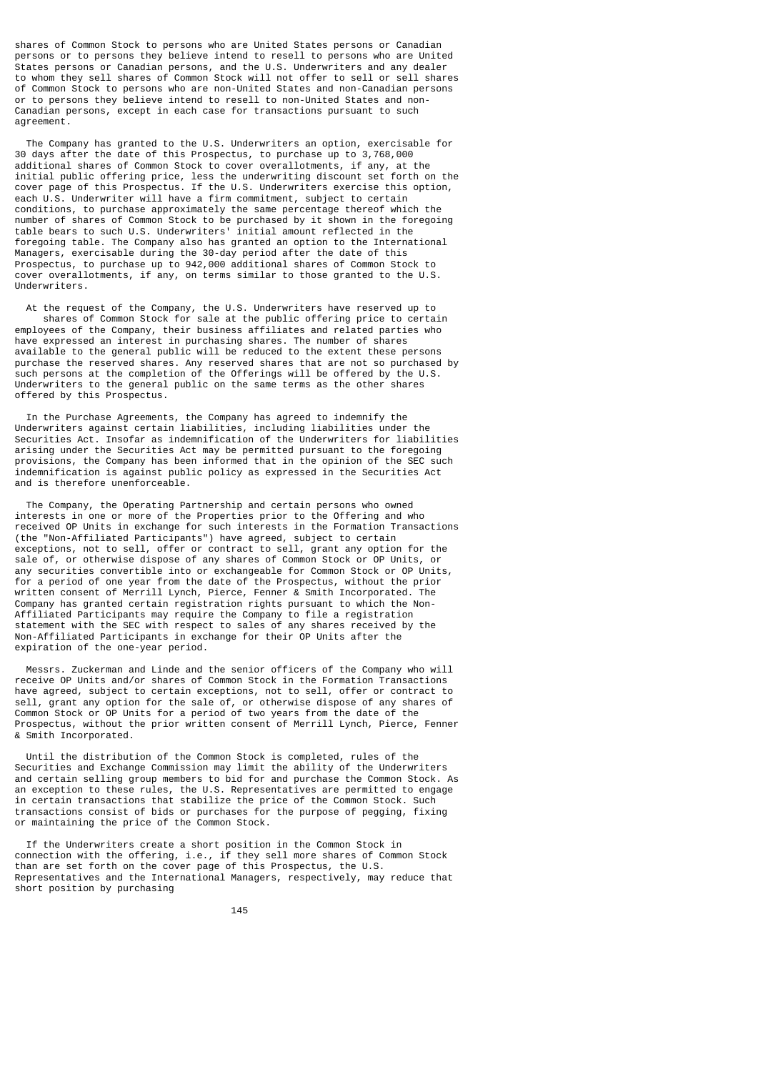shares of Common Stock to persons who are United States persons or Canadian persons or to persons they believe intend to resell to persons who are United States persons or Canadian persons, and the U.S. Underwriters and any dealer to whom they sell shares of Common Stock will not offer to sell or sell shares of Common Stock to persons who are non-United States and non-Canadian persons or to persons they believe intend to resell to non-United States and non-Canadian persons, except in each case for transactions pursuant to such agreement.

 The Company has granted to the U.S. Underwriters an option, exercisable for 30 days after the date of this Prospectus, to purchase up to 3,768,000 additional shares of Common Stock to cover overallotments, if any, at the initial public offering price, less the underwriting discount set forth on the cover page of this Prospectus. If the U.S. Underwriters exercise this option, each U.S. Underwriter will have a firm commitment, subject to certain conditions, to purchase approximately the same percentage thereof which the number of shares of Common Stock to be purchased by it shown in the foregoing table bears to such U.S. Underwriters' initial amount reflected in the foregoing table. The Company also has granted an option to the International Managers, exercisable during the 30-day period after the date of this Prospectus, to purchase up to 942,000 additional shares of Common Stock to cover overallotments, if any, on terms similar to those granted to the U.S. Underwriters.

 At the request of the Company, the U.S. Underwriters have reserved up to shares of Common Stock for sale at the public offering price to certain employees of the Company, their business affiliates and related parties who have expressed an interest in purchasing shares. The number of shares available to the general public will be reduced to the extent these persons purchase the reserved shares. Any reserved shares that are not so purchased by such persons at the completion of the Offerings will be offered by the U.S. Underwriters to the general public on the same terms as the other shares offered by this Prospectus.

 In the Purchase Agreements, the Company has agreed to indemnify the Underwriters against certain liabilities, including liabilities under the Securities Act. Insofar as indemnification of the Underwriters for liabilities arising under the Securities Act may be permitted pursuant to the foregoing provisions, the Company has been informed that in the opinion of the SEC such indemnification is against public policy as expressed in the Securities Act and is therefore unenforceable.

 The Company, the Operating Partnership and certain persons who owned interests in one or more of the Properties prior to the Offering and who received OP Units in exchange for such interests in the Formation Transactions (the "Non-Affiliated Participants") have agreed, subject to certain exceptions, not to sell, offer or contract to sell, grant any option for the sale of, or otherwise dispose of any shares of Common Stock or OP Units, or any securities convertible into or exchangeable for Common Stock or OP Units, for a period of one year from the date of the Prospectus, without the prior written consent of Merrill Lynch, Pierce, Fenner & Smith Incorporated. The Company has granted certain registration rights pursuant to which the Non-Affiliated Participants may require the Company to file a registration statement with the SEC with respect to sales of any shares received by the Non-Affiliated Participants in exchange for their OP Units after the expiration of the one-year period.

 Messrs. Zuckerman and Linde and the senior officers of the Company who will receive OP Units and/or shares of Common Stock in the Formation Transactions have agreed, subject to certain exceptions, not to sell, offer or contract to sell, grant any option for the sale of, or otherwise dispose of any shares of Common Stock or OP Units for a period of two years from the date of the Prospectus, without the prior written consent of Merrill Lynch, Pierce, Fenner & Smith Incorporated.

 Until the distribution of the Common Stock is completed, rules of the Securities and Exchange Commission may limit the ability of the Underwriters and certain selling group members to bid for and purchase the Common Stock. As an exception to these rules, the U.S. Representatives are permitted to engage in certain transactions that stabilize the price of the Common Stock. Such transactions consist of bids or purchases for the purpose of pegging, fixing or maintaining the price of the Common Stock.

 If the Underwriters create a short position in the Common Stock in connection with the offering, i.e., if they sell more shares of Common Stock than are set forth on the cover page of this Prospectus, the U.S. Representatives and the International Managers, respectively, may reduce that short position by purchasing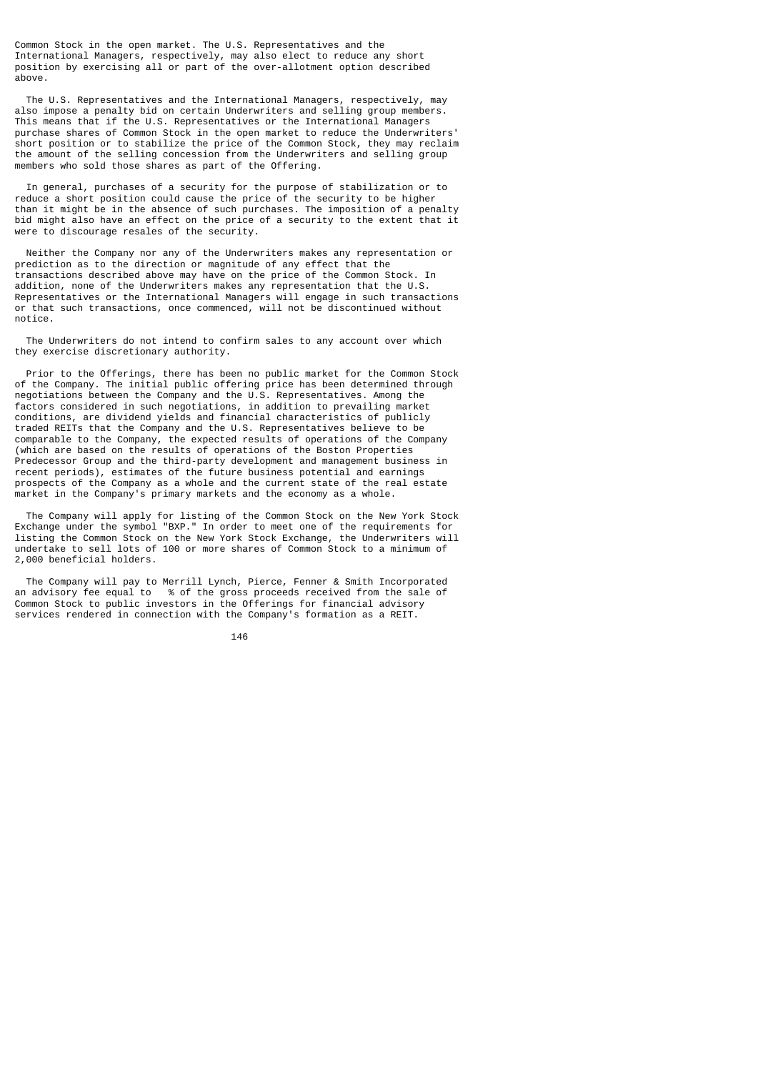Common Stock in the open market. The U.S. Representatives and the International Managers, respectively, may also elect to reduce any short position by exercising all or part of the over-allotment option described above.

 The U.S. Representatives and the International Managers, respectively, may also impose a penalty bid on certain Underwriters and selling group members. This means that if the U.S. Representatives or the International Managers purchase shares of Common Stock in the open market to reduce the Underwriters' short position or to stabilize the price of the Common Stock, they may reclaim the amount of the selling concession from the Underwriters and selling group members who sold those shares as part of the Offering.

 In general, purchases of a security for the purpose of stabilization or to reduce a short position could cause the price of the security to be higher than it might be in the absence of such purchases. The imposition of a penalty bid might also have an effect on the price of a security to the extent that it were to discourage resales of the security.

 Neither the Company nor any of the Underwriters makes any representation or prediction as to the direction or magnitude of any effect that the transactions described above may have on the price of the Common Stock. In addition, none of the Underwriters makes any representation that the U.S. Representatives or the International Managers will engage in such transactions or that such transactions, once commenced, will not be discontinued without notice.

 The Underwriters do not intend to confirm sales to any account over which they exercise discretionary authority.

 Prior to the Offerings, there has been no public market for the Common Stock of the Company. The initial public offering price has been determined through negotiations between the Company and the U.S. Representatives. Among the factors considered in such negotiations, in addition to prevailing market conditions, are dividend yields and financial characteristics of publicly traded REITs that the Company and the U.S. Representatives believe to be comparable to the Company, the expected results of operations of the Company (which are based on the results of operations of the Boston Properties Predecessor Group and the third-party development and management business in recent periods), estimates of the future business potential and earnings prospects of the Company as a whole and the current state of the real estate market in the Company's primary markets and the economy as a whole.

 The Company will apply for listing of the Common Stock on the New York Stock Exchange under the symbol "BXP." In order to meet one of the requirements for listing the Common Stock on the New York Stock Exchange, the Underwriters will undertake to sell lots of 100 or more shares of Common Stock to a minimum of 2,000 beneficial holders.

 The Company will pay to Merrill Lynch, Pierce, Fenner & Smith Incorporated an advisory fee equal to % of the gross proceeds received from the sale of Common Stock to public investors in the Offerings for financial advisory services rendered in connection with the Company's formation as a REIT.

<u>146 میں اس کا اعتبار اور اس کا اعتبار اور اس کا اعتبار اور اس کا اعتبار اور اس کا اعتبار اور اس کا اعتبار اور ا</u>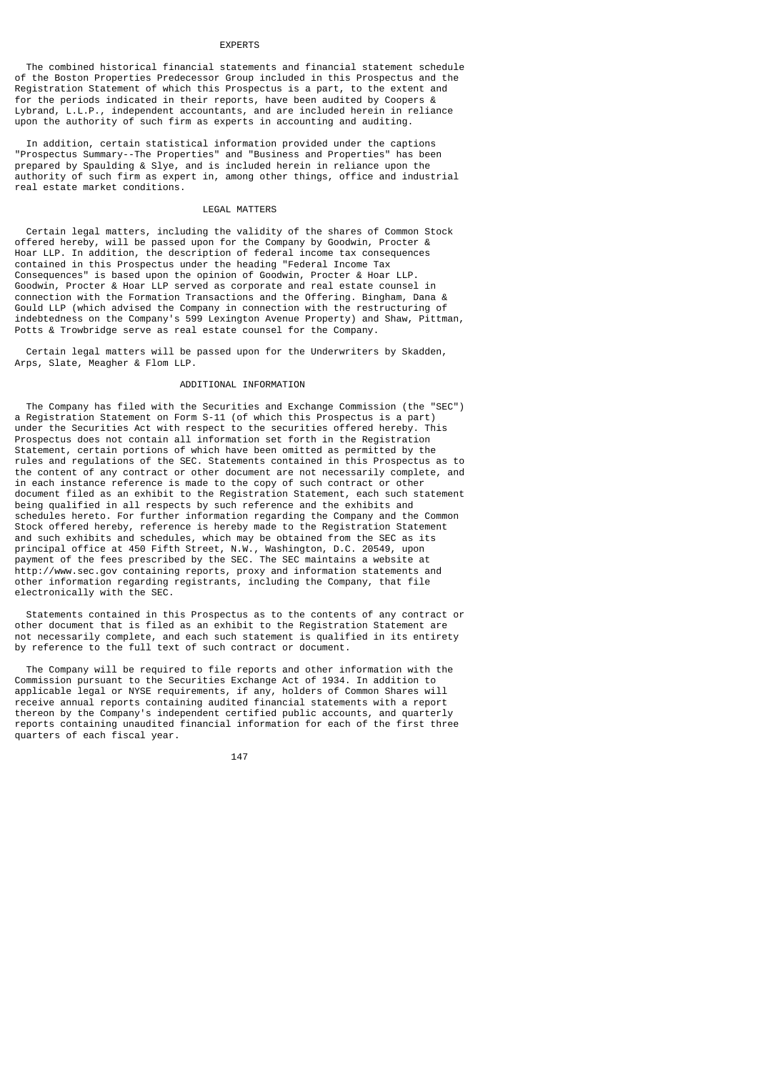#### EXPERTS

 The combined historical financial statements and financial statement schedule of the Boston Properties Predecessor Group included in this Prospectus and the Registration Statement of which this Prospectus is a part, to the extent and for the periods indicated in their reports, have been audited by Coopers & Lybrand, L.L.P., independent accountants, and are included herein in reliance upon the authority of such firm as experts in accounting and auditing.

 In addition, certain statistical information provided under the captions "Prospectus Summary--The Properties" and "Business and Properties" has been prepared by Spaulding & Slye, and is included herein in reliance upon the authority of such firm as expert in, among other things, office and industrial real estate market conditions.

## LEGAL MATTERS

 Certain legal matters, including the validity of the shares of Common Stock offered hereby, will be passed upon for the Company by Goodwin, Procter & Hoar LLP. In addition, the description of federal income tax consequences contained in this Prospectus under the heading "Federal Income Tax Consequences" is based upon the opinion of Goodwin, Procter & Hoar LLP. Goodwin, Procter & Hoar LLP served as corporate and real estate counsel in connection with the Formation Transactions and the Offering. Bingham, Dana & Gould LLP (which advised the Company in connection with the restructuring of indebtedness on the Company's 599 Lexington Avenue Property) and Shaw, Pittman, Potts & Trowbridge serve as real estate counsel for the Company.

 Certain legal matters will be passed upon for the Underwriters by Skadden, Arps, Slate, Meagher & Flom LLP.

## ADDITIONAL INFORMATION

 The Company has filed with the Securities and Exchange Commission (the "SEC") a Registration Statement on Form S-11 (of which this Prospectus is a part) under the Securities Act with respect to the securities offered hereby. This Prospectus does not contain all information set forth in the Registration Statement, certain portions of which have been omitted as permitted by the rules and regulations of the SEC. Statements contained in this Prospectus as to the content of any contract or other document are not necessarily complete, and in each instance reference is made to the copy of such contract or other document filed as an exhibit to the Registration Statement, each such statement being qualified in all respects by such reference and the exhibits and schedules hereto. For further information regarding the Company and the Common Stock offered hereby, reference is hereby made to the Registration Statement and such exhibits and schedules, which may be obtained from the SEC as its principal office at 450 Fifth Street, N.W., Washington, D.C. 20549, upon payment of the fees prescribed by the SEC. The SEC maintains a website at http://www.sec.gov containing reports, proxy and information statements and other information regarding registrants, including the Company, that file electronically with the SEC.

 Statements contained in this Prospectus as to the contents of any contract or other document that is filed as an exhibit to the Registration Statement are not necessarily complete, and each such statement is qualified in its entirety by reference to the full text of such contract or document.

 The Company will be required to file reports and other information with the Commission pursuant to the Securities Exchange Act of 1934. In addition to applicable legal or NYSE requirements, if any, holders of Common Shares will receive annual reports containing audited financial statements with a report thereon by the Company's independent certified public accounts, and quarterly reports containing unaudited financial information for each of the first three quarters of each fiscal year.

147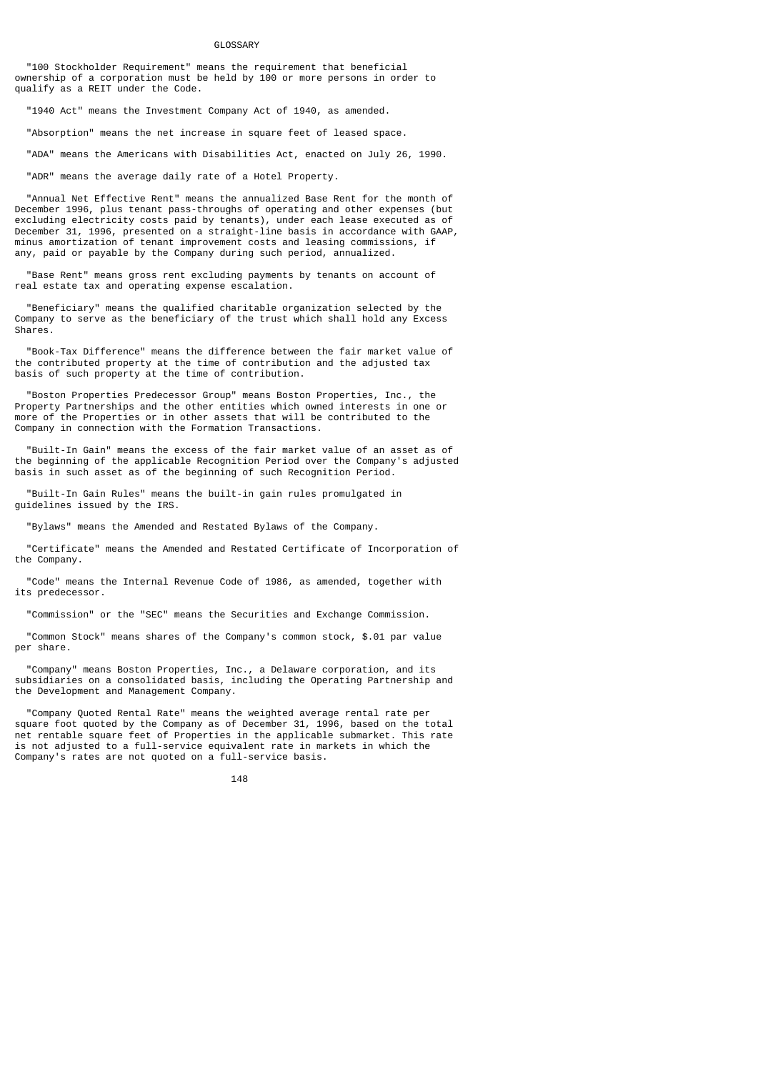#### GLOSSARY

 "100 Stockholder Requirement" means the requirement that beneficial ownership of a corporation must be held by 100 or more persons in order to qualify as a REIT under the Code.

"1940 Act" means the Investment Company Act of 1940, as amended.

"Absorption" means the net increase in square feet of leased space.

"ADA" means the Americans with Disabilities Act, enacted on July 26, 1990.

"ADR" means the average daily rate of a Hotel Property.

 "Annual Net Effective Rent" means the annualized Base Rent for the month of December 1996, plus tenant pass-throughs of operating and other expenses (but excluding electricity costs paid by tenants), under each lease executed as of December 31, 1996, presented on a straight-line basis in accordance with GAAP, minus amortization of tenant improvement costs and leasing commissions, if any, paid or payable by the Company during such period, annualized.

 "Base Rent" means gross rent excluding payments by tenants on account of real estate tax and operating expense escalation.

 "Beneficiary" means the qualified charitable organization selected by the Company to serve as the beneficiary of the trust which shall hold any Excess Shares.

 "Book-Tax Difference" means the difference between the fair market value of the contributed property at the time of contribution and the adjusted tax basis of such property at the time of contribution.

 "Boston Properties Predecessor Group" means Boston Properties, Inc., the Property Partnerships and the other entities which owned interests in one or more of the Properties or in other assets that will be contributed to the Company in connection with the Formation Transactions.

 "Built-In Gain" means the excess of the fair market value of an asset as of the beginning of the applicable Recognition Period over the Company's adjusted basis in such asset as of the beginning of such Recognition Period.

 "Built-In Gain Rules" means the built-in gain rules promulgated in guidelines issued by the IRS.

"Bylaws" means the Amended and Restated Bylaws of the Company.

 "Certificate" means the Amended and Restated Certificate of Incorporation of the Company.

 "Code" means the Internal Revenue Code of 1986, as amended, together with its predecessor.

"Commission" or the "SEC" means the Securities and Exchange Commission.

 "Common Stock" means shares of the Company's common stock, \$.01 par value per share.

 "Company" means Boston Properties, Inc., a Delaware corporation, and its subsidiaries on a consolidated basis, including the Operating Partnership and the Development and Management Company.

 "Company Quoted Rental Rate" means the weighted average rental rate per square foot quoted by the Company as of December 31, 1996, based on the total net rentable square feet of Properties in the applicable submarket. This rate is not adjusted to a full-service equivalent rate in markets in which the Company's rates are not quoted on a full-service basis.

#### <u>148</u>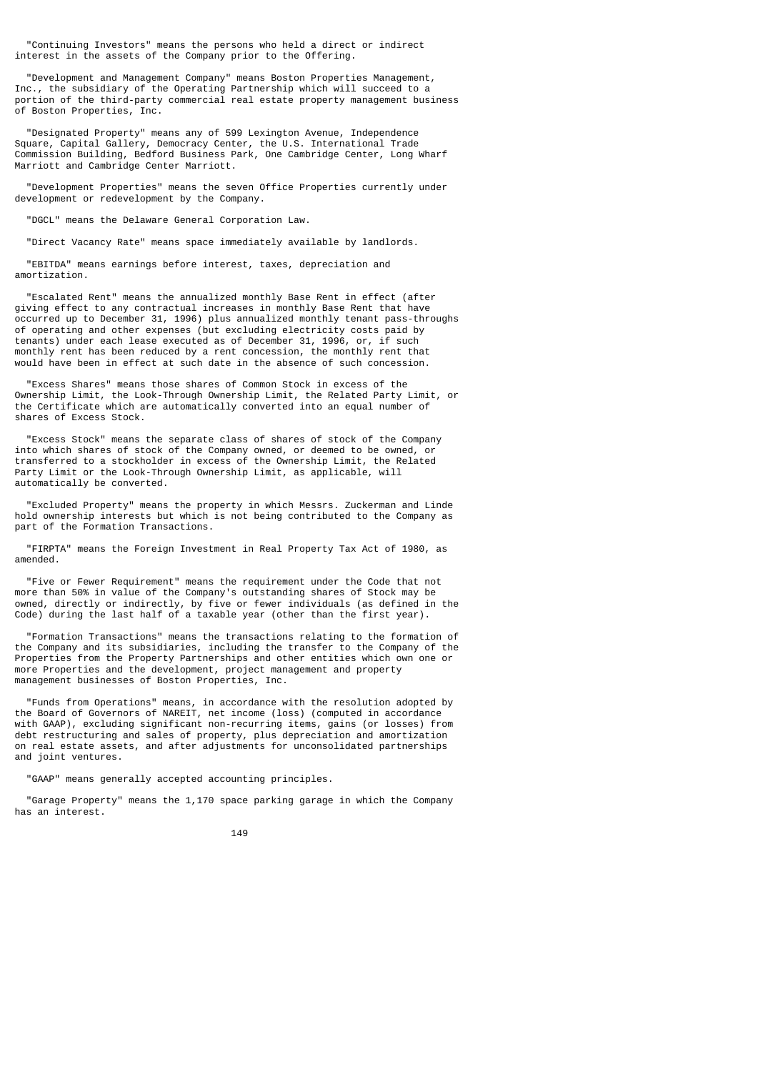"Continuing Investors" means the persons who held a direct or indirect interest in the assets of the Company prior to the Offering.

 "Development and Management Company" means Boston Properties Management, Inc., the subsidiary of the Operating Partnership which will succeed to a portion of the third-party commercial real estate property management business of Boston Properties, Inc.

 "Designated Property" means any of 599 Lexington Avenue, Independence Square, Capital Gallery, Democracy Center, the U.S. International Trade Commission Building, Bedford Business Park, One Cambridge Center, Long Wharf Marriott and Cambridge Center Marriott.

 "Development Properties" means the seven Office Properties currently under development or redevelopment by the Company.

"DGCL" means the Delaware General Corporation Law.

"Direct Vacancy Rate" means space immediately available by landlords.

 "EBITDA" means earnings before interest, taxes, depreciation and amortization.

 "Escalated Rent" means the annualized monthly Base Rent in effect (after giving effect to any contractual increases in monthly Base Rent that have occurred up to December 31, 1996) plus annualized monthly tenant pass-throughs of operating and other expenses (but excluding electricity costs paid by tenants) under each lease executed as of December 31, 1996, or, if such monthly rent has been reduced by a rent concession, the monthly rent that would have been in effect at such date in the absence of such concession.

 "Excess Shares" means those shares of Common Stock in excess of the Ownership Limit, the Look-Through Ownership Limit, the Related Party Limit, or the Certificate which are automatically converted into an equal number of shares of Excess Stock.

 "Excess Stock" means the separate class of shares of stock of the Company into which shares of stock of the Company owned, or deemed to be owned, or transferred to a stockholder in excess of the Ownership Limit, the Related Party Limit or the Look-Through Ownership Limit, as applicable, will automatically be converted.

 "Excluded Property" means the property in which Messrs. Zuckerman and Linde hold ownership interests but which is not being contributed to the Company as part of the Formation Transactions.

 "FIRPTA" means the Foreign Investment in Real Property Tax Act of 1980, as amended.

 "Five or Fewer Requirement" means the requirement under the Code that not more than 50% in value of the Company's outstanding shares of Stock may be owned, directly or indirectly, by five or fewer individuals (as defined in the Code) during the last half of a taxable year (other than the first year).

 "Formation Transactions" means the transactions relating to the formation of the Company and its subsidiaries, including the transfer to the Company of the Properties from the Property Partnerships and other entities which own one or more Properties and the development, project management and property management businesses of Boston Properties, Inc.

 "Funds from Operations" means, in accordance with the resolution adopted by the Board of Governors of NAREIT, net income (loss) (computed in accordance with GAAP), excluding significant non-recurring items, gains (or losses) from debt restructuring and sales of property, plus depreciation and amortization on real estate assets, and after adjustments for unconsolidated partnerships and joint ventures.

"GAAP" means generally accepted accounting principles.

 "Garage Property" means the 1,170 space parking garage in which the Company has an interest.

<u>149 - Johann Stein, amerikan pendadaran pengaran pengaran pengaran pengaran pengaran pengaran pengaran pengar</u>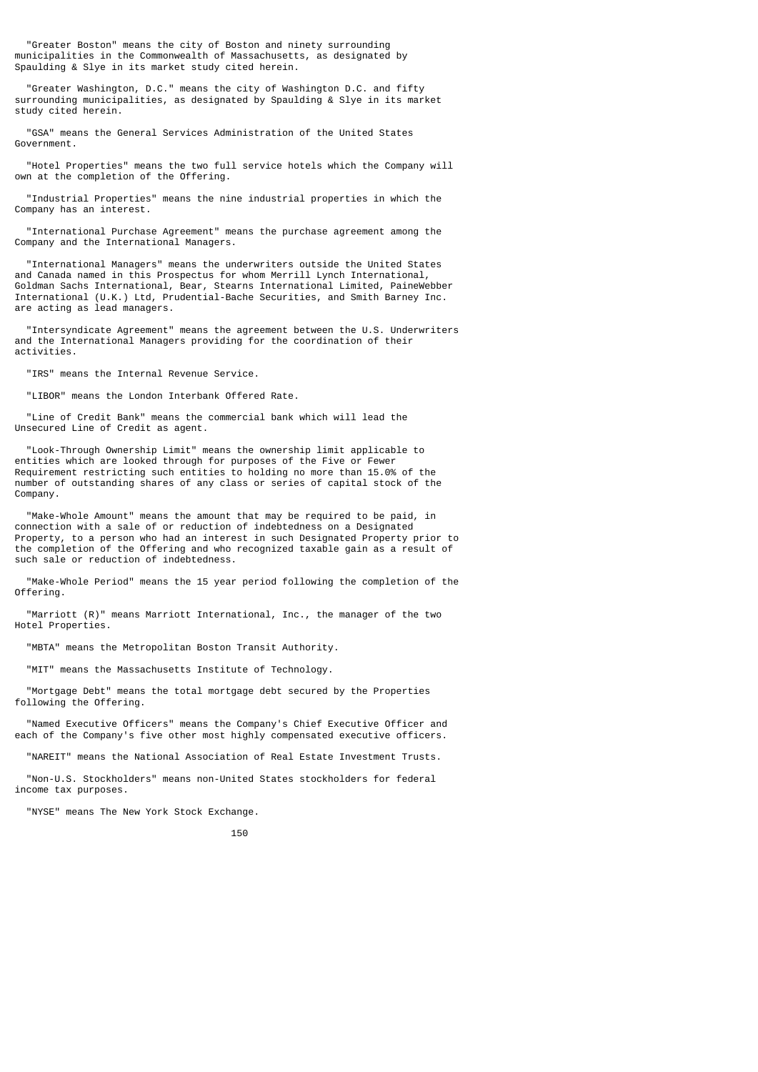"Greater Boston" means the city of Boston and ninety surrounding municipalities in the Commonwealth of Massachusetts, as designated by Spaulding & Slye in its market study cited herein.

 "Greater Washington, D.C." means the city of Washington D.C. and fifty surrounding municipalities, as designated by Spaulding & Slye in its market study cited herein.

 "GSA" means the General Services Administration of the United States Government.

 "Hotel Properties" means the two full service hotels which the Company will own at the completion of the Offering.

 "Industrial Properties" means the nine industrial properties in which the Company has an interest.

 "International Purchase Agreement" means the purchase agreement among the Company and the International Managers.

 "International Managers" means the underwriters outside the United States and Canada named in this Prospectus for whom Merrill Lynch International, Goldman Sachs International, Bear, Stearns International Limited, PaineWebber International (U.K.) Ltd, Prudential-Bache Securities, and Smith Barney Inc. are acting as lead managers.

 "Intersyndicate Agreement" means the agreement between the U.S. Underwriters and the International Managers providing for the coordination of their activities.

"IRS" means the Internal Revenue Service.

"LIBOR" means the London Interbank Offered Rate.

 "Line of Credit Bank" means the commercial bank which will lead the Unsecured Line of Credit as agent.

 "Look-Through Ownership Limit" means the ownership limit applicable to entities which are looked through for purposes of the Five or Fewer Requirement restricting such entities to holding no more than 15.0% of the number of outstanding shares of any class or series of capital stock of the Company.

 "Make-Whole Amount" means the amount that may be required to be paid, in connection with a sale of or reduction of indebtedness on a Designated Property, to a person who had an interest in such Designated Property prior to the completion of the Offering and who recognized taxable gain as a result of such sale or reduction of indebtedness.

 "Make-Whole Period" means the 15 year period following the completion of the Offering.

 "Marriott (R)" means Marriott International, Inc., the manager of the two Hotel Properties.

"MBTA" means the Metropolitan Boston Transit Authority.

"MIT" means the Massachusetts Institute of Technology.

 "Mortgage Debt" means the total mortgage debt secured by the Properties following the Offering.

 "Named Executive Officers" means the Company's Chief Executive Officer and each of the Company's five other most highly compensated executive officers.

"NAREIT" means the National Association of Real Estate Investment Trusts.

 "Non-U.S. Stockholders" means non-United States stockholders for federal income tax purposes.

"NYSE" means The New York Stock Exchange.

#### 150 and 2010 and 2010 and 2010 and 2010 and 2010 and 2010 and 2010 and 2010 and 2010 and 2010 and 2010 and 201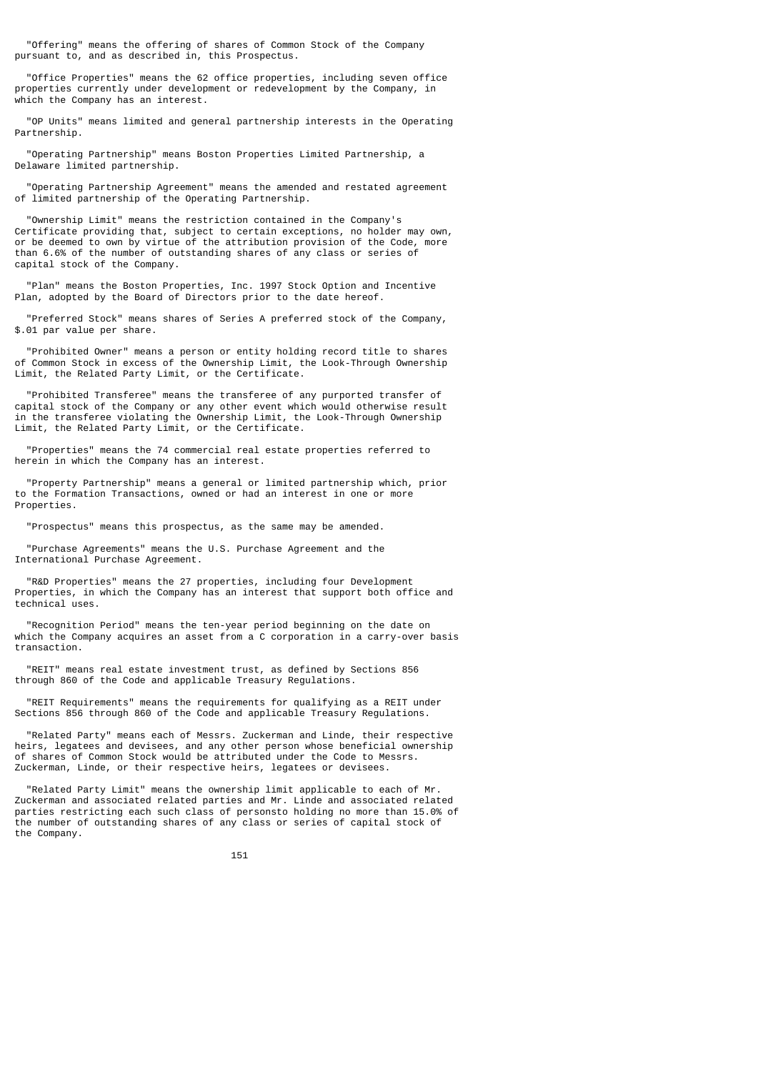"Offering" means the offering of shares of Common Stock of the Company pursuant to, and as described in, this Prospectus.

 "Office Properties" means the 62 office properties, including seven office properties currently under development or redevelopment by the Company, in which the Company has an interest.

 "OP Units" means limited and general partnership interests in the Operating Partnership.

 "Operating Partnership" means Boston Properties Limited Partnership, a Delaware limited partnership.

 "Operating Partnership Agreement" means the amended and restated agreement of limited partnership of the Operating Partnership.

 "Ownership Limit" means the restriction contained in the Company's Certificate providing that, subject to certain exceptions, no holder may own, or be deemed to own by virtue of the attribution provision of the Code, more than 6.6% of the number of outstanding shares of any class or series of capital stock of the Company.

 "Plan" means the Boston Properties, Inc. 1997 Stock Option and Incentive Plan, adopted by the Board of Directors prior to the date hereof.

 "Preferred Stock" means shares of Series A preferred stock of the Company, \$.01 par value per share.

 "Prohibited Owner" means a person or entity holding record title to shares of Common Stock in excess of the Ownership Limit, the Look-Through Ownership Limit, the Related Party Limit, or the Certificate.

 "Prohibited Transferee" means the transferee of any purported transfer of capital stock of the Company or any other event which would otherwise result in the transferee violating the Ownership Limit, the Look-Through Ownership Limit, the Related Party Limit, or the Certificate.

 "Properties" means the 74 commercial real estate properties referred to herein in which the Company has an interest.

 "Property Partnership" means a general or limited partnership which, prior to the Formation Transactions, owned or had an interest in one or more Properties.

"Prospectus" means this prospectus, as the same may be amended.

 "Purchase Agreements" means the U.S. Purchase Agreement and the International Purchase Agreement.

 "R&D Properties" means the 27 properties, including four Development Properties, in which the Company has an interest that support both office and technical uses.

Recognition Period" means the ten-year period beginning on the date on which the Company acquires an asset from a C corporation in a carry-over basis transaction.

 "REIT" means real estate investment trust, as defined by Sections 856 through 860 of the Code and applicable Treasury Regulations.

 "REIT Requirements" means the requirements for qualifying as a REIT under Sections 856 through 860 of the Code and applicable Treasury Regulations.

 "Related Party" means each of Messrs. Zuckerman and Linde, their respective heirs, legatees and devisees, and any other person whose beneficial ownership of shares of Common Stock would be attributed under the Code to Messrs. Zuckerman, Linde, or their respective heirs, legatees or devisees.

 "Related Party Limit" means the ownership limit applicable to each of Mr. Zuckerman and associated related parties and Mr. Linde and associated related parties restricting each such class of personsto holding no more than 15.0% of the number of outstanding shares of any class or series of capital stock of the Company.

 $151$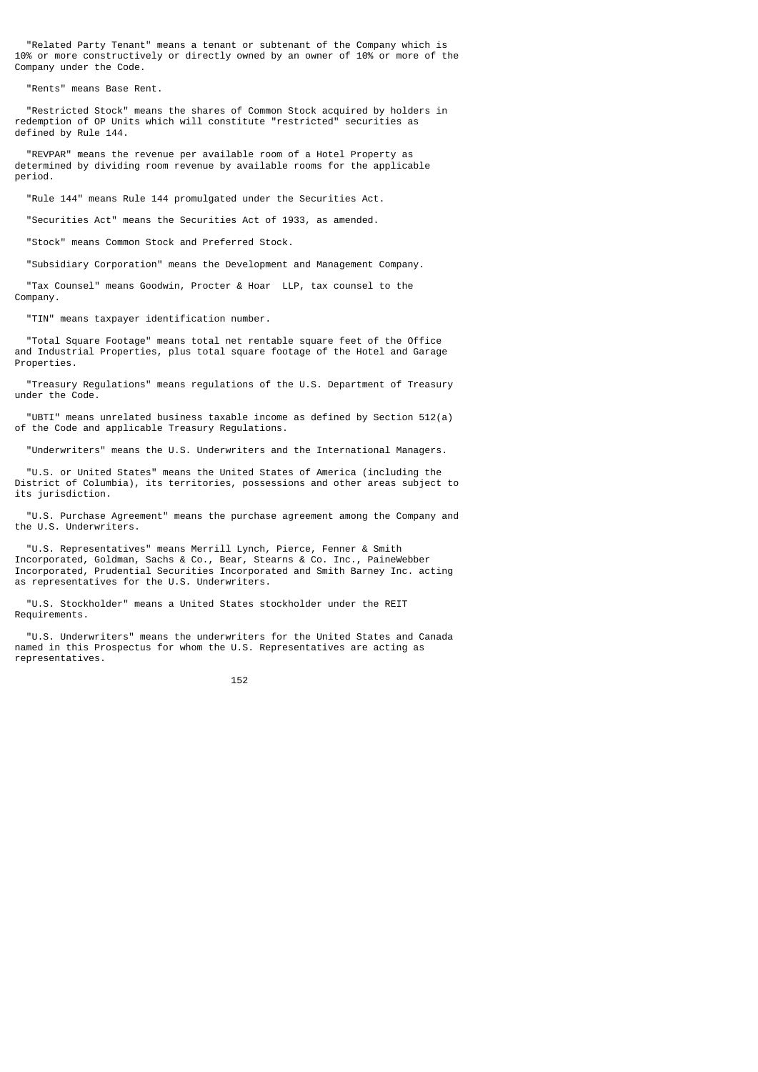"Related Party Tenant" means a tenant or subtenant of the Company which is 10% or more constructively or directly owned by an owner of 10% or more of the Company under the Code.

"Rents" means Base Rent.

 "Restricted Stock" means the shares of Common Stock acquired by holders in redemption of OP Units which will constitute "restricted" securities as defined by Rule 144.

 "REVPAR" means the revenue per available room of a Hotel Property as determined by dividing room revenue by available rooms for the applicable period.

"Rule 144" means Rule 144 promulgated under the Securities Act.

"Securities Act" means the Securities Act of 1933, as amended.

"Stock" means Common Stock and Preferred Stock.

"Subsidiary Corporation" means the Development and Management Company.

 "Tax Counsel" means Goodwin, Procter & Hoar LLP, tax counsel to the Company.

"TIN" means taxpayer identification number.

 "Total Square Footage" means total net rentable square feet of the Office and Industrial Properties, plus total square footage of the Hotel and Garage Properties.

 "Treasury Regulations" means regulations of the U.S. Department of Treasury under the Code.

 "UBTI" means unrelated business taxable income as defined by Section 512(a) of the Code and applicable Treasury Regulations.

"Underwriters" means the U.S. Underwriters and the International Managers.

 "U.S. or United States" means the United States of America (including the District of Columbia), its territories, possessions and other areas subject to its jurisdiction.

 "U.S. Purchase Agreement" means the purchase agreement among the Company and the U.S. Underwriters.

 "U.S. Representatives" means Merrill Lynch, Pierce, Fenner & Smith Incorporated, Goldman, Sachs & Co., Bear, Stearns & Co. Inc., PaineWebber Incorporated, Prudential Securities Incorporated and Smith Barney Inc. acting as representatives for the U.S. Underwriters.

 "U.S. Stockholder" means a United States stockholder under the REIT Requirements.

 "U.S. Underwriters" means the underwriters for the United States and Canada named in this Prospectus for whom the U.S. Representatives are acting as representatives.

 $152$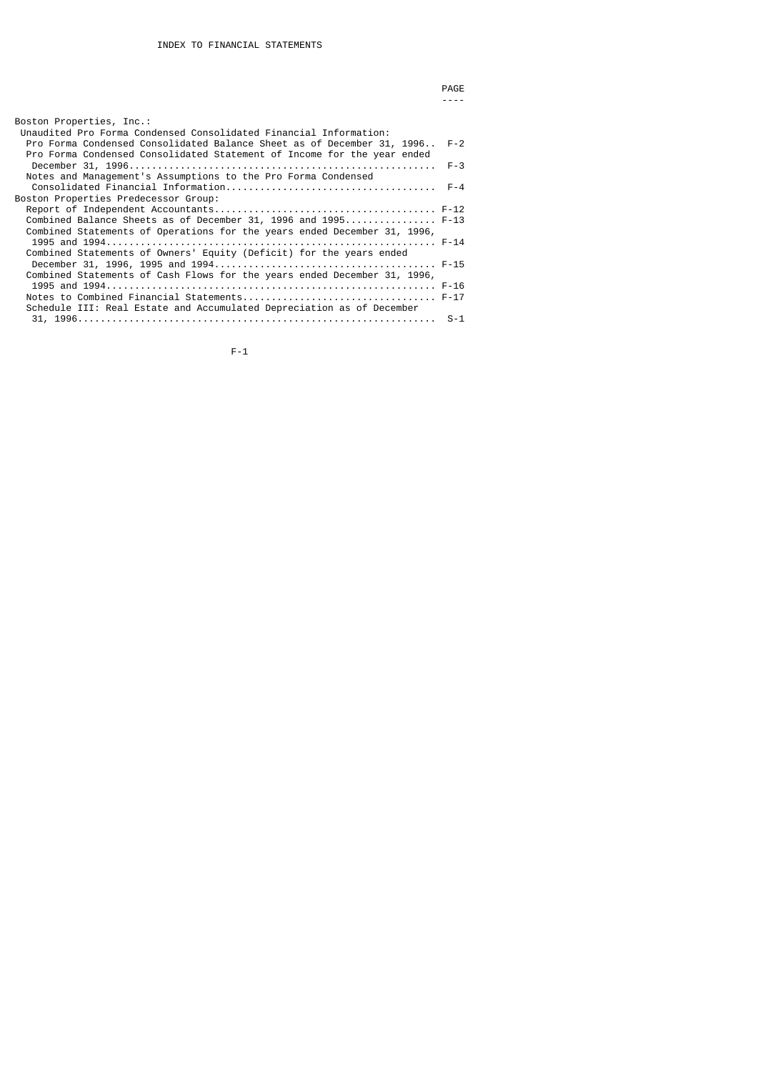|                                                                                                                                                                                                                            | PAGE    |
|----------------------------------------------------------------------------------------------------------------------------------------------------------------------------------------------------------------------------|---------|
|                                                                                                                                                                                                                            |         |
| Boston Properties, Inc.:                                                                                                                                                                                                   |         |
| Unaudited Pro Forma Condensed Consolidated Financial Information:<br>Pro Forma Condensed Consolidated Balance Sheet as of December 31, 1996 F-2<br>Pro Forma Condensed Consolidated Statement of Income for the year ended |         |
| Notes and Management's Assumptions to the Pro Forma Condensed                                                                                                                                                              | $F - 3$ |
| Boston Properties Predecessor Group:                                                                                                                                                                                       |         |
|                                                                                                                                                                                                                            |         |
| Combined Balance Sheets as of December 31, 1996 and 1995 F-13<br>Combined Statements of Operations for the years ended December 31, 1996,                                                                                  |         |
|                                                                                                                                                                                                                            |         |
| Combined Statements of Owners' Equity (Deficit) for the years ended                                                                                                                                                        |         |
| Combined Statements of Cash Flows for the years ended December 31, 1996,                                                                                                                                                   |         |
| Schedule III: Real Estate and Accumulated Depreciation as of December                                                                                                                                                      |         |
|                                                                                                                                                                                                                            |         |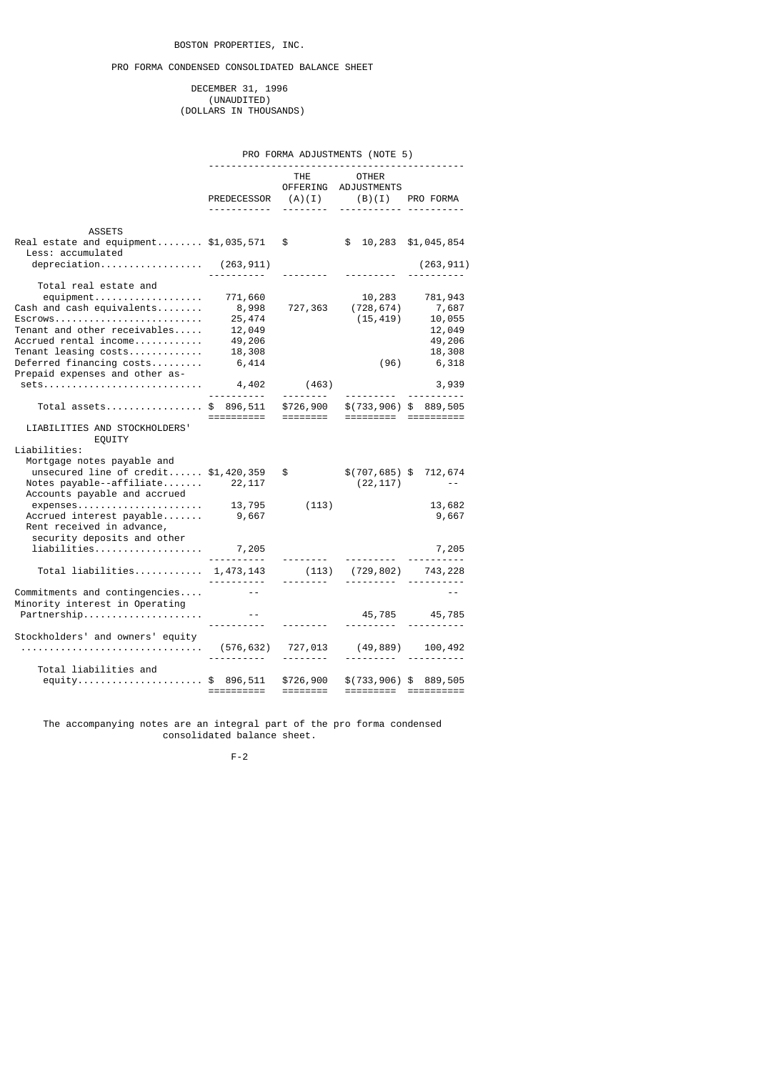# PRO FORMA CONDENSED CONSOLIDATED BALANCE SHEET

 DECEMBER 31, 1996 (UNAUDITED) (DOLLARS IN THOUSANDS)

## PRO FORMA ADJUSTMENTS (NOTE 5)

|                                                                                                           |                                     |                       | -------------------------------------                      |                                                 |
|-----------------------------------------------------------------------------------------------------------|-------------------------------------|-----------------------|------------------------------------------------------------|-------------------------------------------------|
|                                                                                                           |                                     | THE THE               | <b>OTHER</b><br>OFFERING ADJUSTMENTS<br>------------ ----- |                                                 |
| <b>ASSETS</b>                                                                                             |                                     |                       |                                                            |                                                 |
| Real estate and equipment $$1,035,571$<br>Less: accumulated                                               |                                     | $\frac{1}{2}$         |                                                            | $$10,283$ $$1,045,854$                          |
| depreciation $(263, 911)$                                                                                 |                                     |                       |                                                            | (263, 911)                                      |
| Total real estate and                                                                                     |                                     |                       |                                                            |                                                 |
| Cash and cash equivalents<br>$ESCrows \ldots \ldots \ldots \ldots \ldots \ldots \ldots \ldots \ldots$     | 771,660<br>8,998<br>25,474          |                       | 10,283<br>727,363 (728,674)<br>(15, 419)                   | 781,943<br>7,687<br>10,055                      |
| Tenant and other receivables<br>Accrued rental income<br>Tenant leasing costs<br>Deferred financing costs | 12,049<br>49,206<br>18,308<br>6,414 |                       | (96)                                                       | 12,049<br>49,206<br>18,308<br>6,318             |
| Prepaid expenses and other as-<br>sets                                                                    | 4,402                               | (463)                 |                                                            | 3,939                                           |
| Total assets\$ 896,511 \$726,900                                                                          | .                                   |                       |                                                            | \$(733, 906) \$89, 505                          |
| LIABILITIES AND STOCKHOLDERS'<br>EQUITY                                                                   |                                     |                       |                                                            |                                                 |
| Liabilities:                                                                                              |                                     |                       |                                                            |                                                 |
| Mortgage notes payable and<br>unsecured line of $credit$ \$1,420,359<br>Accounts payable and accrued      |                                     | $\frac{1}{2}$         | (22, 117)                                                  | \$(707, 685) \$712, 674<br>$\sim 100$ m $^{-1}$ |
| expenses<br>Accrued interest payable<br>Rent received in advance,                                         | 13,795<br>9,667                     | (113)                 |                                                            | 13,682<br>9,667                                 |
| security deposits and other<br>$liabilities \ldots \ldots \ldots \ldots \ldots \ldots \qquad 7,205$       |                                     |                       |                                                            | 7,205                                           |
| Total liabilities $1,473,143$                                                                             | <u>.</u>                            | (113)<br><u>.</u>     |                                                            | (729,802) 743,228<br><u> </u>                   |
| Commitments and contingencies<br>Minority interest in Operating                                           |                                     |                       |                                                            |                                                 |
| Partnership                                                                                               |                                     |                       |                                                            | 45,785 45,785                                   |
| Stockholders' and owners' equity                                                                          |                                     | <u>.</u> .            |                                                            | (49,889) 100,492                                |
| Total liabilities and<br>equity\$ 896,511                                                                 | ==========                          | \$726,900<br>======== |                                                            | \$(733, 906) \$89, 505<br>===================   |
|                                                                                                           |                                     |                       |                                                            |                                                 |

 The accompanying notes are an integral part of the pro forma condensed consolidated balance sheet.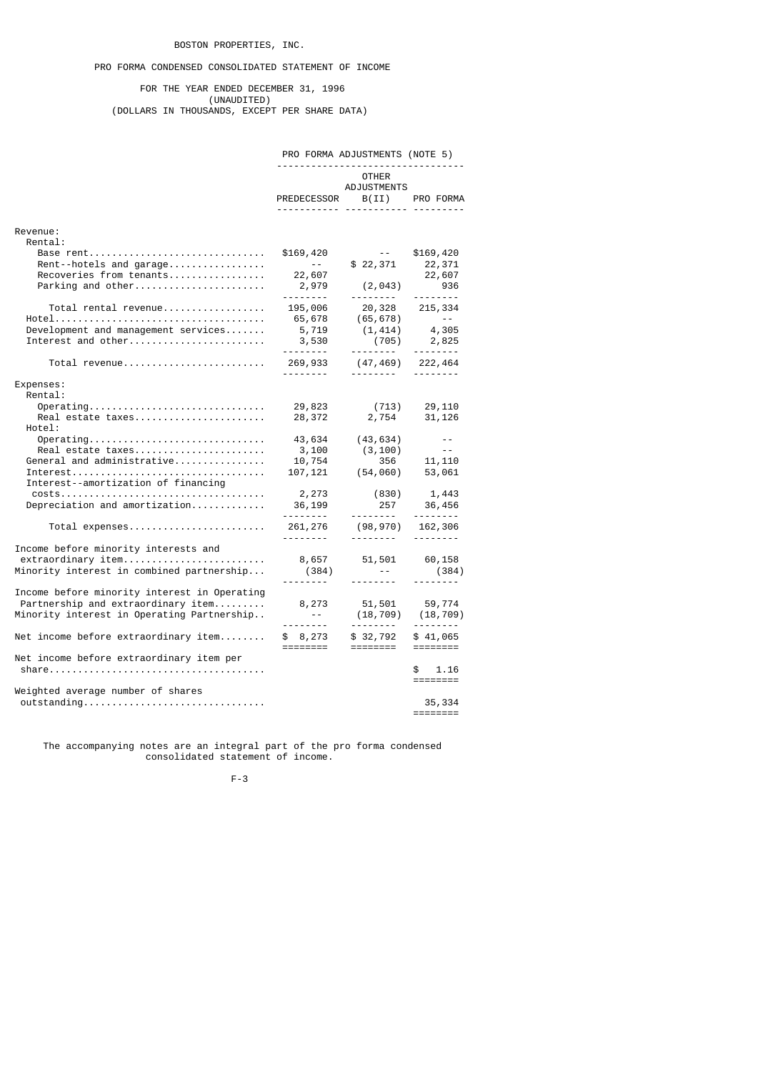## PRO FORMA CONDENSED CONSOLIDATED STATEMENT OF INCOME

 FOR THE YEAR ENDED DECEMBER 31, 1996 (UNAUDITED) (DOLLARS IN THOUSANDS, EXCEPT PER SHARE DATA)

# PRO FORMA ADJUSTMENTS (NOTE 5)

# ---------------------------------

**OTHER OTHER** ADJUSTMENTS

|                                                                                                                                                                             | PREDECESSOR B(II) PRO FORMA                                      | <b>ADVUU IIILIVIU</b><br>--------- ----------- ----- |                                                 |
|-----------------------------------------------------------------------------------------------------------------------------------------------------------------------------|------------------------------------------------------------------|------------------------------------------------------|-------------------------------------------------|
| Revenue:                                                                                                                                                                    |                                                                  |                                                      |                                                 |
| Rental:<br>Base rent<br>Rent--hotels and garage<br>Recoveries from tenants<br>Parking and other                                                                             | \$169,420<br>$\sim 100$ m $^{-1}$<br>22,607<br>2,979<br><u>.</u> | $\sim$ $  -$<br>\$22,371<br>(2, 043)                 | \$169,420<br>22,371<br>22,607<br>936            |
| Total rental revenue<br>Development and management services<br>Interest and other                                                                                           | 195,006<br>65,678<br>5,719<br>3,530                              | 20,328 215,334<br>(65,678)<br>(1, 414)<br>(705)      | $-2$<br>4,305<br>2,825<br>$- - - - - - - -$     |
| Total revenue                                                                                                                                                               | 269,933<br><u>.</u>                                              | $(47, 469)$ 222, 464                                 | <u>.</u>                                        |
| Expenses:<br>Rental:                                                                                                                                                        |                                                                  |                                                      |                                                 |
| $Operating \ldots \ldots \ldots \ldots \ldots \ldots \ldots \ldots \ldots \ldots$<br>Real estate taxes<br>Hotel:                                                            | 29,823<br>28,372                                                 | (713)<br>2,754                                       | 29,110<br>31,126                                |
| $Operating \ldots \ldots \ldots \ldots \ldots \ldots \ldots \ldots \ldots \ldots$<br>Real estate taxes<br>General and administrative<br>Interest--amortization of financing | 43,634<br>3,100<br>10,754<br>107,121                             | (43, 634)<br>(3, 100)<br>356<br>(54, 060)            | $\sim$ $-$<br>$\sim$ $\sim$<br>11,110<br>53,061 |
| Depreciation and amortization                                                                                                                                               | 2,273<br>36,199                                                  | (830)<br>257                                         | 1,443<br>36,456                                 |
| Total expenses                                                                                                                                                              | 261,276                                                          | (98,970)<br>- - - - - - - - <sup>-</sup>             | 162,306<br>--------                             |
| Income before minority interests and<br>extraordinary item<br>Minority interest in combined partnership                                                                     | 8,657<br>(384)<br><u>.</u>                                       | 51,501<br>$\sim$ $ \sim$<br><u>.</u>                 | 60,158<br>(384)                                 |
| Income before minority interest in Operating<br>Partnership and extraordinary item<br>Minority interest in Operating Partnership                                            | 8,273<br>$\sim 100$ km s $^{-1}$<br><u>.</u>                     | 51,501<br>(18, 709)                                  | 59,774<br>(18, 709)                             |
| Net income before extraordinary item                                                                                                                                        | \$8,273<br>========                                              | \$32,792<br>========                                 | \$41,065                                        |
| Net income before extraordinary item per                                                                                                                                    |                                                                  |                                                      | 1.16<br>\$                                      |
| Weighted average number of shares<br>outstanding                                                                                                                            |                                                                  |                                                      | 35,334<br>========                              |

 The accompanying notes are an integral part of the pro forma condensed consolidated statement of income.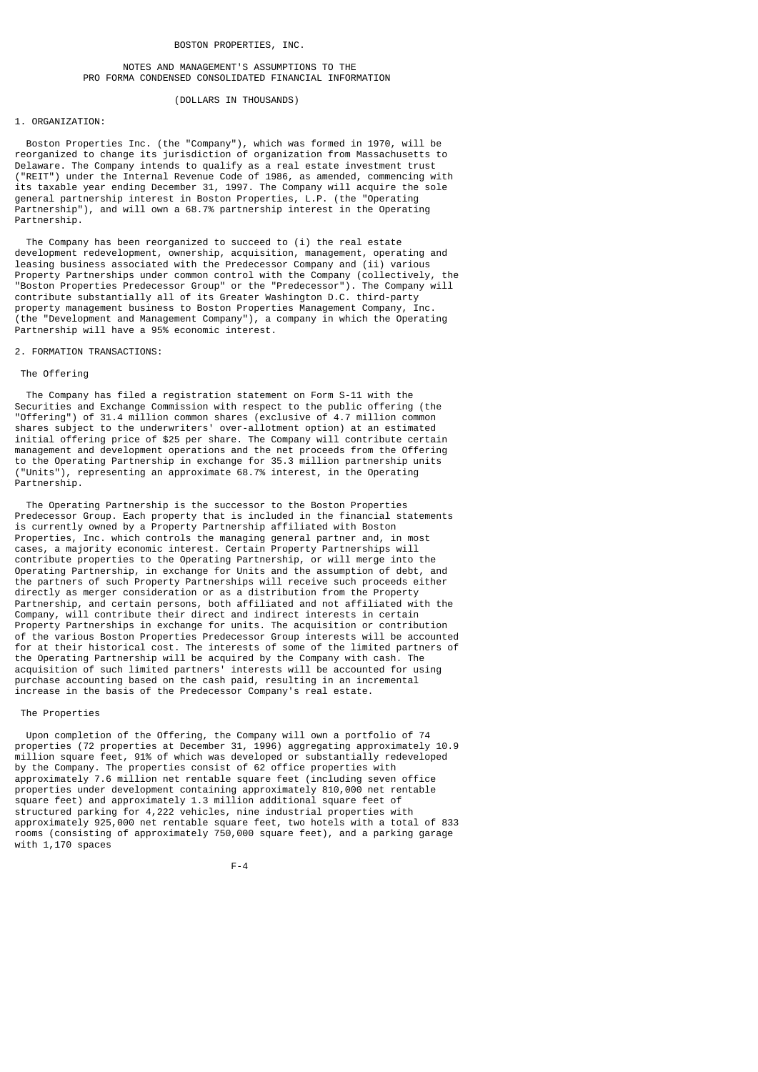## NOTES AND MANAGEMENT'S ASSUMPTIONS TO THE PRO FORMA CONDENSED CONSOLIDATED FINANCIAL INFORMATION

#### (DOLLARS IN THOUSANDS)

## 1. ORGANIZATION:

 Boston Properties Inc. (the "Company"), which was formed in 1970, will be reorganized to change its jurisdiction of organization from Massachusetts to Delaware. The Company intends to qualify as a real estate investment trust ("REIT") under the Internal Revenue Code of 1986, as amended, commencing with its taxable year ending December 31, 1997. The Company will acquire the sole general partnership interest in Boston Properties, L.P. (the "Operating Partnership"), and will own a 68.7% partnership interest in the Operating Partnership.

The Company has been reorganized to succeed to (i) the real estate development redevelopment, ownership, acquisition, management, operating and leasing business associated with the Predecessor Company and (ii) various Property Partnerships under common control with the Company (collectively, the "Boston Properties Predecessor Group" or the "Predecessor"). The Company will contribute substantially all of its Greater Washington D.C. third-party property management business to Boston Properties Management Company, Inc. (the "Development and Management Company"), a company in which the Operating Partnership will have a 95% economic interest.

#### 2. FORMATION TRANSACTIONS:

#### The Offering

 The Company has filed a registration statement on Form S-11 with the Securities and Exchange Commission with respect to the public offering (the "Offering") of 31.4 million common shares (exclusive of 4.7 million common shares subject to the underwriters' over-allotment option) at an estimated initial offering price of \$25 per share. The Company will contribute certain management and development operations and the net proceeds from the Offering to the Operating Partnership in exchange for 35.3 million partnership units ("Units"), representing an approximate 68.7% interest, in the Operating Partnership.

 The Operating Partnership is the successor to the Boston Properties Predecessor Group. Each property that is included in the financial statements is currently owned by a Property Partnership affiliated with Boston Properties, Inc. which controls the managing general partner and, in most cases, a majority economic interest. Certain Property Partnerships will contribute properties to the Operating Partnership, or will merge into the Operating Partnership, in exchange for Units and the assumption of debt, and the partners of such Property Partnerships will receive such proceeds either directly as merger consideration or as a distribution from the Property Partnership, and certain persons, both affiliated and not affiliated with the Company, will contribute their direct and indirect interests in certain Property Partnerships in exchange for units. The acquisition or contribution of the various Boston Properties Predecessor Group interests will be accounted for at their historical cost. The interests of some of the limited partners of the Operating Partnership will be acquired by the Company with cash. The acquisition of such limited partners' interests will be accounted for using purchase accounting based on the cash paid, resulting in an incremental increase in the basis of the Predecessor Company's real estate.

#### The Properties

 Upon completion of the Offering, the Company will own a portfolio of 74 properties (72 properties at December 31, 1996) aggregating approximately 10.9 million square feet, 91% of which was developed or substantially redeveloped by the Company. The properties consist of 62 office properties with approximately 7.6 million net rentable square feet (including seven office properties under development containing approximately 810,000 net rentable square feet) and approximately 1.3 million additional square feet of structured parking for 4,222 vehicles, nine industrial properties with approximately 925,000 net rentable square feet, two hotels with a total of 833 rooms (consisting of approximately 750,000 square feet), and a parking garage with 1.170 spaces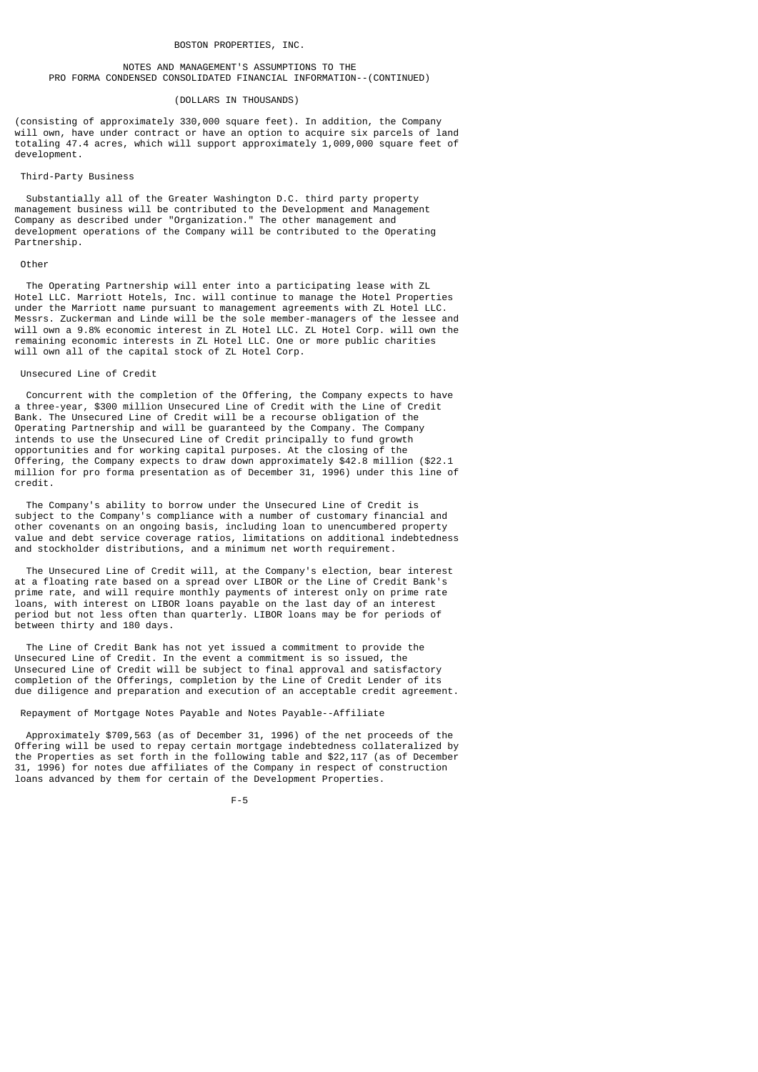## NOTES AND MANAGEMENT'S ASSUMPTIONS TO THE PRO FORMA CONDENSED CONSOLIDATED FINANCIAL INFORMATION--(CONTINUED)

#### (DOLLARS IN THOUSANDS)

(consisting of approximately 330,000 square feet). In addition, the Company will own, have under contract or have an option to acquire six parcels of land totaling 47.4 acres, which will support approximately 1,009,000 square feet of development.

## Third-Party Business

 Substantially all of the Greater Washington D.C. third party property management business will be contributed to the Development and Management Company as described under "Organization." The other management and development operations of the Company will be contributed to the Operating Partnership.

### Other

 The Operating Partnership will enter into a participating lease with ZL Hotel LLC. Marriott Hotels, Inc. will continue to manage the Hotel Properties under the Marriott name pursuant to management agreements with ZL Hotel LLC. Messrs. Zuckerman and Linde will be the sole member-managers of the lessee and will own a 9.8% economic interest in ZL Hotel LLC. ZL Hotel Corp. will own the remaining economic interests in ZL Hotel LLC. One or more public charities will own all of the capital stock of ZL Hotel Corp.

#### Unsecured Line of Credit

 Concurrent with the completion of the Offering, the Company expects to have a three-year, \$300 million Unsecured Line of Credit with the Line of Credit Bank. The Unsecured Line of Credit will be a recourse obligation of the Operating Partnership and will be guaranteed by the Company. The Company intends to use the Unsecured Line of Credit principally to fund growth opportunities and for working capital purposes. At the closing of the Offering, the Company expects to draw down approximately \$42.8 million (\$22.1 million for pro forma presentation as of December 31, 1996) under this line of credit.

 The Company's ability to borrow under the Unsecured Line of Credit is subject to the Company's compliance with a number of customary financial and other covenants on an ongoing basis, including loan to unencumbered property value and debt service coverage ratios, limitations on additional indebtedness and stockholder distributions, and a minimum net worth requirement.

 The Unsecured Line of Credit will, at the Company's election, bear interest at a floating rate based on a spread over LIBOR or the Line of Credit Bank's prime rate, and will require monthly payments of interest only on prime rate loans, with interest on LIBOR loans payable on the last day of an interest period but not less often than quarterly. LIBOR loans may be for periods of between thirty and 180 days.

 The Line of Credit Bank has not yet issued a commitment to provide the Unsecured Line of Credit. In the event a commitment is so issued, the Unsecured Line of Credit will be subject to final approval and satisfactory completion of the Offerings, completion by the Line of Credit Lender of its due diligence and preparation and execution of an acceptable credit agreement.

Repayment of Mortgage Notes Payable and Notes Payable--Affiliate

 Approximately \$709,563 (as of December 31, 1996) of the net proceeds of the Offering will be used to repay certain mortgage indebtedness collateralized by the Properties as set forth in the following table and \$22,117 (as of December 31, 1996) for notes due affiliates of the Company in respect of construction loans advanced by them for certain of the Development Properties.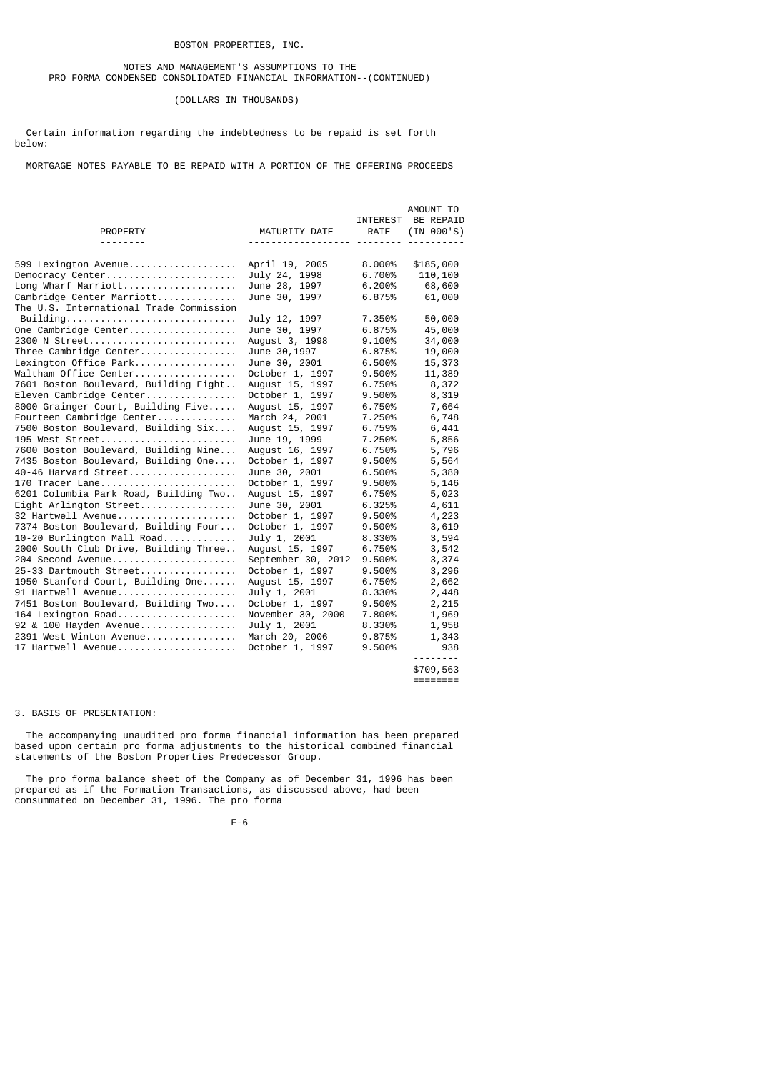## NOTES AND MANAGEMENT'S ASSUMPTIONS TO THE PRO FORMA CONDENSED CONSOLIDATED FINANCIAL INFORMATION--(CONTINUED)

## (DOLLARS IN THOUSANDS)

 Certain information regarding the indebtedness to be repaid is set forth below:

MORTGAGE NOTES PAYABLE TO BE REPAID WITH A PORTION OF THE OFFERING PROCEEDS

|                                         |                    | <b>INTEREST</b> | AMOUNT TO<br>BE REPAID |
|-----------------------------------------|--------------------|-----------------|------------------------|
| <b>PROPERTY</b>                         | MATURITY DATE      | <b>RATE</b>     | (IN 000'S)             |
|                                         |                    |                 |                        |
| 599 Lexington Avenue                    | April 19, 2005     | 8.000%          | \$185,000              |
| Democracy Center                        | July 24, 1998      | 6.700%          | 110,100                |
| Long Wharf Marriott                     | June 28, 1997      | 6.200%          | 68,600                 |
| Cambridge Center Marriott               | June 30, 1997      | 6.875%          | 61,000                 |
| The U.S. International Trade Commission |                    |                 |                        |
| Building                                | July 12, 1997      | 7.350%          | 50,000                 |
| One Cambridge Center                    | June 30, 1997      | 6.875%          | 45,000                 |
| 2300 N Street                           | August 3, 1998     | 9.100%          | 34,000                 |
| Three Cambridge Center                  | June 30, 1997      | 6.875%          | 19,000                 |
| Lexington Office Park                   | June 30, 2001      | 6.500%          | 15,373                 |
| Waltham Office Center                   | October 1, 1997    | 9.500%          | 11,389                 |
| 7601 Boston Boulevard, Building Eight   | August 15, 1997    | 6.750%          | 8,372                  |
| Eleven Cambridge Center                 | October 1, 1997    | 9.500%          | 8,319                  |
| 8000 Grainger Court, Building Five      | August 15, 1997    | 6.750%          | 7,664                  |
| Fourteen Cambridge Center               | March 24, 2001     | 7.250%          | 6,748                  |
| 7500 Boston Boulevard, Building Six     | August 15, 1997    | 6.759%          | 6,441                  |
| 195 West Street                         | June 19, 1999      | 7.250%          | 5,856                  |
| 7600 Boston Boulevard, Building Nine    | August 16, 1997    | 6.750%          | 5,796                  |
| 7435 Boston Boulevard, Building One     | October 1, 1997    | 9.500%          | 5,564                  |
| 40-46 Harvard Street                    | June 30, 2001      | 6.500%          | 5,380                  |
| 170 Tracer Lane                         | October 1, 1997    | 9.500%          | 5,146                  |
| 6201 Columbia Park Road, Building Two   | August 15, 1997    | 6.750%          | 5,023                  |
| Eight Arlington Street                  | June 30, 2001      | 6.325%          | 4,611                  |
| 32 Hartwell Avenue                      | October 1, 1997    | 9.500%          | 4,223                  |
| 7374 Boston Boulevard, Building Four    | October 1, 1997    | 9.500%          | 3,619                  |
| 10-20 Burlington Mall Road              | July 1, 2001       | 8.330%          | 3,594                  |
| 2000 South Club Drive, Building Three   | August 15, 1997    | 6.750%          | 3,542                  |
| 204 Second Avenue                       | September 30, 2012 | 9.500%          | 3,374                  |
| 25-33 Dartmouth Street                  | October 1, 1997    | 9.500%          | 3,296                  |
| 1950 Stanford Court, Building One       | August 15, 1997    | 6.750%          | 2,662                  |
| 91 Hartwell Avenue                      | July 1, 2001       | 8.330%          | 2,448                  |
| 7451 Boston Boulevard, Building Two     | October 1, 1997    | 9.500%          | 2,215                  |
| 164 Lexington Road                      | November 30, 2000  | 7.800%          | 1,969                  |
| 92 & 100 Hayden Avenue                  | July 1, 2001       | 8.330%          | 1,958                  |
| 2391 West Winton Avenue                 | March 20, 2006     | 9.875%          | 1,343                  |
| 17 Hartwell Avenue                      | October 1, 1997    | 9.500%          | 938                    |
|                                         |                    |                 |                        |
|                                         |                    |                 | \$709,563              |

# ========

## 3. BASIS OF PRESENTATION:

 The accompanying unaudited pro forma financial information has been prepared based upon certain pro forma adjustments to the historical combined financial statements of the Boston Properties Predecessor Group.

 The pro forma balance sheet of the Company as of December 31, 1996 has been prepared as if the Formation Transactions, as discussed above, had been consummated on December 31, 1996. The pro forma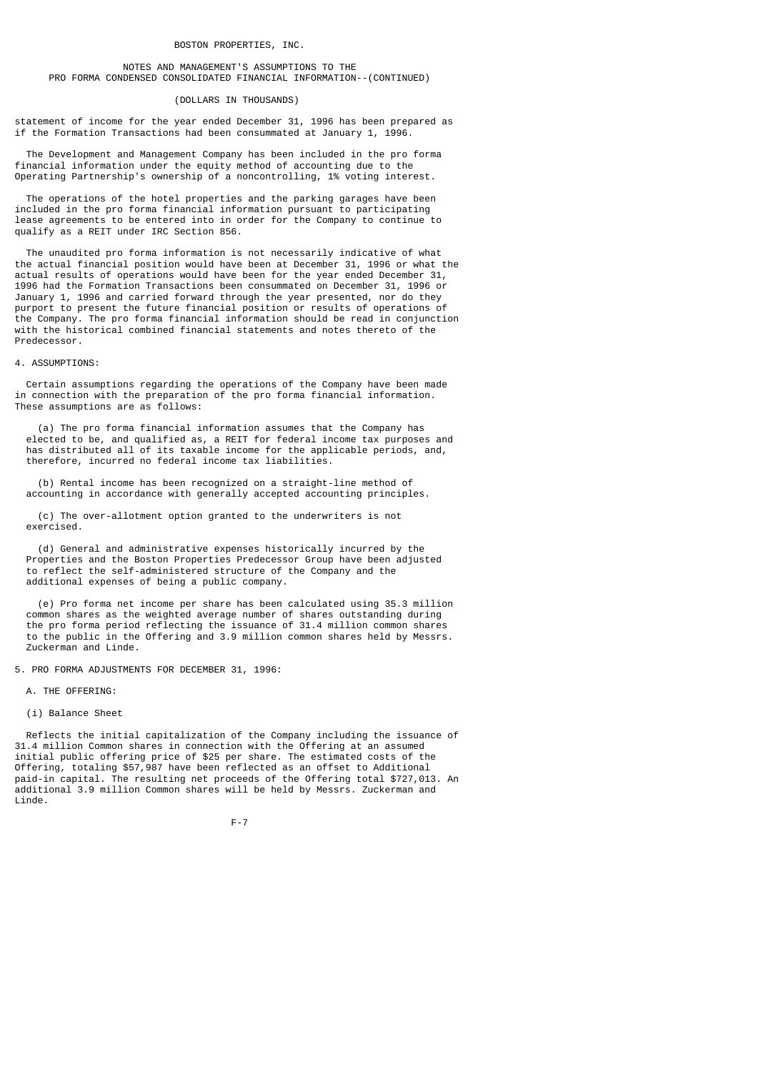## NOTES AND MANAGEMENT'S ASSUMPTIONS TO THE PRO FORMA CONDENSED CONSOLIDATED FINANCIAL INFORMATION--(CONTINUED)

#### (DOLLARS IN THOUSANDS)

statement of income for the year ended December 31, 1996 has been prepared as if the Formation Transactions had been consummated at January 1, 1996.

 The Development and Management Company has been included in the pro forma financial information under the equity method of accounting due to the Operating Partnership's ownership of a noncontrolling, 1% voting interest.

 The operations of the hotel properties and the parking garages have been included in the pro forma financial information pursuant to participating lease agreements to be entered into in order for the Company to continue to qualify as a REIT under IRC Section 856.

 The unaudited pro forma information is not necessarily indicative of what the actual financial position would have been at December 31, 1996 or what the actual results of operations would have been for the year ended December 31, 1996 had the Formation Transactions been consummated on December 31, 1996 or January 1, 1996 and carried forward through the year presented, nor do they purport to present the future financial position or results of operations of the Company. The pro forma financial information should be read in conjunction with the historical combined financial statements and notes thereto of the Predecessor.

## 4. ASSUMPTIONS:

 Certain assumptions regarding the operations of the Company have been made in connection with the preparation of the pro forma financial information. These assumptions are as follows:

 (a) The pro forma financial information assumes that the Company has elected to be, and qualified as, a REIT for federal income tax purposes and has distributed all of its taxable income for the applicable periods, and, therefore, incurred no federal income tax liabilities.

 (b) Rental income has been recognized on a straight-line method of accounting in accordance with generally accepted accounting principles.

 (c) The over-allotment option granted to the underwriters is not exercised.

 (d) General and administrative expenses historically incurred by the Properties and the Boston Properties Predecessor Group have been adjusted to reflect the self-administered structure of the Company and the additional expenses of being a public company.

 (e) Pro forma net income per share has been calculated using 35.3 million common shares as the weighted average number of shares outstanding during the pro forma period reflecting the issuance of 31.4 million common shares to the public in the Offering and 3.9 million common shares held by Messrs. Zuckerman and Linde.

5. PRO FORMA ADJUSTMENTS FOR DECEMBER 31, 1996:

## A. THE OFFERING:

(i) Balance Sheet

 Reflects the initial capitalization of the Company including the issuance of 31.4 million Common shares in connection with the Offering at an assumed initial public offering price of \$25 per share. The estimated costs of the Offering, totaling \$57,987 have been reflected as an offset to Additional paid-in capital. The resulting net proceeds of the Offering total \$727,013. An additional 3.9 million Common shares will be held by Messrs. Zuckerman and Linde.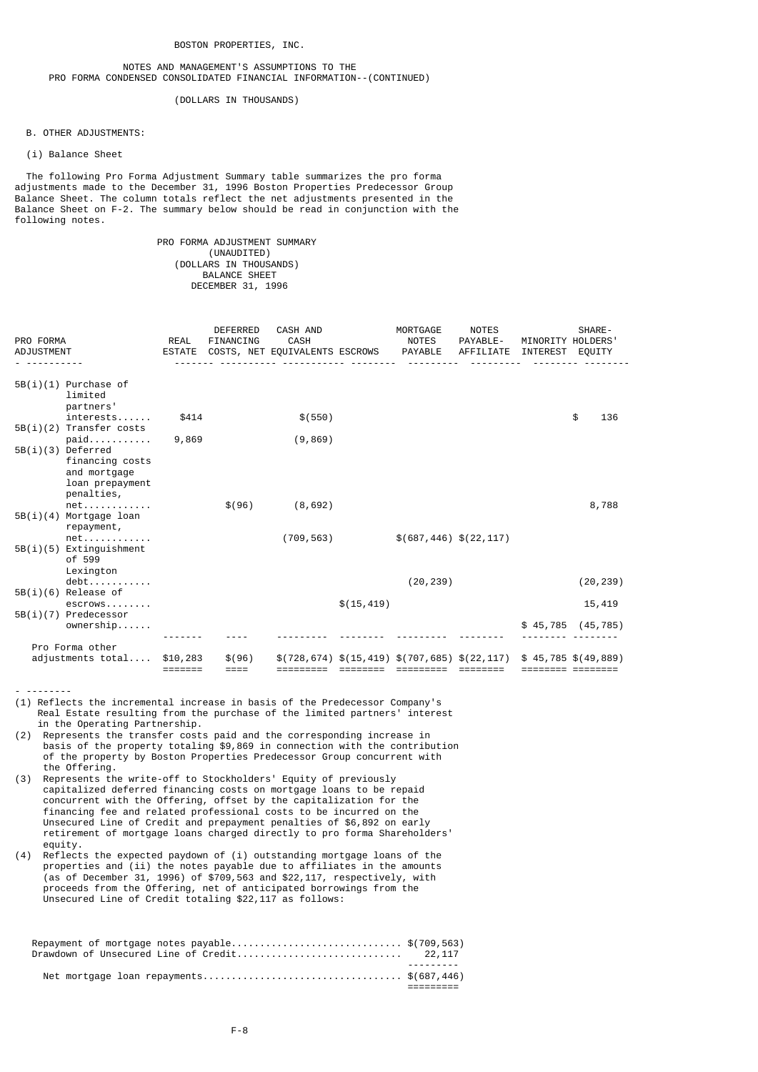## NOTES AND MANAGEMENT'S ASSUMPTIONS TO THE PRO FORMA CONDENSED CONSOLIDATED FINANCIAL INFORMATION--(CONTINUED)

(DOLLARS IN THOUSANDS)

B. OTHER ADJUSTMENTS:

(i) Balance Sheet

 The following Pro Forma Adjustment Summary table summarizes the pro forma adjustments made to the December 31, 1996 Boston Properties Predecessor Group Balance Sheet. The column totals reflect the net adjustments presented in the Balance Sheet on F-2. The summary below should be read in conjunction with the following notes.

## PRO FORMA ADJUSTMENT SUMMARY (UNAUDITED) (DOLLARS IN THOUSANDS) BALANCE SHEET DECEMBER 31, 1996

| PRO FORMA<br><b>ADJUSTMENT</b>                                   | REAL                | <b>DEFERRED</b><br>FINANCING | <b>CASH AND</b><br><b>CASH</b><br>ESTATE COSTS, NET EQUIVALENTS ESCROWS PAYABLE |             | MORTGAGE<br>NOTES                                            | <b>NOTES</b><br>PAYABLE-<br>AFFILIATE INTEREST EQUITY | MINORITY HOLDERS' | SHARE-                |
|------------------------------------------------------------------|---------------------|------------------------------|---------------------------------------------------------------------------------|-------------|--------------------------------------------------------------|-------------------------------------------------------|-------------------|-----------------------|
| $5B(i)(1)$ Purchase of<br>limited<br>partners'                   |                     |                              |                                                                                 |             |                                                              |                                                       |                   |                       |
| interests                                                        | \$414               |                              | \$(550)                                                                         |             |                                                              |                                                       |                   | \$<br>136             |
| $5B(i)(2)$ Transfer costs<br>$paid$<br>$5B(i)(3)$ Deferred       | 9,869               |                              | (9, 869)                                                                        |             |                                                              |                                                       |                   |                       |
| financing costs<br>and mortgage<br>loan prepayment<br>penalties, |                     |                              |                                                                                 |             |                                                              |                                                       |                   |                       |
| $net \ldots \ldots \ldots$<br>$5B(i)(4)$ Mortgage loan           |                     | \$(96)                       | (8,692)                                                                         |             |                                                              |                                                       |                   | 8,788                 |
| repayment,<br>$net \ldots \ldots \ldots$                         |                     |                              | (709, 563)                                                                      |             | $$(687, 446)$ $$(22, 117)$                                   |                                                       |                   |                       |
| $5B(i)(5)$ Extinguishment<br>of 599<br>Lexington                 |                     |                              |                                                                                 |             |                                                              |                                                       |                   |                       |
| $debt$                                                           |                     |                              |                                                                                 |             | (20, 239)                                                    |                                                       |                   | (20, 239)             |
| $5B(i)(6)$ Release of<br>escrows                                 |                     |                              |                                                                                 | \$(15, 419) |                                                              |                                                       |                   | 15,419                |
| 5B(i)(7) Predecessor<br>$ownership. \ldots$ .                    |                     |                              |                                                                                 |             |                                                              |                                                       |                   | $$45,785$ (45,785)    |
| Pro Forma other                                                  |                     |                              |                                                                                 |             |                                                              |                                                       |                   |                       |
| adjustments total                                                | \$10,283<br>======= | \$(96)<br>$====$             | =========                                                                       | ========    | $$(728, 674) $(15, 419) $(707, 685) $(22, 117)$<br>========= | ========                                              |                   | $$45,785$ $$(49,889)$ |

- --------

- (1) Reflects the incremental increase in basis of the Predecessor Company's Real Estate resulting from the purchase of the limited partners' interest in the Operating Partnership.
- (2) Represents the transfer costs paid and the corresponding increase in basis of the property totaling \$9,869 in connection with the contribution of the property by Boston Properties Predecessor Group concurrent with the Offering.
- (3) Represents the write-off to Stockholders' Equity of previously capitalized deferred financing costs on mortgage loans to be repaid concurrent with the Offering, offset by the capitalization for the financing fee and related professional costs to be incurred on the Unsecured Line of Credit and prepayment penalties of \$6,892 on early retirement of mortgage loans charged directly to pro forma Shareholders' equity.
- (4) Reflects the expected paydown of (i) outstanding mortgage loans of the properties and (ii) the notes payable due to affiliates in the amounts (as of December 31, 1996) of \$709,563 and \$22,117, respectively, with proceeds from the Offering, net of anticipated borrowings from the Unsecured Line of Credit totaling \$22,117 as follows:

| Repayment of mortgage notes $p$ ayable\$(709,563) |           |
|---------------------------------------------------|-----------|
|                                                   | --------- |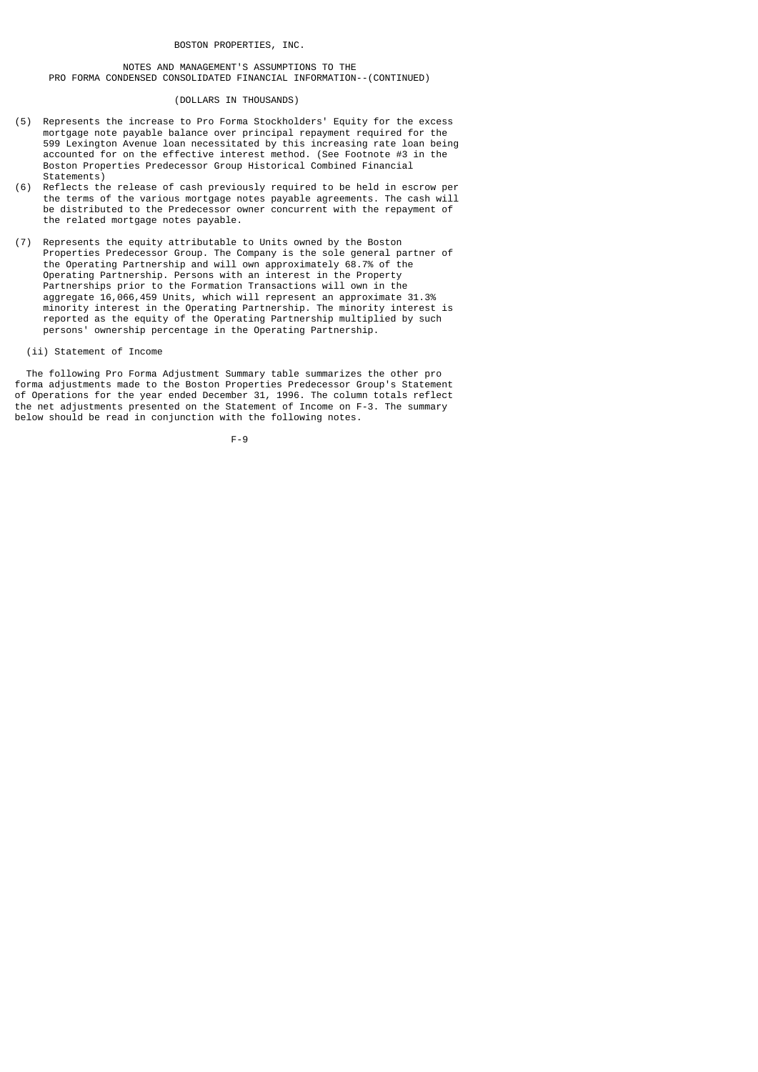NOTES AND MANAGEMENT'S ASSUMPTIONS TO THE PRO FORMA CONDENSED CONSOLIDATED FINANCIAL INFORMATION--(CONTINUED)

#### (DOLLARS IN THOUSANDS)

- (5) Represents the increase to Pro Forma Stockholders' Equity for the excess mortgage note payable balance over principal repayment required for the 599 Lexington Avenue loan necessitated by this increasing rate loan being accounted for on the effective interest method. (See Footnote #3 in the Boston Properties Predecessor Group Historical Combined Financial Statements<sup>)</sup>
- (6) Reflects the release of cash previously required to be held in escrow per the terms of the various mortgage notes payable agreements. The cash will be distributed to the Predecessor owner concurrent with the repayment of the related mortgage notes payable.
- (7) Represents the equity attributable to Units owned by the Boston Properties Predecessor Group. The Company is the sole general partner of the Operating Partnership and will own approximately 68.7% of the Operating Partnership. Persons with an interest in the Property Partnerships prior to the Formation Transactions will own in the aggregate 16,066,459 Units, which will represent an approximate 31.3% minority interest in the Operating Partnership. The minority interest is reported as the equity of the Operating Partnership multiplied by such persons' ownership percentage in the Operating Partnership.
	- (ii) Statement of Income

 The following Pro Forma Adjustment Summary table summarizes the other pro forma adjustments made to the Boston Properties Predecessor Group's Statement of Operations for the year ended December 31, 1996. The column totals reflect the net adjustments presented on the Statement of Income on F-3. The summary below should be read in conjunction with the following notes.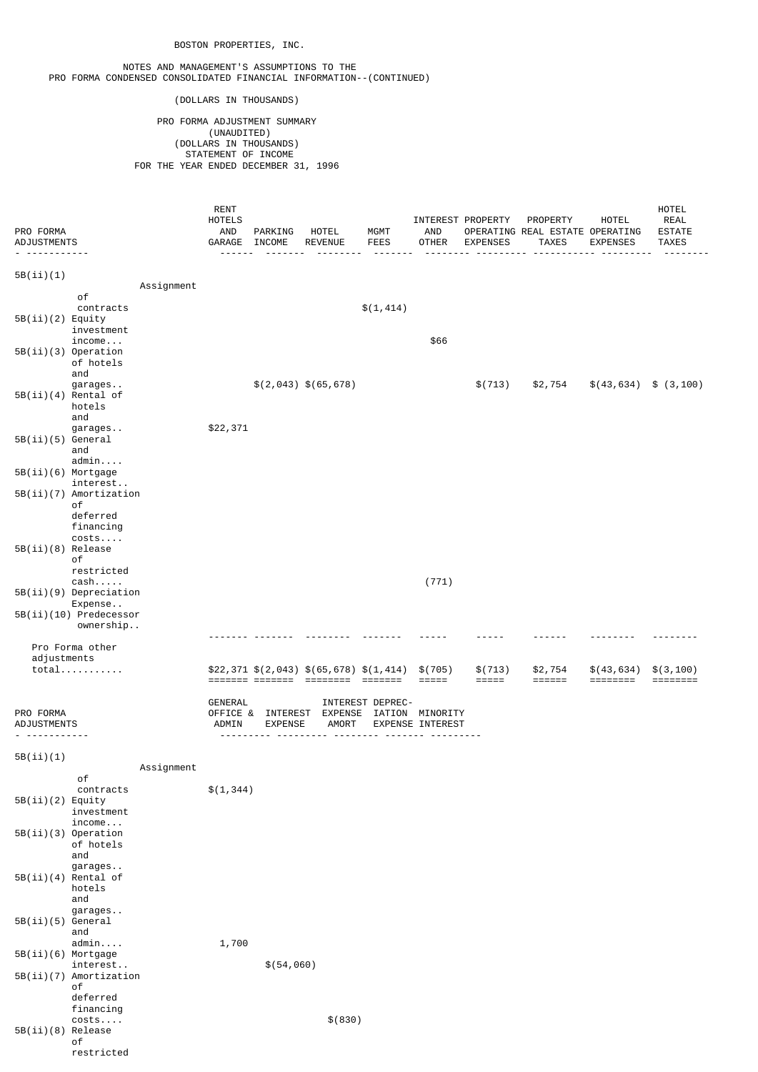#### NOTES AND MANAGEMENT'S ASSUMPTIONS TO THE PRO FORMA CONDENSED CONSOLIDATED FINANCIAL INFORMATION--(CONTINUED)

(DOLLARS IN THOUSANDS)

 PRO FORMA ADJUSTMENT SUMMARY (UNAUDITED) (DOLLARS IN THOUSANDS) STATEMENT OF INCOME FOR THE YEAR ENDED DECEMBER 31, 1996

| PRO FORMA<br>ADJUSTMENTS            | RENT<br>HOTELS<br>AND<br>GARAGE INCOME | PARKING                             | HOTEL<br><b>REVENUE</b>                     | MGMT<br><b>FEES</b> | AND<br><b>OTHER</b>                 | INTEREST PROPERTY<br><b>EXPENSES</b> | PROPERTY<br>OPERATING REAL ESTATE OPERATING<br><b>TAXES</b> | <b>HOTEL</b><br><b>EXPENSES</b> | HOTEL<br><b>REAL</b><br><b>ESTATE</b><br><b>TAXES</b> |
|-------------------------------------|----------------------------------------|-------------------------------------|---------------------------------------------|---------------------|-------------------------------------|--------------------------------------|-------------------------------------------------------------|---------------------------------|-------------------------------------------------------|
| 5B(i) (1)                           |                                        |                                     |                                             |                     |                                     |                                      |                                                             |                                 |                                                       |
| Assignment                          |                                        |                                     |                                             |                     |                                     |                                      |                                                             |                                 |                                                       |
| оf<br>contracts                     |                                        |                                     |                                             | \$(1, 414)          |                                     |                                      |                                                             |                                 |                                                       |
| $5B(ii)(2)$ Equity                  |                                        |                                     |                                             |                     |                                     |                                      |                                                             |                                 |                                                       |
| investment<br>$income.$             |                                        |                                     |                                             |                     | \$66                                |                                      |                                                             |                                 |                                                       |
| 5B(ii)(3) Operation                 |                                        |                                     |                                             |                     |                                     |                                      |                                                             |                                 |                                                       |
| of hotels<br>and                    |                                        |                                     |                                             |                     |                                     |                                      |                                                             |                                 |                                                       |
| garages                             |                                        |                                     | $$(2,043)$ \$(65,678)                       |                     |                                     | \$(713)                              | \$2,754                                                     | $\$(43,634) \$ (3,100)$         |                                                       |
| $5B(ii)(4)$ Rental of<br>hotels     |                                        |                                     |                                             |                     |                                     |                                      |                                                             |                                 |                                                       |
| and                                 |                                        |                                     |                                             |                     |                                     |                                      |                                                             |                                 |                                                       |
| garages<br>5B(ii)(5) General        | \$22,371                               |                                     |                                             |                     |                                     |                                      |                                                             |                                 |                                                       |
| and                                 |                                        |                                     |                                             |                     |                                     |                                      |                                                             |                                 |                                                       |
| admin<br>5B(ii)(6) Mortgage         |                                        |                                     |                                             |                     |                                     |                                      |                                                             |                                 |                                                       |
| interest                            |                                        |                                     |                                             |                     |                                     |                                      |                                                             |                                 |                                                       |
| 5B(ii)(7) Amortization<br>оf        |                                        |                                     |                                             |                     |                                     |                                      |                                                             |                                 |                                                       |
| deferred                            |                                        |                                     |                                             |                     |                                     |                                      |                                                             |                                 |                                                       |
| financing<br>costs                  |                                        |                                     |                                             |                     |                                     |                                      |                                                             |                                 |                                                       |
| 5B(ii)(8) Release                   |                                        |                                     |                                             |                     |                                     |                                      |                                                             |                                 |                                                       |
| оf                                  |                                        |                                     |                                             |                     |                                     |                                      |                                                             |                                 |                                                       |
| restricted<br>$cash$ .              |                                        |                                     |                                             |                     | (771)                               |                                      |                                                             |                                 |                                                       |
| $5B(ii)(9)$ Depreciation<br>Expense |                                        |                                     |                                             |                     |                                     |                                      |                                                             |                                 |                                                       |
| 5B(ii)(10) Predecessor              |                                        |                                     |                                             |                     |                                     |                                      |                                                             |                                 |                                                       |
| ownership                           |                                        |                                     |                                             |                     |                                     |                                      |                                                             |                                 |                                                       |
| Pro Forma other                     |                                        |                                     |                                             |                     |                                     |                                      |                                                             |                                 |                                                       |
| adjustments<br>$total$              |                                        |                                     | $$22,371$ $$(2,043)$ $$(65,678)$ $$(1,414)$ |                     | \$(705)                             | \$(713)                              | \$2,754                                                     | \$(43,634)                      | \$(3, 100)                                            |
|                                     |                                        |                                     | ======= ======= ========                    | - =======           | $=====$                             | =====                                |                                                             |                                 |                                                       |
|                                     | GENERAL                                |                                     |                                             | INTEREST DEPREC-    |                                     |                                      |                                                             |                                 |                                                       |
| PRO FORMA<br>ADJUSTMENTS            | ADMIN                                  | OFFICE & INTEREST<br><b>EXPENSE</b> | EXPENSE<br><b>AMORT</b>                     |                     | IATION MINORITY<br>EXPENSE INTEREST |                                      |                                                             |                                 |                                                       |
| . <u>.</u>                          |                                        |                                     |                                             |                     |                                     |                                      |                                                             |                                 |                                                       |
| 5B(i) (1)                           |                                        |                                     |                                             |                     |                                     |                                      |                                                             |                                 |                                                       |
| Assignment                          |                                        |                                     |                                             |                     |                                     |                                      |                                                             |                                 |                                                       |
| оf<br>contracts                     | \$(1, 344)                             |                                     |                                             |                     |                                     |                                      |                                                             |                                 |                                                       |
| $5B(ii)(2)$ Equity                  |                                        |                                     |                                             |                     |                                     |                                      |                                                             |                                 |                                                       |
| investment<br>$income \ldots$       |                                        |                                     |                                             |                     |                                     |                                      |                                                             |                                 |                                                       |
| 5B(ii)(3) Operation                 |                                        |                                     |                                             |                     |                                     |                                      |                                                             |                                 |                                                       |
| of hotels<br>and                    |                                        |                                     |                                             |                     |                                     |                                      |                                                             |                                 |                                                       |
| garages                             |                                        |                                     |                                             |                     |                                     |                                      |                                                             |                                 |                                                       |
| $5B(ii)(4)$ Rental of<br>hotels     |                                        |                                     |                                             |                     |                                     |                                      |                                                             |                                 |                                                       |
| and                                 |                                        |                                     |                                             |                     |                                     |                                      |                                                             |                                 |                                                       |
| garages<br>5B(ii)(5) General        |                                        |                                     |                                             |                     |                                     |                                      |                                                             |                                 |                                                       |
| and                                 |                                        |                                     |                                             |                     |                                     |                                      |                                                             |                                 |                                                       |
| admin<br>5B(ii)(6) Mortgage         | 1,700                                  |                                     |                                             |                     |                                     |                                      |                                                             |                                 |                                                       |
| interest                            |                                        | \$(54, 060)                         |                                             |                     |                                     |                                      |                                                             |                                 |                                                       |
| $5B(ii)(7)$ Amortization<br>оf      |                                        |                                     |                                             |                     |                                     |                                      |                                                             |                                 |                                                       |
| deferred                            |                                        |                                     |                                             |                     |                                     |                                      |                                                             |                                 |                                                       |
| financing                           |                                        |                                     |                                             |                     |                                     |                                      |                                                             |                                 |                                                       |
| costs<br>5B(ii)(8) Release          |                                        |                                     | \$ (830)                                    |                     |                                     |                                      |                                                             |                                 |                                                       |

 of restricted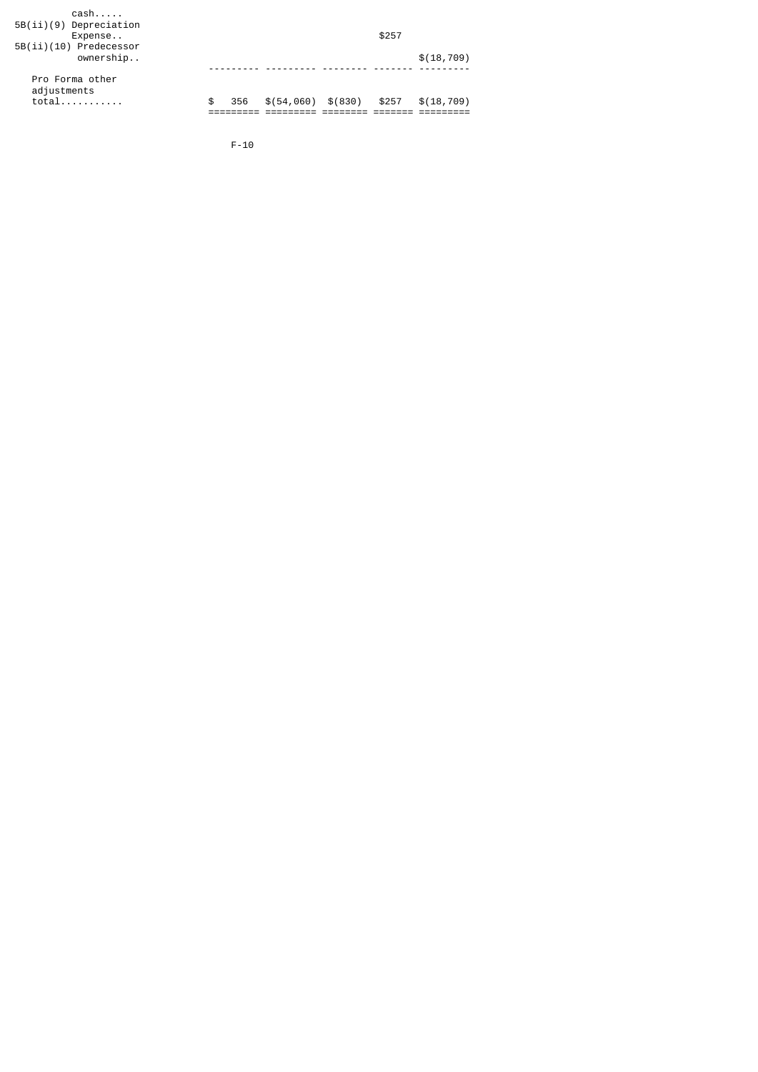|           |  | \$257                 |             |
|-----------|--|-----------------------|-------------|
|           |  |                       |             |
|           |  |                       |             |
|           |  |                       |             |
|           |  |                       | \$(18, 709) |
|           |  |                       |             |
|           |  |                       |             |
|           |  |                       |             |
| \$<br>356 |  | \$257                 | \$(18, 709) |
|           |  |                       |             |
|           |  | $$(54, 060)$ $$(830)$ |             |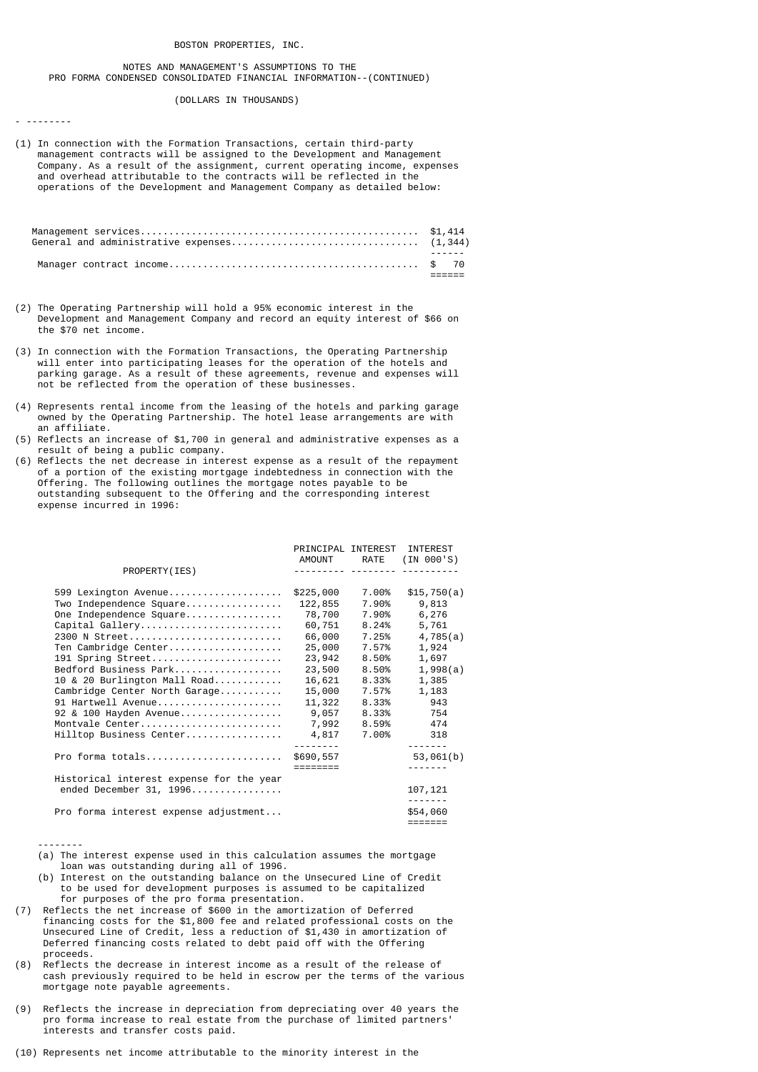## NOTES AND MANAGEMENT'S ASSUMPTIONS TO THE PRO FORMA CONDENSED CONSOLIDATED FINANCIAL INFORMATION--(CONTINUED)

## (DOLLARS IN THOUSANDS)

- --------

(1) In connection with the Formation Transactions, certain third-party management contracts will be assigned to the Development and Management Company. As a result of the assignment, current operating income, expenses and overhead attributable to the contracts will be reflected in the operations of the Development and Management Company as detailed below:

- (2) The Operating Partnership will hold a 95% economic interest in the Development and Management Company and record an equity interest of \$66 on the \$70 net income.
- (3) In connection with the Formation Transactions, the Operating Partnership will enter into participating leases for the operation of the hotels and parking garage. As a result of these agreements, revenue and expenses will not be reflected from the operation of these businesses.
- (4) Represents rental income from the leasing of the hotels and parking garage owned by the Operating Partnership. The hotel lease arrangements are with an affiliate.
- (5) Reflects an increase of \$1,700 in general and administrative expenses as a result of being a public company.
- (6) Reflects the net decrease in interest expense as a result of the repayment of a portion of the existing mortgage indebtedness in connection with the Offering. The following outlines the mortgage notes payable to be outstanding subsequent to the Offering and the corresponding interest expense incurred in 1996:

|                                          | PRINCIPAL INTEREST |             | <b>INTEREST</b> |
|------------------------------------------|--------------------|-------------|-----------------|
|                                          |                    | AMOUNT RATE | (IN 000'S)      |
| PROPERTY (IES)                           |                    |             |                 |
| 599 Lexington Avenue                     | \$225,000          | 7.00%       | \$15,750(a)     |
| Two Independence Square                  | 122,855            | 7.90%       | 9,813           |
| One Independence Square                  | 78,700             | 7.90%       | 6,276           |
| Capital Gallery                          | 60,751             | 8.24%       | 5,761           |
| 2300 N Street                            | 66,000             | 7.25%       | 4,785(a)        |
| Ten Cambridge Center                     | 25,000             | 7.57%       | 1,924           |
| 191 Spring Street                        | 23,942             | 8.50%       | 1,697           |
| Bedford Business Park                    | 23,500             | $8.50\%$    | 1,998(a)        |
| 10 & 20 Burlington Mall Road             | 16,621             | 8.33%       | 1,385           |
| Cambridge Center North Garage            | 15,000             | 7.57%       | 1,183           |
| 91 Hartwell Avenue                       | 11,322             | 8.33%       | 943             |
| 92 & 100 Hayden Avenue                   | 9,057              | 8.33%       | 754             |
| Montvale Center                          | 7,992              | 8.59%       | 474             |
| Hilltop Business Center                  | 4,817              | 7.00%       | 318             |
|                                          |                    |             |                 |
| Pro forma totals                         | \$690,557          |             | 53,061(b)       |
|                                          |                    |             |                 |
| Historical interest expense for the year |                    |             |                 |
| ended December 31, 1996                  |                    |             | 107,121         |
| Pro forma interest expense adjustment    |                    |             | \$54,060        |
|                                          |                    |             | =======         |
|                                          |                    |             |                 |

--------

- (a) The interest expense used in this calculation assumes the mortgage loan was outstanding during all of 1996.
- (b) Interest on the outstanding balance on the Unsecured Line of Credit to be used for development purposes is assumed to be capitalized for purposes of the pro forma presentation.
- (7) Reflects the net increase of \$600 in the amortization of Deferred financing costs for the \$1,800 fee and related professional costs on the Unsecured Line of Credit, less a reduction of \$1,430 in amortization of Deferred financing costs related to debt paid off with the Offering proceeds.
- (8) Reflects the decrease in interest income as a result of the release of cash previously required to be held in escrow per the terms of the various mortgage note payable agreements.
- (9) Reflects the increase in depreciation from depreciating over 40 years the pro forma increase to real estate from the purchase of limited partners' interests and transfer costs paid.
- (10) Represents net income attributable to the minority interest in the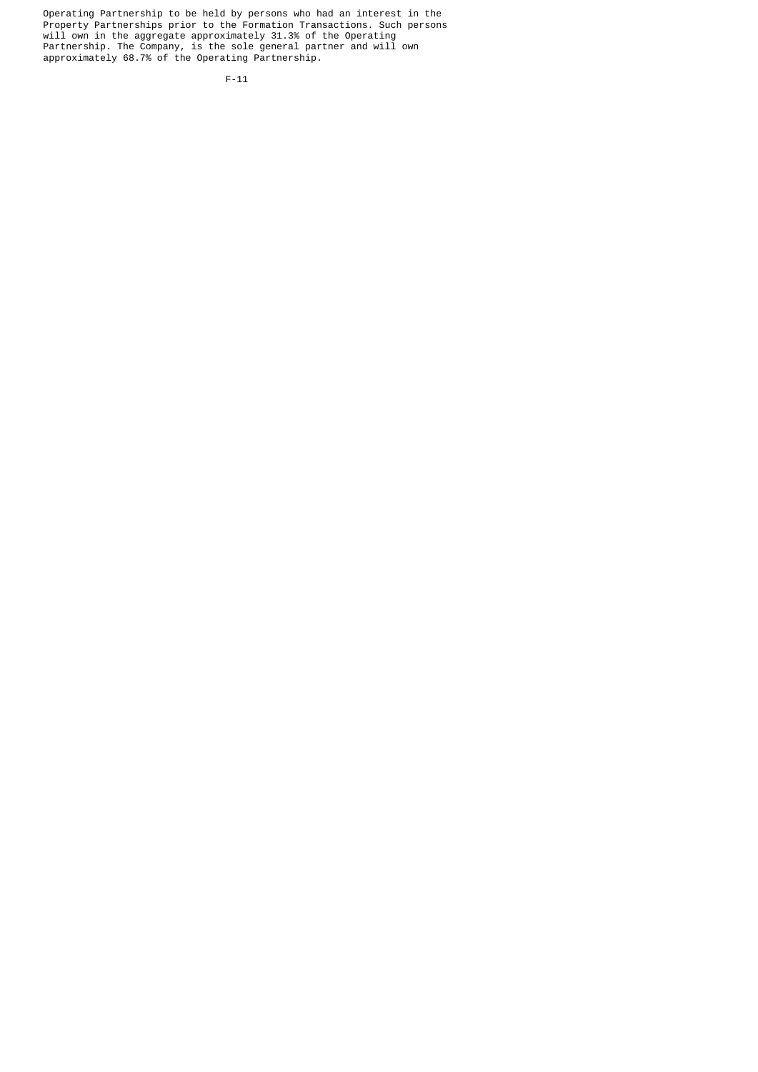Operating Partnership to be held by persons who had an interest in the Property Partnerships prior to the Formation Transactions. Such persons will own in the aggregate approximately 31.3% of the Operating Partnership. The Company, is the sole general partner and will own approximately 68.7% of the Operating Partnership.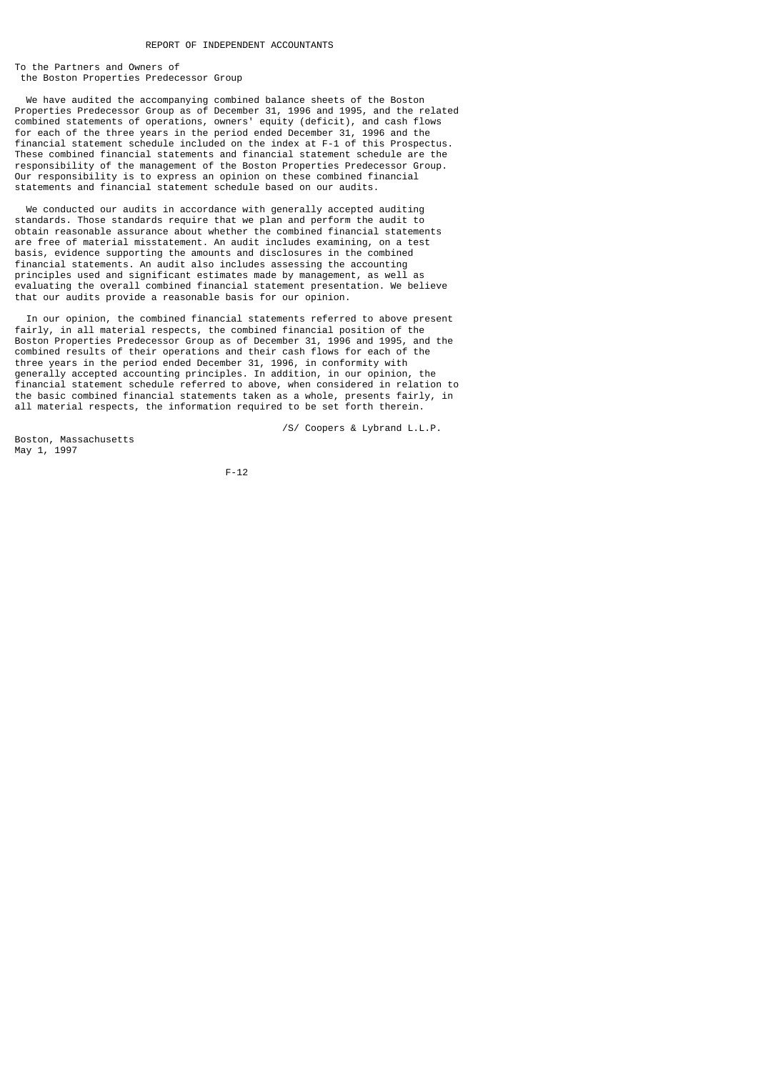To the Partners and Owners of the Boston Properties Predecessor Group

 We have audited the accompanying combined balance sheets of the Boston Properties Predecessor Group as of December 31, 1996 and 1995, and the related combined statements of operations, owners' equity (deficit), and cash flows for each of the three years in the period ended December 31, 1996 and the financial statement schedule included on the index at F-1 of this Prospectus. These combined financial statements and financial statement schedule are the responsibility of the management of the Boston Properties Predecessor Group. Our responsibility is to express an opinion on these combined financial statements and financial statement schedule based on our audits.

 We conducted our audits in accordance with generally accepted auditing standards. Those standards require that we plan and perform the audit to obtain reasonable assurance about whether the combined financial statements are free of material misstatement. An audit includes examining, on a test basis, evidence supporting the amounts and disclosures in the combined financial statements. An audit also includes assessing the accounting principles used and significant estimates made by management, as well as evaluating the overall combined financial statement presentation. We believe that our audits provide a reasonable basis for our opinion.

 In our opinion, the combined financial statements referred to above present fairly, in all material respects, the combined financial position of the Boston Properties Predecessor Group as of December 31, 1996 and 1995, and the combined results of their operations and their cash flows for each of the three years in the period ended December 31, 1996, in conformity with generally accepted accounting principles. In addition, in our opinion, the financial statement schedule referred to above, when considered in relation to the basic combined financial statements taken as a whole, presents fairly, in all material respects, the information required to be set forth therein.

Boston, Massachusetts May 1, 1997

/S/ Coopers & Lybrand L.L.P.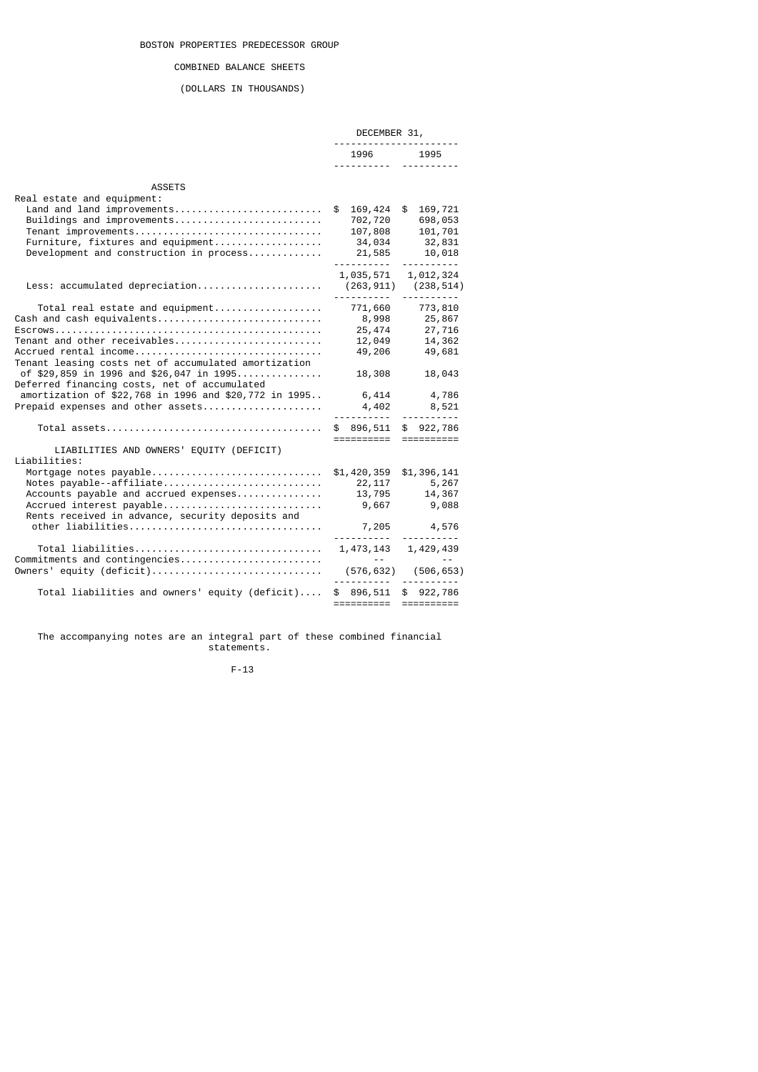## COMBINED BALANCE SHEETS

# (DOLLARS IN THOUSANDS)

|                                                                                                                                                                                               | DECEMBER 31,<br>.                                              |                                                                                            |  |
|-----------------------------------------------------------------------------------------------------------------------------------------------------------------------------------------------|----------------------------------------------------------------|--------------------------------------------------------------------------------------------|--|
|                                                                                                                                                                                               | 1996 1995<br><u> </u>                                          |                                                                                            |  |
| <b>ASSETS</b>                                                                                                                                                                                 |                                                                |                                                                                            |  |
| Real estate and equipment:<br>Land and land improvements<br>Buildings and improvements<br>Tenant improvements<br>Furniture, fixtures and equipment<br>Development and construction in process | \$169,424<br>702,720<br>107,808<br>34,034<br>$21,585$ $10,018$ | \$<br>169,721<br>698,053<br>101,701<br>32,831                                              |  |
|                                                                                                                                                                                               |                                                                | 1,035,571 1,012,324                                                                        |  |
| Total real estate and equipment<br>Cash and cash equivalents<br>Accrued rental income<br>Tenant leasing costs net of accumulated amortization                                                 | 12,049<br>49,206                                               | 25, 474 27, 716<br>14,362<br>49,681                                                        |  |
| of \$29,859 in 1996 and \$26,047 in 1995<br>Deferred financing costs, net of accumulated<br>amortization of \$22,768 in 1996 and \$20,772 in 1995 6,414 4,786                                 | 18,308                                                         | 18,043                                                                                     |  |
|                                                                                                                                                                                               | =====================                                          |                                                                                            |  |
| LIABILITIES AND OWNERS' EQUITY (DEFICIT)<br>Liabilities:                                                                                                                                      |                                                                |                                                                                            |  |
| Mortgage notes $payable$ \$1,420,359<br>Notes payable--affiliate<br>Accounts payable and accrued expenses<br>Accrued interest payable<br>Rents received in advance, security deposits and     |                                                                | \$1,396,141<br>22, 117 5, 267<br>13,795             14,367<br>9,667                  9,088 |  |
|                                                                                                                                                                                               |                                                                |                                                                                            |  |
| Commitments and contingencies                                                                                                                                                                 | and the state of the                                           |                                                                                            |  |
|                                                                                                                                                                                               |                                                                |                                                                                            |  |
| Total liabilities and owners' equity (deficit)                                                                                                                                                | \$ 896,511 \$ 922,786<br>======================                |                                                                                            |  |

 The accompanying notes are an integral part of these combined financial statements.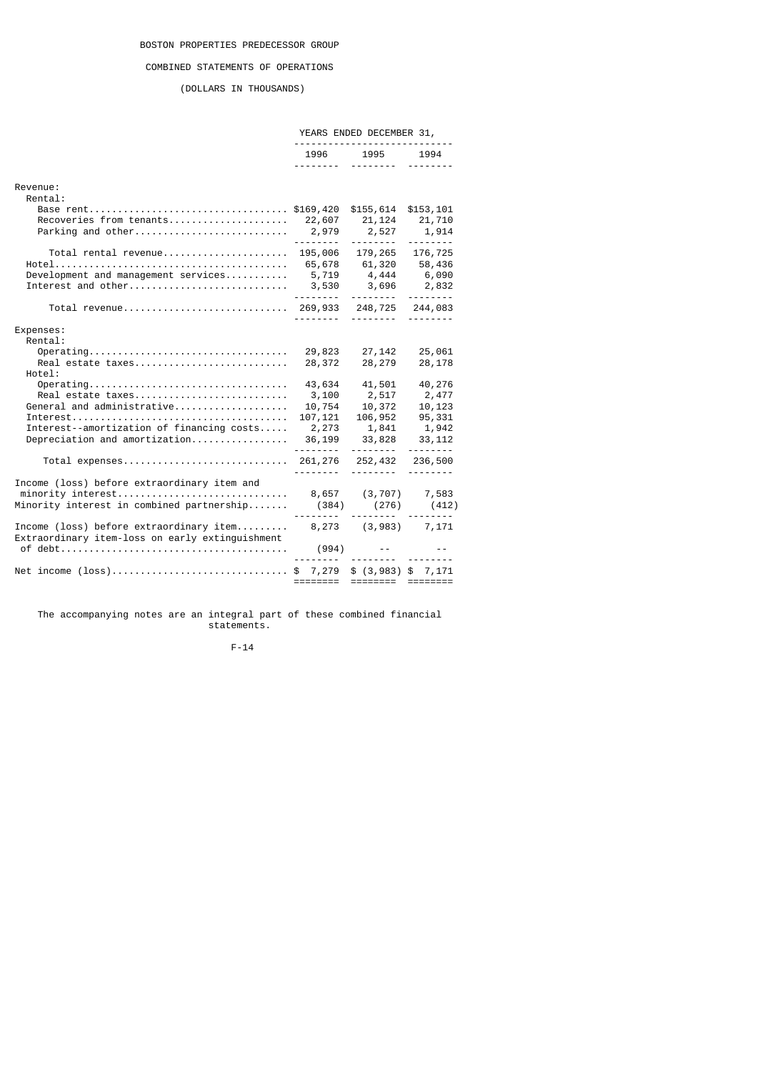# COMBINED STATEMENTS OF OPERATIONS

(DOLLARS IN THOUSANDS)

|                                                                                                                                                                                                                           |                                                                       | YEARS ENDED DECEMBER 31,                                                                                                                                                                                                                                                                                                                                                                                                                                                                                           |                                                            |
|---------------------------------------------------------------------------------------------------------------------------------------------------------------------------------------------------------------------------|-----------------------------------------------------------------------|--------------------------------------------------------------------------------------------------------------------------------------------------------------------------------------------------------------------------------------------------------------------------------------------------------------------------------------------------------------------------------------------------------------------------------------------------------------------------------------------------------------------|------------------------------------------------------------|
|                                                                                                                                                                                                                           |                                                                       | 1996 1995 1994                                                                                                                                                                                                                                                                                                                                                                                                                                                                                                     |                                                            |
|                                                                                                                                                                                                                           |                                                                       | .                                                                                                                                                                                                                                                                                                                                                                                                                                                                                                                  | <u> - - - - - - - -</u>                                    |
| Revenue:<br>Rental:                                                                                                                                                                                                       |                                                                       |                                                                                                                                                                                                                                                                                                                                                                                                                                                                                                                    |                                                            |
| Base rent\$169,420                                                                                                                                                                                                        |                                                                       | \$155,614<br>21, 124<br>2,527<br><u>.</u>                                                                                                                                                                                                                                                                                                                                                                                                                                                                          | \$153,101<br>21,710<br>1,914<br><u>.</u>                   |
| Total rental revenue 195,006 179,265 176,725<br>Development and management services<br>Interest and other                                                                                                                 | 3,530                                                                 | 65,678 61,320 58,436<br>5,719 4,444 6,090<br>3,696 2,832                                                                                                                                                                                                                                                                                                                                                                                                                                                           |                                                            |
|                                                                                                                                                                                                                           | <u> - - - - - - - - -</u>                                             | ---------                                                                                                                                                                                                                                                                                                                                                                                                                                                                                                          | --------                                                   |
| Expenses:<br>Rental:<br>Operating<br>Real estate taxes<br>Hotel:                                                                                                                                                          | 29,823<br>28,372                                                      | 27,142<br>28,279                                                                                                                                                                                                                                                                                                                                                                                                                                                                                                   | 25,061<br>28,178                                           |
| $Operating \ldots \ldots \ldots \ldots \ldots \ldots \ldots \ldots \ldots \ldots \ldots$<br>Real estate taxes<br>General and administrative<br>Interest--amortization of financing costs<br>Depreciation and amortization | 43,634<br>3,100<br>10,754<br>107,121<br>2,273<br>36,199<br><u>.</u> . | 41,501<br>2,517<br>10,372<br>106,952<br>1,841 1,942<br>33,828<br><u>.</u>                                                                                                                                                                                                                                                                                                                                                                                                                                          | 40,276<br>2,477<br>10,123<br>95,331<br>33, 112<br><u>.</u> |
|                                                                                                                                                                                                                           | ---------                                                             | 252,432 236,500                                                                                                                                                                                                                                                                                                                                                                                                                                                                                                    |                                                            |
| Income (loss) before extraordinary item and<br>Minority interest in combined partnership $(384)$ $(276)$ $(412)$                                                                                                          |                                                                       |                                                                                                                                                                                                                                                                                                                                                                                                                                                                                                                    | --------                                                   |
| Income (loss) before extraordinary item $8,273$ $(3,983)$ $7,171$<br>Extraordinary item-loss on early extinguishment                                                                                                      |                                                                       | $(994)$ --                                                                                                                                                                                                                                                                                                                                                                                                                                                                                                         |                                                            |
|                                                                                                                                                                                                                           |                                                                       | ----- -------- -------                                                                                                                                                                                                                                                                                                                                                                                                                                                                                             |                                                            |
| Net income (loss)\$ 7,279 \$ (3,983) \$ 7,171                                                                                                                                                                             | ========                                                              | $\begin{tabular}{ll} \multicolumn{2}{l}{{\color{red}\textbf{1}}}\\ \multicolumn{2}{l}{\color{blue}\textbf{2}}\\ \multicolumn{2}{l}{\color{blue}\textbf{2}}\\ \multicolumn{2}{l}{\color{blue}\textbf{3}}\\ \multicolumn{2}{l}{\color{blue}\textbf{4}}\\ \multicolumn{2}{l}{\color{blue}\textbf{5}}\\ \multicolumn{2}{l}{\color{blue}\textbf{4}}\\ \multicolumn{2}{l}{\color{blue}\textbf{5}}\\ \multicolumn{2}{l}{\color{blue}\textbf{6}}\\ \multicolumn{2}{l}{\color{blue}\textbf{6}}\\ \multicolumn{2}{l}{\color$ |                                                            |

 The accompanying notes are an integral part of these combined financial statements.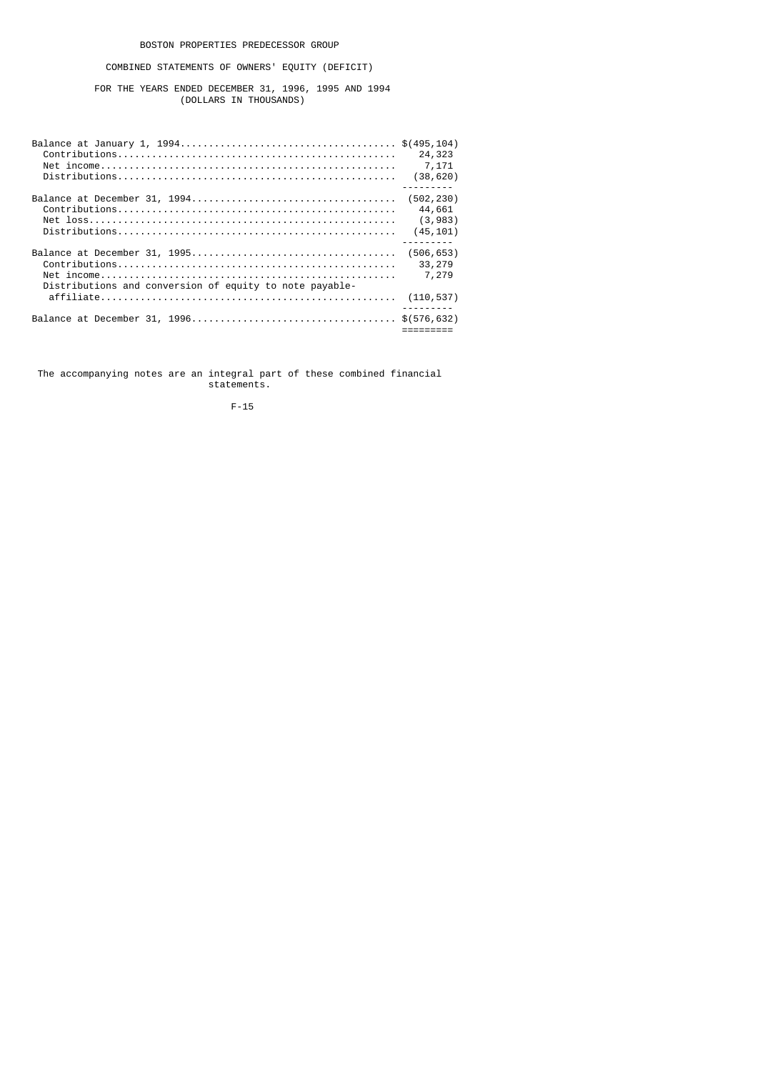# COMBINED STATEMENTS OF OWNERS' EQUITY (DEFICIT)

 FOR THE YEARS ENDED DECEMBER 31, 1996, 1995 AND 1994 (DOLLARS IN THOUSANDS)

|                                                         | 24,323          |
|---------------------------------------------------------|-----------------|
|                                                         | 7,171           |
|                                                         | (38, 620)       |
|                                                         |                 |
|                                                         | 44,661          |
|                                                         | (3,983)         |
|                                                         | (45, 101)       |
|                                                         | (506, 653)      |
|                                                         | 33,279<br>7,279 |
| Distributions and conversion of equity to note payable- |                 |
|                                                         | (110,537)       |
|                                                         |                 |

 The accompanying notes are an integral part of these combined financial statements.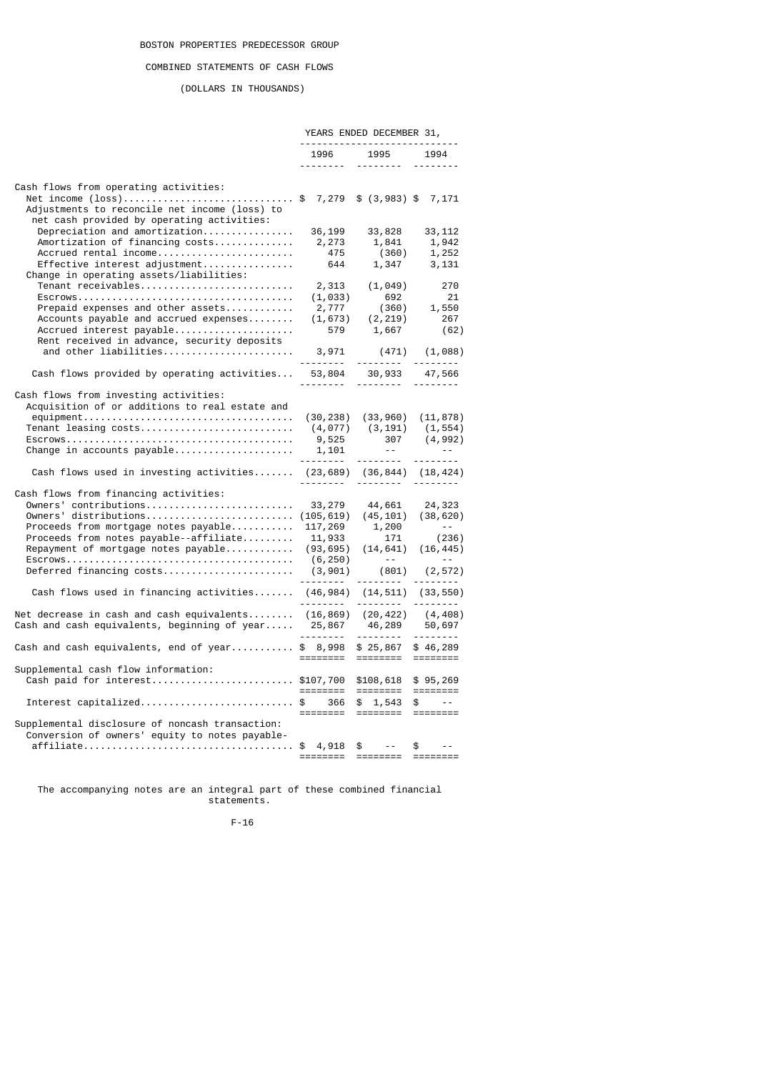## COMBINED STATEMENTS OF CASH FLOWS

(DOLLARS IN THOUSANDS)

|                                                                                                                                                                                                                     | YEARS ENDED DECEMBER 31,<br>----------------------------- |                                                                                                                                                                                                                                                                                                                                                                                                                                                                                                                                                                  |                                                                                                                                        |
|---------------------------------------------------------------------------------------------------------------------------------------------------------------------------------------------------------------------|-----------------------------------------------------------|------------------------------------------------------------------------------------------------------------------------------------------------------------------------------------------------------------------------------------------------------------------------------------------------------------------------------------------------------------------------------------------------------------------------------------------------------------------------------------------------------------------------------------------------------------------|----------------------------------------------------------------------------------------------------------------------------------------|
|                                                                                                                                                                                                                     |                                                           | 1996 1995                                                                                                                                                                                                                                                                                                                                                                                                                                                                                                                                                        | 1994                                                                                                                                   |
| Cash flows from operating activities:<br>Net income (loss)\$ 7,279 \$ (3,983) \$ 7,171<br>Adjustments to reconcile net income (loss) to<br>net cash provided by operating activities:                               |                                                           |                                                                                                                                                                                                                                                                                                                                                                                                                                                                                                                                                                  |                                                                                                                                        |
| Depreciation and amortization<br>Amortization of financing costs<br>Accrued rental income<br>Effective interest adjustment<br>Change in operating assets/liabilities:                                               | 36,199<br>2,273<br>475                                    | 33,828<br>1,841<br>(360)<br>644 1,347                                                                                                                                                                                                                                                                                                                                                                                                                                                                                                                            | 33, 112<br>1,942<br>1,252<br>3,131                                                                                                     |
| Tenant receivables<br>Prepaid expenses and other assets<br>Accounts payable and accrued expenses<br>Accrued interest payable                                                                                        | 2,313                                                     | (1, 049)<br>$(1, 033)$ 692<br>$2, 777$ (360) 1,550<br>$(1, 673)$ (2,219) 267<br>579 1,667 (62)                                                                                                                                                                                                                                                                                                                                                                                                                                                                   | 270<br>(62)                                                                                                                            |
| Rent received in advance, security deposits<br>and other liabilities                                                                                                                                                |                                                           | $3,971$ (471) $(1,088)$<br>-------- --------- -------                                                                                                                                                                                                                                                                                                                                                                                                                                                                                                            |                                                                                                                                        |
| Cash flows provided by operating activities 53,804 30,933 47,566                                                                                                                                                    |                                                           |                                                                                                                                                                                                                                                                                                                                                                                                                                                                                                                                                                  | <u> - - - - - - - -</u>                                                                                                                |
| Cash flows from investing activities:<br>Acquisition of or additions to real estate and<br>Tenant leasing costs                                                                                                     |                                                           | $(30, 238)$ $(33, 960)$ $(11, 878)$                                                                                                                                                                                                                                                                                                                                                                                                                                                                                                                              | $(4, 077)$ $(3, 191)$ $(1, 554)$                                                                                                       |
| Cash flows used in investing activities (23,689) (36,844) (18,424)                                                                                                                                                  |                                                           |                                                                                                                                                                                                                                                                                                                                                                                                                                                                                                                                                                  |                                                                                                                                        |
| Cash flows from financing activities:<br>Owners' contributions<br>Proceeds from mortgage notes payable<br>Proceeds from notes payable--affiliate<br>Repayment of mortgage notes payable<br>Deferred financing costs |                                                           | 33, 279 44, 661 24, 323<br>$(93, 695)$ $(14, 641)$ $(16, 445)$                                                                                                                                                                                                                                                                                                                                                                                                                                                                                                   | $\begin{array}{cccc} 117,269 & & 1,200 & & -\\ 11,933 & & 171 & & (236) \end{array}$<br>$(6, 250)$ --<br>$(3, 901)$ $(801)$ $(2, 572)$ |
| Cash flows used in financing activities (46,984) (14,511) (33,550)                                                                                                                                                  |                                                           |                                                                                                                                                                                                                                                                                                                                                                                                                                                                                                                                                                  |                                                                                                                                        |
| Net decrease in cash and cash equivalents (16,869) (20,422) (4,408)<br>Cash and cash equivalents, beginning of year 25,867 46,289 50,697<br>------- --------- ---------                                             |                                                           |                                                                                                                                                                                                                                                                                                                                                                                                                                                                                                                                                                  |                                                                                                                                        |
| Cash and cash equivalents, end of year\$ $8,998$ \$ 25,867                                                                                                                                                          |                                                           | $\begin{tabular}{lllllllllllll} \multicolumn{2}{l}{{\color{red}{{\color{red}{{\color{magenta}{\color{black}{{\color{magenta}{\color{black}{{\color{magenta}{\color{black}{{\color{black}{{\color{black}{{\color{black}{{\color{black}{{\color{black}{{\color{black}{{\color{black}{{\color{black}{{\color{black}{{\color{black}{{\color{black}{{\color{black}{{\color{black}{{\color{black}{{\color{black}{{\color{black}{{\color{black}{{\color{black}{{\color{black}{{\color{black}{{\color{black}{{\color{black}{{\color{black}{{\color{black}{{\color{black$ | \$46,289                                                                                                                               |
| Supplemental cash flow information:<br>Cash paid for interest \$107,700 \$108,618                                                                                                                                   |                                                           |                                                                                                                                                                                                                                                                                                                                                                                                                                                                                                                                                                  | \$95,269                                                                                                                               |
| Interest capitalized\$                                                                                                                                                                                              |                                                           | 366 \$ 1,543<br>===========================                                                                                                                                                                                                                                                                                                                                                                                                                                                                                                                      | $\frac{1}{2}$ --                                                                                                                       |
| Supplemental disclosure of noncash transaction:<br>Conversion of owners' equity to notes payable-<br>affiliate\$ 4,918 \$ -- \$ --                                                                                  |                                                           | ======== ========                                                                                                                                                                                                                                                                                                                                                                                                                                                                                                                                                |                                                                                                                                        |

 The accompanying notes are an integral part of these combined financial statements.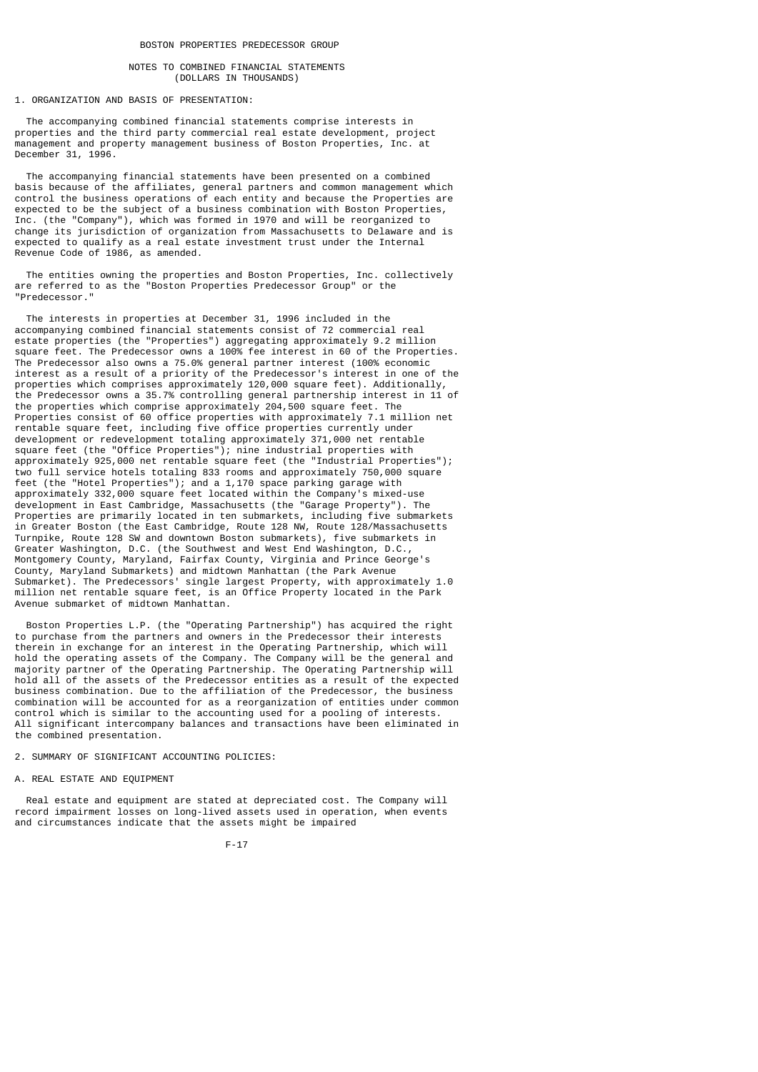## NOTES TO COMBINED FINANCIAL STATEMENTS (DOLLARS IN THOUSANDS)

## 1. ORGANIZATION AND BASIS OF PRESENTATION:

 The accompanying combined financial statements comprise interests in properties and the third party commercial real estate development, project management and property management business of Boston Properties, Inc. at December 31, 1996.

 The accompanying financial statements have been presented on a combined basis because of the affiliates, general partners and common management which control the business operations of each entity and because the Properties are expected to be the subject of a business combination with Boston Properties, Inc. (the "Company"), which was formed in 1970 and will be reorganized to change its jurisdiction of organization from Massachusetts to Delaware and is expected to qualify as a real estate investment trust under the Internal Revenue Code of 1986, as amended.

 The entities owning the properties and Boston Properties, Inc. collectively are referred to as the "Boston Properties Predecessor Group" or the "Predecessor."

 The interests in properties at December 31, 1996 included in the accompanying combined financial statements consist of 72 commercial real estate properties (the "Properties") aggregating approximately 9.2 million square feet. The Predecessor owns a 100% fee interest in 60 of the Properties. The Predecessor also owns a 75.0% general partner interest (100% economic interest as a result of a priority of the Predecessor's interest in one of the properties which comprises approximately 120,000 square feet). Additionally, the Predecessor owns a 35.7% controlling general partnership interest in 11 of the properties which comprise approximately 204,500 square feet. The Properties consist of 60 office properties with approximately 7.1 million net rentable square feet, including five office properties currently under development or redevelopment totaling approximately 371,000 net rentable square feet (the "Office Properties"); nine industrial properties with approximately 925,000 net rentable square feet (the "Industrial Properties"); two full service hotels totaling 833 rooms and approximately 750,000 square feet (the "Hotel Properties"); and a 1,170 space parking garage with approximately 332,000 square feet located within the Company's mixed-use development in East Cambridge, Massachusetts (the "Garage Property"). The Properties are primarily located in ten submarkets, including five submarkets in Greater Boston (the East Cambridge, Route 128 NW, Route 128/Massachusetts Turnpike, Route 128 SW and downtown Boston submarkets), five submarkets in Greater Washington, D.C. (the Southwest and West End Washington, D.C., Montgomery County, Maryland, Fairfax County, Virginia and Prince George's County, Maryland Submarkets) and midtown Manhattan (the Park Avenue Submarket). The Predecessors' single largest Property, with approximately 1.0 million net rentable square feet, is an Office Property located in the Park Avenue submarket of midtown Manhattan.

 Boston Properties L.P. (the "Operating Partnership") has acquired the right to purchase from the partners and owners in the Predecessor their interests therein in exchange for an interest in the Operating Partnership, which will hold the operating assets of the Company. The Company will be the general and majority partner of the Operating Partnership. The Operating Partnership will hold all of the assets of the Predecessor entities as a result of the expected business combination. Due to the affiliation of the Predecessor, the business combination will be accounted for as a reorganization of entities under common control which is similar to the accounting used for a pooling of interests. All significant intercompany balances and transactions have been eliminated in the combined presentation.

2. SUMMARY OF SIGNIFICANT ACCOUNTING POLICIES:

### A. REAL ESTATE AND EQUIPMENT

 Real estate and equipment are stated at depreciated cost. The Company will record impairment losses on long-lived assets used in operation, when events and circumstances indicate that the assets might be impaired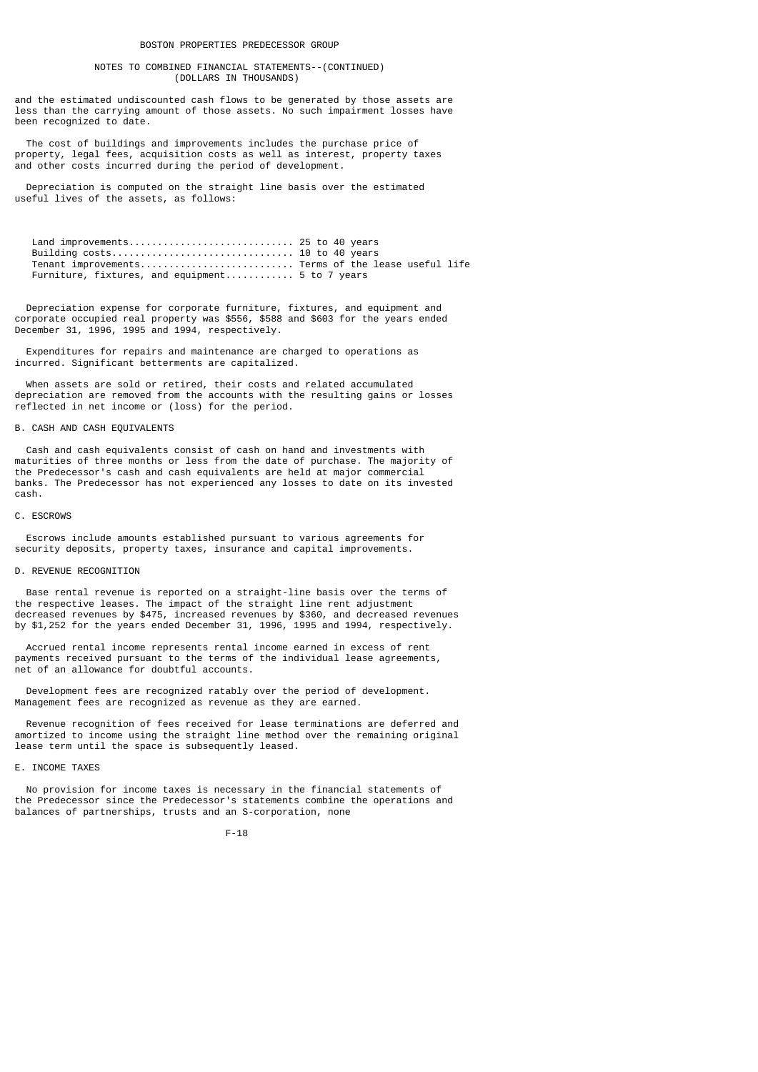## NOTES TO COMBINED FINANCIAL STATEMENTS--(CONTINUED) (DOLLARS IN THOUSANDS)

and the estimated undiscounted cash flows to be generated by those assets are less than the carrying amount of those assets. No such impairment losses have been recognized to date.

 The cost of buildings and improvements includes the purchase price of property, legal fees, acquisition costs as well as interest, property taxes and other costs incurred during the period of development.

 Depreciation is computed on the straight line basis over the estimated useful lives of the assets, as follows:

 Land improvements............................. 25 to 40 years Building costs................................ 10 to 40 years Tenant improvements........................... Terms of the lease useful life Furniture, fixtures, and equipment............... 5 to 7 years

 Depreciation expense for corporate furniture, fixtures, and equipment and corporate occupied real property was \$556, \$588 and \$603 for the years ended December 31, 1996, 1995 and 1994, respectively.

 Expenditures for repairs and maintenance are charged to operations as incurred. Significant betterments are capitalized.

 When assets are sold or retired, their costs and related accumulated depreciation are removed from the accounts with the resulting gains or losses reflected in net income or (loss) for the period.

## B. CASH AND CASH EQUIVALENTS

 Cash and cash equivalents consist of cash on hand and investments with maturities of three months or less from the date of purchase. The majority of the Predecessor's cash and cash equivalents are held at major commercial banks. The Predecessor has not experienced any losses to date on its invested cash.

#### C. ESCROWS

 Escrows include amounts established pursuant to various agreements for security deposits, property taxes, insurance and capital improvements.

#### D. REVENUE RECOGNITION

 Base rental revenue is reported on a straight-line basis over the terms of the respective leases. The impact of the straight line rent adjustment decreased revenues by \$475, increased revenues by \$360, and decreased revenues by \$1,252 for the years ended December 31, 1996, 1995 and 1994, respectively.

 Accrued rental income represents rental income earned in excess of rent payments received pursuant to the terms of the individual lease agreements, net of an allowance for doubtful accounts.

 Development fees are recognized ratably over the period of development. Management fees are recognized as revenue as they are earned.

 Revenue recognition of fees received for lease terminations are deferred and amortized to income using the straight line method over the remaining original lease term until the space is subsequently leased.

## E. INCOME TAXES

 No provision for income taxes is necessary in the financial statements of the Predecessor since the Predecessor's statements combine the operations and balances of partnerships, trusts and an S-corporation, none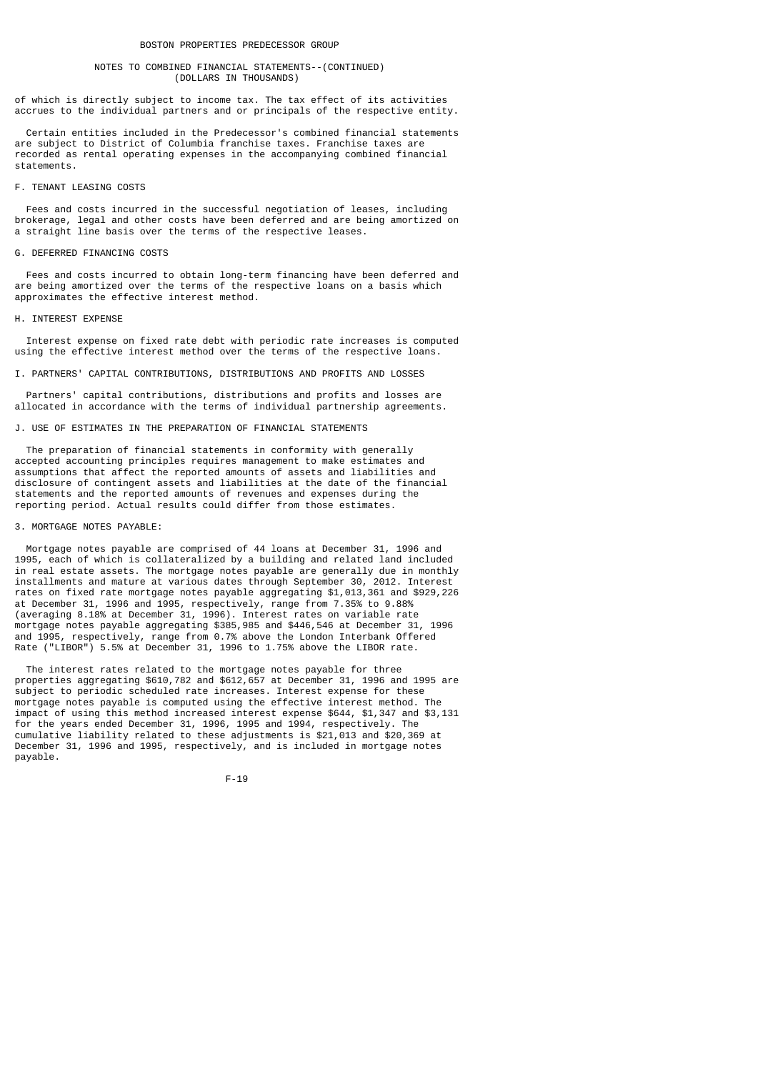## NOTES TO COMBINED FINANCIAL STATEMENTS--(CONTINUED) (DOLLARS IN THOUSANDS)

of which is directly subject to income tax. The tax effect of its activities accrues to the individual partners and or principals of the respective entity.

 Certain entities included in the Predecessor's combined financial statements are subject to District of Columbia franchise taxes. Franchise taxes are recorded as rental operating expenses in the accompanying combined financial statements.

## F. TENANT LEASING COSTS

 Fees and costs incurred in the successful negotiation of leases, including brokerage, legal and other costs have been deferred and are being amortized on a straight line basis over the terms of the respective leases.

#### G. DEFERRED FINANCING COSTS

 Fees and costs incurred to obtain long-term financing have been deferred and are being amortized over the terms of the respective loans on a basis which approximates the effective interest method.

### H. INTEREST EXPENSE

 Interest expense on fixed rate debt with periodic rate increases is computed using the effective interest method over the terms of the respective loans.

I. PARTNERS' CAPITAL CONTRIBUTIONS, DISTRIBUTIONS AND PROFITS AND LOSSES

 Partners' capital contributions, distributions and profits and losses are allocated in accordance with the terms of individual partnership agreements.

## J. USE OF ESTIMATES IN THE PREPARATION OF FINANCIAL STATEMENTS

 The preparation of financial statements in conformity with generally accepted accounting principles requires management to make estimates and assumptions that affect the reported amounts of assets and liabilities and disclosure of contingent assets and liabilities at the date of the financial statements and the reported amounts of revenues and expenses during the reporting period. Actual results could differ from those estimates.

## 3. MORTGAGE NOTES PAYABLE:

 Mortgage notes payable are comprised of 44 loans at December 31, 1996 and 1995, each of which is collateralized by a building and related land included in real estate assets. The mortgage notes payable are generally due in monthly installments and mature at various dates through September 30, 2012. Interest rates on fixed rate mortgage notes payable aggregating \$1,013,361 and \$929,226 at December 31, 1996 and 1995, respectively, range from 7.35% to 9.88% (averaging 8.18% at December 31, 1996). Interest rates on variable rate mortgage notes payable aggregating \$385,985 and \$446,546 at December 31, 1996 and 1995, respectively, range from 0.7% above the London Interbank Offered Rate ("LIBOR") 5.5% at December 31, 1996 to 1.75% above the LIBOR rate.

 The interest rates related to the mortgage notes payable for three properties aggregating \$610,782 and \$612,657 at December 31, 1996 and 1995 are subject to periodic scheduled rate increases. Interest expense for these mortgage notes payable is computed using the effective interest method. The impact of using this method increased interest expense \$644, \$1,347 and \$3,131 for the years ended December 31, 1996, 1995 and 1994, respectively. The cumulative liability related to these adjustments is \$21,013 and \$20,369 at December 31, 1996 and 1995, respectively, and is included in mortgage notes payable.

$$
\mathsf{F-19}
$$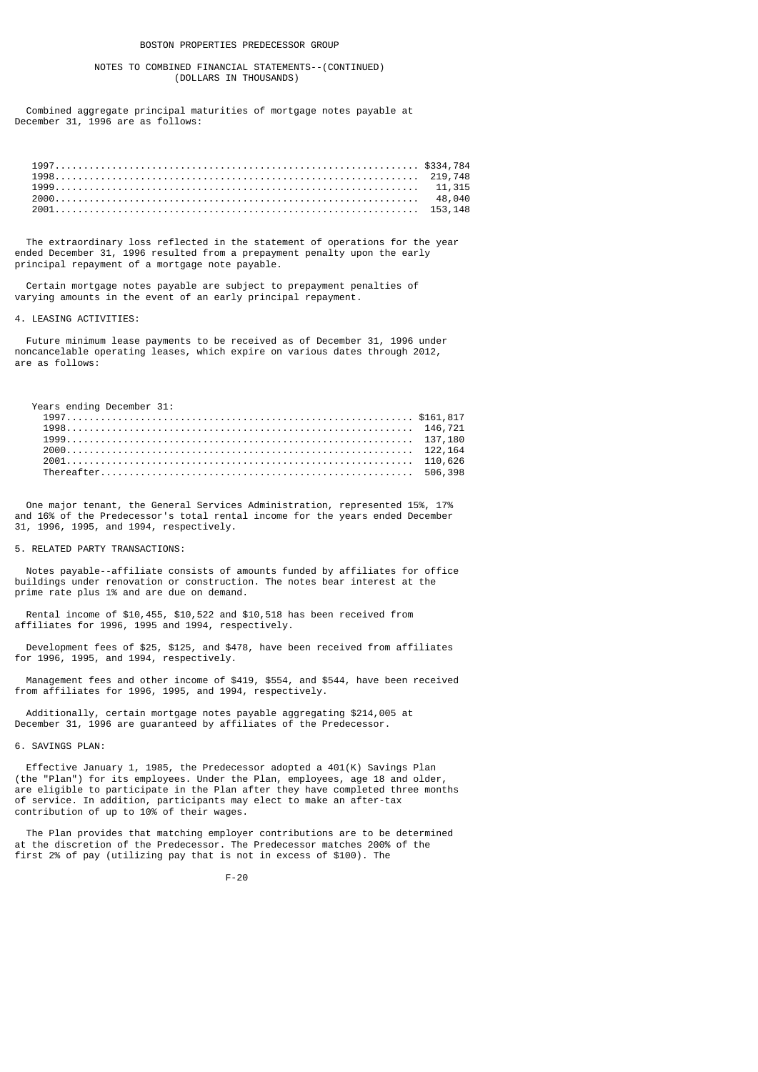## NOTES TO COMBINED FINANCIAL STATEMENTS--(CONTINUED) (DOLLARS IN THOUSANDS)

 Combined aggregate principal maturities of mortgage notes payable at December 31, 1996 are as follows:

| 1999 |  |
|------|--|
|      |  |
|      |  |

 The extraordinary loss reflected in the statement of operations for the year ended December 31, 1996 resulted from a prepayment penalty upon the early principal repayment of a mortgage note payable.

 Certain mortgage notes payable are subject to prepayment penalties of varying amounts in the event of an early principal repayment.

#### 4. LEASING ACTIVITIES:

 Future minimum lease payments to be received as of December 31, 1996 under noncancelable operating leases, which expire on various dates through 2012, are as follows:

Years ending December 31:

| 1998 |  |
|------|--|
| 1999 |  |
|      |  |
|      |  |
|      |  |

 One major tenant, the General Services Administration, represented 15%, 17% and 16% of the Predecessor's total rental income for the years ended December 31, 1996, 1995, and 1994, respectively.

# 5. RELATED PARTY TRANSACTIONS:

 Notes payable--affiliate consists of amounts funded by affiliates for office buildings under renovation or construction. The notes bear interest at the prime rate plus 1% and are due on demand.

 Rental income of \$10,455, \$10,522 and \$10,518 has been received from affiliates for 1996, 1995 and 1994, respectively.

 Development fees of \$25, \$125, and \$478, have been received from affiliates for 1996, 1995, and 1994, respectively.

 Management fees and other income of \$419, \$554, and \$544, have been received from affiliates for 1996, 1995, and 1994, respectively.

 Additionally, certain mortgage notes payable aggregating \$214,005 at December 31, 1996 are guaranteed by affiliates of the Predecessor.

### 6. SAVINGS PLAN:

 Effective January 1, 1985, the Predecessor adopted a 401(K) Savings Plan (the "Plan") for its employees. Under the Plan, employees, age 18 and older, are eligible to participate in the Plan after they have completed three months of service. In addition, participants may elect to make an after-tax contribution of up to 10% of their wages.

 The Plan provides that matching employer contributions are to be determined at the discretion of the Predecessor. The Predecessor matches 200% of the first 2% of pay (utilizing pay that is not in excess of \$100). The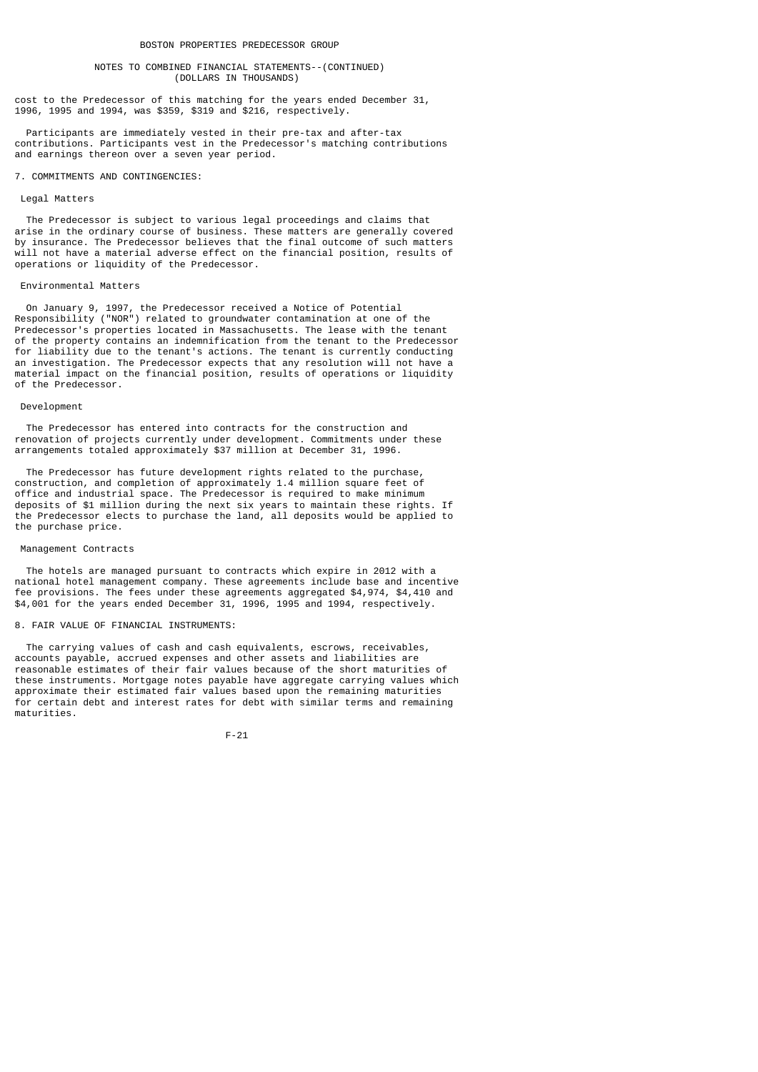## NOTES TO COMBINED FINANCIAL STATEMENTS--(CONTINUED) (DOLLARS IN THOUSANDS)

cost to the Predecessor of this matching for the years ended December 31, 1996, 1995 and 1994, was \$359, \$319 and \$216, respectively.

 Participants are immediately vested in their pre-tax and after-tax contributions. Participants vest in the Predecessor's matching contributions and earnings thereon over a seven year period.

## 7. COMMITMENTS AND CONTINGENCIES:

#### Legal Matters

 The Predecessor is subject to various legal proceedings and claims that arise in the ordinary course of business. These matters are generally covered by insurance. The Predecessor believes that the final outcome of such matters will not have a material adverse effect on the financial position, results of operations or liquidity of the Predecessor.

#### Environmental Matters

 On January 9, 1997, the Predecessor received a Notice of Potential Responsibility ("NOR") related to groundwater contamination at one of the Predecessor's properties located in Massachusetts. The lease with the tenant of the property contains an indemnification from the tenant to the Predecessor for liability due to the tenant's actions. The tenant is currently conducting an investigation. The Predecessor expects that any resolution will not have a material impact on the financial position, results of operations or liquidity of the Predecessor.

#### Development

 The Predecessor has entered into contracts for the construction and renovation of projects currently under development. Commitments under these arrangements totaled approximately \$37 million at December 31, 1996.

 The Predecessor has future development rights related to the purchase, construction, and completion of approximately 1.4 million square feet of office and industrial space. The Predecessor is required to make minimum deposits of \$1 million during the next six years to maintain these rights. If the Predecessor elects to purchase the land, all deposits would be applied to the purchase price.

## Management Contracts

 The hotels are managed pursuant to contracts which expire in 2012 with a national hotel management company. These agreements include base and incentive fee provisions. The fees under these agreements aggregated \$4,974, \$4,410 and \$4,001 for the years ended December 31, 1996, 1995 and 1994, respectively.

## 8. FAIR VALUE OF FINANCIAL INSTRUMENTS:

 The carrying values of cash and cash equivalents, escrows, receivables, accounts payable, accrued expenses and other assets and liabilities are reasonable estimates of their fair values because of the short maturities of these instruments. Mortgage notes payable have aggregate carrying values which approximate their estimated fair values based upon the remaining maturities for certain debt and interest rates for debt with similar terms and remaining maturities.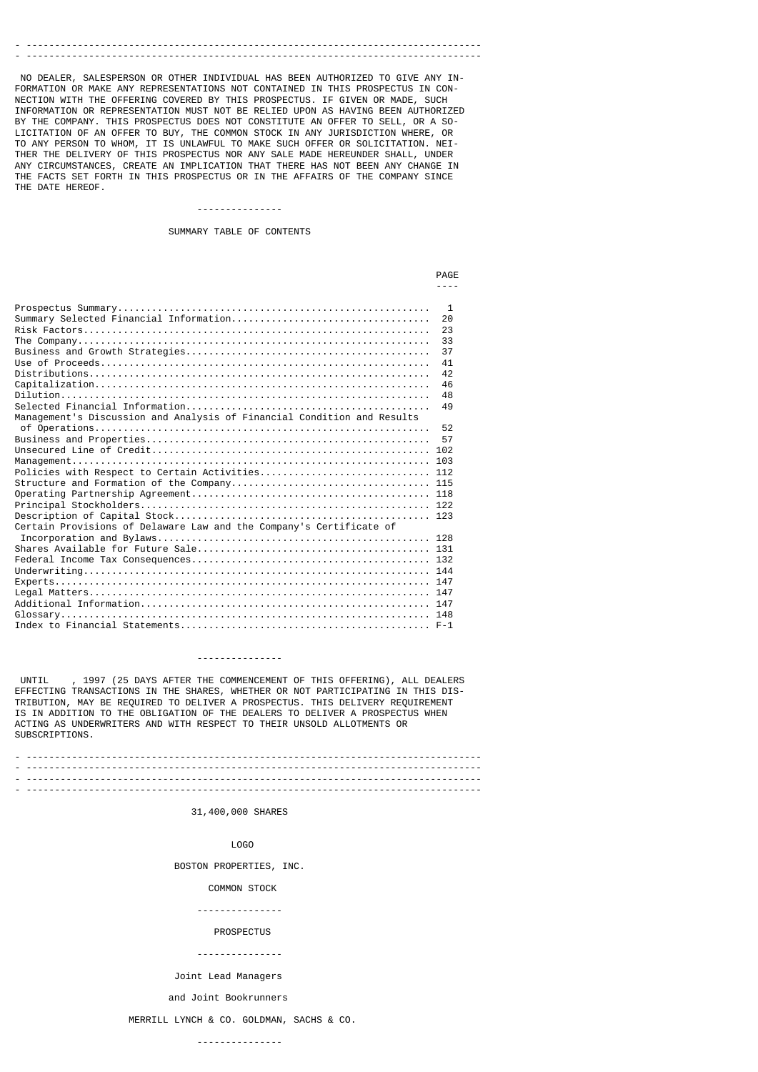# - --------------------------------------------------------------------------------

 NO DEALER, SALESPERSON OR OTHER INDIVIDUAL HAS BEEN AUTHORIZED TO GIVE ANY IN-FORMATION OR MAKE ANY REPRESENTATIONS NOT CONTAINED IN THIS PROSPECTUS IN CON-NECTION WITH THE OFFERING COVERED BY THIS PROSPECTUS. IF GIVEN OR MADE, INFORMATION OR REPRESENTATION MUST NOT BE RELIED UPON AS HAVING BEEN AUTHORIZED BY THE COMPANY. THIS PROSPECTUS DOES NOT CONSTITUTE AN OFFER TO SELL, OR A SO-LICITATION OF AN OFFER TO BUY, THE COMMON STOCK IN ANY JURISDICTION WHERE, OR TO ANY PERSON TO WHOM, IT IS UNLAWFUL TO MAKE SUCH OFFER OR SOLICITATION. NEI-THER THE DELIVERY OF THIS PROSPECTUS NOR ANY SALE MADE HEREUNDER SHALL, UNDER ANY CIRCUMSTANCES, CREATE AN IMPLICATION THAT THERE HAS NOT BEEN ANY CHANGE IN THE FACTS SET FORTH IN THIS PROSPECTUS OR IN THE AFFAIRS OF THE COMPANY SINCE THE DATE HEREOF.

## ---------------

SUMMARY TABLE OF CONTENTS

|                                                                         | <b>PAGF</b>                                                    |
|-------------------------------------------------------------------------|----------------------------------------------------------------|
|                                                                         |                                                                |
| Management's Discussion and Analysis of Financial Condition and Results | -1<br>20<br>23<br>33<br>37<br>41<br>42<br>46<br>48<br>49<br>52 |
|                                                                         | 57                                                             |
|                                                                         |                                                                |
|                                                                         |                                                                |
| Policies with Respect to Certain Activities 112                         |                                                                |
|                                                                         |                                                                |
|                                                                         |                                                                |
|                                                                         |                                                                |
| Certain Provisions of Delaware Law and the Company's Certificate of     |                                                                |
|                                                                         |                                                                |
|                                                                         |                                                                |
|                                                                         |                                                                |
|                                                                         |                                                                |

#### ---------------

 UNTIL , 1997 (25 DAYS AFTER THE COMMENCEMENT OF THIS OFFERING), ALL DEALERS EFFECTING TRANSACTIONS IN THE SHARES, WHETHER OR NOT PARTICIPATING IN THIS DIS-TRIBUTION, MAY BE REQUIRED TO DELIVER A PROSPECTUS. THIS DELIVERY REQUIREMENT IS IN ADDITION TO THE OBLIGATION OF THE DEALERS TO DELIVER A PROSPECTUS WHEN ACTING AS UNDERWRITERS AND WITH RESPECT TO THEIR UNSOLD ALLOTMENTS OR SUBSCRIPTIONS.

- -------------------------------------------------------------------------------- - -------------------------------------------------------------------------------- - -------------------------------------------------------------------------------- - --------------------------------------------------------------------------------

## 31,400,000 SHARES

LOGO

BOSTON PROPERTIES, INC.

#### COMMON STOCK

---------------

#### PROSPECTUS

#### ---------------

Joint Lead Managers

#### and Joint Bookrunners

MERRILL LYNCH & CO. GOLDMAN, SACHS & CO.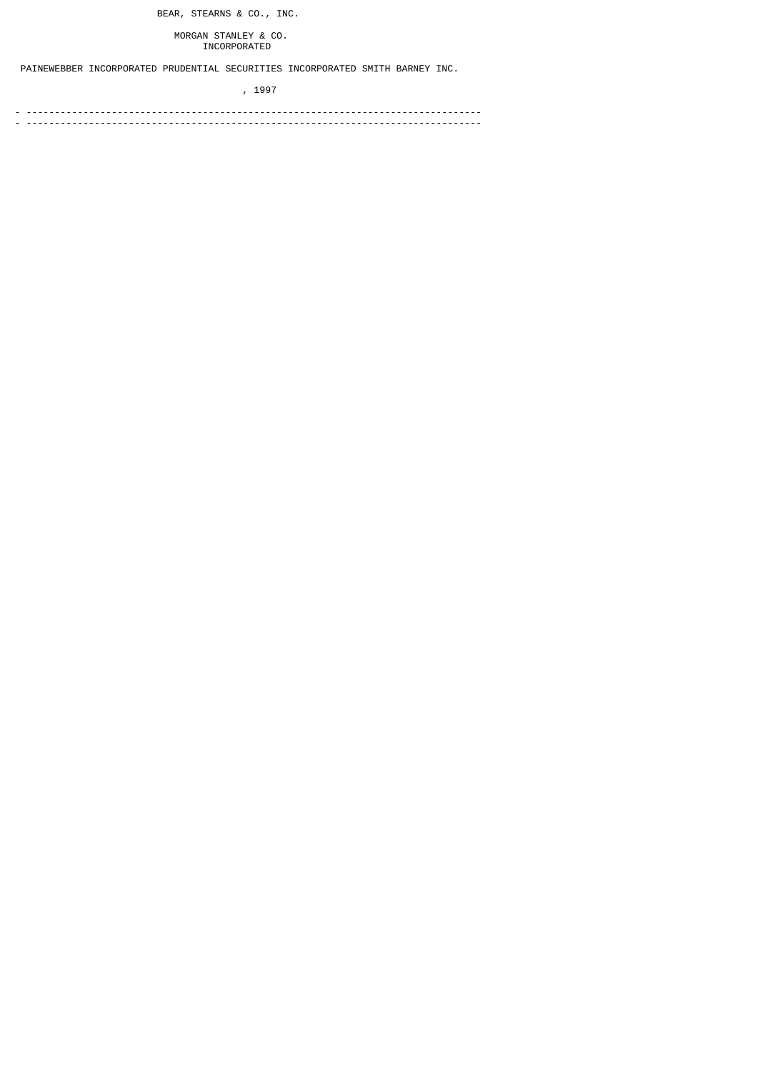BEAR, STEARNS & CO., INC.

 MORGAN STANLEY & CO. INCORPORATED

PAINEWEBBER INCORPORATED PRUDENTIAL SECURITIES INCORPORATED SMITH BARNEY INC.

, 1997

- -------------------------------------------------------------------------------- - --------------------------------------------------------------------------------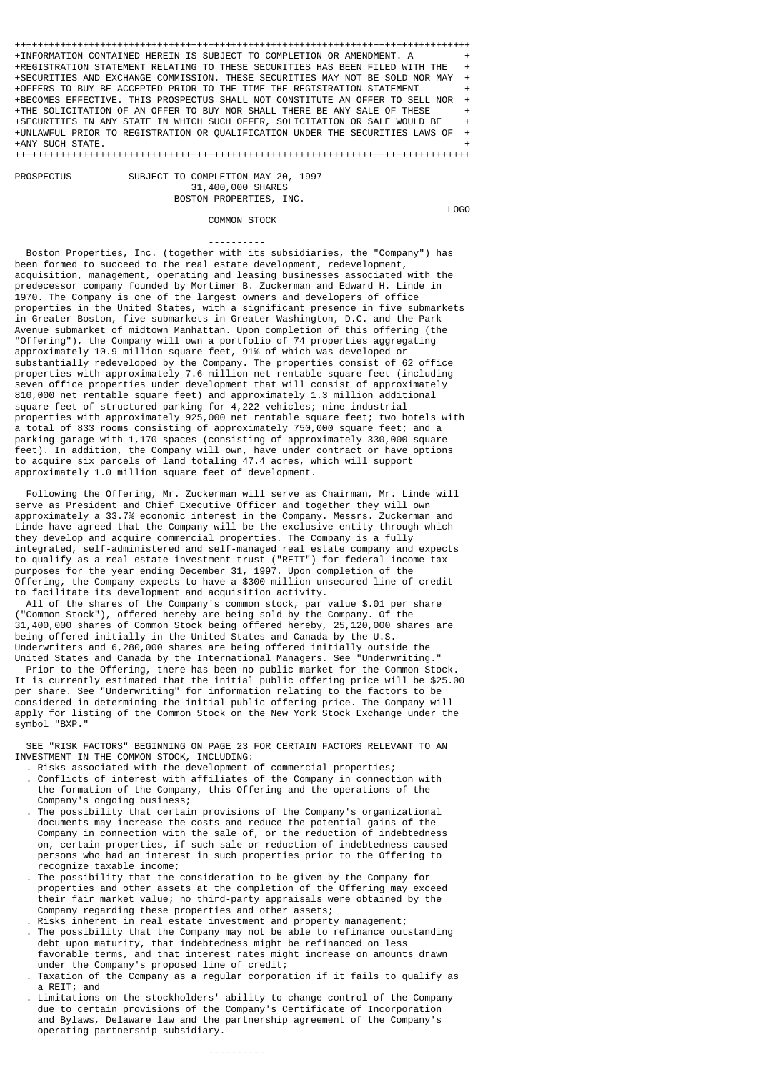++++++++++++++++++++++++++++++++++++++++++++++++++++++++++++++++++++++++++++++++ +INFORMATION CONTAINED HEREIN IS SUBJECT TO COMPLETION OR AMENDMENT. A + +REGISTRATION STATEMENT RELATING TO THESE SECURITIES HAS BEEN FILED WITH THE + +SECURITIES AND EXCHANGE COMMISSION. THESE SECURITIES MAY NOT BE SOLD NOR MAY + +OFFERS TO BUY BE ACCEPTED PRIOR TO THE TIME THE REGISTRATION STATEMENT + +BECOMES EFFECTIVE. THIS PROSPECTUS SHALL NOT CONSTITUTE AN OFFER TO SELL NOR + +THE SOLICITATION OF AN OFFER TO BUY NOR SHALL THERE BE ANY SALE OF THESE + +SECURITIES IN ANY STATE IN WHICH SUCH OFFER, SOLICITATION OR SALE WOULD BE + +UNLAWFUL PRIOR TO REGISTRATION OR QUALIFICATION UNDER THE SECURITIES LAWS OF + +ANY SUCH STATE. + ++++++++++++++++++++++++++++++++++++++++++++++++++++++++++++++++++++++++++++++++

> SUBJECT TO COMPLETION MAY 20, 1997 31,400,000 SHARES BOSTON PROPERTIES, INC.

**PROSPECTUS** 

COMMON STOCK

LOGO

 ---------- Boston Properties, Inc. (together with its subsidiaries, the "Company") has been formed to succeed to the real estate development, redevelopment, acquisition, management, operating and leasing businesses associated with the predecessor company founded by Mortimer B. Zuckerman and Edward H. Linde in 1970. The Company is one of the largest owners and developers of office properties in the United States, with a significant presence in five submarkets in Greater Boston, five submarkets in Greater Washington, D.C. and the Park Avenue submarket of midtown Manhattan. Upon completion of this offering (the "Offering"), the Company will own a portfolio of 74 properties aggregating approximately 10.9 million square feet, 91% of which was developed or substantially redeveloped by the Company. The properties consist of 62 office properties with approximately 7.6 million net rentable square feet (including seven office properties under development that will consist of approximately 810,000 net rentable square feet) and approximately 1.3 million additional square feet of structured parking for 4,222 vehicles; nine industrial properties with approximately 925,000 net rentable square feet; two hotels with a total of 833 rooms consisting of approximately 750,000 square feet; and a parking garage with 1,170 spaces (consisting of approximately 330,000 square feet). In addition, the Company will own, have under contract or have options to acquire six parcels of land totaling 47.4 acres, which will support approximately 1.0 million square feet of development.

 Following the Offering, Mr. Zuckerman will serve as Chairman, Mr. Linde will serve as President and Chief Executive Officer and together they will own approximately a 33.7% economic interest in the Company. Messrs. Zuckerman and Linde have agreed that the Company will be the exclusive entity through which they develop and acquire commercial properties. The Company is a fully integrated, self-administered and self-managed real estate company and expects to qualify as a real estate investment trust ("REIT") for federal income tax purposes for the year ending December 31, 1997. Upon completion of the Offering, the Company expects to have a \$300 million unsecured line of credit to facilitate its development and acquisition activity.

 All of the shares of the Company's common stock, par value \$.01 per share ("Common Stock"), offered hereby are being sold by the Company. Of the 31,400,000 shares of Common Stock being offered hereby, 25,120,000 shares are being offered initially in the United States and Canada by the U.S. Underwriters and 6,280,000 shares are being offered initially outside the United States and Canada by the International Managers. See "Underwriting."

 Prior to the Offering, there has been no public market for the Common Stock. It is currently estimated that the initial public offering price will be \$25.00 per share. See "Underwriting" for information relating to the factors to be considered in determining the initial public offering price. The Company will apply for listing of the Common Stock on the New York Stock Exchange under the symbol "BXP."

 SEE "RISK FACTORS" BEGINNING ON PAGE 23 FOR CERTAIN FACTORS RELEVANT TO AN INVESTMENT IN THE COMMON STOCK, INCLUDING:

- . Risks associated with the development of commercial properties; . Conflicts of interest with affiliates of the Company in connection with the formation of the Company, this Offering and the operations of the Company's ongoing business;
- . The possibility that certain provisions of the Company's organizational documents may increase the costs and reduce the potential gains of the Company in connection with the sale of, or the reduction of indebtedness on, certain properties, if such sale or reduction of indebtedness caused persons who had an interest in such properties prior to the Offering to recognize taxable income;
	- . The possibility that the consideration to be given by the Company for properties and other assets at the completion of the Offering may exceed their fair market value; no third-party appraisals were obtained by the Company regarding these properties and other assets;
	- Risks inherent in real estate investment and property management;
	- . The possibility that the Company may not be able to refinance outstanding debt upon maturity, that indebtedness might be refinanced on less favorable terms, and that interest rates might increase on amounts drawn under the Company's proposed line of credit;
	- . Taxation of the Company as a regular corporation if it fails to qualify as a REIT; and
- . Limitations on the stockholders' ability to change control of the Company due to certain provisions of the Company's Certificate of Incorporation and Bylaws, Delaware law and the partnership agreement of the Company's operating partnership subsidiary.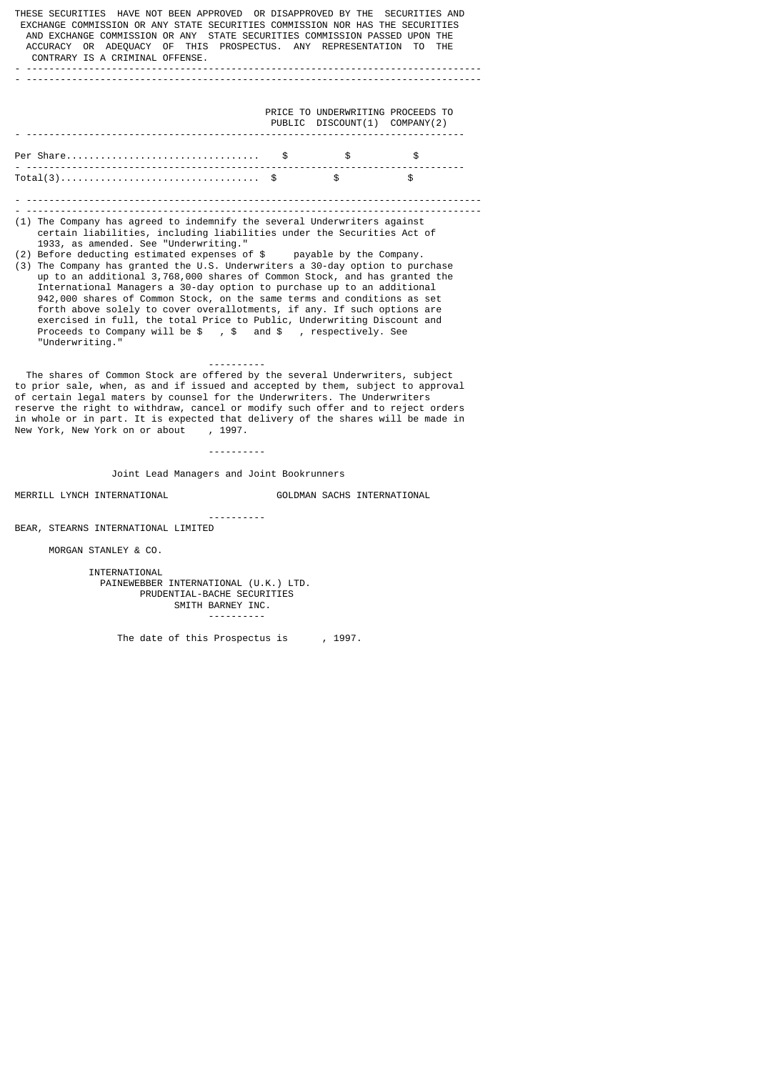THESE SECURITIES HAVE NOT BEEN APPROVED OR DISAPPROVED BY THE SECURITIES AND EXCHANGE COMMISSION OR ANY STATE SECURITIES COMMISSION NOR HAS THE SECURITIES AND EXCHANGE COMMISSION OR ANY STATE SECURITIES COMMISSION PASSED UPON THE ACCURACY OR ADEQUACY OF THIS PROSPECTUS. ANY REPRESENTATION TO THE CONTRARY IS A CRIMINAL OFFENSE. - -------------------------------------------------------------------------------- - -------------------------------------------------------------------------------- PRICE TO UNDERWRITING PROCEEDS TO PUBLIC DISCOUNT(1) COMPANY(2) - ----------------------------------------------------------------------------- Per Share.................................. \$ \$ \$ - ----------------------------------------------------------------------------- Total(3)................................... \$ \$ \$ - -------------------------------------------------------------------------------- - -------------------------------------------------------------------------------- (1) The Company has agreed to indemnify the several Underwriters against certain liabilities, including liabilities under the Securities Act of 1933, as amended. See "Underwriting." (2) Before deducting estimated expenses of \$ payable by the Company. (3) The Company has granted the U.S. Underwriters a 30-day option to purchase up to an additional 3,768,000 shares of Common Stock, and has granted the International Managers a 30-day option to purchase up to an additional 942,000 shares of Common Stock, on the same terms and conditions as set forth above solely to cover overallotments, if any. If such options are exercised in full, the total Price to Public, Underwriting Discount and Proceeds to Company will be \$, \$ and \$, respectively. See "Underwriting." ---------- The shares of Common Stock are offered by the several Underwriters, subject to prior sale, when, as and if issued and accepted by them, subject to approval of certain legal maters by counsel for the Underwriters. The Underwriters reserve the right to withdraw, cancel or modify such offer and to reject orders in whole or in part. It is expected that delivery of the shares will be made in New York, New York on or about , 1997. New York, New York on or about ---------- Joint Lead Managers and Joint Bookrunners MERRILL LYNCH INTERNATIONAL GOLDMAN SACHS INTERNATIONAL ---------- BEAR, STEARNS INTERNATIONAL LIMITED

MORGAN STANLEY & CO.

 INTERNATIONAL PAINEWEBBER INTERNATIONAL (U.K.) LTD. PRUDENTIAL-BACHE SECURITIES SMITH BARNEY INC. ----------

The date of this Prospectus is , 1997.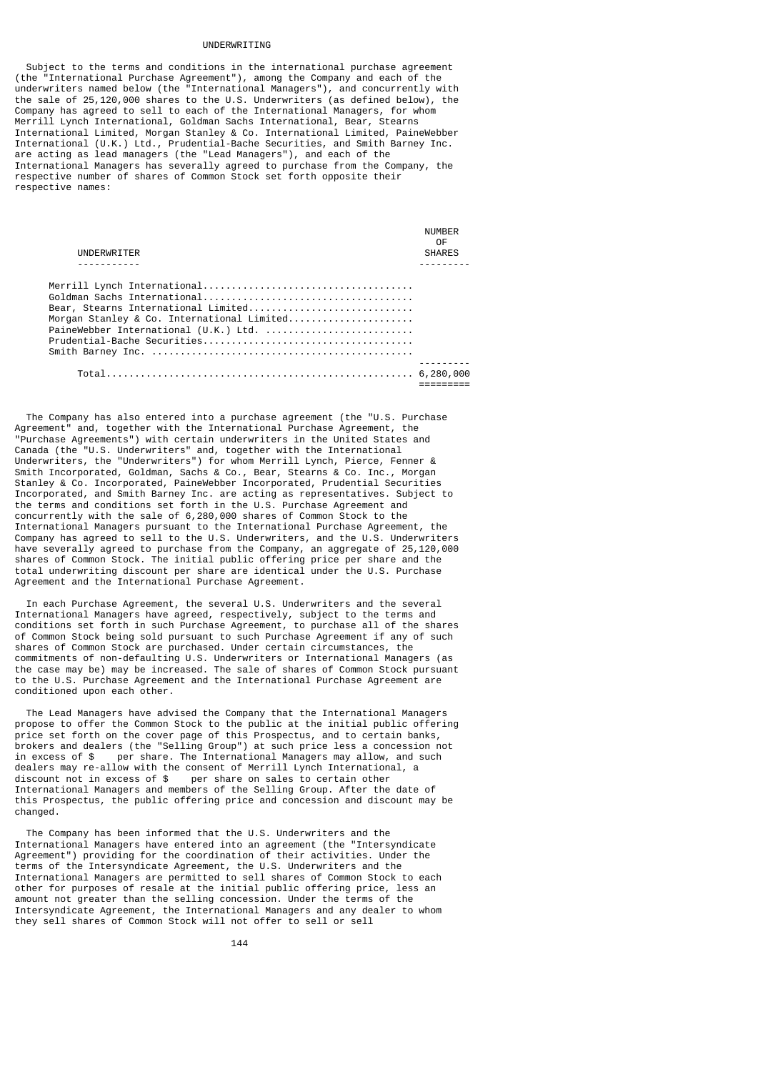#### UNDERWRITING

 Subject to the terms and conditions in the international purchase agreement (the "International Purchase Agreement"), among the Company and each of the underwriters named below (the "International Managers"), and concurrently with the sale of 25,120,000 shares to the U.S. Underwriters (as defined below), the Company has agreed to sell to each of the International Managers, for whom Merrill Lynch International, Goldman Sachs International, Bear, Stearns International Limited, Morgan Stanley & Co. International Limited, PaineWebber International (U.K.) Ltd., Prudential-Bache Securities, and Smith Barney Inc. are acting as lead managers (the "Lead Managers"), and each of the International Managers has severally agreed to purchase from the Company, the respective number of shares of Common Stock set forth opposite their respective names:

| UNDERWRITER                                                                                                                | NUMBER<br>0F<br><b>SHARES</b> |
|----------------------------------------------------------------------------------------------------------------------------|-------------------------------|
|                                                                                                                            |                               |
| Bear, Stearns International Limited<br>Morgan Stanley & Co. International Limited<br>PaineWebber International (U.K.) Ltd. |                               |
|                                                                                                                            |                               |

 The Company has also entered into a purchase agreement (the "U.S. Purchase Agreement" and, together with the International Purchase Agreement, the "Purchase Agreements") with certain underwriters in the United States and Canada (the "U.S. Underwriters" and, together with the International Underwriters, the "Underwriters") for whom Merrill Lynch, Pierce, Fenner & Smith Incorporated, Goldman, Sachs & Co., Bear, Stearns & Co. Inc., Morgan Stanley & Co. Incorporated, PaineWebber Incorporated, Prudential Securities Incorporated, and Smith Barney Inc. are acting as representatives. Subject to the terms and conditions set forth in the U.S. Purchase Agreement and concurrently with the sale of 6,280,000 shares of Common Stock to the International Managers pursuant to the International Purchase Agreement, the Company has agreed to sell to the U.S. Underwriters, and the U.S. Underwriters have severally agreed to purchase from the Company, an aggregate of 25,120,000 shares of Common Stock. The initial public offering price per share and the total underwriting discount per share are identical under the U.S. Purchase Agreement and the International Purchase Agreement.

 In each Purchase Agreement, the several U.S. Underwriters and the several International Managers have agreed, respectively, subject to the terms and conditions set forth in such Purchase Agreement, to purchase all of the shares of Common Stock being sold pursuant to such Purchase Agreement if any of such shares of Common Stock are purchased. Under certain circumstances, the commitments of non-defaulting U.S. Underwriters or International Managers (as the case may be) may be increased. The sale of shares of Common Stock pursuant to the U.S. Purchase Agreement and the International Purchase Agreement are conditioned upon each other.

 The Lead Managers have advised the Company that the International Managers propose to offer the Common Stock to the public at the initial public offering price set forth on the cover page of this Prospectus, and to certain banks, brokers and dealers (the "Selling Group") at such price less a concession not in excess of \$ per share. The International Managers may allow, and such dealers may re-allow with the consent of Merrill Lynch International, a discount not in excess of  $\$\$  per share on sales to certain other per share on sales to certain other International Managers and members of the Selling Group. After the date of this Prospectus, the public offering price and concession and discount may be changed.

 The Company has been informed that the U.S. Underwriters and the International Managers have entered into an agreement (the "Intersyndicate Agreement") providing for the coordination of their activities. Under the terms of the Intersyndicate Agreement, the U.S. Underwriters and the International Managers are permitted to sell shares of Common Stock to each other for purposes of resale at the initial public offering price, less an amount not greater than the selling concession. Under the terms of the Intersyndicate Agreement, the International Managers and any dealer to whom they sell shares of Common Stock will not offer to sell or sell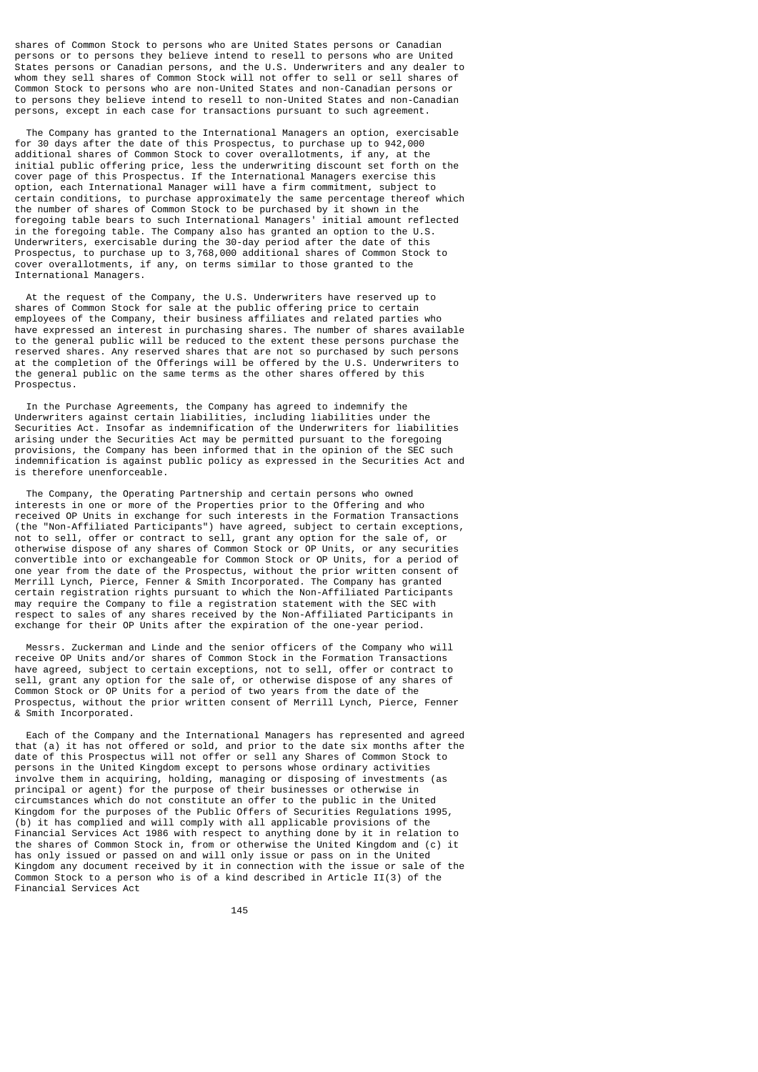shares of Common Stock to persons who are United States persons or Canadian persons or to persons they believe intend to resell to persons who are United States persons or Canadian persons, and the U.S. Underwriters and any dealer to whom they sell shares of Common Stock will not offer to sell or sell shares of Common Stock to persons who are non-United States and non-Canadian persons or to persons they believe intend to resell to non-United States and non-Canadian persons, except in each case for transactions pursuant to such agreement.

 The Company has granted to the International Managers an option, exercisable for 30 days after the date of this Prospectus, to purchase up to 942,000 additional shares of Common Stock to cover overallotments, if any, at the initial public offering price, less the underwriting discount set forth on the cover page of this Prospectus. If the International Managers exercise this option, each International Manager will have a firm commitment, subject to certain conditions, to purchase approximately the same percentage thereof which the number of shares of Common Stock to be purchased by it shown in the foregoing table bears to such International Managers' initial amount reflected in the foregoing table. The Company also has granted an option to the U.S. Underwriters, exercisable during the 30-day period after the date of this Prospectus, to purchase up to 3,768,000 additional shares of Common Stock to cover overallotments, if any, on terms similar to those granted to the International Managers.

 At the request of the Company, the U.S. Underwriters have reserved up to shares of Common Stock for sale at the public offering price to certain employees of the Company, their business affiliates and related parties who have expressed an interest in purchasing shares. The number of shares available to the general public will be reduced to the extent these persons purchase the reserved shares. Any reserved shares that are not so purchased by such persons at the completion of the Offerings will be offered by the U.S. Underwriters to the general public on the same terms as the other shares offered by this Prospectus.

 In the Purchase Agreements, the Company has agreed to indemnify the Underwriters against certain liabilities, including liabilities under the Securities Act. Insofar as indemnification of the Underwriters for liabilities arising under the Securities Act may be permitted pursuant to the foregoing provisions, the Company has been informed that in the opinion of the SEC such indemnification is against public policy as expressed in the Securities Act and is therefore unenforceable.

 The Company, the Operating Partnership and certain persons who owned interests in one or more of the Properties prior to the Offering and who received OP Units in exchange for such interests in the Formation Transactions (the "Non-Affiliated Participants") have agreed, subject to certain exceptions, not to sell, offer or contract to sell, grant any option for the sale of, or otherwise dispose of any shares of Common Stock or OP Units, or any securities convertible into or exchangeable for Common Stock or OP Units, for a period of one year from the date of the Prospectus, without the prior written consent of Merrill Lynch, Pierce, Fenner & Smith Incorporated. The Company has granted certain registration rights pursuant to which the Non-Affiliated Participants may require the Company to file a registration statement with the SEC with respect to sales of any shares received by the Non-Affiliated Participants in exchange for their OP Units after the expiration of the one-year period.

 Messrs. Zuckerman and Linde and the senior officers of the Company who will receive OP Units and/or shares of Common Stock in the Formation Transactions have agreed, subject to certain exceptions, not to sell, offer or contract to sell, grant any option for the sale of, or otherwise dispose of any shares of Common Stock or OP Units for a period of two years from the date of the Prospectus, without the prior written consent of Merrill Lynch, Pierce, Fenner & Smith Incorporated.

 Each of the Company and the International Managers has represented and agreed that (a) it has not offered or sold, and prior to the date six months after the date of this Prospectus will not offer or sell any Shares of Common Stock to persons in the United Kingdom except to persons whose ordinary activities involve them in acquiring, holding, managing or disposing of investments (as principal or agent) for the purpose of their businesses or otherwise in circumstances which do not constitute an offer to the public in the United Kingdom for the purposes of the Public Offers of Securities Regulations 1995, (b) it has complied and will comply with all applicable provisions of the Financial Services Act 1986 with respect to anything done by it in relation to the shares of Common Stock in, from or otherwise the United Kingdom and (c) it has only issued or passed on and will only issue or pass on in the United Kingdom any document received by it in connection with the issue or sale of the Common Stock to a person who is of a kind described in Article II(3) of the Financial Services Act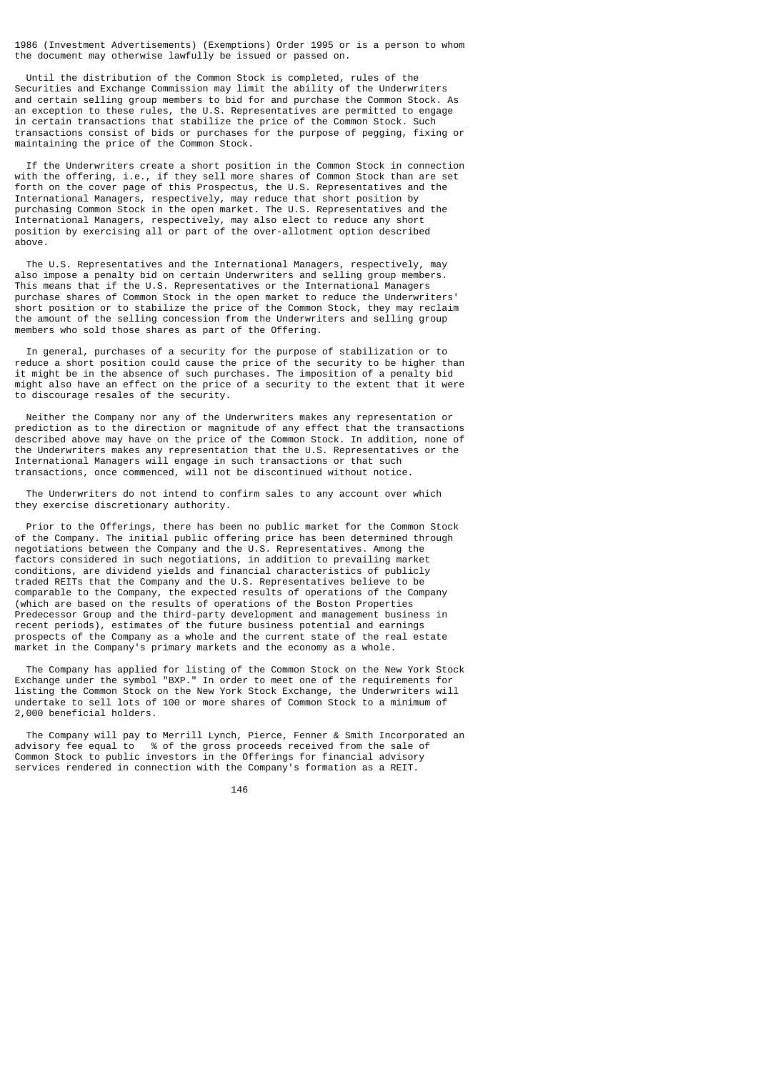1986 (Investment Advertisements) (Exemptions) Order 1995 or is a person to whom the document may otherwise lawfully be issued or passed on.

 Until the distribution of the Common Stock is completed, rules of the Securities and Exchange Commission may limit the ability of the Underwriters and certain selling group members to bid for and purchase the Common Stock. As an exception to these rules, the U.S. Representatives are permitted to engage in certain transactions that stabilize the price of the Common Stock. Such transactions consist of bids or purchases for the purpose of pegging, fixing or maintaining the price of the Common Stock.

 If the Underwriters create a short position in the Common Stock in connection with the offering, i.e., if they sell more shares of Common Stock than are set forth on the cover page of this Prospectus, the U.S. Representatives and the International Managers, respectively, may reduce that short position by purchasing Common Stock in the open market. The U.S. Representatives and the International Managers, respectively, may also elect to reduce any short position by exercising all or part of the over-allotment option described above.

 The U.S. Representatives and the International Managers, respectively, may also impose a penalty bid on certain Underwriters and selling group members. This means that if the U.S. Representatives or the International Managers purchase shares of Common Stock in the open market to reduce the Underwriters' short position or to stabilize the price of the Common Stock, they may reclaim the amount of the selling concession from the Underwriters and selling group members who sold those shares as part of the Offering.

 In general, purchases of a security for the purpose of stabilization or to reduce a short position could cause the price of the security to be higher than it might be in the absence of such purchases. The imposition of a penalty bid might also have an effect on the price of a security to the extent that it were to discourage resales of the security.

 Neither the Company nor any of the Underwriters makes any representation or prediction as to the direction or magnitude of any effect that the transactions described above may have on the price of the Common Stock. In addition, none of the Underwriters makes any representation that the U.S. Representatives or the International Managers will engage in such transactions or that such transactions, once commenced, will not be discontinued without notice.

 The Underwriters do not intend to confirm sales to any account over which they exercise discretionary authority.

 Prior to the Offerings, there has been no public market for the Common Stock of the Company. The initial public offering price has been determined through negotiations between the Company and the U.S. Representatives. Among the factors considered in such negotiations, in addition to prevailing market conditions, are dividend yields and financial characteristics of publicly traded REITs that the Company and the U.S. Representatives believe to be comparable to the Company, the expected results of operations of the Company (which are based on the results of operations of the Boston Properties Predecessor Group and the third-party development and management business in recent periods), estimates of the future business potential and earnings prospects of the Company as a whole and the current state of the real estate market in the Company's primary markets and the economy as a whole.

 The Company has applied for listing of the Common Stock on the New York Stock Exchange under the symbol "BXP." In order to meet one of the requirements for listing the Common Stock on the New York Stock Exchange, the Underwriters will undertake to sell lots of 100 or more shares of Common Stock to a minimum of 2,000 beneficial holders.

 The Company will pay to Merrill Lynch, Pierce, Fenner & Smith Incorporated an advisory fee equal to % of the gross proceeds received from the sale of Common Stock to public investors in the Offerings for financial advisory services rendered in connection with the Company's formation as a REIT.

<u>146 میں اس کا اعتبار اور اس کا اعتبار اور اس کا اعتبار اور اس کا اعتبار اور اس کا اعتبار اور اس کا اعتبار اور ا</u>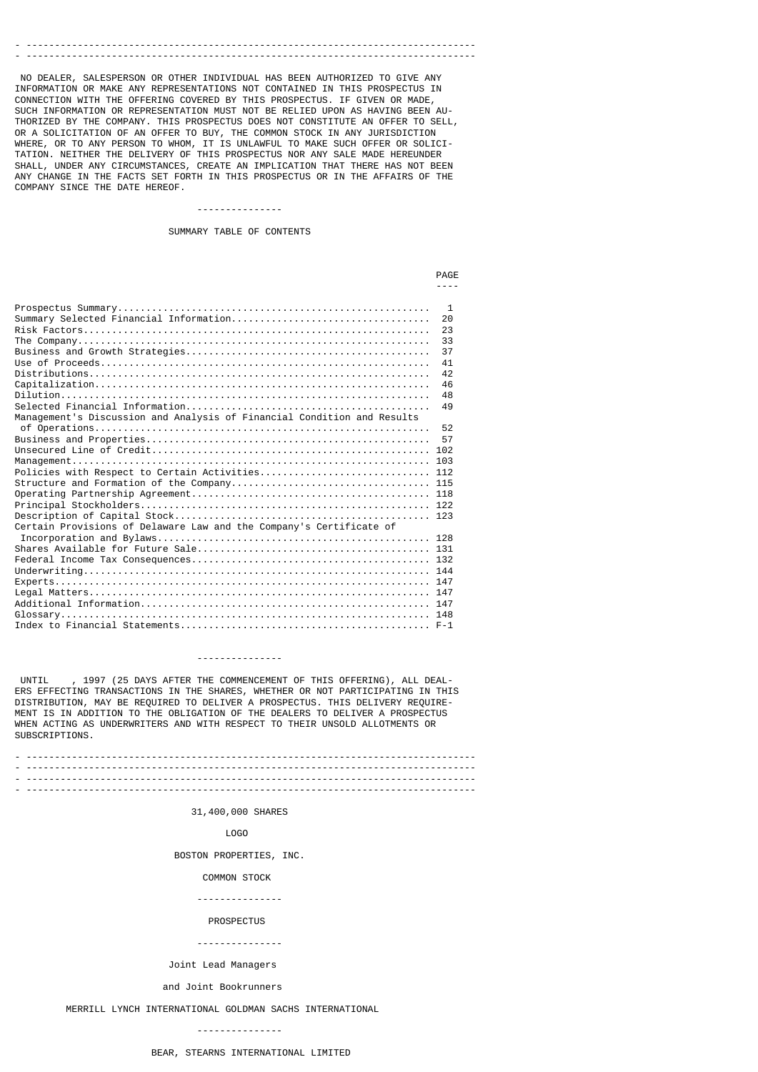# - -------------------------------------------------------------------------------

 NO DEALER, SALESPERSON OR OTHER INDIVIDUAL HAS BEEN AUTHORIZED TO GIVE ANY INFORMATION OR MAKE ANY REPRESENTATIONS NOT CONTAINED IN THIS PROSPECTUS IN CONNECTION WITH THE OFFERING COVERED BY THIS PROSPECTUS. IF GIVEN OR MADE, SUCH INFORMATION OR REPRESENTATION MUST NOT BE RELIED UPON AS HAVING BEEN AU-THORIZED BY THE COMPANY. THIS PROSPECTUS DOES NOT CONSTITUTE AN OFFER TO SELL, OR A SOLICITATION OF AN OFFER TO BUY, THE COMMON STOCK IN ANY JURISDICTION WHERE, OR TO ANY PERSON TO WHOM, IT IS UNLAWFUL TO MAKE SUCH OFFER OR SOLICI-TATION. NEITHER THE DELIVERY OF THIS PROSPECTUS NOR ANY SALE MADE HEREUNDER SHALL, UNDER ANY CIRCUMSTANCES, CREATE AN IMPLICATION THAT THERE HAS NOT BEEN ANY CHANGE IN THE FACTS SET FORTH IN THIS PROSPECTUS OR IN THE AFFAIRS OF THE COMPANY SINCE THE DATE HEREOF.

#### ---------------

SUMMARY TABLE OF CONTENTS

|                                                                         | <b>PAGF</b>                                                          |
|-------------------------------------------------------------------------|----------------------------------------------------------------------|
|                                                                         |                                                                      |
| Management's Discussion and Analysis of Financial Condition and Results | -1<br>20<br>23<br>33<br>37<br>41<br>42<br>46<br>48<br>49<br>52<br>57 |
| Policies with Respect to Certain Activities 112                         |                                                                      |
|                                                                         |                                                                      |
|                                                                         |                                                                      |
| Certain Provisions of Delaware Law and the Company's Certificate of     |                                                                      |
|                                                                         |                                                                      |

#### ---------------

 UNTIL , 1997 (25 DAYS AFTER THE COMMENCEMENT OF THIS OFFERING), ALL DEAL-ERS EFFECTING TRANSACTIONS IN THE SHARES, WHETHER OR NOT PARTICIPATING IN THIS DISTRIBUTION, MAY BE REQUIRED TO DELIVER A PROSPECTUS. THIS DELIVERY REQUIRE-MENT IS IN ADDITION TO THE OBLIGATION OF THE DEALERS TO DELIVER A PROSPECTUS WHEN ACTING AS UNDERWRITERS AND WITH RESPECT TO THEIR UNSOLD ALLOTMENTS OR SUBSCRIPTIONS.

- ------------------------------------------------------------------------------- - ------------------------------------------------------------------------------- - ------------------------------------------------------------------------------- - -------------------------------------------------------------------------------

### 31,400,000 SHARES

#### LOGO

BOSTON PROPERTIES, INC.

#### COMMON STOCK

---------------

#### **PROSPECTUS**

---------------

Joint Lead Managers

### and Joint Bookrunners

MERRILL LYNCH INTERNATIONAL GOLDMAN SACHS INTERNATIONAL

### ---------------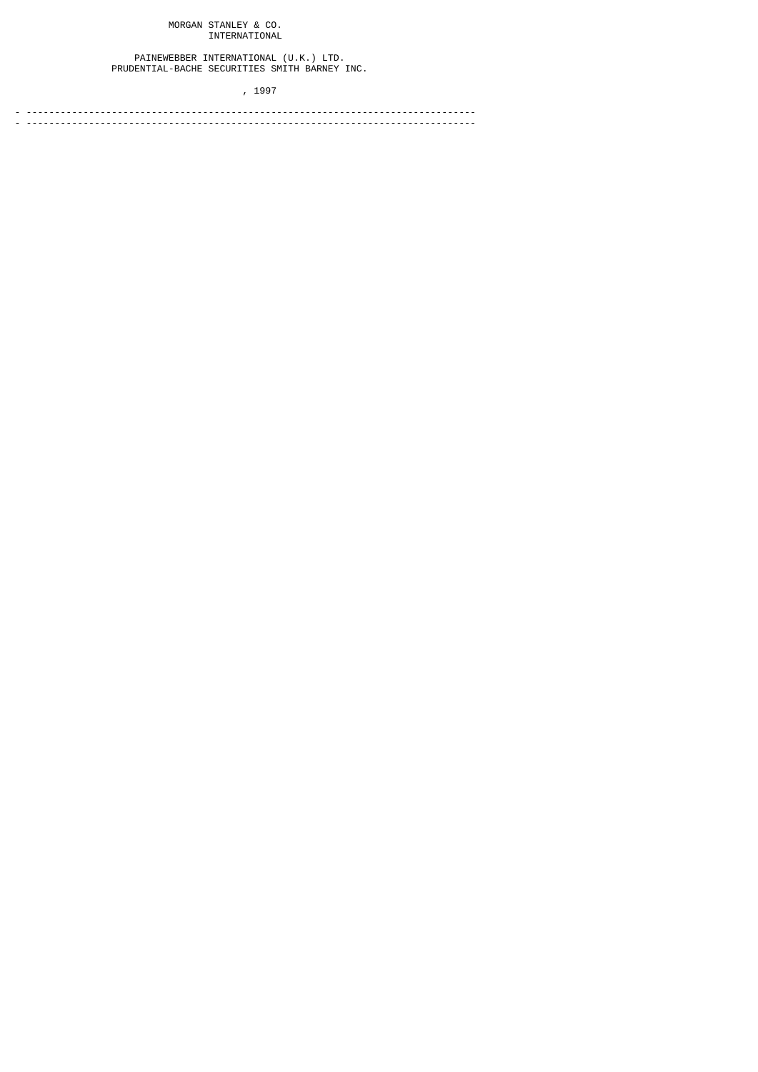## MORGAN STANLEY & CO. INTERNATIONAL

 PAINEWEBBER INTERNATIONAL (U.K.) LTD. PRUDENTIAL-BACHE SECURITIES SMITH BARNEY INC.

, 1997

- ------------------------------------------------------------------------------- - -------------------------------------------------------------------------------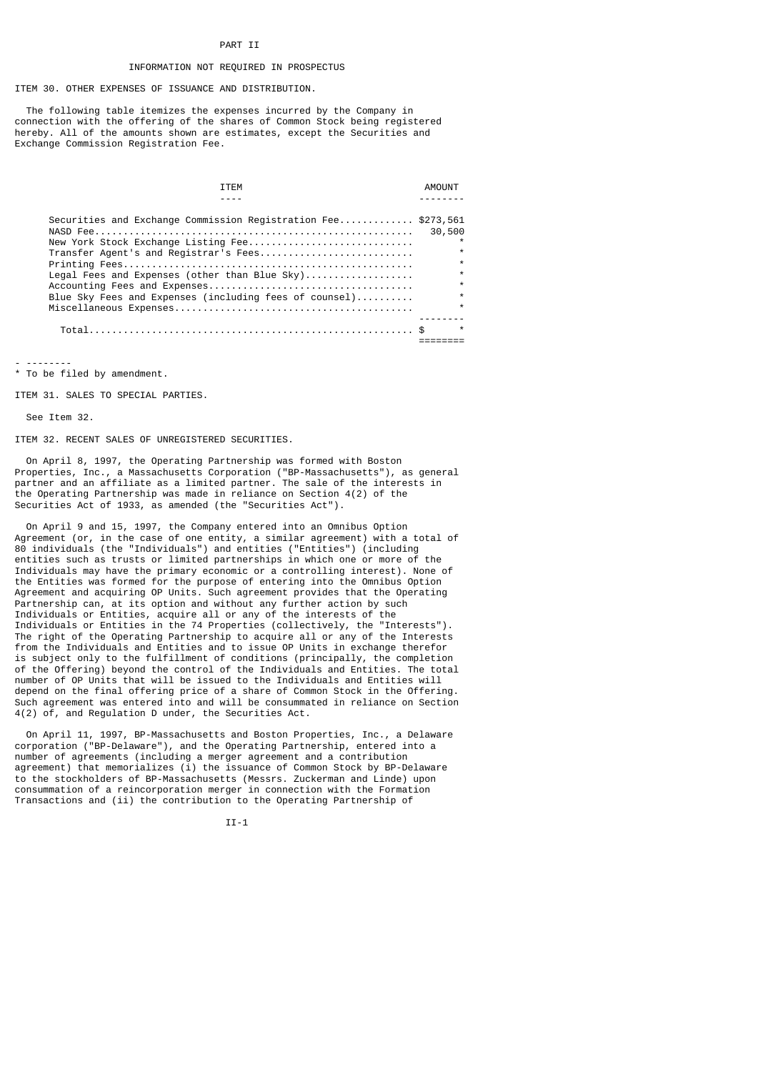#### PART II

### INFORMATION NOT REQUIRED IN PROSPECTUS

ITEM 30. OTHER EXPENSES OF ISSUANCE AND DISTRIBUTION.

 The following table itemizes the expenses incurred by the Company in connection with the offering of the shares of Common Stock being registered hereby. All of the amounts shown are estimates, except the Securities and Exchange Commission Registration Fee.

| TTFM                                                                                                                                          |                                                     |
|-----------------------------------------------------------------------------------------------------------------------------------------------|-----------------------------------------------------|
|                                                                                                                                               |                                                     |
| Securities and Exchange Commission Registration Fee \$273,561<br>New York Stock Exchange Listing Fee<br>Transfer Agent's and Registrar's Fees | 30,500<br>$\star$                                   |
| Legal Fees and Expenses (other than Blue $Sky)$<br>Blue Sky Fees and Expenses (including fees of counsel)                                     | $\star$<br>$\star$<br>$\star$<br>$\star$<br>$\star$ |
|                                                                                                                                               | $\star$                                             |

- -------- \* To be filed by amendment.

ITEM 31. SALES TO SPECIAL PARTIES.

See Item 32.

ITEM 32. RECENT SALES OF UNREGISTERED SECURITIES.

 On April 8, 1997, the Operating Partnership was formed with Boston Properties, Inc., a Massachusetts Corporation ("BP-Massachusetts"), as general partner and an affiliate as a limited partner. The sale of the interests in the Operating Partnership was made in reliance on Section 4(2) of the Securities Act of 1933, as amended (the "Securities Act").

 On April 9 and 15, 1997, the Company entered into an Omnibus Option Agreement (or, in the case of one entity, a similar agreement) with a total of 80 individuals (the "Individuals") and entities ("Entities") (including entities such as trusts or limited partnerships in which one or more of the Individuals may have the primary economic or a controlling interest). None of the Entities was formed for the purpose of entering into the Omnibus Option Agreement and acquiring OP Units. Such agreement provides that the Operating Partnership can, at its option and without any further action by such Individuals or Entities, acquire all or any of the interests of the Individuals or Entities in the 74 Properties (collectively, the "Interests"). The right of the Operating Partnership to acquire all or any of the Interests from the Individuals and Entities and to issue OP Units in exchange therefor is subject only to the fulfillment of conditions (principally, the completion of the Offering) beyond the control of the Individuals and Entities. The total number of OP Units that will be issued to the Individuals and Entities will depend on the final offering price of a share of Common Stock in the Offering. Such agreement was entered into and will be consummated in reliance on Section 4(2) of, and Regulation D under, the Securities Act.

 On April 11, 1997, BP-Massachusetts and Boston Properties, Inc., a Delaware corporation ("BP-Delaware"), and the Operating Partnership, entered into a number of agreements (including a merger agreement and a contribution agreement) that memorializes (i) the issuance of Common Stock by BP-Delaware to the stockholders of BP-Massachusetts (Messrs. Zuckerman and Linde) upon consummation of a reincorporation merger in connection with the Formation Transactions and (ii) the contribution to the Operating Partnership of

II-1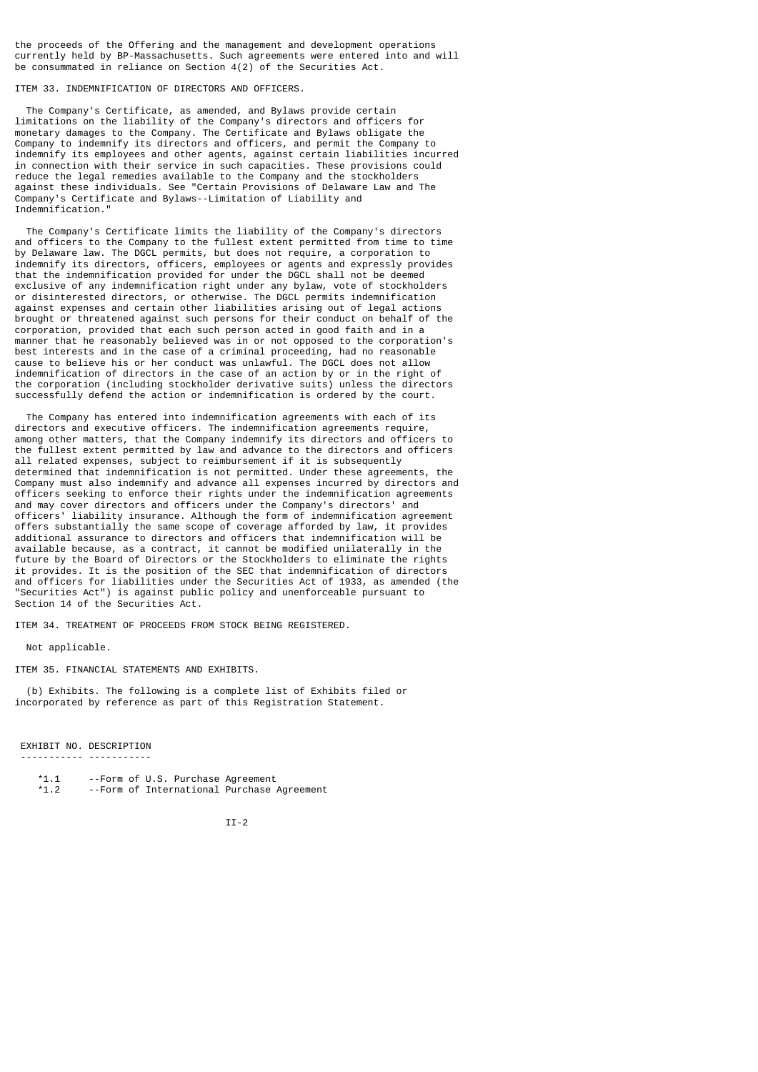the proceeds of the Offering and the management and development operations currently held by BP-Massachusetts. Such agreements were entered into and will be consummated in reliance on Section 4(2) of the Securities Act.

ITEM 33. INDEMNIFICATION OF DIRECTORS AND OFFICERS.

 The Company's Certificate, as amended, and Bylaws provide certain limitations on the liability of the Company's directors and officers for monetary damages to the Company. The Certificate and Bylaws obligate the Company to indemnify its directors and officers, and permit the Company to indemnify its employees and other agents, against certain liabilities incurred in connection with their service in such capacities. These provisions could reduce the legal remedies available to the Company and the stockholders against these individuals. See "Certain Provisions of Delaware Law and The Company's Certificate and Bylaws--Limitation of Liability and Indemnification."

 The Company's Certificate limits the liability of the Company's directors and officers to the Company to the fullest extent permitted from time to time by Delaware law. The DGCL permits, but does not require, a corporation to indemnify its directors, officers, employees or agents and expressly provides that the indemnification provided for under the DGCL shall not be deemed exclusive of any indemnification right under any bylaw, vote of stockholders or disinterested directors, or otherwise. The DGCL permits indemnification against expenses and certain other liabilities arising out of legal actions brought or threatened against such persons for their conduct on behalf of the corporation, provided that each such person acted in good faith and in a manner that he reasonably believed was in or not opposed to the corporation's best interests and in the case of a criminal proceeding, had no reasonable cause to believe his or her conduct was unlawful. The DGCL does not allow indemnification of directors in the case of an action by or in the right of the corporation (including stockholder derivative suits) unless the directors successfully defend the action or indemnification is ordered by the court.

 The Company has entered into indemnification agreements with each of its directors and executive officers. The indemnification agreements require, among other matters, that the Company indemnify its directors and officers to the fullest extent permitted by law and advance to the directors and officers all related expenses, subject to reimbursement if it is subsequently determined that indemnification is not permitted. Under these agreements, the Company must also indemnify and advance all expenses incurred by directors and officers seeking to enforce their rights under the indemnification agreements and may cover directors and officers under the Company's directors' and officers' liability insurance. Although the form of indemnification agreement offers substantially the same scope of coverage afforded by law, it provides additional assurance to directors and officers that indemnification will be available because, as a contract, it cannot be modified unilaterally in the future by the Board of Directors or the Stockholders to eliminate the rights it provides. It is the position of the SEC that indemnification of directors and officers for liabilities under the Securities Act of 1933, as amended (the "Securities Act") is against public policy and unenforceable pursuant to Section 14 of the Securities Act.

ITEM 34. TREATMENT OF PROCEEDS FROM STOCK BEING REGISTERED.

Not applicable.

ITEM 35. FINANCIAL STATEMENTS AND EXHIBITS.

 (b) Exhibits. The following is a complete list of Exhibits filed or incorporated by reference as part of this Registration Statement.

 EXHIBIT NO. DESCRIPTION ----------- -----------

- \*1.1 --Form of U.S. Purchase Agreement --Form of International Purchase Agreement
	-

II-2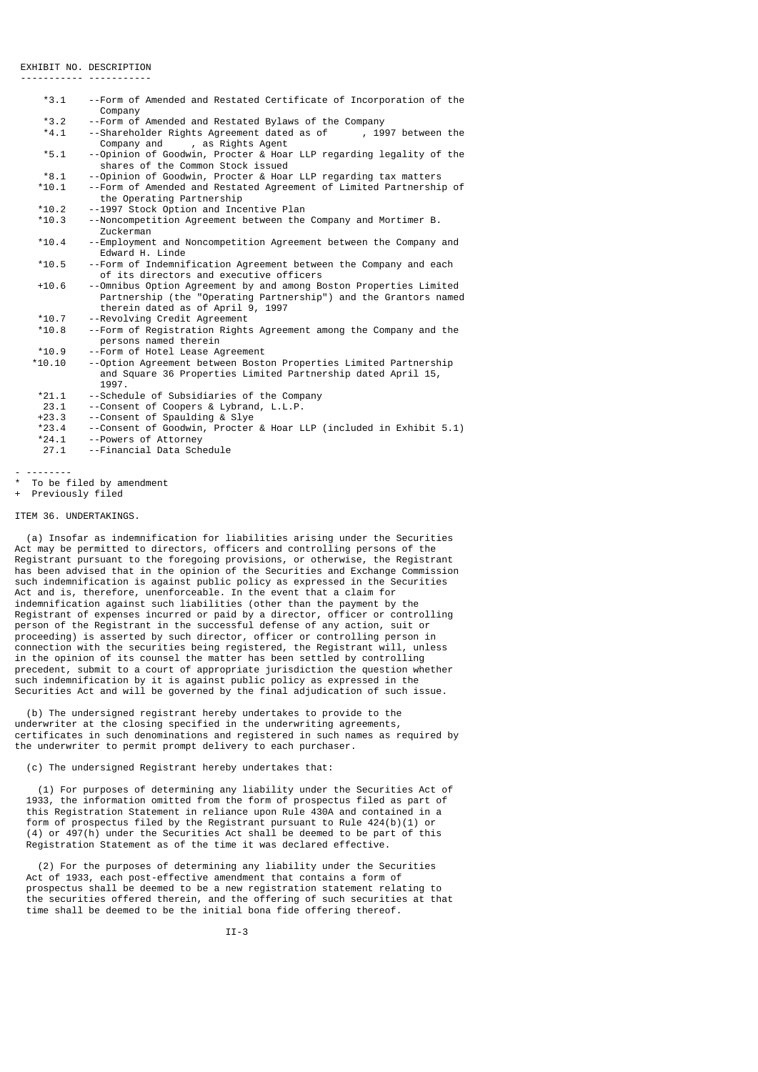### EXHIBIT NO. DESCRIPTION

----------- -----------

| $*3.1$   | --Form of Amended and Restated Certificate of Incorporation of the<br>Company                                                                                              |
|----------|----------------------------------------------------------------------------------------------------------------------------------------------------------------------------|
| $*3.2$   | --Form of Amended and Restated Bylaws of the Company                                                                                                                       |
| $*4.1$   | --Shareholder Rights Agreement dated as of<br>, 1997 between the<br>, as Rights Agent<br>Company and                                                                       |
| $*5.1$   | --Opinion of Goodwin, Procter & Hoar LLP regarding legality of the<br>shares of the Common Stock issued                                                                    |
| $*8.1$   | --Opinion of Goodwin, Procter & Hoar LLP regarding tax matters                                                                                                             |
| $*10.1$  | --Form of Amended and Restated Agreement of Limited Partnership of<br>the Operating Partnership                                                                            |
| $*10.2$  | --1997 Stock Option and Incentive Plan                                                                                                                                     |
| $*10.3$  | --Noncompetition Agreement between the Company and Mortimer B.<br>Zuckerman                                                                                                |
| $*10.4$  | --Employment and Noncompetition Agreement between the Company and<br>Edward H. Linde                                                                                       |
| $*10.5$  | --Form of Indemnification Agreement between the Company and each<br>of its directors and executive officers                                                                |
| $+10.6$  | --Omnibus Option Agreement by and among Boston Properties Limited<br>Partnership (the "Operating Partnership") and the Grantors named<br>therein dated as of April 9, 1997 |
| $*10.7$  | --Revolving Credit Agreement                                                                                                                                               |
| $*10.8$  | --Form of Registration Rights Agreement among the Company and the<br>persons named therein                                                                                 |
| $*10.9$  | --Form of Hotel Lease Agreement                                                                                                                                            |
| $*10.10$ | --Option Agreement between Boston Properties Limited Partnership<br>and Square 36 Properties Limited Partnership dated April 15,<br>1997.                                  |
| $*21.1$  | --Schedule of Subsidiaries of the Company                                                                                                                                  |
| 23.1     | --Consent of Coopers & Lybrand, L.L.P.                                                                                                                                     |
| $+23.3$  | --Consent of Spaulding & Slye                                                                                                                                              |
| $*23.4$  | --Consent of Goodwin, Procter & Hoar LLP (included in Exhibit 5.1)                                                                                                         |
| $*24.1$  | --Powers of Attorney                                                                                                                                                       |
| 27.1     | --Financial Data Schedule                                                                                                                                                  |

- --------

\* To be filed by amendment

+ Previously filed

### ITEM 36. UNDERTAKINGS.

 (a) Insofar as indemnification for liabilities arising under the Securities Act may be permitted to directors, officers and controlling persons of the Registrant pursuant to the foregoing provisions, or otherwise, the Registrant has been advised that in the opinion of the Securities and Exchange Commission such indemnification is against public policy as expressed in the Securities Act and is, therefore, unenforceable. In the event that a claim for indemnification against such liabilities (other than the payment by the Registrant of expenses incurred or paid by a director, officer or controlling person of the Registrant in the successful defense of any action, suit or proceeding) is asserted by such director, officer or controlling person in connection with the securities being registered, the Registrant will, unless in the opinion of its counsel the matter has been settled by controlling precedent, submit to a court of appropriate jurisdiction the question whether such indemnification by it is against public policy as expressed in the Securities Act and will be governed by the final adjudication of such issue.

 (b) The undersigned registrant hereby undertakes to provide to the underwriter at the closing specified in the underwriting agreements, certificates in such denominations and registered in such names as required by the underwriter to permit prompt delivery to each purchaser.

### (c) The undersigned Registrant hereby undertakes that:

 (1) For purposes of determining any liability under the Securities Act of 1933, the information omitted from the form of prospectus filed as part of this Registration Statement in reliance upon Rule 430A and contained in a form of prospectus filed by the Registrant pursuant to Rule 424(b)(1) or (4) or 497(h) under the Securities Act shall be deemed to be part of this Registration Statement as of the time it was declared effective.

 (2) For the purposes of determining any liability under the Securities Act of 1933, each post-effective amendment that contains a form of prospectus shall be deemed to be a new registration statement relating to the securities offered therein, and the offering of such securities at that time shall be deemed to be the initial bona fide offering thereof.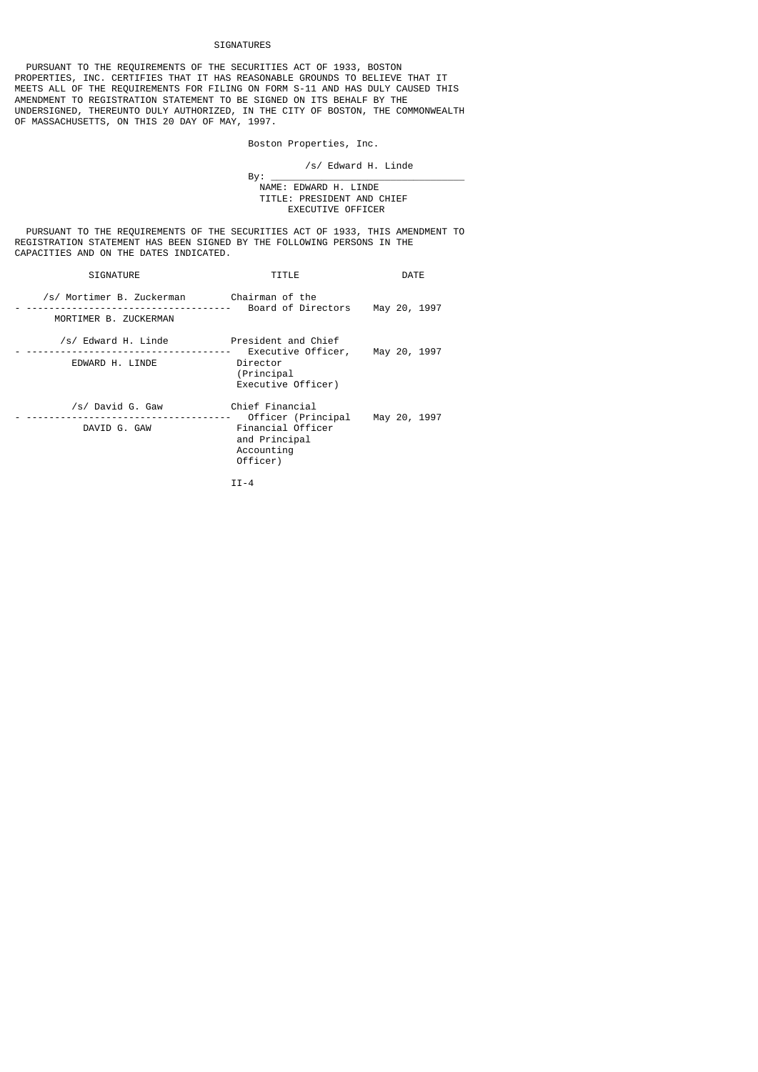## SIGNATURES

 PURSUANT TO THE REQUIREMENTS OF THE SECURITIES ACT OF 1933, BOSTON PROPERTIES, INC. CERTIFIES THAT IT HAS REASONABLE GROUNDS TO BELIEVE THAT IT MEETS ALL OF THE REQUIREMENTS FOR FILING ON FORM S-11 AND HAS DULY CAUSED THIS AMENDMENT TO REGISTRATION STATEMENT TO BE SIGNED ON ITS BEHALF BY THE UNDERSIGNED, THEREUNTO DULY AUTHORIZED, IN THE CITY OF BOSTON, THE COMMONWEALTH OF MASSACHUSETTS, ON THIS 20 DAY OF MAY, 1997.

Boston Properties, Inc.

/s/ Edward H. Linde

 By: \_\_\_\_\_\_\_\_\_\_\_\_\_\_\_\_\_\_\_\_\_\_\_\_\_\_\_\_\_\_\_\_\_\_ NAME: EDWARD H. LINDE TITLE: PRESIDENT AND CHIEF EXECUTIVE OFFICER

 PURSUANT TO THE REQUIREMENTS OF THE SECURITIES ACT OF 1933, THIS AMENDMENT TO REGISTRATION STATEMENT HAS BEEN SIGNED BY THE FOLLOWING PERSONS IN THE CAPACITIES AND ON THE DATES INDICATED.

| <b>SIGNATURE</b>                                                            | TITLE                                                                                                  | DATE         |
|-----------------------------------------------------------------------------|--------------------------------------------------------------------------------------------------------|--------------|
| /s/ Mortimer B. Zuckerman          Chairman of the<br>MORTIMER B. ZUCKERMAN | Board of Directors                                                                                     | May 20, 1997 |
| /s/ Edward H. Linde<br>EDWARD H. LINDE                                      | President and Chief<br>Executive Officer, May 20, 1997<br>Director<br>(Principal<br>Executive Officer) |              |
| /s/ David G. Gaw<br>DAVID G. GAW                                            | Chief Financial<br>Officer (Principal<br>Financial Officer<br>and Principal<br>Accounting<br>Officer)  | May 20, 1997 |
|                                                                             | $II - 4$                                                                                               |              |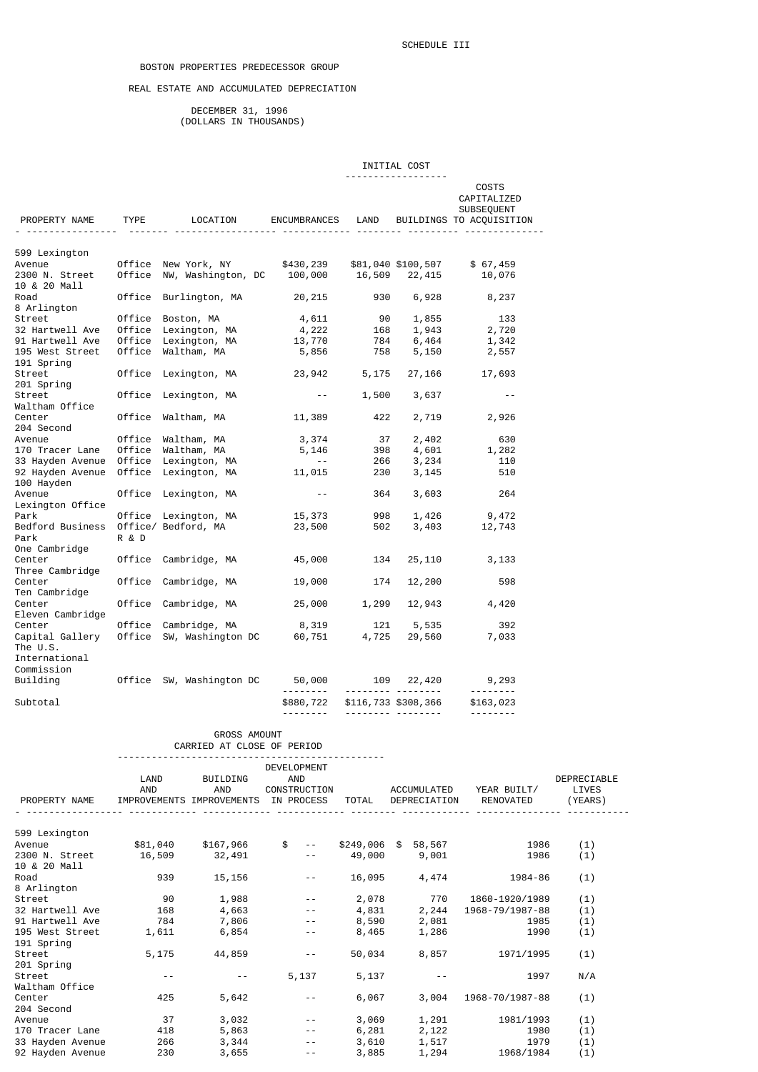## BOSTON PROPERTIES PREDECESSOR GROUP

## REAL ESTATE AND ACCUMULATED DEPRECIATION

 DECEMBER 31, 1996 (DOLLARS IN THOUSANDS)

|                                                                                                                                                                                                                                      |          |            |                                                                                         |                                                                                                 |                                 | INITIAL COST                    |                                                                |                  |
|--------------------------------------------------------------------------------------------------------------------------------------------------------------------------------------------------------------------------------------|----------|------------|-----------------------------------------------------------------------------------------|-------------------------------------------------------------------------------------------------|---------------------------------|---------------------------------|----------------------------------------------------------------|------------------|
| PROPERTY NAME TYPE LOCATION ENCUMBRANCES LAND                                                                                                                                                                                        |          |            |                                                                                         |                                                                                                 |                                 | <u>.</u>                        | COSTS<br>CAPITALIZED<br>SUBSEQUENT<br>BUILDINGS TO ACQUISITION |                  |
|                                                                                                                                                                                                                                      |          |            |                                                                                         |                                                                                                 |                                 |                                 |                                                                |                  |
| 599 Lexington                                                                                                                                                                                                                        |          |            |                                                                                         |                                                                                                 |                                 |                                 |                                                                |                  |
|                                                                                                                                                                                                                                      |          |            |                                                                                         |                                                                                                 |                                 |                                 |                                                                |                  |
|                                                                                                                                                                                                                                      |          |            |                                                                                         |                                                                                                 |                                 |                                 |                                                                |                  |
| 10 & 20 Mall<br>Road                                                                                                                                                                                                                 |          |            | Office Burlington, MA                                                                   | 20, 215                                                                                         | 930                             | 6,928                           | 8,237                                                          |                  |
| 8 Arlington                                                                                                                                                                                                                          |          |            |                                                                                         |                                                                                                 |                                 |                                 |                                                                |                  |
| Street Office Boston, MA 4,611 90 1,855 133<br>32 Hartwell Ave Office Lexington, MA 4,222 168 1,943 2,720<br>91 Hartwell Ave Office Lexington, MA 13,770 784 6,464 1,342<br>195 West Street Office Waltham, MA 5,856 758 5,150 2,557 |          |            |                                                                                         |                                                                                                 |                                 |                                 |                                                                |                  |
|                                                                                                                                                                                                                                      |          |            |                                                                                         |                                                                                                 |                                 |                                 |                                                                |                  |
|                                                                                                                                                                                                                                      |          |            |                                                                                         |                                                                                                 |                                 |                                 |                                                                |                  |
| 191 Spring                                                                                                                                                                                                                           |          |            |                                                                                         |                                                                                                 |                                 |                                 |                                                                |                  |
| Street<br>201 Spring                                                                                                                                                                                                                 |          |            | Office Lexington, MA 23,942 5,175                                                       |                                                                                                 |                                 |                                 | 27,166 17,693                                                  |                  |
| Street                                                                                                                                                                                                                               |          |            | Office Lexington, MA                                                                    | $\mathcal{L}^{\mathcal{L}}$ , and $\mathcal{L}^{\mathcal{L}}$ , and $\mathcal{L}^{\mathcal{L}}$ |                                 | 1,500 3,637                     | $ -$                                                           |                  |
| Waltham Office                                                                                                                                                                                                                       |          |            |                                                                                         |                                                                                                 |                                 |                                 |                                                                |                  |
| Center<br>204 Second                                                                                                                                                                                                                 |          |            | Office Waltham, MA                                                                      | 11,389 422 2,719 2,926                                                                          |                                 |                                 |                                                                |                  |
|                                                                                                                                                                                                                                      |          |            | office Waltham, MA                                                                      |                                                                                                 |                                 |                                 |                                                                |                  |
|                                                                                                                                                                                                                                      |          |            |                                                                                         |                                                                                                 |                                 |                                 | 2, 402 630<br>4, 601 1, 282<br>3, 234 110                      |                  |
|                                                                                                                                                                                                                                      |          |            |                                                                                         |                                                                                                 |                                 |                                 |                                                                |                  |
| 100 Hayden                                                                                                                                                                                                                           |          |            |                                                                                         |                                                                                                 |                                 | 3,145                           | 510                                                            |                  |
| Avenue                                                                                                                                                                                                                               |          |            | Office Lexington, MA                                                                    |                                                                                                 | <b>Contract Contract</b><br>364 | 3,603                           | 264                                                            |                  |
| Lexington Office                                                                                                                                                                                                                     |          |            |                                                                                         |                                                                                                 |                                 |                                 |                                                                |                  |
| Park<br>Bedford Business Office/ Bedford, MA                                                                                                                                                                                         |          |            |                                                                                         | 23,500                                                                                          | 502                             |                                 | $3,403$ $12,743$                                               |                  |
| Park                                                                                                                                                                                                                                 | R & D    |            |                                                                                         |                                                                                                 |                                 |                                 |                                                                |                  |
| One Cambridge                                                                                                                                                                                                                        |          |            |                                                                                         |                                                                                                 |                                 |                                 |                                                                |                  |
| Center<br>Three Cambridge                                                                                                                                                                                                            |          |            | Office Cambridge, MA 45,000                                                             |                                                                                                 | 134                             |                                 | 25, 110 3, 133                                                 |                  |
| Center                                                                                                                                                                                                                               |          |            | Office Cambridge, MA                                                                    | 19,000                                                                                          | 174                             | 12,200                          | 598                                                            |                  |
| Ten Cambridge                                                                                                                                                                                                                        |          |            |                                                                                         |                                                                                                 |                                 |                                 |                                                                |                  |
| Center                                                                                                                                                                                                                               |          |            | Office Cambridge, MA                                                                    |                                                                                                 |                                 |                                 | 25,000 1,299 12,943 4,420                                      |                  |
| Eleven Cambridge<br>Center                                                                                                                                                                                                           |          |            | Office Cambridge, MA                                                                    | 8,319                                                                                           |                                 | 121 5,535                       | 392                                                            |                  |
| Capital Gallery                                                                                                                                                                                                                      |          |            | orrice campriage, MA                8,319<br>Office SW, Washington DC            60,751 |                                                                                                 | 4,725                           |                                 | $29,560$ 7,033                                                 |                  |
| The U.S.                                                                                                                                                                                                                             |          |            |                                                                                         |                                                                                                 |                                 |                                 |                                                                |                  |
| International<br>Commission                                                                                                                                                                                                          |          |            |                                                                                         |                                                                                                 |                                 |                                 |                                                                |                  |
| Building 0ffice SW, Washington DC 50,000 109 22,420 9,293                                                                                                                                                                            |          |            |                                                                                         |                                                                                                 |                                 |                                 |                                                                |                  |
|                                                                                                                                                                                                                                      |          |            |                                                                                         | <u>.</u> .                                                                                      |                                 | . <b>.</b>                      | <u> - - - - - - - -</u>                                        |                  |
| Subtotal                                                                                                                                                                                                                             |          |            |                                                                                         | \$880,722<br><u>.</u>                                                                           |                                 | \$116,733 \$308,366<br><u> </u> | \$163,023                                                      |                  |
|                                                                                                                                                                                                                                      |          |            |                                                                                         |                                                                                                 |                                 |                                 |                                                                |                  |
|                                                                                                                                                                                                                                      |          |            | GROSS AMOUNT                                                                            |                                                                                                 |                                 |                                 |                                                                |                  |
|                                                                                                                                                                                                                                      |          |            | CARRIED AT CLOSE OF PERIOD                                                              |                                                                                                 |                                 |                                 |                                                                |                  |
|                                                                                                                                                                                                                                      |          |            |                                                                                         | DEVELOPMENT                                                                                     |                                 |                                 |                                                                |                  |
|                                                                                                                                                                                                                                      | LAND     |            | BUILDING                                                                                | AND                                                                                             |                                 |                                 |                                                                | DEPRECIABLE      |
| PROPERTY NAME                                                                                                                                                                                                                        | AND      |            | AND<br>IMPROVEMENTS IMPROVEMENTS                                                        | CONSTRUCTION<br>IN PROCESS                                                                      | TOTAL                           | ACCUMULATED<br>DEPRECIATION     | YEAR BUILT/<br>RENOVATED                                       | LIVES<br>(YEARS) |
|                                                                                                                                                                                                                                      |          |            |                                                                                         |                                                                                                 |                                 |                                 |                                                                |                  |
|                                                                                                                                                                                                                                      |          |            |                                                                                         |                                                                                                 |                                 |                                 |                                                                |                  |
| 599 Lexington<br>Avenue                                                                                                                                                                                                              | \$81,040 |            | \$167,966                                                                               | $\mathfrak s$<br>$\sim$ $-$                                                                     |                                 | \$249,006 \$ 58,567             | 1986                                                           | (1)              |
| 2300 N. Street                                                                                                                                                                                                                       | 16,509   |            | 32,491                                                                                  | $ -$                                                                                            | 49,000                          | 9,001                           | 1986                                                           | (1)              |
| 10 & 20 Mall                                                                                                                                                                                                                         |          |            |                                                                                         |                                                                                                 |                                 |                                 |                                                                |                  |
| Road                                                                                                                                                                                                                                 |          | 939        | 15,156                                                                                  | $- -$                                                                                           |                                 | 16,095 4,474                    | 1984-86                                                        | (1)              |
| 8 Arlington<br>Street                                                                                                                                                                                                                |          | 90         | 1,988                                                                                   |                                                                                                 | 2,078                           | 770                             | 1860-1920/1989                                                 | (1)              |
| 32 Hartwell Ave                                                                                                                                                                                                                      |          | 168        | 4,663                                                                                   |                                                                                                 | 4,831                           | 2,244                           | 1968-79/1987-88                                                | (1)              |
| 91 Hartwell Ave                                                                                                                                                                                                                      |          | 784        | 7,806                                                                                   |                                                                                                 | 8,590                           | 2,081                           | 1985                                                           | (1)              |
| 195 West Street<br>191 Spring                                                                                                                                                                                                        |          | 1,611      | 6,854                                                                                   | $- -$                                                                                           | 8,465                           | 1,286                           | 1990                                                           | (1)              |
| Street                                                                                                                                                                                                                               |          | 5,175      | 44,859                                                                                  | $- -$                                                                                           | 50,034                          | 8,857                           | 1971/1995                                                      | (1)              |
| 201 Spring                                                                                                                                                                                                                           |          |            |                                                                                         |                                                                                                 |                                 |                                 |                                                                |                  |
| Street                                                                                                                                                                                                                               |          | $\sim$ $-$ | $\sim$ $-$                                                                              | 5,137                                                                                           | 5,137                           | $- -$                           | 1997                                                           | N/A              |

Avenue 37 3,032 -- 3,069 1,291 1981/1993 (1) 170 Tracer Lane 418 5,863 -- 6,281 2,122 1980 (1) 33 Hayden Avenue 266 3,344 -- 3,610 1,517 1979 (1) 92 Hayden Avenue 230 3,655 -- 3,885 1,294 1968/1984 (1)

Center 425 5,642 -- 6,067 3,004 1968-70/1987-88 (1)

Waltham Office

Center<br>204 Second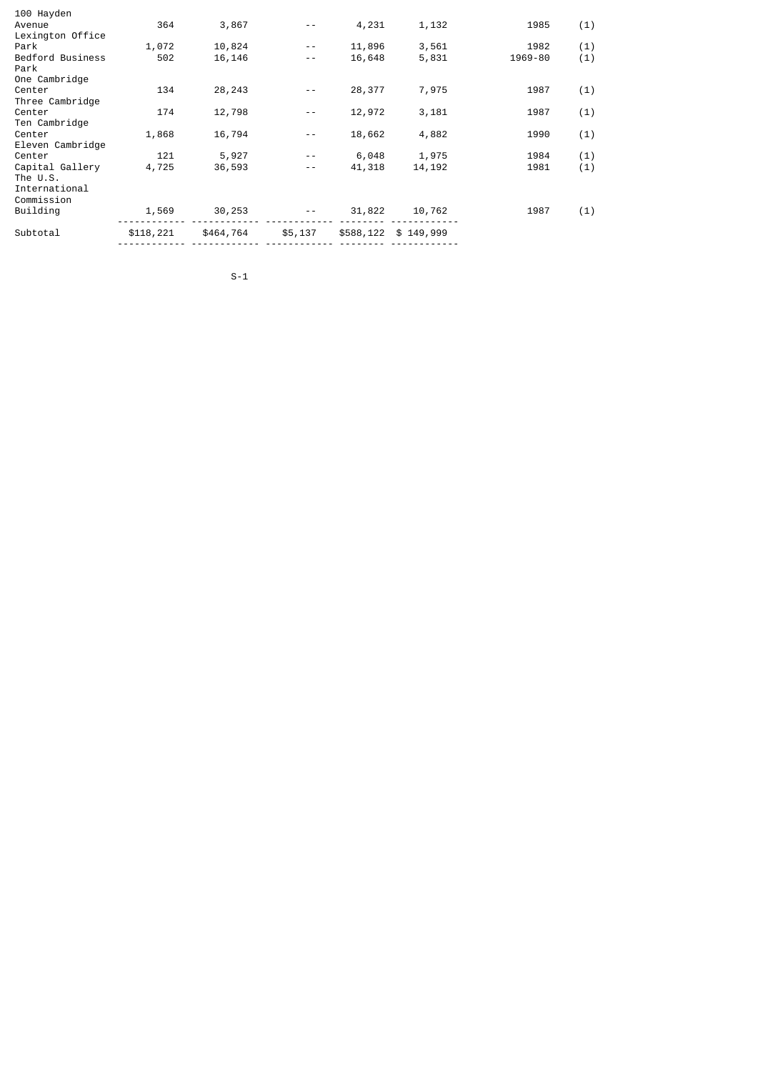| 100 Hayden                                                 |           |           |         |        |                      |         |     |
|------------------------------------------------------------|-----------|-----------|---------|--------|----------------------|---------|-----|
| Avenue                                                     | 364       | 3,867     |         | 4,231  | 1,132                | 1985    | (1) |
| Lexington Office                                           |           |           |         |        |                      |         |     |
| Park                                                       | 1,072     | 10,824    | $- -$   | 11,896 | 3,561                | 1982    | (1) |
| Bedford Business<br>Park                                   | 502       | 16,146    | $ -$    | 16,648 | 5,831                | 1969-80 | (1) |
| One Cambridge                                              |           |           |         |        |                      |         |     |
| Center<br>Three Cambridge                                  | 134       | 28, 243   |         | 28,377 | 7,975                | 1987    | (1) |
| Center<br>Ten Cambridge                                    | 174       | 12,798    |         | 12,972 | 3,181                | 1987    | (1) |
| Center<br>Eleven Cambridge                                 | 1,868     | 16,794    | $- -$   | 18,662 | 4,882                | 1990    | (1) |
| Center                                                     | 121       | 5,927     |         | 6,048  | 1,975                | 1984    | (1) |
| Capital Gallery<br>The U.S.<br>International<br>Commission | 4,725     | 36,593    | $- -$   | 41,318 | 14, 192              | 1981    | (1) |
| Building                                                   | 1,569     | 30,253    |         | 31,822 | 10,762               | 1987    | (1) |
|                                                            |           |           |         |        |                      |         |     |
| Subtotal                                                   | \$118,221 | \$464,764 | \$5,137 |        | \$588,122 \$ 149,999 |         |     |
|                                                            |           |           |         |        |                      |         |     |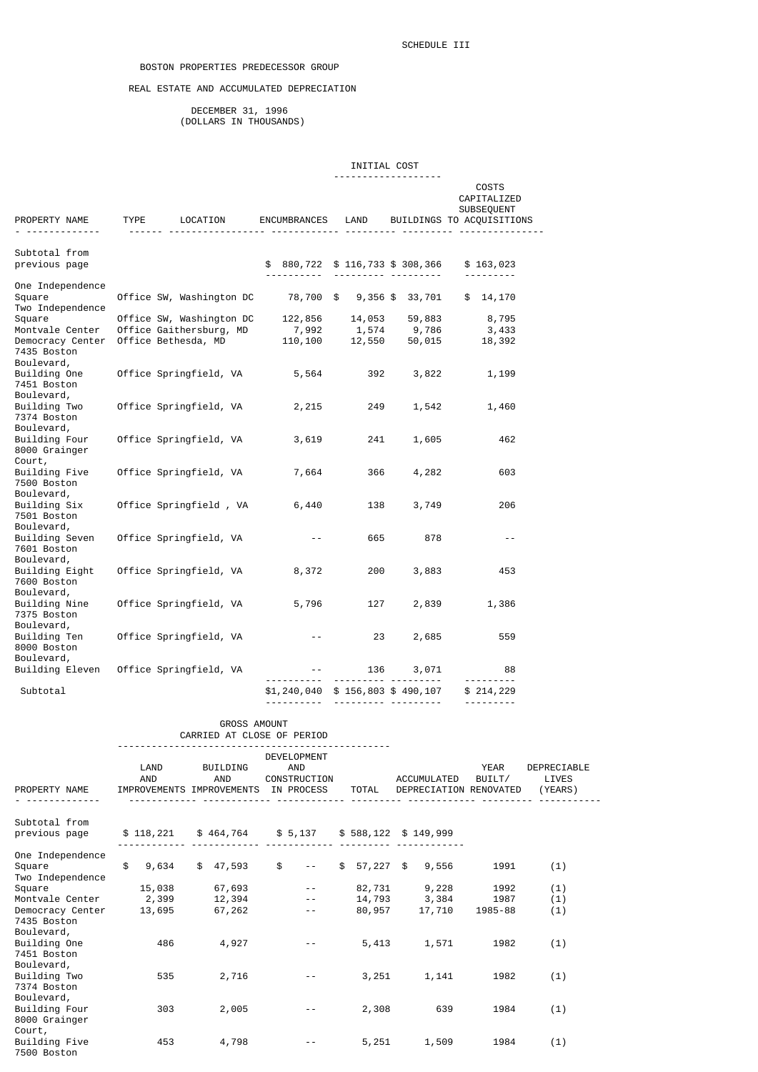## REAL ESTATE AND ACCUMULATED DEPRECIATION

 DECEMBER 31, 1996 (DOLLARS IN THOUSANDS)

## INITIAL COST

| PROPERTY NAME TYPE LOCATION<br><u>.</u>                              | <u>.</u>                                                                   |                             |                                                            |                 | COSTS<br>CAPITALIZED<br>SUBSEQUENT<br>ENCUMBRANCES LAND BUILDINGS TO ACQUISITIONS |
|----------------------------------------------------------------------|----------------------------------------------------------------------------|-----------------------------|------------------------------------------------------------|-----------------|-----------------------------------------------------------------------------------|
| Subtotal from<br>previous page                                       |                                                                            |                             | \$880,722\$116,733\$308,366                                |                 | \$163,023                                                                         |
| One Independence<br>Square<br>Two Independence                       | Office SW, Washington DC 78,700 \$ 9,356 \$ 33,701                         |                             |                                                            |                 | .<br>\$14,170                                                                     |
| Square<br>Montvale Center<br>Democracy Center                        | Office SW, Washington DC<br>Office Gaithersburg, MD<br>Office Bethesda, MD |                             | 122,856 14,053 59,883<br>7,992 1,574<br>110,100 12,550     | 9,786<br>50,015 | 8,795<br>3,433<br>18,392                                                          |
| 7435 Boston<br>Boulevard,<br>Building One<br>7451 Boston             | Office Springfield, VA                                                     | 5,564                       | 392                                                        | 3,822           | 1,199                                                                             |
| Boulevard,<br>Building Two<br>7374 Boston<br>Boulevard,              | Office Springfield, VA                                                     | 2,215                       | 249                                                        | 1,542           | 1,460                                                                             |
| Building Four<br>8000 Grainger<br>Court,                             | Office Springfield, VA                                                     | 3,619                       | 241                                                        | 1,605           | 462                                                                               |
| Building Five<br>7500 Boston<br>Boulevard,                           | Office Springfield, VA                                                     | 7,664                       | 366                                                        | 4,282           | 603                                                                               |
| Building Six<br>7501 Boston<br>Boulevard,                            | Office Springfield, VA                                                     | 6,440                       | 138                                                        | 3,749           | 206                                                                               |
| Building Seven<br>7601 Boston<br>Boulevard,                          | Office Springfield, VA<br>Office Springfield, VA                           | $ -$                        | 665                                                        | 878             | $\sim$ $-$                                                                        |
| Building Eight<br>7600 Boston<br>Boulevard,<br>Building Nine         | Office Springfield, VA                                                     | 8,372<br>5,796              | 200<br>127                                                 | 3,883<br>2,839  | 453<br>1,386                                                                      |
| 7375 Boston<br>Boulevard,<br>Building Ten  Office Springfield, VA    |                                                                            | $\sim$ $\sim$               | 23                                                         | 2,685           | 559                                                                               |
| 8000 Boston<br>Boulevard,<br>Building Eleven  Office Springfield, VA |                                                                            |                             | the experimental con-                                      | 136 3,071       | 88<br><u> - - - - - - - -</u>                                                     |
| Subtotal                                                             |                                                                            | <u> - - - - - - - - - -</u> | $$1,240,040$ \$ 156,803 \$ 490,107<br>---------- --------- |                 | \$214,229<br><u>.</u>                                                             |

|                                                                  |                                                     |                 | <b>GROSS AMOUNT</b> |            | CARRIED AT CLOSE OF PERIOD |        |                                                    |                |                                 |
|------------------------------------------------------------------|-----------------------------------------------------|-----------------|---------------------|------------|----------------------------|--------|----------------------------------------------------|----------------|---------------------------------|
| PROPERTY NAME                                                    | LAND<br>AND<br>IMPROVEMENTS IMPROVEMENTS IN PROCESS | BUILDING<br>AND |                     |            | <b>DEVELOPMENT</b><br>AND  | TOTAL  | CONSTRUCTION ACCUMULATED<br>DEPRECIATION RENOVATED | YEAR<br>BUILT/ | DEPRECIABLE<br>LIVES<br>(YEARS) |
| Subtotal from<br>previous page                                   | \$118,221 \$464,764 \$5,137 \$588,122 \$149,999     |                 |                     |            |                            |        |                                                    |                |                                 |
| One Independence<br>Square<br>Two Independence                   | \$9,634                                             |                 | \$ 47,593           | $^{\circ}$ | $\sim$ $-$                 |        | $$57,227$ \$9,556                                  | 1991           | (1)                             |
| Square                                                           | 15,038                                              |                 | 67,693              |            |                            |        | 82,731 9,228                                       | 1992           | (1)                             |
| Montvale Center<br>Democracy Center<br>7435 Boston<br>Boulevard, | 2,399<br>13,695                                     |                 | 12,394<br>67,262    |            | $- -$                      | 80,957 | 14,793 3,384 1987<br>17,710                        | 1985-88        | (1)<br>(1)                      |
| Building One<br>7451 Boston<br>Boulevard,                        | 486                                                 |                 | 4,927               |            |                            | 5,413  | 1,571                                              | 1982           | (1)                             |
| Building Two<br>7374 Boston<br>Boulevard,                        | 535                                                 |                 | 2,716               |            |                            | 3,251  | 1,141                                              | 1982           | (1)                             |
| Building Four<br>8000 Grainger<br>Court,                         | 303                                                 |                 | 2,005               |            |                            | 2,308  | 639                                                | 1984           | (1)                             |
| Building Five<br>7500 Boston                                     | 453                                                 |                 | 4,798               |            |                            | 5,251  | 1,509                                              | 1984           | (1)                             |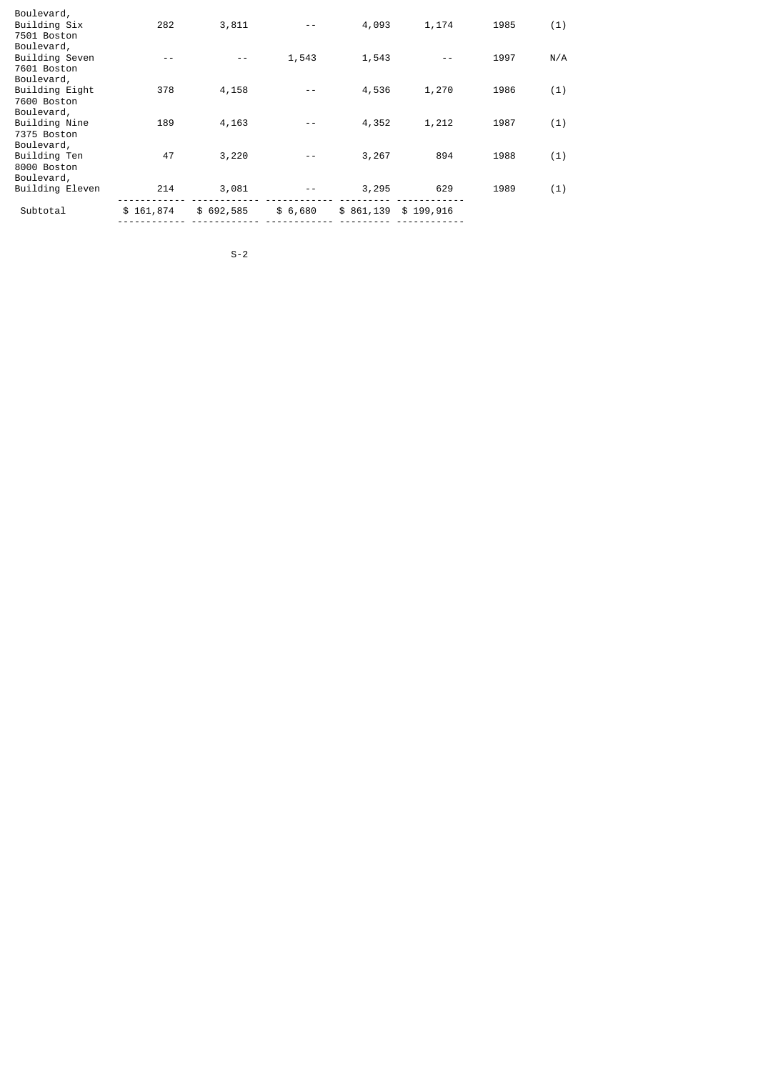| Subtotal                                                   | \$161,874 | \$692,585 | \$6,680 | \$861,139 | \$199,916 |      |     |
|------------------------------------------------------------|-----------|-----------|---------|-----------|-----------|------|-----|
| Boulevard,<br>Building Eleven                              | 214       | 3,081     | $ -$    | 3,295     | 629       | 1989 | (1) |
| Boulevard,<br>Building Ten<br>8000 Boston                  | 47        | 3,220     | - -     | 3,267     | 894       | 1988 | (1) |
| Boulevard,<br>Building Nine<br>7375 Boston                 | 189       | 4,163     |         | 4,352     | 1,212     | 1987 | (1) |
| Boulevard,<br>Building Eight<br>7600 Boston                | 378       | 4,158     |         | 4,536     | 1,270     | 1986 | (1) |
| 7501 Boston<br>Boulevard,<br>Building Seven<br>7601 Boston | - -       |           | 1,543   | 1,543     |           | 1997 | N/A |
| Boulevard,<br>Building Six                                 | 282       | 3,811     |         | 4,093     | 1,174     | 1985 | (1) |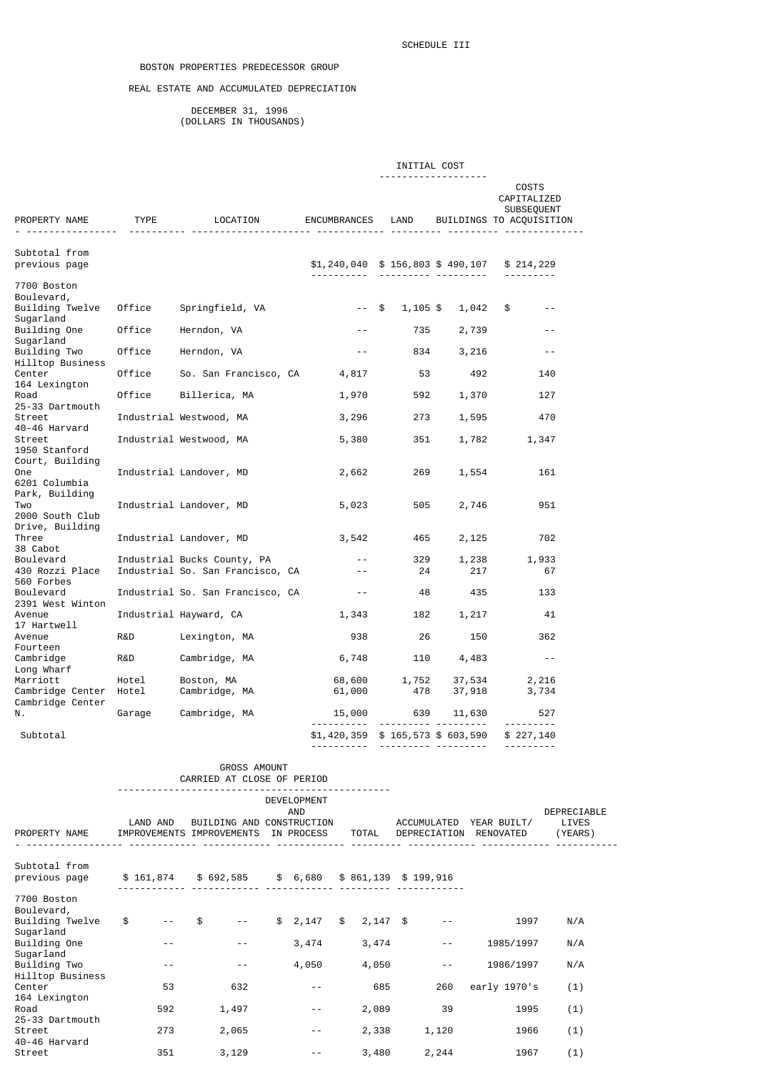# BOSTON PROPERTIES PREDECESSOR GROUP

## REAL ESTATE AND ACCUMULATED DEPRECIATION

 DECEMBER 31, 1996 (DOLLARS IN THOUSANDS)

|                                                |                 |                                                                                                                                 |                                 |              | INITIAL COST          |                                                                |                                 |
|------------------------------------------------|-----------------|---------------------------------------------------------------------------------------------------------------------------------|---------------------------------|--------------|-----------------------|----------------------------------------------------------------|---------------------------------|
| PROPERTY NAME                                  |                 | TYPE LOCATION                                                                                                                   | ENCUMBRANCES LAND               |              | -----------------     | COSTS<br>CAPITALIZED<br>SUBSEQUENT<br>BUILDINGS TO ACQUISITION |                                 |
|                                                |                 |                                                                                                                                 |                                 |              |                       | <u> </u>                                                       |                                 |
| Subtotal from<br>previous page                 |                 |                                                                                                                                 | \$1,240,040 \$156,803 \$490,107 |              |                       | \$214,229                                                      |                                 |
| 7700 Boston                                    |                 |                                                                                                                                 |                                 |              |                       |                                                                |                                 |
| Boulevard,<br>Building Twelve<br>Sugarland     | Office          | Springfield, VA                                                                                                                 | $--$ \$                         | 1,105 \$     | 1,042 \$              | $- -$                                                          |                                 |
| Building One                                   | Office          | Herndon, VA                                                                                                                     | $- -$                           | 735          | 2,739                 | $- -$                                                          |                                 |
| Sugarland<br>Building Two<br>Hilltop Business  | Office          | Herndon, VA                                                                                                                     | $- -$                           | 834          | 3,216                 | $\sim$ $-$                                                     |                                 |
| Center                                         | Office          | So. San Francisco, CA 4,817                                                                                                     |                                 | 53           | 492                   | 140                                                            |                                 |
| 164 Lexington<br>Road                          | Office          | Billerica, MA                                                                                                                   | 1,970                           | 592          | 1,370                 | 127                                                            |                                 |
| 25-33 Dartmouth<br>Street<br>40-46 Harvard     |                 | Industrial Westwood, MA                                                                                                         | 3,296                           | 273          | 1,595                 | 470                                                            |                                 |
| Street<br>1950 Stanford                        |                 | Industrial Westwood, MA                                                                                                         | 5,380                           | 351          |                       | 1,782<br>1,347                                                 |                                 |
| Court, Building<br>One<br>6201 Columbia        |                 | Industrial Landover, MD                                                                                                         | 2,662                           | 269          | 1,554                 | 161                                                            |                                 |
| Park, Building<br>Two<br>2000 South Club       |                 | Industrial Landover, MD                                                                                                         | 5,023                           | 505          | 2,746                 | 951                                                            |                                 |
| Drive, Building<br>Three                       |                 | Industrial Landover, MD                                                                                                         | 3,542                           | 465          | 2,125                 | 702                                                            |                                 |
| 38 Cabot<br>Boulevard<br>430 Rozzi Place       |                 | Industrial Bucks County, PA<br>Industrial So. San Francisco, CA                                                                 | $ -$<br>$ -$                    | 329<br>24    | 1,238<br>217          | 1,933<br>67                                                    |                                 |
| 560 Forbes<br>Boulevard<br>2391 West Winton    |                 | Industrial So. San Francisco, CA                                                                                                | $\sim$ $-$                      | 48           | 435                   | 133                                                            |                                 |
| Avenue                                         |                 | Industrial Hayward, CA                                                                                                          | 1,343                           | 182          | 1,217                 | 41                                                             |                                 |
| 17 Hartwell<br>Avenue<br>Fourteen              | R&D             | Lexington, MA                                                                                                                   | 938                             | 26           | 150                   | 362                                                            |                                 |
| Cambridge<br>Long Wharf                        | R&D             | Cambridge, MA                                                                                                                   | 6,748                           | 110          | 4,483                 | $ -$                                                           |                                 |
| Marriott<br>Cambridge Center                   | Hotel<br>Hotel  | Boston, MA<br>Cambridge, MA                                                                                                     | 68,600<br>61,000                | 1,752<br>478 | 37,534<br>37,918      | 2,216<br>3,734                                                 |                                 |
| Cambridge Center<br>Ν.                         | Garage          | Cambridge, MA                                                                                                                   | 15,000                          |              | 639<br>11,630         | 527                                                            |                                 |
| Subtotal                                       |                 |                                                                                                                                 | <u> - - - - - - - - - - -</u>   |              |                       | \$1,420,359 \$165,573 \$603,590 \$227,140                      |                                 |
|                                                |                 | <b>GROSS AMOUNT</b>                                                                                                             |                                 |              |                       |                                                                |                                 |
|                                                |                 | CARRIED AT CLOSE OF PERIOD                                                                                                      | DEVELOPMENT                     |              |                       |                                                                |                                 |
| PROPERTY NAME                                  |                 | LAND AND BUILDING AND CONSTRUCTION ACCUMULATED YEAR BUILT/<br>IMPROVEMENTS IMPROVEMENTS IN PROCESS TOTAL DEPRECIATION RENOVATED | AND                             |              |                       |                                                                | DEPRECIABLE<br>LIVES<br>(YEARS) |
| Subtotal from                                  |                 |                                                                                                                                 |                                 |              |                       |                                                                |                                 |
|                                                |                 | previous page      \$ 161,874     \$ 692,585     \$ 6,680    \$ 861,139   \$ 199,916                                            |                                 |              |                       |                                                                |                                 |
| 7700 Boston                                    |                 |                                                                                                                                 |                                 |              |                       |                                                                |                                 |
| Boulevard,<br>Building Twelve  \$<br>Sugarland |                 | $--$ \$                                                                                                                         | $-$ \$ 2,147 \$ 2,147 \$        |              | $\sim$ $\sim$ $ \sim$ | 1997                                                           | N/A                             |
| Building One<br>Sugarland                      | $\sim$ $ ^{-1}$ | $\sim$ $-$                                                                                                                      | $3,474$ $3,474$ --              |              |                       | 1985/1997                                                      | N/A                             |
| Building Two<br>Hilltop Business               | $\sim$ $ ^{-}$  | $\sim$ $-$                                                                                                                      | 4,050 11                        | 4,050        | and the state of the  | 1986/1997                                                      | N/A                             |
| Center<br>164 Lexington                        | 53              | 632                                                                                                                             | $\sim$ $-$                      | 685 000      | 260                   | early 1970's                                                   | (1)                             |
| Road<br>25-33 Dartmouth                        | 592             | 1,497                                                                                                                           | $\sim$ $-$                      | 2,089        | 39                    | 1995                                                           | (1)                             |
| Street                                         |                 | 273 2,065                                                                                                                       | $\sim$ 100 $-$ 100 $\sim$       | 2,338 1,120  |                       | 1966                                                           | (1)                             |

Street 351 3,129 -- 3,480 2,244 1967 (1)

40-46 Harvard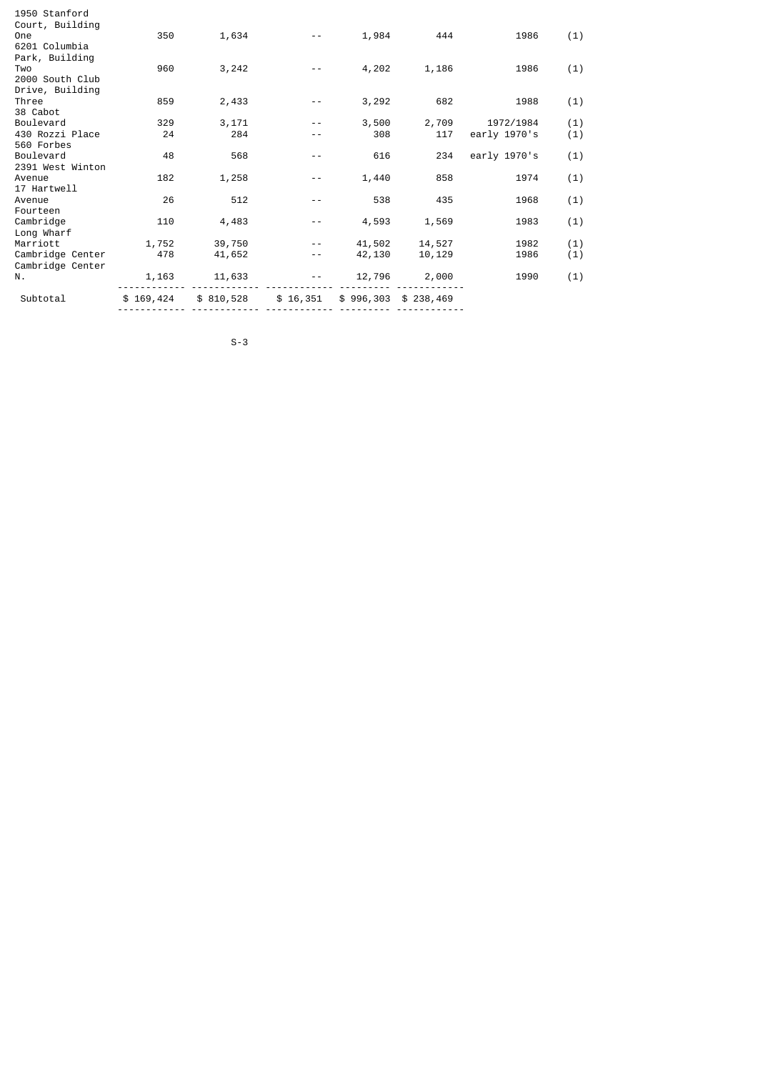| Subtotal              | \$169,424 | \$810,528 | \$16,351 |        | $$996,303$ $$238,469$ |              |     |
|-----------------------|-----------|-----------|----------|--------|-----------------------|--------------|-----|
| Ν.                    | 1,163     | 11,633    |          | 12,796 | 2,000                 | 1990         | (1) |
| Cambridge Center      |           |           |          |        |                       |              |     |
| Cambridge Center      | 478       | 41,652    | - -      | 42,130 | 10,129                | 1986         | (1) |
| Marriott              | 1,752     | 39,750    | $- -$    | 41,502 | 14,527                | 1982         | (1) |
| Long Wharf            |           |           |          |        |                       |              |     |
| Cambridge             | 110       | 4,483     | $ -$     | 4,593  | 1,569                 | 1983         | (1) |
| Fourteen              |           |           |          |        |                       |              |     |
| 17 Hartwell<br>Avenue | 26        | 512       | $ -$     | 538    | 435                   | 1968         | (1) |
| Avenue                | 182       | 1,258     | - -      | 1,440  | 858                   | 1974         | (1) |
| 2391 West Winton      |           |           |          |        |                       |              |     |
| Boulevard             | 48        | 568       | $- -$    | 616    | 234                   | early 1970's | (1) |
| 560 Forbes            |           |           |          |        |                       |              |     |
| 430 Rozzi Place       | 24        | 284       | - -      | 308    | 117                   | early 1970's | (1) |
| Boulevard             | 329       | 3,171     |          | 3,500  | 2,709                 | 1972/1984    | (1) |
| 38 Cabot              |           |           |          |        |                       |              |     |
| Three                 | 859       | 2,433     | $ -$     | 3,292  | 682                   | 1988         | (1) |
| Drive, Building       |           |           |          |        |                       |              |     |
| 2000 South Club       |           |           |          |        |                       |              |     |
| Park, Building<br>Two | 960       | 3,242     |          | 4,202  | 1,186                 | 1986         | (1) |
| 6201 Columbia         |           |           |          |        |                       |              |     |
| <b>One</b>            | 350       | 1,634     | $- -$    | 1,984  | 444                   | 1986         | (1) |
| Court, Building       |           |           |          |        |                       |              |     |
| 1950 Stanford         |           |           |          |        |                       |              |     |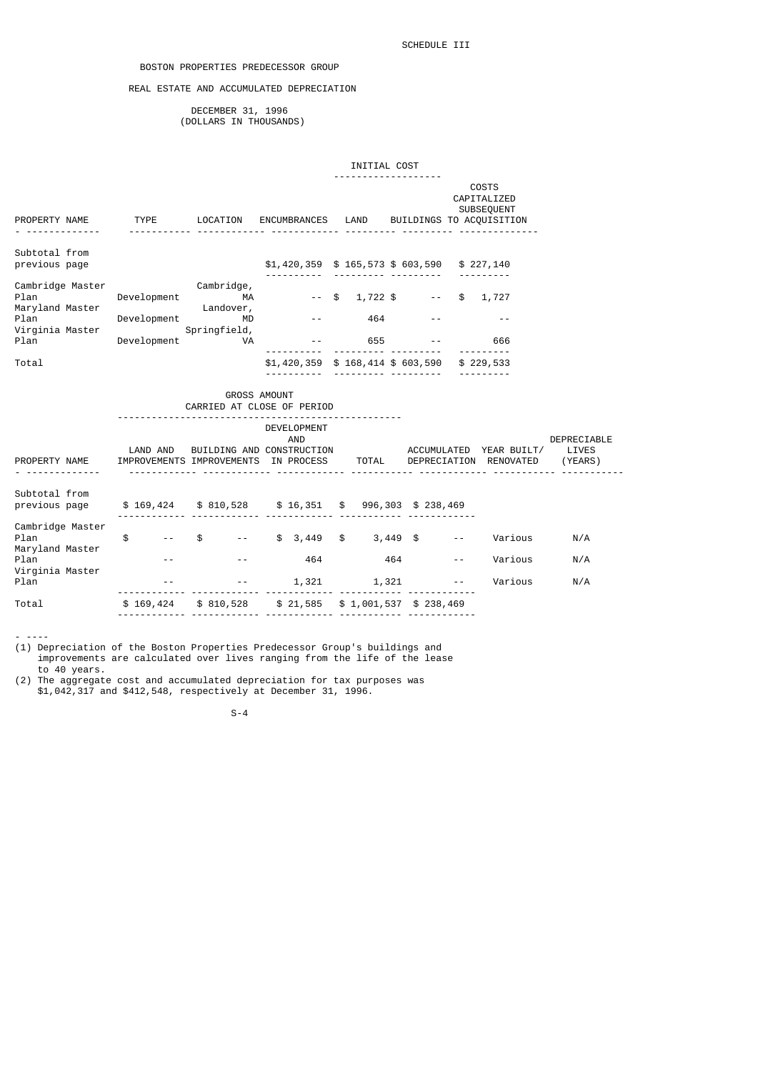## BOSTON PROPERTIES PREDECESSOR GROUP

## REAL ESTATE AND ACCUMULATED DEPRECIATION

 DECEMBER 31, 1996 (DOLLARS IN THOUSANDS)

| COSTS<br>CAPITALIZED<br>SUBSEQUENT<br>PROPERTY NAME TYPE LOCATION ENCUMBRANCES LAND<br>BUILDINGS TO ACQUISITION<br><u> </u><br><u>.</u><br>Subtotal from<br>previous page<br>$$1,420,359$ \$ 165,573 \$ 603,590 \$ 227,140<br>Cambridge Master<br>Cambridge,<br>Plan<br>Development MA<br>$-$ \$ 1,722 \$ $-$ \$ 1,727<br>Maryland Master<br>Landover,<br>Plan<br>Development<br>464<br>MD<br>$ -$ |                                 |
|----------------------------------------------------------------------------------------------------------------------------------------------------------------------------------------------------------------------------------------------------------------------------------------------------------------------------------------------------------------------------------------------------|---------------------------------|
|                                                                                                                                                                                                                                                                                                                                                                                                    |                                 |
|                                                                                                                                                                                                                                                                                                                                                                                                    |                                 |
|                                                                                                                                                                                                                                                                                                                                                                                                    |                                 |
| Virginia Master<br>Springfield,                                                                                                                                                                                                                                                                                                                                                                    |                                 |
| Plan<br>Development<br>$-$ 655 $-$<br><b>VA</b><br>666<br>.                                                                                                                                                                                                                                                                                                                                        |                                 |
| Total<br>$$1,420,359$ \$ 168,414 \$ 603,590 \$ 229,533                                                                                                                                                                                                                                                                                                                                             |                                 |
| GROSS AMOUNT<br>CARRIED AT CLOSE OF PERIOD                                                                                                                                                                                                                                                                                                                                                         |                                 |
| ----------------------------<br>DEVELOPMENT<br><b>AND</b><br>LAND AND BUILDING AND CONSTRUCTION ACCUMULATED YEAR BUILT/<br>PROPERTY NAME IMPROVEMENTS IMPROVEMENTS IN PROCESS TOTAL DEPRECIATION RENOVATED                                                                                                                                                                                         | DEPRECIABLE<br>LIVES<br>(YEARS) |
| Subtotal from<br>\$169,424 \$810,528 \$16,351 \$996,303 \$238,469<br>previous page                                                                                                                                                                                                                                                                                                                 |                                 |
| Cambridge Master<br>$-$ \$ $-$ \$ 3,449 \$ 3,449 \$<br>$\frac{1}{2}$<br>Plan<br>Various<br>$\sim$ $\sim$ $ \sim$<br>Maryland Master                                                                                                                                                                                                                                                                | N/A                             |
| Plan<br>464<br>464<br>Various<br>$- -$<br>$- -$<br>Virginia Master                                                                                                                                                                                                                                                                                                                                 | N/A                             |
| $1,321$ $1,321$ $-$<br>Plan<br>Various                                                                                                                                                                                                                                                                                                                                                             | N/A                             |
| \$169,424 \$810,528 \$21,585 \$1,001,537 \$238,469<br>Total                                                                                                                                                                                                                                                                                                                                        |                                 |

- ----

(1) Depreciation of the Boston Properties Predecessor Group's buildings and improvements are calculated over lives ranging from the life of the lease to 40 years.

(2) The aggregate cost and accumulated depreciation for tax purposes was \$1,042,317 and \$412,548, respectively at December 31, 1996.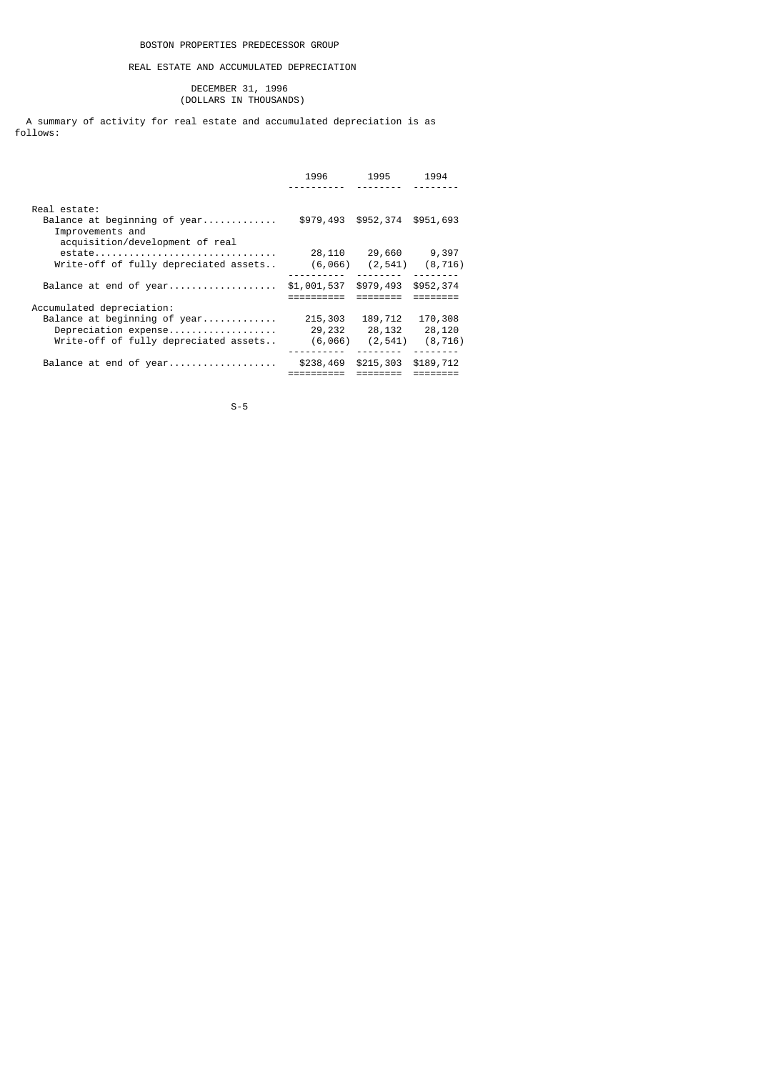## REAL ESTATE AND ACCUMULATED DEPRECIATION

#### DECEMBER 31, 1996 (DOLLARS IN THOUSANDS)

 A summary of activity for real estate and accumulated depreciation is as follows:

|                                                  | 1996        | 1995      | 1994      |
|--------------------------------------------------|-------------|-----------|-----------|
|                                                  |             |           |           |
| Real estate:                                     |             |           |           |
| Balance at beginning of year<br>Improvements and | \$979,493   | \$952,374 | \$951,693 |
| acquisition/development of real                  |             |           |           |
| estate                                           | 28,110      | 29,660    | 9,397     |
| Write-off of fully depreciated assets            | (6,066)     | (2, 541)  | (8, 716)  |
|                                                  |             |           |           |
| Balance at end of year                           | \$1,001,537 | \$979,493 | \$952,374 |
|                                                  |             |           |           |
| Accumulated depreciation:                        |             |           |           |
| Balance at beginning of year                     | 215,303     | 189,712   | 170,308   |
| Depreciation expense                             | 29,232      | 28,132    | 28,120    |
| Write-off of fully depreciated assets            | (6,066)     | (2, 541)  | (8, 716)  |
|                                                  |             |           |           |
| Balance at end of year                           | \$238,469   | \$215,303 | \$189,712 |
|                                                  |             |           |           |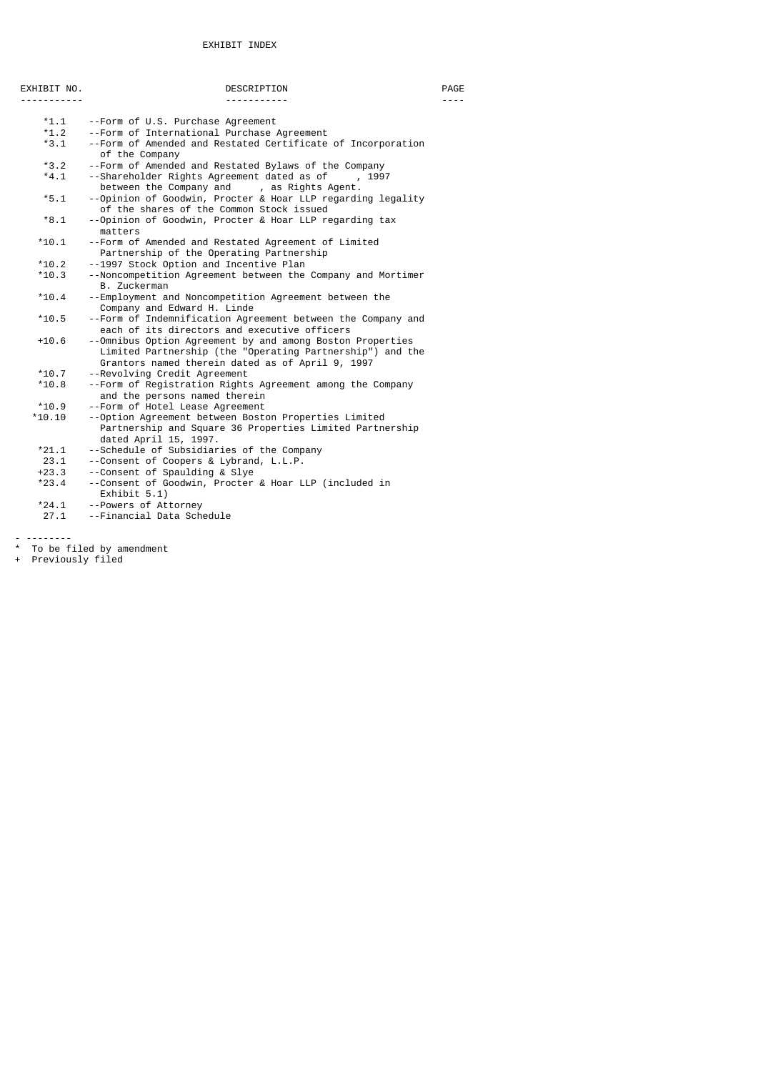# EXHIBIT INDEX

| EXHIBIT NO. | DESCRIPTION                                                                                                                                                                | PAGE |
|-------------|----------------------------------------------------------------------------------------------------------------------------------------------------------------------------|------|
|             |                                                                                                                                                                            |      |
|             |                                                                                                                                                                            |      |
| $*1.1$      | --Form of U.S. Purchase Agreement                                                                                                                                          |      |
| $*1.2$      | --Form of International Purchase Agreement                                                                                                                                 |      |
| $*3.1$      | --Form of Amended and Restated Certificate of Incorporation<br>of the Company                                                                                              |      |
| $*3.2$      | --Form of Amended and Restated Bylaws of the Company                                                                                                                       |      |
| $*4.1$      | --Shareholder Rights Agreement dated as of<br>, 1997<br>between the Company and<br>, as Rights Agent.                                                                      |      |
| $*5.1$      | --Opinion of Goodwin, Procter & Hoar LLP regarding legality<br>of the shares of the Common Stock issued                                                                    |      |
| $*8.1$      | --Opinion of Goodwin, Procter & Hoar LLP regarding tax<br>matters                                                                                                          |      |
| $*10.1$     | --Form of Amended and Restated Agreement of Limited                                                                                                                        |      |
|             | Partnership of the Operating Partnership                                                                                                                                   |      |
| $*10.2$     | --1997 Stock Option and Incentive Plan                                                                                                                                     |      |
| $*10.3$     | --Noncompetition Agreement between the Company and Mortimer<br>B. Zuckerman                                                                                                |      |
| $*10.4$     | --Employment and Noncompetition Agreement between the<br>Company and Edward H. Linde                                                                                       |      |
| $*10.5$     | --Form of Indemnification Agreement between the Company and<br>each of its directors and executive officers                                                                |      |
| $+10.6$     | --Omnibus Option Agreement by and among Boston Properties<br>Limited Partnership (the "Operating Partnership") and the<br>Grantors named therein dated as of April 9, 1997 |      |
| $*10.7$     | --Revolving Credit Agreement                                                                                                                                               |      |
| $*10.8$     | --Form of Registration Rights Agreement among the Company<br>and the persons named therein                                                                                 |      |
| $*10.9$     | --Form of Hotel Lease Agreement                                                                                                                                            |      |
| $*10.10$    | --Option Agreement between Boston Properties Limited<br>Partnership and Square 36 Properties Limited Partnership<br>dated April 15, 1997.                                  |      |
| $*21.1$     | --Schedule of Subsidiaries of the Company                                                                                                                                  |      |
| 23.1        | --Consent of Coopers & Lybrand, L.L.P.                                                                                                                                     |      |
| $+23.3$     | --Consent of Spaulding & Slye                                                                                                                                              |      |
| $*23.4$     | --Consent of Goodwin, Procter & Hoar LLP (included in<br>Exhibit $5.1$ )                                                                                                   |      |
| $*24.1$     | --Powers of Attorney                                                                                                                                                       |      |

27.1 --Financial Data Schedule

- --------

- \* To be filed by amendment
- + Previously filed